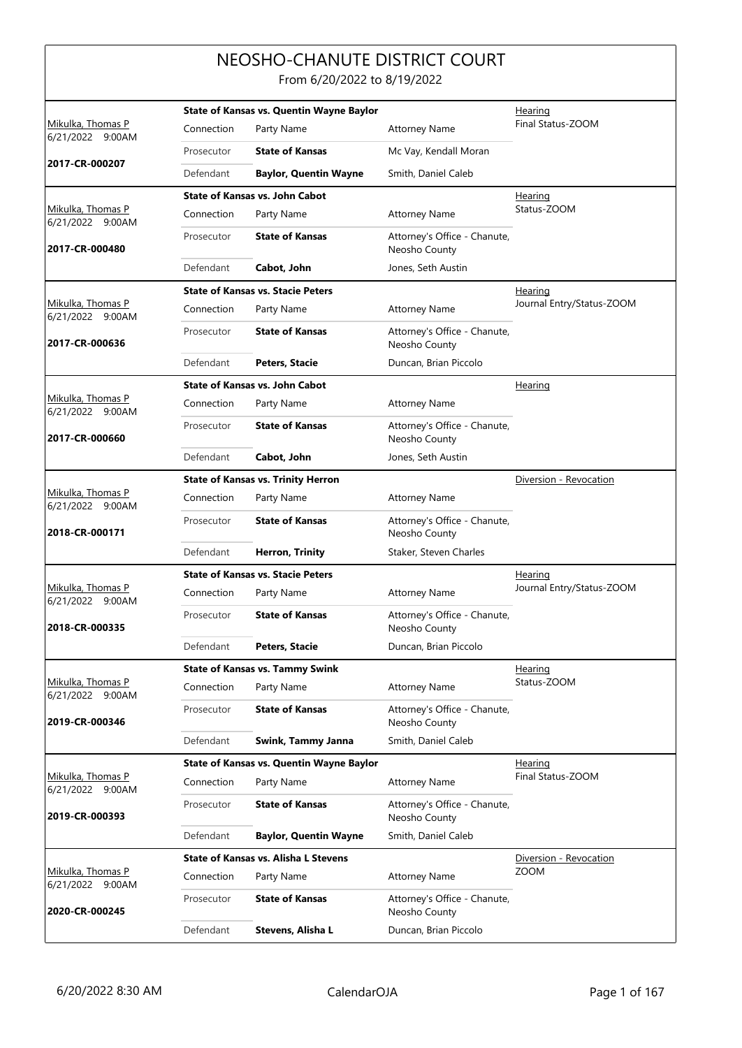## NEOSHO-CHANUTE DISTRICT COURT From 6/20/2022 to 8/19/2022

| Mikulka, Thomas P                     |            | <b>State of Kansas vs. Quentin Wayne Baylor</b> |                                               | Hearing<br>Final Status-ZOOM |
|---------------------------------------|------------|-------------------------------------------------|-----------------------------------------------|------------------------------|
| 6/21/2022 9:00AM                      | Connection | Party Name                                      | <b>Attorney Name</b>                          |                              |
| 2017-CR-000207                        | Prosecutor | <b>State of Kansas</b>                          | Mc Vay, Kendall Moran                         |                              |
|                                       | Defendant  | <b>Baylor, Quentin Wayne</b>                    | Smith, Daniel Caleb                           |                              |
|                                       |            | <b>State of Kansas vs. John Cabot</b>           |                                               | <b>Hearing</b>               |
| Mikulka, Thomas P<br>6/21/2022 9:00AM | Connection | Party Name                                      | <b>Attorney Name</b>                          | Status-ZOOM                  |
| 2017-CR-000480                        | Prosecutor | <b>State of Kansas</b>                          | Attorney's Office - Chanute,<br>Neosho County |                              |
|                                       | Defendant  | Cabot, John                                     | Jones, Seth Austin                            |                              |
|                                       |            | <b>State of Kansas vs. Stacie Peters</b>        |                                               | Hearing                      |
| Mikulka, Thomas P<br>6/21/2022 9:00AM | Connection | Party Name                                      | <b>Attorney Name</b>                          | Journal Entry/Status-ZOOM    |
| 2017-CR-000636                        | Prosecutor | <b>State of Kansas</b>                          | Attorney's Office - Chanute,<br>Neosho County |                              |
|                                       | Defendant  | Peters, Stacie                                  | Duncan, Brian Piccolo                         |                              |
|                                       |            | <b>State of Kansas vs. John Cabot</b>           |                                               | <b>Hearing</b>               |
| Mikulka, Thomas P<br>6/21/2022 9:00AM | Connection | Party Name                                      | <b>Attorney Name</b>                          |                              |
| 2017-CR-000660                        | Prosecutor | <b>State of Kansas</b>                          | Attorney's Office - Chanute,<br>Neosho County |                              |
|                                       | Defendant  | Cabot, John                                     | Jones, Seth Austin                            |                              |
|                                       |            | <b>State of Kansas vs. Trinity Herron</b>       |                                               | Diversion - Revocation       |
| Mikulka, Thomas P<br>6/21/2022 9:00AM | Connection | Party Name                                      | <b>Attorney Name</b>                          |                              |
| 2018-CR-000171                        | Prosecutor | <b>State of Kansas</b>                          | Attorney's Office - Chanute,<br>Neosho County |                              |
|                                       | Defendant  | <b>Herron, Trinity</b>                          | Staker, Steven Charles                        |                              |
|                                       |            | <b>State of Kansas vs. Stacie Peters</b>        |                                               | <b>Hearing</b>               |
| Mikulka, Thomas P<br>6/21/2022 9:00AM | Connection | Party Name                                      | <b>Attorney Name</b>                          | Journal Entry/Status-ZOOM    |
| 2018-CR-000335                        | Prosecutor | <b>State of Kansas</b>                          | Attorney's Office - Chanute,<br>Neosho County |                              |
|                                       | Defendant  | <b>Peters, Stacie</b>                           | Duncan, Brian Piccolo                         |                              |
|                                       |            | <b>State of Kansas vs. Tammy Swink</b>          |                                               | Hearing                      |
| Mikulka, Thomas P<br>6/21/2022 9:00AM | Connection | Party Name                                      | <b>Attorney Name</b>                          | Status-ZOOM                  |
| 2019-CR-000346                        | Prosecutor | <b>State of Kansas</b>                          | Attorney's Office - Chanute,<br>Neosho County |                              |
|                                       | Defendant  | Swink, Tammy Janna                              | Smith, Daniel Caleb                           |                              |
|                                       |            | State of Kansas vs. Quentin Wayne Baylor        |                                               | Hearing                      |
| Mikulka, Thomas P<br>6/21/2022 9:00AM | Connection | Party Name                                      | <b>Attorney Name</b>                          | Final Status-ZOOM            |
| 2019-CR-000393                        | Prosecutor | <b>State of Kansas</b>                          | Attorney's Office - Chanute,<br>Neosho County |                              |
|                                       | Defendant  | <b>Baylor, Quentin Wayne</b>                    | Smith, Daniel Caleb                           |                              |
|                                       |            | <b>State of Kansas vs. Alisha L Stevens</b>     |                                               | Diversion - Revocation       |
| Mikulka, Thomas P                     | Connection | Party Name                                      | <b>Attorney Name</b>                          | <b>ZOOM</b>                  |
| 6/21/2022 9:00AM<br>2020-CR-000245    | Prosecutor | <b>State of Kansas</b>                          | Attorney's Office - Chanute,<br>Neosho County |                              |
|                                       | Defendant  | Stevens, Alisha L                               | Duncan, Brian Piccolo                         |                              |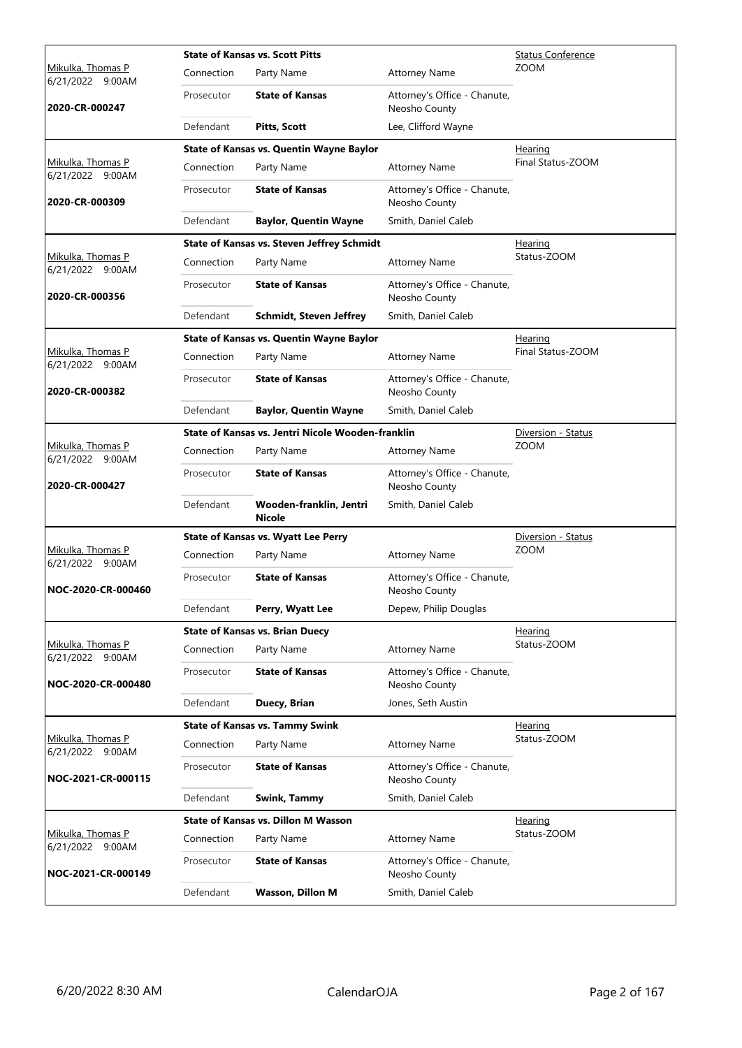|                                              | <b>State of Kansas vs. Scott Pitts</b> |                                                   |                                               | <b>Status Conference</b> |
|----------------------------------------------|----------------------------------------|---------------------------------------------------|-----------------------------------------------|--------------------------|
| <u>Mikulka, Thomas P</u><br>6/21/2022 9:00AM | Connection                             | Party Name                                        | <b>Attorney Name</b>                          | <b>ZOOM</b>              |
| 2020-CR-000247                               | Prosecutor                             | <b>State of Kansas</b>                            | Attorney's Office - Chanute,<br>Neosho County |                          |
|                                              | Defendant                              | <b>Pitts, Scott</b>                               | Lee, Clifford Wayne                           |                          |
|                                              |                                        | <b>State of Kansas vs. Quentin Wayne Baylor</b>   |                                               | Hearing                  |
| Mikulka, Thomas P<br>6/21/2022 9:00AM        | Connection                             | Party Name                                        | <b>Attorney Name</b>                          | Final Status-ZOOM        |
| 2020-CR-000309                               | Prosecutor                             | <b>State of Kansas</b>                            | Attorney's Office - Chanute,<br>Neosho County |                          |
|                                              | Defendant                              | <b>Baylor, Quentin Wayne</b>                      | Smith, Daniel Caleb                           |                          |
|                                              |                                        | <b>State of Kansas vs. Steven Jeffrey Schmidt</b> |                                               | <b>Hearing</b>           |
| Mikulka, Thomas P<br>6/21/2022 9:00AM        | Connection                             | Party Name                                        | <b>Attorney Name</b>                          | Status-ZOOM              |
| 2020-CR-000356                               | Prosecutor                             | <b>State of Kansas</b>                            | Attorney's Office - Chanute,<br>Neosho County |                          |
|                                              | Defendant                              | <b>Schmidt, Steven Jeffrey</b>                    | Smith, Daniel Caleb                           |                          |
|                                              |                                        | <b>State of Kansas vs. Quentin Wayne Baylor</b>   |                                               | Hearing                  |
| <u>Mikulka, Thomas P</u><br>6/21/2022 9:00AM | Connection                             | Party Name                                        | <b>Attorney Name</b>                          | Final Status-ZOOM        |
| 2020-CR-000382                               | Prosecutor                             | <b>State of Kansas</b>                            | Attorney's Office - Chanute,<br>Neosho County |                          |
|                                              | Defendant                              | <b>Baylor, Quentin Wayne</b>                      | Smith, Daniel Caleb                           |                          |
|                                              |                                        | State of Kansas vs. Jentri Nicole Wooden-franklin |                                               | Diversion - Status       |
| Mikulka, Thomas P<br>6/21/2022 9:00AM        | Connection                             | Party Name                                        | <b>Attorney Name</b>                          | <b>ZOOM</b>              |
| 2020-CR-000427                               | Prosecutor                             | <b>State of Kansas</b>                            | Attorney's Office - Chanute,<br>Neosho County |                          |
|                                              | Defendant                              | Wooden-franklin, Jentri<br><b>Nicole</b>          | Smith, Daniel Caleb                           |                          |
|                                              |                                        | <b>State of Kansas vs. Wyatt Lee Perry</b>        |                                               | Diversion - Status       |
| Mikulka, Thomas P<br>6/21/2022 9:00AM        | Connection                             | Party Name                                        | <b>Attorney Name</b>                          | <b>ZOOM</b>              |
| NOC-2020-CR-000460                           | Prosecutor                             | <b>State of Kansas</b>                            | Attorney's Office - Chanute,<br>Neosho County |                          |
|                                              | Defendant                              | Perry, Wyatt Lee                                  | Depew, Philip Douglas                         |                          |
|                                              |                                        | <b>State of Kansas vs. Brian Duecy</b>            |                                               | <u>Hearing</u>           |
| Mikulka, Thomas P<br>6/21/2022 9:00AM        | Connection                             | Party Name                                        | <b>Attorney Name</b>                          | Status-ZOOM              |
| NOC-2020-CR-000480                           | Prosecutor                             | <b>State of Kansas</b>                            | Attorney's Office - Chanute,<br>Neosho County |                          |
|                                              | Defendant                              | Duecy, Brian                                      | Jones, Seth Austin                            |                          |
|                                              |                                        | <b>State of Kansas vs. Tammy Swink</b>            |                                               | Hearing                  |
| Mikulka, Thomas P<br>6/21/2022 9:00AM        | Connection                             | Party Name                                        | <b>Attorney Name</b>                          | Status-ZOOM              |
| NOC-2021-CR-000115                           | Prosecutor                             | <b>State of Kansas</b>                            | Attorney's Office - Chanute,<br>Neosho County |                          |
|                                              | Defendant                              | Swink, Tammy                                      | Smith, Daniel Caleb                           |                          |
|                                              |                                        | <b>State of Kansas vs. Dillon M Wasson</b>        |                                               | <u>Hearing</u>           |
| Mikulka, Thomas P<br>6/21/2022 9:00AM        | Connection                             | Party Name                                        | <b>Attorney Name</b>                          | Status-ZOOM              |
| NOC-2021-CR-000149                           | Prosecutor                             | <b>State of Kansas</b>                            | Attorney's Office - Chanute,<br>Neosho County |                          |
|                                              | Defendant                              | Wasson, Dillon M                                  | Smith, Daniel Caleb                           |                          |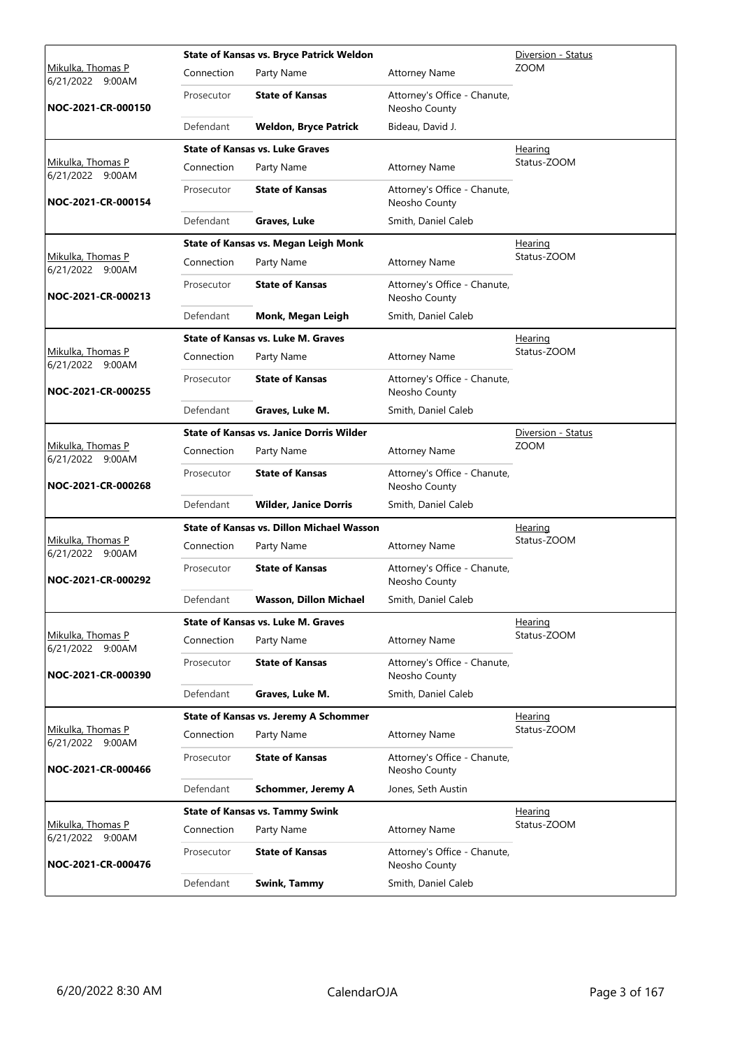|                                              |            | <b>State of Kansas vs. Bryce Patrick Weldon</b>  |                                               | Diversion - Status |
|----------------------------------------------|------------|--------------------------------------------------|-----------------------------------------------|--------------------|
| <u>Mikulka, Thomas P</u><br>6/21/2022 9:00AM | Connection | Party Name                                       | <b>Attorney Name</b>                          | <b>ZOOM</b>        |
| NOC-2021-CR-000150                           | Prosecutor | <b>State of Kansas</b>                           | Attorney's Office - Chanute,<br>Neosho County |                    |
|                                              | Defendant  | <b>Weldon, Bryce Patrick</b>                     | Bideau, David J.                              |                    |
|                                              |            | <b>State of Kansas vs. Luke Graves</b>           |                                               | Hearing            |
| Mikulka, Thomas P<br>6/21/2022 9:00AM        | Connection | Party Name                                       | <b>Attorney Name</b>                          | Status-ZOOM        |
| NOC-2021-CR-000154                           | Prosecutor | <b>State of Kansas</b>                           | Attorney's Office - Chanute,<br>Neosho County |                    |
|                                              | Defendant  | Graves, Luke                                     | Smith, Daniel Caleb                           |                    |
|                                              |            | State of Kansas vs. Megan Leigh Monk             |                                               | <b>Hearing</b>     |
| Mikulka, Thomas P<br>6/21/2022 9:00AM        | Connection | Party Name                                       | <b>Attorney Name</b>                          | Status-ZOOM        |
| NOC-2021-CR-000213                           | Prosecutor | <b>State of Kansas</b>                           | Attorney's Office - Chanute,<br>Neosho County |                    |
|                                              | Defendant  | Monk, Megan Leigh                                | Smith, Daniel Caleb                           |                    |
|                                              |            | <b>State of Kansas vs. Luke M. Graves</b>        |                                               | Hearing            |
| Mikulka, Thomas P<br>6/21/2022 9:00AM        | Connection | Party Name                                       | <b>Attorney Name</b>                          | Status-ZOOM        |
| NOC-2021-CR-000255                           | Prosecutor | <b>State of Kansas</b>                           | Attorney's Office - Chanute,<br>Neosho County |                    |
|                                              | Defendant  | Graves, Luke M.                                  | Smith, Daniel Caleb                           |                    |
|                                              |            | <b>State of Kansas vs. Janice Dorris Wilder</b>  |                                               | Diversion - Status |
| Mikulka, Thomas P<br>6/21/2022 9:00AM        | Connection | Party Name                                       | <b>Attorney Name</b>                          | <b>ZOOM</b>        |
| NOC-2021-CR-000268                           | Prosecutor | <b>State of Kansas</b>                           | Attorney's Office - Chanute,<br>Neosho County |                    |
|                                              | Defendant  | <b>Wilder, Janice Dorris</b>                     | Smith, Daniel Caleb                           |                    |
|                                              |            | <b>State of Kansas vs. Dillon Michael Wasson</b> | <b>Hearing</b>                                |                    |
| Mikulka, Thomas P<br>6/21/2022 9:00AM        | Connection | Party Name                                       | <b>Attorney Name</b>                          | Status-ZOOM        |
| NOC-2021-CR-000292                           | Prosecutor | <b>State of Kansas</b>                           | Attorney's Office - Chanute,<br>Neosho County |                    |
|                                              | Defendant  | Wasson, Dillon Michael                           | Smith, Daniel Caleb                           |                    |
|                                              |            | <b>State of Kansas vs. Luke M. Graves</b>        |                                               | Hearing            |
| Mikulka, Thomas P<br>6/21/2022 9:00AM        | Connection | Party Name                                       | <b>Attorney Name</b>                          | Status-ZOOM        |
| NOC-2021-CR-000390                           | Prosecutor | <b>State of Kansas</b>                           | Attorney's Office - Chanute,<br>Neosho County |                    |
|                                              | Defendant  | Graves, Luke M.                                  | Smith, Daniel Caleb                           |                    |
|                                              |            | <b>State of Kansas vs. Jeremy A Schommer</b>     |                                               | Hearing            |
| Mikulka, Thomas P<br>6/21/2022 9:00AM        | Connection | Party Name                                       | <b>Attorney Name</b>                          | Status-ZOOM        |
| NOC-2021-CR-000466                           | Prosecutor | <b>State of Kansas</b>                           | Attorney's Office - Chanute,<br>Neosho County |                    |
|                                              | Defendant  | <b>Schommer, Jeremy A</b>                        | Jones, Seth Austin                            |                    |
|                                              |            | <b>State of Kansas vs. Tammy Swink</b>           |                                               | <b>Hearing</b>     |
| Mikulka, Thomas P<br>6/21/2022 9:00AM        | Connection | Party Name                                       | <b>Attorney Name</b>                          | Status-ZOOM        |
| NOC-2021-CR-000476                           | Prosecutor | <b>State of Kansas</b>                           | Attorney's Office - Chanute,<br>Neosho County |                    |
|                                              | Defendant  | Swink, Tammy                                     | Smith, Daniel Caleb                           |                    |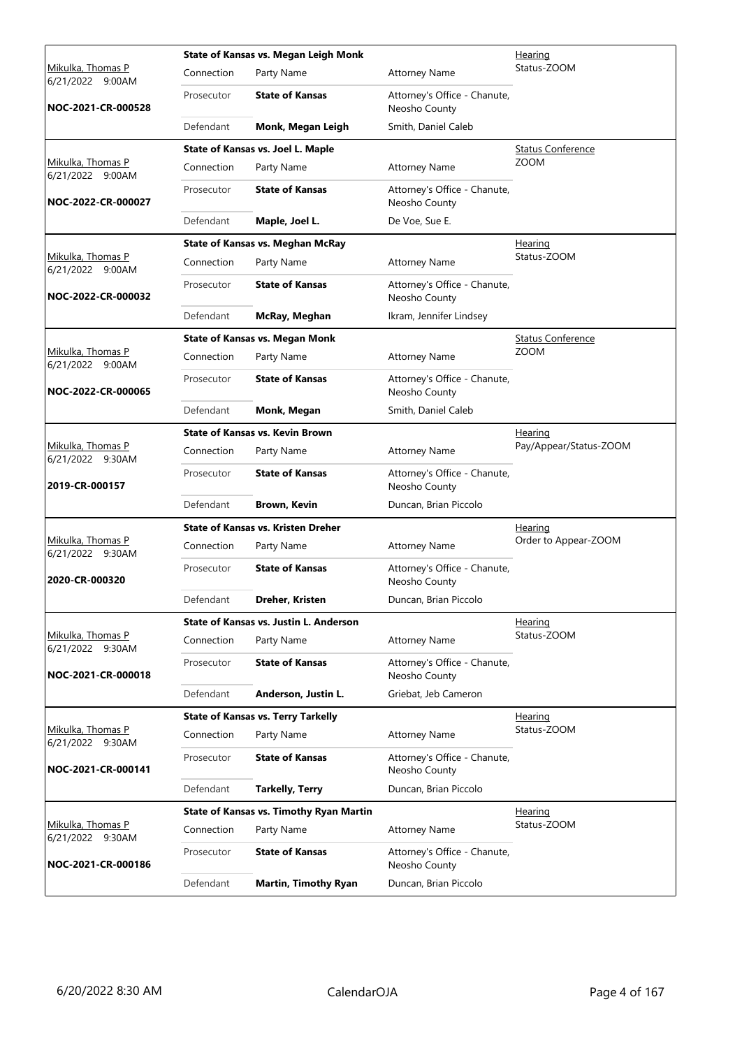|                                              |            | State of Kansas vs. Megan Leigh Monk           |                                               | Hearing                  |
|----------------------------------------------|------------|------------------------------------------------|-----------------------------------------------|--------------------------|
| Mikulka, Thomas P<br>6/21/2022<br>9:00AM     | Connection | Party Name                                     | <b>Attorney Name</b>                          | Status-ZOOM              |
| NOC-2021-CR-000528                           | Prosecutor | <b>State of Kansas</b>                         | Attorney's Office - Chanute,<br>Neosho County |                          |
|                                              | Defendant  | Monk, Megan Leigh                              | Smith, Daniel Caleb                           |                          |
|                                              |            | State of Kansas vs. Joel L. Maple              |                                               | <b>Status Conference</b> |
| Mikulka, Thomas P<br>6/21/2022 9:00AM        | Connection | Party Name                                     | <b>Attorney Name</b>                          | <b>ZOOM</b>              |
| NOC-2022-CR-000027                           | Prosecutor | <b>State of Kansas</b>                         | Attorney's Office - Chanute,<br>Neosho County |                          |
|                                              | Defendant  | Maple, Joel L.                                 | De Voe, Sue E.                                |                          |
|                                              |            | <b>State of Kansas vs. Meghan McRay</b>        |                                               | <u>Hearing</u>           |
| Mikulka, Thomas P<br>6/21/2022 9:00AM        | Connection | Party Name                                     | <b>Attorney Name</b>                          | Status-ZOOM              |
| NOC-2022-CR-000032                           | Prosecutor | <b>State of Kansas</b>                         | Attorney's Office - Chanute,<br>Neosho County |                          |
|                                              | Defendant  | McRay, Meghan                                  | Ikram, Jennifer Lindsey                       |                          |
|                                              |            | <b>State of Kansas vs. Megan Monk</b>          |                                               | <b>Status Conference</b> |
| <u>Mikulka, Thomas P</u><br>6/21/2022 9:00AM | Connection | Party Name                                     | <b>Attorney Name</b>                          | <b>ZOOM</b>              |
| NOC-2022-CR-000065                           | Prosecutor | <b>State of Kansas</b>                         | Attorney's Office - Chanute,<br>Neosho County |                          |
|                                              | Defendant  | Monk, Megan                                    | Smith, Daniel Caleb                           |                          |
|                                              |            | <b>State of Kansas vs. Kevin Brown</b>         |                                               | <u>Hearing</u>           |
| Mikulka, Thomas P<br>6/21/2022 9:30AM        | Connection | Party Name                                     | <b>Attorney Name</b>                          | Pay/Appear/Status-ZOOM   |
| 2019-CR-000157                               | Prosecutor | <b>State of Kansas</b>                         | Attorney's Office - Chanute,<br>Neosho County |                          |
|                                              | Defendant  | <b>Brown, Kevin</b>                            | Duncan, Brian Piccolo                         |                          |
|                                              |            | <b>State of Kansas vs. Kristen Dreher</b>      |                                               | Hearing                  |
| Mikulka, Thomas P<br>6/21/2022 9:30AM        | Connection | Party Name                                     | <b>Attorney Name</b>                          | Order to Appear-ZOOM     |
| 2020-CR-000320                               | Prosecutor | <b>State of Kansas</b>                         | Attorney's Office - Chanute,<br>Neosho County |                          |
|                                              | Defendant  | Dreher, Kristen                                | Duncan, Brian Piccolo                         |                          |
|                                              |            | State of Kansas vs. Justin L. Anderson         |                                               | Hearing                  |
| Mikulka, Thomas P<br>6/21/2022 9:30AM        | Connection | Party Name                                     | <b>Attorney Name</b>                          | Status-ZOOM              |
| NOC-2021-CR-000018                           | Prosecutor | <b>State of Kansas</b>                         | Attorney's Office - Chanute,<br>Neosho County |                          |
|                                              | Defendant  | Anderson, Justin L.                            | Griebat, Jeb Cameron                          |                          |
|                                              |            | <b>State of Kansas vs. Terry Tarkelly</b>      |                                               | <u>Hearing</u>           |
| Mikulka, Thomas P<br>6/21/2022 9:30AM        | Connection | Party Name                                     | <b>Attorney Name</b>                          | Status-ZOOM              |
| NOC-2021-CR-000141                           | Prosecutor | <b>State of Kansas</b>                         | Attorney's Office - Chanute,<br>Neosho County |                          |
|                                              | Defendant  | <b>Tarkelly, Terry</b>                         | Duncan, Brian Piccolo                         |                          |
|                                              |            | <b>State of Kansas vs. Timothy Ryan Martin</b> |                                               | Hearing                  |
| Mikulka, Thomas P<br>6/21/2022 9:30AM        | Connection | Party Name                                     | <b>Attorney Name</b>                          | Status-ZOOM              |
| NOC-2021-CR-000186                           | Prosecutor | <b>State of Kansas</b>                         | Attorney's Office - Chanute,<br>Neosho County |                          |
|                                              | Defendant  | <b>Martin, Timothy Ryan</b>                    | Duncan, Brian Piccolo                         |                          |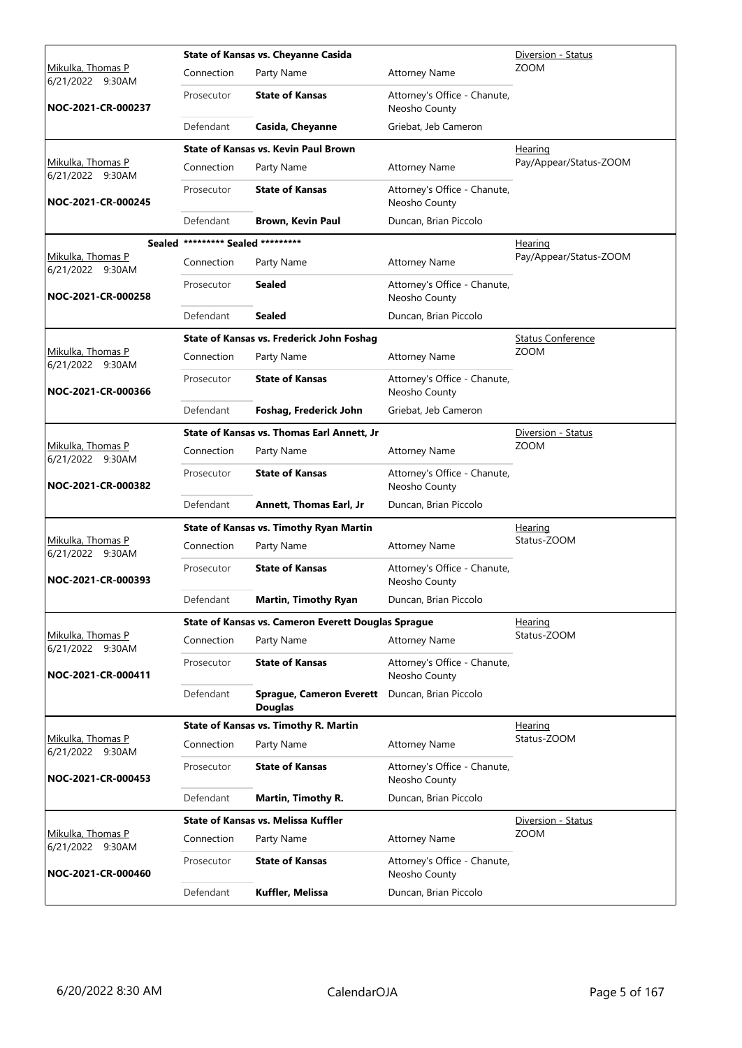|                                              |                                   | State of Kansas vs. Cheyanne Casida                              | Diversion - Status                            |                          |  |
|----------------------------------------------|-----------------------------------|------------------------------------------------------------------|-----------------------------------------------|--------------------------|--|
| <u>Mikulka, Thomas P</u><br>6/21/2022 9:30AM | Connection                        | Party Name                                                       | <b>Attorney Name</b>                          | <b>ZOOM</b>              |  |
| NOC-2021-CR-000237                           | Prosecutor                        | <b>State of Kansas</b>                                           | Attorney's Office - Chanute,<br>Neosho County |                          |  |
|                                              | Defendant                         | Casida, Cheyanne                                                 | Griebat, Jeb Cameron                          |                          |  |
|                                              |                                   | <b>State of Kansas vs. Kevin Paul Brown</b>                      |                                               | Hearing                  |  |
| Mikulka, Thomas P<br>6/21/2022 9:30AM        | Connection                        | Party Name                                                       | <b>Attorney Name</b>                          | Pay/Appear/Status-ZOOM   |  |
| NOC-2021-CR-000245                           | Prosecutor                        | <b>State of Kansas</b>                                           | Attorney's Office - Chanute,<br>Neosho County |                          |  |
|                                              | Defendant                         | <b>Brown, Kevin Paul</b>                                         | Duncan, Brian Piccolo                         |                          |  |
|                                              | Sealed ********* Sealed ********* |                                                                  |                                               | <u>Hearing</u>           |  |
| Mikulka, Thomas P<br>6/21/2022 9:30AM        | Connection                        | Party Name                                                       | <b>Attorney Name</b>                          | Pay/Appear/Status-ZOOM   |  |
| NOC-2021-CR-000258                           | Prosecutor                        | Sealed                                                           | Attorney's Office - Chanute,<br>Neosho County |                          |  |
|                                              | Defendant                         | <b>Sealed</b>                                                    | Duncan, Brian Piccolo                         |                          |  |
|                                              |                                   | State of Kansas vs. Frederick John Foshag                        |                                               | <b>Status Conference</b> |  |
| Mikulka, Thomas P<br>6/21/2022 9:30AM        | Connection                        | Party Name                                                       | <b>Attorney Name</b>                          | <b>ZOOM</b>              |  |
| NOC-2021-CR-000366                           | Prosecutor                        | <b>State of Kansas</b>                                           | Attorney's Office - Chanute,<br>Neosho County |                          |  |
|                                              | Defendant                         | Foshag, Frederick John                                           | Griebat, Jeb Cameron                          |                          |  |
|                                              |                                   | State of Kansas vs. Thomas Earl Annett, Jr                       |                                               | Diversion - Status       |  |
| Mikulka, Thomas P<br>6/21/2022 9:30AM        | Connection                        | Party Name                                                       | <b>Attorney Name</b>                          | <b>ZOOM</b>              |  |
| NOC-2021-CR-000382                           | Prosecutor                        | <b>State of Kansas</b>                                           | Attorney's Office - Chanute,<br>Neosho County |                          |  |
|                                              | Defendant                         | Annett, Thomas Earl, Jr                                          | Duncan, Brian Piccolo                         |                          |  |
|                                              |                                   | <b>State of Kansas vs. Timothy Ryan Martin</b>                   |                                               | Hearing                  |  |
| Mikulka, Thomas P<br>6/21/2022 9:30AM        | Connection                        | Party Name                                                       | <b>Attorney Name</b>                          | Status-ZOOM              |  |
| NOC-2021-CR-000393                           | Prosecutor                        | <b>State of Kansas</b>                                           | Attorney's Office - Chanute,<br>Neosho County |                          |  |
|                                              | Defendant                         | Martin, Timothy Ryan                                             | Duncan, Brian Piccolo                         |                          |  |
|                                              |                                   | State of Kansas vs. Cameron Everett Douglas Sprague              |                                               | Hearing                  |  |
| Mikulka, Thomas P<br>6/21/2022 9:30AM        | Connection                        | Party Name                                                       | <b>Attorney Name</b>                          | Status-ZOOM              |  |
| NOC-2021-CR-000411                           | Prosecutor                        | <b>State of Kansas</b>                                           | Attorney's Office - Chanute,<br>Neosho County |                          |  |
|                                              | Defendant                         | Sprague, Cameron Everett Duncan, Brian Piccolo<br><b>Douglas</b> |                                               |                          |  |
|                                              |                                   | State of Kansas vs. Timothy R. Martin                            |                                               | Hearing                  |  |
| Mikulka, Thomas P<br>6/21/2022 9:30AM        | Connection                        | Party Name                                                       | <b>Attorney Name</b>                          | Status-ZOOM              |  |
| NOC-2021-CR-000453                           | Prosecutor                        | <b>State of Kansas</b>                                           | Attorney's Office - Chanute,<br>Neosho County |                          |  |
|                                              | Defendant                         | Martin, Timothy R.                                               | Duncan, Brian Piccolo                         |                          |  |
|                                              |                                   | <b>State of Kansas vs. Melissa Kuffler</b>                       |                                               | Diversion - Status       |  |
| Mikulka, Thomas P<br>6/21/2022 9:30AM        | Connection                        | Party Name                                                       | <b>Attorney Name</b>                          | <b>ZOOM</b>              |  |
| NOC-2021-CR-000460                           | Prosecutor                        | <b>State of Kansas</b>                                           | Attorney's Office - Chanute,<br>Neosho County |                          |  |
|                                              | Defendant                         | Kuffler, Melissa                                                 | Duncan, Brian Piccolo                         |                          |  |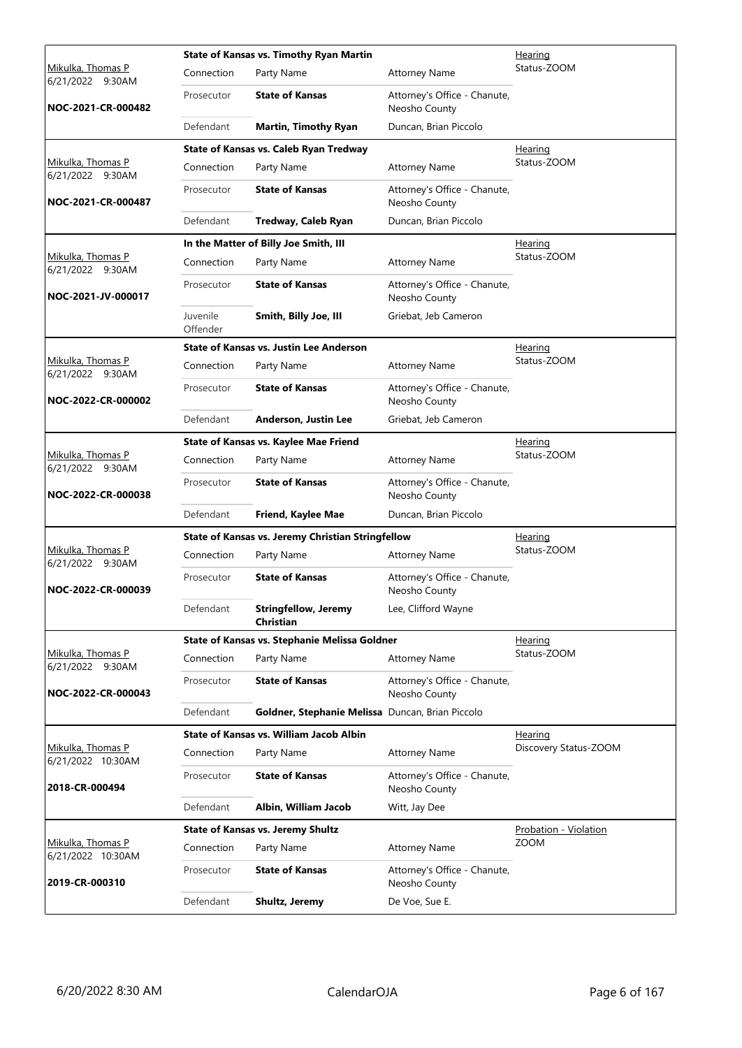|                                              |                      | <b>State of Kansas vs. Timothy Ryan Martin</b>    | Hearing                                       |                              |  |
|----------------------------------------------|----------------------|---------------------------------------------------|-----------------------------------------------|------------------------------|--|
| <u>Mikulka, Thomas P</u><br>6/21/2022 9:30AM | Connection           | Party Name                                        | <b>Attorney Name</b>                          | Status-ZOOM                  |  |
| NOC-2021-CR-000482                           | Prosecutor           | <b>State of Kansas</b>                            | Attorney's Office - Chanute,<br>Neosho County |                              |  |
|                                              | Defendant            | <b>Martin, Timothy Ryan</b>                       | Duncan, Brian Piccolo                         |                              |  |
|                                              |                      | State of Kansas vs. Caleb Ryan Tredway            |                                               | Hearing                      |  |
| Mikulka, Thomas P<br>6/21/2022 9:30AM        | Connection           | Party Name                                        | <b>Attorney Name</b>                          | Status-ZOOM                  |  |
| NOC-2021-CR-000487                           | Prosecutor           | <b>State of Kansas</b>                            | Attorney's Office - Chanute,<br>Neosho County |                              |  |
|                                              | Defendant            | Tredway, Caleb Ryan                               | Duncan, Brian Piccolo                         |                              |  |
|                                              |                      | In the Matter of Billy Joe Smith, III             |                                               | <b>Hearing</b>               |  |
| Mikulka, Thomas P<br>6/21/2022 9:30AM        | Connection           | Party Name                                        | <b>Attorney Name</b>                          | Status-ZOOM                  |  |
| NOC-2021-JV-000017                           | Prosecutor           | <b>State of Kansas</b>                            | Attorney's Office - Chanute,<br>Neosho County |                              |  |
|                                              | Juvenile<br>Offender | Smith, Billy Joe, III                             | Griebat, Jeb Cameron                          |                              |  |
|                                              |                      | <b>State of Kansas vs. Justin Lee Anderson</b>    |                                               | <u>Hearing</u>               |  |
| Mikulka, Thomas P<br>6/21/2022 9:30AM        | Connection           | Party Name                                        | <b>Attorney Name</b>                          | Status-ZOOM                  |  |
| NOC-2022-CR-000002                           | Prosecutor           | <b>State of Kansas</b>                            | Attorney's Office - Chanute,<br>Neosho County |                              |  |
|                                              | Defendant            | Anderson, Justin Lee                              | Griebat, Jeb Cameron                          |                              |  |
|                                              |                      | State of Kansas vs. Kaylee Mae Friend             |                                               | <b>Hearing</b>               |  |
| Mikulka, Thomas P<br>6/21/2022 9:30AM        | Connection           | Party Name                                        | <b>Attorney Name</b>                          | Status-ZOOM                  |  |
| NOC-2022-CR-000038                           | Prosecutor           | <b>State of Kansas</b>                            | Attorney's Office - Chanute,<br>Neosho County |                              |  |
|                                              | Defendant            | Friend, Kaylee Mae                                | Duncan, Brian Piccolo                         |                              |  |
|                                              |                      | State of Kansas vs. Jeremy Christian Stringfellow | Hearing                                       |                              |  |
| Mikulka, Thomas P<br>6/21/2022 9:30AM        | Connection           | Party Name                                        | <b>Attorney Name</b>                          | Status-ZOOM                  |  |
| NOC-2022-CR-000039                           | Prosecutor           | <b>State of Kansas</b>                            | Attorney's Office - Chanute,<br>Neosho County |                              |  |
|                                              | Defendant            | <b>Stringfellow, Jeremy</b><br>Christian          | Lee, Clifford Wayne                           |                              |  |
|                                              |                      | State of Kansas vs. Stephanie Melissa Goldner     |                                               | Hearing                      |  |
| Mikulka, Thomas P<br>6/21/2022 9:30AM        | Connection           | Party Name                                        | <b>Attorney Name</b>                          | Status-ZOOM                  |  |
| NOC-2022-CR-000043                           | Prosecutor           | <b>State of Kansas</b>                            | Attorney's Office - Chanute,<br>Neosho County |                              |  |
|                                              | Defendant            | Goldner, Stephanie Melissa Duncan, Brian Piccolo  |                                               |                              |  |
|                                              |                      | State of Kansas vs. William Jacob Albin           |                                               | Hearing                      |  |
| Mikulka, Thomas P<br>6/21/2022 10:30AM       | Connection           | Party Name                                        | <b>Attorney Name</b>                          | Discovery Status-ZOOM        |  |
| 2018-CR-000494                               | Prosecutor           | <b>State of Kansas</b>                            | Attorney's Office - Chanute,<br>Neosho County |                              |  |
|                                              | Defendant            | Albin, William Jacob                              | Witt, Jay Dee                                 |                              |  |
|                                              |                      | <b>State of Kansas vs. Jeremy Shultz</b>          |                                               | <b>Probation - Violation</b> |  |
| Mikulka, Thomas P<br>6/21/2022 10:30AM       | Connection           | Party Name                                        | <b>Attorney Name</b>                          | <b>ZOOM</b>                  |  |
| 2019-CR-000310                               | Prosecutor           | <b>State of Kansas</b>                            | Attorney's Office - Chanute,<br>Neosho County |                              |  |
|                                              | Defendant            | Shultz, Jeremy                                    | De Voe, Sue E.                                |                              |  |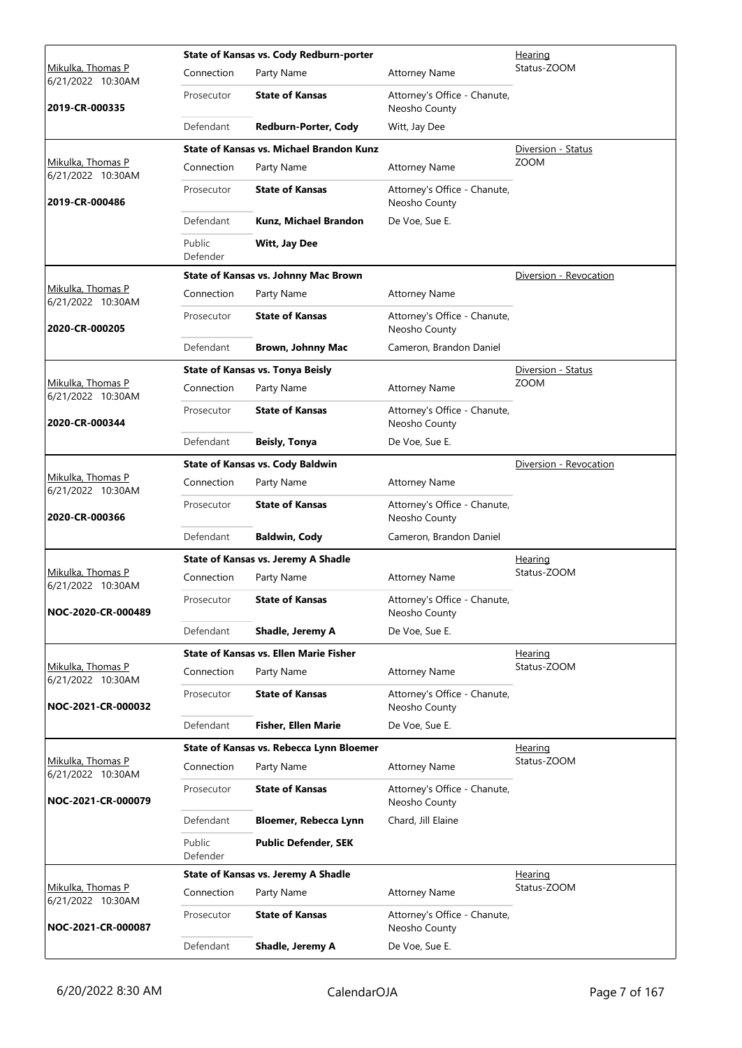|                                        | State of Kansas vs. Cody Redburn-porter<br>Hearing |                                                 |                                               |                        |
|----------------------------------------|----------------------------------------------------|-------------------------------------------------|-----------------------------------------------|------------------------|
| Mikulka, Thomas P<br>6/21/2022 10:30AM | Connection                                         | Party Name                                      | <b>Attorney Name</b>                          | Status-ZOOM            |
| 2019-CR-000335                         | Prosecutor                                         | <b>State of Kansas</b>                          | Attorney's Office - Chanute,<br>Neosho County |                        |
|                                        | Defendant                                          | Redburn-Porter, Cody                            | Witt, Jay Dee                                 |                        |
|                                        |                                                    | <b>State of Kansas vs. Michael Brandon Kunz</b> |                                               | Diversion - Status     |
| Mikulka, Thomas P<br>6/21/2022 10:30AM | Connection                                         | Party Name                                      | <b>Attorney Name</b>                          | <b>ZOOM</b>            |
| 2019-CR-000486                         | Prosecutor                                         | <b>State of Kansas</b>                          | Attorney's Office - Chanute,<br>Neosho County |                        |
|                                        | Defendant                                          | Kunz, Michael Brandon                           | De Voe, Sue E.                                |                        |
|                                        | Public<br>Defender                                 | <b>Witt, Jay Dee</b>                            |                                               |                        |
|                                        |                                                    | State of Kansas vs. Johnny Mac Brown            |                                               | Diversion - Revocation |
| Mikulka, Thomas P<br>6/21/2022 10:30AM | Connection                                         | Party Name                                      | <b>Attorney Name</b>                          |                        |
| 2020-CR-000205                         | Prosecutor                                         | <b>State of Kansas</b>                          | Attorney's Office - Chanute,<br>Neosho County |                        |
|                                        | Defendant                                          | <b>Brown, Johnny Mac</b>                        | Cameron, Brandon Daniel                       |                        |
|                                        |                                                    | <b>State of Kansas vs. Tonya Beisly</b>         |                                               | Diversion - Status     |
| Mikulka, Thomas P<br>6/21/2022 10:30AM | Connection                                         | Party Name                                      | <b>Attorney Name</b>                          | <b>ZOOM</b>            |
| 2020-CR-000344                         | Prosecutor                                         | <b>State of Kansas</b>                          | Attorney's Office - Chanute,<br>Neosho County |                        |
|                                        | Defendant                                          | Beisly, Tonya                                   | De Voe, Sue E.                                |                        |
|                                        |                                                    | <b>State of Kansas vs. Cody Baldwin</b>         |                                               | Diversion - Revocation |
| Mikulka, Thomas P<br>6/21/2022 10:30AM | Connection                                         | Party Name                                      | <b>Attorney Name</b>                          |                        |
| 2020-CR-000366                         | Prosecutor                                         | <b>State of Kansas</b>                          | Attorney's Office - Chanute,<br>Neosho County |                        |
|                                        | Defendant                                          | <b>Baldwin, Cody</b>                            | Cameron, Brandon Daniel                       |                        |
|                                        |                                                    | <b>State of Kansas vs. Jeremy A Shadle</b>      |                                               | Hearing                |
| Mikulka, Thomas P<br>6/21/2022 10:30AM | Connection                                         | Party Name                                      | <b>Attorney Name</b>                          | Status-ZOOM            |
| NOC-2020-CR-000489                     | Prosecutor                                         | <b>State of Kansas</b>                          | Attorney's Office - Chanute,<br>Neosho County |                        |
|                                        | Defendant                                          | Shadle, Jeremy A                                | De Voe, Sue E.                                |                        |
|                                        |                                                    | <b>State of Kansas vs. Ellen Marie Fisher</b>   |                                               | <u>Hearing</u>         |
| Mikulka, Thomas P<br>6/21/2022 10:30AM | Connection                                         | Party Name                                      | <b>Attorney Name</b>                          | Status-ZOOM            |
| NOC-2021-CR-000032                     | Prosecutor                                         | <b>State of Kansas</b>                          | Attorney's Office - Chanute,<br>Neosho County |                        |
|                                        | Defendant                                          | <b>Fisher, Ellen Marie</b>                      | De Voe, Sue E.                                |                        |
|                                        |                                                    | State of Kansas vs. Rebecca Lynn Bloemer        |                                               | Hearing                |
| Mikulka, Thomas P<br>6/21/2022 10:30AM | Connection                                         | Party Name                                      | <b>Attorney Name</b>                          | Status-ZOOM            |
| NOC-2021-CR-000079                     | Prosecutor                                         | <b>State of Kansas</b>                          | Attorney's Office - Chanute,<br>Neosho County |                        |
|                                        | Defendant                                          | Bloemer, Rebecca Lynn                           | Chard, Jill Elaine                            |                        |
|                                        | Public<br>Defender                                 | <b>Public Defender, SEK</b>                     |                                               |                        |
|                                        |                                                    | <b>State of Kansas vs. Jeremy A Shadle</b>      |                                               | Hearing                |
| Mikulka, Thomas P<br>6/21/2022 10:30AM | Connection                                         | Party Name                                      | <b>Attorney Name</b>                          | Status-ZOOM            |
| NOC-2021-CR-000087                     | Prosecutor                                         | <b>State of Kansas</b>                          | Attorney's Office - Chanute,<br>Neosho County |                        |
|                                        | Defendant                                          | Shadle, Jeremy A                                | De Voe, Sue E.                                |                        |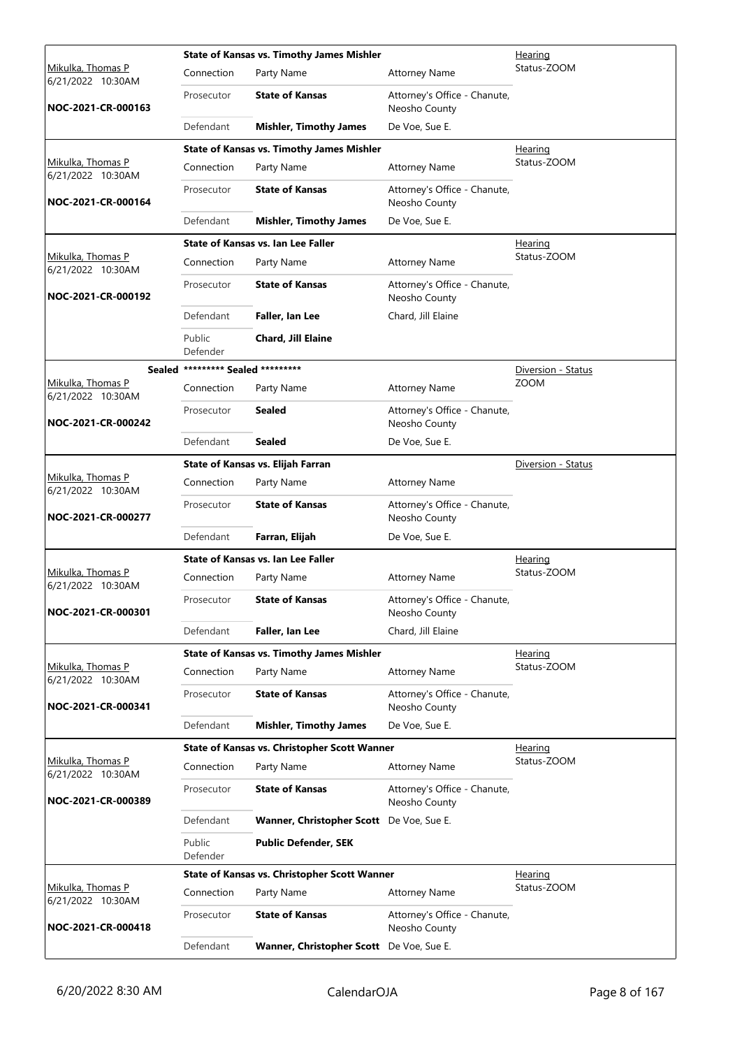|                                         |                                        | <b>State of Kansas vs. Timothy James Mishler</b>    | <u>Hearing</u>                                |                                   |  |
|-----------------------------------------|----------------------------------------|-----------------------------------------------------|-----------------------------------------------|-----------------------------------|--|
| Mikulka, Thomas P<br>6/21/2022 10:30AM  | Connection                             | Party Name                                          | <b>Attorney Name</b>                          | Status-ZOOM                       |  |
| NOC-2021-CR-000163                      | Prosecutor                             | <b>State of Kansas</b>                              | Attorney's Office - Chanute,<br>Neosho County |                                   |  |
|                                         | Defendant                              | <b>Mishler, Timothy James</b>                       | De Voe, Sue E.                                |                                   |  |
|                                         |                                        | <b>State of Kansas vs. Timothy James Mishler</b>    |                                               | Hearing                           |  |
| Mikulka, Thomas P<br>6/21/2022 10:30AM  | Connection                             | Party Name                                          | <b>Attorney Name</b>                          | Status-ZOOM                       |  |
| NOC-2021-CR-000164                      | Prosecutor                             | <b>State of Kansas</b>                              | Attorney's Office - Chanute,<br>Neosho County |                                   |  |
|                                         | Defendant                              | <b>Mishler, Timothy James</b>                       | De Voe, Sue E.                                |                                   |  |
|                                         |                                        | <b>State of Kansas vs. Ian Lee Faller</b>           |                                               | <b>Hearing</b>                    |  |
| Mikulka, Thomas P<br>6/21/2022 10:30AM  | Connection                             | Party Name                                          | <b>Attorney Name</b>                          | Status-ZOOM                       |  |
| NOC-2021-CR-000192                      | Prosecutor                             | <b>State of Kansas</b>                              | Attorney's Office - Chanute,<br>Neosho County |                                   |  |
|                                         | Defendant                              | Faller, Ian Lee                                     | Chard, Jill Elaine                            |                                   |  |
|                                         | Public                                 | Chard, Jill Elaine                                  |                                               |                                   |  |
| Sealed                                  | Defender<br>********* Sealed ********* |                                                     |                                               |                                   |  |
| Mikulka, Thomas P                       | Connection                             | Party Name                                          | <b>Attorney Name</b>                          | Diversion - Status<br><b>ZOOM</b> |  |
| 6/21/2022 10:30AM<br>NOC-2021-CR-000242 | Prosecutor                             | <b>Sealed</b>                                       | Attorney's Office - Chanute,<br>Neosho County |                                   |  |
|                                         | Defendant                              | <b>Sealed</b>                                       | De Voe, Sue E.                                |                                   |  |
|                                         |                                        | State of Kansas vs. Elijah Farran                   |                                               | Diversion - Status                |  |
| Mikulka, Thomas P                       | Connection                             | Party Name                                          | <b>Attorney Name</b>                          |                                   |  |
| 6/21/2022 10:30AM<br>NOC-2021-CR-000277 | Prosecutor                             | <b>State of Kansas</b>                              | Attorney's Office - Chanute,<br>Neosho County |                                   |  |
|                                         | Defendant                              | Farran, Elijah                                      | De Voe, Sue E.                                |                                   |  |
|                                         |                                        | State of Kansas vs. Ian Lee Faller                  |                                               | <b>Hearing</b>                    |  |
| Mikulka, Thomas P<br>6/21/2022 10:30AM  | Connection                             | Party Name                                          | <b>Attorney Name</b>                          | Status-ZOOM                       |  |
| NOC-2021-CR-000301                      | Prosecutor                             | <b>State of Kansas</b>                              | Attorney's Office - Chanute,<br>Neosho County |                                   |  |
|                                         | Defendant                              | Faller, Ian Lee                                     | Chard, Jill Elaine                            |                                   |  |
|                                         |                                        | <b>State of Kansas vs. Timothy James Mishler</b>    |                                               | Hearing                           |  |
| Mikulka, Thomas P<br>6/21/2022 10:30AM  | Connection                             | Party Name                                          | <b>Attorney Name</b>                          | Status-ZOOM                       |  |
| NOC-2021-CR-000341                      | Prosecutor                             | <b>State of Kansas</b>                              | Attorney's Office - Chanute,<br>Neosho County |                                   |  |
|                                         | Defendant                              | <b>Mishler, Timothy James</b>                       | De Voe, Sue E.                                |                                   |  |
|                                         |                                        | State of Kansas vs. Christopher Scott Wanner        |                                               | <b>Hearing</b>                    |  |
| Mikulka, Thomas P<br>6/21/2022 10:30AM  | Connection                             | Party Name                                          | <b>Attorney Name</b>                          | Status-ZOOM                       |  |
| NOC-2021-CR-000389                      | Prosecutor                             | <b>State of Kansas</b>                              | Attorney's Office - Chanute,<br>Neosho County |                                   |  |
|                                         | Defendant                              | Wanner, Christopher Scott De Voe, Sue E.            |                                               |                                   |  |
|                                         | Public<br>Defender                     | <b>Public Defender, SEK</b>                         |                                               |                                   |  |
|                                         |                                        | <b>State of Kansas vs. Christopher Scott Wanner</b> |                                               | Hearing                           |  |
| Mikulka, Thomas P<br>6/21/2022 10:30AM  | Connection                             | Party Name                                          | <b>Attorney Name</b>                          | Status-ZOOM                       |  |
| NOC-2021-CR-000418                      | Prosecutor                             | <b>State of Kansas</b>                              | Attorney's Office - Chanute,<br>Neosho County |                                   |  |
|                                         | Defendant                              | Wanner, Christopher Scott De Voe, Sue E.            |                                               |                                   |  |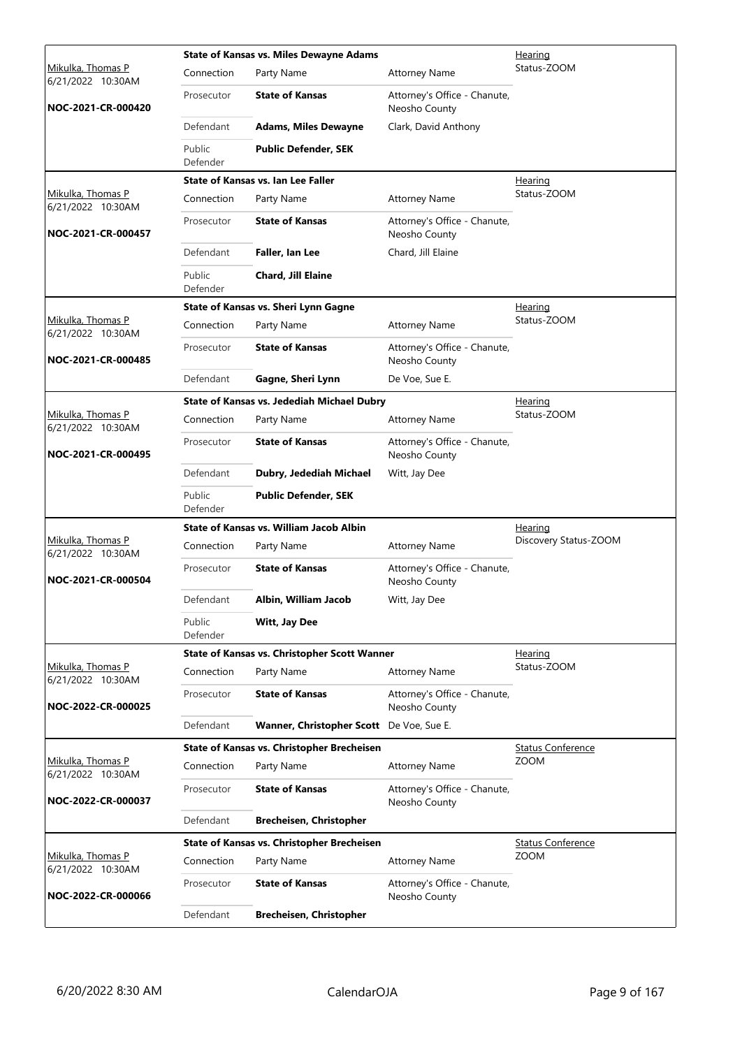|                                        |                    | <b>State of Kansas vs. Miles Dewayne Adams</b>    |                                               | Hearing                  |
|----------------------------------------|--------------------|---------------------------------------------------|-----------------------------------------------|--------------------------|
| Mikulka, Thomas P<br>6/21/2022 10:30AM | Connection         | Party Name                                        | <b>Attorney Name</b>                          | Status-ZOOM              |
| NOC-2021-CR-000420                     | Prosecutor         | <b>State of Kansas</b>                            | Attorney's Office - Chanute,<br>Neosho County |                          |
|                                        | Defendant          | <b>Adams, Miles Dewayne</b>                       | Clark, David Anthony                          |                          |
|                                        | Public<br>Defender | <b>Public Defender, SEK</b>                       |                                               |                          |
|                                        |                    | State of Kansas vs. Ian Lee Faller                |                                               | Hearing                  |
| Mikulka, Thomas P<br>6/21/2022 10:30AM | Connection         | Party Name                                        | <b>Attorney Name</b>                          | Status-ZOOM              |
| NOC-2021-CR-000457                     | Prosecutor         | <b>State of Kansas</b>                            | Attorney's Office - Chanute,<br>Neosho County |                          |
|                                        | Defendant          | Faller, Ian Lee                                   | Chard, Jill Elaine                            |                          |
|                                        | Public<br>Defender | <b>Chard, Jill Elaine</b>                         |                                               |                          |
|                                        |                    | State of Kansas vs. Sheri Lynn Gagne              |                                               | Hearing                  |
| Mikulka, Thomas P<br>6/21/2022 10:30AM | Connection         | Party Name                                        | <b>Attorney Name</b>                          | Status-ZOOM              |
| NOC-2021-CR-000485                     | Prosecutor         | <b>State of Kansas</b>                            | Attorney's Office - Chanute,<br>Neosho County |                          |
|                                        | Defendant          | Gagne, Sheri Lynn                                 | De Voe, Sue E.                                |                          |
|                                        |                    | State of Kansas vs. Jedediah Michael Dubry        |                                               | <b>Hearing</b>           |
| Mikulka, Thomas P<br>6/21/2022 10:30AM | Connection         | Party Name                                        | <b>Attorney Name</b>                          | Status-ZOOM              |
| NOC-2021-CR-000495                     | Prosecutor         | <b>State of Kansas</b>                            | Attorney's Office - Chanute,<br>Neosho County |                          |
|                                        | Defendant          | Dubry, Jedediah Michael                           | Witt, Jay Dee                                 |                          |
|                                        | Public<br>Defender | <b>Public Defender, SEK</b>                       |                                               |                          |
|                                        |                    | State of Kansas vs. William Jacob Albin           |                                               | <b>Hearing</b>           |
| Mikulka, Thomas P<br>6/21/2022 10:30AM | Connection         | Party Name                                        | <b>Attorney Name</b>                          | Discovery Status-ZOOM    |
| NOC-2021-CR-000504                     | Prosecutor         | <b>State of Kansas</b>                            | Attorney's Office - Chanute,<br>Neosho County |                          |
|                                        | Defendant          | Albin, William Jacob                              | Witt, Jay Dee                                 |                          |
|                                        | Public<br>Defender | Witt, Jay Dee                                     |                                               |                          |
|                                        |                    | State of Kansas vs. Christopher Scott Wanner      |                                               | Hearing                  |
| Mikulka, Thomas P<br>6/21/2022 10:30AM | Connection         | Party Name                                        | <b>Attorney Name</b>                          | Status-ZOOM              |
| NOC-2022-CR-000025                     | Prosecutor         | <b>State of Kansas</b>                            | Attorney's Office - Chanute,<br>Neosho County |                          |
|                                        | Defendant          | Wanner, Christopher Scott De Voe, Sue E.          |                                               |                          |
|                                        |                    | <b>State of Kansas vs. Christopher Brecheisen</b> |                                               | <b>Status Conference</b> |
| Mikulka, Thomas P<br>6/21/2022 10:30AM | Connection         | Party Name                                        | Attorney Name                                 | <b>ZOOM</b>              |
| NOC-2022-CR-000037                     | Prosecutor         | <b>State of Kansas</b>                            | Attorney's Office - Chanute,<br>Neosho County |                          |
|                                        | Defendant          | <b>Brecheisen, Christopher</b>                    |                                               |                          |
|                                        |                    | State of Kansas vs. Christopher Brecheisen        |                                               | <b>Status Conference</b> |
| Mikulka, Thomas P<br>6/21/2022 10:30AM | Connection         | Party Name                                        | <b>Attorney Name</b>                          | ZOOM                     |
|                                        |                    |                                                   |                                               |                          |
| NOC-2022-CR-000066                     | Prosecutor         | <b>State of Kansas</b>                            | Attorney's Office - Chanute,<br>Neosho County |                          |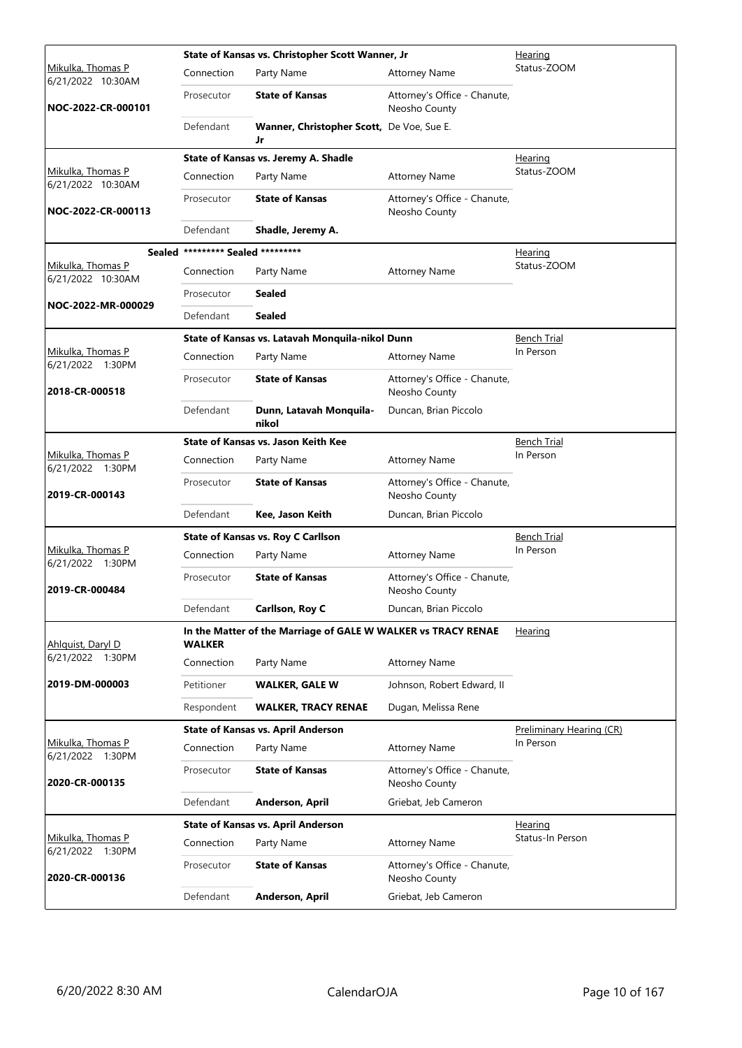|                                               |                                   | State of Kansas vs. Christopher Scott Wanner, Jr              | <u>Hearing</u>                                |                          |  |
|-----------------------------------------------|-----------------------------------|---------------------------------------------------------------|-----------------------------------------------|--------------------------|--|
| Mikulka, Thomas P<br>6/21/2022 10:30AM        | Connection                        | Party Name                                                    | <b>Attorney Name</b>                          | Status-ZOOM              |  |
| NOC-2022-CR-000101                            | Prosecutor                        | <b>State of Kansas</b>                                        | Attorney's Office - Chanute,<br>Neosho County |                          |  |
|                                               | Defendant                         | Wanner, Christopher Scott, De Voe, Sue E.<br>Jr               |                                               |                          |  |
|                                               |                                   | State of Kansas vs. Jeremy A. Shadle                          |                                               | <u>Hearing</u>           |  |
| Mikulka, Thomas P<br>6/21/2022 10:30AM        | Connection                        | Party Name                                                    | <b>Attorney Name</b>                          | Status-ZOOM              |  |
| NOC-2022-CR-000113                            | Prosecutor                        | <b>State of Kansas</b>                                        | Attorney's Office - Chanute,<br>Neosho County |                          |  |
|                                               | Defendant                         | Shadle, Jeremy A.                                             |                                               |                          |  |
|                                               | Sealed ********* Sealed ********* |                                                               |                                               | <u>Hearing</u>           |  |
| <u>Mikulka, Thomas P</u><br>6/21/2022 10:30AM | Connection                        | Party Name                                                    | <b>Attorney Name</b>                          | Status-ZOOM              |  |
|                                               | Prosecutor                        | Sealed                                                        |                                               |                          |  |
| NOC-2022-MR-000029                            | Defendant                         | Sealed                                                        |                                               |                          |  |
|                                               |                                   | State of Kansas vs. Latavah Monquila-nikol Dunn               |                                               | <b>Bench Trial</b>       |  |
| Mikulka, Thomas P<br>6/21/2022 1:30PM         | Connection                        | Party Name                                                    | <b>Attorney Name</b>                          | In Person                |  |
| 2018-CR-000518                                | Prosecutor                        | <b>State of Kansas</b>                                        | Attorney's Office - Chanute,<br>Neosho County |                          |  |
|                                               | Defendant                         | Dunn, Latavah Monquila-<br>nikol                              | Duncan, Brian Piccolo                         |                          |  |
|                                               |                                   | State of Kansas vs. Jason Keith Kee                           |                                               | <b>Bench Trial</b>       |  |
| Mikulka, Thomas P<br>6/21/2022 1:30PM         | Connection                        | Party Name                                                    | <b>Attorney Name</b>                          | In Person                |  |
| 2019-CR-000143                                | Prosecutor                        | <b>State of Kansas</b>                                        | Attorney's Office - Chanute,<br>Neosho County |                          |  |
|                                               | Defendant                         | Kee, Jason Keith                                              | Duncan, Brian Piccolo                         |                          |  |
|                                               |                                   | <b>State of Kansas vs. Roy C Carllson</b>                     |                                               | <b>Bench Trial</b>       |  |
| Mikulka, Thomas P<br>6/21/2022 1:30PM         | Connection                        | Party Name                                                    | <b>Attorney Name</b>                          | In Person                |  |
| 2019-CR-000484                                | Prosecutor                        | <b>State of Kansas</b>                                        | Attorney's Office - Chanute,<br>Neosho County |                          |  |
|                                               | Defendant                         | Carllson, Roy C                                               | Duncan, Brian Piccolo                         |                          |  |
| Ahlquist, Daryl D                             | <b>WALKER</b>                     | In the Matter of the Marriage of GALE W WALKER vs TRACY RENAE |                                               | Hearing                  |  |
| 6/21/2022 1:30PM                              | Connection                        | Party Name                                                    | <b>Attorney Name</b>                          |                          |  |
| 2019-DM-000003                                | Petitioner                        | <b>WALKER, GALE W</b>                                         | Johnson, Robert Edward, II                    |                          |  |
|                                               | Respondent                        | <b>WALKER, TRACY RENAE</b>                                    | Dugan, Melissa Rene                           |                          |  |
|                                               |                                   | <b>State of Kansas vs. April Anderson</b>                     |                                               | Preliminary Hearing (CR) |  |
| Mikulka, Thomas P<br>6/21/2022 1:30PM         | Connection                        | Party Name                                                    | <b>Attorney Name</b>                          | In Person                |  |
| 2020-CR-000135                                | Prosecutor                        | <b>State of Kansas</b>                                        | Attorney's Office - Chanute,<br>Neosho County |                          |  |
|                                               | Defendant                         | Anderson, April                                               | Griebat, Jeb Cameron                          |                          |  |
|                                               |                                   | <b>State of Kansas vs. April Anderson</b>                     |                                               | <u>Hearing</u>           |  |
| Mikulka, Thomas P<br>6/21/2022 1:30PM         | Connection                        | Party Name                                                    | <b>Attorney Name</b>                          | Status-In Person         |  |
| 2020-CR-000136                                | Prosecutor                        | <b>State of Kansas</b>                                        | Attorney's Office - Chanute,<br>Neosho County |                          |  |
|                                               | Defendant                         | <b>Anderson, April</b>                                        | Griebat, Jeb Cameron                          |                          |  |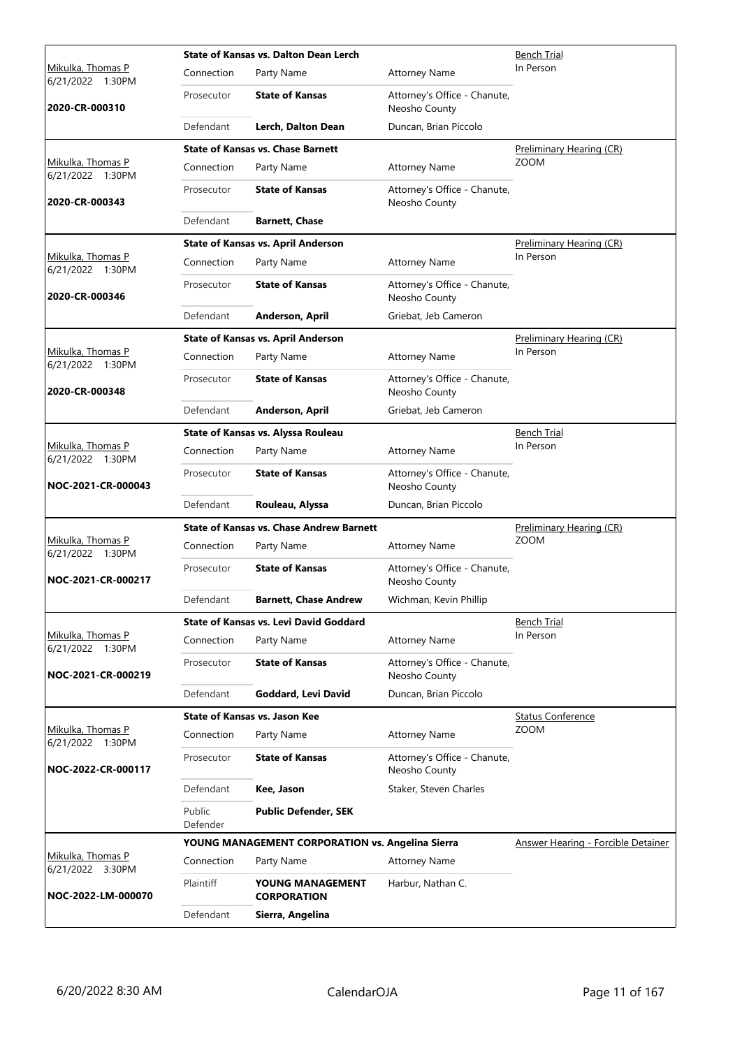|                                              | <b>State of Kansas vs. Dalton Dean Lerch</b> |                                                  |                                               | Bench Trial                        |
|----------------------------------------------|----------------------------------------------|--------------------------------------------------|-----------------------------------------------|------------------------------------|
| <u>Mikulka, Thomas P</u><br>6/21/2022 1:30PM | Connection                                   | Party Name                                       | <b>Attorney Name</b>                          | In Person                          |
| 2020-CR-000310                               | Prosecutor                                   | <b>State of Kansas</b>                           | Attorney's Office - Chanute,<br>Neosho County |                                    |
|                                              | Defendant                                    | Lerch, Dalton Dean                               | Duncan, Brian Piccolo                         |                                    |
|                                              |                                              | <b>State of Kansas vs. Chase Barnett</b>         |                                               | Preliminary Hearing (CR)           |
| Mikulka, Thomas P<br>6/21/2022 1:30PM        | Connection                                   | Party Name                                       | <b>Attorney Name</b>                          | <b>ZOOM</b>                        |
| 2020-CR-000343                               | Prosecutor                                   | <b>State of Kansas</b>                           | Attorney's Office - Chanute,<br>Neosho County |                                    |
|                                              | Defendant                                    | <b>Barnett, Chase</b>                            |                                               |                                    |
|                                              |                                              | <b>State of Kansas vs. April Anderson</b>        |                                               | Preliminary Hearing (CR)           |
| Mikulka, Thomas P<br>6/21/2022 1:30PM        | Connection                                   | Party Name                                       | <b>Attorney Name</b>                          | In Person                          |
| 2020-CR-000346                               | Prosecutor                                   | <b>State of Kansas</b>                           | Attorney's Office - Chanute,<br>Neosho County |                                    |
|                                              | Defendant                                    | Anderson, April                                  | Griebat, Jeb Cameron                          |                                    |
|                                              |                                              | <b>State of Kansas vs. April Anderson</b>        |                                               | Preliminary Hearing (CR)           |
| Mikulka, Thomas P<br>6/21/2022 1:30PM        | Connection                                   | Party Name                                       | <b>Attorney Name</b>                          | In Person                          |
| 2020-CR-000348                               | Prosecutor                                   | <b>State of Kansas</b>                           | Attorney's Office - Chanute,<br>Neosho County |                                    |
|                                              | Defendant                                    | Anderson, April                                  | Griebat, Jeb Cameron                          |                                    |
|                                              |                                              | State of Kansas vs. Alyssa Rouleau               |                                               | <b>Bench Trial</b>                 |
| Mikulka, Thomas P<br>6/21/2022 1:30PM        | Connection                                   | Party Name                                       | <b>Attorney Name</b>                          | In Person                          |
| NOC-2021-CR-000043                           | Prosecutor                                   | <b>State of Kansas</b>                           | Attorney's Office - Chanute,<br>Neosho County |                                    |
|                                              | Defendant                                    | Rouleau, Alyssa                                  | Duncan, Brian Piccolo                         |                                    |
|                                              |                                              | <b>State of Kansas vs. Chase Andrew Barnett</b>  |                                               | Preliminary Hearing (CR)           |
| Mikulka, Thomas P<br>6/21/2022 1:30PM        | Connection                                   | Party Name                                       | <b>Attorney Name</b>                          | <b>ZOOM</b>                        |
| NOC-2021-CR-000217                           | Prosecutor                                   | <b>State of Kansas</b>                           | Attorney's Office - Chanute,<br>Neosho County |                                    |
|                                              | Defendant                                    | <b>Barnett, Chase Andrew</b>                     | Wichman, Kevin Phillip                        |                                    |
|                                              |                                              | <b>State of Kansas vs. Levi David Goddard</b>    |                                               | Bench Trial                        |
| Mikulka, Thomas P<br>6/21/2022 1:30PM        | Connection                                   | Party Name                                       | <b>Attorney Name</b>                          | In Person                          |
| NOC-2021-CR-000219                           |                                              |                                                  |                                               |                                    |
|                                              | Prosecutor                                   | <b>State of Kansas</b>                           | Attorney's Office - Chanute,<br>Neosho County |                                    |
|                                              | Defendant                                    | Goddard, Levi David                              | Duncan, Brian Piccolo                         |                                    |
|                                              |                                              | <b>State of Kansas vs. Jason Kee</b>             |                                               | <b>Status Conference</b>           |
| Mikulka, Thomas P                            | Connection                                   | Party Name                                       | <b>Attorney Name</b>                          | <b>ZOOM</b>                        |
| 6/21/2022 1:30PM<br>NOC-2022-CR-000117       | Prosecutor                                   | <b>State of Kansas</b>                           | Attorney's Office - Chanute,<br>Neosho County |                                    |
|                                              | Defendant                                    | Kee, Jason                                       | Staker, Steven Charles                        |                                    |
|                                              | Public<br>Defender                           | <b>Public Defender, SEK</b>                      |                                               |                                    |
|                                              |                                              | YOUNG MANAGEMENT CORPORATION vs. Angelina Sierra |                                               | Answer Hearing - Forcible Detainer |
| Mikulka, Thomas P                            | Connection                                   | Party Name                                       | <b>Attorney Name</b>                          |                                    |
| 6/21/2022 3:30PM<br>NOC-2022-LM-000070       | Plaintiff                                    | YOUNG MANAGEMENT<br><b>CORPORATION</b>           | Harbur, Nathan C.                             |                                    |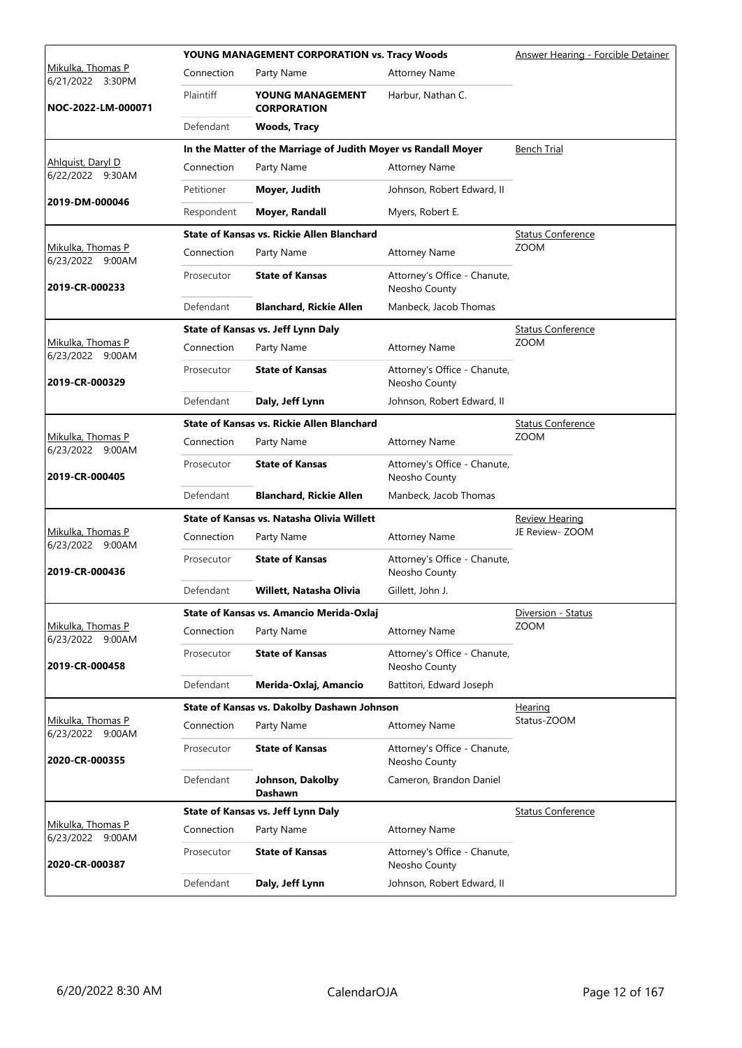|                                                 |            | YOUNG MANAGEMENT CORPORATION vs. Tracy Woods                   |                                               | Answer Hearing - Forcible Detainer |
|-------------------------------------------------|------------|----------------------------------------------------------------|-----------------------------------------------|------------------------------------|
| <u>Mikulka, Thomas P</u><br>6/21/2022<br>3:30PM | Connection | Party Name                                                     | <b>Attorney Name</b>                          |                                    |
| NOC-2022-LM-000071                              | Plaintiff  | YOUNG MANAGEMENT<br><b>CORPORATION</b>                         | Harbur, Nathan C.                             |                                    |
|                                                 | Defendant  | Woods, Tracy                                                   |                                               |                                    |
|                                                 |            | In the Matter of the Marriage of Judith Moyer vs Randall Moyer |                                               | <b>Bench Trial</b>                 |
| Ahlquist, Daryl D<br>6/22/2022 9:30AM           | Connection | Party Name                                                     | <b>Attorney Name</b>                          |                                    |
|                                                 | Petitioner | Moyer, Judith                                                  | Johnson, Robert Edward, II                    |                                    |
| 2019-DM-000046                                  | Respondent | Moyer, Randall                                                 | Myers, Robert E.                              |                                    |
|                                                 |            | <b>State of Kansas vs. Rickie Allen Blanchard</b>              |                                               | <b>Status Conference</b>           |
| Mikulka, Thomas P<br>6/23/2022 9:00AM           | Connection | Party Name                                                     | <b>Attorney Name</b>                          | <b>ZOOM</b>                        |
| 2019-CR-000233                                  | Prosecutor | <b>State of Kansas</b>                                         | Attorney's Office - Chanute,<br>Neosho County |                                    |
|                                                 | Defendant  | <b>Blanchard, Rickie Allen</b>                                 | Manbeck, Jacob Thomas                         |                                    |
|                                                 |            | State of Kansas vs. Jeff Lynn Daly                             |                                               | <b>Status Conference</b>           |
| Mikulka, Thomas P<br>6/23/2022 9:00AM           | Connection | Party Name                                                     | <b>Attorney Name</b>                          | ZOOM                               |
| 2019-CR-000329                                  | Prosecutor | <b>State of Kansas</b>                                         | Attorney's Office - Chanute,<br>Neosho County |                                    |
|                                                 | Defendant  | Daly, Jeff Lynn                                                | Johnson, Robert Edward, II                    |                                    |
|                                                 |            | <b>State of Kansas vs. Rickie Allen Blanchard</b>              |                                               | <b>Status Conference</b>           |
| Mikulka, Thomas P<br>6/23/2022 9:00AM           | Connection | Party Name                                                     | <b>Attorney Name</b>                          | <b>ZOOM</b>                        |
| 2019-CR-000405                                  | Prosecutor | <b>State of Kansas</b>                                         | Attorney's Office - Chanute,<br>Neosho County |                                    |
|                                                 | Defendant  | <b>Blanchard, Rickie Allen</b>                                 | Manbeck, Jacob Thomas                         |                                    |
|                                                 |            | State of Kansas vs. Natasha Olivia Willett                     |                                               | <b>Review Hearing</b>              |
| Mikulka, Thomas P<br>6/23/2022 9:00AM           | Connection | Party Name                                                     | <b>Attorney Name</b>                          | JE Review- ZOOM                    |
| 2019-CR-000436                                  | Prosecutor | <b>State of Kansas</b>                                         | Attorney's Office - Chanute,<br>Neosho County |                                    |
|                                                 | Defendant  | Willett, Natasha Olivia                                        | Gillett, John J.                              |                                    |
|                                                 |            | State of Kansas vs. Amancio Merida-Oxlaj                       |                                               | Diversion - Status                 |
| Mikulka, Thomas P<br>6/23/2022 9:00AM           | Connection | Party Name                                                     | <b>Attorney Name</b>                          | <b>ZOOM</b>                        |
| 2019-CR-000458                                  | Prosecutor | <b>State of Kansas</b>                                         | Attorney's Office - Chanute,<br>Neosho County |                                    |
|                                                 | Defendant  | Merida-Oxlaj, Amancio                                          | Battitori, Edward Joseph                      |                                    |
|                                                 |            | State of Kansas vs. Dakolby Dashawn Johnson                    |                                               | Hearing                            |
| Mikulka, Thomas P<br>6/23/2022 9:00AM           | Connection | Party Name                                                     | <b>Attorney Name</b>                          | Status-ZOOM                        |
| 2020-CR-000355                                  | Prosecutor | <b>State of Kansas</b>                                         | Attorney's Office - Chanute,<br>Neosho County |                                    |
|                                                 | Defendant  | Johnson, Dakolby<br><b>Dashawn</b>                             | Cameron, Brandon Daniel                       |                                    |
|                                                 |            | State of Kansas vs. Jeff Lynn Daly                             |                                               | <b>Status Conference</b>           |
| Mikulka, Thomas P<br>6/23/2022 9:00AM           | Connection | Party Name                                                     | <b>Attorney Name</b>                          |                                    |
| 2020-CR-000387                                  | Prosecutor | <b>State of Kansas</b>                                         | Attorney's Office - Chanute,<br>Neosho County |                                    |
|                                                 | Defendant  | Daly, Jeff Lynn                                                | Johnson, Robert Edward, II                    |                                    |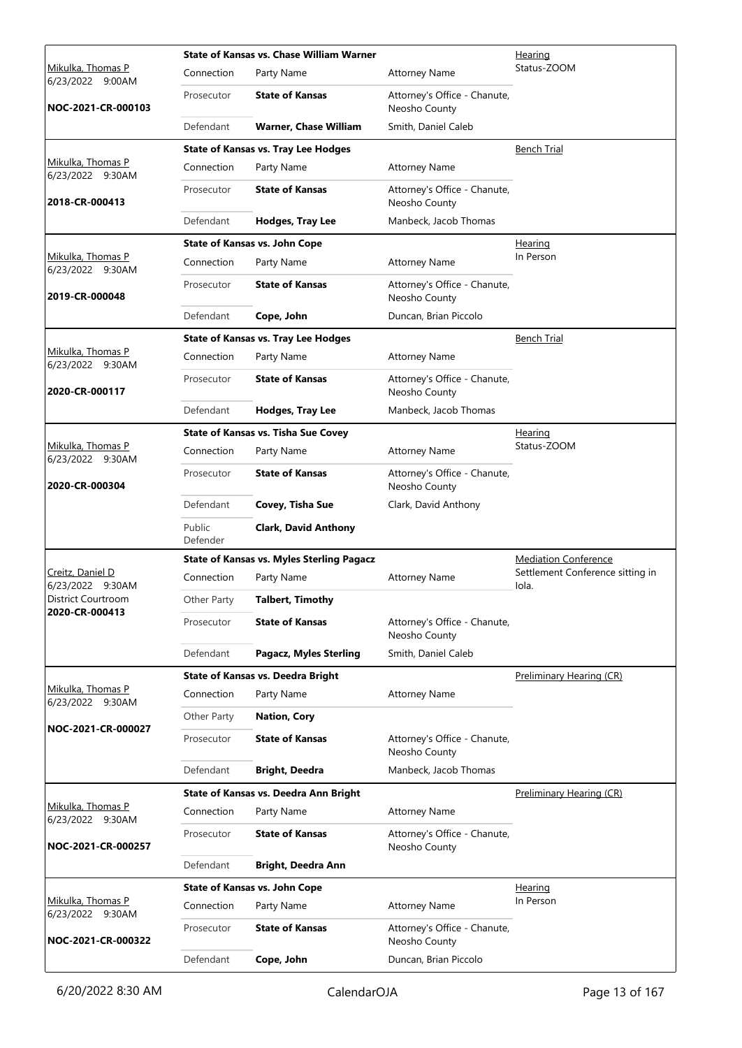|                                                 |                    | State of Kansas vs. Chase William Warner         | Hearing                                       |                                           |
|-------------------------------------------------|--------------------|--------------------------------------------------|-----------------------------------------------|-------------------------------------------|
| <u>Mikulka, Thomas P</u><br>6/23/2022<br>9:00AM | Connection         | Party Name                                       | <b>Attorney Name</b>                          | Status-ZOOM                               |
| NOC-2021-CR-000103                              | Prosecutor         | <b>State of Kansas</b>                           | Attorney's Office - Chanute,<br>Neosho County |                                           |
|                                                 | Defendant          | Warner, Chase William                            | Smith, Daniel Caleb                           |                                           |
|                                                 |                    | <b>State of Kansas vs. Tray Lee Hodges</b>       |                                               | <b>Bench Trial</b>                        |
| Mikulka, Thomas P<br>6/23/2022 9:30AM           | Connection         | Party Name                                       | <b>Attorney Name</b>                          |                                           |
| 2018-CR-000413                                  | Prosecutor         | <b>State of Kansas</b>                           | Attorney's Office - Chanute,<br>Neosho County |                                           |
|                                                 | Defendant          | Hodges, Tray Lee                                 | Manbeck, Jacob Thomas                         |                                           |
|                                                 |                    | <b>State of Kansas vs. John Cope</b>             |                                               | <b>Hearing</b>                            |
| Mikulka, Thomas P<br>6/23/2022 9:30AM           | Connection         | Party Name                                       | <b>Attorney Name</b>                          | In Person                                 |
| 2019-CR-000048                                  | Prosecutor         | <b>State of Kansas</b>                           | Attorney's Office - Chanute,<br>Neosho County |                                           |
|                                                 | Defendant          | Cope, John                                       | Duncan, Brian Piccolo                         |                                           |
|                                                 |                    | <b>State of Kansas vs. Tray Lee Hodges</b>       |                                               | <b>Bench Trial</b>                        |
| Mikulka, Thomas P<br>6/23/2022 9:30AM           | Connection         | Party Name                                       | <b>Attorney Name</b>                          |                                           |
| 2020-CR-000117                                  | Prosecutor         | <b>State of Kansas</b>                           | Attorney's Office - Chanute,<br>Neosho County |                                           |
|                                                 | Defendant          | Hodges, Tray Lee                                 | Manbeck, Jacob Thomas                         |                                           |
|                                                 |                    | <b>State of Kansas vs. Tisha Sue Covey</b>       |                                               | <b>Hearing</b>                            |
| Mikulka, Thomas P<br>6/23/2022 9:30AM           | Connection         | Party Name                                       | <b>Attorney Name</b>                          | Status-ZOOM                               |
| 2020-CR-000304                                  | Prosecutor         | <b>State of Kansas</b>                           | Attorney's Office - Chanute,<br>Neosho County |                                           |
|                                                 | Defendant          | Covey, Tisha Sue                                 | Clark, David Anthony                          |                                           |
|                                                 |                    |                                                  |                                               |                                           |
|                                                 | Public<br>Defender | <b>Clark, David Anthony</b>                      |                                               |                                           |
|                                                 |                    | <b>State of Kansas vs. Myles Sterling Pagacz</b> |                                               | <b>Mediation Conference</b>               |
| Creitz, Daniel D<br>6/23/2022 9:30AM            | Connection         | Party Name                                       | <b>Attorney Name</b>                          | Settlement Conference sitting in<br>Iola. |
| District Courtroom                              | Other Party        | <b>Talbert, Timothy</b>                          |                                               |                                           |
| 2020-CR-000413                                  | Prosecutor         | <b>State of Kansas</b>                           | Attorney's Office - Chanute,<br>Neosho County |                                           |
|                                                 | Defendant          | <b>Pagacz, Myles Sterling</b>                    | Smith, Daniel Caleb                           |                                           |
|                                                 |                    | <b>State of Kansas vs. Deedra Bright</b>         |                                               | Preliminary Hearing (CR)                  |
| Mikulka, Thomas P                               | Connection         | Party Name                                       | <b>Attorney Name</b>                          |                                           |
| 6/23/2022 9:30AM                                | Other Party        | <b>Nation, Cory</b>                              |                                               |                                           |
| NOC-2021-CR-000027                              | Prosecutor         | <b>State of Kansas</b>                           | Attorney's Office - Chanute,<br>Neosho County |                                           |
|                                                 | Defendant          | <b>Bright, Deedra</b>                            | Manbeck, Jacob Thomas                         |                                           |
|                                                 |                    | State of Kansas vs. Deedra Ann Bright            |                                               | Preliminary Hearing (CR)                  |
| Mikulka, Thomas P                               | Connection         | Party Name                                       | <b>Attorney Name</b>                          |                                           |
| 6/23/2022 9:30AM<br>NOC-2021-CR-000257          | Prosecutor         | <b>State of Kansas</b>                           | Attorney's Office - Chanute,<br>Neosho County |                                           |
|                                                 | Defendant          | <b>Bright, Deedra Ann</b>                        |                                               |                                           |
|                                                 |                    | <b>State of Kansas vs. John Cope</b>             |                                               | Hearing                                   |
| Mikulka, Thomas P                               | Connection         | Party Name                                       | <b>Attorney Name</b>                          | In Person                                 |
| 6/23/2022 9:30AM<br>NOC-2021-CR-000322          | Prosecutor         | <b>State of Kansas</b>                           | Attorney's Office - Chanute,<br>Neosho County |                                           |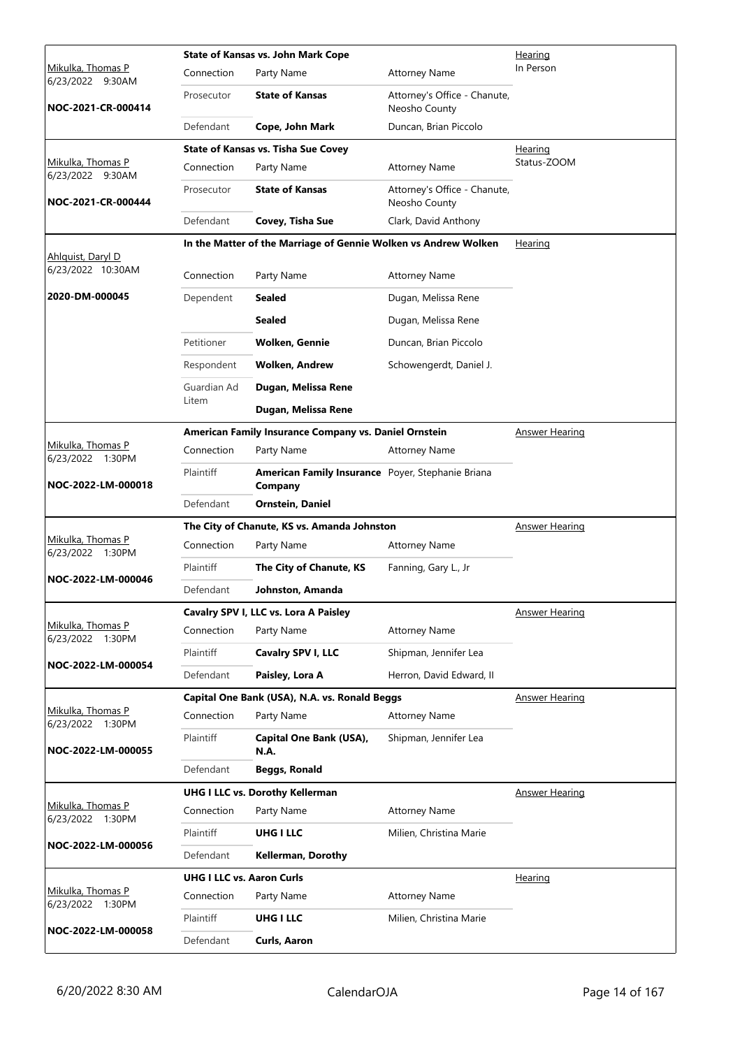|                                       | Hearing                                    |                                                                 |                                               |                       |
|---------------------------------------|--------------------------------------------|-----------------------------------------------------------------|-----------------------------------------------|-----------------------|
| Mikulka, Thomas P<br>6/23/2022 9:30AM | Connection                                 | Party Name                                                      | <b>Attorney Name</b>                          | In Person             |
| NOC-2021-CR-000414                    | Prosecutor                                 | <b>State of Kansas</b>                                          | Attorney's Office - Chanute,<br>Neosho County |                       |
|                                       | Defendant                                  | Cope, John Mark                                                 | Duncan, Brian Piccolo                         |                       |
|                                       | <b>State of Kansas vs. Tisha Sue Covey</b> |                                                                 | Hearing                                       |                       |
| Mikulka, Thomas P<br>6/23/2022 9:30AM | Connection                                 | Party Name                                                      | <b>Attorney Name</b>                          | Status-ZOOM           |
| NOC-2021-CR-000444                    | Prosecutor                                 | <b>State of Kansas</b>                                          | Attorney's Office - Chanute,<br>Neosho County |                       |
|                                       | Defendant                                  | Covey, Tisha Sue                                                | Clark, David Anthony                          |                       |
|                                       |                                            | In the Matter of the Marriage of Gennie Wolken vs Andrew Wolken |                                               | <b>Hearing</b>        |
| Ahlquist, Daryl D                     |                                            |                                                                 |                                               |                       |
| 6/23/2022 10:30AM                     | Connection                                 | Party Name                                                      | <b>Attorney Name</b>                          |                       |
| 2020-DM-000045                        | Dependent                                  | Sealed                                                          | Dugan, Melissa Rene                           |                       |
|                                       |                                            | <b>Sealed</b>                                                   | Dugan, Melissa Rene                           |                       |
|                                       | Petitioner                                 | <b>Wolken, Gennie</b>                                           | Duncan, Brian Piccolo                         |                       |
|                                       | Respondent                                 | <b>Wolken, Andrew</b>                                           | Schowengerdt, Daniel J.                       |                       |
|                                       | Guardian Ad                                | Dugan, Melissa Rene                                             |                                               |                       |
|                                       | Litem                                      | Dugan, Melissa Rene                                             |                                               |                       |
|                                       |                                            | American Family Insurance Company vs. Daniel Ornstein           |                                               | <b>Answer Hearing</b> |
| Mikulka, Thomas P<br>6/23/2022 1:30PM | Connection                                 | Party Name                                                      | <b>Attorney Name</b>                          |                       |
| NOC-2022-LM-000018                    | Plaintiff                                  | American Family Insurance Poyer, Stephanie Briana<br>Company    |                                               |                       |
|                                       | Defendant                                  | <b>Ornstein, Daniel</b>                                         |                                               |                       |
|                                       |                                            | The City of Chanute, KS vs. Amanda Johnston                     |                                               | <b>Answer Hearing</b> |
| Mikulka, Thomas P<br>6/23/2022 1:30PM | Connection                                 | Party Name                                                      | <b>Attorney Name</b>                          |                       |
|                                       | Plaintiff                                  | The City of Chanute, KS                                         | Fanning, Gary L., Jr                          |                       |
| NOC-2022-LM-000046                    | Defendant                                  | Johnston, Amanda                                                |                                               |                       |
|                                       |                                            | Cavalry SPV I, LLC vs. Lora A Paisley                           |                                               | <b>Answer Hearing</b> |
| Mikulka, Thomas P<br>6/23/2022 1:30PM | Connection                                 | Party Name                                                      | <b>Attorney Name</b>                          |                       |
|                                       | Plaintiff                                  | Cavalry SPV I, LLC                                              | Shipman, Jennifer Lea                         |                       |
| NOC-2022-LM-000054                    | Defendant                                  | Paisley, Lora A                                                 | Herron, David Edward, II                      |                       |
|                                       |                                            | Capital One Bank (USA), N.A. vs. Ronald Beggs                   |                                               | <b>Answer Hearing</b> |
| Mikulka, Thomas P<br>6/23/2022 1:30PM | Connection                                 | Party Name                                                      | <b>Attorney Name</b>                          |                       |
| NOC-2022-LM-000055                    | Plaintiff                                  | Capital One Bank (USA),<br>N.A.                                 | Shipman, Jennifer Lea                         |                       |
|                                       | Defendant                                  | <b>Beggs, Ronald</b>                                            |                                               |                       |
|                                       |                                            | <b>UHG I LLC vs. Dorothy Kellerman</b>                          |                                               | <b>Answer Hearing</b> |
| Mikulka, Thomas P<br>6/23/2022 1:30PM | Connection                                 | Party Name                                                      | <b>Attorney Name</b>                          |                       |
|                                       | Plaintiff                                  | <b>UHG I LLC</b>                                                | Milien, Christina Marie                       |                       |
| NOC-2022-LM-000056                    | Defendant                                  | <b>Kellerman, Dorothy</b>                                       |                                               |                       |
|                                       | <b>UHG I LLC vs. Aaron Curls</b>           |                                                                 |                                               | <b>Hearing</b>        |
| Mikulka, Thomas P<br>6/23/2022 1:30PM | Connection                                 | Party Name                                                      | <b>Attorney Name</b>                          |                       |
|                                       | Plaintiff                                  | <b>UHG I LLC</b>                                                | Milien, Christina Marie                       |                       |
| NOC-2022-LM-000058                    | Defendant                                  | Curls, Aaron                                                    |                                               |                       |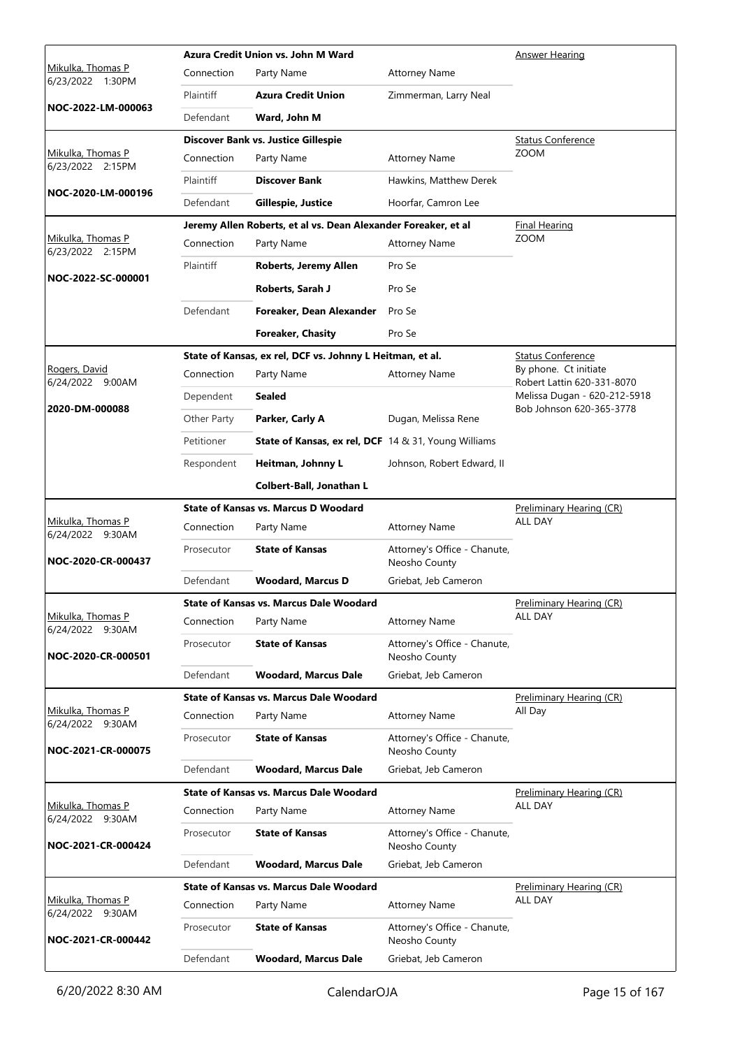|                                       |             | Azura Credit Union vs. John M Ward                             |                                               | <b>Answer Hearing</b>                                    |
|---------------------------------------|-------------|----------------------------------------------------------------|-----------------------------------------------|----------------------------------------------------------|
| Mikulka, Thomas P<br>6/23/2022 1:30PM | Connection  | Party Name                                                     | <b>Attorney Name</b>                          |                                                          |
|                                       | Plaintiff   | <b>Azura Credit Union</b>                                      | Zimmerman, Larry Neal                         |                                                          |
| NOC-2022-LM-000063                    | Defendant   | Ward, John M                                                   |                                               |                                                          |
|                                       |             | Discover Bank vs. Justice Gillespie                            |                                               | <b>Status Conference</b>                                 |
| Mikulka, Thomas P<br>6/23/2022 2:15PM | Connection  | Party Name                                                     | <b>Attorney Name</b>                          | <b>ZOOM</b>                                              |
| NOC-2020-LM-000196                    | Plaintiff   | <b>Discover Bank</b>                                           | Hawkins, Matthew Derek                        |                                                          |
|                                       | Defendant   | Gillespie, Justice                                             | Hoorfar, Camron Lee                           |                                                          |
|                                       |             | Jeremy Allen Roberts, et al vs. Dean Alexander Foreaker, et al |                                               | <b>Final Hearing</b>                                     |
| Mikulka, Thomas P<br>6/23/2022 2:15PM | Connection  | Party Name                                                     | <b>Attorney Name</b>                          | <b>ZOOM</b>                                              |
| NOC-2022-SC-000001                    | Plaintiff   | Roberts, Jeremy Allen                                          | Pro Se                                        |                                                          |
|                                       |             | Roberts, Sarah J                                               | Pro Se                                        |                                                          |
|                                       | Defendant   | Foreaker, Dean Alexander                                       | Pro Se                                        |                                                          |
|                                       |             | <b>Foreaker, Chasity</b>                                       | Pro Se                                        |                                                          |
|                                       |             | State of Kansas, ex rel, DCF vs. Johnny L Heitman, et al.      |                                               | <b>Status Conference</b>                                 |
| Rogers, David<br>6/24/2022 9:00AM     | Connection  | Party Name                                                     | <b>Attorney Name</b>                          | By phone. Ct initiate<br>Robert Lattin 620-331-8070      |
| 2020-DM-000088                        | Dependent   | <b>Sealed</b>                                                  |                                               | Melissa Dugan - 620-212-5918<br>Bob Johnson 620-365-3778 |
|                                       | Other Party | Parker, Carly A                                                | Dugan, Melissa Rene                           |                                                          |
|                                       | Petitioner  | <b>State of Kansas, ex rel, DCF</b> 14 & 31, Young Williams    |                                               |                                                          |
|                                       | Respondent  | Heitman, Johnny L                                              | Johnson, Robert Edward, II                    |                                                          |
|                                       |             | Colbert-Ball, Jonathan L                                       |                                               |                                                          |
|                                       |             | <b>State of Kansas vs. Marcus D Woodard</b>                    |                                               | Preliminary Hearing (CR)                                 |
| Mikulka, Thomas P<br>6/24/2022 9:30AM | Connection  | Party Name                                                     | <b>Attorney Name</b>                          | <b>ALL DAY</b>                                           |
| NOC-2020-CR-000437                    | Prosecutor  | <b>State of Kansas</b>                                         | Attorney's Office - Chanute,<br>Neosho County |                                                          |
|                                       | Defendant   | <b>Woodard, Marcus D</b>                                       | Griebat, Jeb Cameron                          |                                                          |
|                                       |             | State of Kansas vs. Marcus Dale Woodard                        |                                               | Preliminary Hearing (CR)                                 |
| Mikulka, Thomas P<br>6/24/2022 9:30AM | Connection  | Party Name                                                     | <b>Attorney Name</b>                          | ALL DAY                                                  |
| NOC-2020-CR-000501                    | Prosecutor  | <b>State of Kansas</b>                                         | Attorney's Office - Chanute,<br>Neosho County |                                                          |
|                                       | Defendant   | <b>Woodard, Marcus Dale</b>                                    | Griebat, Jeb Cameron                          |                                                          |
|                                       |             | <b>State of Kansas vs. Marcus Dale Woodard</b>                 |                                               | Preliminary Hearing (CR)                                 |
| Mikulka, Thomas P<br>6/24/2022 9:30AM | Connection  | Party Name                                                     | Attorney Name                                 | All Day                                                  |
| NOC-2021-CR-000075                    | Prosecutor  | <b>State of Kansas</b>                                         | Attorney's Office - Chanute,<br>Neosho County |                                                          |
|                                       | Defendant   | <b>Woodard, Marcus Dale</b>                                    | Griebat, Jeb Cameron                          |                                                          |
| Mikulka, Thomas P                     |             | <b>State of Kansas vs. Marcus Dale Woodard</b>                 |                                               | Preliminary Hearing (CR)<br>ALL DAY                      |
| 6/24/2022 9:30AM                      | Connection  | Party Name                                                     | <b>Attorney Name</b>                          |                                                          |
| NOC-2021-CR-000424                    | Prosecutor  | <b>State of Kansas</b>                                         | Attorney's Office - Chanute,<br>Neosho County |                                                          |
|                                       | Defendant   | <b>Woodard, Marcus Dale</b>                                    | Griebat, Jeb Cameron                          |                                                          |
|                                       |             | <b>State of Kansas vs. Marcus Dale Woodard</b>                 |                                               | Preliminary Hearing (CR)                                 |
| Mikulka, Thomas P<br>6/24/2022 9:30AM | Connection  | Party Name                                                     | <b>Attorney Name</b>                          | ALL DAY                                                  |
| NOC-2021-CR-000442                    | Prosecutor  | <b>State of Kansas</b>                                         | Attorney's Office - Chanute,<br>Neosho County |                                                          |
|                                       | Defendant   | <b>Woodard, Marcus Dale</b>                                    | Griebat, Jeb Cameron                          |                                                          |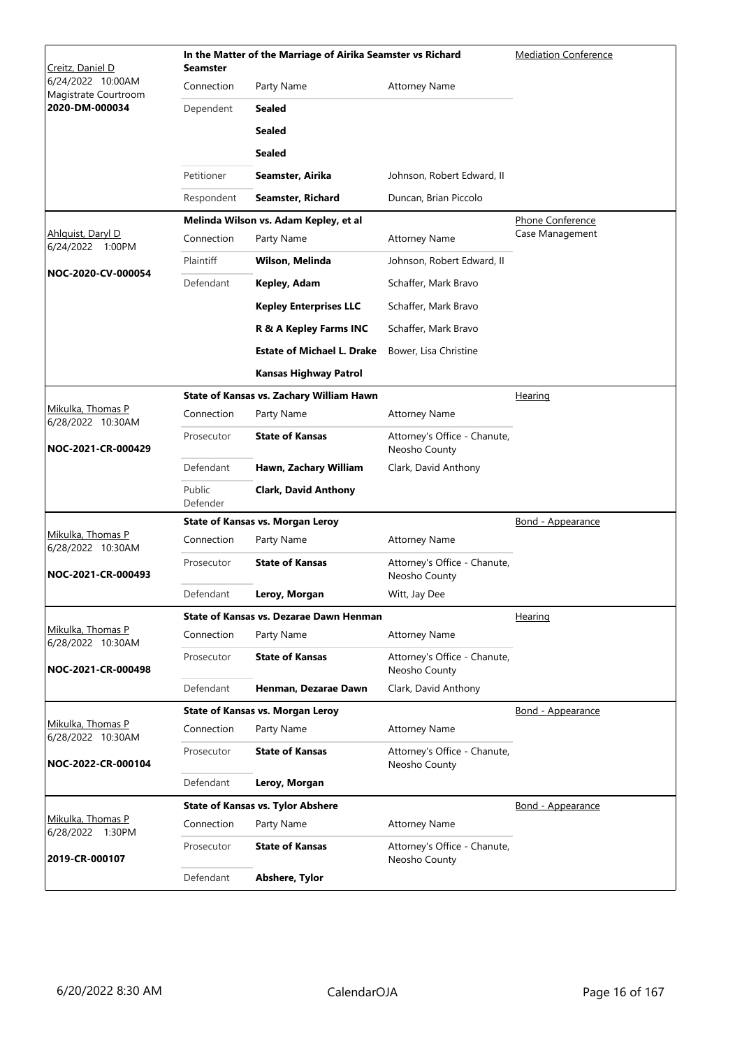| Creitz, Daniel D                          | <b>Seamster</b>    | In the Matter of the Marriage of Airika Seamster vs Richard | <b>Mediation Conference</b>                   |                          |  |
|-------------------------------------------|--------------------|-------------------------------------------------------------|-----------------------------------------------|--------------------------|--|
| 6/24/2022 10:00AM<br>Magistrate Courtroom | Connection         | Party Name                                                  | <b>Attorney Name</b>                          |                          |  |
| 2020-DM-000034                            | Dependent          | Sealed                                                      |                                               |                          |  |
|                                           |                    | <b>Sealed</b>                                               |                                               |                          |  |
|                                           |                    | <b>Sealed</b>                                               |                                               |                          |  |
|                                           | Petitioner         | Seamster, Airika                                            | Johnson, Robert Edward, II                    |                          |  |
|                                           | Respondent         | Seamster, Richard                                           | Duncan, Brian Piccolo                         |                          |  |
|                                           |                    | Melinda Wilson vs. Adam Kepley, et al                       |                                               | Phone Conference         |  |
| Ahlquist, Daryl D<br>6/24/2022 1:00PM     | Connection         | Party Name                                                  | <b>Attorney Name</b>                          | Case Management          |  |
|                                           | Plaintiff          | Wilson, Melinda                                             | Johnson, Robert Edward, II                    |                          |  |
| NOC-2020-CV-000054                        | Defendant          | Kepley, Adam                                                | Schaffer, Mark Bravo                          |                          |  |
|                                           |                    | <b>Kepley Enterprises LLC</b>                               | Schaffer, Mark Bravo                          |                          |  |
|                                           |                    | R & A Kepley Farms INC                                      | Schaffer, Mark Bravo                          |                          |  |
|                                           |                    | <b>Estate of Michael L. Drake</b>                           | Bower, Lisa Christine                         |                          |  |
|                                           |                    | <b>Kansas Highway Patrol</b>                                |                                               |                          |  |
|                                           |                    | State of Kansas vs. Zachary William Hawn                    |                                               | Hearing                  |  |
| Mikulka, Thomas P<br>6/28/2022 10:30AM    | Connection         | Party Name                                                  | <b>Attorney Name</b>                          |                          |  |
| NOC-2021-CR-000429                        | Prosecutor         | <b>State of Kansas</b>                                      | Attorney's Office - Chanute,<br>Neosho County |                          |  |
|                                           | Defendant          | Hawn, Zachary William                                       | Clark, David Anthony                          |                          |  |
|                                           | Public<br>Defender | <b>Clark, David Anthony</b>                                 |                                               |                          |  |
|                                           |                    | <b>State of Kansas vs. Morgan Leroy</b>                     |                                               | Bond - Appearance        |  |
| Mikulka, Thomas P<br>6/28/2022 10:30AM    | Connection         | Party Name                                                  | <b>Attorney Name</b>                          |                          |  |
| NOC-2021-CR-000493                        | Prosecutor         | <b>State of Kansas</b>                                      | Attorney's Office - Chanute,<br>Neosho County |                          |  |
|                                           | Defendant          | Leroy, Morgan                                               | Witt, Jay Dee                                 |                          |  |
|                                           |                    | State of Kansas vs. Dezarae Dawn Henman                     |                                               | <b>Hearing</b>           |  |
| Mikulka, Thomas P<br>6/28/2022 10:30AM    | Connection         | Party Name                                                  | <b>Attorney Name</b>                          |                          |  |
| NOC-2021-CR-000498                        | Prosecutor         | <b>State of Kansas</b>                                      | Attorney's Office - Chanute,<br>Neosho County |                          |  |
|                                           | Defendant          | Henman, Dezarae Dawn                                        | Clark, David Anthony                          |                          |  |
| Mikulka, Thomas P                         |                    | <b>State of Kansas vs. Morgan Leroy</b>                     |                                               | <u>Bond - Appearance</u> |  |
| 6/28/2022 10:30AM                         | Connection         | Party Name                                                  | <b>Attorney Name</b>                          |                          |  |
| NOC-2022-CR-000104                        | Prosecutor         | <b>State of Kansas</b>                                      | Attorney's Office - Chanute,<br>Neosho County |                          |  |
|                                           | Defendant          | Leroy, Morgan                                               |                                               |                          |  |
|                                           |                    | <b>State of Kansas vs. Tylor Abshere</b>                    |                                               | <b>Bond - Appearance</b> |  |
| Mikulka, Thomas P<br>6/28/2022 1:30PM     | Connection         | Party Name                                                  | <b>Attorney Name</b>                          |                          |  |
| 2019-CR-000107                            | Prosecutor         | <b>State of Kansas</b>                                      | Attorney's Office - Chanute,<br>Neosho County |                          |  |
|                                           | Defendant          | Abshere, Tylor                                              |                                               |                          |  |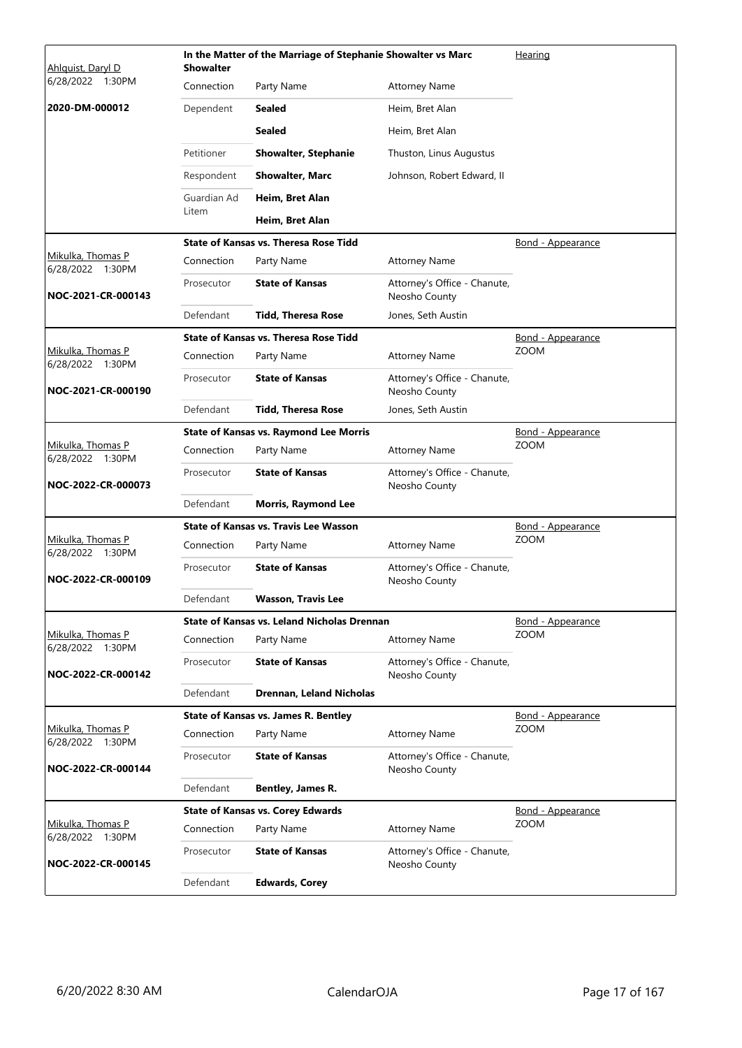| Ahlguist, Daryl D                     | <b>Showalter</b> | In the Matter of the Marriage of Stephanie Showalter vs Marc |                                               | Hearing                  |
|---------------------------------------|------------------|--------------------------------------------------------------|-----------------------------------------------|--------------------------|
| 6/28/2022 1:30PM                      | Connection       | Party Name                                                   | <b>Attorney Name</b>                          |                          |
| 2020-DM-000012                        | Dependent        | Sealed                                                       | Heim, Bret Alan                               |                          |
|                                       |                  | Sealed                                                       | Heim, Bret Alan                               |                          |
|                                       | Petitioner       | <b>Showalter, Stephanie</b>                                  | Thuston, Linus Augustus                       |                          |
|                                       | Respondent       | <b>Showalter, Marc</b>                                       | Johnson, Robert Edward, II                    |                          |
|                                       | Guardian Ad      | Heim, Bret Alan                                              |                                               |                          |
|                                       | Litem            | Heim, Bret Alan                                              |                                               |                          |
|                                       |                  | <b>State of Kansas vs. Theresa Rose Tidd</b>                 |                                               | <u>Bond - Appearance</u> |
| Mikulka, Thomas P<br>6/28/2022 1:30PM | Connection       | Party Name                                                   | <b>Attorney Name</b>                          |                          |
| NOC-2021-CR-000143                    | Prosecutor       | <b>State of Kansas</b>                                       | Attorney's Office - Chanute,<br>Neosho County |                          |
|                                       | Defendant        | <b>Tidd. Theresa Rose</b>                                    | Jones, Seth Austin                            |                          |
|                                       |                  | <b>State of Kansas vs. Theresa Rose Tidd</b>                 |                                               | <u>Bond - Appearance</u> |
| Mikulka, Thomas P<br>6/28/2022 1:30PM | Connection       | Party Name                                                   | <b>Attorney Name</b>                          | <b>ZOOM</b>              |
| NOC-2021-CR-000190                    | Prosecutor       | <b>State of Kansas</b>                                       | Attorney's Office - Chanute,<br>Neosho County |                          |
|                                       | Defendant        | <b>Tidd, Theresa Rose</b>                                    | Jones, Seth Austin                            |                          |
|                                       |                  | <b>State of Kansas vs. Raymond Lee Morris</b>                |                                               | Bond - Appearance        |
| Mikulka, Thomas P<br>6/28/2022 1:30PM | Connection       | Party Name                                                   | <b>Attorney Name</b>                          | <b>ZOOM</b>              |
| NOC-2022-CR-000073                    | Prosecutor       | <b>State of Kansas</b>                                       | Attorney's Office - Chanute,<br>Neosho County |                          |
|                                       | Defendant        | <b>Morris, Raymond Lee</b>                                   |                                               |                          |
|                                       |                  | <b>State of Kansas vs. Travis Lee Wasson</b>                 |                                               | <b>Bond - Appearance</b> |
| Mikulka, Thomas P<br>6/28/2022 1:30PM | Connection       | Party Name                                                   | <b>Attorney Name</b>                          | <b>ZOOM</b>              |
| NOC-2022-CR-000109                    | Prosecutor       | <b>State of Kansas</b>                                       | Attorney's Office - Chanute,<br>Neosho County |                          |
|                                       | Defendant        | Wasson, Travis Lee                                           |                                               |                          |
|                                       |                  | State of Kansas vs. Leland Nicholas Drennan                  |                                               | <u>Bond - Appearance</u> |
| Mikulka, Thomas P<br>6/28/2022 1:30PM | Connection       | Party Name                                                   | <b>Attorney Name</b>                          | <b>ZOOM</b>              |
| NOC-2022-CR-000142                    | Prosecutor       | <b>State of Kansas</b>                                       | Attorney's Office - Chanute,<br>Neosho County |                          |
|                                       | Defendant        | Drennan, Leland Nicholas                                     |                                               |                          |
|                                       |                  | <b>State of Kansas vs. James R. Bentley</b>                  |                                               | Bond - Appearance        |
| Mikulka, Thomas P<br>6/28/2022 1:30PM | Connection       | Party Name                                                   | <b>Attorney Name</b>                          | <b>ZOOM</b>              |
| NOC-2022-CR-000144                    | Prosecutor       | <b>State of Kansas</b>                                       | Attorney's Office - Chanute,<br>Neosho County |                          |
|                                       | Defendant        | Bentley, James R.                                            |                                               |                          |
|                                       |                  | <b>State of Kansas vs. Corey Edwards</b>                     |                                               | Bond - Appearance        |
| Mikulka, Thomas P<br>6/28/2022 1:30PM | Connection       | Party Name                                                   | <b>Attorney Name</b>                          | <b>ZOOM</b>              |
| NOC-2022-CR-000145                    | Prosecutor       | <b>State of Kansas</b>                                       | Attorney's Office - Chanute,<br>Neosho County |                          |
|                                       | Defendant        | <b>Edwards, Corey</b>                                        |                                               |                          |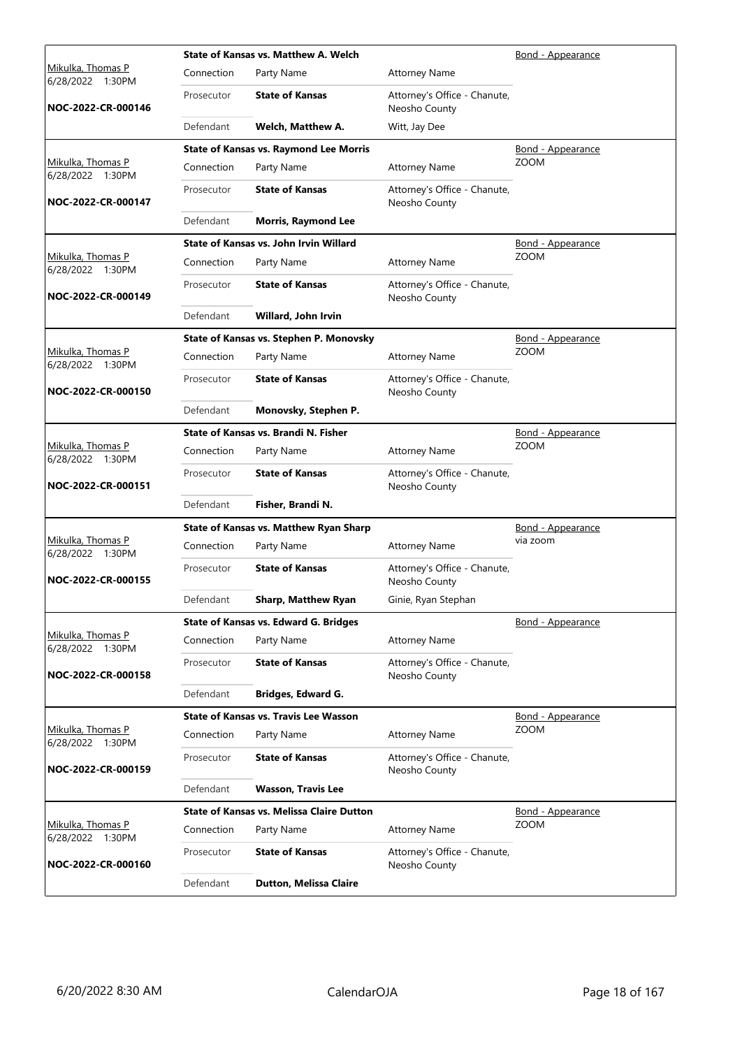|                                              |            | State of Kansas vs. Matthew A. Welch             |                                               | Bond - Appearance        |
|----------------------------------------------|------------|--------------------------------------------------|-----------------------------------------------|--------------------------|
| <u>Mikulka, Thomas P</u><br>6/28/2022 1:30PM | Connection | Party Name                                       | <b>Attorney Name</b>                          |                          |
| NOC-2022-CR-000146                           | Prosecutor | <b>State of Kansas</b>                           | Attorney's Office - Chanute,<br>Neosho County |                          |
|                                              | Defendant  | Welch, Matthew A.                                | Witt, Jay Dee                                 |                          |
|                                              |            | <b>State of Kansas vs. Raymond Lee Morris</b>    |                                               | <b>Bond - Appearance</b> |
| Mikulka, Thomas P<br>6/28/2022 1:30PM        | Connection | Party Name                                       | <b>Attorney Name</b>                          | <b>ZOOM</b>              |
| NOC-2022-CR-000147                           | Prosecutor | <b>State of Kansas</b>                           | Attorney's Office - Chanute,<br>Neosho County |                          |
|                                              | Defendant  | <b>Morris, Raymond Lee</b>                       |                                               |                          |
|                                              |            | State of Kansas vs. John Irvin Willard           |                                               | <u>Bond - Appearance</u> |
| Mikulka, Thomas P<br>6/28/2022 1:30PM        | Connection | Party Name                                       | <b>Attorney Name</b>                          | <b>ZOOM</b>              |
| NOC-2022-CR-000149                           | Prosecutor | <b>State of Kansas</b>                           | Attorney's Office - Chanute,<br>Neosho County |                          |
|                                              | Defendant  | Willard, John Irvin                              |                                               |                          |
|                                              |            | State of Kansas vs. Stephen P. Monovsky          |                                               | <u>Bond - Appearance</u> |
| <u>Mikulka, Thomas P</u><br>6/28/2022 1:30PM | Connection | Party Name                                       | <b>Attorney Name</b>                          | <b>ZOOM</b>              |
| NOC-2022-CR-000150                           | Prosecutor | <b>State of Kansas</b>                           | Attorney's Office - Chanute,<br>Neosho County |                          |
|                                              | Defendant  | Monovsky, Stephen P.                             |                                               |                          |
|                                              |            | State of Kansas vs. Brandi N. Fisher             |                                               | Bond - Appearance        |
| Mikulka, Thomas P<br>6/28/2022 1:30PM        | Connection | Party Name                                       | <b>Attorney Name</b>                          | <b>ZOOM</b>              |
| NOC-2022-CR-000151                           | Prosecutor | <b>State of Kansas</b>                           | Attorney's Office - Chanute,<br>Neosho County |                          |
|                                              | Defendant  | Fisher, Brandi N.                                |                                               |                          |
|                                              |            | <b>State of Kansas vs. Matthew Ryan Sharp</b>    |                                               | Bond - Appearance        |
| Mikulka, Thomas P<br>6/28/2022 1:30PM        | Connection | Party Name                                       | <b>Attorney Name</b>                          | via zoom                 |
| NOC-2022-CR-000155                           | Prosecutor | <b>State of Kansas</b>                           | Attorney's Office - Chanute,<br>Neosho County |                          |
|                                              | Defendant  | Sharp, Matthew Ryan                              | Ginie, Ryan Stephan                           |                          |
|                                              |            | State of Kansas vs. Edward G. Bridges            |                                               | Bond - Appearance        |
| Mikulka, Thomas P<br>6/28/2022 1:30PM        | Connection | Party Name                                       | <b>Attorney Name</b>                          |                          |
| NOC-2022-CR-000158                           | Prosecutor | <b>State of Kansas</b>                           | Attorney's Office - Chanute,<br>Neosho County |                          |
|                                              | Defendant  | Bridges, Edward G.                               |                                               |                          |
|                                              |            | <b>State of Kansas vs. Travis Lee Wasson</b>     |                                               | Bond - Appearance        |
| Mikulka, Thomas P<br>6/28/2022 1:30PM        | Connection | Party Name                                       | <b>Attorney Name</b>                          | <b>ZOOM</b>              |
| NOC-2022-CR-000159                           | Prosecutor | <b>State of Kansas</b>                           | Attorney's Office - Chanute,<br>Neosho County |                          |
|                                              | Defendant  | <b>Wasson, Travis Lee</b>                        |                                               |                          |
|                                              |            | <b>State of Kansas vs. Melissa Claire Dutton</b> |                                               | <u>Bond - Appearance</u> |
| <u>Mikulka, Thomas P</u><br>6/28/2022 1:30PM | Connection | Party Name                                       | <b>Attorney Name</b>                          | <b>ZOOM</b>              |
| NOC-2022-CR-000160                           | Prosecutor | <b>State of Kansas</b>                           | Attorney's Office - Chanute,<br>Neosho County |                          |
|                                              | Defendant  | <b>Dutton, Melissa Claire</b>                    |                                               |                          |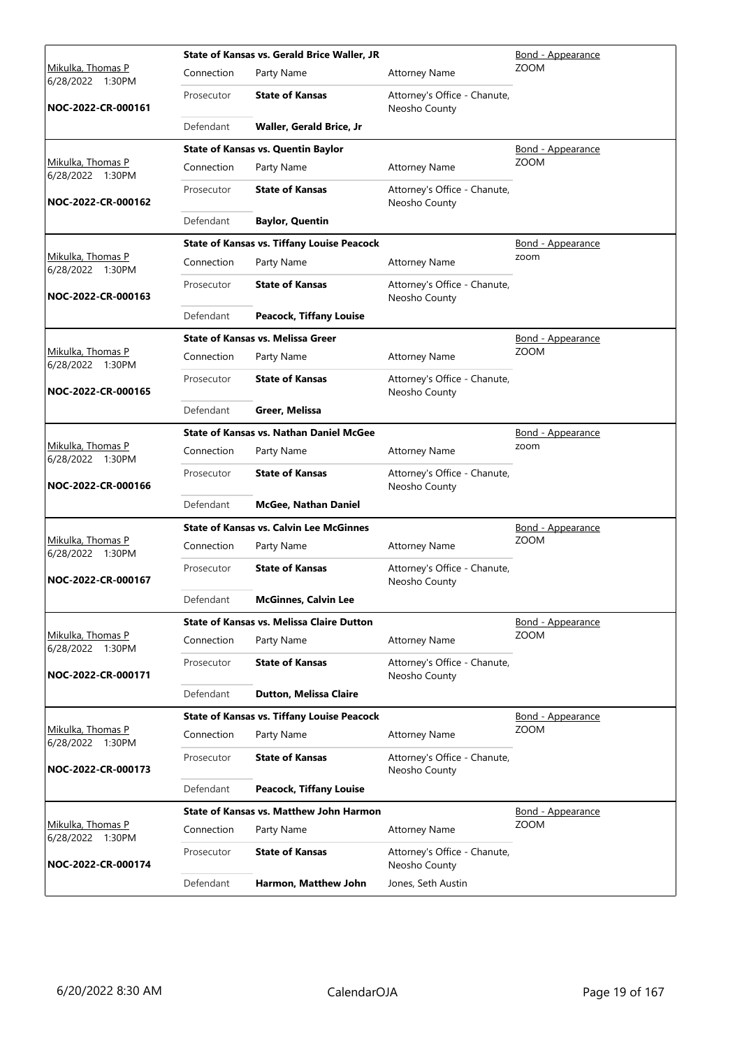|                                              |            | <b>State of Kansas vs. Gerald Brice Waller, JR</b> |                                               | Bond - Appearance        |  |  |
|----------------------------------------------|------------|----------------------------------------------------|-----------------------------------------------|--------------------------|--|--|
| <u>Mikulka, Thomas P</u><br>6/28/2022 1:30PM | Connection | Party Name                                         | <b>Attorney Name</b>                          | <b>ZOOM</b>              |  |  |
| NOC-2022-CR-000161                           | Prosecutor | <b>State of Kansas</b>                             | Attorney's Office - Chanute,<br>Neosho County |                          |  |  |
|                                              | Defendant  | Waller, Gerald Brice, Jr                           |                                               |                          |  |  |
|                                              |            | <b>State of Kansas vs. Quentin Baylor</b>          |                                               | <b>Bond - Appearance</b> |  |  |
| Mikulka, Thomas P<br>6/28/2022 1:30PM        | Connection | Party Name                                         | <b>Attorney Name</b>                          | <b>ZOOM</b>              |  |  |
| NOC-2022-CR-000162                           | Prosecutor | <b>State of Kansas</b>                             | Attorney's Office - Chanute,<br>Neosho County |                          |  |  |
|                                              | Defendant  | <b>Baylor, Quentin</b>                             |                                               |                          |  |  |
|                                              |            | <b>State of Kansas vs. Tiffany Louise Peacock</b>  |                                               | Bond - Appearance        |  |  |
| Mikulka, Thomas P<br>6/28/2022 1:30PM        | Connection | Party Name                                         | <b>Attorney Name</b>                          | zoom                     |  |  |
| NOC-2022-CR-000163                           | Prosecutor | <b>State of Kansas</b>                             | Attorney's Office - Chanute,<br>Neosho County |                          |  |  |
|                                              | Defendant  | <b>Peacock, Tiffany Louise</b>                     |                                               |                          |  |  |
|                                              |            | <b>State of Kansas vs. Melissa Greer</b>           |                                               | Bond - Appearance        |  |  |
| <u>Mikulka, Thomas P</u><br>6/28/2022 1:30PM | Connection | Party Name                                         | <b>Attorney Name</b>                          | <b>ZOOM</b>              |  |  |
| NOC-2022-CR-000165                           | Prosecutor | <b>State of Kansas</b>                             | Attorney's Office - Chanute,<br>Neosho County |                          |  |  |
|                                              | Defendant  | Greer, Melissa                                     |                                               |                          |  |  |
|                                              |            | <b>State of Kansas vs. Nathan Daniel McGee</b>     |                                               | Bond - Appearance        |  |  |
| Mikulka, Thomas P<br>6/28/2022 1:30PM        | Connection | Party Name                                         | <b>Attorney Name</b>                          | zoom                     |  |  |
| NOC-2022-CR-000166                           | Prosecutor | <b>State of Kansas</b>                             | Attorney's Office - Chanute,<br>Neosho County |                          |  |  |
|                                              | Defendant  | <b>McGee, Nathan Daniel</b>                        |                                               |                          |  |  |
|                                              |            | <b>State of Kansas vs. Calvin Lee McGinnes</b>     |                                               | Bond - Appearance        |  |  |
| Mikulka, Thomas P<br>6/28/2022 1:30PM        | Connection | Party Name                                         | <b>Attorney Name</b>                          | <b>ZOOM</b>              |  |  |
| NOC-2022-CR-000167                           | Prosecutor | <b>State of Kansas</b>                             | Attorney's Office - Chanute,<br>Neosho County |                          |  |  |
|                                              | Defendant  | <b>McGinnes, Calvin Lee</b>                        |                                               |                          |  |  |
|                                              |            | <b>State of Kansas vs. Melissa Claire Dutton</b>   |                                               | Bond - Appearance        |  |  |
| Mikulka, Thomas P<br>6/28/2022 1:30PM        | Connection | Party Name                                         | <b>Attorney Name</b>                          | <b>ZOOM</b>              |  |  |
| NOC-2022-CR-000171                           | Prosecutor | <b>State of Kansas</b>                             | Attorney's Office - Chanute,<br>Neosho County |                          |  |  |
|                                              | Defendant  | <b>Dutton, Melissa Claire</b>                      |                                               |                          |  |  |
|                                              |            | <b>State of Kansas vs. Tiffany Louise Peacock</b>  |                                               | Bond - Appearance        |  |  |
| Mikulka, Thomas P<br>6/28/2022 1:30PM        | Connection | Party Name                                         | <b>Attorney Name</b>                          | ZOOM                     |  |  |
| NOC-2022-CR-000173                           | Prosecutor | <b>State of Kansas</b>                             | Attorney's Office - Chanute,<br>Neosho County |                          |  |  |
|                                              | Defendant  | <b>Peacock, Tiffany Louise</b>                     |                                               |                          |  |  |
|                                              |            | <b>State of Kansas vs. Matthew John Harmon</b>     |                                               | <b>Bond - Appearance</b> |  |  |
| <u>Mikulka, Thomas P</u><br>6/28/2022 1:30PM | Connection | Party Name                                         | <b>Attorney Name</b>                          | <b>ZOOM</b>              |  |  |
| NOC-2022-CR-000174                           | Prosecutor | <b>State of Kansas</b>                             | Attorney's Office - Chanute,<br>Neosho County |                          |  |  |
|                                              | Defendant  | Harmon, Matthew John                               | Jones, Seth Austin                            |                          |  |  |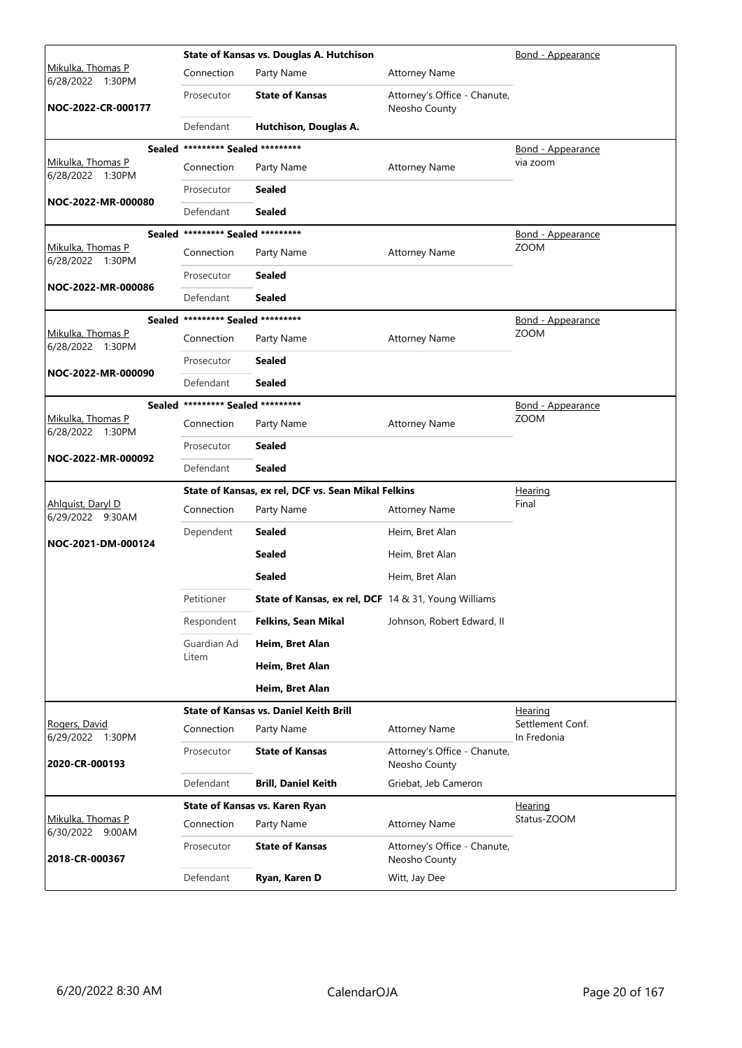|                                       |                                   | State of Kansas vs. Douglas A. Hutchison             |                                               | Bond - Appearance        |
|---------------------------------------|-----------------------------------|------------------------------------------------------|-----------------------------------------------|--------------------------|
| Mikulka, Thomas P<br>6/28/2022 1:30PM | Connection                        | Party Name                                           | <b>Attorney Name</b>                          |                          |
| NOC-2022-CR-000177                    | Prosecutor                        | <b>State of Kansas</b>                               | Attorney's Office - Chanute,<br>Neosho County |                          |
|                                       | Defendant                         | Hutchison, Douglas A.                                |                                               |                          |
|                                       | Sealed ********* Sealed ********* |                                                      |                                               | <u>Bond - Appearance</u> |
| Mikulka, Thomas P<br>6/28/2022 1:30PM | Connection                        | Party Name                                           | <b>Attorney Name</b>                          | via zoom                 |
|                                       | Prosecutor                        | <b>Sealed</b>                                        |                                               |                          |
| NOC-2022-MR-000080                    | Defendant                         | <b>Sealed</b>                                        |                                               |                          |
|                                       | Sealed ********* Sealed ********* |                                                      |                                               | <u>Bond - Appearance</u> |
| Mikulka, Thomas P<br>6/28/2022 1:30PM | Connection                        | Party Name                                           | <b>Attorney Name</b>                          | <b>ZOOM</b>              |
|                                       | Prosecutor                        | <b>Sealed</b>                                        |                                               |                          |
| NOC-2022-MR-000086                    | Defendant                         | Sealed                                               |                                               |                          |
|                                       | Sealed ********* Sealed ********* |                                                      |                                               | Bond - Appearance        |
| Mikulka, Thomas P<br>6/28/2022 1:30PM | Connection                        | Party Name                                           | <b>Attorney Name</b>                          | <b>ZOOM</b>              |
|                                       | Prosecutor                        | <b>Sealed</b>                                        |                                               |                          |
| NOC-2022-MR-000090                    | Defendant                         | <b>Sealed</b>                                        |                                               |                          |
|                                       | Sealed ********* Sealed ********* |                                                      |                                               | Bond - Appearance        |
| Mikulka, Thomas P<br>6/28/2022 1:30PM | Connection                        | Party Name                                           | <b>Attorney Name</b>                          | <b>ZOOM</b>              |
|                                       | Prosecutor                        | <b>Sealed</b>                                        |                                               |                          |
| NOC-2022-MR-000092                    | Defendant                         | <b>Sealed</b>                                        |                                               |                          |
|                                       |                                   |                                                      |                                               | <u>Hearing</u>           |
|                                       |                                   | State of Kansas, ex rel, DCF vs. Sean Mikal Felkins  |                                               |                          |
| <u>Ahlquist, Daryl D</u>              | Connection                        | Party Name                                           | <b>Attorney Name</b>                          | Final                    |
| 6/29/2022 9:30AM                      | Dependent                         | <b>Sealed</b>                                        | Heim, Bret Alan                               |                          |
| NOC-2021-DM-000124                    |                                   | <b>Sealed</b>                                        | Heim, Bret Alan                               |                          |
|                                       |                                   | <b>Sealed</b>                                        | Heim, Bret Alan                               |                          |
|                                       | Petitioner                        | State of Kansas, ex rel, DCF 14 & 31, Young Williams |                                               |                          |
|                                       | Respondent                        | <b>Felkins, Sean Mikal</b>                           | Johnson, Robert Edward, II                    |                          |
|                                       | Guardian Ad                       | Heim, Bret Alan                                      |                                               |                          |
|                                       | Litem                             | Heim, Bret Alan                                      |                                               |                          |
|                                       |                                   | Heim, Bret Alan                                      |                                               |                          |
|                                       |                                   | <b>State of Kansas vs. Daniel Keith Brill</b>        |                                               | <u>Hearing</u>           |
| Rogers, David                         | Connection                        | Party Name                                           | <b>Attorney Name</b>                          | Settlement Conf.         |
| 6/29/2022 1:30PM<br>2020-CR-000193    | Prosecutor                        | <b>State of Kansas</b>                               | Attorney's Office - Chanute,<br>Neosho County | In Fredonia              |
|                                       | Defendant                         | <b>Brill, Daniel Keith</b>                           | Griebat, Jeb Cameron                          |                          |
|                                       |                                   | State of Kansas vs. Karen Ryan                       |                                               | Hearing                  |
| Mikulka, Thomas P<br>6/30/2022 9:00AM | Connection                        | Party Name                                           | <b>Attorney Name</b>                          | Status-ZOOM              |
| 2018-CR-000367                        | Prosecutor                        | <b>State of Kansas</b>                               | Attorney's Office - Chanute,<br>Neosho County |                          |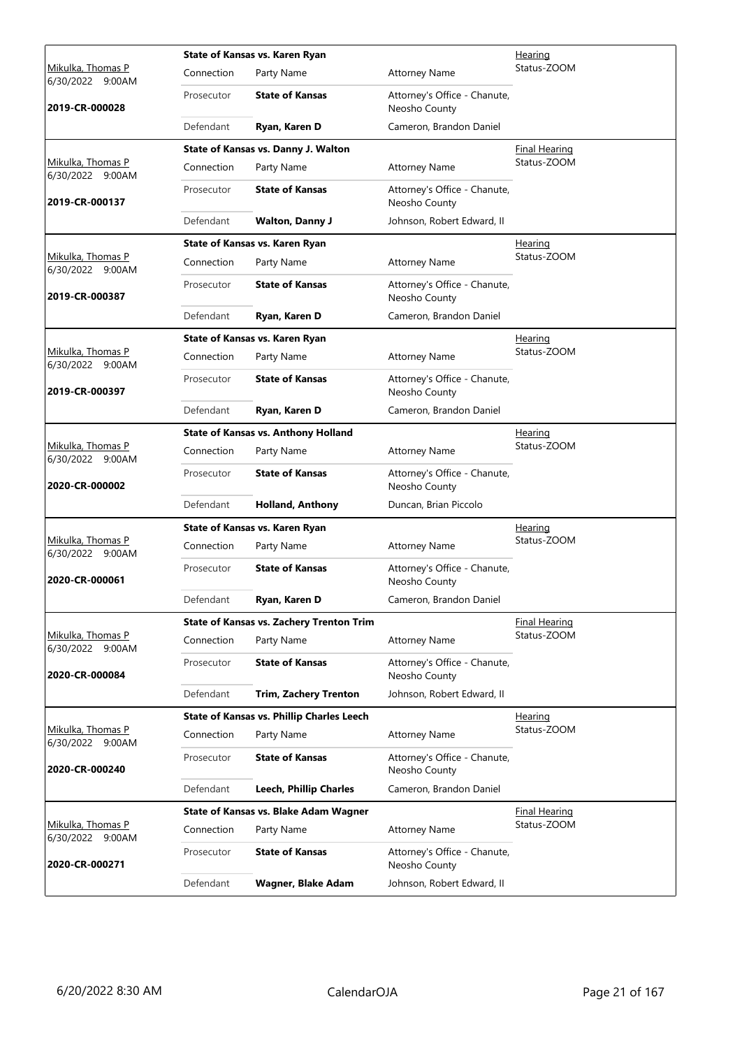|                                                 |            | State of Kansas vs. Karen Ryan                   |                                               | Hearing              |  |  |
|-------------------------------------------------|------------|--------------------------------------------------|-----------------------------------------------|----------------------|--|--|
| Mikulka, Thomas P<br>6/30/2022 9:00AM           | Connection | Party Name                                       | <b>Attorney Name</b>                          | Status-ZOOM          |  |  |
| 2019-CR-000028                                  | Prosecutor | <b>State of Kansas</b>                           | Attorney's Office - Chanute,<br>Neosho County |                      |  |  |
|                                                 | Defendant  | Ryan, Karen D                                    | Cameron, Brandon Daniel                       |                      |  |  |
|                                                 |            | State of Kansas vs. Danny J. Walton              |                                               | <b>Final Hearing</b> |  |  |
| Mikulka, Thomas P<br>6/30/2022 9:00AM           | Connection | Party Name                                       | <b>Attorney Name</b>                          | Status-ZOOM          |  |  |
| 2019-CR-000137                                  | Prosecutor | <b>State of Kansas</b>                           | Attorney's Office - Chanute,<br>Neosho County |                      |  |  |
|                                                 | Defendant  | <b>Walton, Danny J</b>                           | Johnson, Robert Edward, II                    |                      |  |  |
|                                                 |            | State of Kansas vs. Karen Ryan                   |                                               | Hearing              |  |  |
| Mikulka, Thomas P<br>6/30/2022 9:00AM           | Connection | Party Name                                       | <b>Attorney Name</b>                          | Status-ZOOM          |  |  |
| 2019-CR-000387                                  | Prosecutor | <b>State of Kansas</b>                           | Attorney's Office - Chanute,<br>Neosho County |                      |  |  |
|                                                 | Defendant  | Ryan, Karen D                                    | Cameron, Brandon Daniel                       |                      |  |  |
|                                                 |            | State of Kansas vs. Karen Ryan                   |                                               | Hearing              |  |  |
| <u>Mikulka, Thomas P</u><br>6/30/2022 9:00AM    | Connection | Party Name                                       | <b>Attorney Name</b>                          | Status-ZOOM          |  |  |
| 2019-CR-000397                                  | Prosecutor | <b>State of Kansas</b>                           | Attorney's Office - Chanute,<br>Neosho County |                      |  |  |
|                                                 | Defendant  | Ryan, Karen D                                    | Cameron, Brandon Daniel                       |                      |  |  |
|                                                 |            | <b>State of Kansas vs. Anthony Holland</b>       |                                               | Hearing              |  |  |
| Mikulka, Thomas P<br>6/30/2022 9:00AM           | Connection | Party Name                                       | <b>Attorney Name</b>                          | Status-ZOOM          |  |  |
| 2020-CR-000002                                  | Prosecutor | <b>State of Kansas</b>                           | Attorney's Office - Chanute,<br>Neosho County |                      |  |  |
|                                                 | Defendant  | <b>Holland, Anthony</b>                          | Duncan, Brian Piccolo                         |                      |  |  |
|                                                 |            | State of Kansas vs. Karen Ryan                   |                                               | <b>Hearing</b>       |  |  |
| Mikulka, Thomas P<br>6/30/2022 9:00AM           | Connection | Party Name                                       | <b>Attorney Name</b>                          | Status-ZOOM          |  |  |
| 2020-CR-000061                                  | Prosecutor | <b>State of Kansas</b>                           | Attorney's Office - Chanute,<br>Neosho County |                      |  |  |
|                                                 | Defendant  | Ryan, Karen D                                    | Cameron, Brandon Daniel                       |                      |  |  |
|                                                 |            | <b>State of Kansas vs. Zachery Trenton Trim</b>  |                                               | Final Hearing        |  |  |
| Mikulka, Thomas P<br>6/30/2022 9:00AM           | Connection | Party Name                                       | <b>Attorney Name</b>                          | Status-ZOOM          |  |  |
| 2020-CR-000084                                  | Prosecutor | <b>State of Kansas</b>                           | Attorney's Office - Chanute,<br>Neosho County |                      |  |  |
|                                                 | Defendant  | <b>Trim, Zachery Trenton</b>                     | Johnson, Robert Edward, II                    |                      |  |  |
|                                                 |            | <b>State of Kansas vs. Phillip Charles Leech</b> |                                               | Hearing              |  |  |
| Mikulka, Thomas P<br>6/30/2022 9:00AM           | Connection | Party Name                                       | <b>Attorney Name</b>                          | Status-ZOOM          |  |  |
| 2020-CR-000240                                  | Prosecutor | <b>State of Kansas</b>                           | Attorney's Office - Chanute,<br>Neosho County |                      |  |  |
|                                                 | Defendant  | <b>Leech, Phillip Charles</b>                    | Cameron, Brandon Daniel                       |                      |  |  |
|                                                 |            | State of Kansas vs. Blake Adam Wagner            |                                               | <b>Final Hearing</b> |  |  |
| <u>Mikulka, Thomas P</u><br>6/30/2022<br>9:00AM | Connection | Party Name                                       | <b>Attorney Name</b>                          | Status-ZOOM          |  |  |
| 2020-CR-000271                                  | Prosecutor | <b>State of Kansas</b>                           | Attorney's Office - Chanute,<br>Neosho County |                      |  |  |
|                                                 | Defendant  | Wagner, Blake Adam                               | Johnson, Robert Edward, II                    |                      |  |  |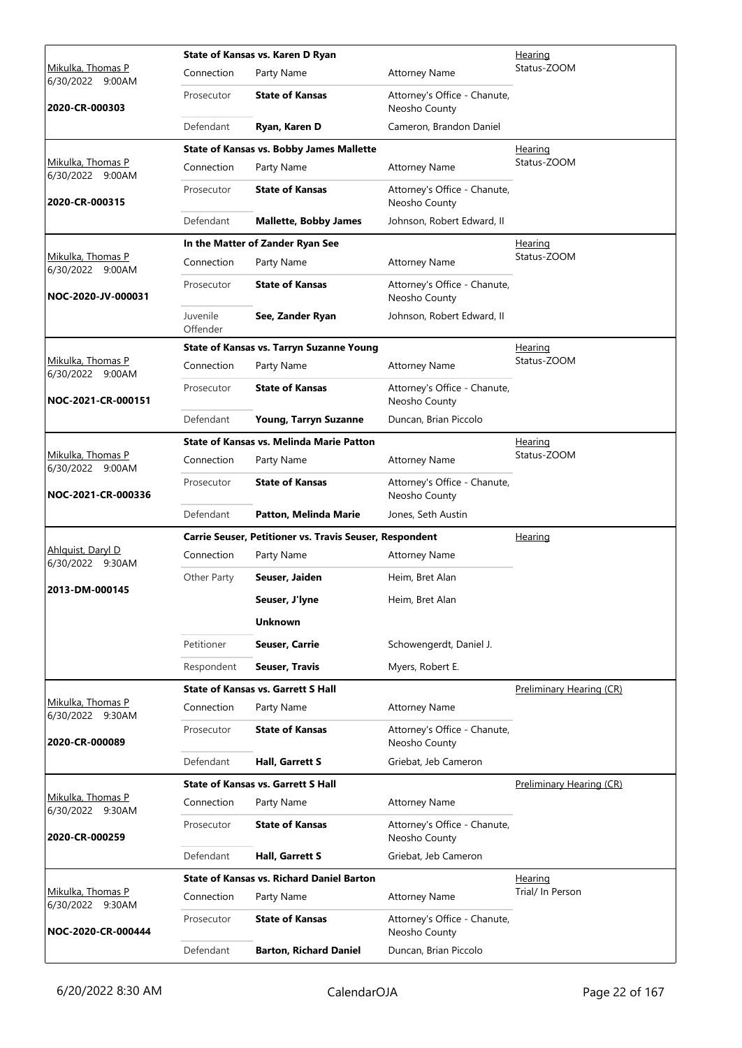|                                          |                      | State of Kansas vs. Karen D Ryan                        |                                               | Hearing                  |
|------------------------------------------|----------------------|---------------------------------------------------------|-----------------------------------------------|--------------------------|
| Mikulka, Thomas P<br>6/30/2022 9:00AM    | Connection           | Party Name                                              | <b>Attorney Name</b>                          | Status-ZOOM              |
| 2020-CR-000303                           | Prosecutor           | <b>State of Kansas</b>                                  | Attorney's Office - Chanute,<br>Neosho County |                          |
|                                          | Defendant            | Ryan, Karen D                                           | Cameron, Brandon Daniel                       |                          |
|                                          |                      | <b>State of Kansas vs. Bobby James Mallette</b>         |                                               | Hearing                  |
| Mikulka, Thomas P<br>6/30/2022 9:00AM    | Connection           | Party Name                                              | <b>Attorney Name</b>                          | Status-ZOOM              |
| 2020-CR-000315                           | Prosecutor           | <b>State of Kansas</b>                                  | Attorney's Office - Chanute,<br>Neosho County |                          |
|                                          | Defendant            | <b>Mallette, Bobby James</b>                            | Johnson, Robert Edward, II                    |                          |
|                                          |                      | In the Matter of Zander Ryan See                        |                                               | <b>Hearing</b>           |
| Mikulka, Thomas P<br>6/30/2022 9:00AM    | Connection           | Party Name                                              | <b>Attorney Name</b>                          | Status-ZOOM              |
| NOC-2020-JV-000031                       | Prosecutor           | <b>State of Kansas</b>                                  | Attorney's Office - Chanute,<br>Neosho County |                          |
|                                          | Juvenile<br>Offender | See, Zander Ryan                                        | Johnson, Robert Edward, II                    |                          |
|                                          |                      | <b>State of Kansas vs. Tarryn Suzanne Young</b>         |                                               | <u>Hearing</u>           |
| Mikulka, Thomas P<br>6/30/2022 9:00AM    | Connection           | Party Name                                              | <b>Attorney Name</b>                          | Status-ZOOM              |
| NOC-2021-CR-000151                       | Prosecutor           | <b>State of Kansas</b>                                  | Attorney's Office - Chanute,<br>Neosho County |                          |
|                                          | Defendant            | Young, Tarryn Suzanne                                   | Duncan, Brian Piccolo                         |                          |
|                                          |                      | <b>State of Kansas vs. Melinda Marie Patton</b>         |                                               | <u>Hearing</u>           |
| Mikulka, Thomas P<br>6/30/2022 9:00AM    | Connection           | Party Name                                              | <b>Attorney Name</b>                          | Status-ZOOM              |
| NOC-2021-CR-000336                       | Prosecutor           | <b>State of Kansas</b>                                  | Attorney's Office - Chanute,<br>Neosho County |                          |
|                                          | Defendant            | Patton, Melinda Marie                                   | Jones, Seth Austin                            |                          |
|                                          |                      | Carrie Seuser, Petitioner vs. Travis Seuser, Respondent |                                               | Hearing                  |
| Ahlquist, Daryl D<br>6/30/2022 9:30AM    | Connection           | Party Name                                              | <b>Attorney Name</b>                          |                          |
|                                          | Other Party          | Seuser, Jaiden                                          | Heim, Bret Alan                               |                          |
| 2013-DM-000145                           |                      | Seuser, J'lyne                                          | Heim, Bret Alan                               |                          |
|                                          |                      | <b>Unknown</b>                                          |                                               |                          |
|                                          | Petitioner           | Seuser, Carrie                                          | Schowengerdt, Daniel J.                       |                          |
|                                          | Respondent           | <b>Seuser, Travis</b>                                   | Myers, Robert E.                              |                          |
|                                          |                      | <b>State of Kansas vs. Garrett S Hall</b>               |                                               | Preliminary Hearing (CR) |
| Mikulka, Thomas P<br>6/30/2022<br>9:30AM | Connection           | Party Name                                              | <b>Attorney Name</b>                          |                          |
| 2020-CR-000089                           | Prosecutor           | <b>State of Kansas</b>                                  | Attorney's Office - Chanute,<br>Neosho County |                          |
|                                          | Defendant            |                                                         | Griebat, Jeb Cameron                          |                          |
|                                          |                      | Hall, Garrett S                                         |                                               |                          |
|                                          |                      | <b>State of Kansas vs. Garrett S Hall</b>               |                                               | Preliminary Hearing (CR) |
| Mikulka, Thomas P                        | Connection           | Party Name                                              | <b>Attorney Name</b>                          |                          |
| 6/30/2022 9:30AM<br>2020-CR-000259       | Prosecutor           | <b>State of Kansas</b>                                  | Attorney's Office - Chanute,<br>Neosho County |                          |
|                                          | Defendant            | <b>Hall, Garrett S</b>                                  | Griebat, Jeb Cameron                          |                          |
|                                          |                      | <b>State of Kansas vs. Richard Daniel Barton</b>        |                                               | <b>Hearing</b>           |
| Mikulka, Thomas P                        | Connection           | Party Name                                              | <b>Attorney Name</b>                          | Trial/ In Person         |
| 6/30/2022 9:30AM<br>NOC-2020-CR-000444   | Prosecutor           | <b>State of Kansas</b>                                  | Attorney's Office - Chanute,<br>Neosho County |                          |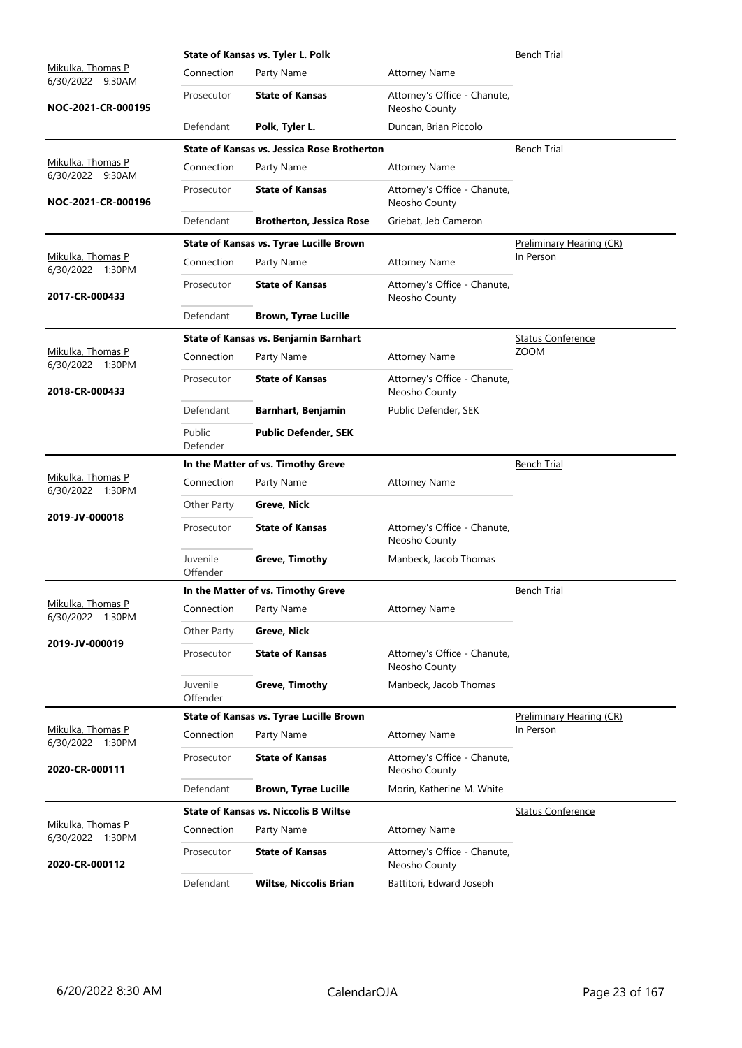|                                                 |                      | State of Kansas vs. Tyler L. Polk                  |                                               | <b>Bench Trial</b>       |
|-------------------------------------------------|----------------------|----------------------------------------------------|-----------------------------------------------|--------------------------|
| <u>Mikulka, Thomas P</u><br>6/30/2022<br>9:30AM | Connection           | Party Name                                         | <b>Attorney Name</b>                          |                          |
| NOC-2021-CR-000195                              | Prosecutor           | <b>State of Kansas</b>                             | Attorney's Office - Chanute,<br>Neosho County |                          |
|                                                 | Defendant            | Polk, Tyler L.                                     | Duncan, Brian Piccolo                         |                          |
|                                                 |                      | <b>State of Kansas vs. Jessica Rose Brotherton</b> |                                               | <b>Bench Trial</b>       |
| Mikulka, Thomas P<br>6/30/2022 9:30AM           | Connection           | Party Name                                         | <b>Attorney Name</b>                          |                          |
| NOC-2021-CR-000196                              | Prosecutor           | <b>State of Kansas</b>                             | Attorney's Office - Chanute,<br>Neosho County |                          |
|                                                 | Defendant            | <b>Brotherton, Jessica Rose</b>                    | Griebat, Jeb Cameron                          |                          |
|                                                 |                      | State of Kansas vs. Tyrae Lucille Brown            |                                               | Preliminary Hearing (CR) |
| Mikulka, Thomas P<br>6/30/2022 1:30PM           | Connection           | Party Name                                         | <b>Attorney Name</b>                          | In Person                |
| 2017-CR-000433                                  | Prosecutor           | <b>State of Kansas</b>                             | Attorney's Office - Chanute,<br>Neosho County |                          |
|                                                 | Defendant            | <b>Brown, Tyrae Lucille</b>                        |                                               |                          |
|                                                 |                      | State of Kansas vs. Benjamin Barnhart              |                                               | <b>Status Conference</b> |
| Mikulka, Thomas P<br>6/30/2022 1:30PM           | Connection           | Party Name                                         | <b>Attorney Name</b>                          | <b>ZOOM</b>              |
| 2018-CR-000433                                  | Prosecutor           | <b>State of Kansas</b>                             | Attorney's Office - Chanute,<br>Neosho County |                          |
|                                                 | Defendant            | Barnhart, Benjamin                                 | Public Defender, SEK                          |                          |
|                                                 | Public<br>Defender   | <b>Public Defender, SEK</b>                        |                                               |                          |
|                                                 |                      | In the Matter of vs. Timothy Greve                 |                                               | <b>Bench Trial</b>       |
| Mikulka, Thomas P<br>6/30/2022 1:30PM           | Connection           | Party Name                                         | <b>Attorney Name</b>                          |                          |
|                                                 | Other Party          | Greve, Nick                                        |                                               |                          |
| 2019-JV-000018                                  | Prosecutor           | <b>State of Kansas</b>                             | Attorney's Office - Chanute,<br>Neosho County |                          |
|                                                 | Juvenile<br>Offender | <b>Greve, Timothy</b>                              | Manbeck, Jacob Thomas                         |                          |
|                                                 |                      | In the Matter of vs. Timothy Greve                 |                                               | <b>Bench Trial</b>       |
| Mikulka, Thomas P<br>6/30/2022 1:30PM           | Connection           | Party Name                                         | <b>Attorney Name</b>                          |                          |
|                                                 | Other Party          | Greve, Nick                                        |                                               |                          |
| 2019-JV-000019                                  | Prosecutor           | <b>State of Kansas</b>                             | Attorney's Office - Chanute,<br>Neosho County |                          |
|                                                 | Juvenile<br>Offender | <b>Greve, Timothy</b>                              | Manbeck, Jacob Thomas                         |                          |
|                                                 |                      | State of Kansas vs. Tyrae Lucille Brown            |                                               | Preliminary Hearing (CR) |
| Mikulka, Thomas P<br>6/30/2022 1:30PM           | Connection           | Party Name                                         | <b>Attorney Name</b>                          | In Person                |
| 2020-CR-000111                                  | Prosecutor           | <b>State of Kansas</b>                             | Attorney's Office - Chanute,<br>Neosho County |                          |
|                                                 | Defendant            | <b>Brown, Tyrae Lucille</b>                        | Morin, Katherine M. White                     |                          |
|                                                 |                      | <b>State of Kansas vs. Niccolis B Wiltse</b>       |                                               | <b>Status Conference</b> |
| Mikulka, Thomas P<br>6/30/2022 1:30PM           | Connection           | Party Name                                         | <b>Attorney Name</b>                          |                          |
| 2020-CR-000112                                  | Prosecutor           | <b>State of Kansas</b>                             | Attorney's Office - Chanute,<br>Neosho County |                          |
|                                                 | Defendant            | <b>Wiltse, Niccolis Brian</b>                      | Battitori, Edward Joseph                      |                          |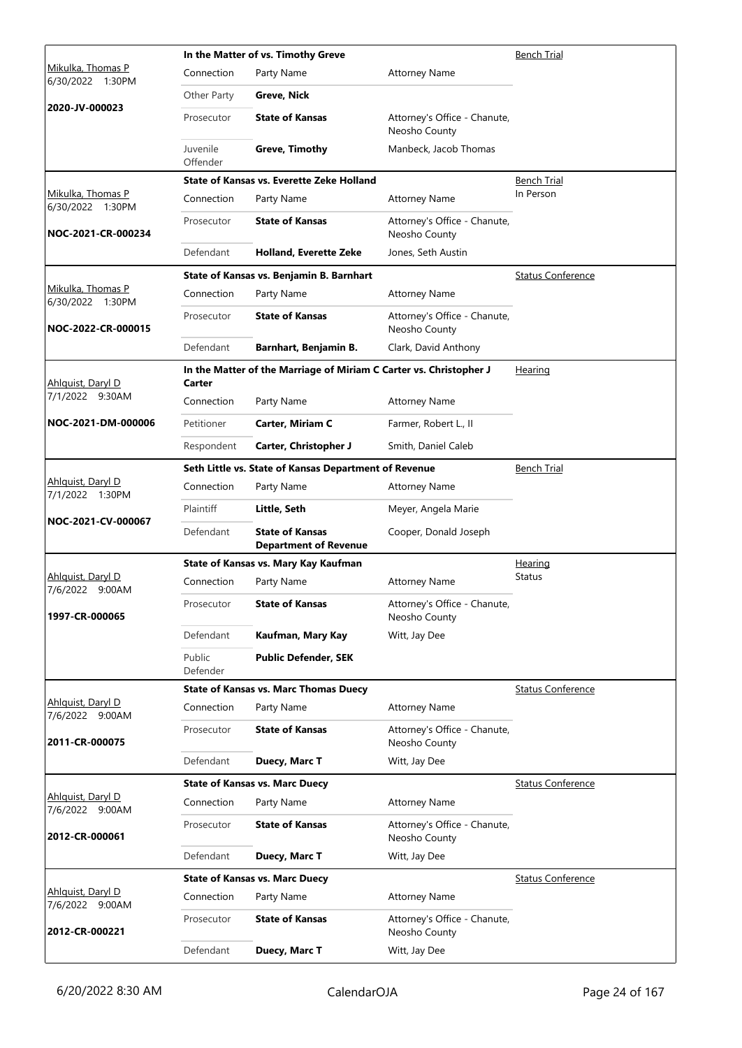|                                       | In the Matter of vs. Timothy Greve |                                                                    |                                               |                          |  |
|---------------------------------------|------------------------------------|--------------------------------------------------------------------|-----------------------------------------------|--------------------------|--|
| Mikulka, Thomas P<br>6/30/2022 1:30PM | Connection                         | Party Name                                                         | <b>Attorney Name</b>                          |                          |  |
|                                       | Other Party                        | Greve, Nick                                                        |                                               |                          |  |
| 2020-JV-000023                        | Prosecutor                         | <b>State of Kansas</b>                                             | Attorney's Office - Chanute,<br>Neosho County |                          |  |
|                                       | Juvenile<br>Offender               | <b>Greve, Timothy</b>                                              | Manbeck, Jacob Thomas                         |                          |  |
|                                       |                                    | State of Kansas vs. Everette Zeke Holland                          |                                               | Bench Trial              |  |
| Mikulka, Thomas P<br>6/30/2022 1:30PM | Connection                         | Party Name                                                         | <b>Attorney Name</b>                          | In Person                |  |
| NOC-2021-CR-000234                    | Prosecutor                         | <b>State of Kansas</b>                                             | Attorney's Office - Chanute,<br>Neosho County |                          |  |
|                                       | Defendant                          | <b>Holland, Everette Zeke</b>                                      | Jones, Seth Austin                            |                          |  |
|                                       |                                    | State of Kansas vs. Benjamin B. Barnhart                           |                                               | <b>Status Conference</b> |  |
| Mikulka, Thomas P<br>6/30/2022 1:30PM | Connection                         | Party Name                                                         | <b>Attorney Name</b>                          |                          |  |
| NOC-2022-CR-000015                    | Prosecutor                         | <b>State of Kansas</b>                                             | Attorney's Office - Chanute,<br>Neosho County |                          |  |
|                                       | Defendant                          | Barnhart, Benjamin B.                                              | Clark, David Anthony                          |                          |  |
| Ahlquist, Daryl D                     | Carter                             | In the Matter of the Marriage of Miriam C Carter vs. Christopher J |                                               | <b>Hearing</b>           |  |
| 7/1/2022 9:30AM                       | Connection                         | Party Name                                                         | <b>Attorney Name</b>                          |                          |  |
| NOC-2021-DM-000006                    | Petitioner                         | Carter, Miriam C                                                   | Farmer, Robert L., II                         |                          |  |
|                                       | Respondent                         | Carter, Christopher J                                              | Smith, Daniel Caleb                           |                          |  |
|                                       |                                    | Seth Little vs. State of Kansas Department of Revenue              |                                               | <b>Bench Trial</b>       |  |
| Ahlquist, Daryl D<br>7/1/2022 1:30PM  | Connection                         | Party Name                                                         | <b>Attorney Name</b>                          |                          |  |
|                                       | Plaintiff                          | Little, Seth                                                       | Meyer, Angela Marie                           |                          |  |
| NOC-2021-CV-000067                    | Defendant                          | <b>State of Kansas</b><br><b>Department of Revenue</b>             | Cooper, Donald Joseph                         |                          |  |
|                                       |                                    | State of Kansas vs. Mary Kay Kaufman                               |                                               | Hearing                  |  |
| Ahlquist, Daryl D<br>7/6/2022 9:00AM  | Connection                         | Party Name                                                         | <b>Attorney Name</b>                          | <b>Status</b>            |  |
| 1997-CR-000065                        | Prosecutor                         | <b>State of Kansas</b>                                             | Attorney's Office - Chanute,<br>Neosho County |                          |  |
|                                       | Defendant                          | Kaufman, Mary Kay                                                  | Witt, Jay Dee                                 |                          |  |
|                                       | Public<br>Defender                 | <b>Public Defender, SEK</b>                                        |                                               |                          |  |
|                                       |                                    | <b>State of Kansas vs. Marc Thomas Duecy</b>                       |                                               | <b>Status Conference</b> |  |
| Ahlquist, Daryl D<br>7/6/2022 9:00AM  | Connection                         | Party Name                                                         | <b>Attorney Name</b>                          |                          |  |
| 2011-CR-000075                        | Prosecutor                         | <b>State of Kansas</b>                                             | Attorney's Office - Chanute,<br>Neosho County |                          |  |
|                                       | Defendant                          | Duecy, Marc T                                                      | Witt, Jay Dee                                 |                          |  |
|                                       |                                    | <b>State of Kansas vs. Marc Duecy</b>                              |                                               | <b>Status Conference</b> |  |
| Ahlquist, Daryl D<br>7/6/2022 9:00AM  | Connection                         | Party Name                                                         | <b>Attorney Name</b>                          |                          |  |
| 2012-CR-000061                        | Prosecutor                         | <b>State of Kansas</b>                                             | Attorney's Office - Chanute,<br>Neosho County |                          |  |
|                                       | Defendant                          | Duecy, Marc T                                                      | Witt, Jay Dee                                 |                          |  |
|                                       |                                    | <b>State of Kansas vs. Marc Duecy</b>                              |                                               | <b>Status Conference</b> |  |
| Ahlguist, Daryl D<br>7/6/2022 9:00AM  | Connection                         | Party Name                                                         | <b>Attorney Name</b>                          |                          |  |
| 2012-CR-000221                        | Prosecutor                         | <b>State of Kansas</b>                                             | Attorney's Office - Chanute,<br>Neosho County |                          |  |
|                                       | Defendant                          | Duecy, Marc T                                                      | Witt, Jay Dee                                 |                          |  |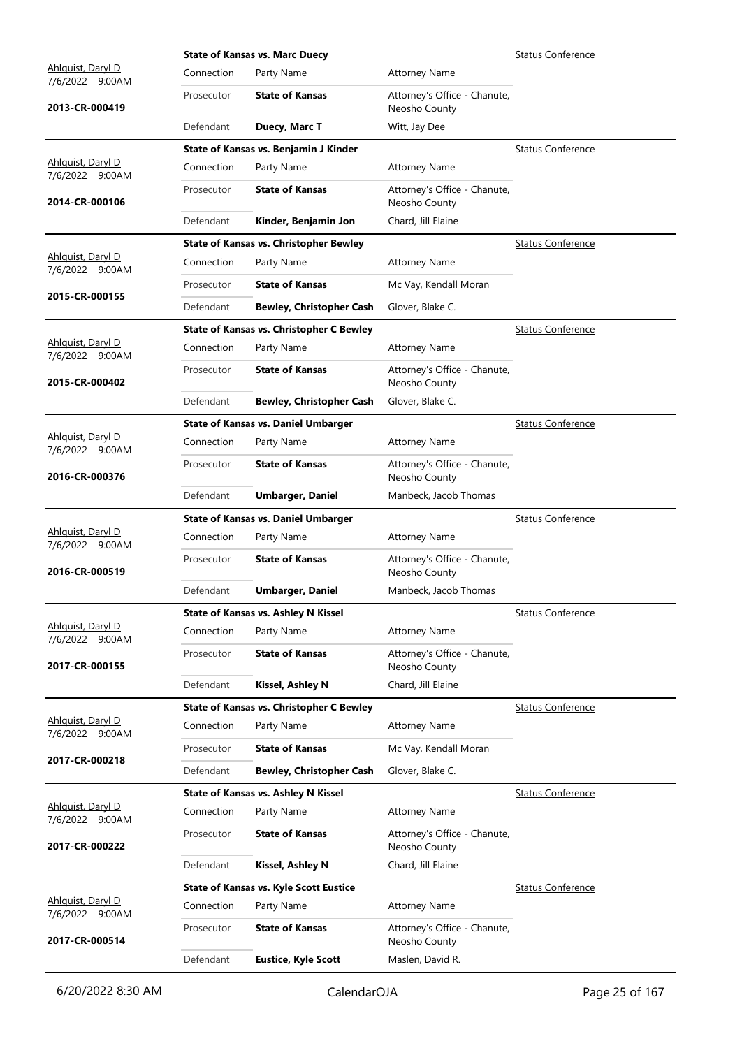|                                             |            | <b>State of Kansas vs. Marc Duecy</b>           |                                               | <b>Status Conference</b> |
|---------------------------------------------|------------|-------------------------------------------------|-----------------------------------------------|--------------------------|
| Ahlguist, Daryl D<br>7/6/2022 9:00AM        | Connection | Party Name                                      | <b>Attorney Name</b>                          |                          |
| 2013-CR-000419                              | Prosecutor | <b>State of Kansas</b>                          | Attorney's Office - Chanute,<br>Neosho County |                          |
|                                             | Defendant  | Duecy, Marc T                                   | Witt, Jay Dee                                 |                          |
|                                             |            | State of Kansas vs. Benjamin J Kinder           |                                               | <b>Status Conference</b> |
| Ahlquist, Daryl D<br>7/6/2022 9:00AM        | Connection | Party Name                                      | <b>Attorney Name</b>                          |                          |
| 2014-CR-000106                              | Prosecutor | <b>State of Kansas</b>                          | Attorney's Office - Chanute,<br>Neosho County |                          |
|                                             | Defendant  | Kinder, Benjamin Jon                            | Chard, Jill Elaine                            |                          |
|                                             |            | <b>State of Kansas vs. Christopher Bewley</b>   |                                               | <b>Status Conference</b> |
| Ahlquist, Daryl D<br>7/6/2022 9:00AM        | Connection | Party Name                                      | <b>Attorney Name</b>                          |                          |
|                                             | Prosecutor | <b>State of Kansas</b>                          | Mc Vay, Kendall Moran                         |                          |
| 2015-CR-000155                              | Defendant  | <b>Bewley, Christopher Cash</b>                 | Glover, Blake C.                              |                          |
|                                             |            | <b>State of Kansas vs. Christopher C Bewley</b> |                                               | <b>Status Conference</b> |
| Ahlquist, Daryl D<br>7/6/2022 9:00AM        | Connection | Party Name                                      | <b>Attorney Name</b>                          |                          |
| 2015-CR-000402                              | Prosecutor | <b>State of Kansas</b>                          | Attorney's Office - Chanute,<br>Neosho County |                          |
|                                             | Defendant  | <b>Bewley, Christopher Cash</b>                 | Glover, Blake C.                              |                          |
|                                             |            | <b>State of Kansas vs. Daniel Umbarger</b>      |                                               | <b>Status Conference</b> |
| Ahlguist, Daryl D<br>7/6/2022 9:00AM        | Connection | Party Name                                      | <b>Attorney Name</b>                          |                          |
| 2016-CR-000376                              | Prosecutor | <b>State of Kansas</b>                          | Attorney's Office - Chanute,<br>Neosho County |                          |
|                                             | Defendant  | <b>Umbarger, Daniel</b>                         | Manbeck, Jacob Thomas                         |                          |
|                                             |            |                                                 |                                               |                          |
|                                             |            | <b>State of Kansas vs. Daniel Umbarger</b>      |                                               | <b>Status Conference</b> |
| Ahlguist, Daryl D<br>7/6/2022 9:00AM        | Connection | Party Name                                      | <b>Attorney Name</b>                          |                          |
| 2016-CR-000519                              | Prosecutor | <b>State of Kansas</b>                          | Attorney's Office - Chanute,<br>Neosho County |                          |
|                                             | Defendant  | <b>Umbarger, Daniel</b>                         | Manbeck, Jacob Thomas                         |                          |
|                                             |            | <b>State of Kansas vs. Ashley N Kissel</b>      |                                               | <b>Status Conference</b> |
| Ahlquist, Daryl D<br>7/6/2022 9:00AM        | Connection | Party Name                                      | <b>Attorney Name</b>                          |                          |
| 2017-CR-000155                              | Prosecutor | <b>State of Kansas</b>                          | Attorney's Office - Chanute,<br>Neosho County |                          |
|                                             | Defendant  | Kissel, Ashley N                                | Chard, Jill Elaine                            |                          |
|                                             |            | <b>State of Kansas vs. Christopher C Bewley</b> |                                               | <b>Status Conference</b> |
| Ahlguist, Daryl D<br>7/6/2022 9:00AM        | Connection | Party Name                                      | <b>Attorney Name</b>                          |                          |
|                                             | Prosecutor | <b>State of Kansas</b>                          | Mc Vay, Kendall Moran                         |                          |
| 2017-CR-000218                              | Defendant  | <b>Bewley, Christopher Cash</b>                 | Glover, Blake C.                              |                          |
|                                             |            | <b>State of Kansas vs. Ashley N Kissel</b>      |                                               | <b>Status Conference</b> |
| Ahlguist, Daryl D<br>7/6/2022 9:00AM        | Connection | Party Name                                      | <b>Attorney Name</b>                          |                          |
| 2017-CR-000222                              | Prosecutor | <b>State of Kansas</b>                          | Attorney's Office - Chanute,<br>Neosho County |                          |
|                                             | Defendant  | Kissel, Ashley N                                | Chard, Jill Elaine                            |                          |
|                                             |            | <b>State of Kansas vs. Kyle Scott Eustice</b>   |                                               | <b>Status Conference</b> |
| <u>Ahlquist, Daryl D</u><br>7/6/2022 9:00AM | Connection | Party Name                                      | <b>Attorney Name</b>                          |                          |
| 2017-CR-000514                              | Prosecutor | <b>State of Kansas</b>                          | Attorney's Office - Chanute,<br>Neosho County |                          |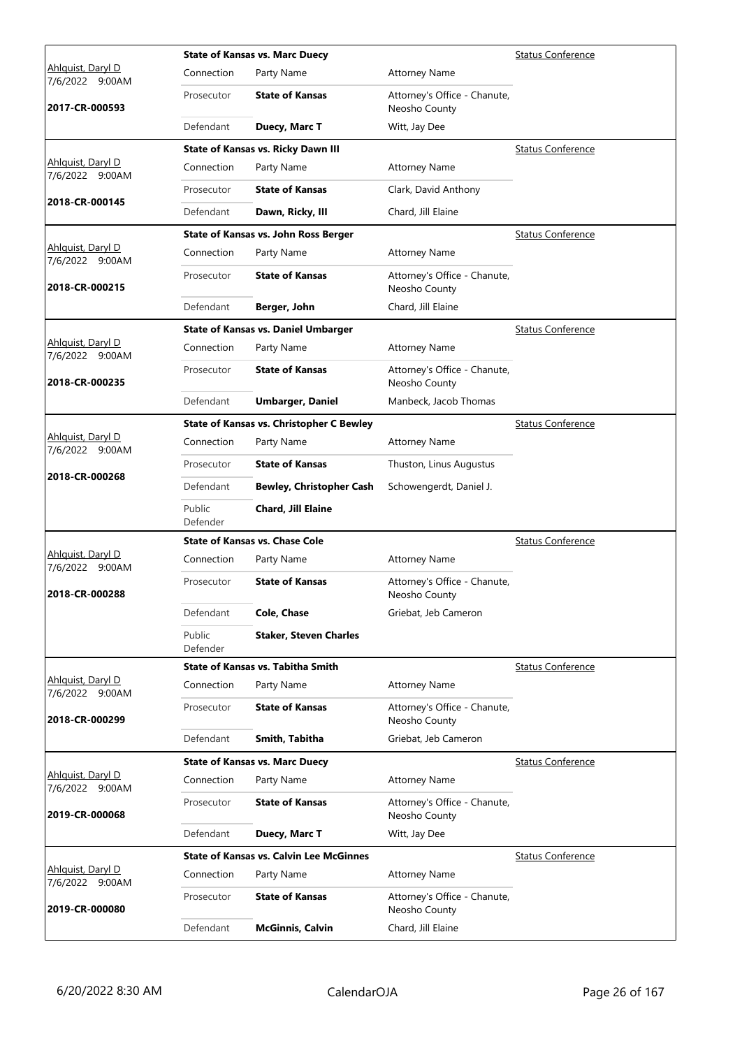|                                             |                    | <b>State of Kansas vs. Marc Duecy</b>           |                                               | <b>Status Conference</b> |
|---------------------------------------------|--------------------|-------------------------------------------------|-----------------------------------------------|--------------------------|
| Ahlguist, Daryl D<br>7/6/2022 9:00AM        | Connection         | Party Name                                      | <b>Attorney Name</b>                          |                          |
| 2017-CR-000593                              | Prosecutor         | <b>State of Kansas</b>                          | Attorney's Office - Chanute,<br>Neosho County |                          |
|                                             | Defendant          | Duecy, Marc T                                   | Witt, Jay Dee                                 |                          |
|                                             |                    | <b>State of Kansas vs. Ricky Dawn III</b>       |                                               | <b>Status Conference</b> |
| Ahlquist, Daryl D<br>7/6/2022 9:00AM        | Connection         | Party Name                                      | <b>Attorney Name</b>                          |                          |
|                                             | Prosecutor         | <b>State of Kansas</b>                          | Clark, David Anthony                          |                          |
| 2018-CR-000145                              | Defendant          | Dawn, Ricky, III                                | Chard, Jill Elaine                            |                          |
|                                             |                    | State of Kansas vs. John Ross Berger            |                                               | <b>Status Conference</b> |
| Ahlquist, Daryl D<br>7/6/2022 9:00AM        | Connection         | Party Name                                      | <b>Attorney Name</b>                          |                          |
| 2018-CR-000215                              | Prosecutor         | <b>State of Kansas</b>                          | Attorney's Office - Chanute,<br>Neosho County |                          |
|                                             | Defendant          | Berger, John                                    | Chard, Jill Elaine                            |                          |
|                                             |                    | <b>State of Kansas vs. Daniel Umbarger</b>      |                                               | <b>Status Conference</b> |
| Ahlquist, Daryl D<br>7/6/2022 9:00AM        | Connection         | Party Name                                      | <b>Attorney Name</b>                          |                          |
| 2018-CR-000235                              | Prosecutor         | <b>State of Kansas</b>                          | Attorney's Office - Chanute,<br>Neosho County |                          |
|                                             | Defendant          | <b>Umbarger, Daniel</b>                         | Manbeck, Jacob Thomas                         |                          |
|                                             |                    | <b>State of Kansas vs. Christopher C Bewley</b> |                                               | <b>Status Conference</b> |
| Ahlguist, Daryl D<br>7/6/2022 9:00AM        | Connection         | Party Name                                      | <b>Attorney Name</b>                          |                          |
| 2018-CR-000268                              | Prosecutor         | <b>State of Kansas</b>                          | Thuston, Linus Augustus                       |                          |
|                                             | Defendant          | <b>Bewley, Christopher Cash</b>                 | Schowengerdt, Daniel J.                       |                          |
|                                             | Public<br>Defender | Chard, Jill Elaine                              |                                               |                          |
|                                             |                    | <b>State of Kansas vs. Chase Cole</b>           |                                               | <b>Status Conference</b> |
| Ahlquist, Daryl D<br>7/6/2022 9:00AM        | Connection         | Party Name                                      | <b>Attorney Name</b>                          |                          |
| 2018-CR-000288                              | Prosecutor         | <b>State of Kansas</b>                          | Attorney's Office - Chanute,<br>Neosho County |                          |
|                                             | Defendant          | <b>Cole, Chase</b>                              | Griebat, Jeb Cameron                          |                          |
|                                             | Public<br>Defender | <b>Staker, Steven Charles</b>                   |                                               |                          |
|                                             |                    | <b>State of Kansas vs. Tabitha Smith</b>        |                                               | <b>Status Conference</b> |
| Ahlquist, Daryl D<br>7/6/2022 9:00AM        | Connection         | Party Name                                      | <b>Attorney Name</b>                          |                          |
| 2018-CR-000299                              | Prosecutor         | <b>State of Kansas</b>                          | Attorney's Office - Chanute,<br>Neosho County |                          |
|                                             | Defendant          | Smith, Tabitha                                  | Griebat, Jeb Cameron                          |                          |
|                                             |                    | <b>State of Kansas vs. Marc Duecy</b>           |                                               | <b>Status Conference</b> |
| Ahlquist, Daryl D<br>7/6/2022 9:00AM        | Connection         | Party Name                                      | <b>Attorney Name</b>                          |                          |
| 2019-CR-000068                              | Prosecutor         | <b>State of Kansas</b>                          | Attorney's Office - Chanute,<br>Neosho County |                          |
|                                             | Defendant          | Duecy, Marc T                                   | Witt, Jay Dee                                 |                          |
|                                             |                    | <b>State of Kansas vs. Calvin Lee McGinnes</b>  |                                               | <b>Status Conference</b> |
| <u>Ahlquist, Daryl D</u><br>7/6/2022 9:00AM | Connection         | Party Name                                      | <b>Attorney Name</b>                          |                          |
| 2019-CR-000080                              | Prosecutor         | <b>State of Kansas</b>                          | Attorney's Office - Chanute,<br>Neosho County |                          |
|                                             | Defendant          | <b>McGinnis, Calvin</b>                         | Chard, Jill Elaine                            |                          |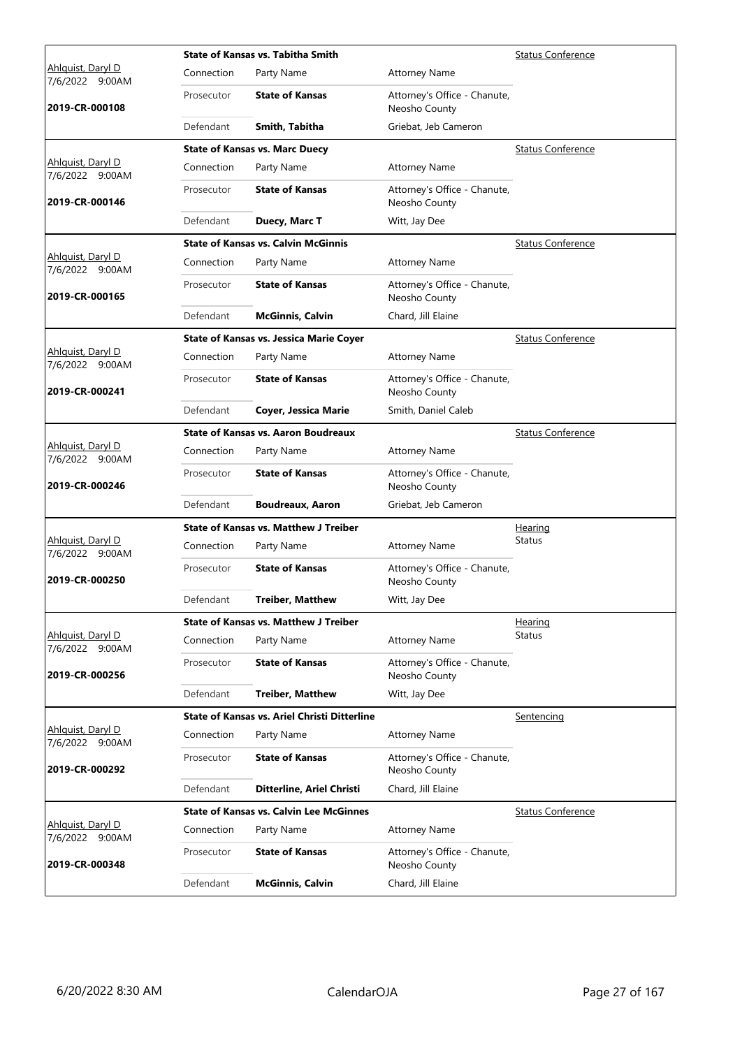|                                             |            | <b>State of Kansas vs. Tabitha Smith</b>            | <b>Status Conference</b>                      |                          |
|---------------------------------------------|------------|-----------------------------------------------------|-----------------------------------------------|--------------------------|
| Ahlguist, Daryl D<br>7/6/2022 9:00AM        | Connection | Party Name                                          | <b>Attorney Name</b>                          |                          |
| 2019-CR-000108                              | Prosecutor | <b>State of Kansas</b>                              | Attorney's Office - Chanute,<br>Neosho County |                          |
|                                             | Defendant  | Smith, Tabitha                                      | Griebat, Jeb Cameron                          |                          |
|                                             |            | <b>State of Kansas vs. Marc Duecy</b>               |                                               | <b>Status Conference</b> |
| Ahlquist, Daryl D<br>7/6/2022 9:00AM        | Connection | Party Name                                          | <b>Attorney Name</b>                          |                          |
| 2019-CR-000146                              | Prosecutor | <b>State of Kansas</b>                              | Attorney's Office - Chanute,<br>Neosho County |                          |
|                                             | Defendant  | Duecy, Marc T                                       | Witt, Jay Dee                                 |                          |
|                                             |            | <b>State of Kansas vs. Calvin McGinnis</b>          |                                               | <b>Status Conference</b> |
| Ahlquist, Daryl D<br>7/6/2022 9:00AM        | Connection | Party Name                                          | <b>Attorney Name</b>                          |                          |
| 2019-CR-000165                              | Prosecutor | <b>State of Kansas</b>                              | Attorney's Office - Chanute,<br>Neosho County |                          |
|                                             | Defendant  | <b>McGinnis, Calvin</b>                             | Chard, Jill Elaine                            |                          |
|                                             |            | <b>State of Kansas vs. Jessica Marie Coyer</b>      |                                               | <b>Status Conference</b> |
| Ahlguist, Daryl D<br>7/6/2022 9:00AM        | Connection | Party Name                                          | <b>Attorney Name</b>                          |                          |
| 2019-CR-000241                              | Prosecutor | <b>State of Kansas</b>                              | Attorney's Office - Chanute,<br>Neosho County |                          |
|                                             | Defendant  | <b>Coyer, Jessica Marie</b>                         | Smith, Daniel Caleb                           |                          |
|                                             |            | <b>State of Kansas vs. Aaron Boudreaux</b>          |                                               | <b>Status Conference</b> |
| Ahlquist, Daryl D<br>7/6/2022 9:00AM        | Connection | Party Name                                          | <b>Attorney Name</b>                          |                          |
| 2019-CR-000246                              | Prosecutor | <b>State of Kansas</b>                              | Attorney's Office - Chanute,<br>Neosho County |                          |
|                                             | Defendant  | <b>Boudreaux, Aaron</b>                             | Griebat, Jeb Cameron                          |                          |
|                                             |            | <b>State of Kansas vs. Matthew J Treiber</b>        |                                               | <u>Hearing</u>           |
| Ahlguist, Daryl D<br>7/6/2022 9:00AM        | Connection | Party Name                                          | <b>Attorney Name</b>                          | <b>Status</b>            |
| 2019-CR-000250                              | Prosecutor | <b>State of Kansas</b>                              | Attorney's Office - Chanute,<br>Neosho County |                          |
|                                             | Defendant  | <b>Treiber, Matthew</b>                             | Witt, Jay Dee                                 |                          |
|                                             |            | <b>State of Kansas vs. Matthew J Treiber</b>        |                                               | Hearing                  |
| Ahlquist, Daryl D<br>7/6/2022 9:00AM        | Connection | Party Name                                          | <b>Attorney Name</b>                          | Status                   |
| 2019-CR-000256                              | Prosecutor | <b>State of Kansas</b>                              | Attorney's Office - Chanute,<br>Neosho County |                          |
|                                             | Defendant  | <b>Treiber, Matthew</b>                             | Witt, Jay Dee                                 |                          |
|                                             |            | <b>State of Kansas vs. Ariel Christi Ditterline</b> |                                               | Sentencing               |
| Ahlquist, Daryl D<br>7/6/2022 9:00AM        | Connection | Party Name                                          | <b>Attorney Name</b>                          |                          |
| 2019-CR-000292                              | Prosecutor | <b>State of Kansas</b>                              | Attorney's Office - Chanute,<br>Neosho County |                          |
|                                             | Defendant  | Ditterline, Ariel Christi                           | Chard, Jill Elaine                            |                          |
|                                             |            | <b>State of Kansas vs. Calvin Lee McGinnes</b>      |                                               | <b>Status Conference</b> |
| <u>Ahlquist, Daryl D</u><br>7/6/2022 9:00AM | Connection | Party Name                                          | <b>Attorney Name</b>                          |                          |
| 2019-CR-000348                              | Prosecutor | <b>State of Kansas</b>                              | Attorney's Office - Chanute,<br>Neosho County |                          |
|                                             | Defendant  | <b>McGinnis, Calvin</b>                             | Chard, Jill Elaine                            |                          |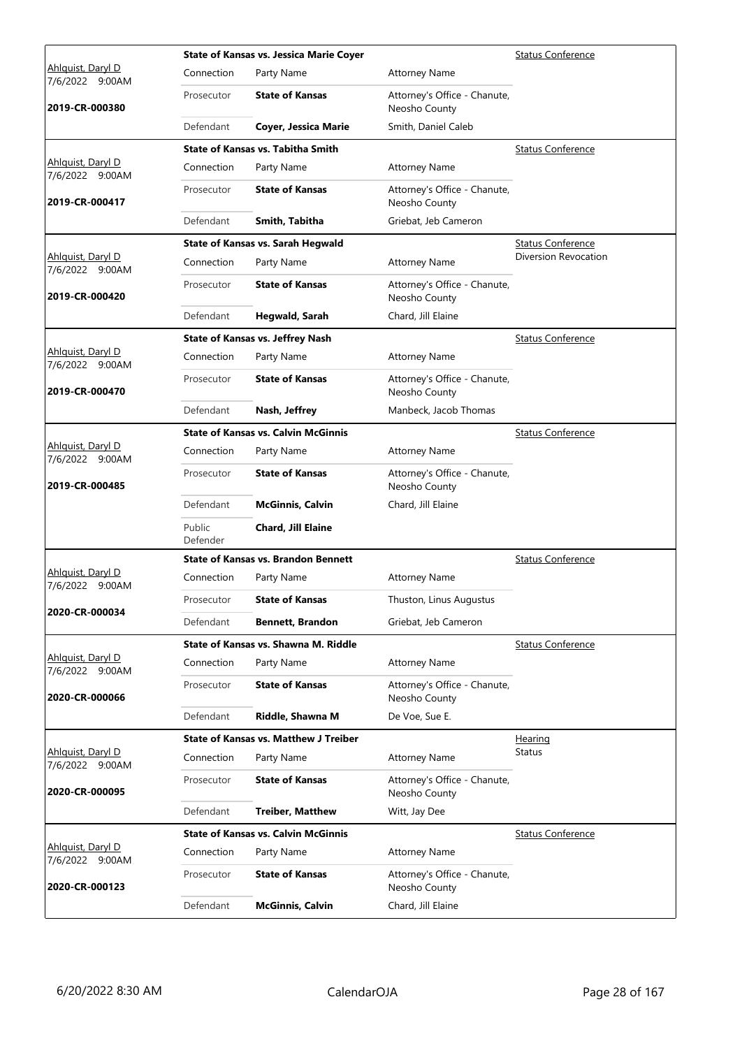|                                      |                    | <b>State of Kansas vs. Jessica Marie Coyer</b> | <b>Status Conference</b>                      |                          |
|--------------------------------------|--------------------|------------------------------------------------|-----------------------------------------------|--------------------------|
| Ahlguist, Daryl D<br>7/6/2022 9:00AM | Connection         | Party Name                                     | <b>Attorney Name</b>                          |                          |
| 2019-CR-000380                       | Prosecutor         | <b>State of Kansas</b>                         | Attorney's Office - Chanute,<br>Neosho County |                          |
|                                      | Defendant          | Coyer, Jessica Marie                           | Smith, Daniel Caleb                           |                          |
|                                      |                    | <b>State of Kansas vs. Tabitha Smith</b>       |                                               | <b>Status Conference</b> |
| Ahlquist, Daryl D<br>7/6/2022 9:00AM | Connection         | Party Name                                     | <b>Attorney Name</b>                          |                          |
| 2019-CR-000417                       | Prosecutor         | <b>State of Kansas</b>                         | Attorney's Office - Chanute,<br>Neosho County |                          |
|                                      | Defendant          | Smith, Tabitha                                 | Griebat, Jeb Cameron                          |                          |
|                                      |                    | State of Kansas vs. Sarah Hegwald              |                                               | <b>Status Conference</b> |
| Ahlquist, Daryl D<br>7/6/2022 9:00AM | Connection         | Party Name                                     | <b>Attorney Name</b>                          | Diversion Revocation     |
| 2019-CR-000420                       | Prosecutor         | <b>State of Kansas</b>                         | Attorney's Office - Chanute,<br>Neosho County |                          |
|                                      | Defendant          | Hegwald, Sarah                                 | Chard, Jill Elaine                            |                          |
|                                      |                    | <b>State of Kansas vs. Jeffrey Nash</b>        |                                               | <b>Status Conference</b> |
| Ahlguist, Daryl D<br>7/6/2022 9:00AM | Connection         | Party Name                                     | <b>Attorney Name</b>                          |                          |
| 2019-CR-000470                       | Prosecutor         | <b>State of Kansas</b>                         | Attorney's Office - Chanute,<br>Neosho County |                          |
|                                      | Defendant          | Nash, Jeffrey                                  | Manbeck, Jacob Thomas                         |                          |
|                                      |                    | <b>State of Kansas vs. Calvin McGinnis</b>     |                                               | <b>Status Conference</b> |
| Ahlquist, Daryl D<br>7/6/2022 9:00AM | Connection         | Party Name                                     | <b>Attorney Name</b>                          |                          |
| 2019-CR-000485                       | Prosecutor         | <b>State of Kansas</b>                         | Attorney's Office - Chanute,<br>Neosho County |                          |
|                                      | Defendant          | <b>McGinnis, Calvin</b>                        | Chard, Jill Elaine                            |                          |
|                                      | Public<br>Defender | Chard, Jill Elaine                             |                                               |                          |
|                                      |                    | <b>State of Kansas vs. Brandon Bennett</b>     |                                               | <b>Status Conference</b> |
| Ahlquist, Daryl D<br>7/6/2022 9:00AM | Connection         | Party Name                                     | <b>Attorney Name</b>                          |                          |
|                                      | Prosecutor         | <b>State of Kansas</b>                         | Thuston, Linus Augustus                       |                          |
| 2020-CR-000034                       | Defendant          | <b>Bennett, Brandon</b>                        | Griebat, Jeb Cameron                          |                          |
|                                      |                    | State of Kansas vs. Shawna M. Riddle           |                                               | <b>Status Conference</b> |
| Ahlguist, Daryl D<br>7/6/2022 9:00AM | Connection         | Party Name                                     | <b>Attorney Name</b>                          |                          |
| 2020-CR-000066                       | Prosecutor         | <b>State of Kansas</b>                         | Attorney's Office - Chanute,<br>Neosho County |                          |
|                                      | Defendant          | Riddle, Shawna M                               | De Voe, Sue E.                                |                          |
|                                      |                    | <b>State of Kansas vs. Matthew J Treiber</b>   |                                               | Hearing                  |
| Ahlquist, Daryl D<br>7/6/2022 9:00AM | Connection         | Party Name                                     | <b>Attorney Name</b>                          | Status                   |
| 2020-CR-000095                       | Prosecutor         | <b>State of Kansas</b>                         | Attorney's Office - Chanute,<br>Neosho County |                          |
|                                      | Defendant          | <b>Treiber, Matthew</b>                        | Witt, Jay Dee                                 |                          |
|                                      |                    | <b>State of Kansas vs. Calvin McGinnis</b>     |                                               | <b>Status Conference</b> |
| Ahlguist, Daryl D<br>7/6/2022 9:00AM | Connection         | Party Name                                     | <b>Attorney Name</b>                          |                          |
| 2020-CR-000123                       | Prosecutor         | <b>State of Kansas</b>                         | Attorney's Office - Chanute,<br>Neosho County |                          |
|                                      | Defendant          | <b>McGinnis, Calvin</b>                        | Chard, Jill Elaine                            |                          |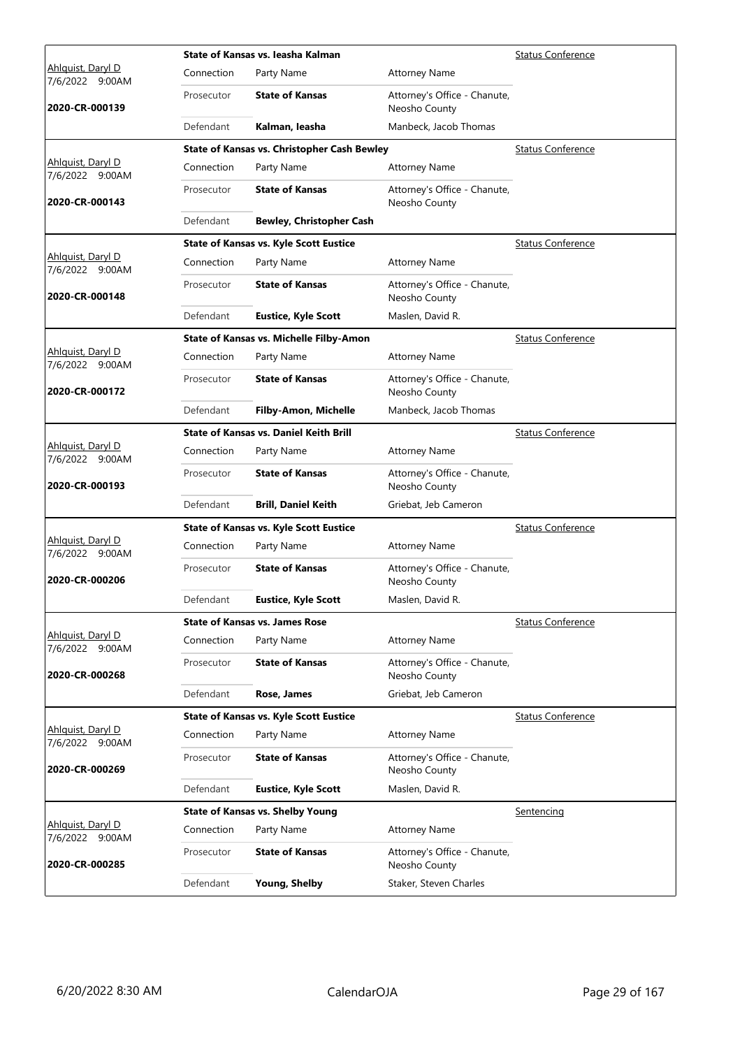|                                             |            | State of Kansas vs. leasha Kalman                  |                                               | <b>Status Conference</b> |
|---------------------------------------------|------------|----------------------------------------------------|-----------------------------------------------|--------------------------|
| Ahlguist, Daryl D<br>7/6/2022 9:00AM        | Connection | Party Name                                         | <b>Attorney Name</b>                          |                          |
| 2020-CR-000139                              | Prosecutor | <b>State of Kansas</b>                             | Attorney's Office - Chanute,<br>Neosho County |                          |
|                                             | Defendant  | Kalman, leasha                                     | Manbeck, Jacob Thomas                         |                          |
|                                             |            | <b>State of Kansas vs. Christopher Cash Bewley</b> |                                               | <b>Status Conference</b> |
| Ahlquist, Daryl D<br>7/6/2022 9:00AM        | Connection | Party Name                                         | <b>Attorney Name</b>                          |                          |
| 2020-CR-000143                              | Prosecutor | <b>State of Kansas</b>                             | Attorney's Office - Chanute,<br>Neosho County |                          |
|                                             | Defendant  | <b>Bewley, Christopher Cash</b>                    |                                               |                          |
|                                             |            | <b>State of Kansas vs. Kyle Scott Eustice</b>      |                                               | <b>Status Conference</b> |
| Ahlquist, Daryl D<br>7/6/2022 9:00AM        | Connection | Party Name                                         | <b>Attorney Name</b>                          |                          |
| 2020-CR-000148                              | Prosecutor | <b>State of Kansas</b>                             | Attorney's Office - Chanute,<br>Neosho County |                          |
|                                             | Defendant  | <b>Eustice, Kyle Scott</b>                         | Maslen, David R.                              |                          |
|                                             |            | State of Kansas vs. Michelle Filby-Amon            |                                               | <b>Status Conference</b> |
| Ahlguist, Daryl D<br>7/6/2022 9:00AM        | Connection | Party Name                                         | <b>Attorney Name</b>                          |                          |
| 2020-CR-000172                              | Prosecutor | <b>State of Kansas</b>                             | Attorney's Office - Chanute,<br>Neosho County |                          |
|                                             | Defendant  | <b>Filby-Amon, Michelle</b>                        | Manbeck, Jacob Thomas                         |                          |
|                                             |            | <b>State of Kansas vs. Daniel Keith Brill</b>      |                                               | <b>Status Conference</b> |
| Ahlquist, Daryl D<br>7/6/2022 9:00AM        | Connection | Party Name                                         | <b>Attorney Name</b>                          |                          |
| 2020-CR-000193                              | Prosecutor | <b>State of Kansas</b>                             | Attorney's Office - Chanute,<br>Neosho County |                          |
|                                             | Defendant  | <b>Brill, Daniel Keith</b>                         | Griebat, Jeb Cameron                          |                          |
|                                             |            | <b>State of Kansas vs. Kyle Scott Eustice</b>      |                                               | <b>Status Conference</b> |
| <u>Ahlquist, Daryl D</u><br>7/6/2022 9:00AM | Connection | Party Name                                         | <b>Attorney Name</b>                          |                          |
| 2020-CR-000206                              | Prosecutor | <b>State of Kansas</b>                             | Attorney's Office - Chanute,<br>Neosho County |                          |
|                                             | Defendant  | <b>Eustice, Kyle Scott</b>                         | Maslen, David R.                              |                          |
|                                             |            | <b>State of Kansas vs. James Rose</b>              |                                               | <b>Status Conference</b> |
| Ahlquist, Daryl D<br>7/6/2022 9:00AM        | Connection | Party Name                                         | <b>Attorney Name</b>                          |                          |
| 2020-CR-000268                              | Prosecutor | <b>State of Kansas</b>                             | Attorney's Office - Chanute,<br>Neosho County |                          |
|                                             | Defendant  | Rose, James                                        | Griebat, Jeb Cameron                          |                          |
|                                             |            | <b>State of Kansas vs. Kyle Scott Eustice</b>      |                                               | <b>Status Conference</b> |
| Ahlquist, Daryl D<br>7/6/2022 9:00AM        | Connection | Party Name                                         | <b>Attorney Name</b>                          |                          |
| 2020-CR-000269                              | Prosecutor | <b>State of Kansas</b>                             | Attorney's Office - Chanute,<br>Neosho County |                          |
|                                             | Defendant  | <b>Eustice, Kyle Scott</b>                         | Maslen, David R.                              |                          |
|                                             |            | <b>State of Kansas vs. Shelby Young</b>            |                                               | Sentencing               |
| <u>Ahlquist, Daryl D</u><br>7/6/2022 9:00AM | Connection | Party Name                                         | <b>Attorney Name</b>                          |                          |
| 2020-CR-000285                              | Prosecutor | <b>State of Kansas</b>                             | Attorney's Office - Chanute,<br>Neosho County |                          |
|                                             | Defendant  | <b>Young, Shelby</b>                               | Staker, Steven Charles                        |                          |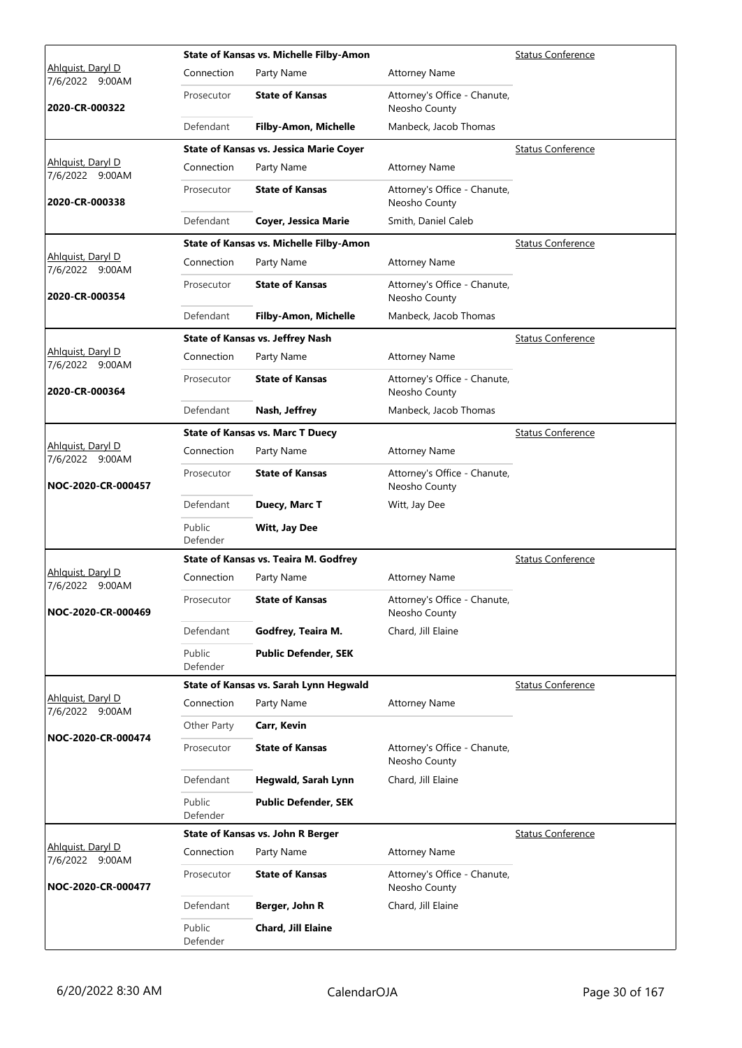|                                             |                    | State of Kansas vs. Michelle Filby-Amon        |                                               | <b>Status Conference</b> |
|---------------------------------------------|--------------------|------------------------------------------------|-----------------------------------------------|--------------------------|
| Ahlguist, Daryl D<br>7/6/2022 9:00AM        | Connection         | Party Name                                     | <b>Attorney Name</b>                          |                          |
| 2020-CR-000322                              | Prosecutor         | <b>State of Kansas</b>                         | Attorney's Office - Chanute,<br>Neosho County |                          |
|                                             | Defendant          | <b>Filby-Amon, Michelle</b>                    | Manbeck, Jacob Thomas                         |                          |
|                                             |                    | <b>State of Kansas vs. Jessica Marie Coyer</b> |                                               | <b>Status Conference</b> |
| Ahlquist, Daryl D<br>7/6/2022 9:00AM        | Connection         | Party Name                                     | <b>Attorney Name</b>                          |                          |
| 2020-CR-000338                              | Prosecutor         | <b>State of Kansas</b>                         | Attorney's Office - Chanute,<br>Neosho County |                          |
|                                             | Defendant          | <b>Coyer, Jessica Marie</b>                    | Smith, Daniel Caleb                           |                          |
|                                             |                    | State of Kansas vs. Michelle Filby-Amon        |                                               | <b>Status Conference</b> |
| Ahlquist, Daryl D<br>7/6/2022 9:00AM        | Connection         | Party Name                                     | <b>Attorney Name</b>                          |                          |
| 2020-CR-000354                              | Prosecutor         | <b>State of Kansas</b>                         | Attorney's Office - Chanute,<br>Neosho County |                          |
|                                             | Defendant          | Filby-Amon, Michelle                           | Manbeck, Jacob Thomas                         |                          |
|                                             |                    | <b>State of Kansas vs. Jeffrey Nash</b>        |                                               | <b>Status Conference</b> |
| Ahlguist, Daryl D<br>7/6/2022 9:00AM        | Connection         | Party Name                                     | <b>Attorney Name</b>                          |                          |
| 2020-CR-000364                              | Prosecutor         | <b>State of Kansas</b>                         | Attorney's Office - Chanute,<br>Neosho County |                          |
|                                             | Defendant          | Nash, Jeffrey                                  | Manbeck, Jacob Thomas                         |                          |
|                                             |                    | <b>State of Kansas vs. Marc T Duecy</b>        |                                               | <b>Status Conference</b> |
| Ahlquist, Daryl D<br>7/6/2022 9:00AM        | Connection         | Party Name                                     | <b>Attorney Name</b>                          |                          |
| NOC-2020-CR-000457                          | Prosecutor         | <b>State of Kansas</b>                         | Attorney's Office - Chanute,<br>Neosho County |                          |
|                                             | Defendant          | Duecy, Marc T                                  | Witt, Jay Dee                                 |                          |
|                                             | Public<br>Defender | Witt, Jay Dee                                  |                                               |                          |
|                                             |                    | State of Kansas vs. Teaira M. Godfrey          |                                               | <b>Status Conference</b> |
| <u>Ahlquist, Daryl D</u><br>7/6/2022 9:00AM | Connection         | Party Name                                     | <b>Attorney Name</b>                          |                          |
| NOC-2020-CR-000469                          | Prosecutor         | <b>State of Kansas</b>                         | Attorney's Office - Chanute,<br>Neosho County |                          |
|                                             | Defendant          | Godfrey, Teaira M.                             | Chard, Jill Elaine                            |                          |
|                                             | Public<br>Defender | <b>Public Defender, SEK</b>                    |                                               |                          |
|                                             |                    | State of Kansas vs. Sarah Lynn Hegwald         |                                               | <b>Status Conference</b> |
| Ahlguist, Daryl D<br>7/6/2022 9:00AM        | Connection         | Party Name                                     | <b>Attorney Name</b>                          |                          |
| NOC-2020-CR-000474                          | Other Party        | Carr, Kevin                                    |                                               |                          |
|                                             | Prosecutor         | <b>State of Kansas</b>                         | Attorney's Office - Chanute,<br>Neosho County |                          |
|                                             | Defendant          | Hegwald, Sarah Lynn                            | Chard, Jill Elaine                            |                          |
|                                             | Public<br>Defender | <b>Public Defender, SEK</b>                    |                                               |                          |
|                                             |                    | <b>State of Kansas vs. John R Berger</b>       |                                               | <b>Status Conference</b> |
| Ahlguist, Daryl D<br>7/6/2022 9:00AM        | Connection         | Party Name                                     | <b>Attorney Name</b>                          |                          |
| NOC-2020-CR-000477                          | Prosecutor         | <b>State of Kansas</b>                         | Attorney's Office - Chanute,<br>Neosho County |                          |
|                                             | Defendant          | Berger, John R                                 | Chard, Jill Elaine                            |                          |
|                                             | Public<br>Defender | Chard, Jill Elaine                             |                                               |                          |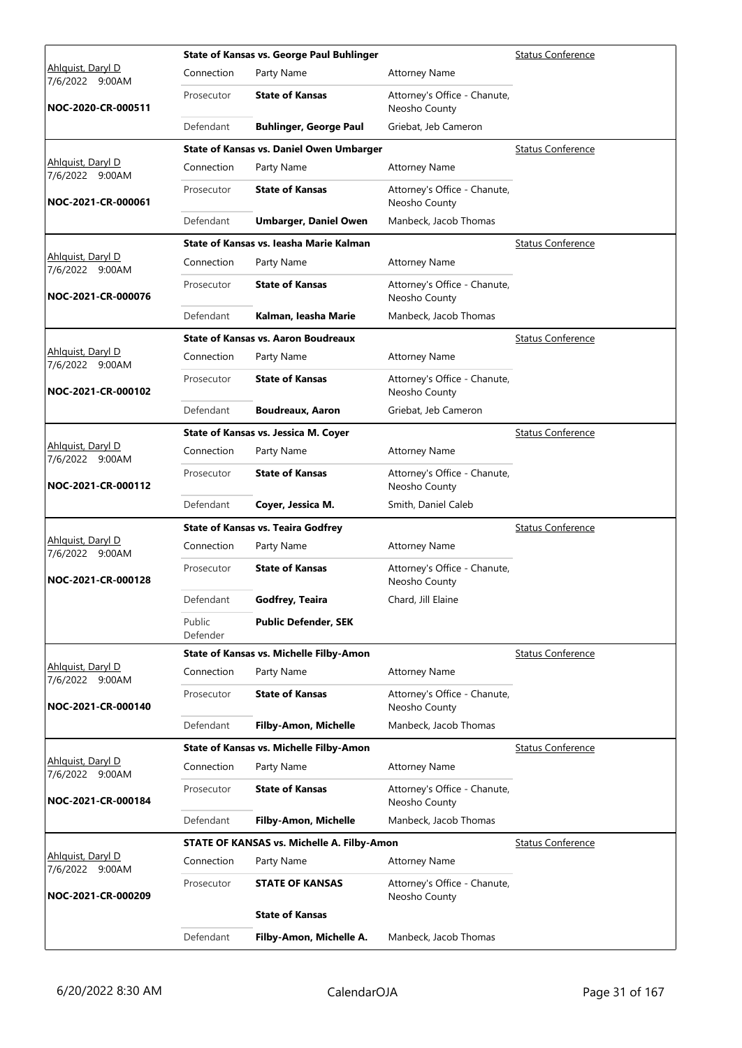|                                      | <b>Status Conference</b> |                                            |                                               |                          |
|--------------------------------------|--------------------------|--------------------------------------------|-----------------------------------------------|--------------------------|
| Ahlguist, Daryl D<br>7/6/2022 9:00AM | Connection               | Party Name                                 | <b>Attorney Name</b>                          |                          |
| NOC-2020-CR-000511                   | Prosecutor               | <b>State of Kansas</b>                     | Attorney's Office - Chanute,<br>Neosho County |                          |
|                                      | Defendant                | <b>Buhlinger, George Paul</b>              | Griebat, Jeb Cameron                          |                          |
|                                      |                          | State of Kansas vs. Daniel Owen Umbarger   |                                               | <b>Status Conference</b> |
| Ahlquist, Daryl D<br>7/6/2022 9:00AM | Connection               | Party Name                                 | <b>Attorney Name</b>                          |                          |
| NOC-2021-CR-000061                   | Prosecutor               | <b>State of Kansas</b>                     | Attorney's Office - Chanute,<br>Neosho County |                          |
|                                      | Defendant                | <b>Umbarger, Daniel Owen</b>               | Manbeck, Jacob Thomas                         |                          |
|                                      |                          | State of Kansas vs. Jeasha Marie Kalman    |                                               | <b>Status Conference</b> |
| Ahlquist, Daryl D<br>7/6/2022 9:00AM | Connection               | Party Name                                 | <b>Attorney Name</b>                          |                          |
| NOC-2021-CR-000076                   | Prosecutor               | <b>State of Kansas</b>                     | Attorney's Office - Chanute,<br>Neosho County |                          |
|                                      | Defendant                | Kalman, leasha Marie                       | Manbeck, Jacob Thomas                         |                          |
|                                      |                          | <b>State of Kansas vs. Aaron Boudreaux</b> |                                               | <b>Status Conference</b> |
| Ahlguist, Daryl D<br>7/6/2022 9:00AM | Connection               | Party Name                                 | <b>Attorney Name</b>                          |                          |
| NOC-2021-CR-000102                   | Prosecutor               | <b>State of Kansas</b>                     | Attorney's Office - Chanute,<br>Neosho County |                          |
|                                      | Defendant                | <b>Boudreaux, Aaron</b>                    | Griebat, Jeb Cameron                          |                          |
|                                      |                          | State of Kansas vs. Jessica M. Coyer       |                                               | <b>Status Conference</b> |
| Ahlquist, Daryl D<br>7/6/2022 9:00AM | Connection               | Party Name                                 | <b>Attorney Name</b>                          |                          |
| NOC-2021-CR-000112                   | Prosecutor               | <b>State of Kansas</b>                     | Attorney's Office - Chanute,<br>Neosho County |                          |
|                                      | Defendant                | Coyer, Jessica M.                          | Smith, Daniel Caleb                           |                          |
|                                      |                          | <b>State of Kansas vs. Teaira Godfrey</b>  |                                               | <b>Status Conference</b> |
| Ahlguist, Daryl D<br>7/6/2022 9:00AM | Connection               | Party Name                                 | <b>Attorney Name</b>                          |                          |
| NOC-2021-CR-000128                   | Prosecutor               | <b>State of Kansas</b>                     | Attorney's Office - Chanute,<br>Neosho County |                          |
|                                      | Defendant                | Godfrey, Teaira                            | Chard, Jill Elaine                            |                          |
|                                      | Public<br>Defender       | <b>Public Defender, SEK</b>                |                                               |                          |
|                                      |                          | State of Kansas vs. Michelle Filby-Amon    |                                               | <b>Status Conference</b> |
| Ahlquist, Daryl D<br>7/6/2022 9:00AM | Connection               | Party Name                                 | <b>Attorney Name</b>                          |                          |
| NOC-2021-CR-000140                   | Prosecutor               | <b>State of Kansas</b>                     | Attorney's Office - Chanute,<br>Neosho County |                          |
|                                      | Defendant                | Filby-Amon, Michelle                       | Manbeck, Jacob Thomas                         |                          |
|                                      |                          | State of Kansas vs. Michelle Filby-Amon    |                                               | <b>Status Conference</b> |
| Ahlguist, Daryl D<br>7/6/2022 9:00AM |                          |                                            | <b>Attorney Name</b>                          |                          |
|                                      | Connection               | Party Name                                 |                                               |                          |
| NOC-2021-CR-000184                   | Prosecutor               | <b>State of Kansas</b>                     | Attorney's Office - Chanute,<br>Neosho County |                          |
|                                      | Defendant                | Filby-Amon, Michelle                       | Manbeck, Jacob Thomas                         |                          |
|                                      |                          | STATE OF KANSAS vs. Michelle A. Filby-Amon |                                               | <b>Status Conference</b> |
| Ahlquist, Daryl D<br>7/6/2022 9:00AM | Connection               | Party Name                                 | <b>Attorney Name</b>                          |                          |
| NOC-2021-CR-000209                   | Prosecutor               | <b>STATE OF KANSAS</b>                     | Attorney's Office - Chanute,<br>Neosho County |                          |
|                                      |                          | <b>State of Kansas</b>                     |                                               |                          |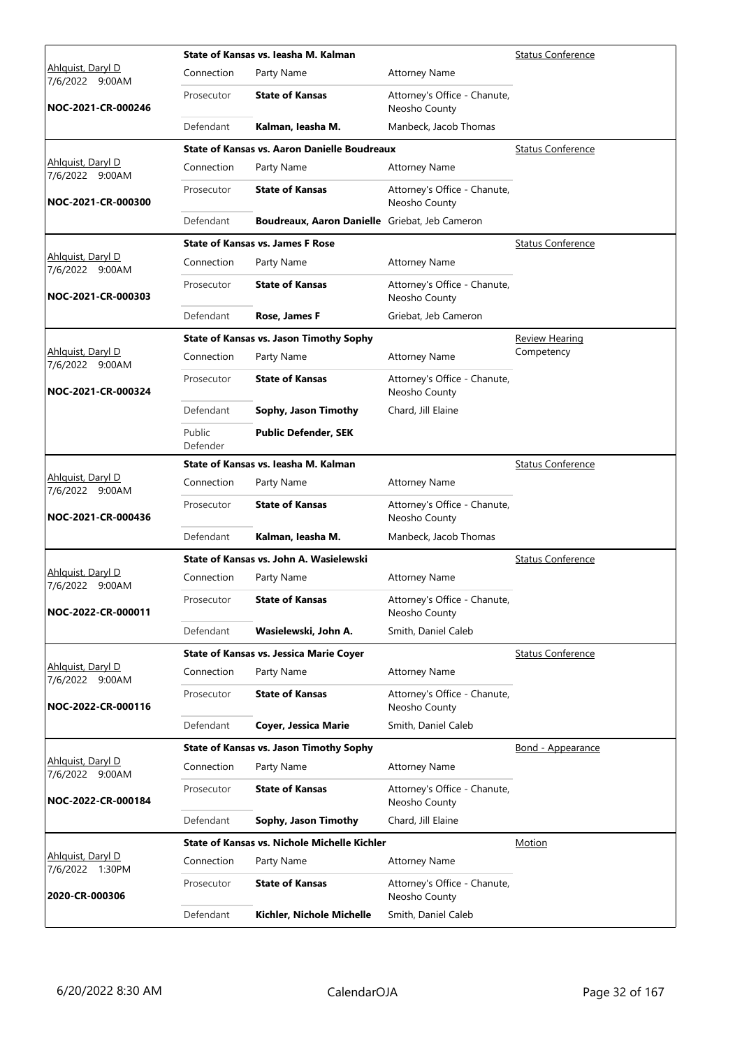|                                      |                    | State of Kansas vs. Jeasha M. Kalman                | <b>Status Conference</b>                      |                          |
|--------------------------------------|--------------------|-----------------------------------------------------|-----------------------------------------------|--------------------------|
| Ahlguist, Daryl D<br>7/6/2022 9:00AM | Connection         | Party Name                                          | <b>Attorney Name</b>                          |                          |
| NOC-2021-CR-000246                   | Prosecutor         | <b>State of Kansas</b>                              | Attorney's Office - Chanute,<br>Neosho County |                          |
|                                      | Defendant          | Kalman, leasha M.                                   | Manbeck, Jacob Thomas                         |                          |
|                                      |                    | <b>State of Kansas vs. Aaron Danielle Boudreaux</b> |                                               | <b>Status Conference</b> |
| Ahlquist, Daryl D<br>7/6/2022 9:00AM | Connection         | Party Name                                          | <b>Attorney Name</b>                          |                          |
| NOC-2021-CR-000300                   | Prosecutor         | <b>State of Kansas</b>                              | Attorney's Office - Chanute,<br>Neosho County |                          |
|                                      | Defendant          | Boudreaux, Aaron Danielle Griebat, Jeb Cameron      |                                               |                          |
|                                      |                    | <b>State of Kansas vs. James F Rose</b>             |                                               | <b>Status Conference</b> |
| Ahlquist, Daryl D<br>7/6/2022 9:00AM | Connection         | Party Name                                          | <b>Attorney Name</b>                          |                          |
| NOC-2021-CR-000303                   | Prosecutor         | <b>State of Kansas</b>                              | Attorney's Office - Chanute,<br>Neosho County |                          |
|                                      | Defendant          | Rose, James F                                       | Griebat, Jeb Cameron                          |                          |
|                                      |                    | <b>State of Kansas vs. Jason Timothy Sophy</b>      |                                               | Review Hearing           |
| Ahlguist, Daryl D<br>7/6/2022 9:00AM | Connection         | Party Name                                          | <b>Attorney Name</b>                          | Competency               |
| NOC-2021-CR-000324                   | Prosecutor         | <b>State of Kansas</b>                              | Attorney's Office - Chanute,<br>Neosho County |                          |
|                                      | Defendant          | Sophy, Jason Timothy                                | Chard, Jill Elaine                            |                          |
|                                      | Public<br>Defender | <b>Public Defender, SEK</b>                         |                                               |                          |
|                                      |                    | State of Kansas vs. Jeasha M. Kalman                |                                               | <b>Status Conference</b> |
| Ahlquist, Daryl D<br>7/6/2022 9:00AM | Connection         | Party Name                                          | <b>Attorney Name</b>                          |                          |
| NOC-2021-CR-000436                   | Prosecutor         | <b>State of Kansas</b>                              | Attorney's Office - Chanute,<br>Neosho County |                          |
|                                      | Defendant          | Kalman, leasha M.                                   | Manbeck, Jacob Thomas                         |                          |
|                                      |                    | State of Kansas vs. John A. Wasielewski             |                                               | <b>Status Conference</b> |
| Ahlguist, Daryl D<br>7/6/2022 9:00AM | Connection         | Party Name                                          | <b>Attorney Name</b>                          |                          |
| NOC-2022-CR-000011                   | Prosecutor         | <b>State of Kansas</b>                              | Attorney's Office - Chanute,<br>Neosho County |                          |
|                                      | Defendant          | Wasielewski, John A.                                | Smith, Daniel Caleb                           |                          |
|                                      |                    | <b>State of Kansas vs. Jessica Marie Coyer</b>      |                                               | <b>Status Conference</b> |
| Ahlquist, Daryl D<br>7/6/2022 9:00AM | Connection         | Party Name                                          | <b>Attorney Name</b>                          |                          |
| NOC-2022-CR-000116                   | Prosecutor         | <b>State of Kansas</b>                              | Attorney's Office - Chanute,<br>Neosho County |                          |
|                                      | Defendant          | Coyer, Jessica Marie                                | Smith, Daniel Caleb                           |                          |
|                                      |                    | <b>State of Kansas vs. Jason Timothy Sophy</b>      |                                               | Bond - Appearance        |
| Ahlquist, Daryl D<br>7/6/2022 9:00AM | Connection         | Party Name                                          | <b>Attorney Name</b>                          |                          |
| NOC-2022-CR-000184                   | Prosecutor         | <b>State of Kansas</b>                              | Attorney's Office - Chanute,<br>Neosho County |                          |
|                                      | Defendant          | Sophy, Jason Timothy                                | Chard, Jill Elaine                            |                          |
|                                      |                    | State of Kansas vs. Nichole Michelle Kichler        |                                               | <b>Motion</b>            |
| Ahlquist, Daryl D<br>7/6/2022 1:30PM | Connection         | Party Name                                          | <b>Attorney Name</b>                          |                          |
| 2020-CR-000306                       | Prosecutor         | <b>State of Kansas</b>                              | Attorney's Office - Chanute,<br>Neosho County |                          |
|                                      | Defendant          | Kichler, Nichole Michelle                           | Smith, Daniel Caleb                           |                          |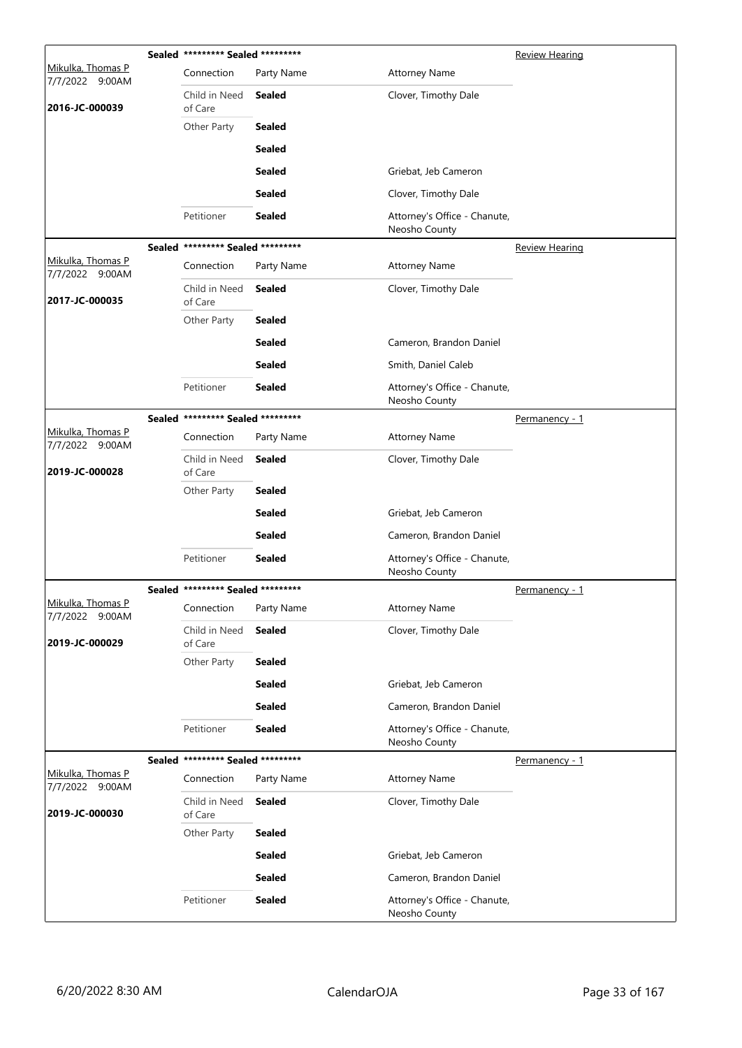|                                      | Sealed ********* Sealed ********* |               |                                               | <b>Review Hearing</b> |
|--------------------------------------|-----------------------------------|---------------|-----------------------------------------------|-----------------------|
| Mikulka, Thomas P<br>7/7/2022 9:00AM | Connection                        | Party Name    | <b>Attorney Name</b>                          |                       |
| 2016-JC-000039                       | Child in Need<br>of Care          | Sealed        | Clover, Timothy Dale                          |                       |
|                                      | Other Party                       | <b>Sealed</b> |                                               |                       |
|                                      |                                   | <b>Sealed</b> |                                               |                       |
|                                      |                                   | <b>Sealed</b> | Griebat, Jeb Cameron                          |                       |
|                                      |                                   | <b>Sealed</b> | Clover, Timothy Dale                          |                       |
|                                      | Petitioner                        | <b>Sealed</b> | Attorney's Office - Chanute,<br>Neosho County |                       |
|                                      | Sealed ********* Sealed ********* |               |                                               | <b>Review Hearing</b> |
| Mikulka, Thomas P<br>7/7/2022 9:00AM | Connection                        | Party Name    | <b>Attorney Name</b>                          |                       |
| 2017-JC-000035                       | Child in Need<br>of Care          | Sealed        | Clover, Timothy Dale                          |                       |
|                                      | Other Party                       | <b>Sealed</b> |                                               |                       |
|                                      |                                   | <b>Sealed</b> | Cameron, Brandon Daniel                       |                       |
|                                      |                                   | <b>Sealed</b> | Smith, Daniel Caleb                           |                       |
|                                      | Petitioner                        | <b>Sealed</b> | Attorney's Office - Chanute,<br>Neosho County |                       |
|                                      | Sealed ********* Sealed ********* |               |                                               | Permanency - 1        |
| Mikulka, Thomas P<br>7/7/2022 9:00AM | Connection                        | Party Name    | <b>Attorney Name</b>                          |                       |
| 2019-JC-000028                       | Child in Need<br>of Care          | <b>Sealed</b> | Clover, Timothy Dale                          |                       |
|                                      | Other Party                       | <b>Sealed</b> |                                               |                       |
|                                      |                                   | <b>Sealed</b> | Griebat, Jeb Cameron                          |                       |
|                                      |                                   | Sealed        | Cameron, Brandon Daniel                       |                       |
|                                      | Petitioner                        | <b>Sealed</b> | Attorney's Office - Chanute,<br>Neosho County |                       |
|                                      | Sealed ********* Sealed ********* |               |                                               | Permanency - 1        |
| Mikulka, Thomas P<br>7/7/2022 9:00AM | Connection                        | Party Name    | <b>Attorney Name</b>                          |                       |
| 2019-JC-000029                       | Child in Need<br>of Care          | <b>Sealed</b> | Clover, Timothy Dale                          |                       |
|                                      | Other Party                       | <b>Sealed</b> |                                               |                       |
|                                      |                                   | <b>Sealed</b> | Griebat, Jeb Cameron                          |                       |
|                                      |                                   | <b>Sealed</b> | Cameron, Brandon Daniel                       |                       |
|                                      | Petitioner                        | <b>Sealed</b> | Attorney's Office - Chanute,<br>Neosho County |                       |
|                                      | Sealed ********* Sealed ********* |               |                                               | Permanency - 1        |
| Mikulka, Thomas P<br>7/7/2022 9:00AM | Connection                        | Party Name    | <b>Attorney Name</b>                          |                       |
| 2019-JC-000030                       | Child in Need<br>of Care          | <b>Sealed</b> | Clover, Timothy Dale                          |                       |
|                                      | Other Party                       | <b>Sealed</b> |                                               |                       |
|                                      |                                   | <b>Sealed</b> | Griebat, Jeb Cameron                          |                       |
|                                      |                                   | <b>Sealed</b> | Cameron, Brandon Daniel                       |                       |
|                                      | Petitioner                        | <b>Sealed</b> | Attorney's Office - Chanute,<br>Neosho County |                       |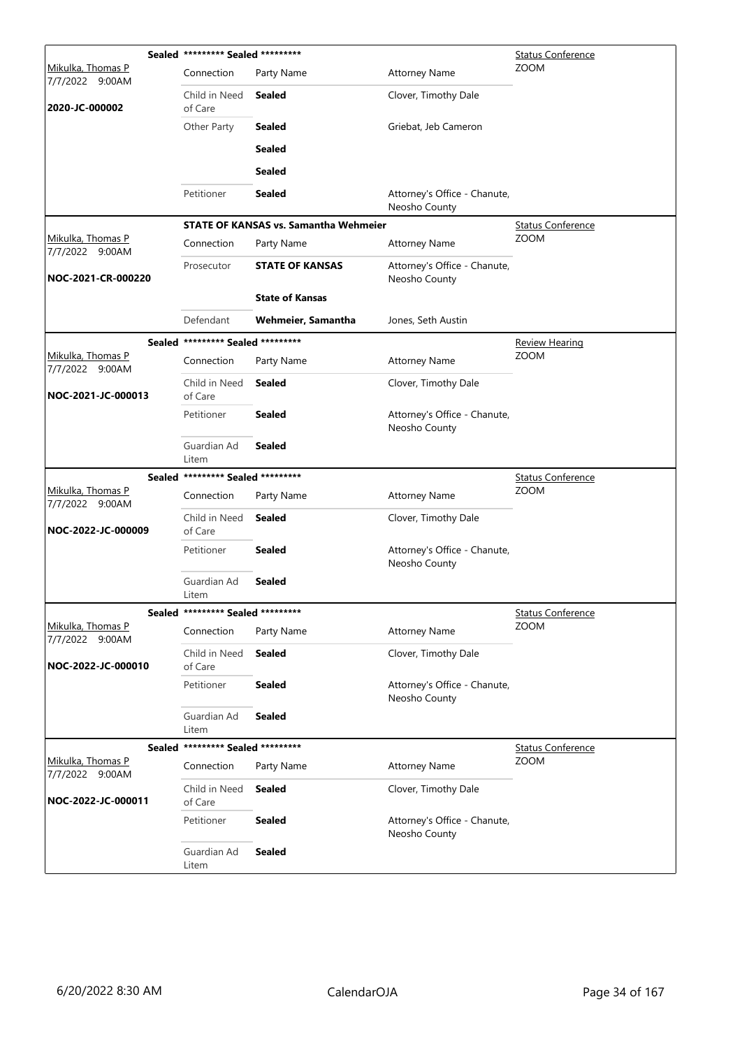|                                      | Sealed ********* Sealed ********* |                                              |                                               | <b>Status Conference</b> |
|--------------------------------------|-----------------------------------|----------------------------------------------|-----------------------------------------------|--------------------------|
| Mikulka, Thomas P<br>7/7/2022 9:00AM | Connection                        | Party Name                                   | <b>Attorney Name</b>                          | <b>ZOOM</b>              |
| 2020-JC-000002                       | Child in Need<br>of Care          | <b>Sealed</b>                                | Clover, Timothy Dale                          |                          |
|                                      | Other Party                       | <b>Sealed</b>                                | Griebat, Jeb Cameron                          |                          |
|                                      |                                   | <b>Sealed</b>                                |                                               |                          |
|                                      |                                   | <b>Sealed</b>                                |                                               |                          |
|                                      | Petitioner                        | <b>Sealed</b>                                | Attorney's Office - Chanute,<br>Neosho County |                          |
|                                      |                                   | <b>STATE OF KANSAS vs. Samantha Wehmeier</b> |                                               | <b>Status Conference</b> |
| Mikulka, Thomas P<br>7/7/2022 9:00AM | Connection                        | Party Name                                   | <b>Attorney Name</b>                          | <b>ZOOM</b>              |
| NOC-2021-CR-000220                   | Prosecutor                        | <b>STATE OF KANSAS</b>                       | Attorney's Office - Chanute,<br>Neosho County |                          |
|                                      |                                   | <b>State of Kansas</b>                       |                                               |                          |
|                                      | Defendant                         | Wehmeier, Samantha                           | Jones, Seth Austin                            |                          |
|                                      | Sealed ********* Sealed ********* |                                              |                                               | <b>Review Hearing</b>    |
| Mikulka, Thomas P<br>7/7/2022 9:00AM | Connection                        | Party Name                                   | <b>Attorney Name</b>                          | ZOOM                     |
| NOC-2021-JC-000013                   | Child in Need<br>of Care          | <b>Sealed</b>                                | Clover, Timothy Dale                          |                          |
|                                      | Petitioner                        | <b>Sealed</b>                                | Attorney's Office - Chanute,<br>Neosho County |                          |
|                                      | Guardian Ad<br>Litem              | <b>Sealed</b>                                |                                               |                          |
|                                      | Sealed ********* Sealed ********* |                                              |                                               | <b>Status Conference</b> |
| Mikulka, Thomas P<br>7/7/2022 9:00AM | Connection                        | Party Name                                   | <b>Attorney Name</b>                          | ZOOM                     |
| NOC-2022-JC-000009                   | Child in Need<br>of Care          | Sealed                                       | Clover, Timothy Dale                          |                          |
|                                      | Petitioner                        | <b>Sealed</b>                                | Attorney's Office - Chanute,<br>Neosho County |                          |
|                                      | Guardian Ad<br>Litem              | <b>Sealed</b>                                |                                               |                          |
|                                      | Sealed ********* Sealed ********* |                                              |                                               | <b>Status Conference</b> |
| Mikulka, Thomas P<br>7/7/2022 9:00AM | Connection                        | Party Name                                   | <b>Attorney Name</b>                          | <b>ZOOM</b>              |
| NOC-2022-JC-000010                   | Child in Need<br>of Care          | <b>Sealed</b>                                | Clover, Timothy Dale                          |                          |
|                                      | Petitioner                        | <b>Sealed</b>                                | Attorney's Office - Chanute,<br>Neosho County |                          |
|                                      | Guardian Ad<br>Litem              | <b>Sealed</b>                                |                                               |                          |
|                                      | Sealed ********* Sealed ********* |                                              |                                               | <b>Status Conference</b> |
| Mikulka, Thomas P<br>7/7/2022 9:00AM | Connection                        | Party Name                                   | <b>Attorney Name</b>                          | <b>ZOOM</b>              |
| NOC-2022-JC-000011                   | Child in Need<br>of Care          | <b>Sealed</b>                                | Clover, Timothy Dale                          |                          |
|                                      | Petitioner                        | <b>Sealed</b>                                | Attorney's Office - Chanute,<br>Neosho County |                          |
|                                      | Guardian Ad<br>Litem              | <b>Sealed</b>                                |                                               |                          |
|                                      |                                   |                                              |                                               |                          |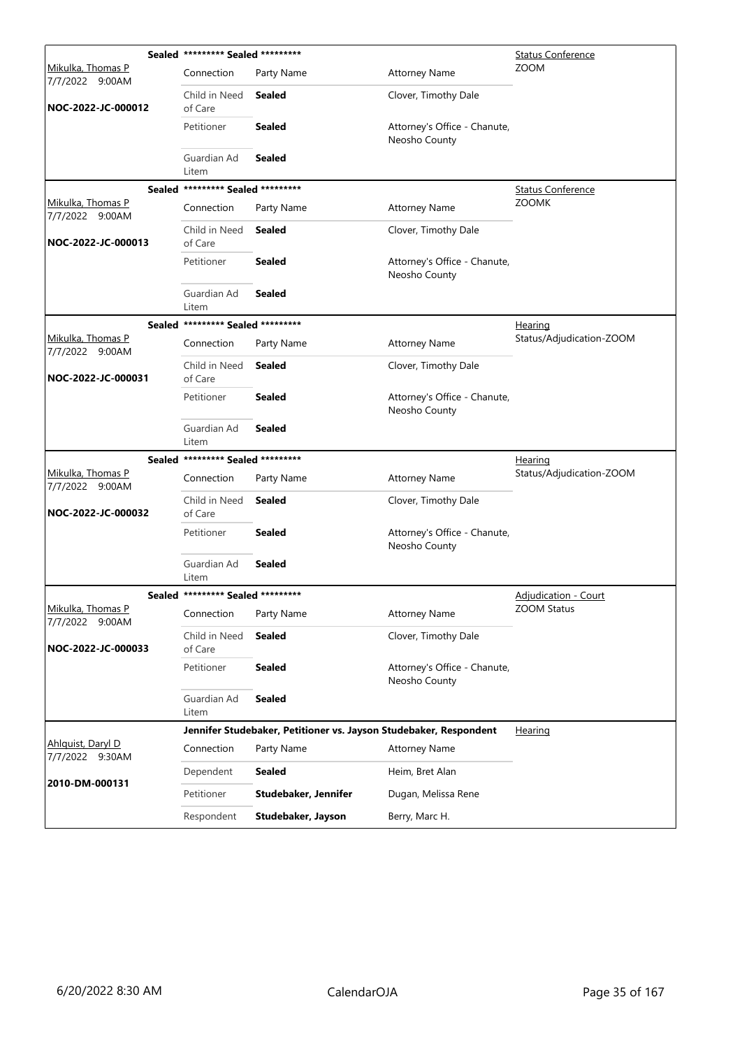|                                      | Sealed ********* Sealed ********* |                                                                   | <b>Status Conference</b>                      |                          |
|--------------------------------------|-----------------------------------|-------------------------------------------------------------------|-----------------------------------------------|--------------------------|
| Mikulka, Thomas P<br>7/7/2022 9:00AM | Connection                        | Party Name                                                        | <b>Attorney Name</b>                          | <b>ZOOM</b>              |
| NOC-2022-JC-000012                   | Child in Need<br>of Care          | Sealed                                                            | Clover, Timothy Dale                          |                          |
|                                      | Petitioner                        | <b>Sealed</b>                                                     | Attorney's Office - Chanute,<br>Neosho County |                          |
|                                      | Guardian Ad<br>Litem              | <b>Sealed</b>                                                     |                                               |                          |
| <b>Sealed</b>                        | ********* Sealed *********        |                                                                   |                                               | <b>Status Conference</b> |
| Mikulka, Thomas P<br>7/7/2022 9:00AM | Connection                        | Party Name                                                        | <b>Attorney Name</b>                          | <b>ZOOMK</b>             |
| NOC-2022-JC-000013                   | Child in Need<br>of Care          | <b>Sealed</b>                                                     | Clover, Timothy Dale                          |                          |
|                                      | Petitioner                        | <b>Sealed</b>                                                     | Attorney's Office - Chanute,<br>Neosho County |                          |
|                                      | Guardian Ad<br>Litem              | <b>Sealed</b>                                                     |                                               |                          |
| <b>Sealed</b>                        | ********* Sealed *********        |                                                                   |                                               | <u>Hearing</u>           |
| Mikulka, Thomas P<br>7/7/2022 9:00AM | Connection                        | Party Name                                                        | <b>Attorney Name</b>                          | Status/Adjudication-ZOOM |
| NOC-2022-JC-000031                   | Child in Need<br>of Care          | <b>Sealed</b>                                                     | Clover, Timothy Dale                          |                          |
|                                      | Petitioner                        | <b>Sealed</b>                                                     | Attorney's Office - Chanute,<br>Neosho County |                          |
|                                      | Guardian Ad<br>Litem              | <b>Sealed</b>                                                     |                                               |                          |
| Sealed                               | ********* Sealed *********        |                                                                   |                                               | <u>Hearing</u>           |
| Mikulka, Thomas P<br>7/7/2022 9:00AM | Connection                        | Party Name                                                        | <b>Attorney Name</b>                          | Status/Adjudication-ZOOM |
| NOC-2022-JC-000032                   | Child in Need<br>of Care          | <b>Sealed</b>                                                     | Clover, Timothy Dale                          |                          |
|                                      | Petitioner                        | <b>Sealed</b>                                                     | Attorney's Office - Chanute,<br>Neosho County |                          |
|                                      | Guardian Ad<br>Litem              | Sealed                                                            |                                               |                          |
|                                      | Sealed ********* Sealed ********* |                                                                   |                                               | Adjudication - Court     |
| Mikulka, Thomas P<br>7/7/2022 9:00AM | Connection                        | Party Name                                                        | <b>Attorney Name</b>                          | <b>ZOOM Status</b>       |
| NOC-2022-JC-000033                   | Child in Need<br>of Care          | Sealed                                                            | Clover, Timothy Dale                          |                          |
|                                      | Petitioner                        | <b>Sealed</b>                                                     | Attorney's Office - Chanute,<br>Neosho County |                          |
|                                      | Guardian Ad<br>Litem              | <b>Sealed</b>                                                     |                                               |                          |
|                                      |                                   | Jennifer Studebaker, Petitioner vs. Jayson Studebaker, Respondent |                                               | <b>Hearing</b>           |
| Ahlquist, Daryl D<br>7/7/2022 9:30AM | Connection                        | Party Name                                                        | <b>Attorney Name</b>                          |                          |
| 2010-DM-000131                       | Dependent                         | <b>Sealed</b>                                                     | Heim, Bret Alan                               |                          |
|                                      | Petitioner                        | Studebaker, Jennifer                                              | Dugan, Melissa Rene                           |                          |
|                                      | Respondent                        | Studebaker, Jayson                                                | Berry, Marc H.                                |                          |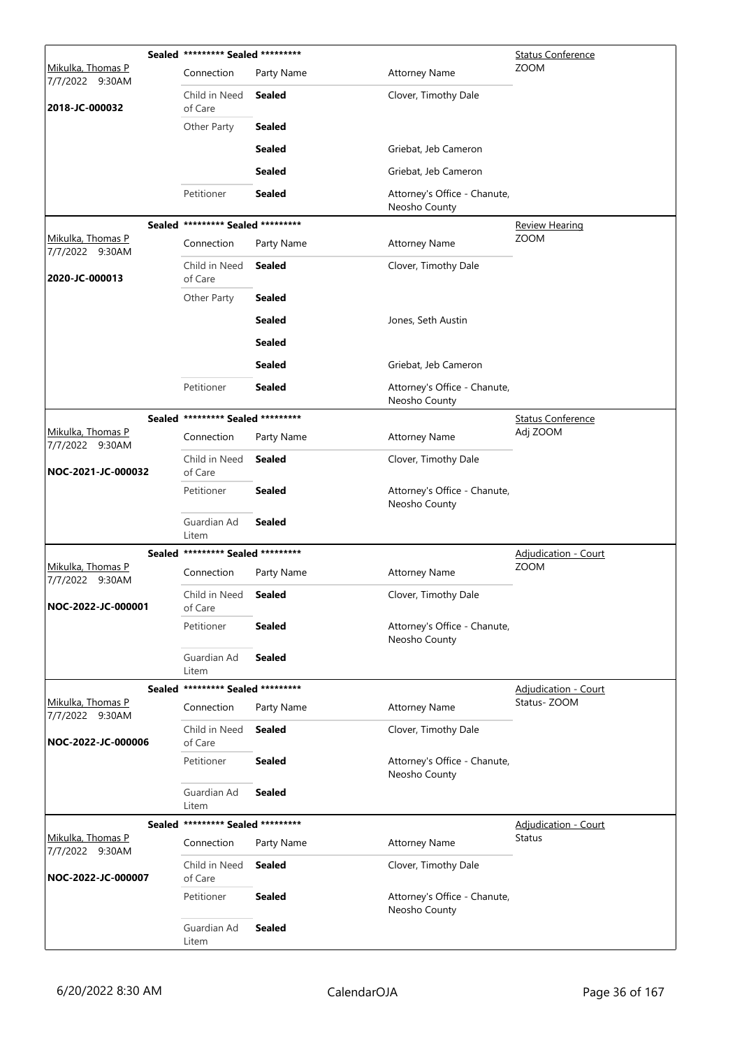|                                      | Sealed ********* Sealed ********* |               | <b>Status Conference</b>                      |                             |
|--------------------------------------|-----------------------------------|---------------|-----------------------------------------------|-----------------------------|
| Mikulka, Thomas P<br>7/7/2022 9:30AM | Connection                        | Party Name    | Attorney Name                                 | <b>ZOOM</b>                 |
| 2018-JC-000032                       | Child in Need<br>of Care          | <b>Sealed</b> | Clover, Timothy Dale                          |                             |
|                                      | Other Party                       | <b>Sealed</b> |                                               |                             |
|                                      |                                   | <b>Sealed</b> | Griebat, Jeb Cameron                          |                             |
|                                      |                                   | <b>Sealed</b> | Griebat, Jeb Cameron                          |                             |
|                                      | Petitioner                        | <b>Sealed</b> | Attorney's Office - Chanute,<br>Neosho County |                             |
|                                      | Sealed ********* Sealed ********* |               |                                               | Review Hearing              |
| Mikulka, Thomas P<br>7/7/2022 9:30AM | Connection                        | Party Name    | <b>Attorney Name</b>                          | <b>ZOOM</b>                 |
| 2020-JC-000013                       | Child in Need<br>of Care          | <b>Sealed</b> | Clover, Timothy Dale                          |                             |
|                                      | Other Party                       | <b>Sealed</b> |                                               |                             |
|                                      |                                   | <b>Sealed</b> | Jones, Seth Austin                            |                             |
|                                      |                                   | <b>Sealed</b> |                                               |                             |
|                                      |                                   | <b>Sealed</b> | Griebat, Jeb Cameron                          |                             |
|                                      | Petitioner                        | <b>Sealed</b> | Attorney's Office - Chanute,<br>Neosho County |                             |
|                                      | Sealed ********* Sealed ********* |               |                                               | <b>Status Conference</b>    |
| Mikulka, Thomas P<br>7/7/2022 9:30AM | Connection                        | Party Name    | <b>Attorney Name</b>                          | Adj ZOOM                    |
| NOC-2021-JC-000032                   | Child in Need<br>of Care          | <b>Sealed</b> | Clover, Timothy Dale                          |                             |
|                                      | Petitioner                        | <b>Sealed</b> | Attorney's Office - Chanute,<br>Neosho County |                             |
|                                      | Guardian Ad<br>Litem              | <b>Sealed</b> |                                               |                             |
|                                      | Sealed ********* Sealed ********* |               |                                               | <b>Adjudication - Court</b> |
| Mikulka, Thomas P<br>7/7/2022 9:30AM | Connection                        | Party Name    | <b>Attorney Name</b>                          | <b>ZOOM</b>                 |
| NOC-2022-JC-000001                   | Child in Need<br>of Care          | <b>Sealed</b> | Clover, Timothy Dale                          |                             |
|                                      | Petitioner                        | <b>Sealed</b> | Attorney's Office - Chanute,<br>Neosho County |                             |
|                                      | Guardian Ad<br>Litem              | <b>Sealed</b> |                                               |                             |
|                                      | Sealed ********* Sealed ********* |               |                                               | <b>Adjudication - Court</b> |
| Mikulka, Thomas P<br>7/7/2022 9:30AM | Connection                        | Party Name    | <b>Attorney Name</b>                          | Status-ZOOM                 |
| NOC-2022-JC-000006                   | Child in Need<br>of Care          | <b>Sealed</b> | Clover, Timothy Dale                          |                             |
|                                      | Petitioner                        | <b>Sealed</b> | Attorney's Office - Chanute,<br>Neosho County |                             |
|                                      | Guardian Ad<br>Litem              | <b>Sealed</b> |                                               |                             |
|                                      | Sealed ********* Sealed ********* |               |                                               | <b>Adjudication - Court</b> |
| Mikulka, Thomas P<br>7/7/2022 9:30AM | Connection                        | Party Name    | <b>Attorney Name</b>                          | <b>Status</b>               |
| NOC-2022-JC-000007                   | Child in Need<br>of Care          | <b>Sealed</b> | Clover, Timothy Dale                          |                             |
|                                      | Petitioner                        | <b>Sealed</b> | Attorney's Office - Chanute,<br>Neosho County |                             |
|                                      | Guardian Ad<br>Litem              | <b>Sealed</b> |                                               |                             |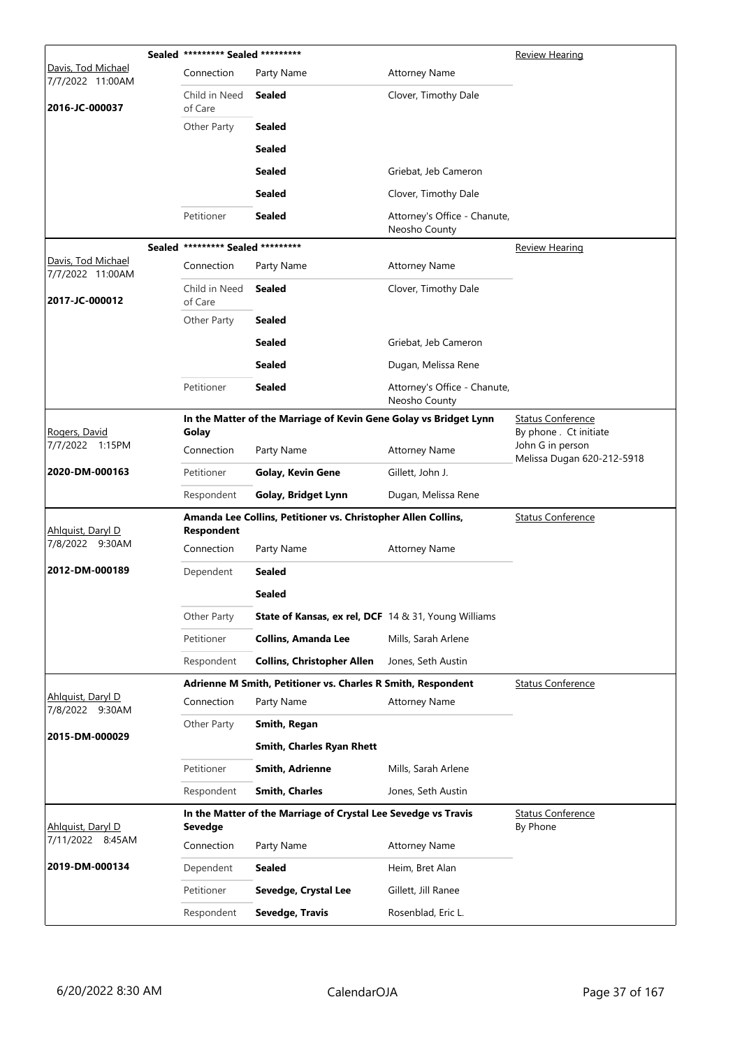|                                        | Sealed ********* Sealed ********* |                                                                   |                                               | Review Hearing                                                           |
|----------------------------------------|-----------------------------------|-------------------------------------------------------------------|-----------------------------------------------|--------------------------------------------------------------------------|
| Davis, Tod Michael<br>7/7/2022 11:00AM | Connection                        | Party Name                                                        | <b>Attorney Name</b>                          |                                                                          |
| 2016-JC-000037                         | Child in Need<br>of Care          | <b>Sealed</b>                                                     | Clover, Timothy Dale                          |                                                                          |
|                                        | Other Party                       | <b>Sealed</b>                                                     |                                               |                                                                          |
|                                        |                                   | <b>Sealed</b>                                                     |                                               |                                                                          |
|                                        |                                   | <b>Sealed</b>                                                     | Griebat, Jeb Cameron                          |                                                                          |
|                                        |                                   | <b>Sealed</b>                                                     | Clover, Timothy Dale                          |                                                                          |
|                                        | Petitioner                        | <b>Sealed</b>                                                     | Attorney's Office - Chanute,<br>Neosho County |                                                                          |
|                                        | Sealed ********* Sealed ********* |                                                                   |                                               | <b>Review Hearing</b>                                                    |
| Davis, Tod Michael<br>7/7/2022 11:00AM | Connection                        | Party Name                                                        | <b>Attorney Name</b>                          |                                                                          |
| 2017-JC-000012                         | Child in Need<br>of Care          | <b>Sealed</b>                                                     | Clover, Timothy Dale                          |                                                                          |
|                                        | Other Party                       | <b>Sealed</b>                                                     |                                               |                                                                          |
|                                        |                                   | Sealed                                                            | Griebat, Jeb Cameron                          |                                                                          |
|                                        |                                   | <b>Sealed</b>                                                     | Dugan, Melissa Rene                           |                                                                          |
|                                        | Petitioner                        | <b>Sealed</b>                                                     | Attorney's Office - Chanute,<br>Neosho County |                                                                          |
|                                        |                                   | In the Matter of the Marriage of Kevin Gene Golay vs Bridget Lynn |                                               | <b>Status Conference</b>                                                 |
| Rogers, David<br>7/7/2022 1:15PM       | Golay<br>Connection               | Party Name                                                        | <b>Attorney Name</b>                          | By phone . Ct initiate<br>John G in person<br>Melissa Dugan 620-212-5918 |
| 2020-DM-000163                         | Petitioner                        | Golay, Kevin Gene                                                 | Gillett, John J.                              |                                                                          |
|                                        | Respondent                        | Golay, Bridget Lynn                                               | Dugan, Melissa Rene                           |                                                                          |
| Ahlguist, Daryl D                      | Respondent                        | Amanda Lee Collins, Petitioner vs. Christopher Allen Collins,     |                                               | <b>Status Conference</b>                                                 |
| 7/8/2022 9:30AM                        | Connection                        | Party Name                                                        | <b>Attorney Name</b>                          |                                                                          |
| 2012-DM-000189                         | Dependent                         | <b>Sealed</b>                                                     |                                               |                                                                          |
|                                        |                                   | <b>Sealed</b>                                                     |                                               |                                                                          |
|                                        | Other Party                       | State of Kansas, ex rel, DCF 14 & 31, Young Williams              |                                               |                                                                          |
|                                        | Petitioner                        | <b>Collins, Amanda Lee</b>                                        | Mills, Sarah Arlene                           |                                                                          |
|                                        | Respondent                        | <b>Collins, Christopher Allen</b>                                 | Jones, Seth Austin                            |                                                                          |
|                                        |                                   | Adrienne M Smith, Petitioner vs. Charles R Smith, Respondent      |                                               | <b>Status Conference</b>                                                 |
| Ahlquist, Daryl D<br>7/8/2022 9:30AM   | Connection                        | Party Name                                                        | <b>Attorney Name</b>                          |                                                                          |
| 2015-DM-000029                         | Other Party                       | Smith, Regan                                                      |                                               |                                                                          |
|                                        |                                   | Smith, Charles Ryan Rhett                                         |                                               |                                                                          |
|                                        | Petitioner                        | Smith, Adrienne                                                   | Mills, Sarah Arlene                           |                                                                          |
|                                        | Respondent                        | <b>Smith, Charles</b>                                             | Jones, Seth Austin                            |                                                                          |
| Ahlquist, Daryl D                      | Sevedge                           | In the Matter of the Marriage of Crystal Lee Sevedge vs Travis    |                                               | <b>Status Conference</b><br>By Phone                                     |
| 7/11/2022 8:45AM                       | Connection                        | Party Name                                                        | <b>Attorney Name</b>                          |                                                                          |
| 2019-DM-000134                         | Dependent                         | <b>Sealed</b>                                                     | Heim, Bret Alan                               |                                                                          |
|                                        | Petitioner                        | Sevedge, Crystal Lee                                              | Gillett, Jill Ranee                           |                                                                          |
|                                        | Respondent                        | Sevedge, Travis                                                   | Rosenblad, Eric L.                            |                                                                          |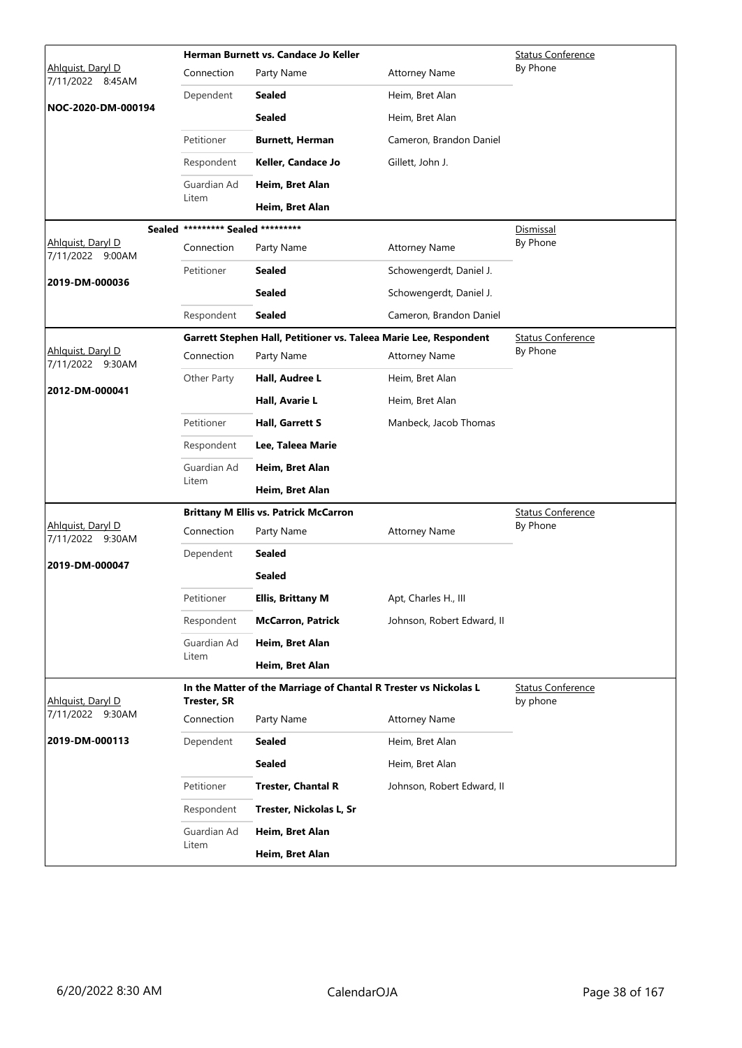|                                       |                                   | Herman Burnett vs. Candace Jo Keller                              |                            | <b>Status Conference</b> |
|---------------------------------------|-----------------------------------|-------------------------------------------------------------------|----------------------------|--------------------------|
| Ahlquist, Daryl D<br>7/11/2022 8:45AM | Connection                        | Party Name                                                        | <b>Attorney Name</b>       | By Phone                 |
|                                       | Dependent                         | Sealed                                                            | Heim, Bret Alan            |                          |
| NOC-2020-DM-000194                    |                                   | <b>Sealed</b>                                                     | Heim, Bret Alan            |                          |
|                                       | Petitioner                        | <b>Burnett, Herman</b>                                            | Cameron, Brandon Daniel    |                          |
|                                       | Respondent                        | Keller, Candace Jo                                                | Gillett, John J.           |                          |
|                                       | Guardian Ad                       | Heim, Bret Alan                                                   |                            |                          |
|                                       | Litem                             | Heim, Bret Alan                                                   |                            |                          |
|                                       | Sealed ********* Sealed ********* |                                                                   |                            | Dismissal                |
| Ahlguist, Daryl D<br>7/11/2022 9:00AM | Connection                        | Party Name                                                        | <b>Attorney Name</b>       | By Phone                 |
|                                       | Petitioner                        | <b>Sealed</b>                                                     | Schowengerdt, Daniel J.    |                          |
| 2019-DM-000036                        |                                   | <b>Sealed</b>                                                     | Schowengerdt, Daniel J.    |                          |
|                                       | Respondent                        | <b>Sealed</b>                                                     | Cameron, Brandon Daniel    |                          |
|                                       |                                   | Garrett Stephen Hall, Petitioner vs. Taleea Marie Lee, Respondent |                            | <b>Status Conference</b> |
| Ahlquist, Daryl D<br>7/11/2022 9:30AM | Connection                        | Party Name                                                        | <b>Attorney Name</b>       | By Phone                 |
| 2012-DM-000041                        | Other Party                       | Hall, Audree L                                                    | Heim, Bret Alan            |                          |
|                                       |                                   | Hall, Avarie L                                                    | Heim, Bret Alan            |                          |
|                                       | Petitioner                        | Hall, Garrett S                                                   | Manbeck, Jacob Thomas      |                          |
|                                       | Respondent                        | Lee, Taleea Marie                                                 |                            |                          |
|                                       | Guardian Ad                       | Heim, Bret Alan                                                   |                            |                          |
|                                       | Litem                             | Heim, Bret Alan                                                   |                            |                          |
|                                       |                                   | <b>Brittany M Ellis vs. Patrick McCarron</b>                      |                            | <b>Status Conference</b> |
| Ahlquist, Daryl D<br>7/11/2022 9:30AM | Connection                        | Party Name                                                        | <b>Attorney Name</b>       | By Phone                 |
|                                       | Dependent                         | <b>Sealed</b>                                                     |                            |                          |
| 2019-DM-000047                        |                                   | <b>Sealed</b>                                                     |                            |                          |
|                                       | Petitioner                        | <b>Ellis, Brittany M</b>                                          | Apt, Charles H., III       |                          |
|                                       | Respondent                        | <b>McCarron, Patrick</b>                                          | Johnson, Robert Edward, II |                          |
|                                       | Guardian Ad                       | Heim, Bret Alan                                                   |                            |                          |
|                                       | Litem                             | Heim, Bret Alan                                                   |                            |                          |
|                                       |                                   | In the Matter of the Marriage of Chantal R Trester vs Nickolas L  |                            | <b>Status Conference</b> |
| Ahlquist, Daryl D<br>7/11/2022 9:30AM | <b>Trester, SR</b>                |                                                                   |                            | by phone                 |
|                                       | Connection                        | Party Name                                                        | <b>Attorney Name</b>       |                          |
| 2019-DM-000113                        | Dependent                         | <b>Sealed</b>                                                     | Heim, Bret Alan            |                          |
|                                       |                                   | <b>Sealed</b>                                                     | Heim, Bret Alan            |                          |
|                                       | Petitioner                        | <b>Trester, Chantal R</b>                                         | Johnson, Robert Edward, II |                          |
|                                       | Respondent                        | Trester, Nickolas L, Sr                                           |                            |                          |
|                                       | Guardian Ad<br>Litem              | Heim, Bret Alan                                                   |                            |                          |
|                                       |                                   | Heim, Bret Alan                                                   |                            |                          |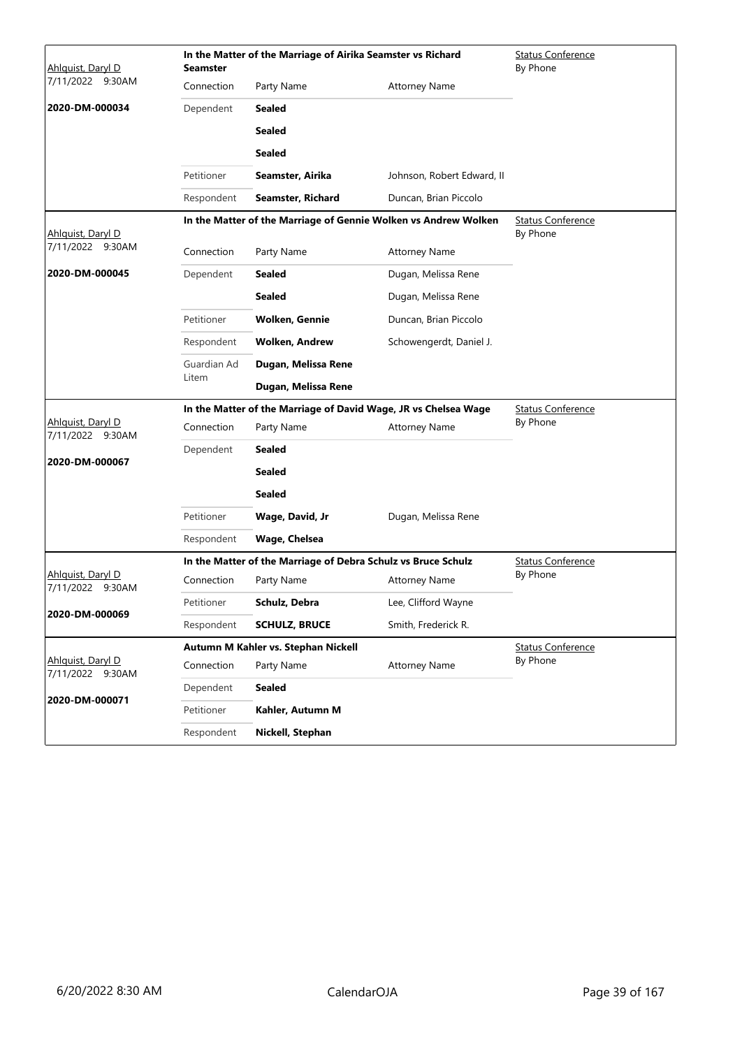| Ahlguist, Daryl D                     | <b>Seamster</b>      | In the Matter of the Marriage of Airika Seamster vs Richard   |                                                                 | <b>Status Conference</b><br>By Phone |  |  |
|---------------------------------------|----------------------|---------------------------------------------------------------|-----------------------------------------------------------------|--------------------------------------|--|--|
| 7/11/2022 9:30AM                      | Connection           | Party Name                                                    | <b>Attorney Name</b>                                            |                                      |  |  |
| 2020-DM-000034                        | Dependent            | <b>Sealed</b>                                                 |                                                                 |                                      |  |  |
|                                       |                      | <b>Sealed</b>                                                 |                                                                 |                                      |  |  |
|                                       |                      | <b>Sealed</b>                                                 |                                                                 |                                      |  |  |
|                                       | Petitioner           | Seamster, Airika                                              | Johnson, Robert Edward, II                                      |                                      |  |  |
|                                       | Respondent           | Seamster, Richard                                             | Duncan, Brian Piccolo                                           |                                      |  |  |
|                                       |                      |                                                               | In the Matter of the Marriage of Gennie Wolken vs Andrew Wolken | <b>Status Conference</b>             |  |  |
| Ahlquist, Daryl D<br>7/11/2022 9:30AM | Connection           | Party Name                                                    | <b>Attorney Name</b>                                            | By Phone                             |  |  |
| 2020-DM-000045                        |                      |                                                               |                                                                 |                                      |  |  |
|                                       | Dependent            | <b>Sealed</b>                                                 | Dugan, Melissa Rene                                             |                                      |  |  |
|                                       |                      | <b>Sealed</b>                                                 | Dugan, Melissa Rene                                             |                                      |  |  |
|                                       | Petitioner           | <b>Wolken, Gennie</b>                                         | Duncan, Brian Piccolo                                           |                                      |  |  |
|                                       | Respondent           | <b>Wolken, Andrew</b>                                         | Schowengerdt, Daniel J.                                         |                                      |  |  |
|                                       | Guardian Ad<br>Litem | Dugan, Melissa Rene                                           |                                                                 |                                      |  |  |
|                                       |                      | Dugan, Melissa Rene                                           |                                                                 |                                      |  |  |
|                                       |                      |                                                               | In the Matter of the Marriage of David Wage, JR vs Chelsea Wage | <b>Status Conference</b>             |  |  |
| Ahlquist, Daryl D<br>7/11/2022 9:30AM | Connection           | Party Name                                                    | <b>Attorney Name</b>                                            | By Phone                             |  |  |
| 2020-DM-000067                        | Dependent            | Sealed                                                        |                                                                 |                                      |  |  |
|                                       |                      | <b>Sealed</b>                                                 |                                                                 |                                      |  |  |
|                                       |                      | <b>Sealed</b>                                                 |                                                                 |                                      |  |  |
|                                       | Petitioner           | Wage, David, Jr                                               | Dugan, Melissa Rene                                             |                                      |  |  |
|                                       | Respondent           | Wage, Chelsea                                                 |                                                                 |                                      |  |  |
|                                       |                      | In the Matter of the Marriage of Debra Schulz vs Bruce Schulz |                                                                 | <b>Status Conference</b>             |  |  |
| Ahlquist, Daryl D<br>7/11/2022 9:30AM | Connection           | Party Name                                                    | <b>Attorney Name</b>                                            | By Phone                             |  |  |
| 2020-DM-000069                        | Petitioner           | Schulz, Debra                                                 | Lee, Clifford Wayne                                             |                                      |  |  |
|                                       | Respondent           | <b>SCHULZ, BRUCE</b>                                          | Smith, Frederick R.                                             |                                      |  |  |
|                                       |                      | Autumn M Kahler vs. Stephan Nickell                           |                                                                 | <b>Status Conference</b>             |  |  |
| Ahlquist, Daryl D<br>7/11/2022 9:30AM | Connection           | Party Name                                                    | <b>Attorney Name</b>                                            | By Phone                             |  |  |
| 2020-DM-000071                        | Dependent            | <b>Sealed</b>                                                 |                                                                 |                                      |  |  |
|                                       | Petitioner           | Kahler, Autumn M                                              |                                                                 |                                      |  |  |
|                                       | Respondent           | Nickell, Stephan                                              |                                                                 |                                      |  |  |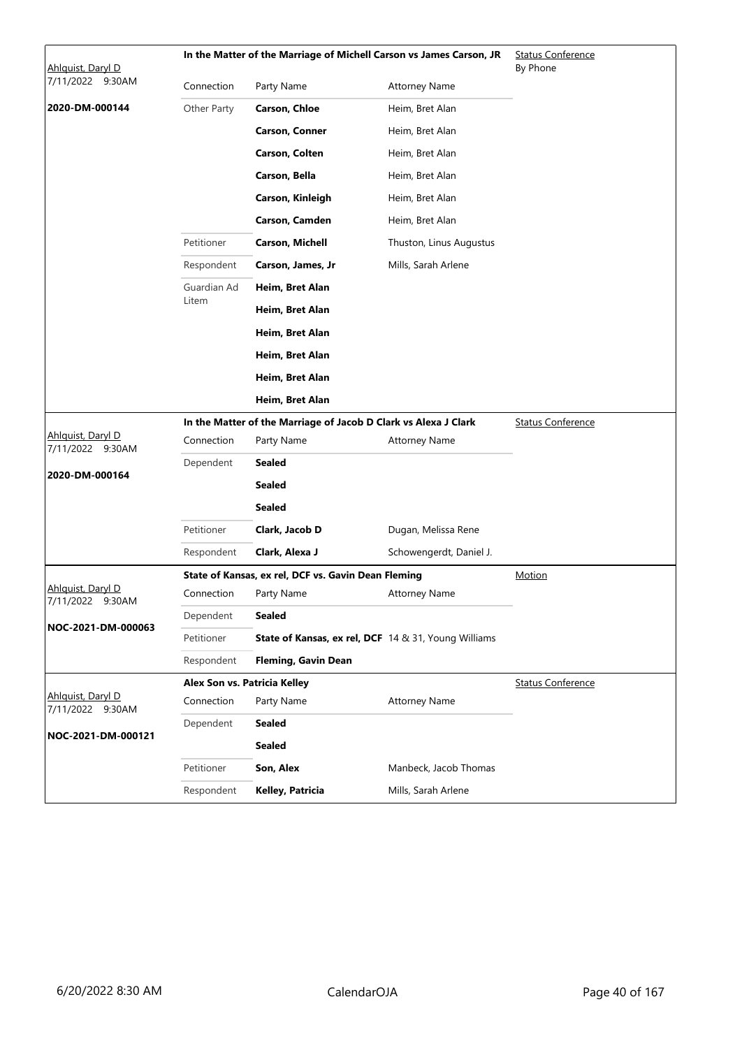| Ahlguist, Daryl D                     |             | In the Matter of the Marriage of Michell Carson vs James Carson, JR |                         | <b>Status Conference</b><br>By Phone |  |  |
|---------------------------------------|-------------|---------------------------------------------------------------------|-------------------------|--------------------------------------|--|--|
| 7/11/2022 9:30AM                      | Connection  | Party Name                                                          | <b>Attorney Name</b>    |                                      |  |  |
| 2020-DM-000144                        | Other Party | <b>Carson, Chloe</b>                                                | Heim, Bret Alan         |                                      |  |  |
|                                       |             | <b>Carson, Conner</b>                                               | Heim, Bret Alan         |                                      |  |  |
|                                       |             | Carson, Colten                                                      | Heim, Bret Alan         |                                      |  |  |
|                                       |             | Carson, Bella                                                       | Heim, Bret Alan         |                                      |  |  |
|                                       |             | Carson, Kinleigh                                                    | Heim, Bret Alan         |                                      |  |  |
|                                       |             | Carson, Camden                                                      | Heim, Bret Alan         |                                      |  |  |
|                                       | Petitioner  | <b>Carson, Michell</b>                                              | Thuston, Linus Augustus |                                      |  |  |
|                                       | Respondent  | Carson, James, Jr                                                   | Mills, Sarah Arlene     |                                      |  |  |
|                                       | Guardian Ad | Heim, Bret Alan                                                     |                         |                                      |  |  |
|                                       | Litem       | Heim, Bret Alan                                                     |                         |                                      |  |  |
|                                       |             | Heim, Bret Alan                                                     |                         |                                      |  |  |
|                                       |             | Heim, Bret Alan                                                     |                         |                                      |  |  |
|                                       |             | Heim, Bret Alan                                                     |                         |                                      |  |  |
|                                       |             | Heim, Bret Alan                                                     |                         |                                      |  |  |
|                                       |             | In the Matter of the Marriage of Jacob D Clark vs Alexa J Clark     |                         | <b>Status Conference</b>             |  |  |
| Ahlquist, Daryl D<br>7/11/2022 9:30AM | Connection  | Party Name                                                          | <b>Attorney Name</b>    |                                      |  |  |
| 2020-DM-000164                        | Dependent   | <b>Sealed</b>                                                       |                         |                                      |  |  |
|                                       |             | <b>Sealed</b>                                                       |                         |                                      |  |  |
|                                       |             | <b>Sealed</b>                                                       |                         |                                      |  |  |
|                                       | Petitioner  | Clark, Jacob D                                                      | Dugan, Melissa Rene     |                                      |  |  |
|                                       | Respondent  | Clark, Alexa J                                                      | Schowengerdt, Daniel J. |                                      |  |  |
|                                       |             | State of Kansas, ex rel, DCF vs. Gavin Dean Fleming                 |                         | Motion                               |  |  |
| Ahlquist, Daryl D<br>7/11/2022 9:30AM | Connection  | Party Name                                                          | Attorney Name           |                                      |  |  |
| NOC-2021-DM-000063                    | Dependent   | <b>Sealed</b>                                                       |                         |                                      |  |  |
|                                       | Petitioner  | <b>State of Kansas, ex rel, DCF</b> 14 & 31, Young Williams         |                         |                                      |  |  |
|                                       | Respondent  | <b>Fleming, Gavin Dean</b>                                          |                         |                                      |  |  |
| Ahlquist, Daryl D                     |             | Alex Son vs. Patricia Kelley                                        |                         | <b>Status Conference</b>             |  |  |
| 7/11/2022 9:30AM                      | Connection  | Party Name                                                          | <b>Attorney Name</b>    |                                      |  |  |
| NOC-2021-DM-000121                    | Dependent   | <b>Sealed</b>                                                       |                         |                                      |  |  |
|                                       |             | <b>Sealed</b>                                                       |                         |                                      |  |  |
|                                       | Petitioner  | Son, Alex                                                           | Manbeck, Jacob Thomas   |                                      |  |  |
|                                       | Respondent  | Kelley, Patricia                                                    | Mills, Sarah Arlene     |                                      |  |  |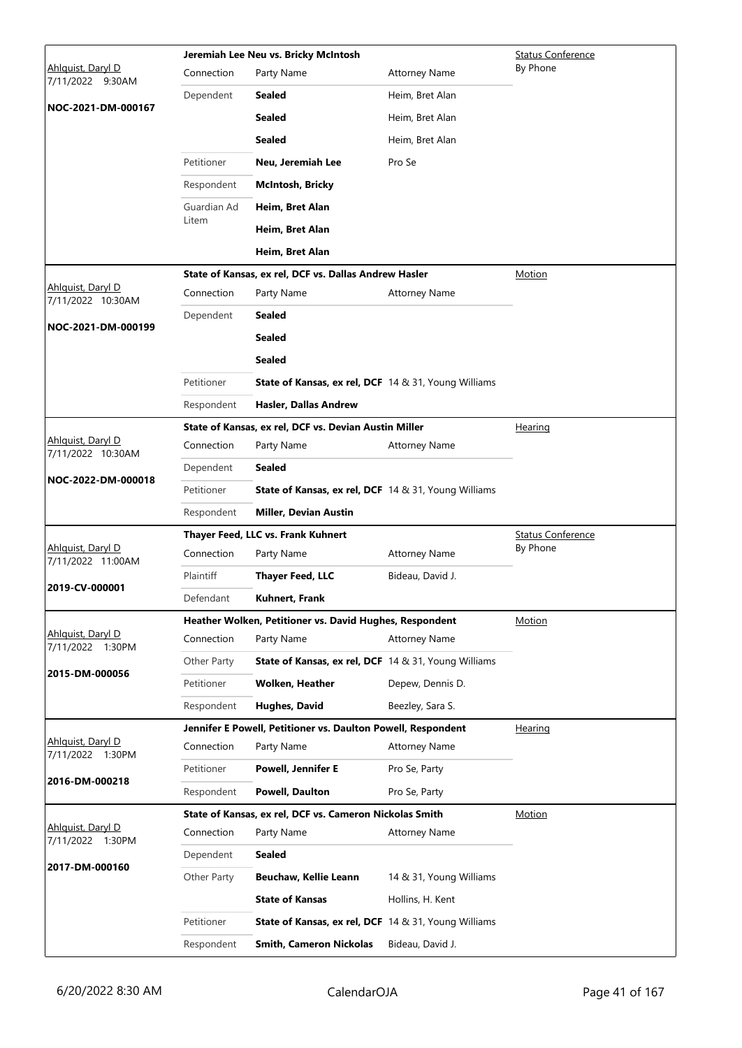|                                        |                          | Jeremiah Lee Neu vs. Bricky McIntosh<br><b>Status Conference</b>                              |                         |                          |  |
|----------------------------------------|--------------------------|-----------------------------------------------------------------------------------------------|-------------------------|--------------------------|--|
| Ahlquist, Daryl D<br>7/11/2022 9:30AM  | Connection               | Party Name                                                                                    | <b>Attorney Name</b>    | By Phone                 |  |
| NOC-2021-DM-000167                     | Dependent                | Sealed                                                                                        | Heim, Bret Alan         |                          |  |
|                                        |                          | <b>Sealed</b>                                                                                 | Heim, Bret Alan         |                          |  |
|                                        |                          | <b>Sealed</b>                                                                                 | Heim, Bret Alan         |                          |  |
|                                        | Petitioner               | Neu, Jeremiah Lee                                                                             | Pro Se                  |                          |  |
|                                        | Respondent               | <b>McIntosh, Bricky</b>                                                                       |                         |                          |  |
|                                        | Guardian Ad              | Heim, Bret Alan                                                                               |                         |                          |  |
|                                        | Litem                    | Heim, Bret Alan                                                                               |                         |                          |  |
|                                        |                          | Heim, Bret Alan                                                                               |                         |                          |  |
|                                        |                          | State of Kansas, ex rel, DCF vs. Dallas Andrew Hasler                                         |                         | Motion                   |  |
| Ahlquist, Daryl D<br>7/11/2022 10:30AM | Connection               | Party Name                                                                                    | <b>Attorney Name</b>    |                          |  |
| NOC-2021-DM-000199                     | Dependent                | <b>Sealed</b>                                                                                 |                         |                          |  |
|                                        |                          | <b>Sealed</b>                                                                                 |                         |                          |  |
|                                        |                          | <b>Sealed</b>                                                                                 |                         |                          |  |
|                                        | Petitioner               | <b>State of Kansas, ex rel, DCF</b> 14 & 31, Young Williams                                   |                         |                          |  |
|                                        | Respondent               | Hasler, Dallas Andrew                                                                         |                         |                          |  |
|                                        |                          | State of Kansas, ex rel, DCF vs. Devian Austin Miller                                         |                         | Hearing                  |  |
| Ahlquist, Daryl D<br>7/11/2022 10:30AM | Connection               | Party Name                                                                                    | <b>Attorney Name</b>    |                          |  |
| NOC-2022-DM-000018                     | Dependent                | Sealed                                                                                        |                         |                          |  |
|                                        | Petitioner               | <b>State of Kansas, ex rel, DCF</b> 14 & 31, Young Williams                                   |                         |                          |  |
|                                        | Respondent               |                                                                                               |                         |                          |  |
|                                        |                          | <b>Miller, Devian Austin</b>                                                                  |                         |                          |  |
|                                        |                          | Thayer Feed, LLC vs. Frank Kuhnert                                                            |                         | <b>Status Conference</b> |  |
| Ahlquist, Daryl D<br>7/11/2022 11:00AM | Connection               | Party Name                                                                                    | <b>Attorney Name</b>    | By Phone                 |  |
| 2019-CV-000001                         | Plaintiff                | <b>Thayer Feed, LLC</b>                                                                       | Bideau, David J.        |                          |  |
|                                        | Defendant                | Kuhnert, Frank                                                                                |                         |                          |  |
|                                        |                          | Heather Wolken, Petitioner vs. David Hughes, Respondent                                       |                         | <b>Motion</b>            |  |
| Ahlquist, Daryl D<br>7/11/2022 1:30PM  | Connection               | Party Name                                                                                    | <b>Attorney Name</b>    |                          |  |
| 2015-DM-000056                         | Other Party              | <b>State of Kansas, ex rel, DCF</b> 14 & 31, Young Williams                                   |                         |                          |  |
|                                        | Petitioner               | <b>Wolken, Heather</b>                                                                        | Depew, Dennis D.        |                          |  |
|                                        | Respondent               | Hughes, David                                                                                 | Beezley, Sara S.        |                          |  |
|                                        |                          | Jennifer E Powell, Petitioner vs. Daulton Powell, Respondent                                  |                         | Hearing                  |  |
| Ahlguist, Daryl D<br>7/11/2022 1:30PM  | Connection               | Party Name                                                                                    | <b>Attorney Name</b>    |                          |  |
| 2016-DM-000218                         | Petitioner               | <b>Powell, Jennifer E</b>                                                                     | Pro Se, Party           |                          |  |
|                                        | Respondent               | <b>Powell, Daulton</b>                                                                        | Pro Se, Party           |                          |  |
| Ahlguist, Daryl D                      |                          | State of Kansas, ex rel, DCF vs. Cameron Nickolas Smith                                       |                         | Motion                   |  |
| 7/11/2022 1:30PM                       | Connection               | Party Name                                                                                    | <b>Attorney Name</b>    |                          |  |
| 2017-DM-000160                         | Dependent                | <b>Sealed</b>                                                                                 |                         |                          |  |
|                                        | Other Party              | Beuchaw, Kellie Leann                                                                         | 14 & 31, Young Williams |                          |  |
|                                        |                          | <b>State of Kansas</b>                                                                        | Hollins, H. Kent        |                          |  |
|                                        | Petitioner<br>Respondent | <b>State of Kansas, ex rel, DCF</b> 14 & 31, Young Williams<br><b>Smith, Cameron Nickolas</b> | Bideau, David J.        |                          |  |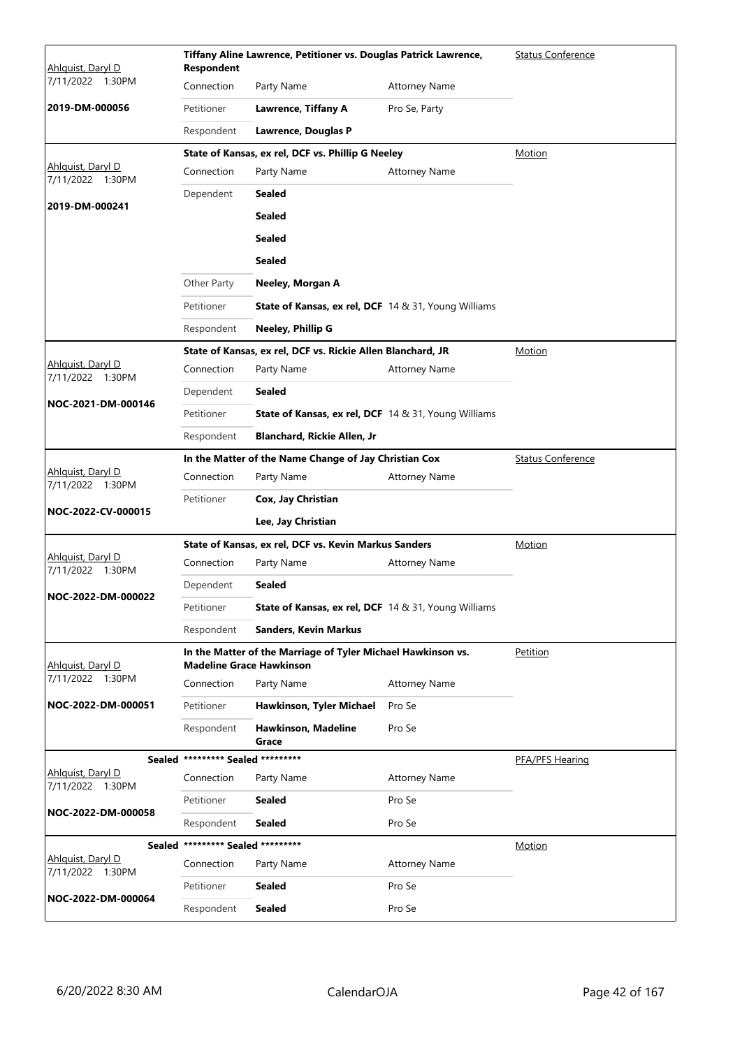| Ahlguist, Daryl D                     | Tiffany Aline Lawrence, Petitioner vs. Douglas Patrick Lawrence,<br><b>Respondent</b> |                                                                                                 |                      | <b>Status Conference</b> |
|---------------------------------------|---------------------------------------------------------------------------------------|-------------------------------------------------------------------------------------------------|----------------------|--------------------------|
| 7/11/2022 1:30PM                      | Connection                                                                            | Party Name                                                                                      | <b>Attorney Name</b> |                          |
| 2019-DM-000056                        | Petitioner                                                                            | <b>Lawrence, Tiffany A</b>                                                                      | Pro Se, Party        |                          |
|                                       | Respondent                                                                            | Lawrence, Douglas P                                                                             |                      |                          |
|                                       |                                                                                       | State of Kansas, ex rel, DCF vs. Phillip G Neeley                                               |                      | Motion                   |
| Ahlquist, Daryl D<br>7/11/2022 1:30PM | Connection                                                                            | Party Name                                                                                      | <b>Attorney Name</b> |                          |
| 2019-DM-000241                        | Dependent                                                                             | Sealed                                                                                          |                      |                          |
|                                       |                                                                                       | <b>Sealed</b>                                                                                   |                      |                          |
|                                       |                                                                                       | <b>Sealed</b>                                                                                   |                      |                          |
|                                       |                                                                                       | <b>Sealed</b>                                                                                   |                      |                          |
|                                       | Other Party                                                                           | Neeley, Morgan A                                                                                |                      |                          |
|                                       | Petitioner                                                                            | <b>State of Kansas, ex rel, DCF</b> 14 & 31, Young Williams                                     |                      |                          |
|                                       | Respondent                                                                            | Neeley, Phillip G                                                                               |                      |                          |
|                                       |                                                                                       | State of Kansas, ex rel, DCF vs. Rickie Allen Blanchard, JR                                     |                      | Motion                   |
| Ahlquist, Daryl D<br>7/11/2022 1:30PM | Connection                                                                            | Party Name                                                                                      | <b>Attorney Name</b> |                          |
|                                       | Dependent                                                                             | <b>Sealed</b>                                                                                   |                      |                          |
| NOC-2021-DM-000146                    | Petitioner                                                                            | <b>State of Kansas, ex rel, DCF</b> 14 & 31, Young Williams                                     |                      |                          |
|                                       | Respondent                                                                            | Blanchard, Rickie Allen, Jr                                                                     |                      |                          |
|                                       |                                                                                       | In the Matter of the Name Change of Jay Christian Cox                                           |                      | <b>Status Conference</b> |
| Ahlquist, Daryl D<br>7/11/2022 1:30PM | Connection                                                                            | Party Name                                                                                      | <b>Attorney Name</b> |                          |
| NOC-2022-CV-000015                    | Petitioner                                                                            | Cox, Jay Christian                                                                              |                      |                          |
|                                       |                                                                                       | Lee, Jay Christian                                                                              |                      |                          |
|                                       |                                                                                       | State of Kansas, ex rel, DCF vs. Kevin Markus Sanders                                           |                      | <b>Motion</b>            |
| Ahlquist, Daryl D<br>7/11/2022 1:30PM | Connection                                                                            | Party Name                                                                                      | <b>Attorney Name</b> |                          |
| NOC-2022-DM-000022                    | Dependent                                                                             | <b>Sealed</b>                                                                                   |                      |                          |
|                                       | Petitioner                                                                            | State of Kansas, ex rel, DCF 14 & 31, Young Williams                                            |                      |                          |
|                                       | Respondent                                                                            | <b>Sanders, Kevin Markus</b>                                                                    |                      |                          |
| Ahlquist, Daryl D                     |                                                                                       | In the Matter of the Marriage of Tyler Michael Hawkinson vs.<br><b>Madeline Grace Hawkinson</b> |                      | Petition                 |
| 7/11/2022 1:30PM                      | Connection                                                                            | Party Name                                                                                      | <b>Attorney Name</b> |                          |
| NOC-2022-DM-000051                    | Petitioner                                                                            | Hawkinson, Tyler Michael                                                                        | Pro Se               |                          |
|                                       | Respondent                                                                            | Hawkinson, Madeline<br>Grace                                                                    | Pro Se               |                          |
|                                       | Sealed ********* Sealed *********                                                     |                                                                                                 |                      | PFA/PFS Hearing          |
| Ahlquist, Daryl D<br>7/11/2022 1:30PM | Connection                                                                            | Party Name                                                                                      | <b>Attorney Name</b> |                          |
| NOC-2022-DM-000058                    | Petitioner                                                                            | <b>Sealed</b>                                                                                   | Pro Se               |                          |
|                                       | Respondent                                                                            | <b>Sealed</b>                                                                                   | Pro Se               |                          |
|                                       | Sealed ********* Sealed *********                                                     |                                                                                                 |                      | <b>Motion</b>            |
| Ahlquist, Daryl D<br>7/11/2022 1:30PM | Connection                                                                            | Party Name                                                                                      | <b>Attorney Name</b> |                          |
| NOC-2022-DM-000064                    | Petitioner                                                                            | <b>Sealed</b>                                                                                   | Pro Se               |                          |
|                                       | Respondent                                                                            | <b>Sealed</b>                                                                                   | Pro Se               |                          |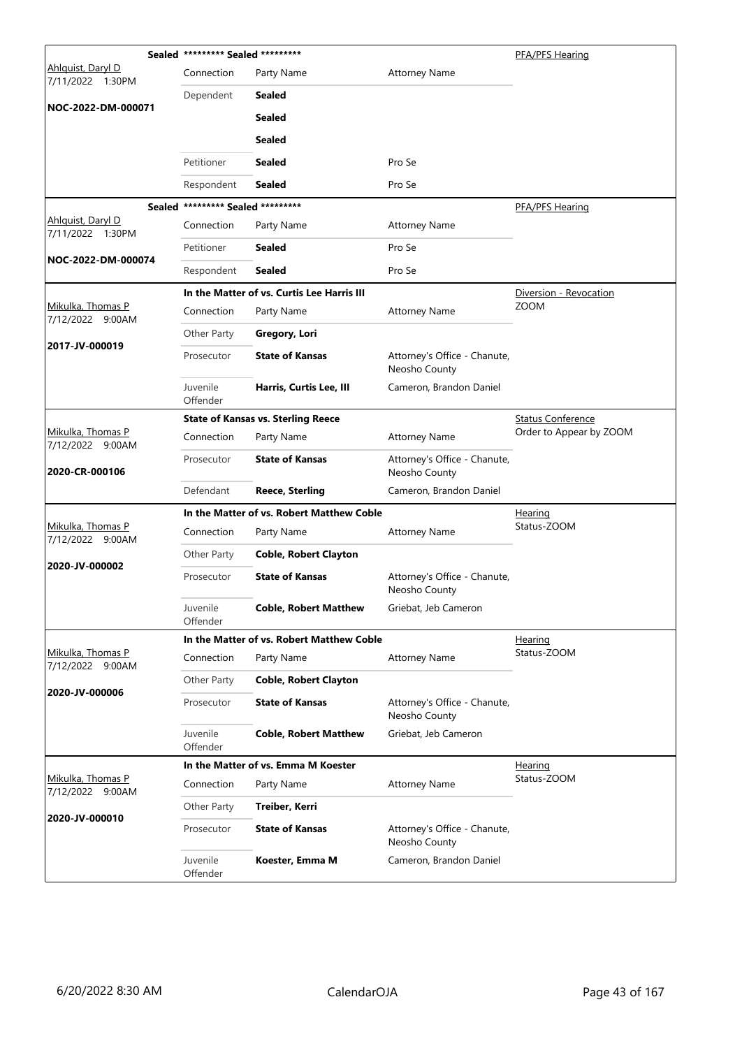|                                       | Sealed ********* Sealed ********* |                                            |                                               | PFA/PFS Hearing          |
|---------------------------------------|-----------------------------------|--------------------------------------------|-----------------------------------------------|--------------------------|
| Ahlguist, Daryl D<br>7/11/2022 1:30PM | Connection                        | Party Name                                 | <b>Attorney Name</b>                          |                          |
| NOC-2022-DM-000071                    | Dependent                         | <b>Sealed</b>                              |                                               |                          |
|                                       |                                   | <b>Sealed</b>                              |                                               |                          |
|                                       |                                   | <b>Sealed</b>                              |                                               |                          |
|                                       | Petitioner                        | <b>Sealed</b>                              | Pro Se                                        |                          |
|                                       | Respondent                        | <b>Sealed</b>                              | Pro Se                                        |                          |
|                                       | Sealed ********* Sealed ********* |                                            |                                               | PFA/PFS Hearing          |
| Ahlquist, Daryl D<br>7/11/2022 1:30PM | Connection                        | Party Name                                 | <b>Attorney Name</b>                          |                          |
|                                       | Petitioner                        | <b>Sealed</b>                              | Pro Se                                        |                          |
| NOC-2022-DM-000074                    | Respondent                        | <b>Sealed</b>                              | Pro Se                                        |                          |
|                                       |                                   | In the Matter of vs. Curtis Lee Harris III |                                               | Diversion - Revocation   |
| Mikulka, Thomas P<br>7/12/2022 9:00AM | Connection                        | Party Name                                 | <b>Attorney Name</b>                          | <b>ZOOM</b>              |
|                                       | Other Party                       | Gregory, Lori                              |                                               |                          |
| 2017-JV-000019                        | Prosecutor                        | <b>State of Kansas</b>                     | Attorney's Office - Chanute,<br>Neosho County |                          |
|                                       | Juvenile<br>Offender              | Harris, Curtis Lee, III                    | Cameron, Brandon Daniel                       |                          |
|                                       |                                   | <b>State of Kansas vs. Sterling Reece</b>  |                                               | <b>Status Conference</b> |
| Mikulka, Thomas P<br>7/12/2022 9:00AM | Connection                        | Party Name                                 | <b>Attorney Name</b>                          | Order to Appear by ZOOM  |
| 2020-CR-000106                        | Prosecutor                        | <b>State of Kansas</b>                     | Attorney's Office - Chanute,<br>Neosho County |                          |
|                                       | Defendant                         | <b>Reece, Sterling</b>                     | Cameron, Brandon Daniel                       |                          |
|                                       |                                   | In the Matter of vs. Robert Matthew Coble  |                                               | <u>Hearing</u>           |
| Mikulka, Thomas P<br>7/12/2022 9:00AM | Connection                        | Party Name                                 | <b>Attorney Name</b>                          | Status-ZOOM              |
|                                       | Other Party                       | <b>Coble, Robert Clayton</b>               |                                               |                          |
| 2020-JV-000002                        | Prosecutor                        | <b>State of Kansas</b>                     | Attorney's Office - Chanute,<br>Neosho County |                          |
|                                       | Juvenile<br>Offender              | <b>Coble, Robert Matthew</b>               | Griebat, Jeb Cameron                          |                          |
|                                       |                                   | In the Matter of vs. Robert Matthew Coble  |                                               | <u>Hearing</u>           |
| Mikulka, Thomas P<br>7/12/2022 9:00AM | Connection                        | Party Name                                 | <b>Attorney Name</b>                          | Status-ZOOM              |
| 2020-JV-000006                        | Other Party                       | <b>Coble, Robert Clayton</b>               |                                               |                          |
|                                       | Prosecutor                        | <b>State of Kansas</b>                     | Attorney's Office - Chanute,<br>Neosho County |                          |
|                                       | Juvenile<br>Offender              | <b>Coble, Robert Matthew</b>               | Griebat, Jeb Cameron                          |                          |
|                                       |                                   | In the Matter of vs. Emma M Koester        |                                               | <u>Hearing</u>           |
| Mikulka, Thomas P<br>7/12/2022 9:00AM | Connection                        | Party Name                                 | <b>Attorney Name</b>                          | Status-ZOOM              |
|                                       | Other Party                       | Treiber, Kerri                             |                                               |                          |
| 2020-JV-000010                        | Prosecutor                        | <b>State of Kansas</b>                     | Attorney's Office - Chanute,<br>Neosho County |                          |
|                                       | Juvenile<br>Offender              | Koester, Emma M                            | Cameron, Brandon Daniel                       |                          |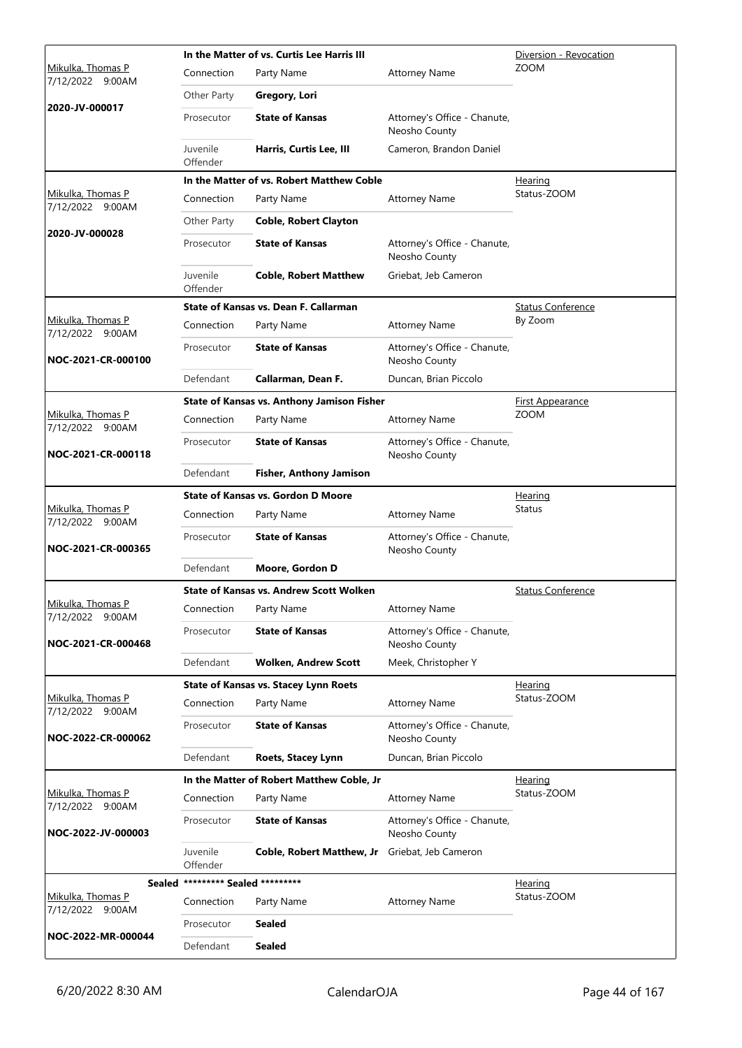|                                       |                                   | In the Matter of vs. Curtis Lee Harris III     | Diversion - Revocation                        |                          |
|---------------------------------------|-----------------------------------|------------------------------------------------|-----------------------------------------------|--------------------------|
| Mikulka, Thomas P<br>7/12/2022 9:00AM | Connection                        | Party Name                                     | <b>Attorney Name</b>                          | <b>ZOOM</b>              |
|                                       | Other Party                       | Gregory, Lori                                  |                                               |                          |
| 2020-JV-000017                        | Prosecutor                        | <b>State of Kansas</b>                         | Attorney's Office - Chanute,<br>Neosho County |                          |
|                                       | Juvenile<br>Offender              | Harris, Curtis Lee, III                        | Cameron, Brandon Daniel                       |                          |
|                                       |                                   | In the Matter of vs. Robert Matthew Coble      |                                               | <b>Hearing</b>           |
| Mikulka, Thomas P<br>7/12/2022 9:00AM | Connection                        | Party Name                                     | <b>Attorney Name</b>                          | Status-ZOOM              |
| 2020-JV-000028                        | Other Party                       | <b>Coble, Robert Clayton</b>                   |                                               |                          |
|                                       | Prosecutor                        | <b>State of Kansas</b>                         | Attorney's Office - Chanute,<br>Neosho County |                          |
|                                       | Juvenile<br>Offender              | <b>Coble, Robert Matthew</b>                   | Griebat, Jeb Cameron                          |                          |
|                                       |                                   | State of Kansas vs. Dean F. Callarman          |                                               | <b>Status Conference</b> |
| Mikulka, Thomas P<br>7/12/2022 9:00AM | Connection                        | Party Name                                     | <b>Attorney Name</b>                          | By Zoom                  |
| NOC-2021-CR-000100                    | Prosecutor                        | <b>State of Kansas</b>                         | Attorney's Office - Chanute,<br>Neosho County |                          |
|                                       | Defendant                         | Callarman, Dean F.                             | Duncan, Brian Piccolo                         |                          |
|                                       |                                   | State of Kansas vs. Anthony Jamison Fisher     |                                               | <b>First Appearance</b>  |
| Mikulka, Thomas P<br>7/12/2022 9:00AM | Connection                        | Party Name                                     | <b>Attorney Name</b>                          | <b>ZOOM</b>              |
| NOC-2021-CR-000118                    | Prosecutor                        | <b>State of Kansas</b>                         | Attorney's Office - Chanute,<br>Neosho County |                          |
|                                       | Defendant                         | <b>Fisher, Anthony Jamison</b>                 |                                               |                          |
|                                       |                                   | <b>State of Kansas vs. Gordon D Moore</b>      |                                               | Hearing                  |
| Mikulka, Thomas P<br>7/12/2022 9:00AM | Connection                        | Party Name                                     | <b>Attorney Name</b>                          | <b>Status</b>            |
| NOC-2021-CR-000365                    | Prosecutor                        | <b>State of Kansas</b>                         | Attorney's Office - Chanute,<br>Neosho County |                          |
|                                       | Defendant                         | Moore, Gordon D                                |                                               |                          |
|                                       |                                   | <b>State of Kansas vs. Andrew Scott Wolken</b> |                                               | <b>Status Conference</b> |
| Mikulka, Thomas P<br>7/12/2022 9:00AM | Connection                        | Party Name                                     | <b>Attorney Name</b>                          |                          |
| NOC-2021-CR-000468                    | Prosecutor                        | <b>State of Kansas</b>                         | Attorney's Office - Chanute,<br>Neosho County |                          |
|                                       | Defendant                         | <b>Wolken, Andrew Scott</b>                    | Meek, Christopher Y                           |                          |
|                                       |                                   | <b>State of Kansas vs. Stacey Lynn Roets</b>   |                                               | Hearing                  |
| Mikulka, Thomas P<br>7/12/2022 9:00AM | Connection                        | Party Name                                     | <b>Attorney Name</b>                          | Status-ZOOM              |
| NOC-2022-CR-000062                    | Prosecutor                        | <b>State of Kansas</b>                         | Attorney's Office - Chanute,<br>Neosho County |                          |
|                                       | Defendant                         | <b>Roets, Stacey Lynn</b>                      | Duncan, Brian Piccolo                         |                          |
|                                       |                                   | In the Matter of Robert Matthew Coble, Jr      |                                               | <u>Hearing</u>           |
| Mikulka, Thomas P<br>7/12/2022 9:00AM | Connection                        | Party Name                                     | <b>Attorney Name</b>                          | Status-ZOOM              |
| NOC-2022-JV-000003                    | Prosecutor                        | <b>State of Kansas</b>                         | Attorney's Office - Chanute,<br>Neosho County |                          |
|                                       | Juvenile<br>Offender              | Coble, Robert Matthew, Jr                      | Griebat, Jeb Cameron                          |                          |
|                                       | Sealed ********* Sealed ********* |                                                |                                               | <u>Hearing</u>           |
| Mikulka, Thomas P<br>7/12/2022 9:00AM | Connection                        | Party Name                                     | <b>Attorney Name</b>                          | Status-ZOOM              |
|                                       | Prosecutor                        | <b>Sealed</b>                                  |                                               |                          |
| NOC-2022-MR-000044                    | Defendant                         | <b>Sealed</b>                                  |                                               |                          |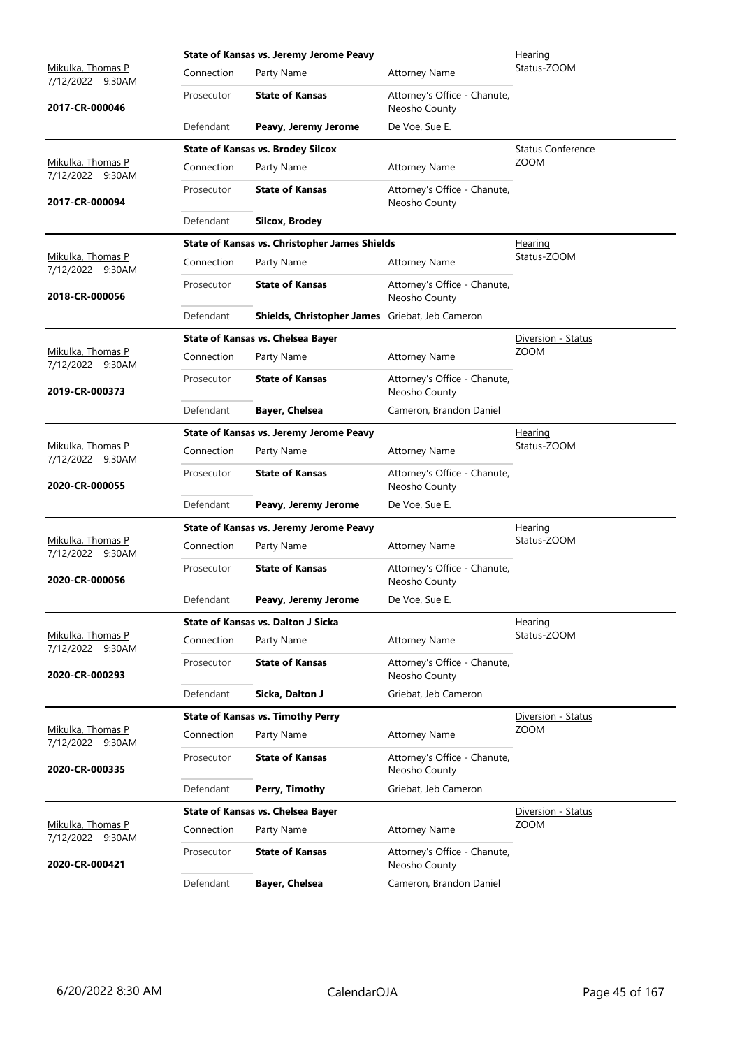|                                              |            | State of Kansas vs. Jeremy Jerome Peavy              |                                               | Hearing                  |  |  |
|----------------------------------------------|------------|------------------------------------------------------|-----------------------------------------------|--------------------------|--|--|
| <u>Mikulka, Thomas P</u><br>7/12/2022 9:30AM | Connection | Party Name                                           | <b>Attorney Name</b>                          | Status-ZOOM              |  |  |
| 2017-CR-000046                               | Prosecutor | <b>State of Kansas</b>                               | Attorney's Office - Chanute,<br>Neosho County |                          |  |  |
|                                              | Defendant  | Peavy, Jeremy Jerome                                 | De Voe, Sue E.                                |                          |  |  |
|                                              |            | <b>State of Kansas vs. Brodey Silcox</b>             |                                               | <b>Status Conference</b> |  |  |
| Mikulka, Thomas P<br>7/12/2022 9:30AM        | Connection | Party Name                                           | <b>Attorney Name</b>                          | <b>ZOOM</b>              |  |  |
| 2017-CR-000094                               | Prosecutor | <b>State of Kansas</b>                               | Attorney's Office - Chanute,<br>Neosho County |                          |  |  |
|                                              | Defendant  | <b>Silcox, Brodey</b>                                |                                               |                          |  |  |
|                                              |            | <b>State of Kansas vs. Christopher James Shields</b> |                                               | <b>Hearing</b>           |  |  |
| Mikulka, Thomas P<br>7/12/2022 9:30AM        | Connection | Party Name                                           | <b>Attorney Name</b>                          | Status-ZOOM              |  |  |
| 2018-CR-000056                               | Prosecutor | <b>State of Kansas</b>                               | Attorney's Office - Chanute,<br>Neosho County |                          |  |  |
|                                              | Defendant  | Shields, Christopher James Griebat, Jeb Cameron      |                                               |                          |  |  |
|                                              |            | <b>State of Kansas vs. Chelsea Bayer</b>             |                                               | Diversion - Status       |  |  |
| <u>Mikulka, Thomas P</u><br>7/12/2022 9:30AM | Connection | Party Name                                           | <b>Attorney Name</b>                          | <b>ZOOM</b>              |  |  |
| 2019-CR-000373                               | Prosecutor | <b>State of Kansas</b>                               | Attorney's Office - Chanute,<br>Neosho County |                          |  |  |
|                                              | Defendant  | <b>Bayer, Chelsea</b>                                | Cameron, Brandon Daniel                       |                          |  |  |
|                                              |            | State of Kansas vs. Jeremy Jerome Peavy              |                                               | Hearing                  |  |  |
| Mikulka, Thomas P<br>7/12/2022 9:30AM        | Connection | Party Name                                           | <b>Attorney Name</b>                          | Status-ZOOM              |  |  |
| 2020-CR-000055                               | Prosecutor | <b>State of Kansas</b>                               | Attorney's Office - Chanute,<br>Neosho County |                          |  |  |
|                                              | Defendant  | Peavy, Jeremy Jerome                                 | De Voe, Sue E.                                |                          |  |  |
|                                              |            | State of Kansas vs. Jeremy Jerome Peavy              |                                               | <b>Hearing</b>           |  |  |
| Mikulka, Thomas P<br>7/12/2022 9:30AM        | Connection | Party Name                                           | <b>Attorney Name</b>                          | Status-ZOOM              |  |  |
| 2020-CR-000056                               | Prosecutor | <b>State of Kansas</b>                               | Attorney's Office - Chanute,<br>Neosho County |                          |  |  |
|                                              | Defendant  | Peavy, Jeremy Jerome                                 | De Voe, Sue E.                                |                          |  |  |
|                                              |            | <b>State of Kansas vs. Dalton J Sicka</b>            |                                               | Hearing                  |  |  |
| Mikulka, Thomas P<br>7/12/2022 9:30AM        | Connection | Party Name                                           | <b>Attorney Name</b>                          | Status-ZOOM              |  |  |
| 2020-CR-000293                               | Prosecutor | <b>State of Kansas</b>                               | Attorney's Office - Chanute,<br>Neosho County |                          |  |  |
|                                              | Defendant  | Sicka, Dalton J                                      | Griebat, Jeb Cameron                          |                          |  |  |
|                                              |            | <b>State of Kansas vs. Timothy Perry</b>             |                                               | Diversion - Status       |  |  |
| Mikulka, Thomas P<br>7/12/2022 9:30AM        | Connection | Party Name                                           | <b>Attorney Name</b>                          | <b>ZOOM</b>              |  |  |
| 2020-CR-000335                               | Prosecutor | <b>State of Kansas</b>                               | Attorney's Office - Chanute,<br>Neosho County |                          |  |  |
|                                              | Defendant  | Perry, Timothy                                       | Griebat, Jeb Cameron                          |                          |  |  |
|                                              |            | State of Kansas vs. Chelsea Bayer                    |                                               | Diversion - Status       |  |  |
| Mikulka, Thomas P<br>7/12/2022 9:30AM        | Connection | Party Name                                           | <b>Attorney Name</b>                          | <b>ZOOM</b>              |  |  |
| 2020-CR-000421                               | Prosecutor | <b>State of Kansas</b>                               | Attorney's Office - Chanute,<br>Neosho County |                          |  |  |
|                                              | Defendant  | <b>Bayer, Chelsea</b>                                | Cameron, Brandon Daniel                       |                          |  |  |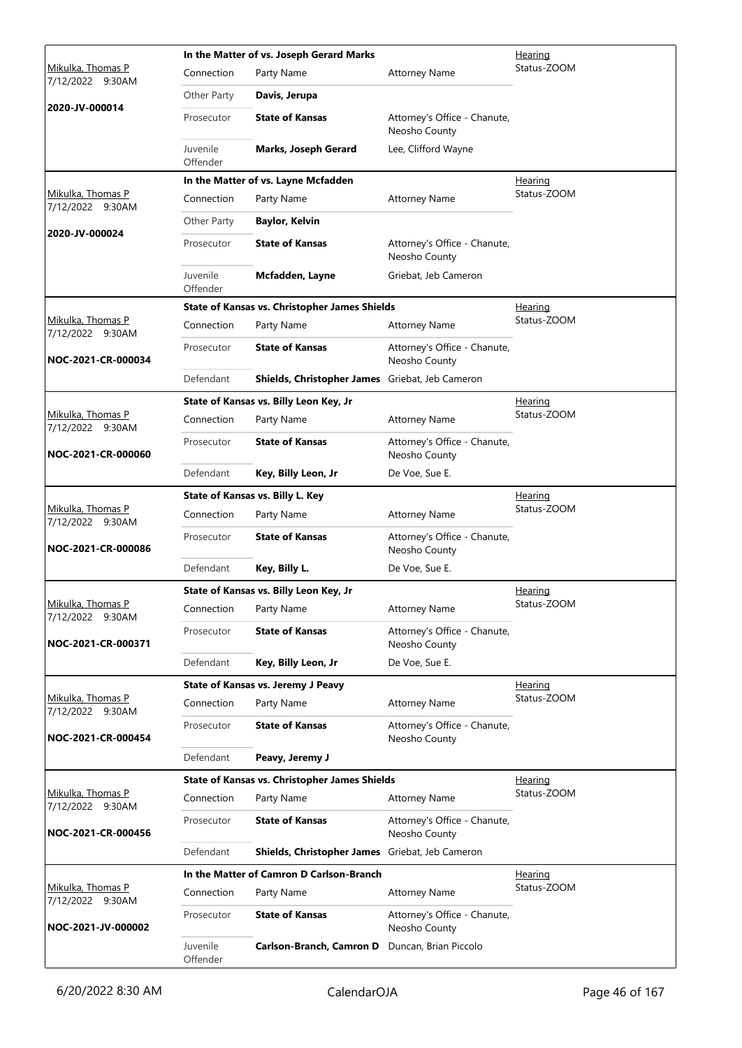|                                       |                      | In the Matter of vs. Joseph Gerard Marks             | <u>Hearing</u>                                |                |
|---------------------------------------|----------------------|------------------------------------------------------|-----------------------------------------------|----------------|
| Mikulka, Thomas P<br>7/12/2022 9:30AM | Connection           | Party Name                                           | <b>Attorney Name</b>                          | Status-ZOOM    |
|                                       | Other Party          | Davis, Jerupa                                        |                                               |                |
| 2020-JV-000014                        | Prosecutor           | <b>State of Kansas</b>                               | Attorney's Office - Chanute,<br>Neosho County |                |
|                                       | Juvenile<br>Offender | <b>Marks, Joseph Gerard</b>                          | Lee, Clifford Wayne                           |                |
|                                       |                      | In the Matter of vs. Layne Mcfadden                  |                                               | Hearing        |
| Mikulka, Thomas P<br>7/12/2022 9:30AM | Connection           | Party Name                                           | <b>Attorney Name</b>                          | Status-ZOOM    |
| 2020-JV-000024                        | Other Party          | <b>Baylor, Kelvin</b>                                |                                               |                |
|                                       | Prosecutor           | <b>State of Kansas</b>                               | Attorney's Office - Chanute,<br>Neosho County |                |
|                                       | Juvenile<br>Offender | Mcfadden, Layne                                      | Griebat, Jeb Cameron                          |                |
|                                       |                      | <b>State of Kansas vs. Christopher James Shields</b> |                                               | <b>Hearing</b> |
| Mikulka, Thomas P<br>7/12/2022 9:30AM | Connection           | Party Name                                           | <b>Attorney Name</b>                          | Status-ZOOM    |
| NOC-2021-CR-000034                    | Prosecutor           | <b>State of Kansas</b>                               | Attorney's Office - Chanute,<br>Neosho County |                |
|                                       | Defendant            | Shields, Christopher James Griebat, Jeb Cameron      |                                               |                |
|                                       |                      | State of Kansas vs. Billy Leon Key, Jr               |                                               | Hearing        |
| Mikulka, Thomas P<br>7/12/2022 9:30AM | Connection           | Party Name                                           | <b>Attorney Name</b>                          | Status-ZOOM    |
| NOC-2021-CR-000060                    | Prosecutor           | <b>State of Kansas</b>                               | Attorney's Office - Chanute,<br>Neosho County |                |
|                                       | Defendant            | Key, Billy Leon, Jr                                  | De Voe, Sue E.                                |                |
|                                       |                      | State of Kansas vs. Billy L. Key                     |                                               | <u>Hearing</u> |
| Mikulka, Thomas P<br>7/12/2022 9:30AM | Connection           | Party Name                                           | <b>Attorney Name</b>                          | Status-ZOOM    |
| NOC-2021-CR-000086                    | Prosecutor           | <b>State of Kansas</b>                               | Attorney's Office - Chanute,<br>Neosho County |                |
|                                       | Defendant            | Key, Billy L.                                        | De Voe, Sue E.                                |                |
|                                       |                      | State of Kansas vs. Billy Leon Key, Jr               |                                               | <b>Hearing</b> |
| Mikulka. Thomas P<br>7/12/2022 9:30AM | Connection           | Party Name                                           | <b>Attorney Name</b>                          | Status-ZOOM    |
| NOC-2021-CR-000371                    | Prosecutor           | <b>State of Kansas</b>                               | Attorney's Office - Chanute,<br>Neosho County |                |
|                                       | Defendant            | Key, Billy Leon, Jr                                  | De Voe, Sue E.                                |                |
|                                       |                      | State of Kansas vs. Jeremy J Peavy                   |                                               | Hearing        |
| Mikulka, Thomas P<br>7/12/2022 9:30AM | Connection           | Party Name                                           | <b>Attorney Name</b>                          | Status-ZOOM    |
| NOC-2021-CR-000454                    | Prosecutor           | <b>State of Kansas</b>                               | Attorney's Office - Chanute,<br>Neosho County |                |
|                                       | Defendant            | Peavy, Jeremy J                                      |                                               |                |
|                                       |                      | <b>State of Kansas vs. Christopher James Shields</b> |                                               | <u>Hearing</u> |
| Mikulka, Thomas P<br>7/12/2022 9:30AM | Connection           | Party Name                                           | <b>Attorney Name</b>                          | Status-ZOOM    |
| NOC-2021-CR-000456                    | Prosecutor           | <b>State of Kansas</b>                               | Attorney's Office - Chanute,<br>Neosho County |                |
|                                       | Defendant            | Shields, Christopher James Griebat, Jeb Cameron      |                                               |                |
|                                       |                      | In the Matter of Camron D Carlson-Branch             |                                               | Hearing        |
| Mikulka, Thomas P<br>7/12/2022 9:30AM | Connection           | Party Name                                           | <b>Attorney Name</b>                          | Status-ZOOM    |
| NOC-2021-JV-000002                    | Prosecutor           | <b>State of Kansas</b>                               | Attorney's Office - Chanute,<br>Neosho County |                |
|                                       | Juvenile<br>Offender | Carlson-Branch, Camron D Duncan, Brian Piccolo       |                                               |                |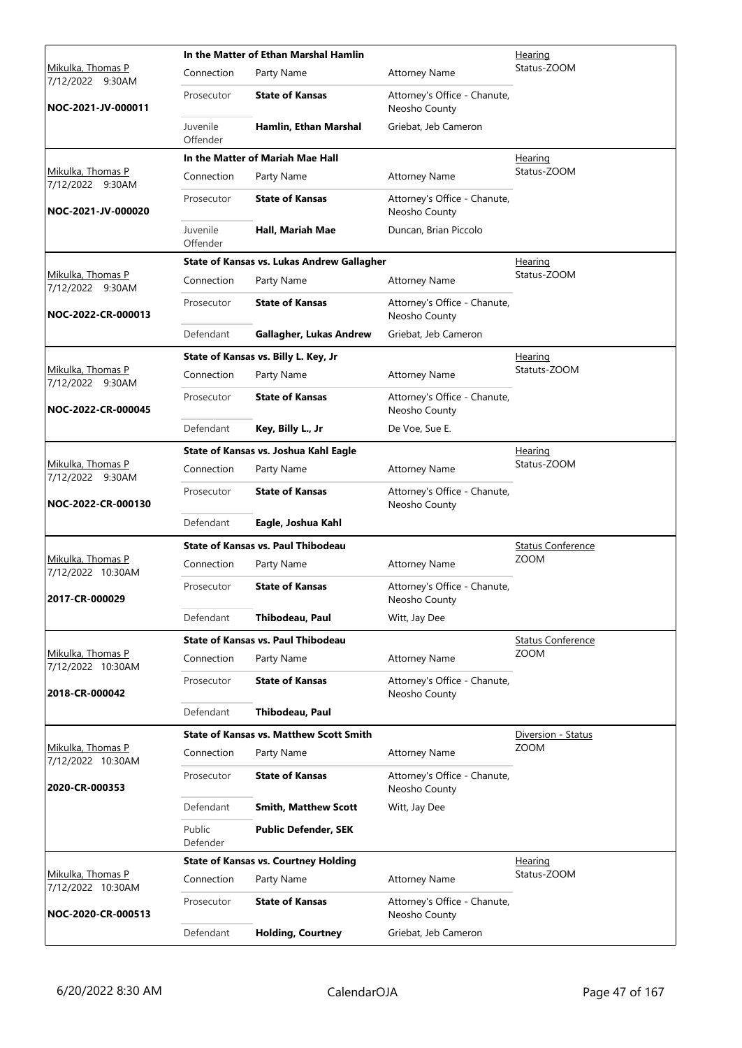|                                          |                      | In the Matter of Ethan Marshal Hamlin          |                                               | Hearing                  |
|------------------------------------------|----------------------|------------------------------------------------|-----------------------------------------------|--------------------------|
| Mikulka, Thomas P<br>7/12/2022<br>9:30AM | Connection           | Party Name                                     | <b>Attorney Name</b>                          | Status-ZOOM              |
| NOC-2021-JV-000011                       | Prosecutor           | <b>State of Kansas</b>                         | Attorney's Office - Chanute,<br>Neosho County |                          |
|                                          | Juvenile<br>Offender | Hamlin, Ethan Marshal                          | Griebat, Jeb Cameron                          |                          |
|                                          |                      | In the Matter of Mariah Mae Hall               |                                               | Hearing                  |
| Mikulka, Thomas P<br>7/12/2022 9:30AM    | Connection           | Party Name                                     | <b>Attorney Name</b>                          | Status-ZOOM              |
| NOC-2021-JV-000020                       | Prosecutor           | <b>State of Kansas</b>                         | Attorney's Office - Chanute,<br>Neosho County |                          |
|                                          | Juvenile<br>Offender | Hall, Mariah Mae                               | Duncan, Brian Piccolo                         |                          |
|                                          |                      | State of Kansas vs. Lukas Andrew Gallagher     |                                               | <u>Hearing</u>           |
| Mikulka, Thomas P<br>7/12/2022 9:30AM    | Connection           | Party Name                                     | <b>Attorney Name</b>                          | Status-ZOOM              |
| NOC-2022-CR-000013                       | Prosecutor           | <b>State of Kansas</b>                         | Attorney's Office - Chanute,<br>Neosho County |                          |
|                                          | Defendant            | Gallagher, Lukas Andrew                        | Griebat, Jeb Cameron                          |                          |
|                                          |                      | State of Kansas vs. Billy L. Key, Jr           |                                               | <u>Hearing</u>           |
| Mikulka, Thomas P<br>7/12/2022 9:30AM    | Connection           | Party Name                                     | <b>Attorney Name</b>                          | Statuts-ZOOM             |
| NOC-2022-CR-000045                       | Prosecutor           | <b>State of Kansas</b>                         | Attorney's Office - Chanute,<br>Neosho County |                          |
|                                          | Defendant            | Key, Billy L., Jr                              | De Voe, Sue E.                                |                          |
|                                          |                      | State of Kansas vs. Joshua Kahl Eagle          |                                               | <u>Hearing</u>           |
| Mikulka, Thomas P<br>7/12/2022 9:30AM    | Connection           | Party Name                                     | <b>Attorney Name</b>                          | Status-ZOOM              |
| NOC-2022-CR-000130                       | Prosecutor           | <b>State of Kansas</b>                         | Attorney's Office - Chanute,<br>Neosho County |                          |
|                                          | Defendant            | Eagle, Joshua Kahl                             |                                               |                          |
|                                          |                      | <b>State of Kansas vs. Paul Thibodeau</b>      |                                               | <b>Status Conference</b> |
| Mikulka, Thomas P<br>7/12/2022 10:30AM   | Connection           | Party Name                                     | <b>Attorney Name</b>                          | <b>ZOOM</b>              |
| 2017-CR-000029                           | Prosecutor           | <b>State of Kansas</b>                         | Attorney's Office - Chanute,<br>Neosho County |                          |
|                                          | Defendant            | Thibodeau, Paul                                | Witt, Jay Dee                                 |                          |
|                                          |                      | State of Kansas vs. Paul Thibodeau             |                                               | <b>Status Conference</b> |
| Mikulka, Thomas P<br>7/12/2022 10:30AM   | Connection           | Party Name                                     | <b>Attorney Name</b>                          | <b>ZOOM</b>              |
| 2018-CR-000042                           | Prosecutor           | <b>State of Kansas</b>                         | Attorney's Office - Chanute,<br>Neosho County |                          |
|                                          | Defendant            | Thibodeau, Paul                                |                                               |                          |
|                                          |                      | <b>State of Kansas vs. Matthew Scott Smith</b> |                                               | Diversion - Status       |
| Mikulka, Thomas P<br>7/12/2022 10:30AM   | Connection           | Party Name                                     | <b>Attorney Name</b>                          | <b>ZOOM</b>              |
| 2020-CR-000353                           | Prosecutor           | <b>State of Kansas</b>                         | Attorney's Office - Chanute,<br>Neosho County |                          |
|                                          | Defendant            | <b>Smith, Matthew Scott</b>                    | Witt, Jay Dee                                 |                          |
|                                          | Public<br>Defender   | <b>Public Defender, SEK</b>                    |                                               |                          |
|                                          |                      | <b>State of Kansas vs. Courtney Holding</b>    |                                               | <u>Hearing</u>           |
| Mikulka, Thomas P<br>7/12/2022 10:30AM   | Connection           | Party Name                                     | <b>Attorney Name</b>                          | Status-ZOOM              |
| NOC-2020-CR-000513                       | Prosecutor           | <b>State of Kansas</b>                         | Attorney's Office - Chanute,<br>Neosho County |                          |
|                                          | Defendant            | <b>Holding, Courtney</b>                       | Griebat, Jeb Cameron                          |                          |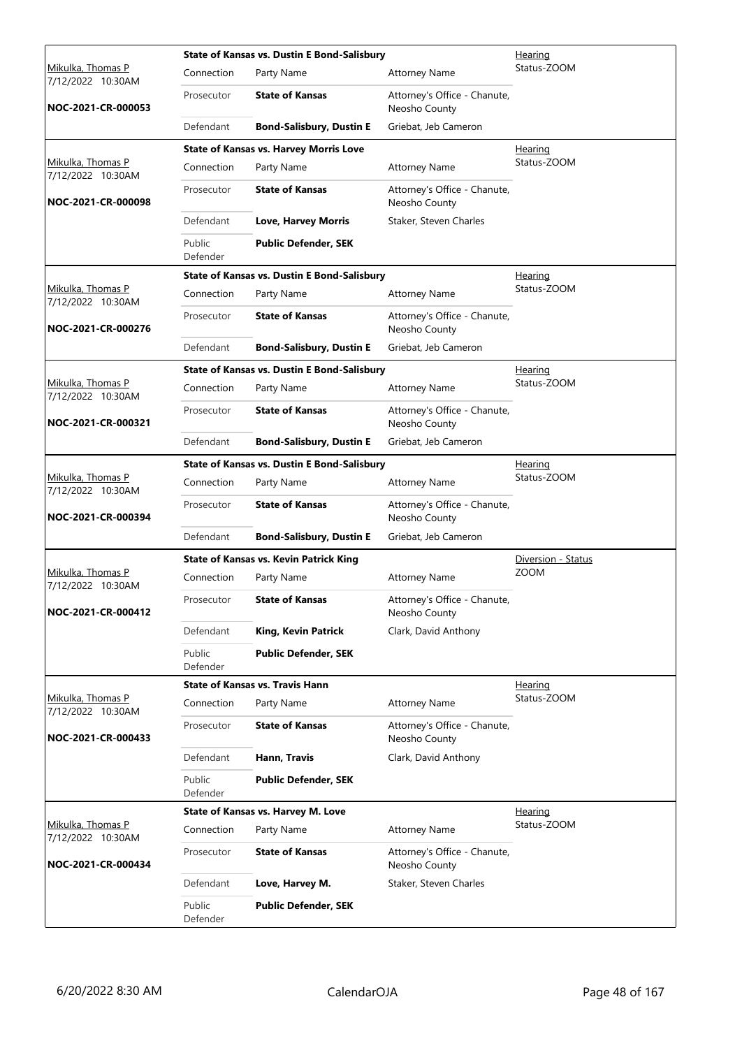|                                               |                    | <b>State of Kansas vs. Dustin E Bond-Salisbury</b> |                                               | Hearing            |
|-----------------------------------------------|--------------------|----------------------------------------------------|-----------------------------------------------|--------------------|
| <u>Mikulka, Thomas P</u><br>7/12/2022 10:30AM | Connection         | Party Name                                         | <b>Attorney Name</b>                          | Status-ZOOM        |
| NOC-2021-CR-000053                            | Prosecutor         | <b>State of Kansas</b>                             | Attorney's Office - Chanute,<br>Neosho County |                    |
|                                               | Defendant          | <b>Bond-Salisbury, Dustin E</b>                    | Griebat, Jeb Cameron                          |                    |
|                                               |                    | <b>State of Kansas vs. Harvey Morris Love</b>      |                                               | Hearing            |
| Mikulka, Thomas P<br>7/12/2022 10:30AM        | Connection         | Party Name                                         | <b>Attorney Name</b>                          | Status-ZOOM        |
| NOC-2021-CR-000098                            | Prosecutor         | <b>State of Kansas</b>                             | Attorney's Office - Chanute,<br>Neosho County |                    |
|                                               | Defendant          | <b>Love, Harvey Morris</b>                         | Staker, Steven Charles                        |                    |
|                                               | Public<br>Defender | <b>Public Defender, SEK</b>                        |                                               |                    |
|                                               |                    | <b>State of Kansas vs. Dustin E Bond-Salisbury</b> |                                               | <u>Hearing</u>     |
| Mikulka, Thomas P<br>7/12/2022 10:30AM        | Connection         | Party Name                                         | <b>Attorney Name</b>                          | Status-ZOOM        |
| NOC-2021-CR-000276                            | Prosecutor         | <b>State of Kansas</b>                             | Attorney's Office - Chanute,<br>Neosho County |                    |
|                                               | Defendant          | <b>Bond-Salisbury, Dustin E</b>                    | Griebat, Jeb Cameron                          |                    |
|                                               |                    | <b>State of Kansas vs. Dustin E Bond-Salisbury</b> |                                               | <u>Hearing</u>     |
| Mikulka, Thomas P<br>7/12/2022 10:30AM        | Connection         | Party Name                                         | <b>Attorney Name</b>                          | Status-ZOOM        |
| NOC-2021-CR-000321                            | Prosecutor         | <b>State of Kansas</b>                             | Attorney's Office - Chanute,<br>Neosho County |                    |
|                                               | Defendant          | <b>Bond-Salisbury, Dustin E</b>                    | Griebat, Jeb Cameron                          |                    |
|                                               |                    | <b>State of Kansas vs. Dustin E Bond-Salisbury</b> |                                               | <u>Hearing</u>     |
| Mikulka, Thomas P<br>7/12/2022 10:30AM        | Connection         | Party Name                                         | <b>Attorney Name</b>                          | Status-ZOOM        |
| NOC-2021-CR-000394                            | Prosecutor         | <b>State of Kansas</b>                             | Attorney's Office - Chanute,<br>Neosho County |                    |
|                                               | Defendant          | <b>Bond-Salisbury, Dustin E</b>                    | Griebat, Jeb Cameron                          |                    |
|                                               |                    | <b>State of Kansas vs. Kevin Patrick King</b>      |                                               | Diversion - Status |
| Mikulka, Thomas P<br>7/12/2022 10:30AM        | Connection         | Party Name                                         | <b>Attorney Name</b>                          | <b>ZOOM</b>        |
| NOC-2021-CR-000412                            | Prosecutor         | <b>State of Kansas</b>                             | Attorney's Office - Chanute,<br>Neosho County |                    |
|                                               | Defendant          | <b>King, Kevin Patrick</b>                         | Clark, David Anthony                          |                    |
|                                               | Public<br>Defender | <b>Public Defender, SEK</b>                        |                                               |                    |
|                                               |                    | <b>State of Kansas vs. Travis Hann</b>             |                                               | Hearing            |
| Mikulka, Thomas P<br>7/12/2022 10:30AM        | Connection         | Party Name                                         | <b>Attorney Name</b>                          | Status-ZOOM        |
| NOC-2021-CR-000433                            | Prosecutor         | <b>State of Kansas</b>                             | Attorney's Office - Chanute,<br>Neosho County |                    |
|                                               | Defendant          | Hann, Travis                                       | Clark, David Anthony                          |                    |
|                                               | Public<br>Defender | <b>Public Defender, SEK</b>                        |                                               |                    |
|                                               |                    | State of Kansas vs. Harvey M. Love                 |                                               | <b>Hearing</b>     |
| Mikulka, Thomas P<br>7/12/2022 10:30AM        | Connection         | Party Name                                         | <b>Attorney Name</b>                          | Status-ZOOM        |
| NOC-2021-CR-000434                            | Prosecutor         | <b>State of Kansas</b>                             | Attorney's Office - Chanute,<br>Neosho County |                    |
|                                               | Defendant          | Love, Harvey M.                                    | Staker, Steven Charles                        |                    |
|                                               | Public<br>Defender | <b>Public Defender, SEK</b>                        |                                               |                    |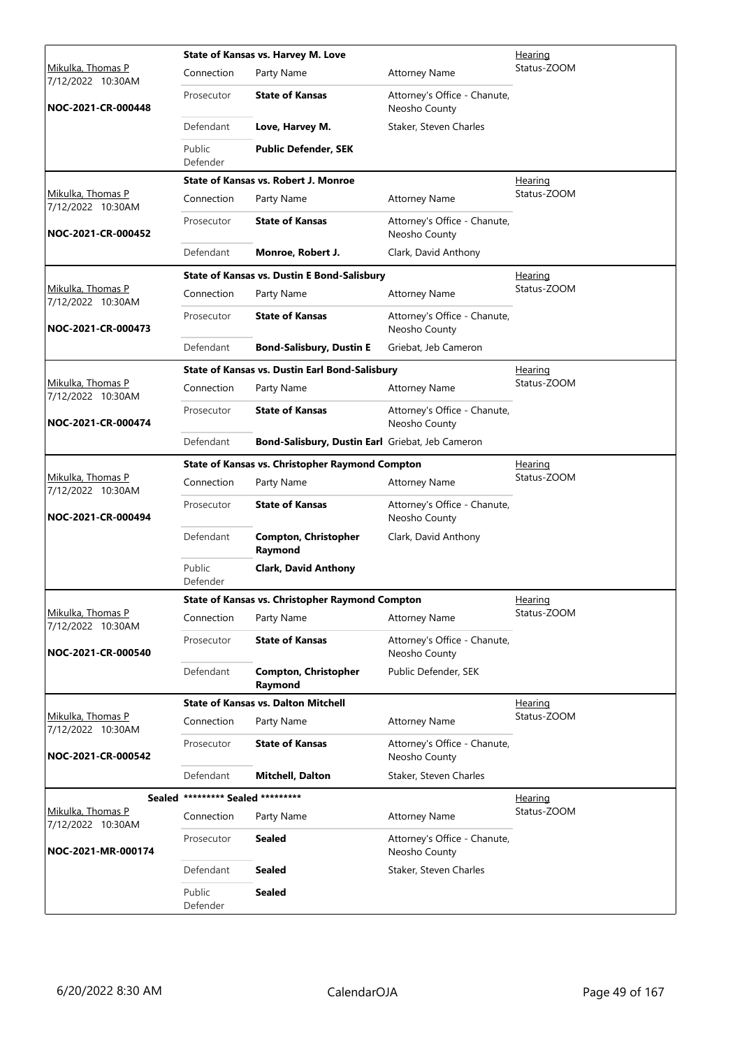|                                        |                                   | State of Kansas vs. Harvey M. Love                     |                                               | <u>Hearing</u> |
|----------------------------------------|-----------------------------------|--------------------------------------------------------|-----------------------------------------------|----------------|
| Mikulka, Thomas P<br>7/12/2022 10:30AM | Connection                        | Party Name                                             | <b>Attorney Name</b>                          | Status-ZOOM    |
| NOC-2021-CR-000448                     | Prosecutor                        | <b>State of Kansas</b>                                 | Attorney's Office - Chanute,<br>Neosho County |                |
|                                        | Defendant                         | Love, Harvey M.                                        | Staker, Steven Charles                        |                |
|                                        | Public<br>Defender                | <b>Public Defender, SEK</b>                            |                                               |                |
|                                        |                                   | State of Kansas vs. Robert J. Monroe                   |                                               | Hearing        |
| Mikulka, Thomas P<br>7/12/2022 10:30AM | Connection                        | Party Name                                             | <b>Attorney Name</b>                          | Status-ZOOM    |
| NOC-2021-CR-000452                     | Prosecutor                        | <b>State of Kansas</b>                                 | Attorney's Office - Chanute,<br>Neosho County |                |
|                                        | Defendant                         | Monroe, Robert J.                                      | Clark, David Anthony                          |                |
|                                        |                                   | <b>State of Kansas vs. Dustin E Bond-Salisbury</b>     |                                               | Hearing        |
| Mikulka, Thomas P<br>7/12/2022 10:30AM | Connection                        | Party Name                                             | <b>Attorney Name</b>                          | Status-ZOOM    |
| NOC-2021-CR-000473                     | Prosecutor                        | <b>State of Kansas</b>                                 | Attorney's Office - Chanute,<br>Neosho County |                |
|                                        | Defendant                         | <b>Bond-Salisbury, Dustin E</b>                        | Griebat, Jeb Cameron                          |                |
|                                        |                                   | <b>State of Kansas vs. Dustin Earl Bond-Salisbury</b>  |                                               | <u>Hearing</u> |
| Mikulka, Thomas P<br>7/12/2022 10:30AM | Connection                        | Party Name                                             | <b>Attorney Name</b>                          | Status-ZOOM    |
| NOC-2021-CR-000474                     | Prosecutor                        | <b>State of Kansas</b>                                 | Attorney's Office - Chanute,<br>Neosho County |                |
|                                        | Defendant                         | Bond-Salisbury, Dustin Earl Griebat, Jeb Cameron       |                                               |                |
|                                        |                                   | <b>State of Kansas vs. Christopher Raymond Compton</b> |                                               | Hearing        |
| Mikulka, Thomas P<br>7/12/2022 10:30AM | Connection                        | Party Name                                             | <b>Attorney Name</b>                          | Status-ZOOM    |
| NOC-2021-CR-000494                     | Prosecutor                        | <b>State of Kansas</b>                                 | Attorney's Office - Chanute,<br>Neosho County |                |
|                                        | Defendant                         | <b>Compton, Christopher</b><br>Raymond                 | Clark, David Anthony                          |                |
|                                        | Public<br>Defender                | <b>Clark, David Anthony</b>                            |                                               |                |
|                                        |                                   | <b>State of Kansas vs. Christopher Raymond Compton</b> |                                               | Hearing        |
| Mikulka, Thomas P<br>7/12/2022 10:30AM | Connection                        | Party Name                                             | <b>Attorney Name</b>                          | Status-ZOOM    |
| NOC-2021-CR-000540                     | Prosecutor                        | <b>State of Kansas</b>                                 | Attorney's Office - Chanute,<br>Neosho County |                |
|                                        | Defendant                         | <b>Compton, Christopher</b><br>Raymond                 | Public Defender, SEK                          |                |
|                                        |                                   | <b>State of Kansas vs. Dalton Mitchell</b>             |                                               | <u>Hearing</u> |
| Mikulka, Thomas P<br>7/12/2022 10:30AM | Connection                        | Party Name                                             | <b>Attorney Name</b>                          | Status-ZOOM    |
| NOC-2021-CR-000542                     | Prosecutor                        | <b>State of Kansas</b>                                 | Attorney's Office - Chanute,<br>Neosho County |                |
|                                        | Defendant                         | <b>Mitchell, Dalton</b>                                | Staker, Steven Charles                        |                |
|                                        | Sealed ********* Sealed ********* |                                                        |                                               | <u>Hearing</u> |
| Mikulka, Thomas P<br>7/12/2022 10:30AM | Connection                        | Party Name                                             | <b>Attorney Name</b>                          | Status-ZOOM    |
| NOC-2021-MR-000174                     | Prosecutor                        | <b>Sealed</b>                                          | Attorney's Office - Chanute,<br>Neosho County |                |
|                                        | Defendant                         | <b>Sealed</b>                                          | Staker, Steven Charles                        |                |
|                                        | Public<br>Defender                | <b>Sealed</b>                                          |                                               |                |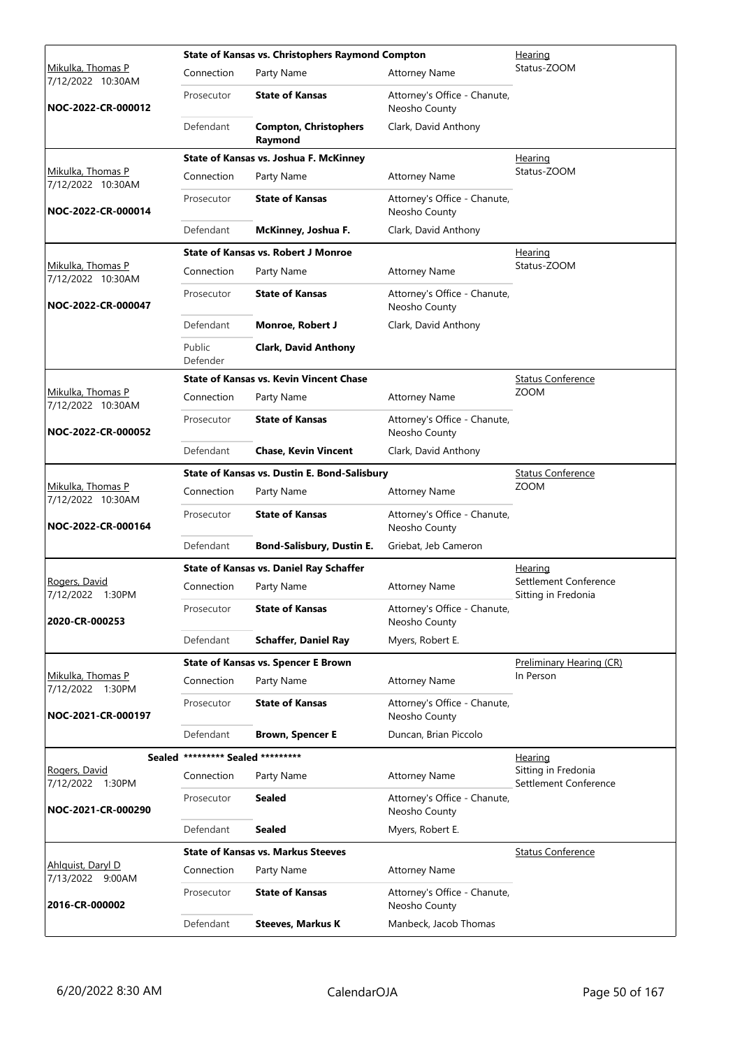|                                               |                                   | State of Kansas vs. Christophers Raymond Compton |                                               | Hearing                                      |
|-----------------------------------------------|-----------------------------------|--------------------------------------------------|-----------------------------------------------|----------------------------------------------|
| <u>Mikulka, Thomas P</u><br>7/12/2022 10:30AM | Connection                        | Party Name                                       | <b>Attorney Name</b>                          | Status-ZOOM                                  |
| NOC-2022-CR-000012                            | Prosecutor                        | <b>State of Kansas</b>                           | Attorney's Office - Chanute,<br>Neosho County |                                              |
|                                               | Defendant                         | <b>Compton, Christophers</b><br>Raymond          | Clark, David Anthony                          |                                              |
|                                               |                                   | State of Kansas vs. Joshua F. McKinney           |                                               | Hearing                                      |
| Mikulka, Thomas P<br>7/12/2022 10:30AM        | Connection                        | Party Name                                       | <b>Attorney Name</b>                          | Status-ZOOM                                  |
| NOC-2022-CR-000014                            | Prosecutor                        | <b>State of Kansas</b>                           | Attorney's Office - Chanute,<br>Neosho County |                                              |
|                                               | Defendant                         | McKinney, Joshua F.                              | Clark, David Anthony                          |                                              |
|                                               |                                   | <b>State of Kansas vs. Robert J Monroe</b>       |                                               | <u>Hearing</u>                               |
| Mikulka, Thomas P<br>7/12/2022 10:30AM        | Connection                        | Party Name                                       | <b>Attorney Name</b>                          | Status-ZOOM                                  |
| NOC-2022-CR-000047                            | Prosecutor                        | <b>State of Kansas</b>                           | Attorney's Office - Chanute,<br>Neosho County |                                              |
|                                               | Defendant                         | Monroe, Robert J                                 | Clark, David Anthony                          |                                              |
|                                               | Public<br>Defender                | <b>Clark, David Anthony</b>                      |                                               |                                              |
|                                               |                                   | <b>State of Kansas vs. Kevin Vincent Chase</b>   |                                               | <b>Status Conference</b>                     |
| Mikulka, Thomas P<br>7/12/2022 10:30AM        | Connection                        | Party Name                                       | <b>Attorney Name</b>                          | <b>ZOOM</b>                                  |
| NOC-2022-CR-000052                            | Prosecutor                        | <b>State of Kansas</b>                           | Attorney's Office - Chanute,<br>Neosho County |                                              |
|                                               | Defendant                         | <b>Chase, Kevin Vincent</b>                      | Clark, David Anthony                          |                                              |
|                                               |                                   | State of Kansas vs. Dustin E. Bond-Salisbury     |                                               | <b>Status Conference</b>                     |
| Mikulka, Thomas P<br>7/12/2022 10:30AM        | Connection                        | Party Name                                       | <b>Attorney Name</b>                          | <b>ZOOM</b>                                  |
| NOC-2022-CR-000164                            | Prosecutor                        | <b>State of Kansas</b>                           | Attorney's Office - Chanute,<br>Neosho County |                                              |
|                                               | Defendant                         | <b>Bond-Salisbury, Dustin E.</b>                 | Griebat, Jeb Cameron                          |                                              |
|                                               |                                   | <b>State of Kansas vs. Daniel Ray Schaffer</b>   |                                               | <u>Hearing</u>                               |
| Rogers, David<br>7/12/2022 1:30PM             | Connection                        | Party Name                                       | <b>Attorney Name</b>                          | Settlement Conference<br>Sitting in Fredonia |
| 2020-CR-000253                                | Prosecutor                        | <b>State of Kansas</b>                           | Attorney's Office - Chanute,<br>Neosho County |                                              |
|                                               | Defendant                         | <b>Schaffer, Daniel Ray</b>                      | Myers, Robert E.                              |                                              |
|                                               |                                   | <b>State of Kansas vs. Spencer E Brown</b>       |                                               | Preliminary Hearing (CR)                     |
| Mikulka, Thomas P<br>7/12/2022 1:30PM         | Connection                        | Party Name                                       | <b>Attorney Name</b>                          | In Person                                    |
| NOC-2021-CR-000197                            | Prosecutor                        | <b>State of Kansas</b>                           | Attorney's Office - Chanute,<br>Neosho County |                                              |
|                                               | Defendant                         | <b>Brown, Spencer E</b>                          | Duncan, Brian Piccolo                         |                                              |
|                                               | Sealed ********* Sealed ********* |                                                  |                                               | Hearing                                      |
| Rogers, David<br>7/12/2022 1:30PM             | Connection                        | Party Name                                       | <b>Attorney Name</b>                          | Sitting in Fredonia<br>Settlement Conference |
| NOC-2021-CR-000290                            | Prosecutor                        | <b>Sealed</b>                                    | Attorney's Office - Chanute,<br>Neosho County |                                              |
|                                               | Defendant                         | <b>Sealed</b>                                    | Myers, Robert E.                              |                                              |
|                                               |                                   | <b>State of Kansas vs. Markus Steeves</b>        |                                               | <b>Status Conference</b>                     |
| Ahlquist, Daryl D<br>7/13/2022 9:00AM         | Connection                        | Party Name                                       | <b>Attorney Name</b>                          |                                              |
| 2016-CR-000002                                | Prosecutor                        | <b>State of Kansas</b>                           | Attorney's Office - Chanute,<br>Neosho County |                                              |
|                                               | Defendant                         | <b>Steeves, Markus K</b>                         | Manbeck, Jacob Thomas                         |                                              |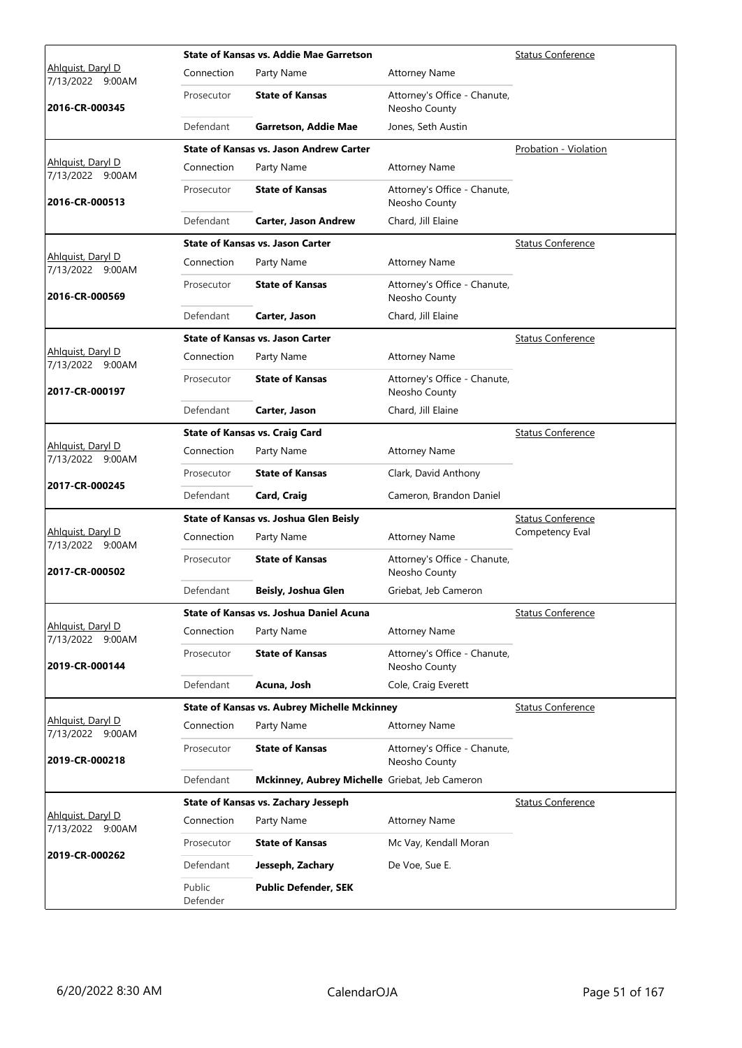|                                          |                    | <b>State of Kansas vs. Addie Mae Garretson</b>      |                                               | <b>Status Conference</b> |
|------------------------------------------|--------------------|-----------------------------------------------------|-----------------------------------------------|--------------------------|
| Ahlguist, Daryl D<br>7/13/2022<br>9:00AM | Connection         | Party Name                                          | <b>Attorney Name</b>                          |                          |
| 2016-CR-000345                           | Prosecutor         | <b>State of Kansas</b>                              | Attorney's Office - Chanute,<br>Neosho County |                          |
|                                          | Defendant          | <b>Garretson, Addie Mae</b>                         | Jones, Seth Austin                            |                          |
|                                          |                    | <b>State of Kansas vs. Jason Andrew Carter</b>      |                                               | Probation - Violation    |
| Ahlquist, Daryl D<br>7/13/2022 9:00AM    | Connection         | Party Name                                          | <b>Attorney Name</b>                          |                          |
| 2016-CR-000513                           | Prosecutor         | <b>State of Kansas</b>                              | Attorney's Office - Chanute,<br>Neosho County |                          |
|                                          | Defendant          | <b>Carter, Jason Andrew</b>                         | Chard, Jill Elaine                            |                          |
|                                          |                    | <b>State of Kansas vs. Jason Carter</b>             |                                               | <b>Status Conference</b> |
| Ahlquist, Daryl D<br>7/13/2022 9:00AM    | Connection         | Party Name                                          | <b>Attorney Name</b>                          |                          |
| 2016-CR-000569                           | Prosecutor         | <b>State of Kansas</b>                              | Attorney's Office - Chanute,<br>Neosho County |                          |
|                                          | Defendant          | Carter, Jason                                       | Chard, Jill Elaine                            |                          |
|                                          |                    | <b>State of Kansas vs. Jason Carter</b>             |                                               | <b>Status Conference</b> |
| Ahlguist, Daryl D<br>7/13/2022 9:00AM    | Connection         | Party Name                                          | <b>Attorney Name</b>                          |                          |
| 2017-CR-000197                           | Prosecutor         | <b>State of Kansas</b>                              | Attorney's Office - Chanute,<br>Neosho County |                          |
|                                          | Defendant          | Carter, Jason                                       | Chard, Jill Elaine                            |                          |
|                                          |                    | <b>State of Kansas vs. Craig Card</b>               |                                               | <b>Status Conference</b> |
| Ahlquist, Daryl D<br>7/13/2022 9:00AM    | Connection         | Party Name                                          | <b>Attorney Name</b>                          |                          |
|                                          | Prosecutor         | <b>State of Kansas</b>                              | Clark, David Anthony                          |                          |
| 2017-CR-000245                           | Defendant          | Card, Craig                                         | Cameron, Brandon Daniel                       |                          |
|                                          |                    | State of Kansas vs. Joshua Glen Beisly              |                                               | <b>Status Conference</b> |
| Ahlguist, Daryl D<br>7/13/2022 9:00AM    | Connection         | Party Name                                          | <b>Attorney Name</b>                          | Competency Eval          |
| 2017-CR-000502                           | Prosecutor         | <b>State of Kansas</b>                              | Attorney's Office - Chanute,<br>Neosho County |                          |
|                                          | Defendant          | Beisly, Joshua Glen                                 | Griebat, Jeb Cameron                          |                          |
|                                          |                    | State of Kansas vs. Joshua Daniel Acuna             |                                               | <b>Status Conference</b> |
| Ahlquist, Daryl D<br>7/13/2022 9:00AM    | Connection         | Party Name                                          | <b>Attorney Name</b>                          |                          |
| 2019-CR-000144                           | Prosecutor         | <b>State of Kansas</b>                              | Attorney's Office - Chanute,<br>Neosho County |                          |
|                                          | Defendant          | Acuna, Josh                                         | Cole, Craig Everett                           |                          |
|                                          |                    | <b>State of Kansas vs. Aubrey Michelle Mckinney</b> |                                               | <b>Status Conference</b> |
| Ahlquist, Daryl D<br>7/13/2022 9:00AM    | Connection         | Party Name                                          | <b>Attorney Name</b>                          |                          |
| 2019-CR-000218                           | Prosecutor         | <b>State of Kansas</b>                              | Attorney's Office - Chanute,<br>Neosho County |                          |
|                                          | Defendant          | Mckinney, Aubrey Michelle Griebat, Jeb Cameron      |                                               |                          |
|                                          |                    | State of Kansas vs. Zachary Jesseph                 |                                               | <b>Status Conference</b> |
| Ahlquist, Daryl D<br>7/13/2022 9:00AM    | Connection         | Party Name                                          | <b>Attorney Name</b>                          |                          |
|                                          | Prosecutor         | <b>State of Kansas</b>                              | Mc Vay, Kendall Moran                         |                          |
| 2019-CR-000262                           | Defendant          | Jesseph, Zachary                                    | De Voe, Sue E.                                |                          |
|                                          | Public<br>Defender | <b>Public Defender, SEK</b>                         |                                               |                          |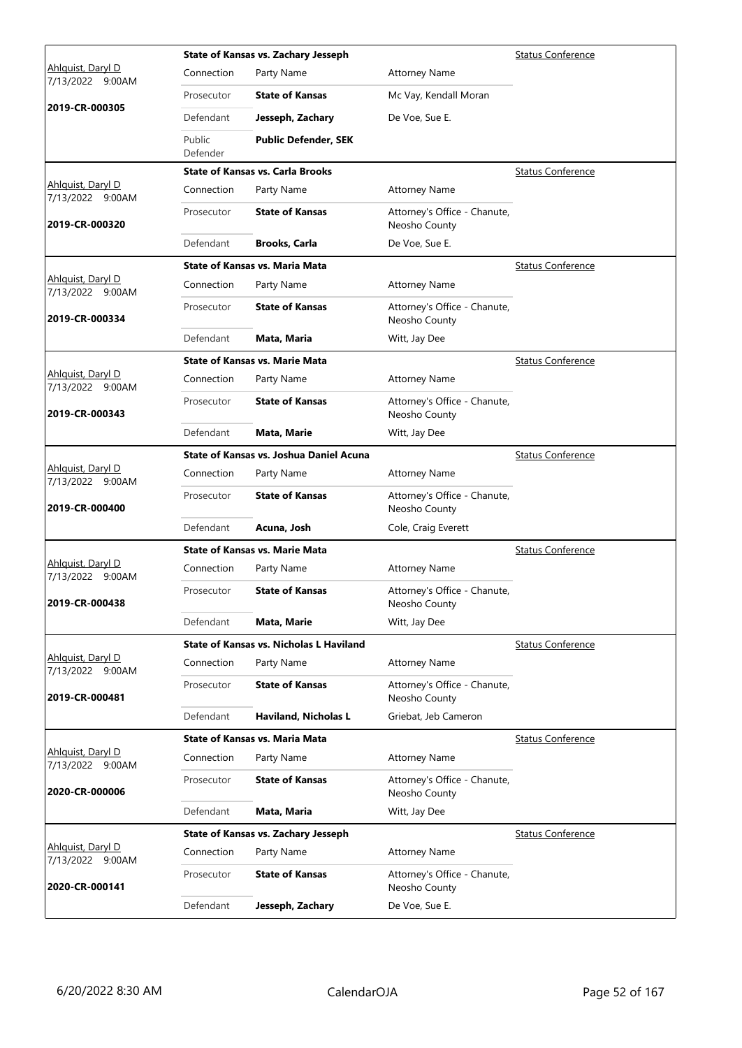|                                              |                    | State of Kansas vs. Zachary Jesseph            |                                               | <b>Status Conference</b> |
|----------------------------------------------|--------------------|------------------------------------------------|-----------------------------------------------|--------------------------|
| Ahlguist, Daryl D<br>7/13/2022 9:00AM        | Connection         | Party Name                                     | <b>Attorney Name</b>                          |                          |
|                                              | Prosecutor         | <b>State of Kansas</b>                         | Mc Vay, Kendall Moran                         |                          |
| 2019-CR-000305                               | Defendant          | Jesseph, Zachary                               | De Voe, Sue E.                                |                          |
|                                              | Public<br>Defender | <b>Public Defender, SEK</b>                    |                                               |                          |
|                                              |                    | <b>State of Kansas vs. Carla Brooks</b>        |                                               | <b>Status Conference</b> |
| Ahlquist, Daryl D<br>7/13/2022 9:00AM        | Connection         | Party Name                                     | <b>Attorney Name</b>                          |                          |
| 2019-CR-000320                               | Prosecutor         | <b>State of Kansas</b>                         | Attorney's Office - Chanute,<br>Neosho County |                          |
|                                              | Defendant          | <b>Brooks, Carla</b>                           | De Voe, Sue E.                                |                          |
|                                              |                    | <b>State of Kansas vs. Maria Mata</b>          |                                               | <b>Status Conference</b> |
| Ahlquist, Daryl D<br>7/13/2022 9:00AM        | Connection         | Party Name                                     | <b>Attorney Name</b>                          |                          |
| 2019-CR-000334                               | Prosecutor         | <b>State of Kansas</b>                         | Attorney's Office - Chanute,<br>Neosho County |                          |
|                                              | Defendant          | Mata, Maria                                    | Witt, Jay Dee                                 |                          |
|                                              |                    | <b>State of Kansas vs. Marie Mata</b>          |                                               | <b>Status Conference</b> |
| Ahlquist, Daryl D<br>7/13/2022 9:00AM        | Connection         | Party Name                                     | <b>Attorney Name</b>                          |                          |
| 2019-CR-000343                               | Prosecutor         | <b>State of Kansas</b>                         | Attorney's Office - Chanute,<br>Neosho County |                          |
|                                              | Defendant          | Mata, Marie                                    | Witt, Jay Dee                                 |                          |
|                                              |                    | <b>State of Kansas vs. Joshua Daniel Acuna</b> |                                               | <b>Status Conference</b> |
| Ahlquist, Daryl D<br>7/13/2022 9:00AM        | Connection         | Party Name                                     | <b>Attorney Name</b>                          |                          |
| 2019-CR-000400                               | Prosecutor         | <b>State of Kansas</b>                         | Attorney's Office - Chanute,<br>Neosho County |                          |
|                                              | Defendant          | Acuna, Josh                                    | Cole, Craig Everett                           |                          |
|                                              |                    | <b>State of Kansas vs. Marie Mata</b>          |                                               | <b>Status Conference</b> |
| <u>Ahlquist, Daryl D</u><br>7/13/2022 9:00AM | Connection         | Party Name                                     | <b>Attorney Name</b>                          |                          |
| 2019-CR-000438                               | Prosecutor         | <b>State of Kansas</b>                         | Attorney's Office - Chanute,<br>Neosho County |                          |
|                                              | Defendant          | Mata, Marie                                    | Witt, Jay Dee                                 |                          |
|                                              |                    | State of Kansas vs. Nicholas L Haviland        |                                               | <b>Status Conference</b> |
| Ahlguist, Daryl D<br>7/13/2022 9:00AM        | Connection         | Party Name                                     | <b>Attorney Name</b>                          |                          |
| 2019-CR-000481                               | Prosecutor         | <b>State of Kansas</b>                         | Attorney's Office - Chanute,<br>Neosho County |                          |
|                                              | Defendant          | <b>Haviland, Nicholas L</b>                    | Griebat, Jeb Cameron                          |                          |
|                                              |                    | <b>State of Kansas vs. Maria Mata</b>          |                                               | <b>Status Conference</b> |
| Ahlquist, Daryl D<br>7/13/2022 9:00AM        | Connection         | Party Name                                     | <b>Attorney Name</b>                          |                          |
| 2020-CR-000006                               | Prosecutor         | <b>State of Kansas</b>                         | Attorney's Office - Chanute,<br>Neosho County |                          |
|                                              | Defendant          | Mata, Maria                                    | Witt, Jay Dee                                 |                          |
|                                              |                    | State of Kansas vs. Zachary Jesseph            |                                               | <b>Status Conference</b> |
| Ahlguist, Daryl D<br>7/13/2022 9:00AM        | Connection         | Party Name                                     | <b>Attorney Name</b>                          |                          |
| 2020-CR-000141                               | Prosecutor         | <b>State of Kansas</b>                         | Attorney's Office - Chanute,<br>Neosho County |                          |
|                                              | Defendant          | Jesseph, Zachary                               | De Voe, Sue E.                                |                          |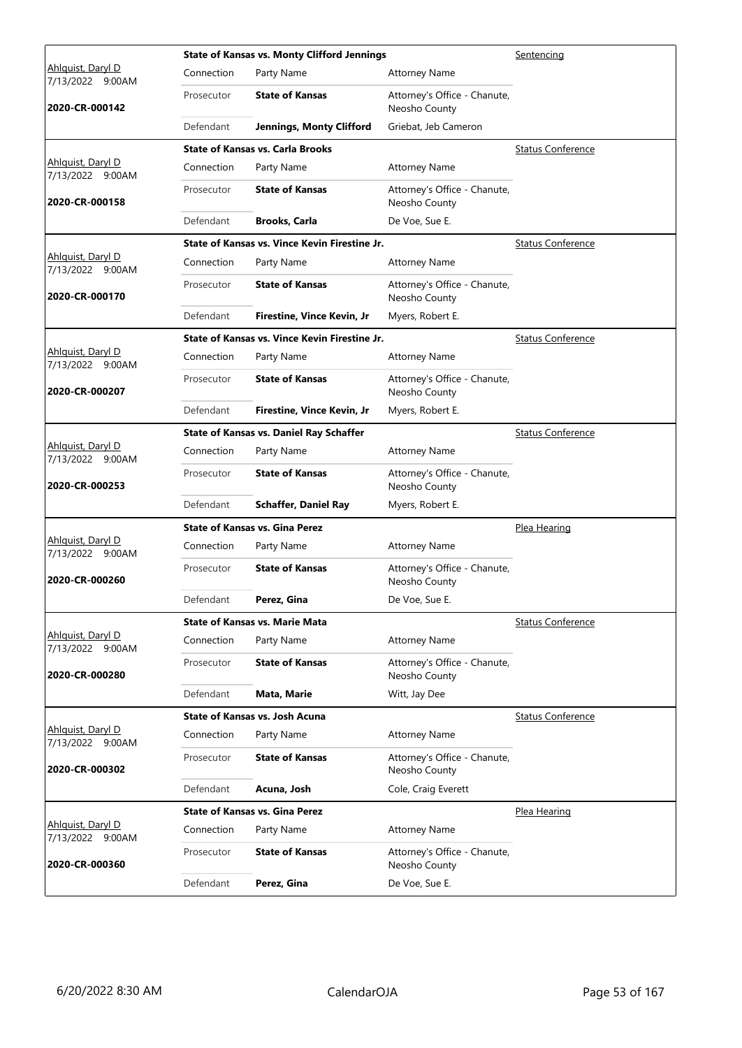|                                       |            | <b>State of Kansas vs. Monty Clifford Jennings</b> |                                               | Sentencing               |
|---------------------------------------|------------|----------------------------------------------------|-----------------------------------------------|--------------------------|
| Ahlguist, Daryl D<br>7/13/2022 9:00AM | Connection | Party Name                                         | <b>Attorney Name</b>                          |                          |
| 2020-CR-000142                        | Prosecutor | <b>State of Kansas</b>                             | Attorney's Office - Chanute,<br>Neosho County |                          |
|                                       | Defendant  | <b>Jennings, Monty Clifford</b>                    | Griebat, Jeb Cameron                          |                          |
|                                       |            | <b>State of Kansas vs. Carla Brooks</b>            |                                               | <b>Status Conference</b> |
| Ahlquist, Daryl D<br>7/13/2022 9:00AM | Connection | Party Name                                         | <b>Attorney Name</b>                          |                          |
| 2020-CR-000158                        | Prosecutor | <b>State of Kansas</b>                             | Attorney's Office - Chanute,<br>Neosho County |                          |
|                                       | Defendant  | <b>Brooks, Carla</b>                               | De Voe, Sue E.                                |                          |
|                                       |            | State of Kansas vs. Vince Kevin Firestine Jr.      |                                               | <b>Status Conference</b> |
| Ahlquist, Daryl D<br>7/13/2022 9:00AM | Connection | Party Name                                         | <b>Attorney Name</b>                          |                          |
| 2020-CR-000170                        | Prosecutor | <b>State of Kansas</b>                             | Attorney's Office - Chanute,<br>Neosho County |                          |
|                                       | Defendant  | Firestine, Vince Kevin, Jr                         | Myers, Robert E.                              |                          |
|                                       |            | State of Kansas vs. Vince Kevin Firestine Jr.      |                                               | <b>Status Conference</b> |
| Ahlguist, Daryl D<br>7/13/2022 9:00AM | Connection | Party Name                                         | <b>Attorney Name</b>                          |                          |
| 2020-CR-000207                        | Prosecutor | <b>State of Kansas</b>                             | Attorney's Office - Chanute,<br>Neosho County |                          |
|                                       | Defendant  | Firestine, Vince Kevin, Jr                         | Myers, Robert E.                              |                          |
|                                       |            | <b>State of Kansas vs. Daniel Ray Schaffer</b>     |                                               | <b>Status Conference</b> |
| Ahlquist, Daryl D<br>7/13/2022 9:00AM | Connection | Party Name                                         | <b>Attorney Name</b>                          |                          |
| 2020-CR-000253                        | Prosecutor | <b>State of Kansas</b>                             | Attorney's Office - Chanute,<br>Neosho County |                          |
|                                       | Defendant  | <b>Schaffer, Daniel Ray</b>                        | Myers, Robert E.                              |                          |
|                                       |            | <b>State of Kansas vs. Gina Perez</b>              |                                               | Plea Hearing             |
| Ahlguist, Daryl D<br>7/13/2022 9:00AM | Connection | Party Name                                         | <b>Attorney Name</b>                          |                          |
| 2020-CR-000260                        | Prosecutor | <b>State of Kansas</b>                             | Attorney's Office - Chanute,<br>Neosho County |                          |
|                                       | Defendant  | Perez, Gina                                        | De Voe, Sue E.                                |                          |
|                                       |            | <b>State of Kansas vs. Marie Mata</b>              |                                               | <b>Status Conference</b> |
| Ahlquist, Daryl D<br>7/13/2022 9:00AM | Connection | Party Name                                         | <b>Attorney Name</b>                          |                          |
| 2020-CR-000280                        | Prosecutor | <b>State of Kansas</b>                             | Attorney's Office - Chanute,<br>Neosho County |                          |
|                                       | Defendant  | Mata, Marie                                        | Witt, Jay Dee                                 |                          |
|                                       |            | <b>State of Kansas vs. Josh Acuna</b>              |                                               | <b>Status Conference</b> |
| Ahlquist, Daryl D<br>7/13/2022 9:00AM | Connection | Party Name                                         | <b>Attorney Name</b>                          |                          |
| 2020-CR-000302                        | Prosecutor | <b>State of Kansas</b>                             | Attorney's Office - Chanute,<br>Neosho County |                          |
|                                       | Defendant  | Acuna, Josh                                        | Cole, Craig Everett                           |                          |
|                                       |            | <b>State of Kansas vs. Gina Perez</b>              |                                               | Plea Hearing             |
| Ahlguist, Daryl D<br>7/13/2022 9:00AM | Connection | Party Name                                         | <b>Attorney Name</b>                          |                          |
| 2020-CR-000360                        | Prosecutor | <b>State of Kansas</b>                             | Attorney's Office - Chanute,<br>Neosho County |                          |
|                                       | Defendant  | Perez, Gina                                        | De Voe, Sue E.                                |                          |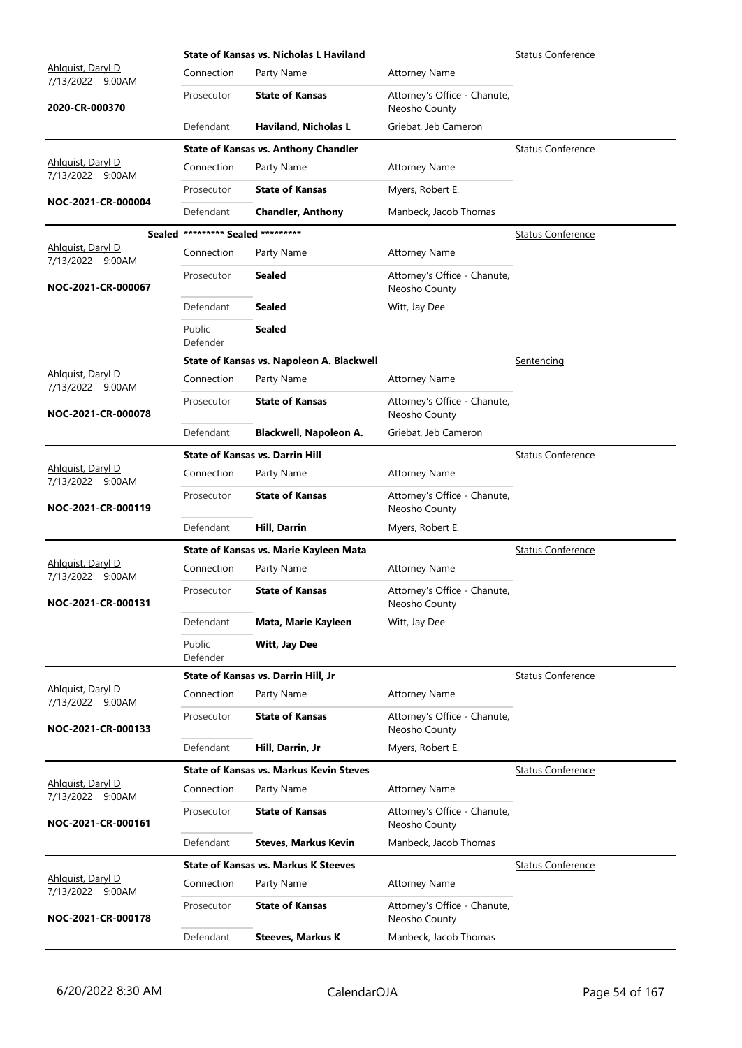|                                              |                                   | State of Kansas vs. Nicholas L Haviland        |                                               | <b>Status Conference</b> |
|----------------------------------------------|-----------------------------------|------------------------------------------------|-----------------------------------------------|--------------------------|
| Ahlguist, Daryl D<br>7/13/2022 9:00AM        | Connection                        | Party Name                                     | <b>Attorney Name</b>                          |                          |
| 2020-CR-000370                               | Prosecutor                        | <b>State of Kansas</b>                         | Attorney's Office - Chanute,<br>Neosho County |                          |
|                                              | Defendant                         | <b>Haviland, Nicholas L</b>                    | Griebat, Jeb Cameron                          |                          |
|                                              |                                   | <b>State of Kansas vs. Anthony Chandler</b>    |                                               | <b>Status Conference</b> |
| Ahlquist, Daryl D<br>7/13/2022 9:00AM        | Connection                        | Party Name                                     | <b>Attorney Name</b>                          |                          |
|                                              | Prosecutor                        | <b>State of Kansas</b>                         | Myers, Robert E.                              |                          |
| NOC-2021-CR-000004                           | Defendant                         | <b>Chandler, Anthony</b>                       | Manbeck, Jacob Thomas                         |                          |
|                                              | Sealed ********* Sealed ********* |                                                |                                               | <b>Status Conference</b> |
| Ahlquist, Daryl D<br>7/13/2022 9:00AM        | Connection                        | Party Name                                     | <b>Attorney Name</b>                          |                          |
| NOC-2021-CR-000067                           | Prosecutor                        | <b>Sealed</b>                                  | Attorney's Office - Chanute,<br>Neosho County |                          |
|                                              | Defendant                         | <b>Sealed</b>                                  | Witt, Jay Dee                                 |                          |
|                                              | Public<br>Defender                | <b>Sealed</b>                                  |                                               |                          |
|                                              |                                   | State of Kansas vs. Napoleon A. Blackwell      |                                               | Sentencing               |
| Ahlquist, Daryl D<br>7/13/2022 9:00AM        | Connection                        | Party Name                                     | <b>Attorney Name</b>                          |                          |
| NOC-2021-CR-000078                           | Prosecutor                        | <b>State of Kansas</b>                         | Attorney's Office - Chanute,<br>Neosho County |                          |
|                                              | Defendant                         | Blackwell, Napoleon A.                         | Griebat, Jeb Cameron                          |                          |
|                                              |                                   | <b>State of Kansas vs. Darrin Hill</b>         |                                               | <b>Status Conference</b> |
| Ahlquist, Daryl D<br>7/13/2022 9:00AM        | Connection                        | Party Name                                     | <b>Attorney Name</b>                          |                          |
| NOC-2021-CR-000119                           | Prosecutor                        | <b>State of Kansas</b>                         | Attorney's Office - Chanute,<br>Neosho County |                          |
|                                              | Defendant                         | <b>Hill, Darrin</b>                            | Myers, Robert E.                              |                          |
|                                              |                                   | State of Kansas vs. Marie Kayleen Mata         |                                               | <b>Status Conference</b> |
| <u>Ahlquist, Daryl D</u><br>7/13/2022 9:00AM | Connection                        | Party Name                                     | <b>Attorney Name</b>                          |                          |
| NOC-2021-CR-000131                           | Prosecutor                        | <b>State of Kansas</b>                         | Attorney's Office - Chanute,<br>Neosho County |                          |
|                                              | Defendant                         | Mata, Marie Kayleen                            | Witt, Jay Dee                                 |                          |
|                                              | Public<br>Defender                | Witt, Jay Dee                                  |                                               |                          |
|                                              |                                   | State of Kansas vs. Darrin Hill, Jr            |                                               | <b>Status Conference</b> |
| Ahlquist, Daryl D<br>7/13/2022 9:00AM        | Connection                        | Party Name                                     | <b>Attorney Name</b>                          |                          |
| NOC-2021-CR-000133                           | Prosecutor                        | <b>State of Kansas</b>                         | Attorney's Office - Chanute,<br>Neosho County |                          |
|                                              | Defendant                         | Hill, Darrin, Jr                               | Myers, Robert E.                              |                          |
|                                              |                                   | <b>State of Kansas vs. Markus Kevin Steves</b> |                                               | <b>Status Conference</b> |
| Ahlquist, Daryl D<br>7/13/2022 9:00AM        | Connection                        | Party Name                                     | <b>Attorney Name</b>                          |                          |
| NOC-2021-CR-000161                           | Prosecutor                        | <b>State of Kansas</b>                         | Attorney's Office - Chanute,<br>Neosho County |                          |
|                                              | Defendant                         | Steves, Markus Kevin                           | Manbeck, Jacob Thomas                         |                          |
|                                              |                                   | <b>State of Kansas vs. Markus K Steeves</b>    |                                               | <b>Status Conference</b> |
| Ahlquist, Daryl D<br>7/13/2022 9:00AM        | Connection                        | Party Name                                     | <b>Attorney Name</b>                          |                          |
| NOC-2021-CR-000178                           | Prosecutor                        | <b>State of Kansas</b>                         | Attorney's Office - Chanute,<br>Neosho County |                          |
|                                              | Defendant                         | <b>Steeves, Markus K</b>                       | Manbeck, Jacob Thomas                         |                          |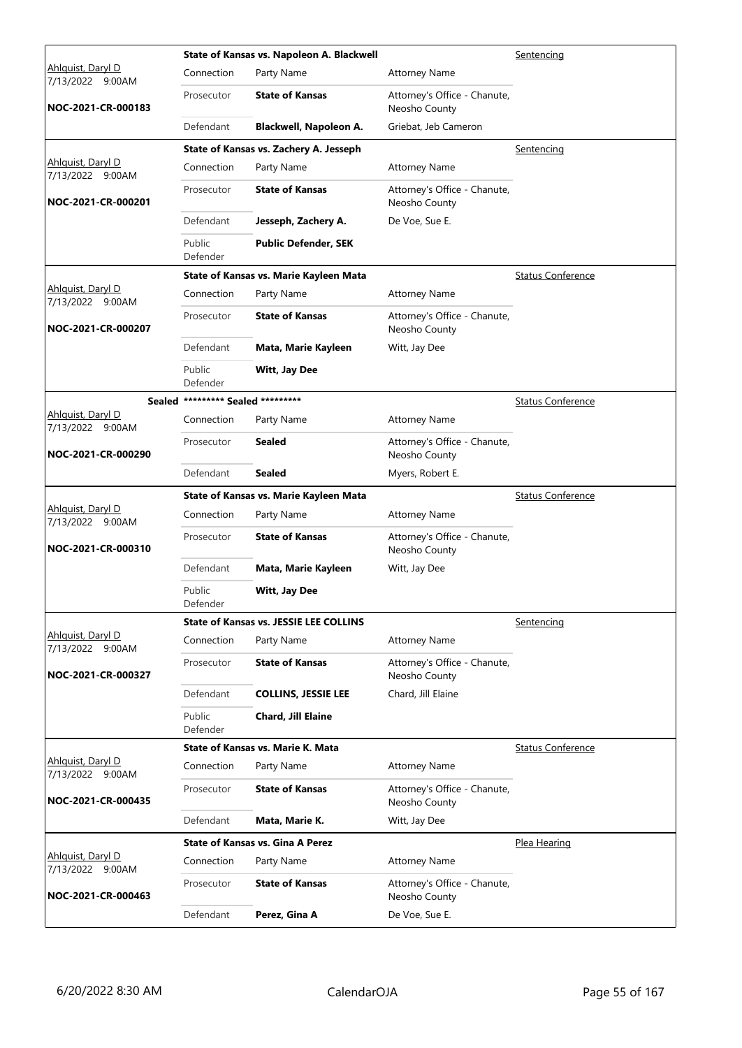|                                        |                                   | State of Kansas vs. Napoleon A. Blackwell     |                                               | Sentencing               |
|----------------------------------------|-----------------------------------|-----------------------------------------------|-----------------------------------------------|--------------------------|
| Ahlguist, Daryl D<br>7/13/2022 9:00AM  | Connection                        | Party Name                                    | <b>Attorney Name</b>                          |                          |
| NOC-2021-CR-000183                     | Prosecutor                        | <b>State of Kansas</b>                        | Attorney's Office - Chanute,<br>Neosho County |                          |
|                                        | Defendant                         | Blackwell, Napoleon A.                        | Griebat, Jeb Cameron                          |                          |
|                                        |                                   | State of Kansas vs. Zachery A. Jesseph        |                                               | Sentencing               |
| Ahlquist, Daryl D<br>7/13/2022 9:00AM  | Connection                        | Party Name                                    | <b>Attorney Name</b>                          |                          |
| NOC-2021-CR-000201                     | Prosecutor                        | <b>State of Kansas</b>                        | Attorney's Office - Chanute,<br>Neosho County |                          |
|                                        | Defendant                         | Jesseph, Zachery A.                           | De Voe, Sue E.                                |                          |
|                                        | Public<br>Defender                | <b>Public Defender, SEK</b>                   |                                               |                          |
|                                        |                                   | State of Kansas vs. Marie Kayleen Mata        |                                               | <b>Status Conference</b> |
| Ahlquist, Daryl D<br>7/13/2022 9:00AM  | Connection                        | Party Name                                    | <b>Attorney Name</b>                          |                          |
| NOC-2021-CR-000207                     | Prosecutor                        | <b>State of Kansas</b>                        | Attorney's Office - Chanute,<br>Neosho County |                          |
|                                        | Defendant                         | Mata, Marie Kayleen                           | Witt, Jay Dee                                 |                          |
|                                        | Public<br>Defender                | Witt, Jay Dee                                 |                                               |                          |
|                                        | Sealed ********* Sealed ********* |                                               |                                               | <b>Status Conference</b> |
| Ahlguist, Daryl D<br>7/13/2022 9:00AM  | Connection                        | Party Name                                    | <b>Attorney Name</b>                          |                          |
| NOC-2021-CR-000290                     | Prosecutor                        | <b>Sealed</b>                                 | Attorney's Office - Chanute,<br>Neosho County |                          |
|                                        | Defendant                         | <b>Sealed</b>                                 | Myers, Robert E.                              |                          |
|                                        |                                   | State of Kansas vs. Marie Kayleen Mata        |                                               | <b>Status Conference</b> |
|                                        |                                   |                                               |                                               |                          |
| Ahlquist, Daryl D                      | Connection                        | Party Name                                    | <b>Attorney Name</b>                          |                          |
| 7/13/2022 9:00AM<br>NOC-2021-CR-000310 | Prosecutor                        | <b>State of Kansas</b>                        | Attorney's Office - Chanute,<br>Neosho County |                          |
|                                        | Defendant                         | Mata, Marie Kayleen                           | Witt, Jay Dee                                 |                          |
|                                        | Public<br>Defender                | Witt, Jay Dee                                 |                                               |                          |
|                                        |                                   | <b>State of Kansas vs. JESSIE LEE COLLINS</b> |                                               | Sentencing               |
| Ahlguist, Daryl D<br>7/13/2022 9:00AM  | Connection                        | Party Name                                    | <b>Attorney Name</b>                          |                          |
| NOC-2021-CR-000327                     | Prosecutor                        | <b>State of Kansas</b>                        | Attorney's Office - Chanute,<br>Neosho County |                          |
|                                        | Defendant                         | <b>COLLINS, JESSIE LEE</b>                    | Chard, Jill Elaine                            |                          |
|                                        | Public<br>Defender                | Chard, Jill Elaine                            |                                               |                          |
|                                        |                                   | State of Kansas vs. Marie K. Mata             |                                               | <b>Status Conference</b> |
| Ahlguist, Daryl D                      | Connection                        | Party Name                                    | <b>Attorney Name</b>                          |                          |
| 7/13/2022 9:00AM<br>NOC-2021-CR-000435 | Prosecutor                        | <b>State of Kansas</b>                        | Attorney's Office - Chanute,<br>Neosho County |                          |
|                                        | Defendant                         | Mata, Marie K.                                | Witt, Jay Dee                                 |                          |
|                                        |                                   | <b>State of Kansas vs. Gina A Perez</b>       |                                               | Plea Hearing             |
| Ahlquist, Daryl D                      | Connection                        | Party Name                                    | <b>Attorney Name</b>                          |                          |
| 7/13/2022 9:00AM<br>NOC-2021-CR-000463 | Prosecutor                        | <b>State of Kansas</b>                        | Attorney's Office - Chanute,<br>Neosho County |                          |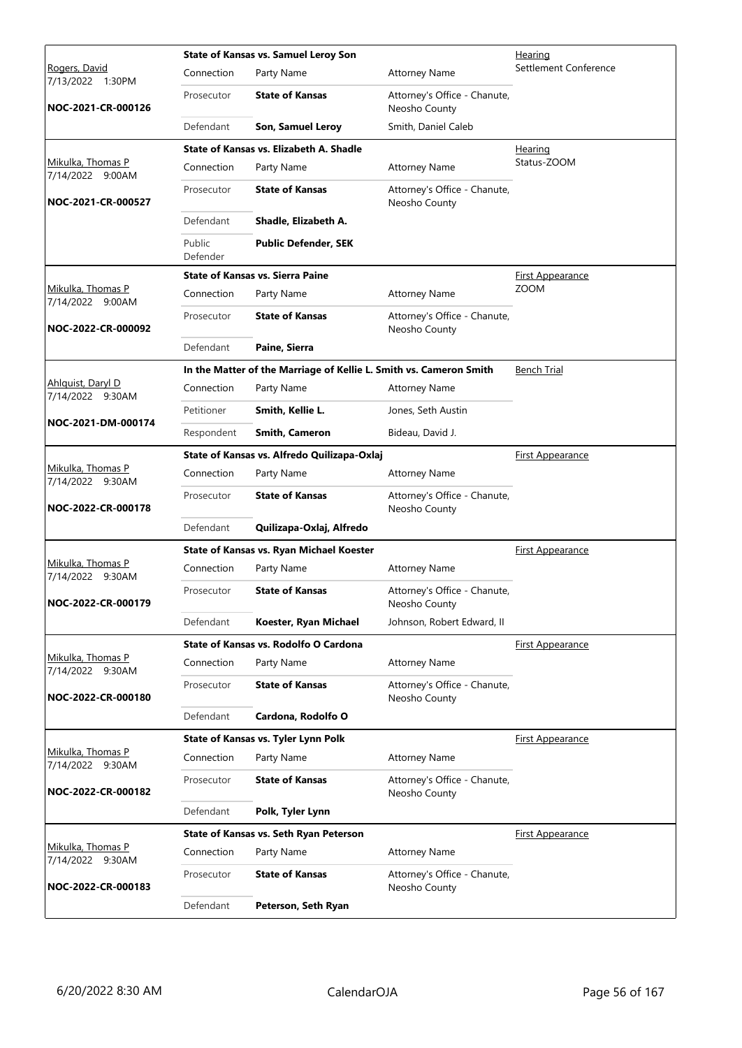|                                              |                    | <b>State of Kansas vs. Samuel Leroy Son</b>                        | Hearing                                       |                         |
|----------------------------------------------|--------------------|--------------------------------------------------------------------|-----------------------------------------------|-------------------------|
| Rogers, David<br>7/13/2022 1:30PM            | Connection         | Party Name                                                         | <b>Attorney Name</b>                          | Settlement Conference   |
| NOC-2021-CR-000126                           | Prosecutor         | <b>State of Kansas</b>                                             | Attorney's Office - Chanute,<br>Neosho County |                         |
|                                              | Defendant          | Son, Samuel Leroy                                                  | Smith, Daniel Caleb                           |                         |
|                                              |                    | State of Kansas vs. Elizabeth A. Shadle                            |                                               | <b>Hearing</b>          |
| Mikulka, Thomas P<br>7/14/2022 9:00AM        | Connection         | Party Name                                                         | <b>Attorney Name</b>                          | Status-ZOOM             |
| NOC-2021-CR-000527                           | Prosecutor         | <b>State of Kansas</b>                                             | Attorney's Office - Chanute,<br>Neosho County |                         |
|                                              | Defendant          | Shadle, Elizabeth A.                                               |                                               |                         |
|                                              | Public<br>Defender | <b>Public Defender, SEK</b>                                        |                                               |                         |
|                                              |                    | <b>State of Kansas vs. Sierra Paine</b>                            |                                               | <b>First Appearance</b> |
| Mikulka, Thomas P<br>7/14/2022 9:00AM        | Connection         | Party Name                                                         | <b>Attorney Name</b>                          | <b>ZOOM</b>             |
| NOC-2022-CR-000092                           | Prosecutor         | <b>State of Kansas</b>                                             | Attorney's Office - Chanute,<br>Neosho County |                         |
|                                              | Defendant          | Paine, Sierra                                                      |                                               |                         |
|                                              |                    | In the Matter of the Marriage of Kellie L. Smith vs. Cameron Smith |                                               | <b>Bench Trial</b>      |
| Ahlquist, Daryl D<br>7/14/2022 9:30AM        | Connection         | Party Name                                                         | <b>Attorney Name</b>                          |                         |
|                                              | Petitioner         | Smith, Kellie L.                                                   | Jones, Seth Austin                            |                         |
| NOC-2021-DM-000174                           | Respondent         | <b>Smith, Cameron</b>                                              | Bideau, David J.                              |                         |
|                                              |                    | State of Kansas vs. Alfredo Quilizapa-Oxlaj                        |                                               | <b>First Appearance</b> |
| Mikulka, Thomas P<br>7/14/2022 9:30AM        | Connection         | Party Name                                                         | <b>Attorney Name</b>                          |                         |
| NOC-2022-CR-000178                           | Prosecutor         | <b>State of Kansas</b>                                             | Attorney's Office - Chanute,<br>Neosho County |                         |
|                                              | Defendant          | Quilizapa-Oxlaj, Alfredo                                           |                                               |                         |
|                                              |                    | State of Kansas vs. Ryan Michael Koester                           |                                               | <b>First Appearance</b> |
| Mikulka, Thomas P<br>7/14/2022 9:30AM        | Connection         | Party Name                                                         | <b>Attorney Name</b>                          |                         |
| NOC-2022-CR-000179                           | Prosecutor         | <b>State of Kansas</b>                                             | Attorney's Office - Chanute,<br>Neosho County |                         |
|                                              | Defendant          | Koester, Ryan Michael                                              | Johnson, Robert Edward, II                    |                         |
|                                              |                    | State of Kansas vs. Rodolfo O Cardona                              |                                               | <u>First Appearance</u> |
| <u>Mikulka, Thomas P</u><br>7/14/2022 9:30AM | Connection         | Party Name                                                         | <b>Attorney Name</b>                          |                         |
| NOC-2022-CR-000180                           | Prosecutor         | <b>State of Kansas</b>                                             | Attorney's Office - Chanute,<br>Neosho County |                         |
|                                              | Defendant          | Cardona, Rodolfo O                                                 |                                               |                         |
|                                              |                    | State of Kansas vs. Tyler Lynn Polk                                |                                               | <b>First Appearance</b> |
| Mikulka, Thomas P<br>7/14/2022 9:30AM        | Connection         | Party Name                                                         | <b>Attorney Name</b>                          |                         |
| NOC-2022-CR-000182                           | Prosecutor         | <b>State of Kansas</b>                                             | Attorney's Office - Chanute,<br>Neosho County |                         |
|                                              | Defendant          | Polk, Tyler Lynn                                                   |                                               |                         |
|                                              |                    | State of Kansas vs. Seth Ryan Peterson                             |                                               | <b>First Appearance</b> |
| Mikulka, Thomas P<br>7/14/2022 9:30AM        | Connection         | Party Name                                                         | <b>Attorney Name</b>                          |                         |
| NOC-2022-CR-000183                           | Prosecutor         | <b>State of Kansas</b>                                             | Attorney's Office - Chanute,<br>Neosho County |                         |
|                                              | Defendant          | Peterson, Seth Ryan                                                |                                               |                         |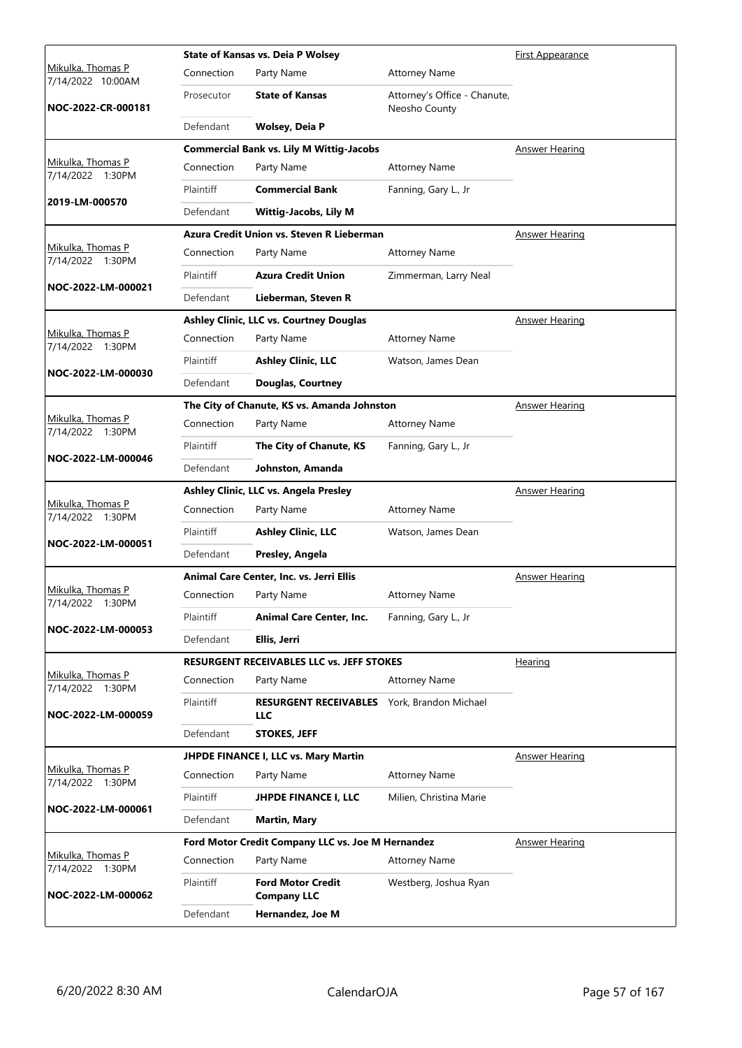|                                        |            | <b>State of Kansas vs. Deia P Wolsey</b>                  |                                               | <b>First Appearance</b> |
|----------------------------------------|------------|-----------------------------------------------------------|-----------------------------------------------|-------------------------|
| Mikulka, Thomas P<br>7/14/2022 10:00AM | Connection | Party Name                                                | <b>Attorney Name</b>                          |                         |
| NOC-2022-CR-000181                     | Prosecutor | <b>State of Kansas</b>                                    | Attorney's Office - Chanute,<br>Neosho County |                         |
|                                        | Defendant  | Wolsey, Deia P                                            |                                               |                         |
|                                        |            | <b>Commercial Bank vs. Lily M Wittig-Jacobs</b>           |                                               | <b>Answer Hearing</b>   |
| Mikulka, Thomas P<br>7/14/2022 1:30PM  | Connection | Party Name                                                | <b>Attorney Name</b>                          |                         |
| 2019-LM-000570                         | Plaintiff  | <b>Commercial Bank</b>                                    | Fanning, Gary L., Jr                          |                         |
|                                        | Defendant  | <b>Wittig-Jacobs, Lily M</b>                              |                                               |                         |
|                                        |            | Azura Credit Union vs. Steven R Lieberman                 |                                               | <b>Answer Hearing</b>   |
| Mikulka, Thomas P<br>7/14/2022 1:30PM  | Connection | Party Name                                                | <b>Attorney Name</b>                          |                         |
| NOC-2022-LM-000021                     | Plaintiff  | <b>Azura Credit Union</b>                                 | Zimmerman, Larry Neal                         |                         |
|                                        | Defendant  | Lieberman, Steven R                                       |                                               |                         |
|                                        |            | Ashley Clinic, LLC vs. Courtney Douglas                   |                                               | Answer Hearing          |
| Mikulka, Thomas P<br>7/14/2022 1:30PM  | Connection | Party Name                                                | <b>Attorney Name</b>                          |                         |
| NOC-2022-LM-000030                     | Plaintiff  | <b>Ashley Clinic, LLC</b>                                 | Watson, James Dean                            |                         |
|                                        | Defendant  | <b>Douglas, Courtney</b>                                  |                                               |                         |
|                                        |            | The City of Chanute, KS vs. Amanda Johnston               |                                               | Answer Hearing          |
| Mikulka, Thomas P<br>7/14/2022 1:30PM  | Connection | Party Name                                                | <b>Attorney Name</b>                          |                         |
| NOC-2022-LM-000046                     | Plaintiff  | The City of Chanute, KS                                   | Fanning, Gary L., Jr                          |                         |
|                                        | Defendant  | Johnston, Amanda                                          |                                               |                         |
|                                        |            | Ashley Clinic, LLC vs. Angela Presley                     |                                               | <b>Answer Hearing</b>   |
| Mikulka, Thomas P<br>7/14/2022 1:30PM  | Connection | Party Name                                                | <b>Attorney Name</b>                          |                         |
| NOC-2022-LM-000051                     | Plaintiff  | <b>Ashley Clinic, LLC</b>                                 | Watson, James Dean                            |                         |
|                                        | Defendant  | Presley, Angela                                           |                                               |                         |
|                                        |            | Animal Care Center, Inc. vs. Jerri Ellis                  |                                               | Answer Hearing          |
| Mikulka, Thomas P<br>7/14/2022 1:30PM  | Connection | Party Name                                                | <b>Attorney Name</b>                          |                         |
| NOC-2022-LM-000053                     | Plaintiff  | <b>Animal Care Center, Inc.</b>                           | Fanning, Gary L., Jr                          |                         |
|                                        | Defendant  | Ellis, Jerri                                              |                                               |                         |
|                                        |            | <b>RESURGENT RECEIVABLES LLC vs. JEFF STOKES</b>          |                                               | Hearing                 |
| Mikulka, Thomas P<br>7/14/2022 1:30PM  | Connection | Party Name                                                | <b>Attorney Name</b>                          |                         |
| NOC-2022-LM-000059                     | Plaintiff  | RESURGENT RECEIVABLES York, Brandon Michael<br><b>LLC</b> |                                               |                         |
|                                        | Defendant  | <b>STOKES, JEFF</b>                                       |                                               |                         |
|                                        |            | JHPDE FINANCE I, LLC vs. Mary Martin                      |                                               | <b>Answer Hearing</b>   |
| Mikulka, Thomas P<br>7/14/2022 1:30PM  | Connection | Party Name                                                | <b>Attorney Name</b>                          |                         |
| NOC-2022-LM-000061                     | Plaintiff  | <b>JHPDE FINANCE I, LLC</b>                               | Milien, Christina Marie                       |                         |
|                                        | Defendant  | <b>Martin, Mary</b>                                       |                                               |                         |
|                                        |            | Ford Motor Credit Company LLC vs. Joe M Hernandez         |                                               | <b>Answer Hearing</b>   |
| Mikulka, Thomas P<br>7/14/2022 1:30PM  | Connection | Party Name                                                | <b>Attorney Name</b>                          |                         |
| NOC-2022-LM-000062                     | Plaintiff  | <b>Ford Motor Credit</b><br><b>Company LLC</b>            | Westberg, Joshua Ryan                         |                         |
|                                        | Defendant  | Hernandez, Joe M                                          |                                               |                         |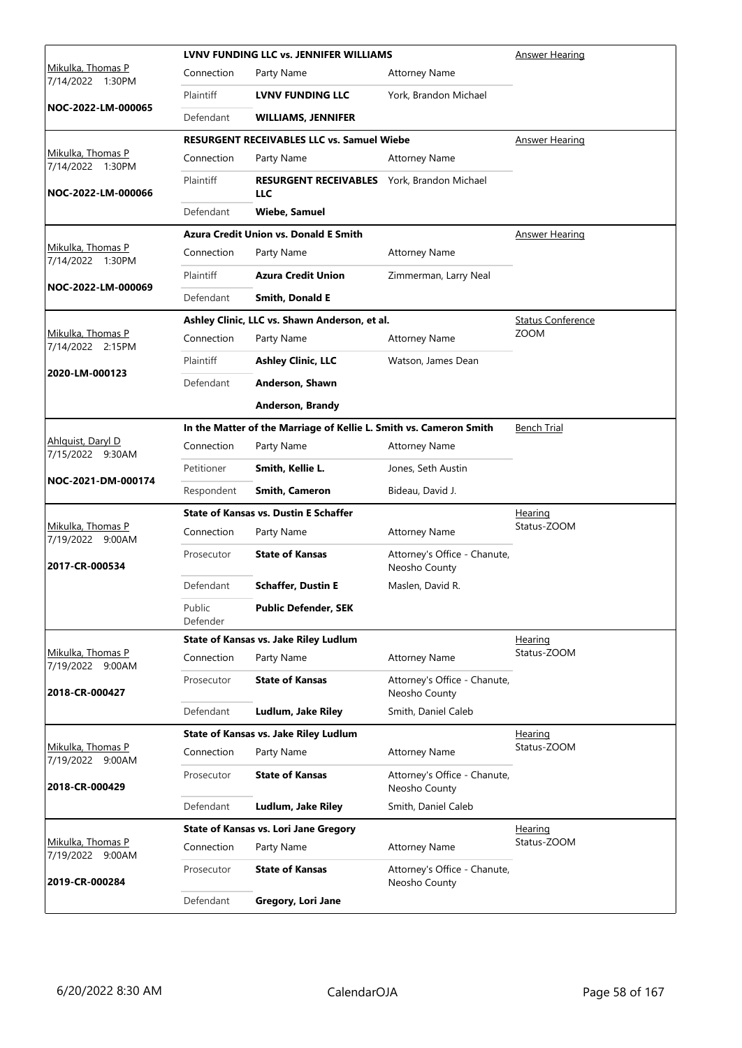|                                       |                    | <b>LVNV FUNDING LLC vs. JENNIFER WILLIAMS</b>                      |                                               | Answer Hearing           |
|---------------------------------------|--------------------|--------------------------------------------------------------------|-----------------------------------------------|--------------------------|
| Mikulka, Thomas P<br>7/14/2022 1:30PM | Connection         | Party Name                                                         | <b>Attorney Name</b>                          |                          |
|                                       | Plaintiff          | <b>LVNV FUNDING LLC</b>                                            | York, Brandon Michael                         |                          |
| NOC-2022-LM-000065                    | Defendant          | <b>WILLIAMS, JENNIFER</b>                                          |                                               |                          |
|                                       |                    | <b>RESURGENT RECEIVABLES LLC vs. Samuel Wiebe</b>                  |                                               | Answer Hearing           |
| Mikulka, Thomas P<br>7/14/2022 1:30PM | Connection         | Party Name                                                         | <b>Attorney Name</b>                          |                          |
| NOC-2022-LM-000066                    | Plaintiff          | <b>RESURGENT RECEIVABLES</b> York, Brandon Michael<br>LLC          |                                               |                          |
|                                       | Defendant          | <b>Wiebe, Samuel</b>                                               |                                               |                          |
|                                       |                    | <b>Azura Credit Union vs. Donald E Smith</b>                       |                                               | <b>Answer Hearing</b>    |
| Mikulka, Thomas P<br>7/14/2022 1:30PM | Connection         | Party Name                                                         | <b>Attorney Name</b>                          |                          |
|                                       | Plaintiff          | <b>Azura Credit Union</b>                                          | Zimmerman, Larry Neal                         |                          |
| NOC-2022-LM-000069                    | Defendant          | Smith, Donald E                                                    |                                               |                          |
|                                       |                    | Ashley Clinic, LLC vs. Shawn Anderson, et al.                      |                                               | <b>Status Conference</b> |
| Mikulka, Thomas P<br>7/14/2022 2:15PM | Connection         | Party Name                                                         | <b>Attorney Name</b>                          | <b>ZOOM</b>              |
|                                       | Plaintiff          | <b>Ashley Clinic, LLC</b>                                          | Watson, James Dean                            |                          |
| 2020-LM-000123                        | Defendant          | Anderson, Shawn                                                    |                                               |                          |
|                                       |                    | Anderson, Brandy                                                   |                                               |                          |
|                                       |                    | In the Matter of the Marriage of Kellie L. Smith vs. Cameron Smith |                                               | <b>Bench Trial</b>       |
| Ahlguist, Daryl D<br>7/15/2022 9:30AM | Connection         | Party Name                                                         | <b>Attorney Name</b>                          |                          |
|                                       | Petitioner         | Smith, Kellie L.                                                   | Jones, Seth Austin                            |                          |
| NOC-2021-DM-000174                    | Respondent         | Smith, Cameron                                                     | Bideau, David J.                              |                          |
|                                       |                    | <b>State of Kansas vs. Dustin E Schaffer</b>                       |                                               | Hearing                  |
| Mikulka, Thomas P<br>7/19/2022 9:00AM | Connection         | Party Name                                                         | <b>Attorney Name</b>                          | Status-ZOOM              |
| 2017-CR-000534                        | Prosecutor         | <b>State of Kansas</b>                                             | Attorney's Office - Chanute,<br>Neosho County |                          |
|                                       | Defendant          | <b>Schaffer, Dustin E</b>                                          | Maslen, David R.                              |                          |
|                                       | Public<br>Defender | <b>Public Defender, SEK</b>                                        |                                               |                          |
|                                       |                    | State of Kansas vs. Jake Riley Ludlum                              |                                               | <b>Hearing</b>           |
| Mikulka, Thomas P<br>7/19/2022 9:00AM | Connection         | Party Name                                                         | <b>Attorney Name</b>                          | Status-ZOOM              |
| 2018-CR-000427                        | Prosecutor         | <b>State of Kansas</b>                                             | Attorney's Office - Chanute,<br>Neosho County |                          |
|                                       | Defendant          | Ludlum, Jake Riley                                                 | Smith, Daniel Caleb                           |                          |
|                                       |                    | State of Kansas vs. Jake Riley Ludlum                              |                                               | Hearing                  |
| Mikulka, Thomas P<br>7/19/2022 9:00AM | Connection         | Party Name                                                         | <b>Attorney Name</b>                          | Status-ZOOM              |
| 2018-CR-000429                        | Prosecutor         | <b>State of Kansas</b>                                             | Attorney's Office - Chanute,<br>Neosho County |                          |
|                                       | Defendant          | Ludlum, Jake Riley                                                 | Smith, Daniel Caleb                           |                          |
|                                       |                    | <b>State of Kansas vs. Lori Jane Gregory</b>                       |                                               | Hearing                  |
| Mikulka, Thomas P<br>7/19/2022 9:00AM | Connection         | Party Name                                                         | <b>Attorney Name</b>                          | Status-ZOOM              |
| 2019-CR-000284                        | Prosecutor         | <b>State of Kansas</b>                                             | Attorney's Office - Chanute,<br>Neosho County |                          |
|                                       | Defendant          | Gregory, Lori Jane                                                 |                                               |                          |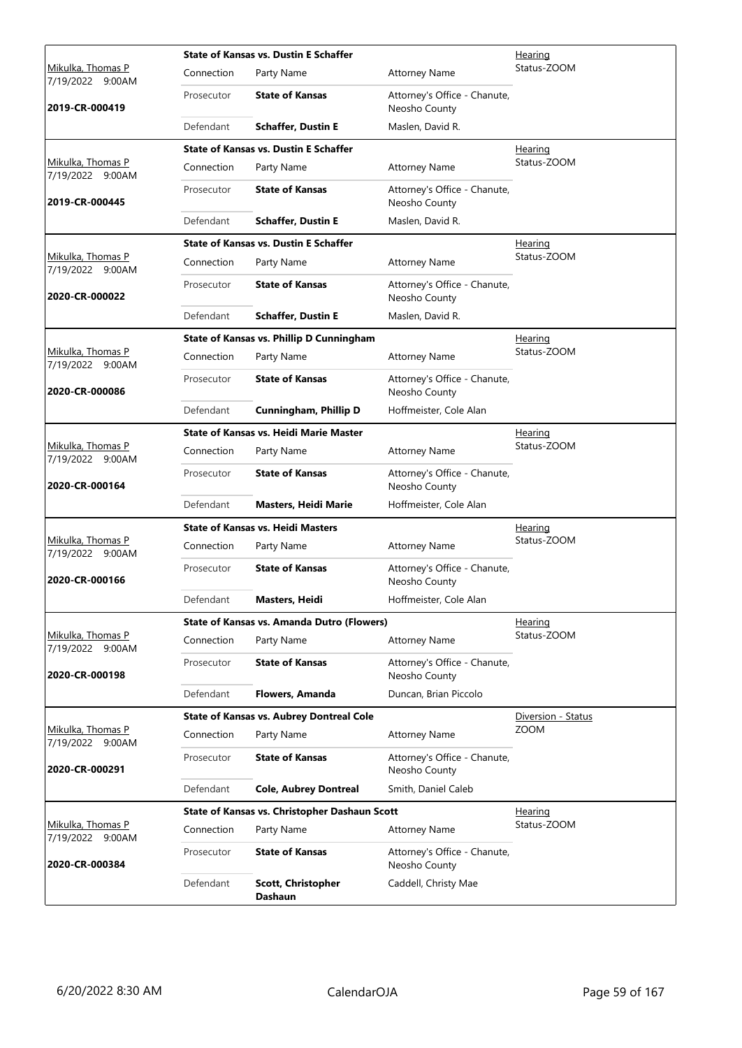|                                              |            | <b>State of Kansas vs. Dustin E Schaffer</b>    |                                               | <u>Hearing</u>     |
|----------------------------------------------|------------|-------------------------------------------------|-----------------------------------------------|--------------------|
| Mikulka, Thomas P<br>7/19/2022 9:00AM        | Connection | Party Name                                      | <b>Attorney Name</b>                          | Status-ZOOM        |
| 2019-CR-000419                               | Prosecutor | <b>State of Kansas</b>                          | Attorney's Office - Chanute,<br>Neosho County |                    |
|                                              | Defendant  | <b>Schaffer, Dustin E</b>                       | Maslen, David R.                              |                    |
|                                              |            | <b>State of Kansas vs. Dustin E Schaffer</b>    |                                               | Hearing            |
| Mikulka, Thomas P<br>7/19/2022 9:00AM        | Connection | Party Name                                      | <b>Attorney Name</b>                          | Status-ZOOM        |
| 2019-CR-000445                               | Prosecutor | <b>State of Kansas</b>                          | Attorney's Office - Chanute,<br>Neosho County |                    |
|                                              | Defendant  | <b>Schaffer, Dustin E</b>                       | Maslen, David R.                              |                    |
|                                              |            | <b>State of Kansas vs. Dustin E Schaffer</b>    |                                               | <u>Hearing</u>     |
| Mikulka, Thomas P<br>7/19/2022 9:00AM        | Connection | Party Name                                      | <b>Attorney Name</b>                          | Status-ZOOM        |
| 2020-CR-000022                               | Prosecutor | <b>State of Kansas</b>                          | Attorney's Office - Chanute,<br>Neosho County |                    |
|                                              | Defendant  | <b>Schaffer, Dustin E</b>                       | Maslen, David R.                              |                    |
|                                              |            | <b>State of Kansas vs. Phillip D Cunningham</b> |                                               | Hearing            |
| <u>Mikulka, Thomas P</u><br>7/19/2022 9:00AM | Connection | Party Name                                      | <b>Attorney Name</b>                          | Status-ZOOM        |
| 2020-CR-000086                               | Prosecutor | <b>State of Kansas</b>                          | Attorney's Office - Chanute,<br>Neosho County |                    |
|                                              | Defendant  | Cunningham, Phillip D                           | Hoffmeister, Cole Alan                        |                    |
|                                              |            | <b>State of Kansas vs. Heidi Marie Master</b>   |                                               | Hearing            |
| Mikulka, Thomas P<br>7/19/2022 9:00AM        | Connection | Party Name                                      | <b>Attorney Name</b>                          | Status-ZOOM        |
| 2020-CR-000164                               | Prosecutor | <b>State of Kansas</b>                          | Attorney's Office - Chanute,<br>Neosho County |                    |
|                                              | Defendant  | <b>Masters, Heidi Marie</b>                     | Hoffmeister, Cole Alan                        |                    |
|                                              |            | <b>State of Kansas vs. Heidi Masters</b>        |                                               | <b>Hearing</b>     |
| Mikulka, Thomas P<br>7/19/2022 9:00AM        | Connection | Party Name                                      | <b>Attorney Name</b>                          | Status-ZOOM        |
| 2020-CR-000166                               | Prosecutor | <b>State of Kansas</b>                          | Attorney's Office - Chanute,<br>Neosho County |                    |
|                                              | Defendant  | Masters, Heidi                                  | Hoffmeister, Cole Alan                        |                    |
|                                              |            | State of Kansas vs. Amanda Dutro (Flowers)      |                                               | Hearing            |
| Mikulka, Thomas P<br>7/19/2022 9:00AM        | Connection | Party Name                                      | <b>Attorney Name</b>                          | Status-ZOOM        |
| 2020-CR-000198                               | Prosecutor | <b>State of Kansas</b>                          | Attorney's Office - Chanute,<br>Neosho County |                    |
|                                              | Defendant  | Flowers, Amanda                                 | Duncan, Brian Piccolo                         |                    |
|                                              |            | <b>State of Kansas vs. Aubrey Dontreal Cole</b> |                                               | Diversion - Status |
| Mikulka, Thomas P<br>7/19/2022 9:00AM        | Connection | Party Name                                      | <b>Attorney Name</b>                          | <b>ZOOM</b>        |
| 2020-CR-000291                               | Prosecutor | <b>State of Kansas</b>                          | Attorney's Office - Chanute,<br>Neosho County |                    |
|                                              | Defendant  | <b>Cole, Aubrey Dontreal</b>                    | Smith, Daniel Caleb                           |                    |
|                                              |            | State of Kansas vs. Christopher Dashaun Scott   |                                               | <b>Hearing</b>     |
| Mikulka, Thomas P<br>7/19/2022 9:00AM        | Connection | Party Name                                      | <b>Attorney Name</b>                          | Status-ZOOM        |
| 2020-CR-000384                               | Prosecutor | <b>State of Kansas</b>                          | Attorney's Office - Chanute,<br>Neosho County |                    |
|                                              | Defendant  | Scott, Christopher<br><b>Dashaun</b>            | Caddell, Christy Mae                          |                    |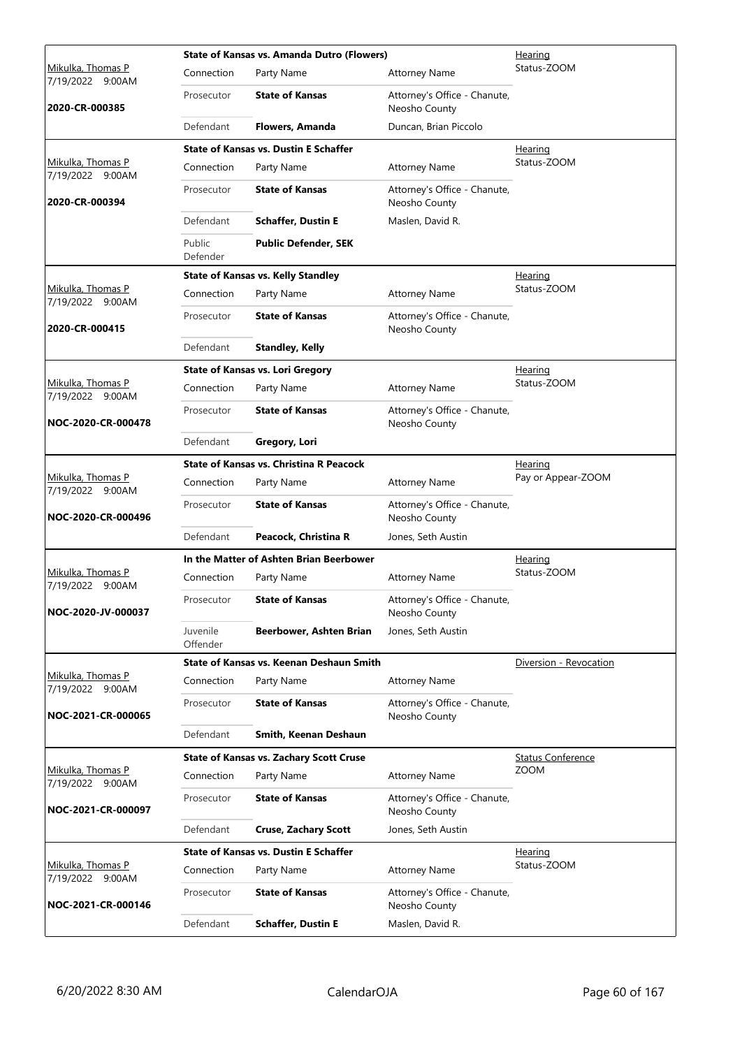|                                              |                      | <b>State of Kansas vs. Amanda Dutro (Flowers)</b> |                                               | <u>Hearing</u>           |
|----------------------------------------------|----------------------|---------------------------------------------------|-----------------------------------------------|--------------------------|
| <u>Mikulka, Thomas P</u><br>7/19/2022 9:00AM | Connection           | Party Name                                        | <b>Attorney Name</b>                          | Status-ZOOM              |
| 2020-CR-000385                               | Prosecutor           | <b>State of Kansas</b>                            | Attorney's Office - Chanute,<br>Neosho County |                          |
|                                              | Defendant            | Flowers, Amanda                                   | Duncan, Brian Piccolo                         |                          |
|                                              |                      | <b>State of Kansas vs. Dustin E Schaffer</b>      |                                               | <b>Hearing</b>           |
| Mikulka, Thomas P<br>7/19/2022 9:00AM        | Connection           | Party Name                                        | <b>Attorney Name</b>                          | Status-ZOOM              |
| 2020-CR-000394                               | Prosecutor           | <b>State of Kansas</b>                            | Attorney's Office - Chanute,<br>Neosho County |                          |
|                                              | Defendant            | <b>Schaffer, Dustin E</b>                         | Maslen, David R.                              |                          |
|                                              | Public<br>Defender   | <b>Public Defender, SEK</b>                       |                                               |                          |
|                                              |                      | <b>State of Kansas vs. Kelly Standley</b>         |                                               | Hearing                  |
| Mikulka, Thomas P<br>7/19/2022 9:00AM        | Connection           | Party Name                                        | <b>Attorney Name</b>                          | Status-ZOOM              |
| 2020-CR-000415                               | Prosecutor           | <b>State of Kansas</b>                            | Attorney's Office - Chanute,<br>Neosho County |                          |
|                                              | Defendant            | <b>Standley, Kelly</b>                            |                                               |                          |
|                                              |                      | <b>State of Kansas vs. Lori Gregory</b>           |                                               | <u>Hearing</u>           |
| Mikulka, Thomas P<br>7/19/2022 9:00AM        | Connection           | Party Name                                        | <b>Attorney Name</b>                          | Status-ZOOM              |
| NOC-2020-CR-000478                           | Prosecutor           | <b>State of Kansas</b>                            | Attorney's Office - Chanute,<br>Neosho County |                          |
|                                              | Defendant            | Gregory, Lori                                     |                                               |                          |
|                                              |                      | <b>State of Kansas vs. Christina R Peacock</b>    |                                               | Hearing                  |
| Mikulka, Thomas P<br>7/19/2022 9:00AM        | Connection           | Party Name                                        | <b>Attorney Name</b>                          | Pay or Appear-ZOOM       |
| NOC-2020-CR-000496                           | Prosecutor           | <b>State of Kansas</b>                            | Attorney's Office - Chanute,<br>Neosho County |                          |
|                                              | Defendant            | Peacock, Christina R                              | Jones, Seth Austin                            |                          |
|                                              |                      | In the Matter of Ashten Brian Beerbower           |                                               | Hearing                  |
| Mikulka, Thomas P<br>7/19/2022<br>9:00AM     | Connection           | Party Name                                        | <b>Attorney Name</b>                          | Status-ZOOM              |
| NOC-2020-JV-000037                           | Prosecutor           | <b>State of Kansas</b>                            | Attorney's Office - Chanute<br>Neosho County  |                          |
|                                              | Juvenile<br>Offender | Beerbower, Ashten Brian                           | Jones, Seth Austin                            |                          |
|                                              |                      | <b>State of Kansas vs. Keenan Deshaun Smith</b>   |                                               | Diversion - Revocation   |
| Mikulka, Thomas P<br>7/19/2022 9:00AM        | Connection           | Party Name                                        | <b>Attorney Name</b>                          |                          |
| NOC-2021-CR-000065                           | Prosecutor           | <b>State of Kansas</b>                            | Attorney's Office - Chanute,<br>Neosho County |                          |
|                                              | Defendant            | Smith, Keenan Deshaun                             |                                               |                          |
|                                              |                      | <b>State of Kansas vs. Zachary Scott Cruse</b>    |                                               | <b>Status Conference</b> |
| Mikulka, Thomas P<br>7/19/2022 9:00AM        | Connection           | Party Name                                        | <b>Attorney Name</b>                          | <b>ZOOM</b>              |
| NOC-2021-CR-000097                           | Prosecutor           | <b>State of Kansas</b>                            | Attorney's Office - Chanute,<br>Neosho County |                          |
|                                              | Defendant            | <b>Cruse, Zachary Scott</b>                       | Jones, Seth Austin                            |                          |
|                                              |                      | <b>State of Kansas vs. Dustin E Schaffer</b>      |                                               | <u>Hearing</u>           |
| Mikulka, Thomas P<br>7/19/2022 9:00AM        | Connection           | Party Name                                        | <b>Attorney Name</b>                          | Status-ZOOM              |
| NOC-2021-CR-000146                           | Prosecutor           | <b>State of Kansas</b>                            | Attorney's Office - Chanute,<br>Neosho County |                          |
|                                              | Defendant            | <b>Schaffer, Dustin E</b>                         | Maslen, David R.                              |                          |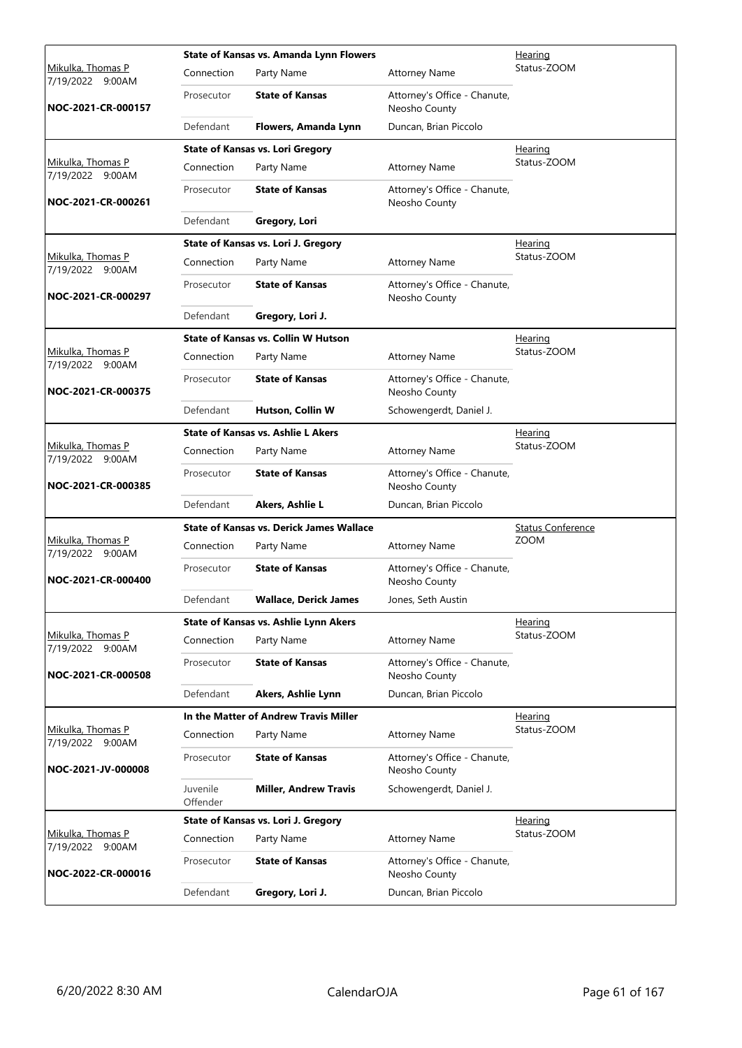|                                              |                      | State of Kansas vs. Amanda Lynn Flowers         |                                               | <u>Hearing</u>           |  |  |
|----------------------------------------------|----------------------|-------------------------------------------------|-----------------------------------------------|--------------------------|--|--|
| <u>Mikulka, Thomas P</u><br>7/19/2022 9:00AM | Connection           | Party Name                                      | <b>Attorney Name</b>                          | Status-ZOOM              |  |  |
| NOC-2021-CR-000157                           | Prosecutor           | <b>State of Kansas</b>                          | Attorney's Office - Chanute,<br>Neosho County |                          |  |  |
|                                              | Defendant            | Flowers, Amanda Lynn                            | Duncan, Brian Piccolo                         |                          |  |  |
|                                              |                      | <b>State of Kansas vs. Lori Gregory</b>         |                                               | Hearing                  |  |  |
| Mikulka, Thomas P<br>7/19/2022 9:00AM        | Connection           | Party Name                                      | <b>Attorney Name</b>                          | Status-ZOOM              |  |  |
| NOC-2021-CR-000261                           | Prosecutor           | <b>State of Kansas</b>                          | Attorney's Office - Chanute,<br>Neosho County |                          |  |  |
|                                              | Defendant            | Gregory, Lori                                   |                                               |                          |  |  |
|                                              |                      | State of Kansas vs. Lori J. Gregory             |                                               | <u>Hearing</u>           |  |  |
| Mikulka, Thomas P<br>7/19/2022 9:00AM        | Connection           | Party Name                                      | <b>Attorney Name</b>                          | Status-ZOOM              |  |  |
| NOC-2021-CR-000297                           | Prosecutor           | <b>State of Kansas</b>                          | Attorney's Office - Chanute,<br>Neosho County |                          |  |  |
|                                              | Defendant            | Gregory, Lori J.                                |                                               |                          |  |  |
|                                              |                      | State of Kansas vs. Collin W Hutson             |                                               | Hearing                  |  |  |
| <u>Mikulka, Thomas P</u><br>7/19/2022 9:00AM | Connection           | Party Name                                      | <b>Attorney Name</b>                          | Status-ZOOM              |  |  |
| NOC-2021-CR-000375                           | Prosecutor           | <b>State of Kansas</b>                          | Attorney's Office - Chanute,<br>Neosho County |                          |  |  |
|                                              | Defendant            | Hutson, Collin W                                | Schowengerdt, Daniel J.                       |                          |  |  |
|                                              |                      | <b>State of Kansas vs. Ashlie L Akers</b>       |                                               | Hearing                  |  |  |
| Mikulka, Thomas P<br>7/19/2022 9:00AM        | Connection           | Party Name                                      | <b>Attorney Name</b>                          | Status-ZOOM              |  |  |
| NOC-2021-CR-000385                           | Prosecutor           | <b>State of Kansas</b>                          | Attorney's Office - Chanute,<br>Neosho County |                          |  |  |
|                                              | Defendant            | Akers, Ashlie L                                 | Duncan, Brian Piccolo                         |                          |  |  |
|                                              |                      | <b>State of Kansas vs. Derick James Wallace</b> |                                               | <b>Status Conference</b> |  |  |
| Mikulka, Thomas P<br>7/19/2022 9:00AM        | Connection           | Party Name                                      | <b>Attorney Name</b>                          | <b>ZOOM</b>              |  |  |
| NOC-2021-CR-000400                           | Prosecutor           | <b>State of Kansas</b>                          | Attorney's Office - Chanute,<br>Neosho County |                          |  |  |
|                                              | Defendant            | Wallace, Derick James                           | Jones, Seth Austin                            |                          |  |  |
|                                              |                      | <b>State of Kansas vs. Ashlie Lynn Akers</b>    |                                               | Hearing                  |  |  |
| Mikulka, Thomas P<br>7/19/2022 9:00AM        | Connection           | Party Name                                      | <b>Attorney Name</b>                          | Status-ZOOM              |  |  |
| NOC-2021-CR-000508                           | Prosecutor           | <b>State of Kansas</b>                          | Attorney's Office - Chanute,<br>Neosho County |                          |  |  |
|                                              | Defendant            | Akers, Ashlie Lynn                              | Duncan, Brian Piccolo                         |                          |  |  |
|                                              |                      | In the Matter of Andrew Travis Miller           |                                               | Hearing                  |  |  |
| Mikulka, Thomas P<br>7/19/2022 9:00AM        | Connection           | Party Name                                      | <b>Attorney Name</b>                          | Status-ZOOM              |  |  |
| NOC-2021-JV-000008                           | Prosecutor           | <b>State of Kansas</b>                          | Attorney's Office - Chanute,<br>Neosho County |                          |  |  |
|                                              | Juvenile<br>Offender | <b>Miller, Andrew Travis</b>                    | Schowengerdt, Daniel J.                       |                          |  |  |
|                                              |                      | State of Kansas vs. Lori J. Gregory             |                                               | Hearing                  |  |  |
| Mikulka, Thomas P<br>7/19/2022 9:00AM        | Connection           | Party Name                                      | <b>Attorney Name</b>                          | Status-ZOOM              |  |  |
| NOC-2022-CR-000016                           | Prosecutor           | <b>State of Kansas</b>                          | Attorney's Office - Chanute,<br>Neosho County |                          |  |  |
|                                              | Defendant            | Gregory, Lori J.                                | Duncan, Brian Piccolo                         |                          |  |  |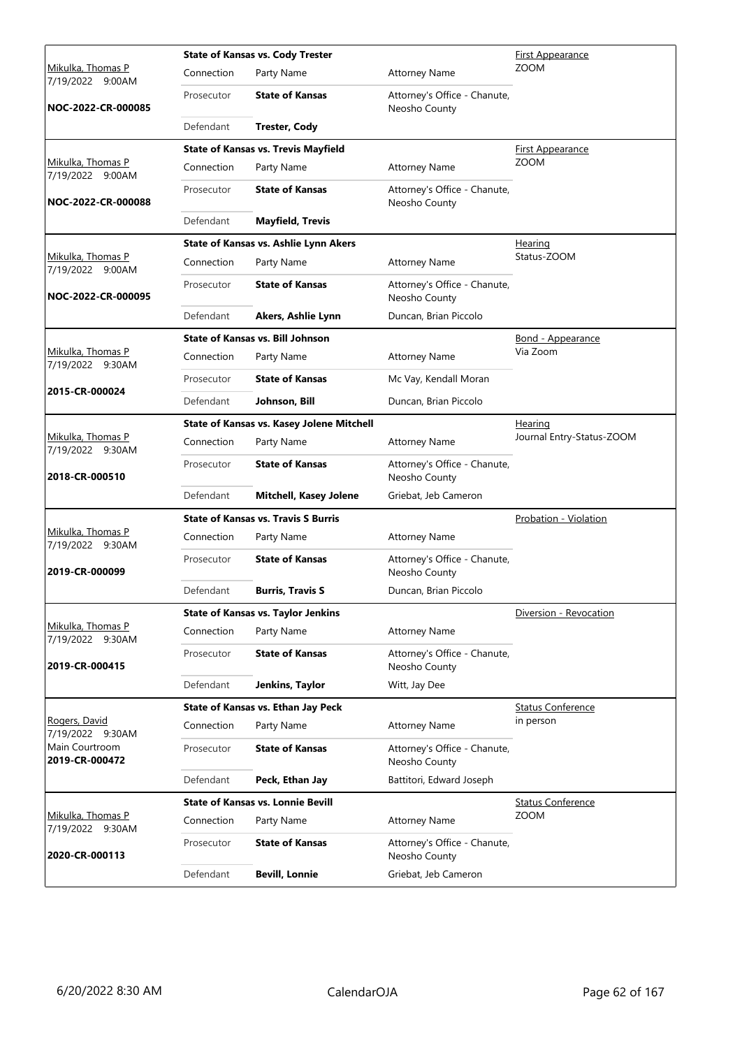|                                          |            | <b>State of Kansas vs. Cody Trester</b>    |                                               | <b>First Appearance</b>   |
|------------------------------------------|------------|--------------------------------------------|-----------------------------------------------|---------------------------|
| Mikulka, Thomas P<br>7/19/2022<br>9:00AM | Connection | Party Name                                 | <b>Attorney Name</b>                          | <b>ZOOM</b>               |
| NOC-2022-CR-000085                       | Prosecutor | <b>State of Kansas</b>                     | Attorney's Office - Chanute,<br>Neosho County |                           |
|                                          | Defendant  | <b>Trester, Cody</b>                       |                                               |                           |
|                                          |            | <b>State of Kansas vs. Trevis Mayfield</b> |                                               | <b>First Appearance</b>   |
| Mikulka, Thomas P<br>7/19/2022 9:00AM    | Connection | Party Name                                 | <b>Attorney Name</b>                          | <b>ZOOM</b>               |
| NOC-2022-CR-000088                       | Prosecutor | <b>State of Kansas</b>                     | Attorney's Office - Chanute,<br>Neosho County |                           |
|                                          | Defendant  | <b>Mayfield, Trevis</b>                    |                                               |                           |
|                                          |            | State of Kansas vs. Ashlie Lynn Akers      |                                               | Hearing                   |
| Mikulka, Thomas P<br>7/19/2022 9:00AM    | Connection | Party Name                                 | <b>Attorney Name</b>                          | Status-ZOOM               |
| NOC-2022-CR-000095                       | Prosecutor | <b>State of Kansas</b>                     | Attorney's Office - Chanute,<br>Neosho County |                           |
|                                          | Defendant  | Akers, Ashlie Lynn                         | Duncan, Brian Piccolo                         |                           |
|                                          |            | <b>State of Kansas vs. Bill Johnson</b>    |                                               | Bond - Appearance         |
| Mikulka, Thomas P<br>7/19/2022 9:30AM    | Connection | Party Name                                 | <b>Attorney Name</b>                          | Via Zoom                  |
|                                          | Prosecutor | <b>State of Kansas</b>                     | Mc Vay, Kendall Moran                         |                           |
| 2015-CR-000024                           | Defendant  | Johnson, Bill                              | Duncan, Brian Piccolo                         |                           |
|                                          |            | State of Kansas vs. Kasey Jolene Mitchell  |                                               | Hearing                   |
| Mikulka, Thomas P<br>7/19/2022 9:30AM    | Connection | Party Name                                 | <b>Attorney Name</b>                          | Journal Entry-Status-ZOOM |
| 2018-CR-000510                           | Prosecutor | <b>State of Kansas</b>                     | Attorney's Office - Chanute,<br>Neosho County |                           |
|                                          | Defendant  | <b>Mitchell, Kasey Jolene</b>              | Griebat, Jeb Cameron                          |                           |
|                                          |            | <b>State of Kansas vs. Travis S Burris</b> |                                               | Probation - Violation     |
| Mikulka, Thomas P<br>7/19/2022 9:30AM    | Connection | Party Name                                 | <b>Attorney Name</b>                          |                           |
| 2019-CR-000099                           | Prosecutor | <b>State of Kansas</b>                     | Attorney's Office - Chanute,<br>Neosho County |                           |
|                                          | Defendant  | <b>Burris, Travis S</b>                    | Duncan, Brian Piccolo                         |                           |
|                                          |            | <b>State of Kansas vs. Taylor Jenkins</b>  |                                               | Diversion - Revocation    |
| Mikulka, Thomas P<br>7/19/2022 9:30AM    | Connection | Party Name                                 | <b>Attorney Name</b>                          |                           |
| 2019-CR-000415                           | Prosecutor | <b>State of Kansas</b>                     | Attorney's Office - Chanute,<br>Neosho County |                           |
|                                          | Defendant  | Jenkins, Taylor                            | Witt, Jay Dee                                 |                           |
|                                          |            | State of Kansas vs. Ethan Jay Peck         |                                               | <b>Status Conference</b>  |
| Rogers, David<br>7/19/2022 9:30AM        | Connection | Party Name                                 | <b>Attorney Name</b>                          | in person                 |
| Main Courtroom<br>2019-CR-000472         | Prosecutor | <b>State of Kansas</b>                     | Attorney's Office - Chanute,<br>Neosho County |                           |
|                                          | Defendant  | Peck, Ethan Jay                            | Battitori, Edward Joseph                      |                           |
|                                          |            | <b>State of Kansas vs. Lonnie Bevill</b>   |                                               | <b>Status Conference</b>  |
| Mikulka, Thomas P<br>7/19/2022 9:30AM    | Connection | Party Name                                 | <b>Attorney Name</b>                          | <b>ZOOM</b>               |
| 2020-CR-000113                           | Prosecutor | <b>State of Kansas</b>                     | Attorney's Office - Chanute,<br>Neosho County |                           |
|                                          | Defendant  | <b>Bevill, Lonnie</b>                      | Griebat, Jeb Cameron                          |                           |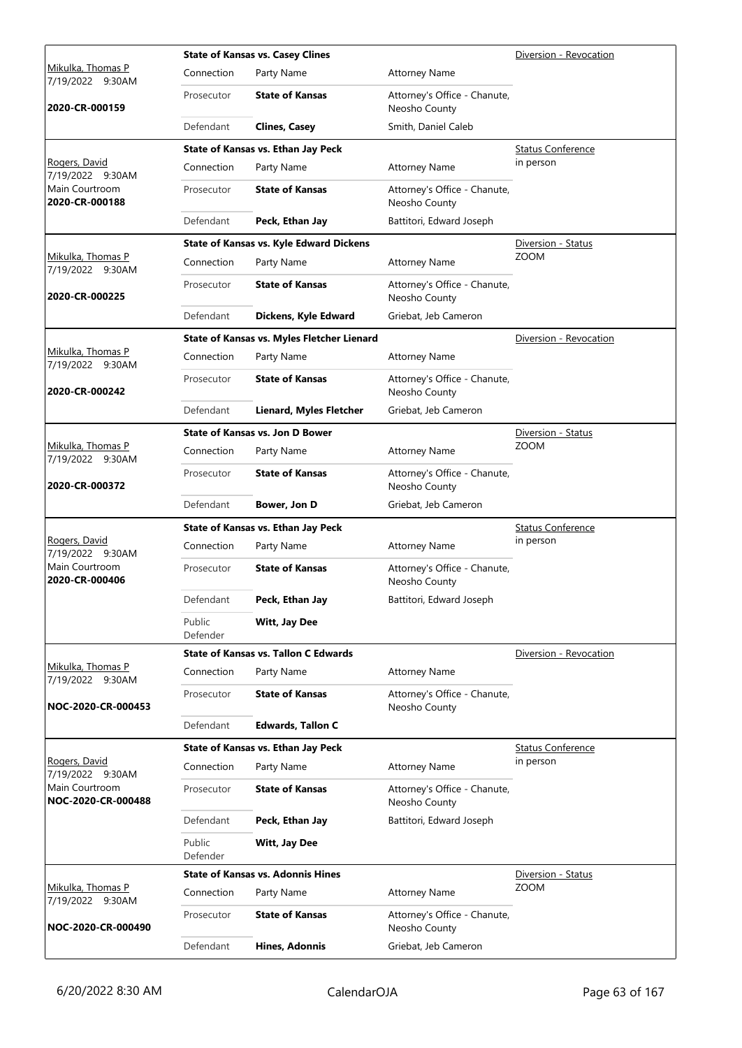|                                       |                    | <b>State of Kansas vs. Casey Clines</b>        |                                               | Diversion - Revocation   |
|---------------------------------------|--------------------|------------------------------------------------|-----------------------------------------------|--------------------------|
| Mikulka, Thomas P<br>7/19/2022 9:30AM | Connection         | Party Name                                     | <b>Attorney Name</b>                          |                          |
| 2020-CR-000159                        | Prosecutor         | <b>State of Kansas</b>                         | Attorney's Office - Chanute,<br>Neosho County |                          |
|                                       | Defendant          | <b>Clines, Casey</b>                           | Smith, Daniel Caleb                           |                          |
|                                       |                    | State of Kansas vs. Ethan Jay Peck             |                                               | <b>Status Conference</b> |
| Rogers, David<br>7/19/2022 9:30AM     | Connection         | Party Name                                     | <b>Attorney Name</b>                          | in person                |
| Main Courtroom<br>2020-CR-000188      | Prosecutor         | <b>State of Kansas</b>                         | Attorney's Office - Chanute,<br>Neosho County |                          |
|                                       | Defendant          | Peck, Ethan Jay                                | Battitori, Edward Joseph                      |                          |
|                                       |                    | <b>State of Kansas vs. Kyle Edward Dickens</b> |                                               | Diversion - Status       |
| Mikulka, Thomas P<br>7/19/2022 9:30AM | Connection         | Party Name                                     | <b>Attorney Name</b>                          | <b>ZOOM</b>              |
| 2020-CR-000225                        | Prosecutor         | <b>State of Kansas</b>                         | Attorney's Office - Chanute,<br>Neosho County |                          |
|                                       | Defendant          | Dickens, Kyle Edward                           | Griebat, Jeb Cameron                          |                          |
|                                       |                    | State of Kansas vs. Myles Fletcher Lienard     |                                               | Diversion - Revocation   |
| Mikulka, Thomas P<br>7/19/2022 9:30AM | Connection         | Party Name                                     | <b>Attorney Name</b>                          |                          |
| 2020-CR-000242                        | Prosecutor         | <b>State of Kansas</b>                         | Attorney's Office - Chanute,<br>Neosho County |                          |
|                                       | Defendant          | Lienard, Myles Fletcher                        | Griebat, Jeb Cameron                          |                          |
|                                       |                    | <b>State of Kansas vs. Jon D Bower</b>         |                                               | Diversion - Status       |
| Mikulka, Thomas P<br>7/19/2022 9:30AM | Connection         | Party Name                                     | <b>Attorney Name</b>                          | <b>ZOOM</b>              |
| 2020-CR-000372                        | Prosecutor         | <b>State of Kansas</b>                         | Attorney's Office - Chanute,<br>Neosho County |                          |
|                                       | Defendant          | Bower, Jon D                                   | Griebat, Jeb Cameron                          |                          |
|                                       |                    | State of Kansas vs. Ethan Jay Peck             |                                               | <b>Status Conference</b> |
| Rogers, David<br>7/19/2022 9:30AM     | Connection         | Party Name                                     | <b>Attorney Name</b>                          | in person                |
| Main Courtroom<br>2020-CR-000406      | Prosecutor         | <b>State of Kansas</b>                         | Attorney's Office - Chanute,<br>Neosho County |                          |
|                                       | Defendant          | Peck. Ethan Jav                                | Battitori, Edward Joseph                      |                          |
|                                       | Public<br>Defender | Witt, Jay Dee                                  |                                               |                          |
|                                       |                    | <b>State of Kansas vs. Tallon C Edwards</b>    |                                               | Diversion - Revocation   |
| Mikulka, Thomas P<br>7/19/2022 9:30AM | Connection         | Party Name                                     | <b>Attorney Name</b>                          |                          |
| NOC-2020-CR-000453                    | Prosecutor         | <b>State of Kansas</b>                         | Attorney's Office - Chanute,<br>Neosho County |                          |
|                                       | Defendant          | <b>Edwards, Tallon C</b>                       |                                               |                          |
|                                       |                    | State of Kansas vs. Ethan Jay Peck             |                                               | <b>Status Conference</b> |
| Rogers, David<br>7/19/2022 9:30AM     | Connection         | Party Name                                     | <b>Attorney Name</b>                          | in person                |
| Main Courtroom<br>NOC-2020-CR-000488  | Prosecutor         | <b>State of Kansas</b>                         | Attorney's Office - Chanute,<br>Neosho County |                          |
|                                       | Defendant          | Peck, Ethan Jay                                | Battitori, Edward Joseph                      |                          |
|                                       |                    |                                                |                                               |                          |
|                                       | Public<br>Defender | Witt, Jay Dee                                  |                                               |                          |
|                                       |                    | <b>State of Kansas vs. Adonnis Hines</b>       |                                               | Diversion - Status       |
| Mikulka, Thomas P<br>7/19/2022 9:30AM | Connection         | Party Name                                     | <b>Attorney Name</b>                          | <b>ZOOM</b>              |
| NOC-2020-CR-000490                    | Prosecutor         | <b>State of Kansas</b>                         | Attorney's Office - Chanute,<br>Neosho County |                          |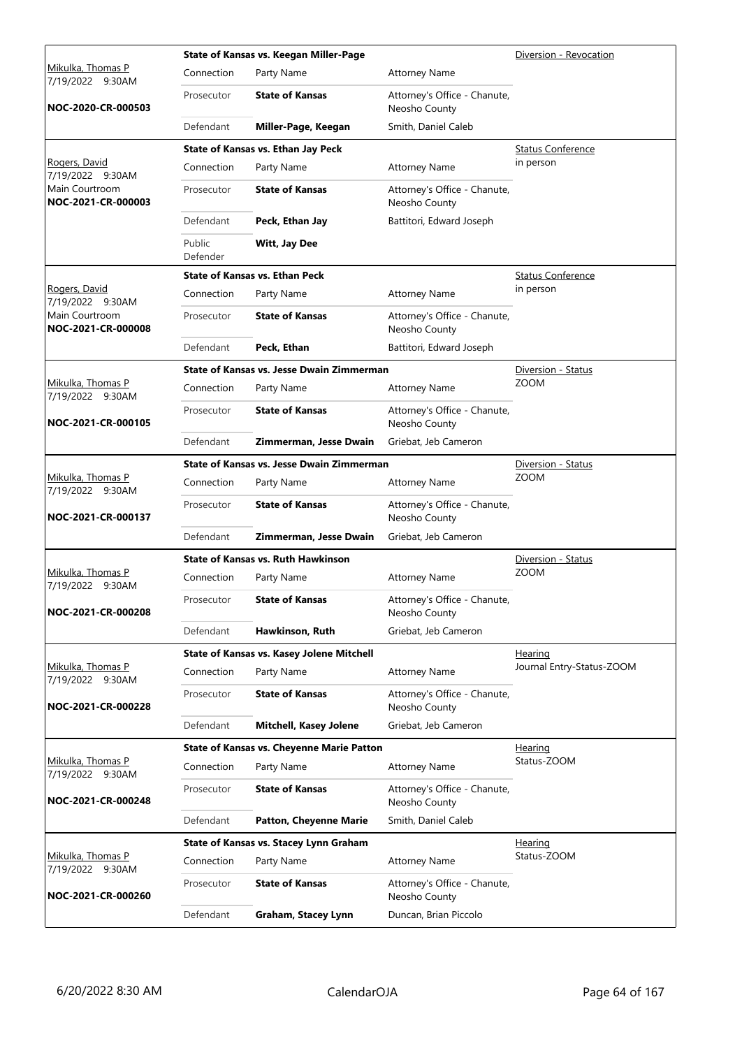|                                       |                    | State of Kansas vs. Keegan Miller-Page           |                                               | Diversion - Revocation    |
|---------------------------------------|--------------------|--------------------------------------------------|-----------------------------------------------|---------------------------|
| Mikulka, Thomas P<br>7/19/2022 9:30AM | Connection         | Party Name                                       | <b>Attorney Name</b>                          |                           |
| NOC-2020-CR-000503                    | Prosecutor         | <b>State of Kansas</b>                           | Attorney's Office - Chanute,<br>Neosho County |                           |
|                                       | Defendant          | Miller-Page, Keegan                              | Smith, Daniel Caleb                           |                           |
|                                       |                    | State of Kansas vs. Ethan Jay Peck               |                                               | <b>Status Conference</b>  |
| Rogers, David<br>7/19/2022 9:30AM     | Connection         | Party Name                                       | <b>Attorney Name</b>                          | in person                 |
| Main Courtroom<br>NOC-2021-CR-000003  | Prosecutor         | <b>State of Kansas</b>                           | Attorney's Office - Chanute,<br>Neosho County |                           |
|                                       | Defendant          | Peck, Ethan Jay                                  | Battitori, Edward Joseph                      |                           |
|                                       | Public<br>Defender | Witt, Jay Dee                                    |                                               |                           |
|                                       |                    | <b>State of Kansas vs. Ethan Peck</b>            |                                               | <b>Status Conference</b>  |
| Rogers, David<br>7/19/2022 9:30AM     | Connection         | Party Name                                       | <b>Attorney Name</b>                          | in person                 |
| Main Courtroom<br>NOC-2021-CR-000008  | Prosecutor         | <b>State of Kansas</b>                           | Attorney's Office - Chanute,<br>Neosho County |                           |
|                                       | Defendant          | Peck, Ethan                                      | Battitori, Edward Joseph                      |                           |
|                                       |                    | State of Kansas vs. Jesse Dwain Zimmerman        |                                               | Diversion - Status        |
| Mikulka, Thomas P<br>7/19/2022 9:30AM | Connection         | Party Name                                       | <b>Attorney Name</b>                          | <b>ZOOM</b>               |
| NOC-2021-CR-000105                    | Prosecutor         | <b>State of Kansas</b>                           | Attorney's Office - Chanute,<br>Neosho County |                           |
|                                       | Defendant          | Zimmerman, Jesse Dwain                           | Griebat, Jeb Cameron                          |                           |
|                                       |                    | <b>State of Kansas vs. Jesse Dwain Zimmerman</b> |                                               | Diversion - Status        |
| Mikulka, Thomas P<br>7/19/2022 9:30AM | Connection         | Party Name                                       | <b>Attorney Name</b>                          | <b>ZOOM</b>               |
| NOC-2021-CR-000137                    | Prosecutor         | <b>State of Kansas</b>                           | Attorney's Office - Chanute,<br>Neosho County |                           |
|                                       | Defendant          | Zimmerman, Jesse Dwain                           | Griebat, Jeb Cameron                          |                           |
|                                       |                    | <b>State of Kansas vs. Ruth Hawkinson</b>        |                                               | Diversion - Status        |
| Mikulka, Thomas P<br>7/19/2022 9:30AM | Connection         | Party Name                                       | <b>Attorney Name</b>                          | <b>ZOOM</b>               |
| NOC-2021-CR-000208                    | Prosecutor         | <b>State of Kansas</b>                           | Attorney's Office - Chanute,<br>Neosho County |                           |
|                                       | Defendant          | Hawkinson, Ruth                                  | Griebat, Jeb Cameron                          |                           |
|                                       |                    | State of Kansas vs. Kasey Jolene Mitchell        |                                               | <b>Hearing</b>            |
| Mikulka, Thomas P<br>7/19/2022 9:30AM | Connection         | Party Name                                       | <b>Attorney Name</b>                          | Journal Entry-Status-ZOOM |
| NOC-2021-CR-000228                    | Prosecutor         | <b>State of Kansas</b>                           | Attorney's Office - Chanute,<br>Neosho County |                           |
|                                       | Defendant          | <b>Mitchell, Kasey Jolene</b>                    | Griebat, Jeb Cameron                          |                           |
|                                       |                    | <b>State of Kansas vs. Cheyenne Marie Patton</b> |                                               | Hearing                   |
| Mikulka, Thomas P<br>7/19/2022 9:30AM | Connection         | Party Name                                       | <b>Attorney Name</b>                          | Status-ZOOM               |
| NOC-2021-CR-000248                    | Prosecutor         | <b>State of Kansas</b>                           | Attorney's Office - Chanute,<br>Neosho County |                           |
|                                       | Defendant          | <b>Patton, Cheyenne Marie</b>                    | Smith, Daniel Caleb                           |                           |
|                                       |                    | State of Kansas vs. Stacey Lynn Graham           |                                               | <u>Hearing</u>            |
| Mikulka, Thomas P<br>7/19/2022 9:30AM | Connection         | Party Name                                       | <b>Attorney Name</b>                          | Status-ZOOM               |
| NOC-2021-CR-000260                    | Prosecutor         | <b>State of Kansas</b>                           | Attorney's Office - Chanute,<br>Neosho County |                           |
|                                       | Defendant          | Graham, Stacey Lynn                              | Duncan, Brian Piccolo                         |                           |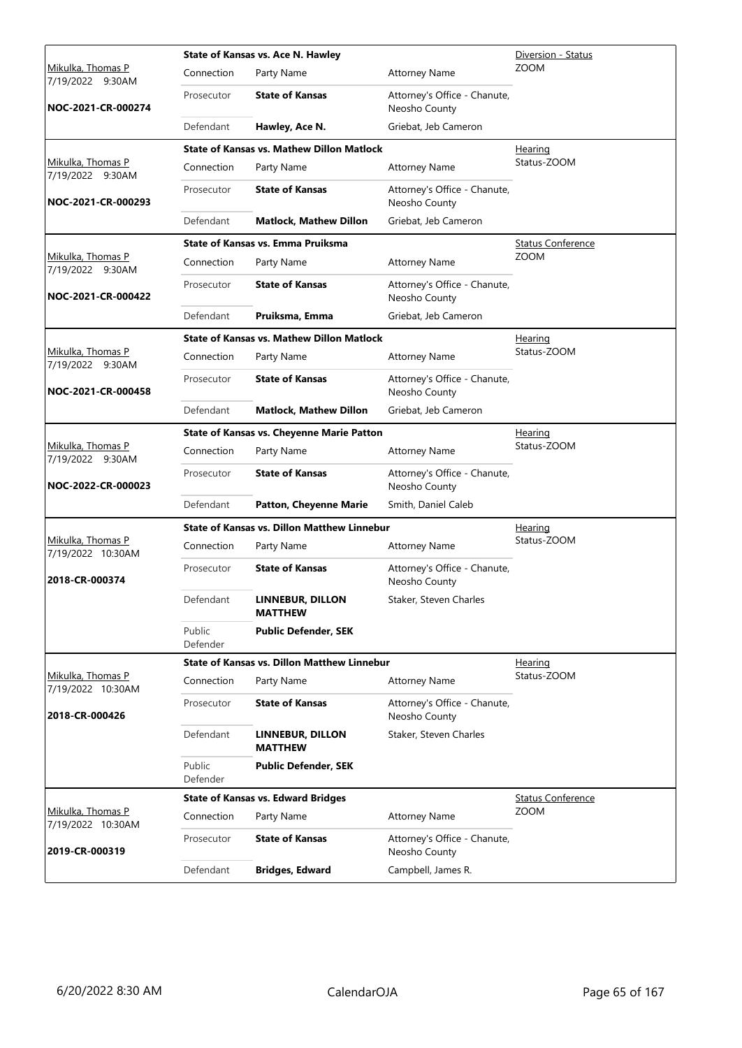|                                              |                    | State of Kansas vs. Ace N. Hawley                  |                                               | Diversion - Status       |  |  |
|----------------------------------------------|--------------------|----------------------------------------------------|-----------------------------------------------|--------------------------|--|--|
| <u>Mikulka, Thomas P</u><br>7/19/2022 9:30AM | Connection         | Party Name                                         | <b>Attorney Name</b>                          | <b>ZOOM</b>              |  |  |
| NOC-2021-CR-000274                           | Prosecutor         | <b>State of Kansas</b>                             | Attorney's Office - Chanute,<br>Neosho County |                          |  |  |
|                                              | Defendant          | Hawley, Ace N.                                     | Griebat, Jeb Cameron                          |                          |  |  |
|                                              |                    | <b>State of Kansas vs. Mathew Dillon Matlock</b>   |                                               | <u>Hearing</u>           |  |  |
| Mikulka, Thomas P<br>7/19/2022 9:30AM        | Connection         | Party Name                                         | <b>Attorney Name</b>                          | Status-ZOOM              |  |  |
| NOC-2021-CR-000293                           | Prosecutor         | <b>State of Kansas</b>                             | Attorney's Office - Chanute,<br>Neosho County |                          |  |  |
|                                              | Defendant          | <b>Matlock, Mathew Dillon</b>                      | Griebat, Jeb Cameron                          |                          |  |  |
|                                              |                    | <b>State of Kansas vs. Emma Pruiksma</b>           |                                               | <b>Status Conference</b> |  |  |
| Mikulka, Thomas P<br>7/19/2022 9:30AM        | Connection         | Party Name                                         | <b>Attorney Name</b>                          | <b>ZOOM</b>              |  |  |
| NOC-2021-CR-000422                           | Prosecutor         | <b>State of Kansas</b>                             | Attorney's Office - Chanute,<br>Neosho County |                          |  |  |
|                                              | Defendant          | Pruiksma, Emma                                     | Griebat, Jeb Cameron                          |                          |  |  |
|                                              |                    | <b>State of Kansas vs. Mathew Dillon Matlock</b>   |                                               | Hearing                  |  |  |
| Mikulka, Thomas P<br>7/19/2022 9:30AM        | Connection         | Party Name                                         | <b>Attorney Name</b>                          | Status-ZOOM              |  |  |
| NOC-2021-CR-000458                           | Prosecutor         | <b>State of Kansas</b>                             | Attorney's Office - Chanute,<br>Neosho County |                          |  |  |
|                                              | Defendant          | <b>Matlock, Mathew Dillon</b>                      | Griebat, Jeb Cameron                          |                          |  |  |
|                                              |                    | <b>State of Kansas vs. Cheyenne Marie Patton</b>   |                                               | Hearing                  |  |  |
| Mikulka, Thomas P<br>7/19/2022 9:30AM        | Connection         | Party Name                                         | <b>Attorney Name</b>                          | Status-ZOOM              |  |  |
| NOC-2022-CR-000023                           | Prosecutor         | <b>State of Kansas</b>                             | Attorney's Office - Chanute,<br>Neosho County |                          |  |  |
|                                              | Defendant          | <b>Patton, Cheyenne Marie</b>                      | Smith, Daniel Caleb                           |                          |  |  |
|                                              |                    | <b>State of Kansas vs. Dillon Matthew Linnebur</b> |                                               | <u>Hearing</u>           |  |  |
| Mikulka, Thomas P<br>7/19/2022 10:30AM       | Connection         | Party Name                                         | <b>Attorney Name</b>                          | Status-ZOOM              |  |  |
| 2018-CR-000374                               | Prosecutor         | <b>State of Kansas</b>                             | Attorney's Office - Chanute,<br>Neosho County |                          |  |  |
|                                              | Defendant          | LINNEBUR, DILLON<br><b>MATTHEW</b>                 | Staker, Steven Charles                        |                          |  |  |
|                                              | Public<br>Defender | <b>Public Defender, SEK</b>                        |                                               |                          |  |  |
|                                              |                    | <b>State of Kansas vs. Dillon Matthew Linnebur</b> |                                               | Hearing                  |  |  |
| Mikulka, Thomas P<br>7/19/2022 10:30AM       | Connection         | Party Name                                         | <b>Attorney Name</b>                          | Status-ZOOM              |  |  |
| 2018-CR-000426                               | Prosecutor         | <b>State of Kansas</b>                             | Attorney's Office - Chanute,<br>Neosho County |                          |  |  |
|                                              | Defendant          | LINNEBUR, DILLON<br><b>MATTHEW</b>                 | Staker, Steven Charles                        |                          |  |  |
|                                              | Public<br>Defender | <b>Public Defender, SEK</b>                        |                                               |                          |  |  |
|                                              |                    | <b>State of Kansas vs. Edward Bridges</b>          |                                               | <b>Status Conference</b> |  |  |
| Mikulka, Thomas P<br>7/19/2022 10:30AM       | Connection         | Party Name                                         | <b>Attorney Name</b>                          | <b>ZOOM</b>              |  |  |
| 2019-CR-000319                               | Prosecutor         | <b>State of Kansas</b>                             | Attorney's Office - Chanute,<br>Neosho County |                          |  |  |
|                                              | Defendant          | <b>Bridges, Edward</b>                             | Campbell, James R.                            |                          |  |  |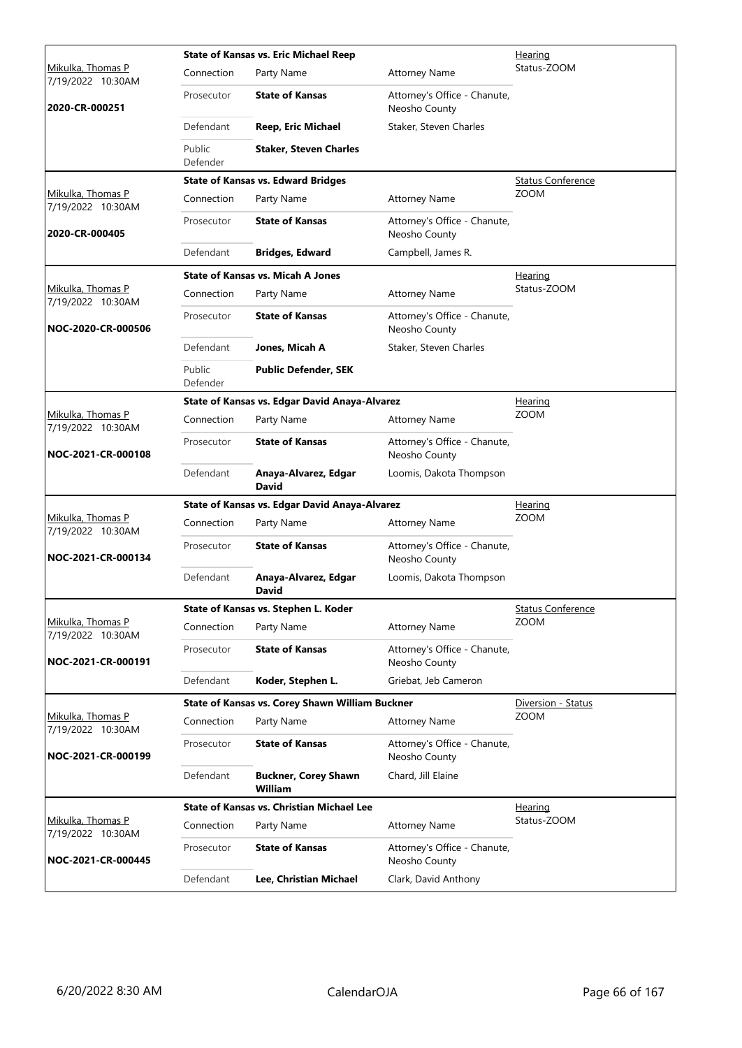|                                               |                    | <b>State of Kansas vs. Eric Michael Reep</b>     |                                               | Hearing                  |  |  |
|-----------------------------------------------|--------------------|--------------------------------------------------|-----------------------------------------------|--------------------------|--|--|
| <u>Mikulka, Thomas P</u><br>7/19/2022 10:30AM | Connection         | Party Name                                       | <b>Attorney Name</b>                          | Status-ZOOM              |  |  |
| 2020-CR-000251                                | Prosecutor         | <b>State of Kansas</b>                           | Attorney's Office - Chanute,<br>Neosho County |                          |  |  |
|                                               | Defendant          | Reep, Eric Michael                               | Staker, Steven Charles                        |                          |  |  |
|                                               | Public<br>Defender | <b>Staker, Steven Charles</b>                    |                                               |                          |  |  |
|                                               |                    | <b>State of Kansas vs. Edward Bridges</b>        |                                               | <b>Status Conference</b> |  |  |
| Mikulka, Thomas P<br>7/19/2022 10:30AM        | Connection         | Party Name                                       | <b>Attorney Name</b>                          | <b>ZOOM</b>              |  |  |
| 2020-CR-000405                                | Prosecutor         | <b>State of Kansas</b>                           | Attorney's Office - Chanute,<br>Neosho County |                          |  |  |
|                                               | Defendant          | <b>Bridges, Edward</b>                           | Campbell, James R.                            |                          |  |  |
|                                               |                    | <b>State of Kansas vs. Micah A Jones</b>         |                                               | <u>Hearing</u>           |  |  |
| Mikulka, Thomas P<br>7/19/2022 10:30AM        | Connection         | Party Name                                       | <b>Attorney Name</b>                          | Status-ZOOM              |  |  |
| NOC-2020-CR-000506                            | Prosecutor         | <b>State of Kansas</b>                           | Attorney's Office - Chanute,<br>Neosho County |                          |  |  |
|                                               | Defendant          | Jones, Micah A                                   | Staker, Steven Charles                        |                          |  |  |
|                                               | Public<br>Defender | <b>Public Defender, SEK</b>                      |                                               |                          |  |  |
|                                               |                    | State of Kansas vs. Edgar David Anaya-Alvarez    |                                               | Hearing                  |  |  |
| Mikulka, Thomas P<br>7/19/2022 10:30AM        | Connection         | Party Name                                       | <b>Attorney Name</b>                          | <b>ZOOM</b>              |  |  |
| NOC-2021-CR-000108                            | Prosecutor         | <b>State of Kansas</b>                           | Attorney's Office - Chanute,<br>Neosho County |                          |  |  |
|                                               | Defendant          | Anaya-Alvarez, Edgar<br>David                    | Loomis, Dakota Thompson                       |                          |  |  |
|                                               |                    | State of Kansas vs. Edgar David Anaya-Alvarez    |                                               | <b>Hearing</b>           |  |  |
| Mikulka, Thomas P<br>7/19/2022 10:30AM        | Connection         | Party Name                                       | <b>Attorney Name</b>                          | <b>ZOOM</b>              |  |  |
| NOC-2021-CR-000134                            | Prosecutor         | <b>State of Kansas</b>                           | Attorney's Office - Chanute,<br>Neosho County |                          |  |  |
|                                               | Defendant          | Anaya-Alvarez, Edgar<br>David                    | Loomis, Dakota Thompson                       |                          |  |  |
|                                               |                    | State of Kansas vs. Stephen L. Koder             |                                               | <b>Status Conference</b> |  |  |
| Mikulka, Thomas P<br>7/19/2022 10:30AM        | Connection         | Party Name                                       | <b>Attorney Name</b>                          | <b>ZOOM</b>              |  |  |
| NOC-2021-CR-000191                            | Prosecutor         | <b>State of Kansas</b>                           | Attorney's Office - Chanute,<br>Neosho County |                          |  |  |
|                                               | Defendant          | Koder, Stephen L.                                | Griebat, Jeb Cameron                          |                          |  |  |
|                                               |                    | State of Kansas vs. Corey Shawn William Buckner  |                                               | Diversion - Status       |  |  |
| Mikulka, Thomas P<br>7/19/2022 10:30AM        | Connection         | Party Name                                       | <b>Attorney Name</b>                          | <b>ZOOM</b>              |  |  |
| NOC-2021-CR-000199                            | Prosecutor         | <b>State of Kansas</b>                           | Attorney's Office - Chanute,<br>Neosho County |                          |  |  |
|                                               | Defendant          | <b>Buckner, Corey Shawn</b><br>William           | Chard, Jill Elaine                            |                          |  |  |
|                                               |                    | <b>State of Kansas vs. Christian Michael Lee</b> |                                               | <u>Hearing</u>           |  |  |
| Mikulka, Thomas P<br>7/19/2022 10:30AM        | Connection         | Party Name                                       | <b>Attorney Name</b>                          | Status-ZOOM              |  |  |
| NOC-2021-CR-000445                            | Prosecutor         | <b>State of Kansas</b>                           | Attorney's Office - Chanute,<br>Neosho County |                          |  |  |
|                                               | Defendant          | Lee, Christian Michael                           | Clark, David Anthony                          |                          |  |  |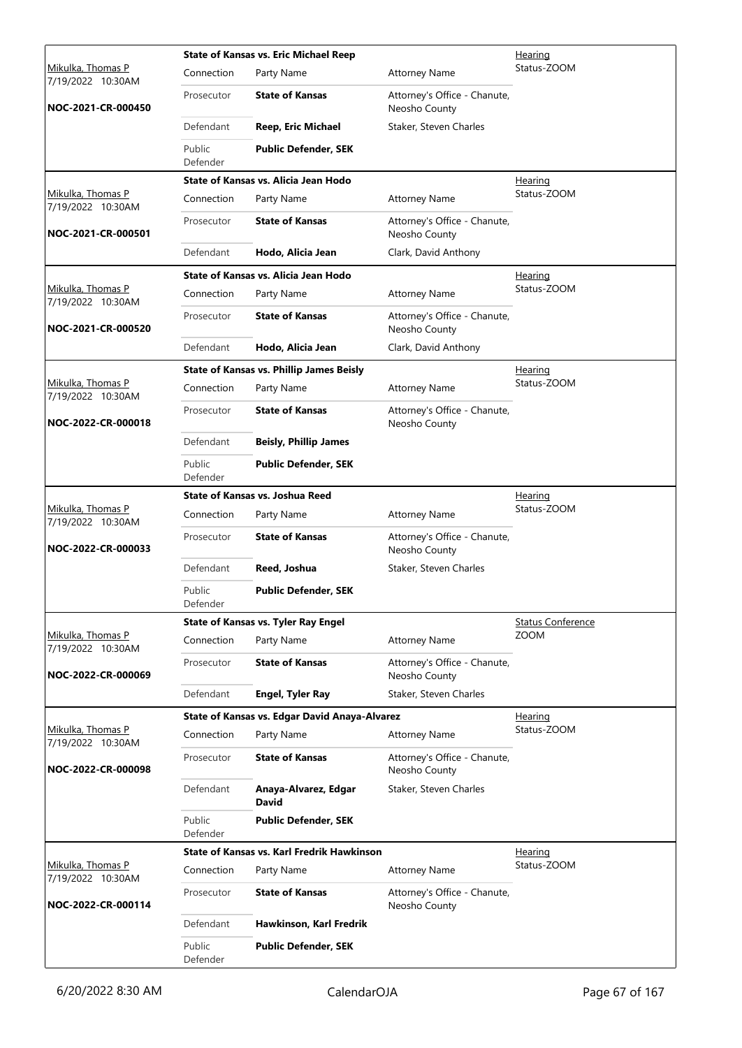|                                        |                    | <b>State of Kansas vs. Eric Michael Reep</b>      |                                               | Hearing                  |
|----------------------------------------|--------------------|---------------------------------------------------|-----------------------------------------------|--------------------------|
| Mikulka, Thomas P<br>7/19/2022 10:30AM | Connection         | Party Name                                        | <b>Attorney Name</b>                          | Status-ZOOM              |
| NOC-2021-CR-000450                     | Prosecutor         | <b>State of Kansas</b>                            | Attorney's Office - Chanute,<br>Neosho County |                          |
|                                        | Defendant          | <b>Reep, Eric Michael</b>                         | Staker, Steven Charles                        |                          |
|                                        | Public<br>Defender | <b>Public Defender, SEK</b>                       |                                               |                          |
|                                        |                    | State of Kansas vs. Alicia Jean Hodo              |                                               | Hearing                  |
| Mikulka, Thomas P<br>7/19/2022 10:30AM | Connection         | Party Name                                        | <b>Attorney Name</b>                          | Status-ZOOM              |
| NOC-2021-CR-000501                     | Prosecutor         | <b>State of Kansas</b>                            | Attorney's Office - Chanute,<br>Neosho County |                          |
|                                        | Defendant          | Hodo, Alicia Jean                                 | Clark, David Anthony                          |                          |
|                                        |                    | State of Kansas vs. Alicia Jean Hodo              |                                               | Hearing                  |
| Mikulka, Thomas P<br>7/19/2022 10:30AM | Connection         | Party Name                                        | <b>Attorney Name</b>                          | Status-ZOOM              |
| NOC-2021-CR-000520                     | Prosecutor         | <b>State of Kansas</b>                            | Attorney's Office - Chanute,<br>Neosho County |                          |
|                                        | Defendant          | Hodo, Alicia Jean                                 | Clark, David Anthony                          |                          |
|                                        |                    | <b>State of Kansas vs. Phillip James Beisly</b>   |                                               | <u>Hearing</u>           |
| Mikulka, Thomas P<br>7/19/2022 10:30AM | Connection         | Party Name                                        | <b>Attorney Name</b>                          | Status-ZOOM              |
| NOC-2022-CR-000018                     | Prosecutor         | <b>State of Kansas</b>                            | Attorney's Office - Chanute,<br>Neosho County |                          |
|                                        | Defendant          | <b>Beisly, Phillip James</b>                      |                                               |                          |
|                                        | Public<br>Defender | <b>Public Defender, SEK</b>                       |                                               |                          |
|                                        |                    | State of Kansas vs. Joshua Reed                   |                                               | <u>Hearing</u>           |
| Mikulka, Thomas P<br>7/19/2022 10:30AM | Connection         | Party Name                                        | <b>Attorney Name</b>                          | Status-ZOOM              |
| NOC-2022-CR-000033                     | Prosecutor         | <b>State of Kansas</b>                            | Attorney's Office - Chanute,<br>Neosho County |                          |
|                                        | Defendant          | Reed, Joshua                                      | Staker, Steven Charles                        |                          |
|                                        | Public<br>Defender | <b>Public Defender, SEK</b>                       |                                               |                          |
|                                        |                    | <b>State of Kansas vs. Tyler Ray Engel</b>        |                                               | <b>Status Conference</b> |
| Mikulka, Thomas P<br>7/19/2022 10:30AM | Connection         | Party Name                                        | <b>Attorney Name</b>                          | <b>ZOOM</b>              |
| NOC-2022-CR-000069                     | Prosecutor         | <b>State of Kansas</b>                            | Attorney's Office - Chanute,<br>Neosho County |                          |
|                                        | Defendant          | Engel, Tyler Ray                                  | Staker, Steven Charles                        |                          |
|                                        |                    | State of Kansas vs. Edgar David Anaya-Alvarez     |                                               | Hearing                  |
| Mikulka, Thomas P<br>7/19/2022 10:30AM | Connection         | Party Name                                        | <b>Attorney Name</b>                          | Status-ZOOM              |
| NOC-2022-CR-000098                     | Prosecutor         | <b>State of Kansas</b>                            | Attorney's Office - Chanute,<br>Neosho County |                          |
|                                        | Defendant          | Anaya-Alvarez, Edgar<br><b>David</b>              | Staker, Steven Charles                        |                          |
|                                        | Public<br>Defender | <b>Public Defender, SEK</b>                       |                                               |                          |
|                                        |                    | <b>State of Kansas vs. Karl Fredrik Hawkinson</b> |                                               | Hearing                  |
| Mikulka, Thomas P<br>7/19/2022 10:30AM | Connection         | Party Name                                        | <b>Attorney Name</b>                          | Status-ZOOM              |
| NOC-2022-CR-000114                     | Prosecutor         | <b>State of Kansas</b>                            | Attorney's Office - Chanute,<br>Neosho County |                          |
|                                        | Defendant          | Hawkinson, Karl Fredrik                           |                                               |                          |
|                                        | Public<br>Defender | <b>Public Defender, SEK</b>                       |                                               |                          |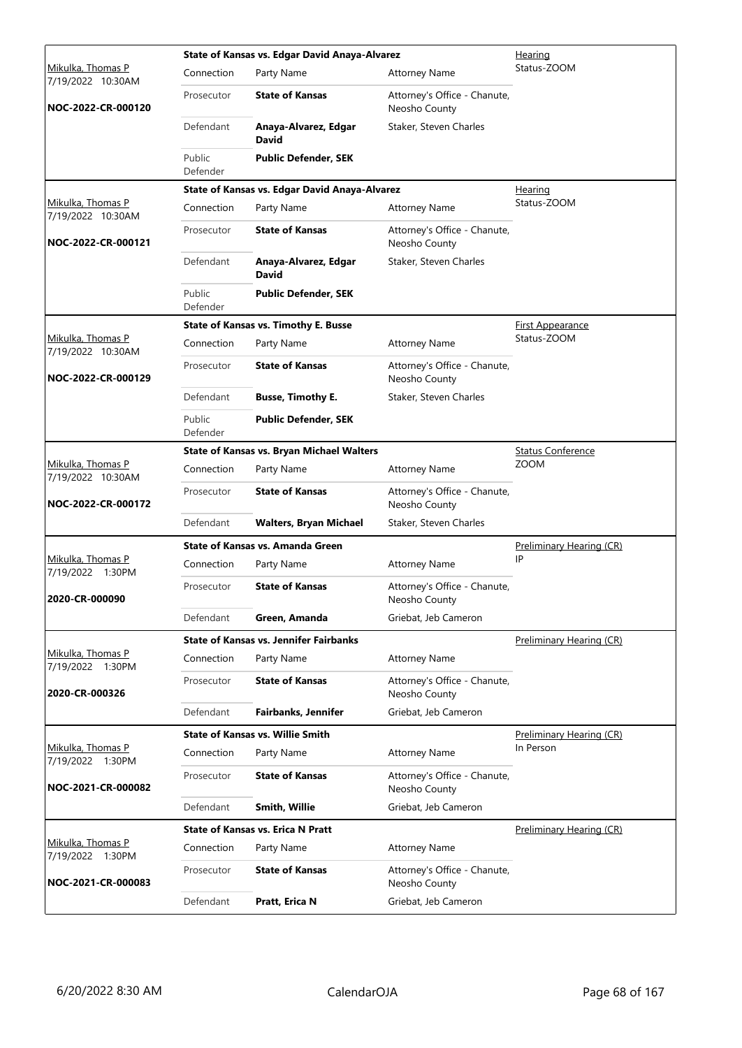|                                        |                    | State of Kansas vs. Edgar David Anaya-Alvarez    |                                               | Hearing                  |
|----------------------------------------|--------------------|--------------------------------------------------|-----------------------------------------------|--------------------------|
| Mikulka, Thomas P<br>7/19/2022 10:30AM | Connection         | Party Name                                       | <b>Attorney Name</b>                          | Status-ZOOM              |
| NOC-2022-CR-000120                     | Prosecutor         | <b>State of Kansas</b>                           | Attorney's Office - Chanute,<br>Neosho County |                          |
|                                        | Defendant          | Anaya-Alvarez, Edgar<br><b>David</b>             | Staker, Steven Charles                        |                          |
|                                        | Public<br>Defender | <b>Public Defender, SEK</b>                      |                                               |                          |
|                                        |                    | State of Kansas vs. Edgar David Anaya-Alvarez    |                                               | Hearing                  |
| Mikulka, Thomas P<br>7/19/2022 10:30AM | Connection         | Party Name                                       | <b>Attorney Name</b>                          | Status-ZOOM              |
| NOC-2022-CR-000121                     | Prosecutor         | <b>State of Kansas</b>                           | Attorney's Office - Chanute,<br>Neosho County |                          |
|                                        | Defendant          | Anaya-Alvarez, Edgar<br><b>David</b>             | Staker, Steven Charles                        |                          |
|                                        | Public<br>Defender | <b>Public Defender, SEK</b>                      |                                               |                          |
|                                        |                    | <b>State of Kansas vs. Timothy E. Busse</b>      |                                               | <b>First Appearance</b>  |
| Mikulka, Thomas P<br>7/19/2022 10:30AM | Connection         | Party Name                                       | <b>Attorney Name</b>                          | Status-ZOOM              |
| NOC-2022-CR-000129                     | Prosecutor         | <b>State of Kansas</b>                           | Attorney's Office - Chanute,<br>Neosho County |                          |
|                                        | Defendant          | <b>Busse, Timothy E.</b>                         | Staker, Steven Charles                        |                          |
|                                        | Public<br>Defender | <b>Public Defender, SEK</b>                      |                                               |                          |
|                                        |                    | <b>State of Kansas vs. Bryan Michael Walters</b> |                                               | <b>Status Conference</b> |
| Mikulka, Thomas P<br>7/19/2022 10:30AM | Connection         | Party Name                                       | <b>Attorney Name</b>                          | <b>ZOOM</b>              |
| NOC-2022-CR-000172                     | Prosecutor         | <b>State of Kansas</b>                           | Attorney's Office - Chanute,<br>Neosho County |                          |
|                                        | Defendant          | <b>Walters, Bryan Michael</b>                    | Staker, Steven Charles                        |                          |
|                                        |                    | State of Kansas vs. Amanda Green                 |                                               | Preliminary Hearing (CR) |
| Mikulka, Thomas P<br>7/19/2022 1:30PM  | Connection         | Party Name                                       | <b>Attorney Name</b>                          | IP                       |
| 2020-CR-000090                         | Prosecutor         | <b>State of Kansas</b>                           | Attorney's Office - Chanute,<br>Neosho County |                          |
|                                        | Defendant          | Green, Amanda                                    | Griebat, Jeb Cameron                          |                          |
|                                        |                    | <b>State of Kansas vs. Jennifer Fairbanks</b>    |                                               | Preliminary Hearing (CR) |
| Mikulka, Thomas P<br>7/19/2022 1:30PM  | Connection         | Party Name                                       | <b>Attorney Name</b>                          |                          |
| 2020-CR-000326                         | Prosecutor         | <b>State of Kansas</b>                           | Attorney's Office - Chanute,<br>Neosho County |                          |
|                                        | Defendant          | <b>Fairbanks, Jennifer</b>                       | Griebat, Jeb Cameron                          |                          |
|                                        |                    | <b>State of Kansas vs. Willie Smith</b>          |                                               | Preliminary Hearing (CR) |
| Mikulka, Thomas P<br>7/19/2022 1:30PM  | Connection         | Party Name                                       | <b>Attorney Name</b>                          | In Person                |
| NOC-2021-CR-000082                     | Prosecutor         | <b>State of Kansas</b>                           | Attorney's Office - Chanute,<br>Neosho County |                          |
|                                        | Defendant          | Smith, Willie                                    | Griebat, Jeb Cameron                          |                          |
|                                        |                    | <b>State of Kansas vs. Erica N Pratt</b>         |                                               | Preliminary Hearing (CR) |
| Mikulka, Thomas P<br>7/19/2022 1:30PM  | Connection         | Party Name                                       | <b>Attorney Name</b>                          |                          |
| NOC-2021-CR-000083                     | Prosecutor         | <b>State of Kansas</b>                           | Attorney's Office - Chanute,<br>Neosho County |                          |
|                                        | Defendant          | Pratt, Erica N                                   | Griebat, Jeb Cameron                          |                          |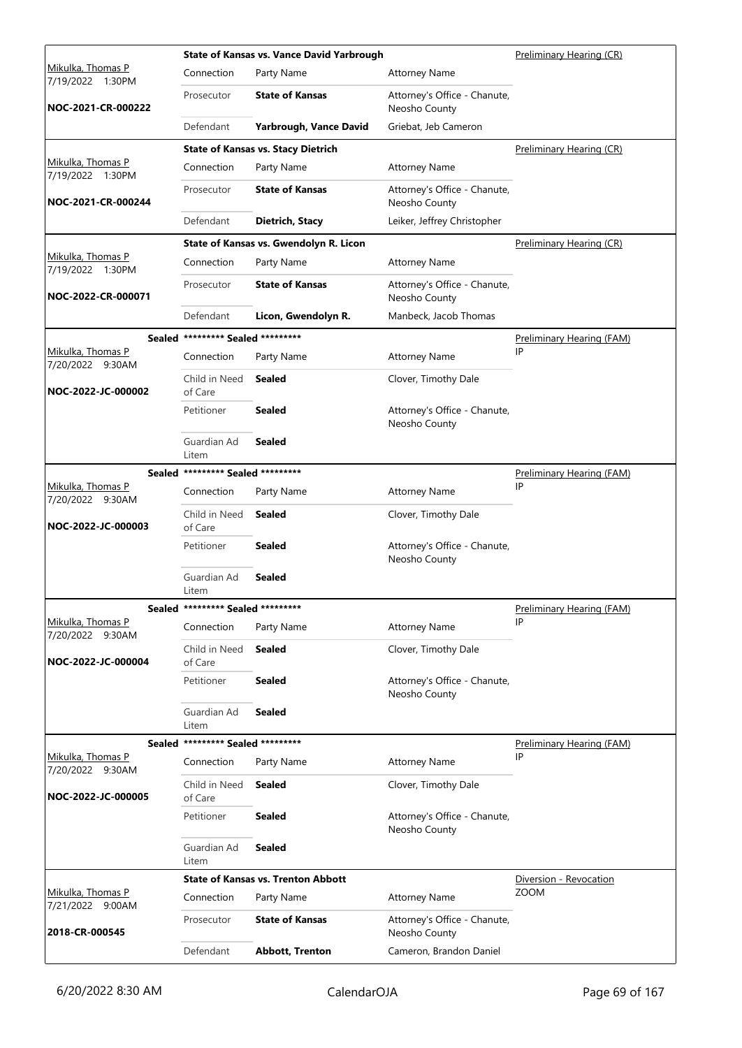|                                              |                                   | <b>State of Kansas vs. Vance David Yarbrough</b> | Preliminary Hearing (CR)                      |                                  |
|----------------------------------------------|-----------------------------------|--------------------------------------------------|-----------------------------------------------|----------------------------------|
| <u>Mikulka, Thomas P</u><br>7/19/2022 1:30PM | Connection                        | Party Name                                       | <b>Attorney Name</b>                          |                                  |
| NOC-2021-CR-000222                           | Prosecutor                        | <b>State of Kansas</b>                           | Attorney's Office - Chanute,<br>Neosho County |                                  |
|                                              | Defendant                         | Yarbrough, Vance David                           | Griebat, Jeb Cameron                          |                                  |
|                                              |                                   | <b>State of Kansas vs. Stacy Dietrich</b>        |                                               | Preliminary Hearing (CR)         |
| Mikulka, Thomas P<br>7/19/2022 1:30PM        | Connection                        | Party Name                                       | <b>Attorney Name</b>                          |                                  |
| NOC-2021-CR-000244                           | Prosecutor                        | <b>State of Kansas</b>                           | Attorney's Office - Chanute,<br>Neosho County |                                  |
|                                              | Defendant                         | Dietrich, Stacy                                  | Leiker, Jeffrey Christopher                   |                                  |
|                                              |                                   | State of Kansas vs. Gwendolyn R. Licon           |                                               | Preliminary Hearing (CR)         |
| Mikulka, Thomas P<br>7/19/2022 1:30PM        | Connection                        | Party Name                                       | <b>Attorney Name</b>                          |                                  |
| NOC-2022-CR-000071                           | Prosecutor                        | <b>State of Kansas</b>                           | Attorney's Office - Chanute,<br>Neosho County |                                  |
|                                              | Defendant                         | Licon, Gwendolyn R.                              | Manbeck, Jacob Thomas                         |                                  |
|                                              | Sealed ********* Sealed ********* |                                                  |                                               | <b>Preliminary Hearing (FAM)</b> |
| <u>Mikulka, Thomas P</u><br>7/20/2022 9:30AM | Connection                        | Party Name                                       | <b>Attorney Name</b>                          | IP                               |
| NOC-2022-JC-000002                           | Child in Need<br>of Care          | Sealed                                           | Clover, Timothy Dale                          |                                  |
|                                              | Petitioner                        | Sealed                                           | Attorney's Office - Chanute,<br>Neosho County |                                  |
|                                              | Guardian Ad<br>Litem              | Sealed                                           |                                               |                                  |
|                                              | Sealed ********* Sealed ********* |                                                  |                                               | Preliminary Hearing (FAM)        |
| Mikulka, Thomas P<br>7/20/2022 9:30AM        | Connection                        | Party Name                                       | <b>Attorney Name</b>                          | IP                               |
| NOC-2022-JC-000003                           | Child in Need<br>of Care          | Sealed                                           | Clover, Timothy Dale                          |                                  |
|                                              | Petitioner                        | Sealed                                           | Attorney's Office - Chanute,<br>Neosho County |                                  |
|                                              | Guardian Ad<br>Litem              | <b>Sealed</b>                                    |                                               |                                  |
|                                              | Sealed ********* Sealed ********* |                                                  |                                               | Preliminary Hearing (FAM)        |
| Mikulka, Thomas P<br>7/20/2022 9:30AM        | Connection                        | Party Name                                       | <b>Attorney Name</b>                          | ΙP                               |
| NOC-2022-JC-000004                           | Child in Need<br>of Care          | <b>Sealed</b>                                    | Clover, Timothy Dale                          |                                  |
|                                              | Petitioner                        | <b>Sealed</b>                                    | Attorney's Office - Chanute,<br>Neosho County |                                  |
|                                              | Guardian Ad<br>Litem              | <b>Sealed</b>                                    |                                               |                                  |
|                                              | Sealed ********* Sealed ********* |                                                  |                                               | Preliminary Hearing (FAM)        |
| Mikulka, Thomas P<br>7/20/2022 9:30AM        | Connection                        | Party Name                                       | <b>Attorney Name</b>                          | IP                               |
| NOC-2022-JC-000005                           | Child in Need<br>of Care          | <b>Sealed</b>                                    | Clover, Timothy Dale                          |                                  |
|                                              | Petitioner                        | <b>Sealed</b>                                    | Attorney's Office - Chanute,<br>Neosho County |                                  |
|                                              | Guardian Ad<br>Litem              | <b>Sealed</b>                                    |                                               |                                  |
|                                              |                                   | <b>State of Kansas vs. Trenton Abbott</b>        |                                               | Diversion - Revocation           |
| Mikulka, Thomas P<br>7/21/2022 9:00AM        | Connection                        | Party Name                                       | <b>Attorney Name</b>                          | <b>ZOOM</b>                      |
| 2018-CR-000545                               | Prosecutor                        | <b>State of Kansas</b>                           | Attorney's Office - Chanute,<br>Neosho County |                                  |
|                                              | Defendant                         | <b>Abbott, Trenton</b>                           | Cameron, Brandon Daniel                       |                                  |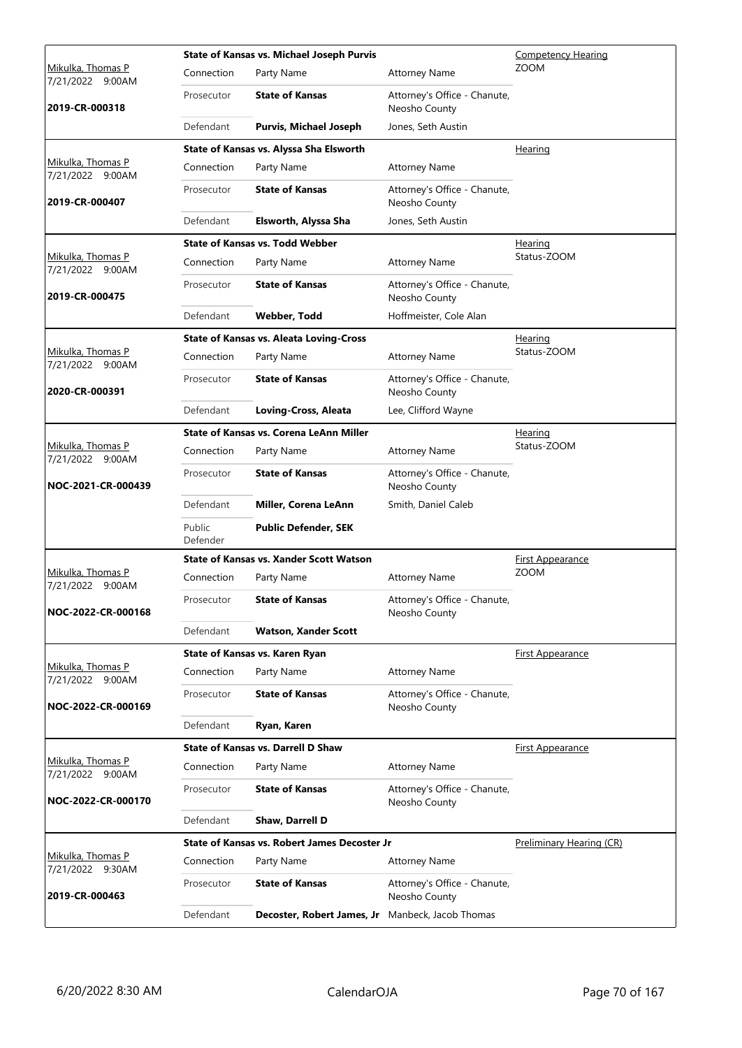|                                              |                    | <b>State of Kansas vs. Michael Joseph Purvis</b> |                                               | <b>Competency Hearing</b> |
|----------------------------------------------|--------------------|--------------------------------------------------|-----------------------------------------------|---------------------------|
| <u>Mikulka, Thomas P</u><br>7/21/2022 9:00AM | Connection         | Party Name                                       | <b>Attorney Name</b>                          | <b>ZOOM</b>               |
| 2019-CR-000318                               | Prosecutor         | <b>State of Kansas</b>                           | Attorney's Office - Chanute,<br>Neosho County |                           |
|                                              | Defendant          | <b>Purvis, Michael Joseph</b>                    | Jones, Seth Austin                            |                           |
|                                              |                    | State of Kansas vs. Alyssa Sha Elsworth          |                                               | Hearing                   |
| Mikulka, Thomas P<br>7/21/2022 9:00AM        | Connection         | Party Name                                       | <b>Attorney Name</b>                          |                           |
| 2019-CR-000407                               | Prosecutor         | <b>State of Kansas</b>                           | Attorney's Office - Chanute,<br>Neosho County |                           |
|                                              | Defendant          | Elsworth, Alyssa Sha                             | Jones, Seth Austin                            |                           |
|                                              |                    | <b>State of Kansas vs. Todd Webber</b>           |                                               | <b>Hearing</b>            |
| Mikulka, Thomas P<br>7/21/2022 9:00AM        | Connection         | Party Name                                       | <b>Attorney Name</b>                          | Status-ZOOM               |
| 2019-CR-000475                               | Prosecutor         | <b>State of Kansas</b>                           | Attorney's Office - Chanute,<br>Neosho County |                           |
|                                              | Defendant          | <b>Webber, Todd</b>                              | Hoffmeister, Cole Alan                        |                           |
|                                              |                    | <b>State of Kansas vs. Aleata Loving-Cross</b>   |                                               | Hearing                   |
| Mikulka, Thomas P<br>7/21/2022 9:00AM        | Connection         | Party Name                                       | <b>Attorney Name</b>                          | Status-ZOOM               |
| 2020-CR-000391                               | Prosecutor         | <b>State of Kansas</b>                           | Attorney's Office - Chanute,<br>Neosho County |                           |
|                                              | Defendant          | Loving-Cross, Aleata                             | Lee, Clifford Wayne                           |                           |
|                                              |                    | <b>State of Kansas vs. Corena LeAnn Miller</b>   |                                               | Hearing                   |
| Mikulka, Thomas P<br>7/21/2022 9:00AM        | Connection         | Party Name                                       | <b>Attorney Name</b>                          | Status-ZOOM               |
| NOC-2021-CR-000439                           | Prosecutor         | <b>State of Kansas</b>                           | Attorney's Office - Chanute,<br>Neosho County |                           |
|                                              | Defendant          | Miller, Corena LeAnn                             | Smith, Daniel Caleb                           |                           |
|                                              | Public<br>Defender | <b>Public Defender, SEK</b>                      |                                               |                           |
|                                              |                    | <b>State of Kansas vs. Xander Scott Watson</b>   |                                               | <u>First Appearance</u>   |
| Mikulka, Thomas P<br>7/21/2022 9:00AM        | Connection         | Party Name                                       | <b>Attorney Name</b>                          | <b>ZOOM</b>               |
| NOC-2022-CR-000168                           | Prosecutor         | <b>State of Kansas</b>                           | Attorney's Office - Chanute,<br>Neosho County |                           |
|                                              | Defendant          | <b>Watson, Xander Scott</b>                      |                                               |                           |
|                                              |                    | State of Kansas vs. Karen Ryan                   |                                               | <b>First Appearance</b>   |
| Mikulka, Thomas P<br>7/21/2022 9:00AM        | Connection         | Party Name                                       | <b>Attorney Name</b>                          |                           |
| NOC-2022-CR-000169                           | Prosecutor         | <b>State of Kansas</b>                           | Attorney's Office - Chanute,<br>Neosho County |                           |
|                                              | Defendant          | Ryan, Karen                                      |                                               |                           |
|                                              |                    | <b>State of Kansas vs. Darrell D Shaw</b>        |                                               | <b>First Appearance</b>   |
| Mikulka, Thomas P<br>7/21/2022 9:00AM        | Connection         | Party Name                                       | <b>Attorney Name</b>                          |                           |
| NOC-2022-CR-000170                           | Prosecutor         | <b>State of Kansas</b>                           | Attorney's Office - Chanute,<br>Neosho County |                           |
|                                              | Defendant          | Shaw, Darrell D                                  |                                               |                           |
|                                              |                    | State of Kansas vs. Robert James Decoster Jr     |                                               | Preliminary Hearing (CR)  |
| Mikulka, Thomas P<br>7/21/2022 9:30AM        | Connection         | Party Name                                       | <b>Attorney Name</b>                          |                           |
| 2019-CR-000463                               | Prosecutor         | <b>State of Kansas</b>                           | Attorney's Office - Chanute,<br>Neosho County |                           |
|                                              | Defendant          | Decoster, Robert James, Jr                       | Manbeck, Jacob Thomas                         |                           |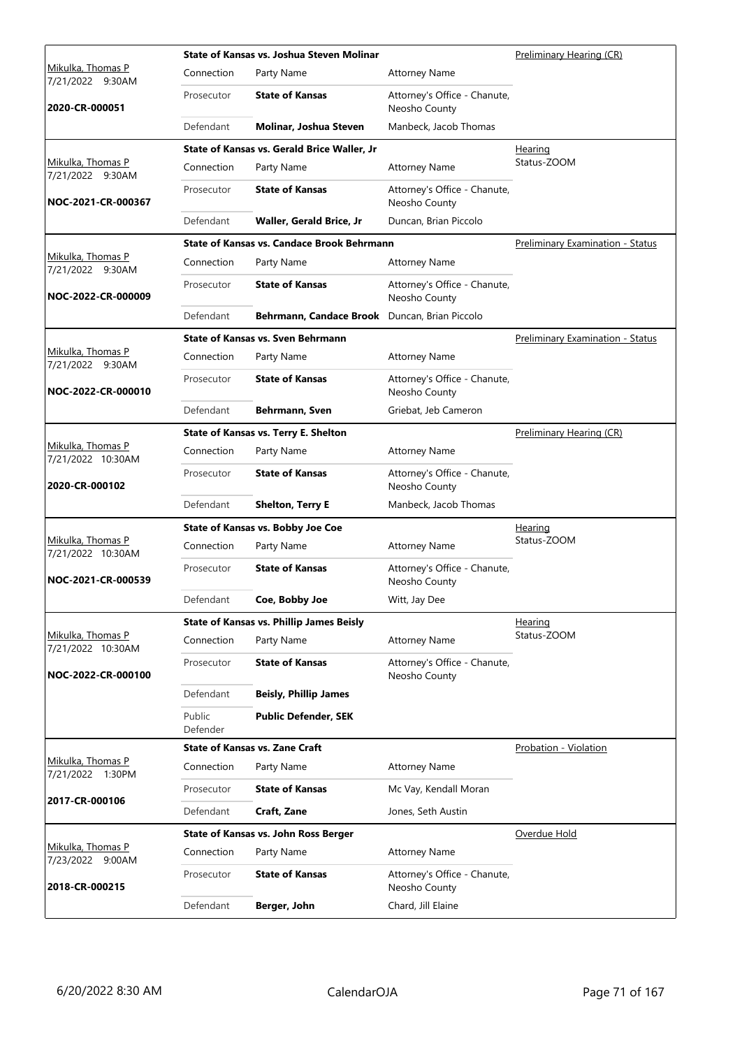|                                        |                    | State of Kansas vs. Joshua Steven Molinar         |                                               | Preliminary Hearing (CR)                |
|----------------------------------------|--------------------|---------------------------------------------------|-----------------------------------------------|-----------------------------------------|
| Mikulka, Thomas P<br>7/21/2022 9:30AM  | Connection         | Party Name                                        | <b>Attorney Name</b>                          |                                         |
| 2020-CR-000051                         | Prosecutor         | <b>State of Kansas</b>                            | Attorney's Office - Chanute,<br>Neosho County |                                         |
|                                        | Defendant          | Molinar, Joshua Steven                            | Manbeck, Jacob Thomas                         |                                         |
|                                        |                    | State of Kansas vs. Gerald Brice Waller, Jr       |                                               | Hearing                                 |
| Mikulka, Thomas P<br>7/21/2022 9:30AM  | Connection         | Party Name                                        | <b>Attorney Name</b>                          | Status-ZOOM                             |
| NOC-2021-CR-000367                     | Prosecutor         | <b>State of Kansas</b>                            | Attorney's Office - Chanute,<br>Neosho County |                                         |
|                                        | Defendant          | Waller, Gerald Brice, Jr                          | Duncan, Brian Piccolo                         |                                         |
|                                        |                    | <b>State of Kansas vs. Candace Brook Behrmann</b> |                                               | <b>Preliminary Examination - Status</b> |
| Mikulka, Thomas P<br>7/21/2022 9:30AM  | Connection         | Party Name                                        | <b>Attorney Name</b>                          |                                         |
| NOC-2022-CR-000009                     | Prosecutor         | <b>State of Kansas</b>                            | Attorney's Office - Chanute,<br>Neosho County |                                         |
|                                        | Defendant          | Behrmann, Candace Brook Duncan, Brian Piccolo     |                                               |                                         |
|                                        |                    | <b>State of Kansas vs. Sven Behrmann</b>          |                                               | <b>Preliminary Examination - Status</b> |
| Mikulka, Thomas P<br>7/21/2022 9:30AM  | Connection         | Party Name                                        | <b>Attorney Name</b>                          |                                         |
| NOC-2022-CR-000010                     | Prosecutor         | <b>State of Kansas</b>                            | Attorney's Office - Chanute,<br>Neosho County |                                         |
|                                        | Defendant          | Behrmann, Sven                                    | Griebat, Jeb Cameron                          |                                         |
|                                        |                    | State of Kansas vs. Terry E. Shelton              |                                               | Preliminary Hearing (CR)                |
| Mikulka, Thomas P<br>7/21/2022 10:30AM | Connection         | Party Name                                        | <b>Attorney Name</b>                          |                                         |
| 2020-CR-000102                         | Prosecutor         | <b>State of Kansas</b>                            | Attorney's Office - Chanute,<br>Neosho County |                                         |
|                                        | Defendant          | <b>Shelton, Terry E</b>                           | Manbeck, Jacob Thomas                         |                                         |
|                                        |                    | State of Kansas vs. Bobby Joe Coe                 |                                               | <b>Hearing</b>                          |
| Mikulka, Thomas P<br>7/21/2022 10:30AM | Connection         | Party Name                                        | <b>Attorney Name</b>                          | Status-ZOOM                             |
| NOC-2021-CR-000539                     | Prosecutor         | <b>State of Kansas</b>                            | Attorney's Office - Chanute,<br>Neosho County |                                         |
|                                        | Defendant          | Coe, Bobby Joe                                    | Witt, Jay Dee                                 |                                         |
|                                        |                    | <b>State of Kansas vs. Phillip James Beisly</b>   |                                               | Hearing                                 |
| Mikulka, Thomas P<br>7/21/2022 10:30AM | Connection         | Party Name                                        | <b>Attorney Name</b>                          | Status-ZOOM                             |
| NOC-2022-CR-000100                     | Prosecutor         | <b>State of Kansas</b>                            | Attorney's Office - Chanute,<br>Neosho County |                                         |
|                                        | Defendant          | <b>Beisly, Phillip James</b>                      |                                               |                                         |
|                                        | Public<br>Defender | <b>Public Defender, SEK</b>                       |                                               |                                         |
|                                        |                    | <b>State of Kansas vs. Zane Craft</b>             |                                               | Probation - Violation                   |
| Mikulka, Thomas P<br>7/21/2022 1:30PM  | Connection         | Party Name                                        | <b>Attorney Name</b>                          |                                         |
|                                        | Prosecutor         | <b>State of Kansas</b>                            | Mc Vay, Kendall Moran                         |                                         |
| 2017-CR-000106                         | Defendant          | Craft, Zane                                       | Jones, Seth Austin                            |                                         |
|                                        |                    | State of Kansas vs. John Ross Berger              |                                               | Overdue Hold                            |
| Mikulka, Thomas P<br>7/23/2022 9:00AM  | Connection         | Party Name                                        | <b>Attorney Name</b>                          |                                         |
| 2018-CR-000215                         | Prosecutor         | <b>State of Kansas</b>                            | Attorney's Office - Chanute,<br>Neosho County |                                         |
|                                        | Defendant          | Berger, John                                      | Chard, Jill Elaine                            |                                         |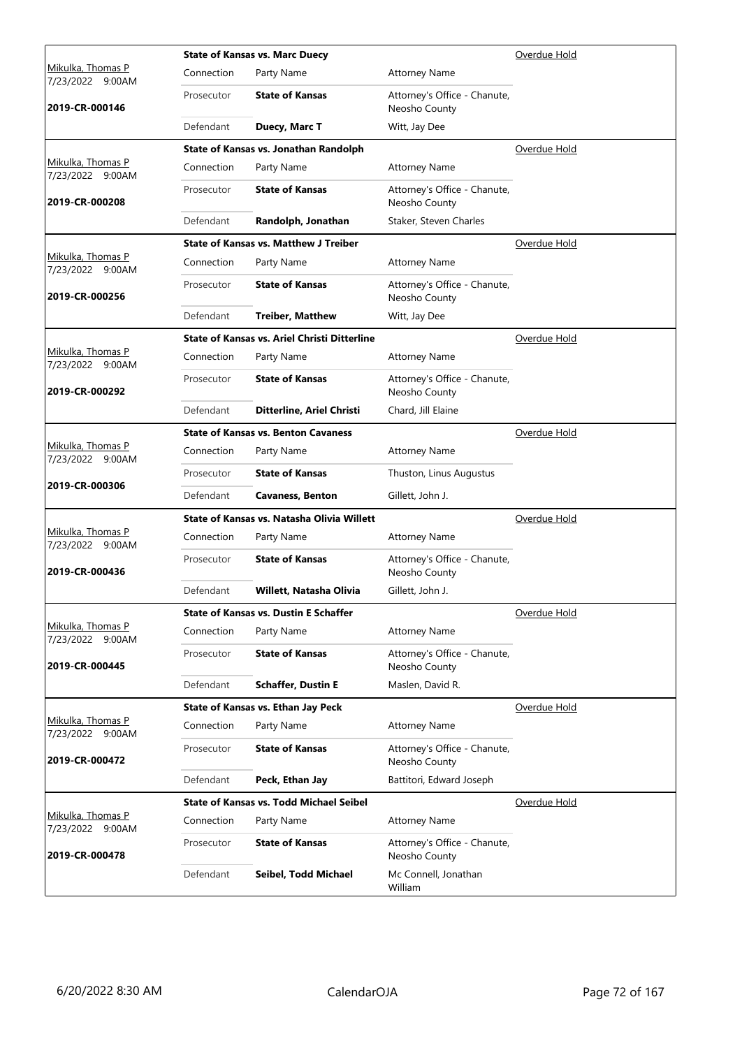|                                          |            | <b>State of Kansas vs. Marc Duecy</b>               |                                               | Overdue Hold |  |  |
|------------------------------------------|------------|-----------------------------------------------------|-----------------------------------------------|--------------|--|--|
| Mikulka, Thomas P<br>7/23/2022<br>9:00AM | Connection | Party Name                                          | <b>Attorney Name</b>                          |              |  |  |
| 2019-CR-000146                           | Prosecutor | <b>State of Kansas</b>                              | Attorney's Office - Chanute,<br>Neosho County |              |  |  |
|                                          | Defendant  | Duecy, Marc T                                       | Witt, Jay Dee                                 |              |  |  |
|                                          |            | State of Kansas vs. Jonathan Randolph               |                                               | Overdue Hold |  |  |
| Mikulka, Thomas P<br>7/23/2022 9:00AM    | Connection | Party Name                                          | <b>Attorney Name</b>                          |              |  |  |
| 2019-CR-000208                           | Prosecutor | <b>State of Kansas</b>                              | Attorney's Office - Chanute,<br>Neosho County |              |  |  |
|                                          | Defendant  | Randolph, Jonathan                                  | Staker, Steven Charles                        |              |  |  |
|                                          |            | <b>State of Kansas vs. Matthew J Treiber</b>        |                                               | Overdue Hold |  |  |
| Mikulka, Thomas P<br>7/23/2022 9:00AM    | Connection | Party Name                                          | <b>Attorney Name</b>                          |              |  |  |
| 2019-CR-000256                           | Prosecutor | <b>State of Kansas</b>                              | Attorney's Office - Chanute,<br>Neosho County |              |  |  |
|                                          | Defendant  | <b>Treiber, Matthew</b>                             | Witt, Jay Dee                                 |              |  |  |
|                                          |            | <b>State of Kansas vs. Ariel Christi Ditterline</b> |                                               | Overdue Hold |  |  |
| Mikulka, Thomas P<br>7/23/2022 9:00AM    | Connection | Party Name                                          | <b>Attorney Name</b>                          |              |  |  |
| 2019-CR-000292                           | Prosecutor | <b>State of Kansas</b>                              | Attorney's Office - Chanute,<br>Neosho County |              |  |  |
|                                          | Defendant  | Ditterline, Ariel Christi                           | Chard, Jill Elaine                            |              |  |  |
|                                          |            | <b>State of Kansas vs. Benton Cavaness</b>          |                                               | Overdue Hold |  |  |
| Mikulka, Thomas P<br>7/23/2022 9:00AM    | Connection | Party Name                                          | <b>Attorney Name</b>                          |              |  |  |
|                                          | Prosecutor | <b>State of Kansas</b>                              | Thuston, Linus Augustus                       |              |  |  |
| 2019-CR-000306                           | Defendant  | <b>Cavaness, Benton</b>                             | Gillett, John J.                              |              |  |  |
|                                          |            | State of Kansas vs. Natasha Olivia Willett          |                                               | Overdue Hold |  |  |
| Mikulka, Thomas P<br>7/23/2022 9:00AM    | Connection | Party Name                                          | <b>Attorney Name</b>                          |              |  |  |
| 2019-CR-000436                           | Prosecutor | <b>State of Kansas</b>                              | Attorney's Office - Chanute,<br>Neosho County |              |  |  |
|                                          | Defendant  | Willett, Natasha Olivia                             | Gillett, John J.                              |              |  |  |
|                                          |            | <b>State of Kansas vs. Dustin E Schaffer</b>        |                                               | Overdue Hold |  |  |
| Mikulka, Thomas P<br>7/23/2022 9:00AM    | Connection | Party Name                                          | <b>Attorney Name</b>                          |              |  |  |
| 2019-CR-000445                           | Prosecutor | <b>State of Kansas</b>                              | Attorney's Office - Chanute,<br>Neosho County |              |  |  |
|                                          | Defendant  | <b>Schaffer, Dustin E</b>                           | Maslen, David R.                              |              |  |  |
|                                          |            | State of Kansas vs. Ethan Jay Peck                  |                                               | Overdue Hold |  |  |
| Mikulka, Thomas P<br>7/23/2022 9:00AM    | Connection | Party Name                                          | <b>Attorney Name</b>                          |              |  |  |
| 2019-CR-000472                           | Prosecutor | <b>State of Kansas</b>                              | Attorney's Office - Chanute,<br>Neosho County |              |  |  |
|                                          | Defendant  | Peck, Ethan Jay                                     | Battitori, Edward Joseph                      |              |  |  |
|                                          |            | <b>State of Kansas vs. Todd Michael Seibel</b>      |                                               | Overdue Hold |  |  |
| Mikulka, Thomas P<br>7/23/2022 9:00AM    | Connection | Party Name                                          | <b>Attorney Name</b>                          |              |  |  |
| 2019-CR-000478                           | Prosecutor | <b>State of Kansas</b>                              | Attorney's Office - Chanute,<br>Neosho County |              |  |  |
|                                          | Defendant  | Seibel, Todd Michael                                | Mc Connell, Jonathan<br>William               |              |  |  |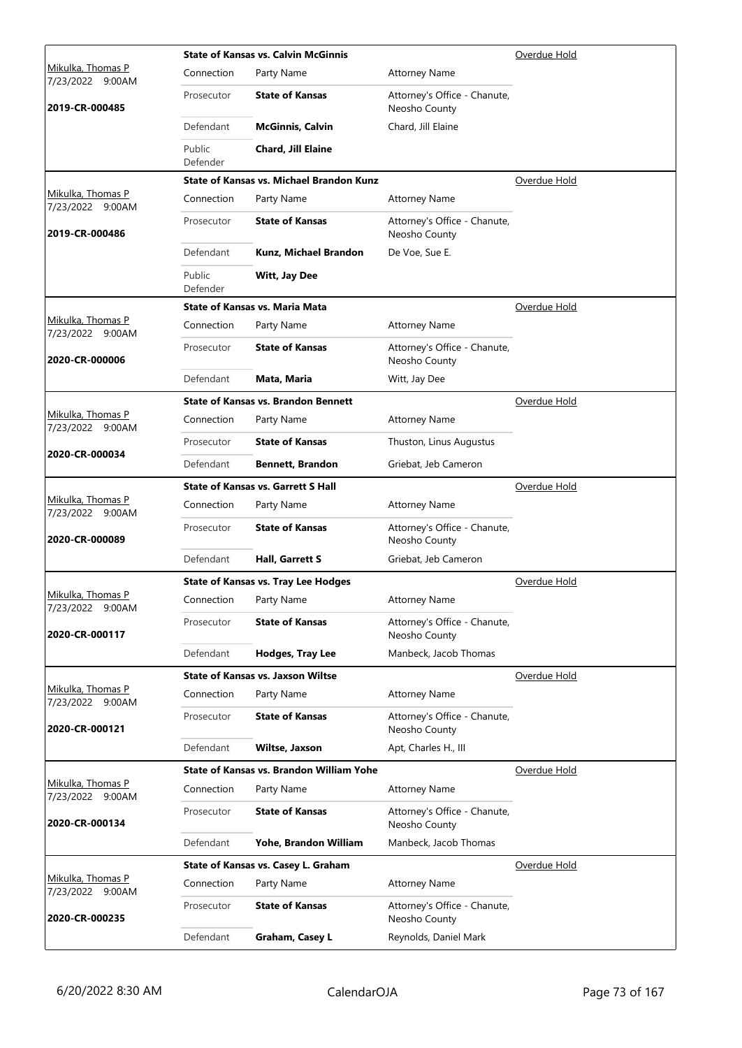|                                                 | <b>State of Kansas vs. Calvin McGinnis</b> | Overdue Hold                                    |                                               |              |
|-------------------------------------------------|--------------------------------------------|-------------------------------------------------|-----------------------------------------------|--------------|
| <u>Mikulka, Thomas P</u><br>7/23/2022<br>9:00AM | Connection                                 | Party Name                                      | <b>Attorney Name</b>                          |              |
| 2019-CR-000485                                  | Prosecutor                                 | <b>State of Kansas</b>                          | Attorney's Office - Chanute,<br>Neosho County |              |
|                                                 | Defendant                                  | <b>McGinnis, Calvin</b>                         | Chard, Jill Elaine                            |              |
|                                                 | Public<br>Defender                         | Chard, Jill Elaine                              |                                               |              |
|                                                 |                                            | <b>State of Kansas vs. Michael Brandon Kunz</b> |                                               | Overdue Hold |
| Mikulka, Thomas P<br>7/23/2022 9:00AM           | Connection                                 | Party Name                                      | <b>Attorney Name</b>                          |              |
| 2019-CR-000486                                  | Prosecutor                                 | <b>State of Kansas</b>                          | Attorney's Office - Chanute,<br>Neosho County |              |
|                                                 | Defendant                                  | Kunz, Michael Brandon                           | De Voe, Sue E.                                |              |
|                                                 | Public<br>Defender                         | Witt, Jay Dee                                   |                                               |              |
|                                                 |                                            | State of Kansas vs. Maria Mata                  |                                               | Overdue Hold |
| Mikulka, Thomas P<br>7/23/2022 9:00AM           | Connection                                 | Party Name                                      | <b>Attorney Name</b>                          |              |
| 2020-CR-000006                                  | Prosecutor                                 | <b>State of Kansas</b>                          | Attorney's Office - Chanute,<br>Neosho County |              |
|                                                 | Defendant                                  | Mata, Maria                                     | Witt, Jay Dee                                 |              |
|                                                 |                                            | <b>State of Kansas vs. Brandon Bennett</b>      |                                               | Overdue Hold |
| Mikulka, Thomas P<br>7/23/2022 9:00AM           | Connection                                 | Party Name                                      | <b>Attorney Name</b>                          |              |
|                                                 | Prosecutor                                 | <b>State of Kansas</b>                          | Thuston, Linus Augustus                       |              |
| 2020-CR-000034                                  | Defendant                                  | <b>Bennett, Brandon</b>                         | Griebat, Jeb Cameron                          |              |
|                                                 |                                            | <b>State of Kansas vs. Garrett S Hall</b>       |                                               | Overdue Hold |
| Mikulka, Thomas P<br>7/23/2022 9:00AM           | Connection                                 | Party Name                                      | <b>Attorney Name</b>                          |              |
| 2020-CR-000089                                  | Prosecutor                                 | <b>State of Kansas</b>                          | Attorney's Office - Chanute,<br>Neosho County |              |
|                                                 | Defendant                                  | Hall, Garrett S                                 | Griebat, Jeb Cameron                          |              |
|                                                 |                                            | <b>State of Kansas vs. Tray Lee Hodges</b>      |                                               | Overdue Hold |
| Mikulka, Thomas P<br>7/23/2022 9:00AM           | Connection                                 | Party Name                                      | <b>Attorney Name</b>                          |              |
| 2020-CR-000117                                  | Prosecutor                                 | <b>State of Kansas</b>                          | Attorney's Office - Chanute,<br>Neosho County |              |
|                                                 | Defendant                                  | Hodges, Tray Lee                                | Manbeck, Jacob Thomas                         |              |
|                                                 |                                            | <b>State of Kansas vs. Jaxson Wiltse</b>        |                                               | Overdue Hold |
| Mikulka, Thomas P<br>7/23/2022 9:00AM           | Connection                                 | Party Name                                      | <b>Attorney Name</b>                          |              |
| 2020-CR-000121                                  | Prosecutor                                 | <b>State of Kansas</b>                          | Attorney's Office - Chanute,<br>Neosho County |              |
|                                                 | Defendant                                  | Wiltse, Jaxson                                  | Apt, Charles H., III                          |              |
|                                                 |                                            | State of Kansas vs. Brandon William Yohe        |                                               | Overdue Hold |
| Mikulka, Thomas P<br>7/23/2022 9:00AM           | Connection                                 | Party Name                                      | <b>Attorney Name</b>                          |              |
| 2020-CR-000134                                  | Prosecutor                                 | <b>State of Kansas</b>                          | Attorney's Office - Chanute,<br>Neosho County |              |
|                                                 | Defendant                                  | Yohe, Brandon William                           | Manbeck, Jacob Thomas                         |              |
|                                                 |                                            | State of Kansas vs. Casey L. Graham             |                                               | Overdue Hold |
| Mikulka, Thomas P<br>7/23/2022 9:00AM           | Connection                                 | Party Name                                      | <b>Attorney Name</b>                          |              |
| 2020-CR-000235                                  | Prosecutor                                 | <b>State of Kansas</b>                          | Attorney's Office - Chanute,<br>Neosho County |              |
|                                                 | Defendant                                  | Graham, Casey L                                 | Reynolds, Daniel Mark                         |              |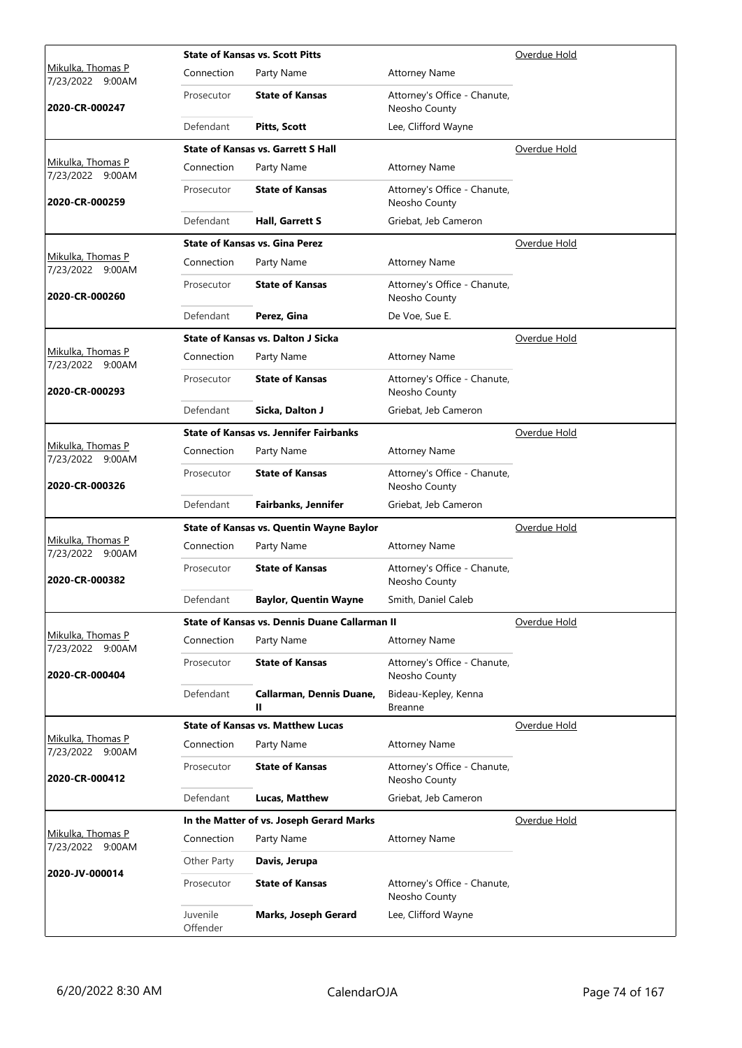|                                              |                      | <b>State of Kansas vs. Scott Pitts</b>          |                                               | Overdue Hold |
|----------------------------------------------|----------------------|-------------------------------------------------|-----------------------------------------------|--------------|
| Mikulka, Thomas P<br>7/23/2022<br>9:00AM     | Connection           | Party Name                                      | <b>Attorney Name</b>                          |              |
| 2020-CR-000247                               | Prosecutor           | <b>State of Kansas</b>                          | Attorney's Office - Chanute,<br>Neosho County |              |
|                                              | Defendant            | <b>Pitts, Scott</b>                             | Lee, Clifford Wayne                           |              |
|                                              |                      | <b>State of Kansas vs. Garrett S Hall</b>       |                                               | Overdue Hold |
| Mikulka, Thomas P<br>7/23/2022 9:00AM        | Connection           | Party Name                                      | <b>Attorney Name</b>                          |              |
| 2020-CR-000259                               | Prosecutor           | <b>State of Kansas</b>                          | Attorney's Office - Chanute,<br>Neosho County |              |
|                                              | Defendant            | Hall, Garrett S                                 | Griebat, Jeb Cameron                          |              |
|                                              |                      | <b>State of Kansas vs. Gina Perez</b>           |                                               | Overdue Hold |
| Mikulka, Thomas P<br>7/23/2022 9:00AM        | Connection           | Party Name                                      | <b>Attorney Name</b>                          |              |
| 2020-CR-000260                               | Prosecutor           | <b>State of Kansas</b>                          | Attorney's Office - Chanute,<br>Neosho County |              |
|                                              | Defendant            | Perez, Gina                                     | De Voe, Sue E.                                |              |
|                                              |                      | <b>State of Kansas vs. Dalton J Sicka</b>       |                                               | Overdue Hold |
| Mikulka, Thomas P<br>7/23/2022 9:00AM        | Connection           | Party Name                                      | <b>Attorney Name</b>                          |              |
| 2020-CR-000293                               | Prosecutor           | <b>State of Kansas</b>                          | Attorney's Office - Chanute,<br>Neosho County |              |
|                                              | Defendant            | Sicka, Dalton J                                 | Griebat, Jeb Cameron                          |              |
|                                              |                      | <b>State of Kansas vs. Jennifer Fairbanks</b>   |                                               | Overdue Hold |
| Mikulka, Thomas P<br>7/23/2022 9:00AM        | Connection           | Party Name                                      | <b>Attorney Name</b>                          |              |
| 2020-CR-000326                               | Prosecutor           | <b>State of Kansas</b>                          | Attorney's Office - Chanute,<br>Neosho County |              |
|                                              | Defendant            | <b>Fairbanks, Jennifer</b>                      | Griebat, Jeb Cameron                          |              |
|                                              |                      | <b>State of Kansas vs. Quentin Wayne Baylor</b> |                                               | Overdue Hold |
| Mikulka, Thomas P<br>7/23/2022 9:00AM        | Connection           | Party Name                                      | <b>Attorney Name</b>                          |              |
| 2020-CR-000382                               | Prosecutor           | <b>State of Kansas</b>                          | Attorney's Office - Chanute,<br>Neosho County |              |
|                                              | Defendant            | <b>Baylor, Quentin Wayne</b>                    | Smith, Daniel Caleb                           |              |
|                                              |                      | State of Kansas vs. Dennis Duane Callarman II   |                                               | Overdue Hold |
| Mikulka, Thomas P<br>7/23/2022 9:00AM        | Connection           | Party Name                                      | <b>Attorney Name</b>                          |              |
| 2020-CR-000404                               | Prosecutor           | <b>State of Kansas</b>                          | Attorney's Office - Chanute,<br>Neosho County |              |
|                                              | Defendant            | Callarman, Dennis Duane,<br>Ш                   | Bideau-Kepley, Kenna<br><b>Breanne</b>        |              |
|                                              |                      | <b>State of Kansas vs. Matthew Lucas</b>        |                                               | Overdue Hold |
| <u>Mikulka, Thomas P</u><br>7/23/2022 9:00AM | Connection           | Party Name                                      | <b>Attorney Name</b>                          |              |
| 2020-CR-000412                               | Prosecutor           | <b>State of Kansas</b>                          | Attorney's Office - Chanute,<br>Neosho County |              |
|                                              | Defendant            | Lucas, Matthew                                  | Griebat, Jeb Cameron                          |              |
|                                              |                      | In the Matter of vs. Joseph Gerard Marks        |                                               | Overdue Hold |
| Mikulka, Thomas P<br>7/23/2022 9:00AM        | Connection           | Party Name                                      | <b>Attorney Name</b>                          |              |
|                                              | Other Party          | Davis, Jerupa                                   |                                               |              |
| 2020-JV-000014                               | Prosecutor           | <b>State of Kansas</b>                          | Attorney's Office - Chanute,<br>Neosho County |              |
|                                              | Juvenile<br>Offender | <b>Marks, Joseph Gerard</b>                     | Lee, Clifford Wayne                           |              |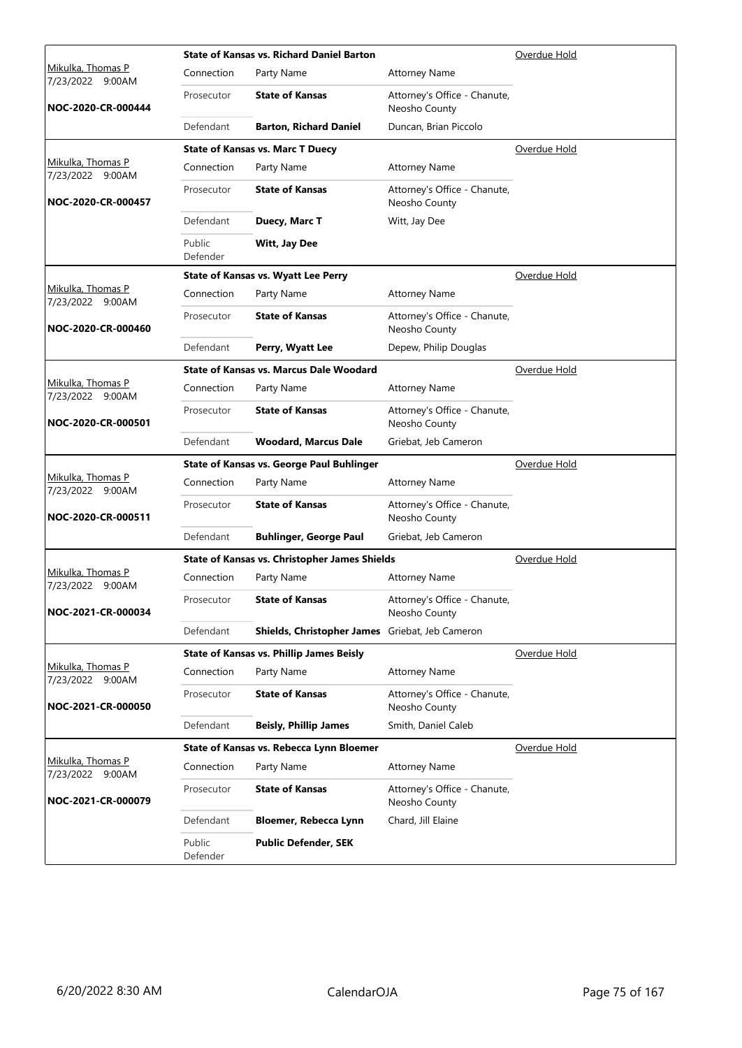|                                          |                    | <b>State of Kansas vs. Richard Daniel Barton</b>     |                                               | Overdue Hold |
|------------------------------------------|--------------------|------------------------------------------------------|-----------------------------------------------|--------------|
| Mikulka, Thomas P<br>7/23/2022<br>9:00AM | Connection         | Party Name                                           | <b>Attorney Name</b>                          |              |
| NOC-2020-CR-000444                       | Prosecutor         | <b>State of Kansas</b>                               | Attorney's Office - Chanute,<br>Neosho County |              |
|                                          | Defendant          | <b>Barton, Richard Daniel</b>                        | Duncan, Brian Piccolo                         |              |
|                                          |                    | <b>State of Kansas vs. Marc T Duecy</b>              |                                               | Overdue Hold |
| Mikulka, Thomas P<br>7/23/2022 9:00AM    | Connection         | Party Name                                           | <b>Attorney Name</b>                          |              |
| NOC-2020-CR-000457                       | Prosecutor         | <b>State of Kansas</b>                               | Attorney's Office - Chanute,<br>Neosho County |              |
|                                          | Defendant          | Duecy, Marc T                                        | Witt, Jay Dee                                 |              |
|                                          | Public<br>Defender | <b>Witt, Jay Dee</b>                                 |                                               |              |
|                                          |                    | <b>State of Kansas vs. Wyatt Lee Perry</b>           |                                               | Overdue Hold |
| Mikulka, Thomas P<br>7/23/2022 9:00AM    | Connection         | Party Name                                           | <b>Attorney Name</b>                          |              |
| NOC-2020-CR-000460                       | Prosecutor         | <b>State of Kansas</b>                               | Attorney's Office - Chanute,<br>Neosho County |              |
|                                          | Defendant          | Perry, Wyatt Lee                                     | Depew, Philip Douglas                         |              |
|                                          |                    | State of Kansas vs. Marcus Dale Woodard              |                                               | Overdue Hold |
| Mikulka, Thomas P<br>7/23/2022 9:00AM    | Connection         | Party Name                                           | <b>Attorney Name</b>                          |              |
| NOC-2020-CR-000501                       | Prosecutor         | <b>State of Kansas</b>                               | Attorney's Office - Chanute,<br>Neosho County |              |
|                                          | Defendant          | <b>Woodard, Marcus Dale</b>                          | Griebat, Jeb Cameron                          |              |
|                                          |                    | <b>State of Kansas vs. George Paul Buhlinger</b>     |                                               | Overdue Hold |
| Mikulka, Thomas P<br>7/23/2022 9:00AM    | Connection         | Party Name                                           | <b>Attorney Name</b>                          |              |
| NOC-2020-CR-000511                       | Prosecutor         | <b>State of Kansas</b>                               | Attorney's Office - Chanute,<br>Neosho County |              |
|                                          | Defendant          | <b>Buhlinger, George Paul</b>                        | Griebat, Jeb Cameron                          |              |
|                                          |                    | <b>State of Kansas vs. Christopher James Shields</b> | Overdue Hold                                  |              |
| Mikulka, Thomas P<br>7/23/2022 9:00AM    | Connection         | Party Name                                           | <b>Attorney Name</b>                          |              |
| NOC-2021-CR-000034                       | Prosecutor         | <b>State of Kansas</b>                               | Attorney's Office - Chanute,<br>Neosho County |              |
|                                          | Defendant          | Shields, Christopher James Griebat, Jeb Cameron      |                                               |              |
|                                          |                    | <b>State of Kansas vs. Phillip James Beisly</b>      |                                               | Overdue Hold |
| Mikulka, Thomas P<br>7/23/2022 9:00AM    | Connection         | Party Name                                           | <b>Attorney Name</b>                          |              |
| NOC-2021-CR-000050                       | Prosecutor         | <b>State of Kansas</b>                               | Attorney's Office - Chanute,<br>Neosho County |              |
|                                          | Defendant          | <b>Beisly, Phillip James</b>                         | Smith, Daniel Caleb                           |              |
|                                          |                    | State of Kansas vs. Rebecca Lynn Bloemer             |                                               | Overdue Hold |
| Mikulka, Thomas P<br>7/23/2022 9:00AM    | Connection         | Party Name                                           | <b>Attorney Name</b>                          |              |
| NOC-2021-CR-000079                       | Prosecutor         | <b>State of Kansas</b>                               | Attorney's Office - Chanute,<br>Neosho County |              |
|                                          | Defendant          | Bloemer, Rebecca Lynn                                | Chard, Jill Elaine                            |              |
|                                          |                    | <b>Public Defender, SEK</b>                          |                                               |              |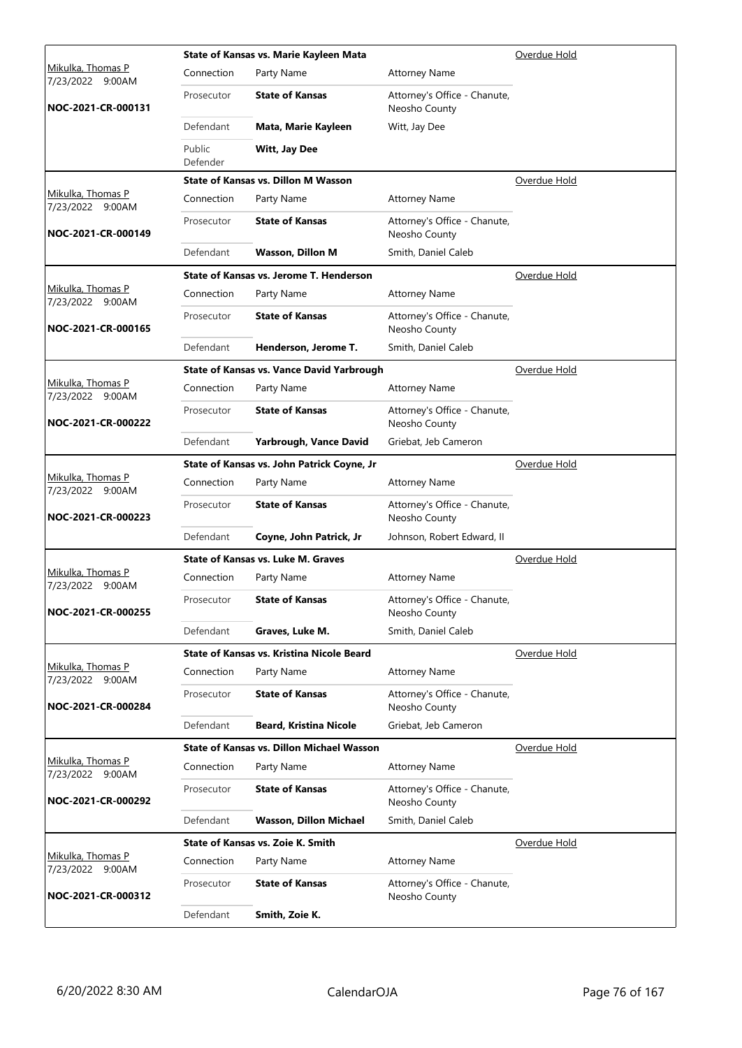|                                          |                    | State of Kansas vs. Marie Kayleen Mata           |                                               | Overdue Hold |
|------------------------------------------|--------------------|--------------------------------------------------|-----------------------------------------------|--------------|
| Mikulka, Thomas P<br>7/23/2022<br>9:00AM | Connection         | Party Name                                       | <b>Attorney Name</b>                          |              |
| NOC-2021-CR-000131                       | Prosecutor         | <b>State of Kansas</b>                           | Attorney's Office - Chanute,<br>Neosho County |              |
|                                          | Defendant          | Mata, Marie Kayleen                              | Witt, Jay Dee                                 |              |
|                                          | Public<br>Defender | Witt, Jay Dee                                    |                                               |              |
|                                          |                    | State of Kansas vs. Dillon M Wasson              |                                               | Overdue Hold |
| Mikulka, Thomas P<br>7/23/2022 9:00AM    | Connection         | Party Name                                       | <b>Attorney Name</b>                          |              |
| NOC-2021-CR-000149                       | Prosecutor         | <b>State of Kansas</b>                           | Attorney's Office - Chanute,<br>Neosho County |              |
|                                          | Defendant          | <b>Wasson, Dillon M</b>                          | Smith, Daniel Caleb                           |              |
|                                          |                    | State of Kansas vs. Jerome T. Henderson          |                                               | Overdue Hold |
| Mikulka, Thomas P<br>7/23/2022 9:00AM    | Connection         | Party Name                                       | <b>Attorney Name</b>                          |              |
| NOC-2021-CR-000165                       | Prosecutor         | <b>State of Kansas</b>                           | Attorney's Office - Chanute,<br>Neosho County |              |
|                                          | Defendant          | Henderson, Jerome T.                             | Smith, Daniel Caleb                           |              |
|                                          |                    | <b>State of Kansas vs. Vance David Yarbrough</b> |                                               | Overdue Hold |
| Mikulka, Thomas P<br>7/23/2022 9:00AM    | Connection         | Party Name                                       | <b>Attorney Name</b>                          |              |
| NOC-2021-CR-000222                       | Prosecutor         | <b>State of Kansas</b>                           | Attorney's Office - Chanute,<br>Neosho County |              |
|                                          | Defendant          | Yarbrough, Vance David                           | Griebat, Jeb Cameron                          |              |
|                                          |                    | State of Kansas vs. John Patrick Coyne, Jr       |                                               | Overdue Hold |
| Mikulka, Thomas P<br>7/23/2022 9:00AM    | Connection         | Party Name                                       | <b>Attorney Name</b>                          |              |
| NOC-2021-CR-000223                       | Prosecutor         | <b>State of Kansas</b>                           | Attorney's Office - Chanute,<br>Neosho County |              |
|                                          | Defendant          | Coyne, John Patrick, Jr                          | Johnson, Robert Edward, II                    |              |
|                                          |                    | State of Kansas vs. Luke M. Graves               |                                               | Overdue Hold |
| Mikulka, Thomas P<br>7/23/2022 9:00AM    | Connection         | Party Name                                       | <b>Attorney Name</b>                          |              |
| NOC-2021-CR-000255                       | Prosecutor         | <b>State of Kansas</b>                           | Attorney's Office - Chanute,<br>Neosho County |              |
|                                          | Defendant          | Graves, Luke M.                                  | Smith, Daniel Caleb                           |              |
|                                          |                    | State of Kansas vs. Kristina Nicole Beard        |                                               | Overdue Hold |
| Mikulka, Thomas P<br>7/23/2022 9:00AM    | Connection         | Party Name                                       | <b>Attorney Name</b>                          |              |
| NOC-2021-CR-000284                       | Prosecutor         | <b>State of Kansas</b>                           | Attorney's Office - Chanute,<br>Neosho County |              |
|                                          | Defendant          | <b>Beard, Kristina Nicole</b>                    | Griebat, Jeb Cameron                          |              |
|                                          |                    | <b>State of Kansas vs. Dillon Michael Wasson</b> |                                               | Overdue Hold |
| Mikulka, Thomas P<br>7/23/2022 9:00AM    | Connection         | Party Name                                       | <b>Attorney Name</b>                          |              |
| NOC-2021-CR-000292                       | Prosecutor         | <b>State of Kansas</b>                           | Attorney's Office - Chanute,<br>Neosho County |              |
|                                          | Defendant          | Wasson, Dillon Michael                           | Smith, Daniel Caleb                           |              |
|                                          |                    | State of Kansas vs. Zoie K. Smith                |                                               | Overdue Hold |
| Mikulka, Thomas P<br>7/23/2022 9:00AM    | Connection         | Party Name                                       | <b>Attorney Name</b>                          |              |
| NOC-2021-CR-000312                       | Prosecutor         | <b>State of Kansas</b>                           | Attorney's Office - Chanute,<br>Neosho County |              |
|                                          | Defendant          | Smith, Zoie K.                                   |                                               |              |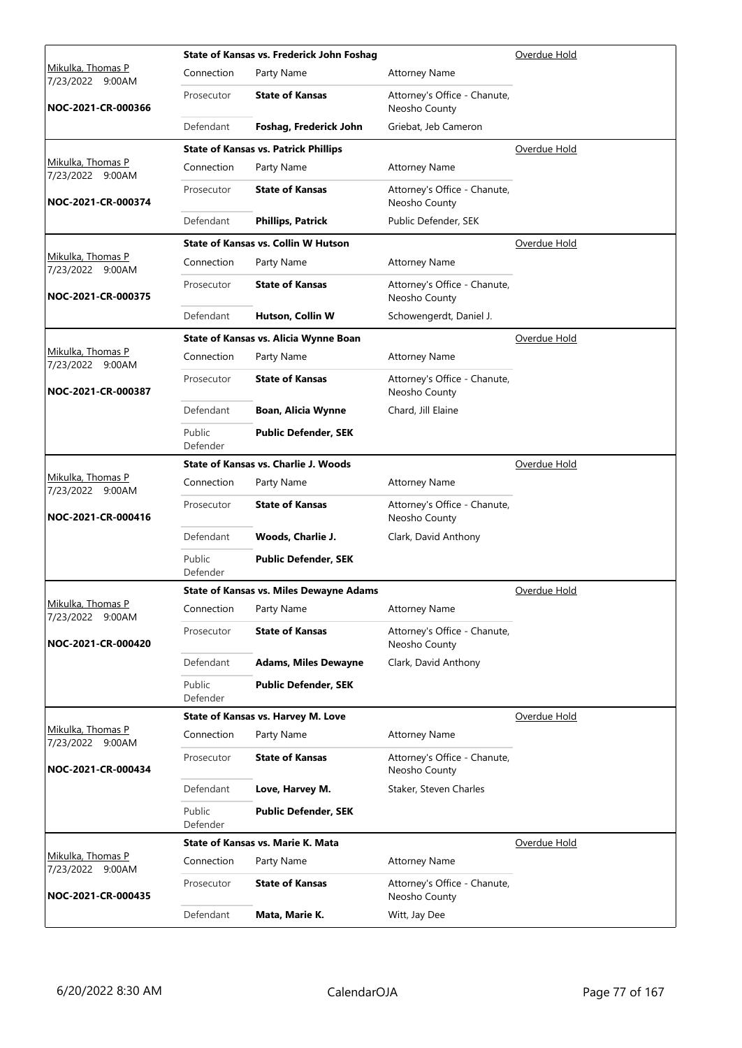|                                              |                    | State of Kansas vs. Frederick John Foshag      | Overdue Hold                                  |              |
|----------------------------------------------|--------------------|------------------------------------------------|-----------------------------------------------|--------------|
| <u>Mikulka, Thomas P</u><br>7/23/2022 9:00AM | Connection         | Party Name                                     | <b>Attorney Name</b>                          |              |
| NOC-2021-CR-000366                           | Prosecutor         | <b>State of Kansas</b>                         | Attorney's Office - Chanute,<br>Neosho County |              |
|                                              | Defendant          | Foshag, Frederick John                         | Griebat, Jeb Cameron                          |              |
|                                              |                    | <b>State of Kansas vs. Patrick Phillips</b>    |                                               | Overdue Hold |
| Mikulka, Thomas P<br>7/23/2022 9:00AM        | Connection         | Party Name                                     | <b>Attorney Name</b>                          |              |
| NOC-2021-CR-000374                           | Prosecutor         | <b>State of Kansas</b>                         | Attorney's Office - Chanute,<br>Neosho County |              |
|                                              | Defendant          | <b>Phillips, Patrick</b>                       | Public Defender, SEK                          |              |
|                                              |                    | <b>State of Kansas vs. Collin W Hutson</b>     |                                               | Overdue Hold |
| Mikulka, Thomas P<br>7/23/2022 9:00AM        | Connection         | Party Name                                     | <b>Attorney Name</b>                          |              |
| NOC-2021-CR-000375                           | Prosecutor         | <b>State of Kansas</b>                         | Attorney's Office - Chanute,<br>Neosho County |              |
|                                              | Defendant          | Hutson, Collin W                               | Schowengerdt, Daniel J.                       |              |
|                                              |                    | State of Kansas vs. Alicia Wynne Boan          |                                               | Overdue Hold |
| Mikulka, Thomas P<br>7/23/2022 9:00AM        | Connection         | Party Name                                     | <b>Attorney Name</b>                          |              |
| NOC-2021-CR-000387                           | Prosecutor         | <b>State of Kansas</b>                         | Attorney's Office - Chanute,<br>Neosho County |              |
|                                              | Defendant          | Boan, Alicia Wynne                             | Chard, Jill Elaine                            |              |
|                                              | Public<br>Defender | <b>Public Defender, SEK</b>                    |                                               |              |
|                                              |                    | <b>State of Kansas vs. Charlie J. Woods</b>    |                                               | Overdue Hold |
| Mikulka, Thomas P<br>7/23/2022 9:00AM        | Connection         | Party Name                                     | <b>Attorney Name</b>                          |              |
| NOC-2021-CR-000416                           | Prosecutor         | <b>State of Kansas</b>                         | Attorney's Office - Chanute,<br>Neosho County |              |
|                                              | Defendant          | Woods, Charlie J.                              | Clark, David Anthony                          |              |
|                                              | Public<br>Defender | <b>Public Defender, SEK</b>                    |                                               |              |
|                                              |                    | <b>State of Kansas vs. Miles Dewayne Adams</b> |                                               | Overdue Hold |
| Mikulka, Thomas P<br>7/23/2022 9:00AM        | Connection         | Party Name                                     | <b>Attorney Name</b>                          |              |
| NOC-2021-CR-000420                           | Prosecutor         | <b>State of Kansas</b>                         | Attorney's Office - Chanute,<br>Neosho County |              |
|                                              | Defendant          | <b>Adams, Miles Dewayne</b>                    | Clark, David Anthony                          |              |
|                                              | Public<br>Defender | <b>Public Defender, SEK</b>                    |                                               |              |
|                                              |                    | State of Kansas vs. Harvey M. Love             |                                               | Overdue Hold |
| Mikulka, Thomas P<br>7/23/2022 9:00AM        | Connection         | Party Name                                     | <b>Attorney Name</b>                          |              |
| NOC-2021-CR-000434                           | Prosecutor         | <b>State of Kansas</b>                         | Attorney's Office - Chanute,<br>Neosho County |              |
|                                              | Defendant          | Love, Harvey M.                                | Staker, Steven Charles                        |              |
|                                              | Public<br>Defender | <b>Public Defender, SEK</b>                    |                                               |              |
|                                              |                    | State of Kansas vs. Marie K. Mata              |                                               | Overdue Hold |
| Mikulka, Thomas P<br>7/23/2022 9:00AM        | Connection         | Party Name                                     | <b>Attorney Name</b>                          |              |
| NOC-2021-CR-000435                           | Prosecutor         | <b>State of Kansas</b>                         | Attorney's Office - Chanute,<br>Neosho County |              |
|                                              | Defendant          | Mata, Marie K.                                 | Witt, Jay Dee                                 |              |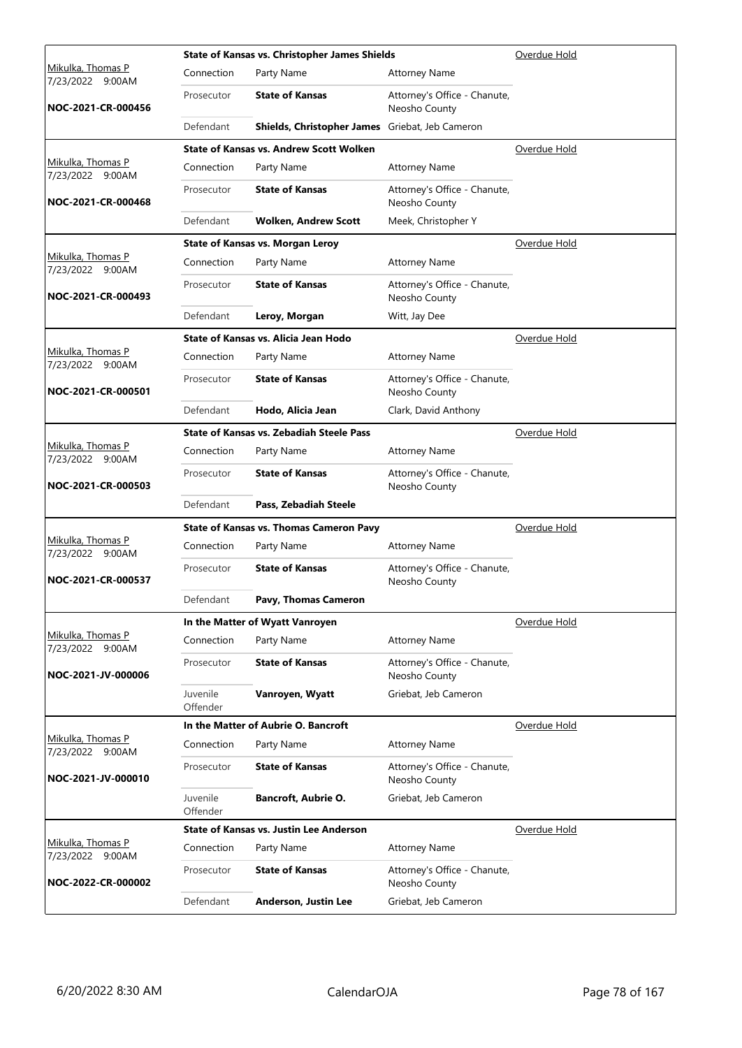|                                       |                      | <b>State of Kansas vs. Christopher James Shields</b> |                                               | Overdue Hold |
|---------------------------------------|----------------------|------------------------------------------------------|-----------------------------------------------|--------------|
| Mikulka, Thomas P<br>7/23/2022 9:00AM | Connection           | Party Name                                           | <b>Attorney Name</b>                          |              |
| NOC-2021-CR-000456                    | Prosecutor           | <b>State of Kansas</b>                               | Attorney's Office - Chanute,<br>Neosho County |              |
|                                       | Defendant            | Shields, Christopher James Griebat, Jeb Cameron      |                                               |              |
|                                       |                      | <b>State of Kansas vs. Andrew Scott Wolken</b>       |                                               | Overdue Hold |
| Mikulka, Thomas P<br>7/23/2022 9:00AM | Connection           | Party Name                                           | <b>Attorney Name</b>                          |              |
| NOC-2021-CR-000468                    | Prosecutor           | <b>State of Kansas</b>                               | Attorney's Office - Chanute,<br>Neosho County |              |
|                                       | Defendant            | <b>Wolken, Andrew Scott</b>                          | Meek, Christopher Y                           |              |
|                                       |                      | <b>State of Kansas vs. Morgan Leroy</b>              |                                               | Overdue Hold |
| Mikulka, Thomas P<br>7/23/2022 9:00AM | Connection           | Party Name                                           | <b>Attorney Name</b>                          |              |
| NOC-2021-CR-000493                    | Prosecutor           | <b>State of Kansas</b>                               | Attorney's Office - Chanute,<br>Neosho County |              |
|                                       | Defendant            | Leroy, Morgan                                        | Witt, Jay Dee                                 |              |
|                                       |                      | State of Kansas vs. Alicia Jean Hodo                 |                                               | Overdue Hold |
| Mikulka, Thomas P<br>7/23/2022 9:00AM | Connection           | Party Name                                           | <b>Attorney Name</b>                          |              |
| NOC-2021-CR-000501                    | Prosecutor           | <b>State of Kansas</b>                               | Attorney's Office - Chanute,<br>Neosho County |              |
|                                       | Defendant            | Hodo, Alicia Jean                                    | Clark, David Anthony                          |              |
|                                       |                      | <b>State of Kansas vs. Zebadiah Steele Pass</b>      |                                               | Overdue Hold |
| Mikulka, Thomas P<br>7/23/2022 9:00AM | Connection           | Party Name                                           | <b>Attorney Name</b>                          |              |
| NOC-2021-CR-000503                    | Prosecutor           | <b>State of Kansas</b>                               | Attorney's Office - Chanute,<br>Neosho County |              |
|                                       | Defendant            | Pass, Zebadiah Steele                                |                                               |              |
|                                       |                      | <b>State of Kansas vs. Thomas Cameron Pavy</b>       |                                               | Overdue Hold |
| Mikulka, Thomas P<br>7/23/2022 9:00AM | Connection           | Party Name                                           | <b>Attorney Name</b>                          |              |
| NOC-2021-CR-000537                    | Prosecutor           | <b>State of Kansas</b>                               | Attorney's Office - Chanute,<br>Neosho County |              |
|                                       | Defendant            | Pavy, Thomas Cameron                                 |                                               |              |
|                                       |                      | In the Matter of Wyatt Vanroyen                      |                                               | Overdue Hold |
| Mikulka, Thomas P<br>7/23/2022 9:00AM | Connection           | Party Name                                           | <b>Attorney Name</b>                          |              |
| NOC-2021-JV-000006                    | Prosecutor           | <b>State of Kansas</b>                               | Attorney's Office - Chanute,<br>Neosho County |              |
|                                       | Juvenile<br>Offender | Vanroyen, Wyatt                                      | Griebat, Jeb Cameron                          |              |
|                                       |                      | In the Matter of Aubrie O. Bancroft                  |                                               | Overdue Hold |
| Mikulka, Thomas P<br>7/23/2022 9:00AM | Connection           | Party Name                                           | <b>Attorney Name</b>                          |              |
| NOC-2021-JV-000010                    | Prosecutor           | <b>State of Kansas</b>                               | Attorney's Office - Chanute,<br>Neosho County |              |
|                                       | Juvenile<br>Offender | <b>Bancroft, Aubrie O.</b>                           | Griebat, Jeb Cameron                          |              |
|                                       |                      | <b>State of Kansas vs. Justin Lee Anderson</b>       |                                               | Overdue Hold |
| Mikulka, Thomas P<br>7/23/2022 9:00AM | Connection           | Party Name                                           | <b>Attorney Name</b>                          |              |
| NOC-2022-CR-000002                    | Prosecutor           | <b>State of Kansas</b>                               | Attorney's Office - Chanute,<br>Neosho County |              |
|                                       | Defendant            | Anderson, Justin Lee                                 | Griebat, Jeb Cameron                          |              |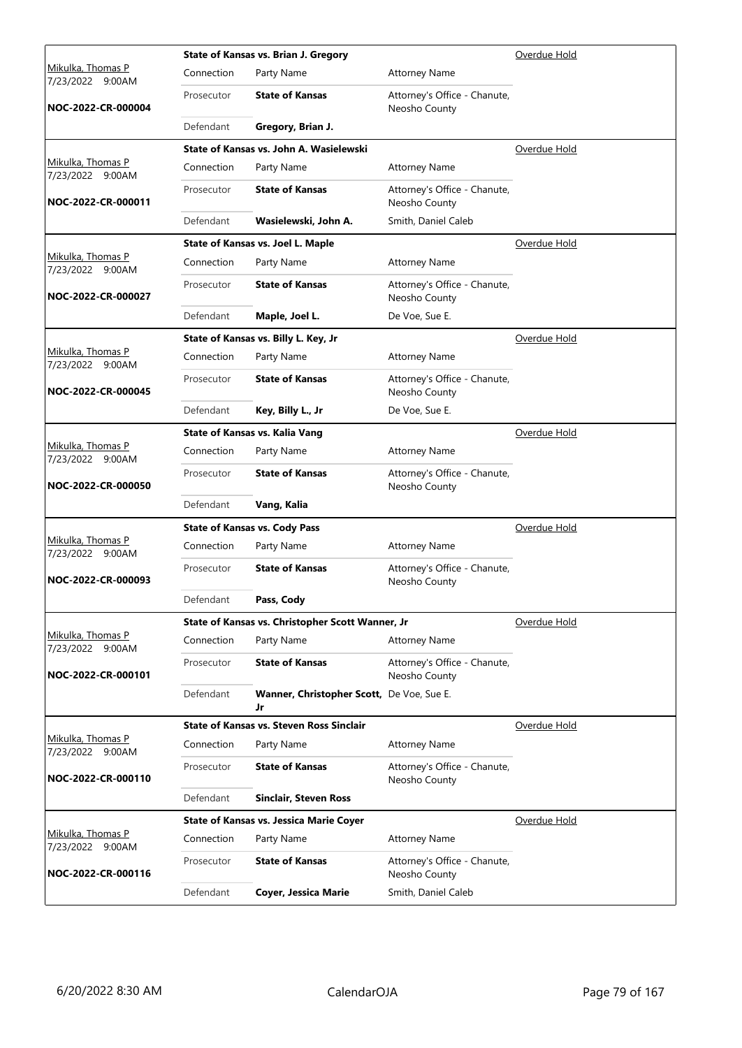|                                       |            | State of Kansas vs. Brian J. Gregory             |                                               | Overdue Hold |
|---------------------------------------|------------|--------------------------------------------------|-----------------------------------------------|--------------|
| Mikulka, Thomas P<br>7/23/2022 9:00AM | Connection | Party Name                                       | <b>Attorney Name</b>                          |              |
| NOC-2022-CR-000004                    | Prosecutor | <b>State of Kansas</b>                           | Attorney's Office - Chanute,<br>Neosho County |              |
|                                       | Defendant  | Gregory, Brian J.                                |                                               |              |
|                                       |            | State of Kansas vs. John A. Wasielewski          |                                               | Overdue Hold |
| Mikulka, Thomas P<br>7/23/2022 9:00AM | Connection | Party Name                                       | <b>Attorney Name</b>                          |              |
| NOC-2022-CR-000011                    | Prosecutor | <b>State of Kansas</b>                           | Attorney's Office - Chanute,<br>Neosho County |              |
|                                       | Defendant  | Wasielewski, John A.                             | Smith, Daniel Caleb                           |              |
|                                       |            | State of Kansas vs. Joel L. Maple                |                                               | Overdue Hold |
| Mikulka, Thomas P<br>7/23/2022 9:00AM | Connection | Party Name                                       | <b>Attorney Name</b>                          |              |
| NOC-2022-CR-000027                    | Prosecutor | <b>State of Kansas</b>                           | Attorney's Office - Chanute,<br>Neosho County |              |
|                                       | Defendant  | Maple, Joel L.                                   | De Voe, Sue E.                                |              |
|                                       |            | State of Kansas vs. Billy L. Key, Jr             |                                               | Overdue Hold |
| Mikulka, Thomas P<br>7/23/2022 9:00AM | Connection | Party Name                                       | <b>Attorney Name</b>                          |              |
| NOC-2022-CR-000045                    | Prosecutor | <b>State of Kansas</b>                           | Attorney's Office - Chanute,<br>Neosho County |              |
|                                       | Defendant  | Key, Billy L., Jr                                | De Voe, Sue E.                                |              |
|                                       |            | State of Kansas vs. Kalia Vang                   |                                               | Overdue Hold |
| Mikulka, Thomas P<br>7/23/2022 9:00AM | Connection | Party Name                                       | <b>Attorney Name</b>                          |              |
| NOC-2022-CR-000050                    | Prosecutor | <b>State of Kansas</b>                           | Attorney's Office - Chanute,<br>Neosho County |              |
|                                       | Defendant  | Vang, Kalia                                      |                                               |              |
|                                       |            | <b>State of Kansas vs. Cody Pass</b>             |                                               | Overdue Hold |
| Mikulka, Thomas P<br>7/23/2022 9:00AM | Connection | Party Name                                       | <b>Attorney Name</b>                          |              |
| NOC-2022-CR-000093                    | Prosecutor | <b>State of Kansas</b>                           | Attorney's Office - Chanute,<br>Neosho County |              |
|                                       | Defendant  | Pass, Cody                                       |                                               |              |
|                                       |            | State of Kansas vs. Christopher Scott Wanner, Jr |                                               | Overdue Hold |
| Mikulka, Thomas P<br>7/23/2022 9:00AM | Connection | Party Name                                       | <b>Attorney Name</b>                          |              |
| NOC-2022-CR-000101                    | Prosecutor | <b>State of Kansas</b>                           | Attorney's Office - Chanute,<br>Neosho County |              |
|                                       | Defendant  | Wanner, Christopher Scott, De Voe, Sue E.<br>Jr  |                                               |              |
|                                       |            | <b>State of Kansas vs. Steven Ross Sinclair</b>  |                                               | Overdue Hold |
| Mikulka, Thomas P<br>7/23/2022 9:00AM | Connection | Party Name                                       | <b>Attorney Name</b>                          |              |
| NOC-2022-CR-000110                    | Prosecutor | <b>State of Kansas</b>                           | Attorney's Office - Chanute,<br>Neosho County |              |
|                                       | Defendant  | Sinclair, Steven Ross                            |                                               |              |
|                                       |            | <b>State of Kansas vs. Jessica Marie Coyer</b>   |                                               | Overdue Hold |
| Mikulka, Thomas P<br>7/23/2022 9:00AM | Connection | Party Name                                       | <b>Attorney Name</b>                          |              |
| NOC-2022-CR-000116                    | Prosecutor | <b>State of Kansas</b>                           | Attorney's Office - Chanute,<br>Neosho County |              |
|                                       | Defendant  | <b>Coyer, Jessica Marie</b>                      | Smith, Daniel Caleb                           |              |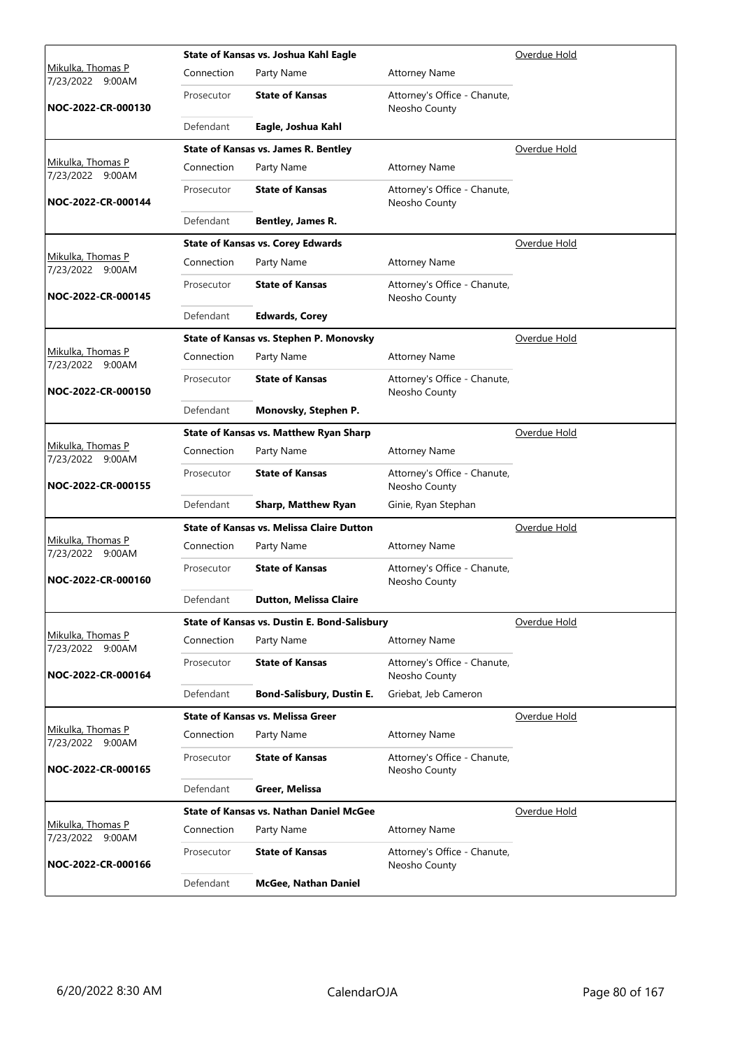|                                              |            | State of Kansas vs. Joshua Kahl Eagle            |                                               | Overdue Hold        |
|----------------------------------------------|------------|--------------------------------------------------|-----------------------------------------------|---------------------|
| <u>Mikulka, Thomas P</u><br>7/23/2022 9:00AM | Connection | Party Name                                       | <b>Attorney Name</b>                          |                     |
| NOC-2022-CR-000130                           | Prosecutor | <b>State of Kansas</b>                           | Attorney's Office - Chanute,<br>Neosho County |                     |
|                                              | Defendant  | Eagle, Joshua Kahl                               |                                               |                     |
|                                              |            | State of Kansas vs. James R. Bentley             |                                               | Overdue Hold        |
| Mikulka, Thomas P<br>7/23/2022 9:00AM        | Connection | Party Name                                       | <b>Attorney Name</b>                          |                     |
| NOC-2022-CR-000144                           | Prosecutor | <b>State of Kansas</b>                           | Attorney's Office - Chanute,<br>Neosho County |                     |
|                                              | Defendant  | Bentley, James R.                                |                                               |                     |
|                                              |            | <b>State of Kansas vs. Corey Edwards</b>         |                                               | <u>Overdue Hold</u> |
| Mikulka, Thomas P<br>7/23/2022 9:00AM        | Connection | Party Name                                       | <b>Attorney Name</b>                          |                     |
| NOC-2022-CR-000145                           | Prosecutor | <b>State of Kansas</b>                           | Attorney's Office - Chanute,<br>Neosho County |                     |
|                                              | Defendant  | <b>Edwards, Corey</b>                            |                                               |                     |
|                                              |            | State of Kansas vs. Stephen P. Monovsky          |                                               | Overdue Hold        |
| <u>Mikulka, Thomas P</u><br>7/23/2022 9:00AM | Connection | Party Name                                       | <b>Attorney Name</b>                          |                     |
| NOC-2022-CR-000150                           | Prosecutor | <b>State of Kansas</b>                           | Attorney's Office - Chanute,<br>Neosho County |                     |
|                                              | Defendant  | Monovsky, Stephen P.                             |                                               |                     |
|                                              |            | <b>State of Kansas vs. Matthew Ryan Sharp</b>    |                                               | Overdue Hold        |
| Mikulka, Thomas P<br>7/23/2022 9:00AM        | Connection | Party Name                                       | <b>Attorney Name</b>                          |                     |
| NOC-2022-CR-000155                           | Prosecutor | <b>State of Kansas</b>                           | Attorney's Office - Chanute,<br>Neosho County |                     |
|                                              | Defendant  | <b>Sharp, Matthew Ryan</b>                       | Ginie, Ryan Stephan                           |                     |
|                                              |            | <b>State of Kansas vs. Melissa Claire Dutton</b> | Overdue Hold                                  |                     |
| Mikulka, Thomas P<br>7/23/2022 9:00AM        | Connection | Party Name                                       | <b>Attorney Name</b>                          |                     |
| NOC-2022-CR-000160                           | Prosecutor | <b>State of Kansas</b>                           | Attorney's Office - Chanute,<br>Neosho County |                     |
|                                              | Defendant  | Dutton, Melissa Claire                           |                                               |                     |
|                                              |            | State of Kansas vs. Dustin E. Bond-Salisbury     |                                               | Overdue Hold        |
| Mikulka, Thomas P<br>7/23/2022 9:00AM        | Connection | Party Name                                       | <b>Attorney Name</b>                          |                     |
| NOC-2022-CR-000164                           | Prosecutor | <b>State of Kansas</b>                           | Attorney's Office - Chanute,<br>Neosho County |                     |
|                                              | Defendant  | <b>Bond-Salisbury, Dustin E.</b>                 | Griebat, Jeb Cameron                          |                     |
|                                              |            | <b>State of Kansas vs. Melissa Greer</b>         |                                               | Overdue Hold        |
| Mikulka, Thomas P<br>7/23/2022 9:00AM        | Connection | Party Name                                       | <b>Attorney Name</b>                          |                     |
| NOC-2022-CR-000165                           | Prosecutor | <b>State of Kansas</b>                           | Attorney's Office - Chanute,<br>Neosho County |                     |
|                                              | Defendant  | Greer, Melissa                                   |                                               |                     |
|                                              |            | <b>State of Kansas vs. Nathan Daniel McGee</b>   |                                               | Overdue Hold        |
| Mikulka, Thomas P<br>7/23/2022 9:00AM        | Connection | Party Name                                       | <b>Attorney Name</b>                          |                     |
| NOC-2022-CR-000166                           | Prosecutor | <b>State of Kansas</b>                           | Attorney's Office - Chanute,<br>Neosho County |                     |
|                                              | Defendant  | <b>McGee, Nathan Daniel</b>                      |                                               |                     |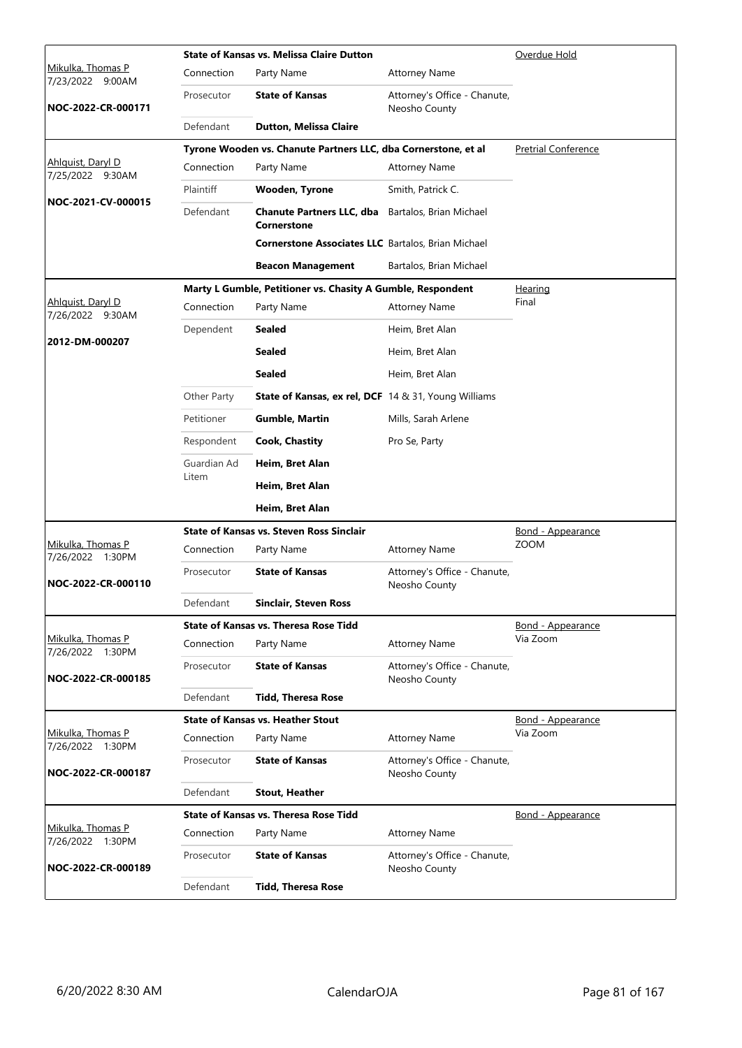|                                                 |             | <b>State of Kansas vs. Melissa Claire Dutton</b>                               |                                               | Overdue Hold               |
|-------------------------------------------------|-------------|--------------------------------------------------------------------------------|-----------------------------------------------|----------------------------|
| <u>Mikulka, Thomas P</u><br>7/23/2022<br>9:00AM | Connection  | Party Name                                                                     | <b>Attorney Name</b>                          |                            |
| NOC-2022-CR-000171                              | Prosecutor  | <b>State of Kansas</b>                                                         | Attorney's Office - Chanute,<br>Neosho County |                            |
|                                                 | Defendant   | <b>Dutton, Melissa Claire</b>                                                  |                                               |                            |
|                                                 |             | Tyrone Wooden vs. Chanute Partners LLC, dba Cornerstone, et al                 |                                               | <b>Pretrial Conference</b> |
| Ahlquist, Daryl D<br>7/25/2022 9:30AM           | Connection  | Party Name                                                                     | <b>Attorney Name</b>                          |                            |
| NOC-2021-CV-000015                              | Plaintiff   | <b>Wooden, Tyrone</b>                                                          | Smith, Patrick C.                             |                            |
|                                                 | Defendant   | <b>Chanute Partners LLC, dba</b> Bartalos, Brian Michael<br><b>Cornerstone</b> |                                               |                            |
|                                                 |             | <b>Cornerstone Associates LLC</b> Bartalos, Brian Michael                      |                                               |                            |
|                                                 |             | <b>Beacon Management</b>                                                       | Bartalos, Brian Michael                       |                            |
|                                                 |             | Marty L Gumble, Petitioner vs. Chasity A Gumble, Respondent                    |                                               | <u>Hearing</u>             |
| Ahlquist, Daryl D<br>7/26/2022 9:30AM           | Connection  | Party Name                                                                     | <b>Attorney Name</b>                          | Final                      |
|                                                 | Dependent   | Sealed                                                                         | Heim, Bret Alan                               |                            |
| 2012-DM-000207                                  |             | <b>Sealed</b>                                                                  | Heim, Bret Alan                               |                            |
|                                                 |             | <b>Sealed</b>                                                                  | Heim, Bret Alan                               |                            |
|                                                 | Other Party | <b>State of Kansas, ex rel, DCF</b> 14 & 31, Young Williams                    |                                               |                            |
|                                                 | Petitioner  | <b>Gumble, Martin</b>                                                          | Mills, Sarah Arlene                           |                            |
|                                                 | Respondent  | <b>Cook, Chastity</b>                                                          | Pro Se, Party                                 |                            |
|                                                 | Guardian Ad | Heim, Bret Alan                                                                |                                               |                            |
|                                                 | Litem       | Heim, Bret Alan                                                                |                                               |                            |
|                                                 |             | Heim, Bret Alan                                                                |                                               |                            |
|                                                 |             | <b>State of Kansas vs. Steven Ross Sinclair</b>                                |                                               | Bond - Appearance          |
| Mikulka, Thomas P<br>7/26/2022 1:30PM           | Connection  | Party Name                                                                     | <b>Attorney Name</b>                          | <b>ZOOM</b>                |
| NOC-2022-CR-000110                              | Prosecutor  | <b>State of Kansas</b>                                                         | Attorney's Office - Chanute,<br>Neosho County |                            |
|                                                 | Defendant   | <b>Sinclair, Steven Ross</b>                                                   |                                               |                            |
|                                                 |             | State of Kansas vs. Theresa Rose Tidd                                          |                                               | Bond - Appearance          |
| Mikulka, Thomas P<br>7/26/2022 1:30PM           | Connection  | Party Name                                                                     | <b>Attorney Name</b>                          | Via Zoom                   |
| NOC-2022-CR-000185                              | Prosecutor  | <b>State of Kansas</b>                                                         | Attorney's Office - Chanute,<br>Neosho County |                            |
|                                                 | Defendant   | <b>Tidd, Theresa Rose</b>                                                      |                                               |                            |
|                                                 |             | <b>State of Kansas vs. Heather Stout</b>                                       |                                               | Bond - Appearance          |
| Mikulka, Thomas P<br>7/26/2022 1:30PM           | Connection  | Party Name                                                                     | <b>Attorney Name</b>                          | Via Zoom                   |
| NOC-2022-CR-000187                              | Prosecutor  | <b>State of Kansas</b>                                                         | Attorney's Office - Chanute,<br>Neosho County |                            |
|                                                 | Defendant   | <b>Stout, Heather</b>                                                          |                                               |                            |
|                                                 |             | <b>State of Kansas vs. Theresa Rose Tidd</b>                                   |                                               | Bond - Appearance          |
| Mikulka, Thomas P<br>7/26/2022 1:30PM           | Connection  | Party Name                                                                     | <b>Attorney Name</b>                          |                            |
| NOC-2022-CR-000189                              | Prosecutor  | <b>State of Kansas</b>                                                         | Attorney's Office - Chanute,<br>Neosho County |                            |
|                                                 | Defendant   | <b>Tidd, Theresa Rose</b>                                                      |                                               |                            |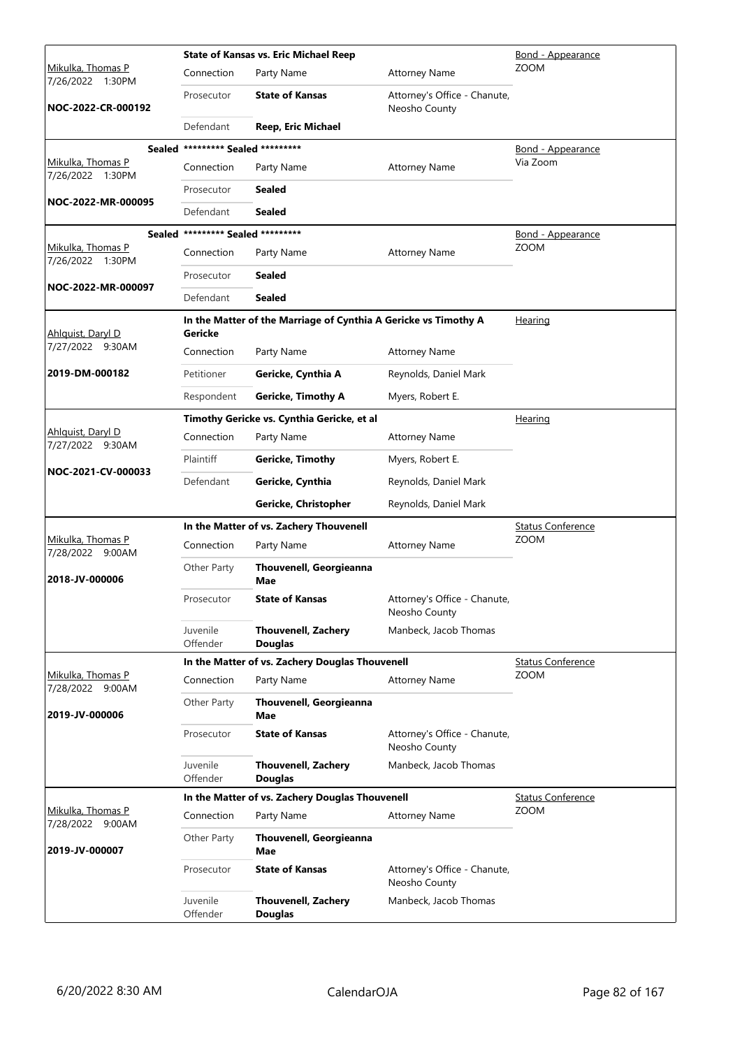|                                          |                                   | <b>State of Kansas vs. Eric Michael Reep</b>                    | <u>Bond - Appearance</u>                      |                          |
|------------------------------------------|-----------------------------------|-----------------------------------------------------------------|-----------------------------------------------|--------------------------|
| Mikulka, Thomas P<br>7/26/2022 1:30PM    | Connection                        | Party Name                                                      | <b>Attorney Name</b>                          | <b>ZOOM</b>              |
| NOC-2022-CR-000192                       | Prosecutor                        | <b>State of Kansas</b>                                          | Attorney's Office - Chanute,<br>Neosho County |                          |
|                                          | Defendant                         | Reep, Eric Michael                                              |                                               |                          |
|                                          | Sealed ********* Sealed ********* |                                                                 |                                               | Bond - Appearance        |
| Mikulka, Thomas P<br>7/26/2022 1:30PM    | Connection                        | Party Name                                                      | <b>Attorney Name</b>                          | Via Zoom                 |
|                                          | Prosecutor                        | <b>Sealed</b>                                                   |                                               |                          |
| NOC-2022-MR-000095                       | Defendant                         | <b>Sealed</b>                                                   |                                               |                          |
|                                          | Sealed ********* Sealed ********* |                                                                 |                                               | <u>Bond - Appearance</u> |
| Mikulka, Thomas P<br>7/26/2022 1:30PM    | Connection                        | Party Name                                                      | <b>Attorney Name</b>                          | <b>ZOOM</b>              |
|                                          | Prosecutor                        | <b>Sealed</b>                                                   |                                               |                          |
| NOC-2022-MR-000097                       | Defendant                         | <b>Sealed</b>                                                   |                                               |                          |
| Ahlguist, Daryl D                        | <b>Gericke</b>                    | In the Matter of the Marriage of Cynthia A Gericke vs Timothy A |                                               | Hearing                  |
| 7/27/2022 9:30AM                         | Connection                        | Party Name                                                      | <b>Attorney Name</b>                          |                          |
| 2019-DM-000182                           | Petitioner                        | Gericke, Cynthia A                                              | Reynolds, Daniel Mark                         |                          |
|                                          | Respondent                        | <b>Gericke, Timothy A</b>                                       | Myers, Robert E.                              |                          |
|                                          |                                   | Timothy Gericke vs. Cynthia Gericke, et al                      |                                               | Hearing                  |
| Ahlquist, Daryl D<br>7/27/2022 9:30AM    | Connection                        | Party Name                                                      | <b>Attorney Name</b>                          |                          |
|                                          | Plaintiff                         | <b>Gericke, Timothy</b>                                         | Myers, Robert E.                              |                          |
| NOC-2021-CV-000033                       | Defendant                         | Gericke, Cynthia                                                | Reynolds, Daniel Mark                         |                          |
|                                          |                                   | Gericke, Christopher                                            | Reynolds, Daniel Mark                         |                          |
|                                          |                                   | In the Matter of vs. Zachery Thouvenell                         |                                               | <b>Status Conference</b> |
| Mikulka, Thomas P<br>7/28/2022 9:00AM    | Connection                        | Party Name                                                      | <b>Attorney Name</b>                          | <b>ZOOM</b>              |
| 2018-JV-000006                           | Other Party                       | Thouvenell, Georgieanna<br>Mae                                  |                                               |                          |
|                                          | Prosecutor                        | <b>State of Kansas</b>                                          | Attorney's Office - Chanute,<br>Neosho County |                          |
|                                          | Juvenile<br>Offender              | <b>Thouvenell, Zachery</b><br><b>Douglas</b>                    | Manbeck, Jacob Thomas                         |                          |
|                                          |                                   | In the Matter of vs. Zachery Douglas Thouvenell                 |                                               | <b>Status Conference</b> |
| Mikulka, Thomas P<br>7/28/2022<br>9:00AM | Connection                        | Party Name                                                      | <b>Attorney Name</b>                          | <b>ZOOM</b>              |
| 2019-JV-000006                           | Other Party                       | <b>Thouvenell, Georgieanna</b><br>Mae                           |                                               |                          |
|                                          | Prosecutor                        | <b>State of Kansas</b>                                          | Attorney's Office - Chanute,<br>Neosho County |                          |
|                                          | Juvenile<br>Offender              | <b>Thouvenell, Zachery</b><br><b>Douglas</b>                    | Manbeck, Jacob Thomas                         |                          |
|                                          |                                   | In the Matter of vs. Zachery Douglas Thouvenell                 |                                               | <b>Status Conference</b> |
| Mikulka, Thomas P<br>7/28/2022<br>9:00AM | Connection                        | Party Name                                                      | <b>Attorney Name</b>                          | <b>ZOOM</b>              |
| 2019-JV-000007                           | Other Party                       | <b>Thouvenell, Georgieanna</b><br>Mae                           |                                               |                          |
|                                          | Prosecutor                        | <b>State of Kansas</b>                                          | Attorney's Office - Chanute,<br>Neosho County |                          |
|                                          | Juvenile<br>Offender              | <b>Thouvenell, Zachery</b><br><b>Douglas</b>                    | Manbeck, Jacob Thomas                         |                          |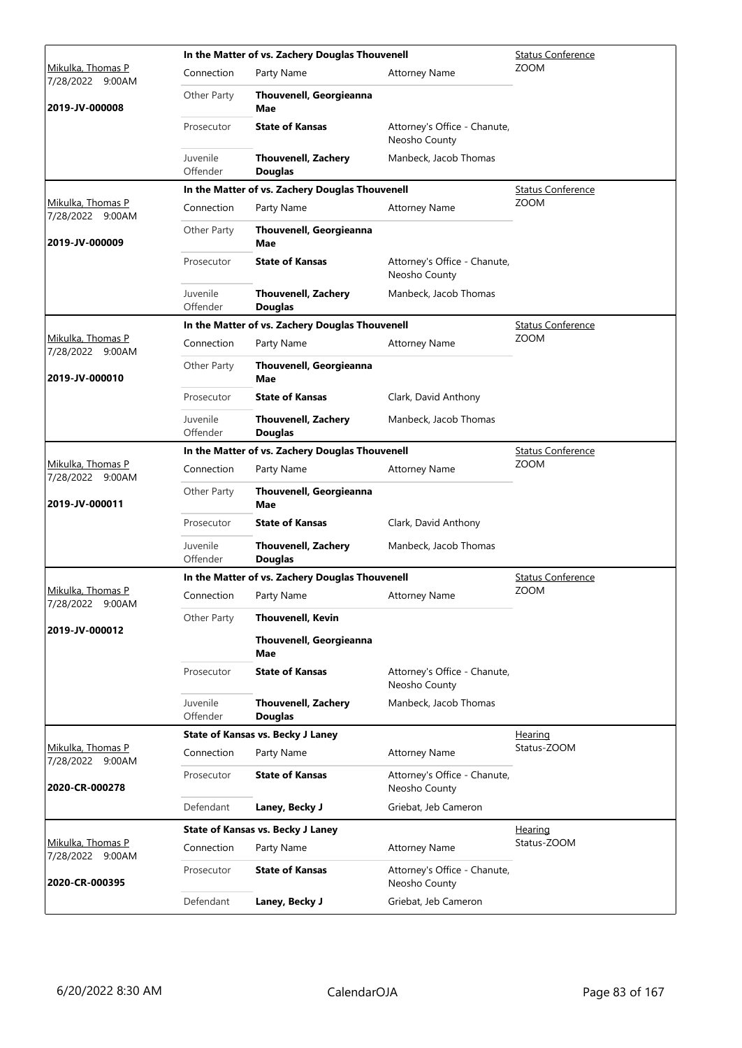|                                              |                      | In the Matter of vs. Zachery Douglas Thouvenell |                                               | <b>Status Conference</b> |
|----------------------------------------------|----------------------|-------------------------------------------------|-----------------------------------------------|--------------------------|
| <u>Mikulka, Thomas P</u><br>7/28/2022 9:00AM | Connection           | Party Name                                      | <b>Attorney Name</b>                          | <b>ZOOM</b>              |
| 2019-JV-000008                               | Other Party          | Thouvenell, Georgieanna<br>Mae                  |                                               |                          |
|                                              | Prosecutor           | <b>State of Kansas</b>                          | Attorney's Office - Chanute,<br>Neosho County |                          |
|                                              | Juvenile<br>Offender | <b>Thouvenell, Zachery</b><br><b>Douglas</b>    | Manbeck, Jacob Thomas                         |                          |
|                                              |                      | In the Matter of vs. Zachery Douglas Thouvenell |                                               | <b>Status Conference</b> |
| Mikulka, Thomas P<br>7/28/2022 9:00AM        | Connection           | Party Name                                      | <b>Attorney Name</b>                          | <b>ZOOM</b>              |
| 2019-JV-000009                               | Other Party          | Thouvenell, Georgieanna<br>Mae                  |                                               |                          |
|                                              | Prosecutor           | <b>State of Kansas</b>                          | Attorney's Office - Chanute,<br>Neosho County |                          |
|                                              | Juvenile<br>Offender | <b>Thouvenell, Zachery</b><br><b>Douglas</b>    | Manbeck, Jacob Thomas                         |                          |
|                                              |                      | In the Matter of vs. Zachery Douglas Thouvenell |                                               | <b>Status Conference</b> |
| Mikulka, Thomas P<br>7/28/2022 9:00AM        | Connection           | Party Name                                      | <b>Attorney Name</b>                          | <b>ZOOM</b>              |
| 2019-JV-000010                               | Other Party          | <b>Thouvenell, Georgieanna</b><br>Mae           |                                               |                          |
|                                              | Prosecutor           | <b>State of Kansas</b>                          | Clark, David Anthony                          |                          |
|                                              | Juvenile<br>Offender | <b>Thouvenell, Zachery</b><br><b>Douglas</b>    | Manbeck, Jacob Thomas                         |                          |
|                                              |                      | In the Matter of vs. Zachery Douglas Thouvenell |                                               | <b>Status Conference</b> |
| Mikulka, Thomas P<br>7/28/2022 9:00AM        | Connection           | Party Name                                      | <b>Attorney Name</b>                          | <b>ZOOM</b>              |
| 2019-JV-000011                               | Other Party          | Thouvenell, Georgieanna<br>Mae                  |                                               |                          |
|                                              | Prosecutor           | <b>State of Kansas</b>                          | Clark, David Anthony                          |                          |
|                                              | Juvenile<br>Offender | <b>Thouvenell, Zachery</b><br><b>Douglas</b>    | Manbeck, Jacob Thomas                         |                          |
|                                              |                      | In the Matter of vs. Zachery Douglas Thouvenell |                                               | <b>Status Conference</b> |
| Mikulka, Thomas P<br>7/28/2022 9:00AM        | Connection           | Party Name                                      | <b>Attorney Name</b>                          | ZOOM                     |
| 2019-JV-000012                               | Other Party          | <b>Thouvenell, Kevin</b>                        |                                               |                          |
|                                              |                      | Thouvenell, Georgieanna<br>Mae                  |                                               |                          |
|                                              | Prosecutor           | <b>State of Kansas</b>                          | Attorney's Office - Chanute,<br>Neosho County |                          |
|                                              | Juvenile<br>Offender | <b>Thouvenell, Zachery</b><br><b>Douglas</b>    | Manbeck, Jacob Thomas                         |                          |
|                                              |                      | <b>State of Kansas vs. Becky J Laney</b>        |                                               | <b>Hearing</b>           |
| Mikulka, Thomas P<br>7/28/2022 9:00AM        | Connection           | Party Name                                      | <b>Attorney Name</b>                          | Status-ZOOM              |
| 2020-CR-000278                               | Prosecutor           | <b>State of Kansas</b>                          | Attorney's Office - Chanute,<br>Neosho County |                          |
|                                              | Defendant            | Laney, Becky J                                  | Griebat, Jeb Cameron                          |                          |
|                                              |                      | <b>State of Kansas vs. Becky J Laney</b>        |                                               | Hearing                  |
| Mikulka, Thomas P<br>7/28/2022 9:00AM        | Connection           | Party Name                                      | <b>Attorney Name</b>                          | Status-ZOOM              |
| 2020-CR-000395                               | Prosecutor           | <b>State of Kansas</b>                          | Attorney's Office - Chanute,<br>Neosho County |                          |
|                                              | Defendant            | Laney, Becky J                                  | Griebat, Jeb Cameron                          |                          |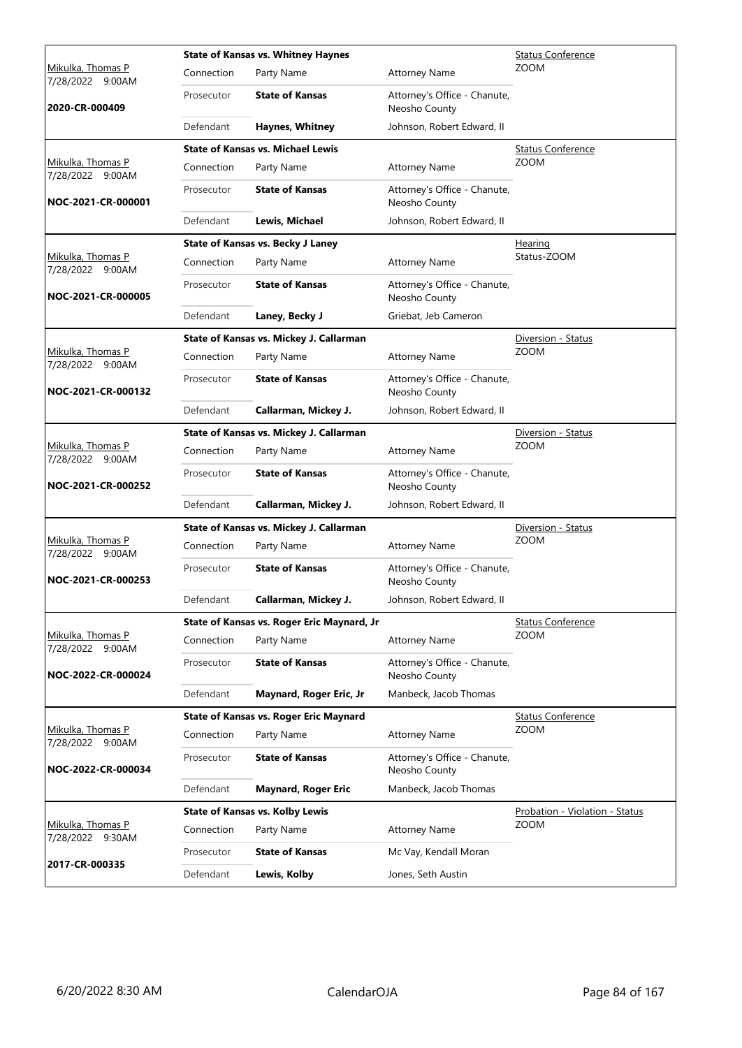|                                              |            | <b>State of Kansas vs. Whitney Haynes</b>  |                                               | <b>Status Conference</b>       |
|----------------------------------------------|------------|--------------------------------------------|-----------------------------------------------|--------------------------------|
| <u>Mikulka, Thomas P</u><br>7/28/2022 9:00AM | Connection | Party Name                                 | <b>Attorney Name</b>                          | <b>ZOOM</b>                    |
| 2020-CR-000409                               | Prosecutor | <b>State of Kansas</b>                     | Attorney's Office - Chanute,<br>Neosho County |                                |
|                                              | Defendant  | Haynes, Whitney                            | Johnson, Robert Edward, II                    |                                |
|                                              |            | <b>State of Kansas vs. Michael Lewis</b>   |                                               | <b>Status Conference</b>       |
| Mikulka, Thomas P<br>7/28/2022 9:00AM        | Connection | Party Name                                 | <b>Attorney Name</b>                          | ZOOM                           |
| NOC-2021-CR-000001                           | Prosecutor | <b>State of Kansas</b>                     | Attorney's Office - Chanute,<br>Neosho County |                                |
|                                              | Defendant  | Lewis, Michael                             | Johnson, Robert Edward, II                    |                                |
|                                              |            | <b>State of Kansas vs. Becky J Laney</b>   |                                               | Hearing                        |
| Mikulka, Thomas P<br>7/28/2022 9:00AM        | Connection | Party Name                                 | <b>Attorney Name</b>                          | Status-ZOOM                    |
| NOC-2021-CR-000005                           | Prosecutor | <b>State of Kansas</b>                     | Attorney's Office - Chanute,<br>Neosho County |                                |
|                                              | Defendant  | Laney, Becky J                             | Griebat, Jeb Cameron                          |                                |
|                                              |            | State of Kansas vs. Mickey J. Callarman    |                                               | Diversion - Status             |
| <u>Mikulka, Thomas P</u><br>7/28/2022 9:00AM | Connection | Party Name                                 | <b>Attorney Name</b>                          | <b>ZOOM</b>                    |
| NOC-2021-CR-000132                           | Prosecutor | <b>State of Kansas</b>                     | Attorney's Office - Chanute,<br>Neosho County |                                |
|                                              | Defendant  | Callarman, Mickey J.                       | Johnson, Robert Edward, II                    |                                |
|                                              |            | State of Kansas vs. Mickey J. Callarman    |                                               | Diversion - Status             |
| Mikulka, Thomas P<br>7/28/2022 9:00AM        | Connection | Party Name                                 | <b>Attorney Name</b>                          | ZOOM                           |
| NOC-2021-CR-000252                           | Prosecutor | <b>State of Kansas</b>                     | Attorney's Office - Chanute,<br>Neosho County |                                |
|                                              | Defendant  | Callarman, Mickey J.                       | Johnson, Robert Edward, II                    |                                |
|                                              |            | State of Kansas vs. Mickey J. Callarman    |                                               | Diversion - Status             |
| Mikulka, Thomas P<br>7/28/2022 9:00AM        | Connection | Party Name                                 | <b>Attorney Name</b>                          | <b>ZOOM</b>                    |
| NOC-2021-CR-000253                           | Prosecutor | <b>State of Kansas</b>                     | Attorney's Office - Chanute,<br>Neosho County |                                |
|                                              | Defendant  | Callarman, Mickey J.                       | Johnson, Robert Edward, II                    |                                |
|                                              |            | State of Kansas vs. Roger Eric Maynard, Jr |                                               | <b>Status Conference</b>       |
| Mikulka, Thomas P<br>7/28/2022 9:00AM        | Connection | Party Name                                 | <b>Attorney Name</b>                          | <b>ZOOM</b>                    |
| NOC-2022-CR-000024                           | Prosecutor | <b>State of Kansas</b>                     | Attorney's Office - Chanute,<br>Neosho County |                                |
|                                              | Defendant  | Maynard, Roger Eric, Jr                    | Manbeck, Jacob Thomas                         |                                |
|                                              |            | State of Kansas vs. Roger Eric Maynard     |                                               | <b>Status Conference</b>       |
| Mikulka, Thomas P<br>7/28/2022 9:00AM        | Connection | Party Name                                 | <b>Attorney Name</b>                          | ZOOM                           |
| NOC-2022-CR-000034                           | Prosecutor | <b>State of Kansas</b>                     | Attorney's Office - Chanute,<br>Neosho County |                                |
|                                              | Defendant  | <b>Maynard, Roger Eric</b>                 | Manbeck, Jacob Thomas                         |                                |
|                                              |            | <b>State of Kansas vs. Kolby Lewis</b>     |                                               | Probation - Violation - Status |
| Mikulka, Thomas P<br>7/28/2022 9:30AM        | Connection | Party Name                                 | <b>Attorney Name</b>                          | <b>ZOOM</b>                    |
|                                              | Prosecutor | <b>State of Kansas</b>                     | Mc Vay, Kendall Moran                         |                                |
| 2017-CR-000335                               | Defendant  | Lewis, Kolby                               | Jones, Seth Austin                            |                                |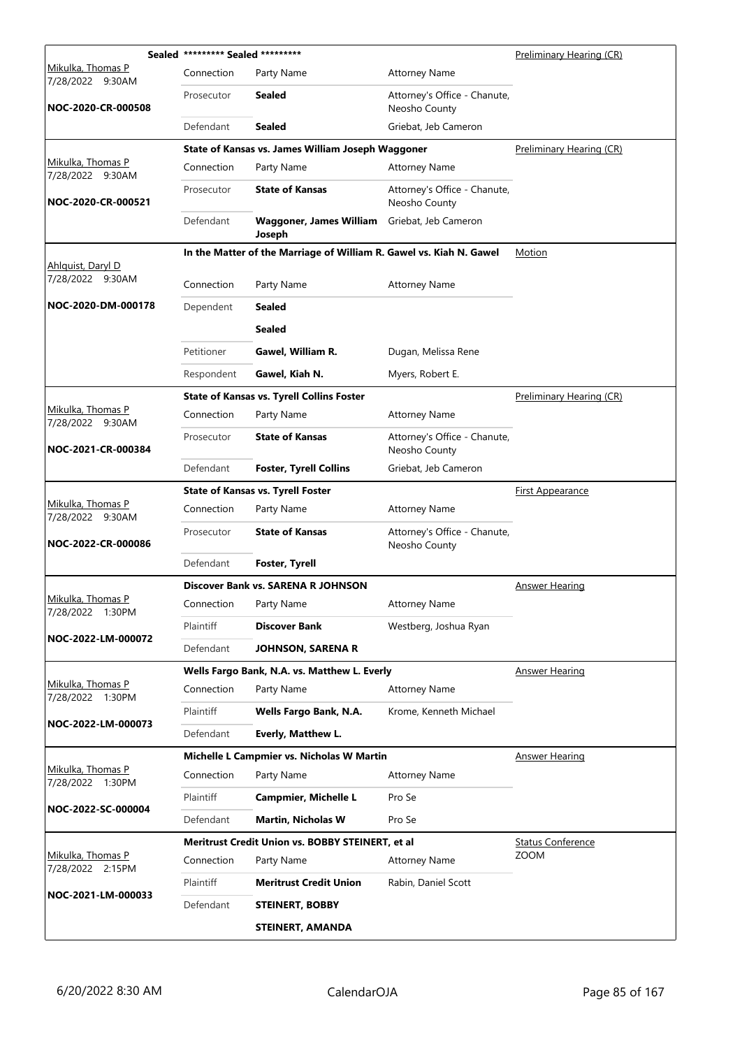|                                       | Sealed ********* Sealed ********* |                                                                     |                                               | Preliminary Hearing (CR) |
|---------------------------------------|-----------------------------------|---------------------------------------------------------------------|-----------------------------------------------|--------------------------|
| Mikulka, Thomas P<br>7/28/2022 9:30AM | Connection                        | Party Name                                                          | <b>Attorney Name</b>                          |                          |
| NOC-2020-CR-000508                    | Prosecutor                        | Sealed                                                              | Attorney's Office - Chanute,<br>Neosho County |                          |
|                                       | Defendant                         | <b>Sealed</b>                                                       | Griebat, Jeb Cameron                          |                          |
|                                       |                                   | State of Kansas vs. James William Joseph Waggoner                   |                                               | Preliminary Hearing (CR) |
| Mikulka, Thomas P<br>7/28/2022 9:30AM | Connection                        | Party Name                                                          | <b>Attorney Name</b>                          |                          |
| NOC-2020-CR-000521                    | Prosecutor                        | <b>State of Kansas</b>                                              | Attorney's Office - Chanute,<br>Neosho County |                          |
|                                       | Defendant                         | <b>Waggoner, James William</b><br>Joseph                            | Griebat, Jeb Cameron                          |                          |
|                                       |                                   | In the Matter of the Marriage of William R. Gawel vs. Kiah N. Gawel |                                               | Motion                   |
| Ahlguist, Daryl D<br>7/28/2022 9:30AM | Connection                        | Party Name                                                          | <b>Attorney Name</b>                          |                          |
| NOC-2020-DM-000178                    | Dependent                         | <b>Sealed</b>                                                       |                                               |                          |
|                                       |                                   | <b>Sealed</b>                                                       |                                               |                          |
|                                       | Petitioner                        | Gawel, William R.                                                   | Dugan, Melissa Rene                           |                          |
|                                       | Respondent                        | Gawel, Kiah N.                                                      | Myers, Robert E.                              |                          |
|                                       |                                   | <b>State of Kansas vs. Tyrell Collins Foster</b>                    |                                               | Preliminary Hearing (CR) |
| Mikulka, Thomas P<br>7/28/2022 9:30AM | Connection                        | Party Name                                                          | <b>Attorney Name</b>                          |                          |
| NOC-2021-CR-000384                    | Prosecutor                        | <b>State of Kansas</b>                                              | Attorney's Office - Chanute,<br>Neosho County |                          |
|                                       | Defendant                         | <b>Foster, Tyrell Collins</b>                                       | Griebat, Jeb Cameron                          |                          |
|                                       |                                   | <b>State of Kansas vs. Tyrell Foster</b>                            |                                               | <b>First Appearance</b>  |
| Mikulka, Thomas P<br>7/28/2022 9:30AM | Connection                        | Party Name                                                          | <b>Attorney Name</b>                          |                          |
| NOC-2022-CR-000086                    | Prosecutor                        | <b>State of Kansas</b>                                              | Attorney's Office - Chanute,<br>Neosho County |                          |
|                                       | Defendant                         | Foster, Tyrell                                                      |                                               |                          |
|                                       |                                   | Discover Bank vs. SARENA R JOHNSON                                  |                                               | <b>Answer Hearing</b>    |
| Mikulka, Thomas P<br>7/28/2022 1:30PM | Connection Party Name             |                                                                     | <b>Attorney Name</b>                          |                          |
|                                       | Plaintiff                         | <b>Discover Bank</b>                                                | Westberg, Joshua Ryan                         |                          |
| NOC-2022-LM-000072                    | Defendant                         | <b>JOHNSON, SARENA R</b>                                            |                                               |                          |
|                                       |                                   | Wells Fargo Bank, N.A. vs. Matthew L. Everly                        |                                               | <b>Answer Hearing</b>    |
| Mikulka, Thomas P<br>7/28/2022 1:30PM | Connection                        | Party Name                                                          | <b>Attorney Name</b>                          |                          |
|                                       | Plaintiff                         | Wells Fargo Bank, N.A.                                              | Krome, Kenneth Michael                        |                          |
| NOC-2022-LM-000073                    | Defendant                         | Everly, Matthew L.                                                  |                                               |                          |
|                                       |                                   | Michelle L Campmier vs. Nicholas W Martin                           |                                               | Answer Hearing           |
| Mikulka, Thomas P<br>7/28/2022 1:30PM | Connection                        | Party Name                                                          | <b>Attorney Name</b>                          |                          |
|                                       | Plaintiff                         | Campmier, Michelle L                                                | Pro Se                                        |                          |
| NOC-2022-SC-000004                    | Defendant                         | <b>Martin, Nicholas W</b>                                           | Pro Se                                        |                          |
|                                       |                                   | Meritrust Credit Union vs. BOBBY STEINERT, et al                    |                                               | <b>Status Conference</b> |
| Mikulka, Thomas P<br>7/28/2022 2:15PM | Connection                        | Party Name                                                          | <b>Attorney Name</b>                          | <b>ZOOM</b>              |
|                                       | Plaintiff                         | <b>Meritrust Credit Union</b>                                       | Rabin, Daniel Scott                           |                          |
| NOC-2021-LM-000033                    | Defendant                         | <b>STEINERT, BOBBY</b>                                              |                                               |                          |
|                                       |                                   | <b>STEINERT, AMANDA</b>                                             |                                               |                          |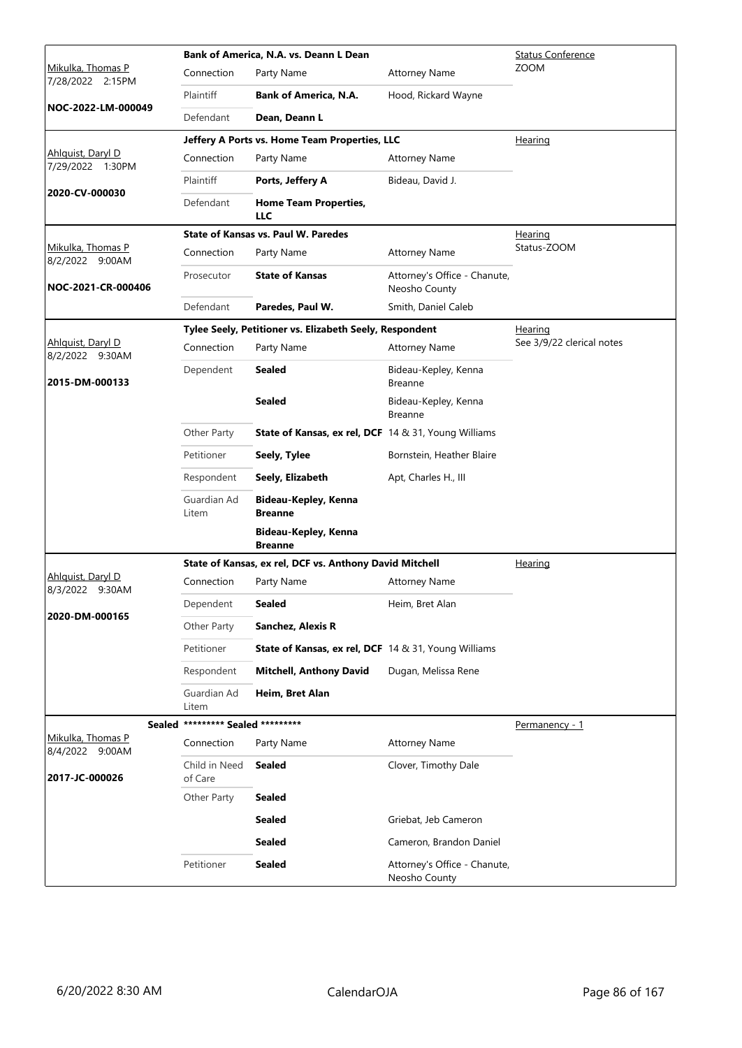|                                       |                                   | Bank of America, N.A. vs. Deann L Dean                      | <b>Status Conference</b>                      |                           |
|---------------------------------------|-----------------------------------|-------------------------------------------------------------|-----------------------------------------------|---------------------------|
| Mikulka, Thomas P<br>7/28/2022 2:15PM | Connection                        | Party Name                                                  | <b>Attorney Name</b>                          | <b>ZOOM</b>               |
|                                       | Plaintiff                         | <b>Bank of America, N.A.</b>                                | Hood, Rickard Wayne                           |                           |
| NOC-2022-LM-000049                    | Defendant                         | Dean, Deann L                                               |                                               |                           |
|                                       |                                   | Jeffery A Ports vs. Home Team Properties, LLC               |                                               | Hearing                   |
| Ahlguist, Daryl D<br>7/29/2022 1:30PM | Connection                        | Party Name                                                  | <b>Attorney Name</b>                          |                           |
|                                       | Plaintiff                         | Ports, Jeffery A                                            | Bideau, David J.                              |                           |
| 2020-CV-000030                        | Defendant                         | <b>Home Team Properties,</b><br>LLC                         |                                               |                           |
|                                       |                                   | <b>State of Kansas vs. Paul W. Paredes</b>                  |                                               | <u>Hearing</u>            |
| Mikulka, Thomas P<br>8/2/2022 9:00AM  | Connection                        | Party Name                                                  | <b>Attorney Name</b>                          | Status-ZOOM               |
| NOC-2021-CR-000406                    | Prosecutor                        | <b>State of Kansas</b>                                      | Attorney's Office - Chanute,<br>Neosho County |                           |
|                                       | Defendant                         | Paredes, Paul W.                                            | Smith, Daniel Caleb                           |                           |
|                                       |                                   | Tylee Seely, Petitioner vs. Elizabeth Seely, Respondent     |                                               | Hearing                   |
| Ahlquist, Daryl D<br>8/2/2022 9:30AM  | Connection                        | Party Name                                                  | <b>Attorney Name</b>                          | See 3/9/22 clerical notes |
| 2015-DM-000133                        | Dependent                         | <b>Sealed</b>                                               | Bideau-Kepley, Kenna<br><b>Breanne</b>        |                           |
|                                       |                                   | <b>Sealed</b>                                               | Bideau-Kepley, Kenna<br><b>Breanne</b>        |                           |
|                                       | Other Party                       | <b>State of Kansas, ex rel, DCF</b> 14 & 31, Young Williams |                                               |                           |
|                                       | Petitioner                        | Seely, Tylee                                                | Bornstein, Heather Blaire                     |                           |
|                                       | Respondent                        | Seely, Elizabeth                                            | Apt, Charles H., III                          |                           |
|                                       | Guardian Ad<br>Litem              | Bideau-Kepley, Kenna<br><b>Breanne</b>                      |                                               |                           |
|                                       |                                   | Bideau-Kepley, Kenna<br><b>Breanne</b>                      |                                               |                           |
|                                       |                                   | State of Kansas, ex rel, DCF vs. Anthony David Mitchell     |                                               | Hearing                   |
| Ahlquist, Daryl D<br>8/3/2022 9:30AM  | Connection                        | Party Name                                                  | <b>Attorney Name</b>                          |                           |
|                                       | Dependent                         | <b>Sealed</b>                                               | Heim, Bret Alan                               |                           |
| 2020-DM-000165                        | Other Party                       | Sanchez, Alexis R                                           |                                               |                           |
|                                       | Petitioner                        | <b>State of Kansas, ex rel, DCF</b> 14 & 31, Young Williams |                                               |                           |
|                                       | Respondent                        | <b>Mitchell, Anthony David</b>                              | Dugan, Melissa Rene                           |                           |
|                                       | Guardian Ad<br>Litem              | Heim, Bret Alan                                             |                                               |                           |
|                                       | Sealed ********* Sealed ********* |                                                             |                                               | Permanency - 1            |
| Mikulka, Thomas P<br>8/4/2022 9:00AM  | Connection                        | Party Name                                                  | <b>Attorney Name</b>                          |                           |
| 2017-JC-000026                        | Child in Need<br>of Care          | <b>Sealed</b>                                               | Clover, Timothy Dale                          |                           |
|                                       | Other Party                       | <b>Sealed</b>                                               |                                               |                           |
|                                       |                                   | <b>Sealed</b>                                               | Griebat, Jeb Cameron                          |                           |
|                                       |                                   | <b>Sealed</b>                                               | Cameron, Brandon Daniel                       |                           |
|                                       | Petitioner                        | <b>Sealed</b>                                               | Attorney's Office - Chanute,<br>Neosho County |                           |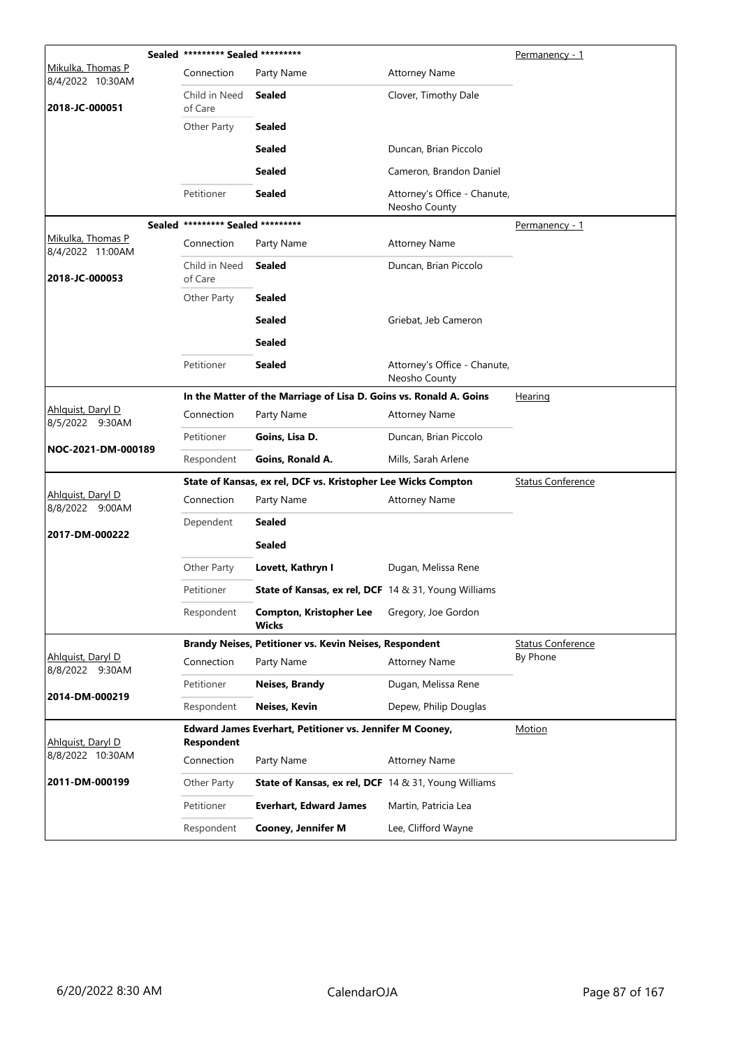|                                       | Sealed ********* Sealed ********* |                                                                    |                                               | <u>Permanency - 1</u>    |
|---------------------------------------|-----------------------------------|--------------------------------------------------------------------|-----------------------------------------------|--------------------------|
| Mikulka, Thomas P<br>8/4/2022 10:30AM | Connection                        | Party Name                                                         | <b>Attorney Name</b>                          |                          |
| 2018-JC-000051                        | Child in Need<br>of Care          | Sealed                                                             | Clover, Timothy Dale                          |                          |
|                                       | Other Party                       | <b>Sealed</b>                                                      |                                               |                          |
|                                       |                                   | <b>Sealed</b>                                                      | Duncan, Brian Piccolo                         |                          |
|                                       |                                   | Sealed                                                             | Cameron, Brandon Daniel                       |                          |
|                                       | Petitioner                        | <b>Sealed</b>                                                      | Attorney's Office - Chanute,<br>Neosho County |                          |
|                                       | Sealed ********* Sealed ********* |                                                                    |                                               | Permanency - 1           |
| Mikulka, Thomas P<br>8/4/2022 11:00AM | Connection                        | Party Name                                                         | <b>Attorney Name</b>                          |                          |
| 2018-JC-000053                        | Child in Need<br>of Care          | <b>Sealed</b>                                                      | Duncan, Brian Piccolo                         |                          |
|                                       | Other Party                       | <b>Sealed</b>                                                      |                                               |                          |
|                                       |                                   | <b>Sealed</b>                                                      | Griebat, Jeb Cameron                          |                          |
|                                       |                                   | <b>Sealed</b>                                                      |                                               |                          |
|                                       | Petitioner                        | <b>Sealed</b>                                                      | Attorney's Office - Chanute,<br>Neosho County |                          |
|                                       |                                   | In the Matter of the Marriage of Lisa D. Goins vs. Ronald A. Goins |                                               | Hearing                  |
| Ahlquist, Daryl D<br>8/5/2022 9:30AM  | Connection                        | Party Name                                                         | <b>Attorney Name</b>                          |                          |
|                                       | Petitioner                        | Goins, Lisa D.                                                     | Duncan, Brian Piccolo                         |                          |
| NOC-2021-DM-000189                    | Respondent                        | Goins, Ronald A.                                                   | Mills, Sarah Arlene                           |                          |
|                                       |                                   | State of Kansas, ex rel, DCF vs. Kristopher Lee Wicks Compton      |                                               | <b>Status Conference</b> |
| Ahlquist, Daryl D<br>8/8/2022 9:00AM  | Connection                        | Party Name                                                         | <b>Attorney Name</b>                          |                          |
|                                       | Dependent                         | Sealed                                                             |                                               |                          |
| 2017-DM-000222                        |                                   | <b>Sealed</b>                                                      |                                               |                          |
|                                       | Other Party                       | Lovett, Kathryn I                                                  | Dugan, Melissa Rene                           |                          |
|                                       | Petitioner                        | <b>State of Kansas, ex rel, DCF</b> 14 & 31, Young Williams        |                                               |                          |
|                                       | Respondent                        | <b>Compton, Kristopher Lee</b><br><b>Wicks</b>                     | Gregory, Joe Gordon                           |                          |
|                                       |                                   | Brandy Neises, Petitioner vs. Kevin Neises, Respondent             |                                               | <b>Status Conference</b> |
| Ahlquist, Daryl D<br>8/8/2022 9:30AM  | Connection                        | Party Name                                                         | <b>Attorney Name</b>                          | By Phone                 |
| 2014-DM-000219                        | Petitioner                        | Neises, Brandy                                                     | Dugan, Melissa Rene                           |                          |
|                                       | Respondent                        | Neises, Kevin                                                      | Depew, Philip Douglas                         |                          |
| Ahlquist, Daryl D                     | <b>Respondent</b>                 | Edward James Everhart, Petitioner vs. Jennifer M Cooney,           | Motion                                        |                          |
| 8/8/2022 10:30AM                      | Connection                        | Party Name                                                         | <b>Attorney Name</b>                          |                          |
| 2011-DM-000199                        | Other Party                       | <b>State of Kansas, ex rel, DCF</b> 14 & 31, Young Williams        |                                               |                          |
|                                       | Petitioner                        | <b>Everhart, Edward James</b>                                      | Martin, Patricia Lea                          |                          |
|                                       | Respondent                        | <b>Cooney, Jennifer M</b>                                          | Lee, Clifford Wayne                           |                          |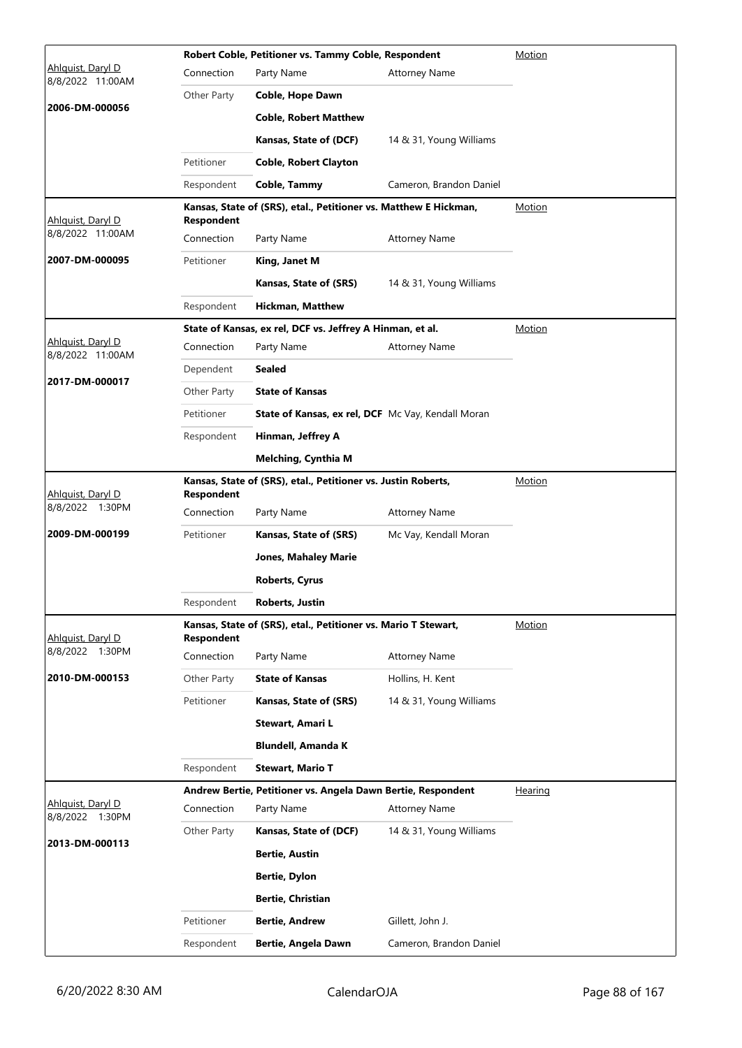|                                       | Motion            |                                                                  |                         |               |
|---------------------------------------|-------------------|------------------------------------------------------------------|-------------------------|---------------|
| Ahlguist, Daryl D<br>8/8/2022 11:00AM | Connection        | Party Name                                                       | <b>Attorney Name</b>    |               |
|                                       | Other Party       | Coble, Hope Dawn                                                 |                         |               |
| 2006-DM-000056                        |                   | <b>Coble, Robert Matthew</b>                                     |                         |               |
|                                       |                   | Kansas, State of (DCF)                                           | 14 & 31, Young Williams |               |
|                                       | Petitioner        | <b>Coble, Robert Clayton</b>                                     |                         |               |
|                                       | Respondent        | Coble, Tammy                                                     | Cameron, Brandon Daniel |               |
|                                       |                   | Kansas, State of (SRS), etal., Petitioner vs. Matthew E Hickman, |                         | Motion        |
| Ahlguist, Daryl D<br>8/8/2022 11:00AM | Respondent        |                                                                  |                         |               |
|                                       | Connection        | Party Name                                                       | <b>Attorney Name</b>    |               |
| 2007-DM-000095                        | Petitioner        | King, Janet M                                                    |                         |               |
|                                       |                   | Kansas, State of (SRS)                                           | 14 & 31, Young Williams |               |
|                                       | Respondent        | <b>Hickman, Matthew</b>                                          |                         |               |
| Ahlquist, Daryl D                     |                   | State of Kansas, ex rel, DCF vs. Jeffrey A Hinman, et al.        |                         | <b>Motion</b> |
| 8/8/2022 11:00AM                      | Connection        | Party Name                                                       | <b>Attorney Name</b>    |               |
| 2017-DM-000017                        | Dependent         | <b>Sealed</b>                                                    |                         |               |
|                                       | Other Party       | <b>State of Kansas</b>                                           |                         |               |
|                                       | Petitioner        | State of Kansas, ex rel, DCF Mc Vay, Kendall Moran               |                         |               |
|                                       | Respondent        | Hinman, Jeffrey A                                                |                         |               |
|                                       |                   | <b>Melching, Cynthia M</b>                                       |                         |               |
| Ahlquist, Daryl D                     | Respondent        | Kansas, State of (SRS), etal., Petitioner vs. Justin Roberts,    |                         | Motion        |
| 8/8/2022 1:30PM                       | Connection        | Party Name                                                       | <b>Attorney Name</b>    |               |
| 2009-DM-000199                        | Petitioner        | Kansas, State of (SRS)                                           | Mc Vay, Kendall Moran   |               |
|                                       |                   | <b>Jones, Mahaley Marie</b>                                      |                         |               |
|                                       |                   | <b>Roberts, Cyrus</b>                                            |                         |               |
|                                       | Respondent        | <b>Roberts, Justin</b>                                           |                         |               |
|                                       |                   | Kansas, State of (SRS), etal., Petitioner vs. Mario T Stewart,   |                         | Motion        |
| Ahlquist, Daryl D                     | <b>Respondent</b> |                                                                  |                         |               |
| 8/8/2022 1:30PM                       | Connection        | Party Name                                                       | <b>Attorney Name</b>    |               |
| 2010-DM-000153                        | Other Party       | <b>State of Kansas</b>                                           | Hollins, H. Kent        |               |
|                                       | Petitioner        | Kansas, State of (SRS)                                           | 14 & 31, Young Williams |               |
|                                       |                   | Stewart, Amari L                                                 |                         |               |
|                                       |                   | <b>Blundell, Amanda K</b>                                        |                         |               |
|                                       | Respondent        | <b>Stewart, Mario T</b>                                          |                         |               |
|                                       |                   | Andrew Bertie, Petitioner vs. Angela Dawn Bertie, Respondent     |                         | Hearing       |
| Ahlquist, Daryl D<br>8/8/2022 1:30PM  | Connection        | Party Name                                                       | <b>Attorney Name</b>    |               |
|                                       | Other Party       | Kansas, State of (DCF)                                           | 14 & 31, Young Williams |               |
| 2013-DM-000113                        |                   | <b>Bertie, Austin</b>                                            |                         |               |
|                                       |                   | <b>Bertie, Dylon</b>                                             |                         |               |
|                                       |                   | <b>Bertie, Christian</b>                                         |                         |               |
|                                       | Petitioner        | <b>Bertie, Andrew</b>                                            | Gillett, John J.        |               |
|                                       | Respondent        | Bertie, Angela Dawn                                              | Cameron, Brandon Daniel |               |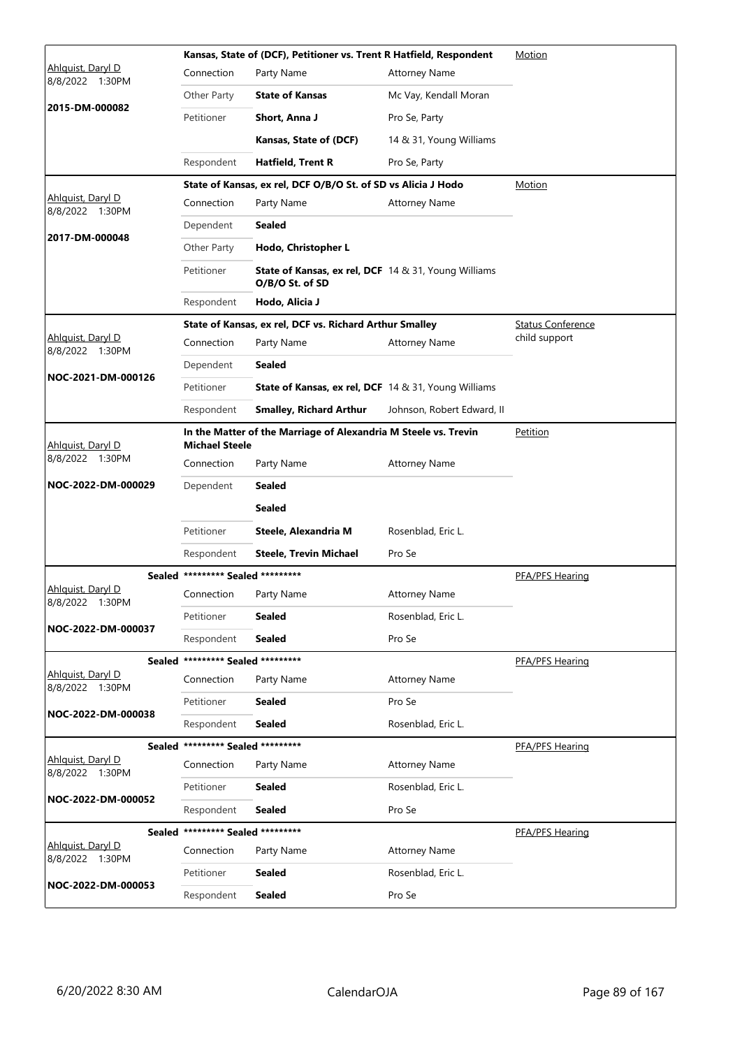|                                                                                                               |                                   | Kansas, State of (DCF), Petitioner vs. Trent R Hatfield, Respondent            | Motion                     |                          |
|---------------------------------------------------------------------------------------------------------------|-----------------------------------|--------------------------------------------------------------------------------|----------------------------|--------------------------|
| Ahlguist, Daryl D<br>8/8/2022<br>1:30PM                                                                       | Connection                        | Party Name                                                                     | <b>Attorney Name</b>       |                          |
|                                                                                                               | Other Party                       | <b>State of Kansas</b>                                                         | Mc Vay, Kendall Moran      |                          |
| 2015-DM-000082                                                                                                | Petitioner                        | Short, Anna J                                                                  | Pro Se, Party              |                          |
|                                                                                                               |                                   | Kansas, State of (DCF)                                                         | 14 & 31, Young Williams    |                          |
|                                                                                                               | Respondent                        | <b>Hatfield, Trent R</b>                                                       | Pro Se, Party              |                          |
|                                                                                                               |                                   | State of Kansas, ex rel, DCF O/B/O St. of SD vs Alicia J Hodo                  |                            | Motion                   |
| Ahlquist, Daryl D<br>8/8/2022<br>1:30PM                                                                       | Connection                        | Party Name                                                                     | <b>Attorney Name</b>       |                          |
| 2017-DM-000048                                                                                                | Dependent                         | <b>Sealed</b>                                                                  |                            |                          |
|                                                                                                               | Other Party                       | Hodo, Christopher L                                                            |                            |                          |
|                                                                                                               | Petitioner                        | <b>State of Kansas, ex rel, DCF</b> 14 & 31, Young Williams<br>O/B/O St. of SD |                            |                          |
|                                                                                                               | Respondent                        | Hodo, Alicia J                                                                 |                            |                          |
|                                                                                                               |                                   | State of Kansas, ex rel, DCF vs. Richard Arthur Smalley                        |                            | <b>Status Conference</b> |
| Ahlguist, Daryl D<br>8/8/2022 1:30PM                                                                          | Connection                        | Party Name                                                                     | <b>Attorney Name</b>       | child support            |
| NOC-2021-DM-000126                                                                                            | Dependent                         | <b>Sealed</b>                                                                  |                            |                          |
|                                                                                                               | Petitioner                        | State of Kansas, ex rel, DCF 14 & 31, Young Williams                           |                            |                          |
|                                                                                                               | Respondent                        | <b>Smalley, Richard Arthur</b>                                                 | Johnson, Robert Edward, II |                          |
| In the Matter of the Marriage of Alexandria M Steele vs. Trevin<br>Ahlquist, Daryl D<br><b>Michael Steele</b> |                                   |                                                                                |                            | Petition                 |
| 8/8/2022 1:30PM                                                                                               | Connection                        | Party Name                                                                     | <b>Attorney Name</b>       |                          |
| NOC-2022-DM-000029                                                                                            | Dependent                         | Sealed                                                                         |                            |                          |
|                                                                                                               |                                   | <b>Sealed</b>                                                                  |                            |                          |
|                                                                                                               | Petitioner                        | Steele, Alexandria M                                                           | Rosenblad, Eric L.         |                          |
|                                                                                                               | Respondent                        | Steele, Trevin Michael                                                         | Pro Se                     |                          |
|                                                                                                               | Sealed ********* Sealed ********* |                                                                                |                            | PFA/PFS Hearing          |
| Ahlquist, Daryl D<br>8/8/2022 1:30PM                                                                          | Connection                        | Party Name                                                                     | <b>Attorney Name</b>       |                          |
|                                                                                                               | Petitioner                        | <b>Sealed</b>                                                                  | Rosenblad, Eric L.         |                          |
| NOC-2022-DM-000037                                                                                            | Respondent                        | <b>Sealed</b>                                                                  | Pro Se                     |                          |
|                                                                                                               | Sealed ********* Sealed ********* |                                                                                |                            | PFA/PFS Hearing          |
| Ahlquist, Daryl D<br>8/8/2022 1:30PM                                                                          | Connection                        | Party Name                                                                     | <b>Attorney Name</b>       |                          |
| NOC-2022-DM-000038                                                                                            | Petitioner                        | <b>Sealed</b>                                                                  | Pro Se                     |                          |
|                                                                                                               | Respondent                        | <b>Sealed</b>                                                                  | Rosenblad, Eric L.         |                          |
|                                                                                                               | Sealed ********* Sealed ********* |                                                                                |                            | PFA/PFS Hearing          |
| Ahlguist, Daryl D<br>8/8/2022 1:30PM                                                                          | Connection                        | Party Name                                                                     | <b>Attorney Name</b>       |                          |
| NOC-2022-DM-000052                                                                                            | Petitioner                        | <b>Sealed</b>                                                                  | Rosenblad, Eric L.         |                          |
|                                                                                                               | Respondent                        | <b>Sealed</b>                                                                  | Pro Se                     |                          |
|                                                                                                               | Sealed ********* Sealed ********* |                                                                                |                            | PFA/PFS Hearing          |
| Ahlquist, Daryl D<br>8/8/2022 1:30PM                                                                          | Connection                        | Party Name                                                                     | <b>Attorney Name</b>       |                          |
| NOC-2022-DM-000053                                                                                            | Petitioner                        | <b>Sealed</b>                                                                  | Rosenblad, Eric L.         |                          |
|                                                                                                               | Respondent                        | <b>Sealed</b>                                                                  | Pro Se                     |                          |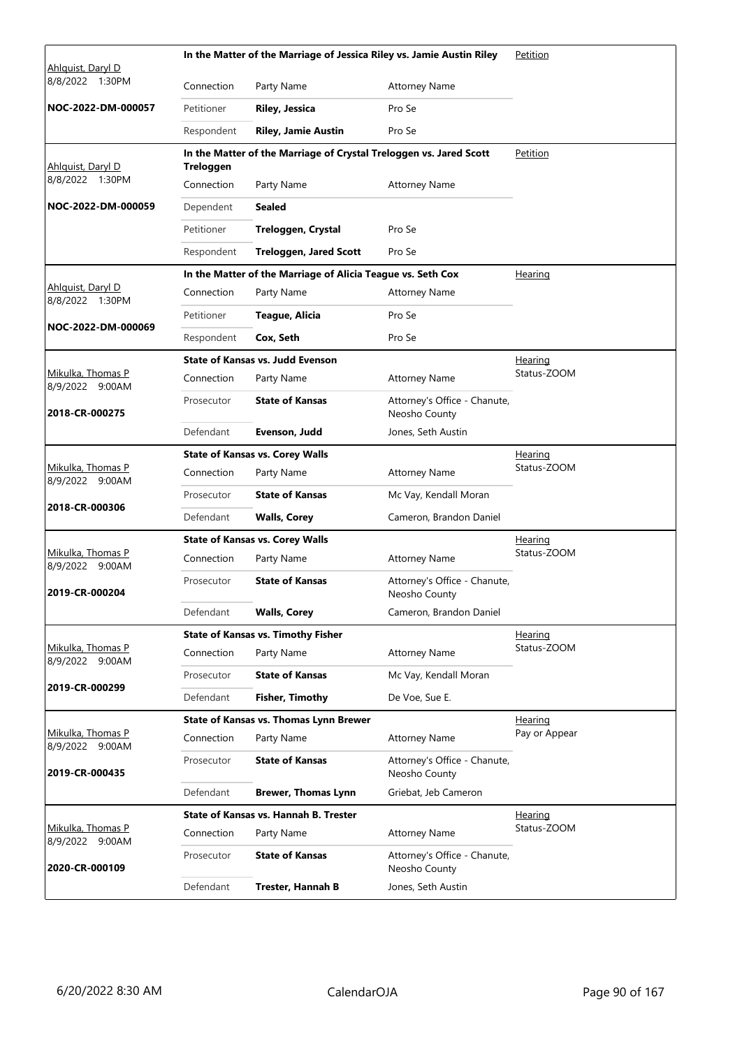|                                      |                  | In the Matter of the Marriage of Jessica Riley vs. Jamie Austin Riley |                                               | Petition        |  |
|--------------------------------------|------------------|-----------------------------------------------------------------------|-----------------------------------------------|-----------------|--|
| Ahlguist, Daryl D<br>8/8/2022 1:30PM | Connection       | Party Name                                                            | <b>Attorney Name</b>                          |                 |  |
| NOC-2022-DM-000057                   | Petitioner       | <b>Riley, Jessica</b>                                                 | Pro Se                                        |                 |  |
|                                      | Respondent       | <b>Riley, Jamie Austin</b>                                            | Pro Se                                        |                 |  |
|                                      |                  | In the Matter of the Marriage of Crystal Treloggen vs. Jared Scott    |                                               | <b>Petition</b> |  |
| Ahlquist, Daryl D                    | <b>Treloggen</b> |                                                                       |                                               |                 |  |
| 8/8/2022 1:30PM                      | Connection       | Party Name                                                            | <b>Attorney Name</b>                          |                 |  |
| NOC-2022-DM-000059                   | Dependent        | <b>Sealed</b>                                                         |                                               |                 |  |
|                                      | Petitioner       | Treloggen, Crystal                                                    | Pro Se                                        |                 |  |
|                                      | Respondent       | <b>Treloggen, Jared Scott</b>                                         | Pro Se                                        |                 |  |
|                                      |                  | In the Matter of the Marriage of Alicia Teague vs. Seth Cox           |                                               | <b>Hearing</b>  |  |
| Ahlquist, Daryl D<br>8/8/2022 1:30PM | Connection       | Party Name                                                            | <b>Attorney Name</b>                          |                 |  |
|                                      | Petitioner       | Teague, Alicia                                                        | Pro Se                                        |                 |  |
| NOC-2022-DM-000069                   | Respondent       | Cox. Seth                                                             | Pro Se                                        |                 |  |
|                                      |                  | <b>State of Kansas vs. Judd Evenson</b>                               |                                               | <u>Hearing</u>  |  |
| Mikulka, Thomas P<br>8/9/2022 9:00AM | Connection       | Party Name                                                            | <b>Attorney Name</b>                          | Status-ZOOM     |  |
| 2018-CR-000275                       | Prosecutor       | <b>State of Kansas</b>                                                | Attorney's Office - Chanute,<br>Neosho County |                 |  |
|                                      | Defendant        | Evenson, Judd                                                         | Jones, Seth Austin                            |                 |  |
|                                      |                  | <b>State of Kansas vs. Corey Walls</b>                                | Hearing                                       |                 |  |
| Mikulka, Thomas P<br>8/9/2022 9:00AM | Connection       | Party Name                                                            | <b>Attorney Name</b>                          | Status-ZOOM     |  |
| 2018-CR-000306                       | Prosecutor       | <b>State of Kansas</b>                                                | Mc Vay, Kendall Moran                         |                 |  |
|                                      | Defendant        | <b>Walls, Corey</b>                                                   | Cameron, Brandon Daniel                       |                 |  |
|                                      |                  | <b>State of Kansas vs. Corey Walls</b>                                |                                               | <u>Hearing</u>  |  |
| Mikulka, Thomas P<br>8/9/2022 9:00AM | Connection       | Party Name                                                            | <b>Attorney Name</b>                          | Status-ZOOM     |  |
| 2019-CR-000204                       | Prosecutor       | <b>State of Kansas</b>                                                | Attorney's Office - Chanute,<br>Neosho County |                 |  |
|                                      | Defendant        | <b>Walls, Corey</b>                                                   | Cameron, Brandon Daniel                       |                 |  |
|                                      |                  | <b>State of Kansas vs. Timothy Fisher</b>                             |                                               | Hearing         |  |
| Mikulka, Thomas P<br>8/9/2022 9:00AM | Connection       | Party Name                                                            | <b>Attorney Name</b>                          | Status-ZOOM     |  |
| 2019-CR-000299                       | Prosecutor       | <b>State of Kansas</b>                                                | Mc Vay, Kendall Moran                         |                 |  |
|                                      | Defendant        | <b>Fisher, Timothy</b>                                                | De Voe, Sue E.                                |                 |  |
|                                      |                  | State of Kansas vs. Thomas Lynn Brewer                                |                                               | <u>Hearing</u>  |  |
| Mikulka, Thomas P<br>8/9/2022 9:00AM | Connection       | Party Name                                                            | <b>Attorney Name</b>                          | Pay or Appear   |  |
| 2019-CR-000435                       | Prosecutor       | <b>State of Kansas</b>                                                | Attorney's Office - Chanute,<br>Neosho County |                 |  |
|                                      | Defendant        | <b>Brewer, Thomas Lynn</b>                                            | Griebat, Jeb Cameron                          |                 |  |
|                                      |                  | State of Kansas vs. Hannah B. Trester                                 |                                               | Hearing         |  |
| Mikulka, Thomas P<br>8/9/2022 9:00AM | Connection       | Party Name                                                            | <b>Attorney Name</b>                          | Status-ZOOM     |  |
| 2020-CR-000109                       | Prosecutor       | <b>State of Kansas</b>                                                | Attorney's Office - Chanute,<br>Neosho County |                 |  |
|                                      | Defendant        | <b>Trester, Hannah B</b>                                              | Jones, Seth Austin                            |                 |  |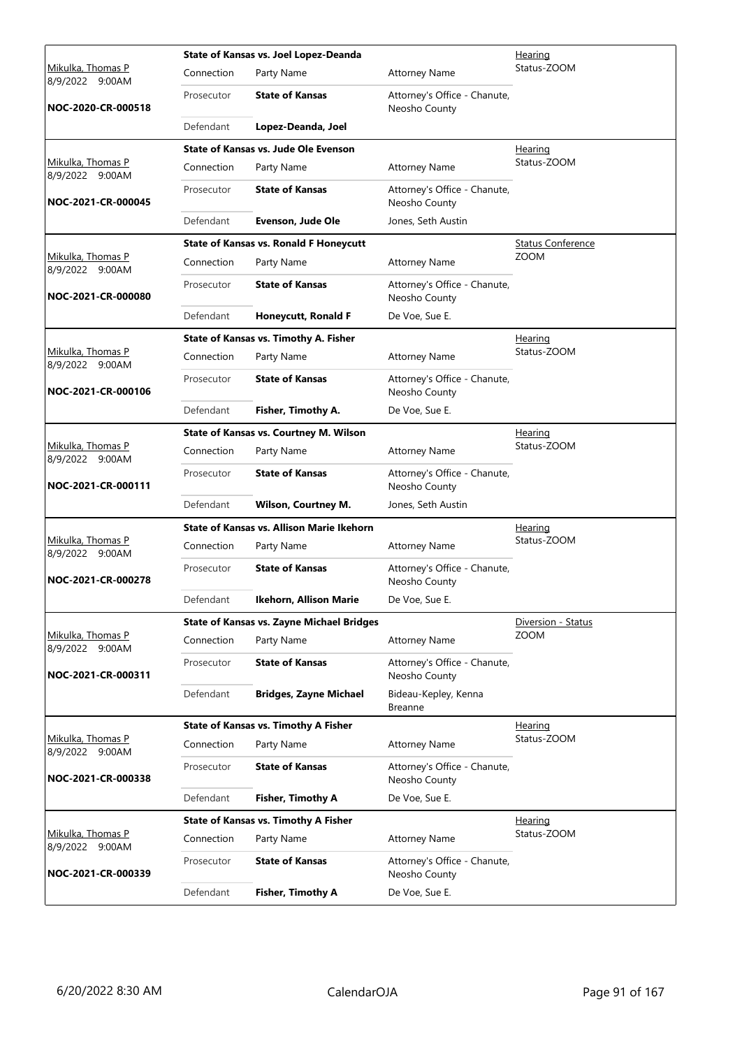|                                      |            | State of Kansas vs. Joel Lopez-Deanda            | Hearing                                       |                          |  |
|--------------------------------------|------------|--------------------------------------------------|-----------------------------------------------|--------------------------|--|
| Mikulka, Thomas P<br>8/9/2022 9:00AM | Connection | Party Name                                       | <b>Attorney Name</b>                          | Status-ZOOM              |  |
| NOC-2020-CR-000518                   | Prosecutor | <b>State of Kansas</b>                           | Attorney's Office - Chanute,<br>Neosho County |                          |  |
|                                      | Defendant  | Lopez-Deanda, Joel                               |                                               |                          |  |
|                                      |            | State of Kansas vs. Jude Ole Evenson             |                                               | <b>Hearing</b>           |  |
| Mikulka, Thomas P<br>8/9/2022 9:00AM | Connection | Party Name                                       | <b>Attorney Name</b>                          | Status-ZOOM              |  |
| NOC-2021-CR-000045                   | Prosecutor | <b>State of Kansas</b>                           | Attorney's Office - Chanute,<br>Neosho County |                          |  |
|                                      | Defendant  | Evenson, Jude Ole                                | Jones, Seth Austin                            |                          |  |
|                                      |            | <b>State of Kansas vs. Ronald F Honeycutt</b>    |                                               | <b>Status Conference</b> |  |
| Mikulka, Thomas P<br>8/9/2022 9:00AM | Connection | Party Name                                       | <b>Attorney Name</b>                          | <b>ZOOM</b>              |  |
| NOC-2021-CR-000080                   | Prosecutor | <b>State of Kansas</b>                           | Attorney's Office - Chanute,<br>Neosho County |                          |  |
|                                      | Defendant  | <b>Honeycutt, Ronald F</b>                       | De Voe, Sue E.                                |                          |  |
|                                      |            | <b>State of Kansas vs. Timothy A. Fisher</b>     |                                               | <u>Hearing</u>           |  |
| Mikulka, Thomas P<br>8/9/2022 9:00AM | Connection | Party Name                                       | <b>Attorney Name</b>                          | Status-ZOOM              |  |
| NOC-2021-CR-000106                   | Prosecutor | <b>State of Kansas</b>                           | Attorney's Office - Chanute,<br>Neosho County |                          |  |
|                                      | Defendant  | Fisher, Timothy A.                               | De Voe, Sue E.                                |                          |  |
|                                      |            | <b>State of Kansas vs. Courtney M. Wilson</b>    |                                               | <u>Hearing</u>           |  |
| Mikulka, Thomas P<br>8/9/2022 9:00AM | Connection | Party Name                                       | <b>Attorney Name</b>                          | Status-ZOOM              |  |
| NOC-2021-CR-000111                   | Prosecutor | <b>State of Kansas</b>                           | Attorney's Office - Chanute,<br>Neosho County |                          |  |
|                                      | Defendant  | <b>Wilson, Courtney M.</b>                       | Jones, Seth Austin                            |                          |  |
|                                      |            | State of Kansas vs. Allison Marie Ikehorn        |                                               | Hearing                  |  |
| Mikulka, Thomas P<br>8/9/2022 9:00AM | Connection | Party Name                                       | <b>Attorney Name</b>                          | Status-ZOOM              |  |
| NOC-2021-CR-000278                   | Prosecutor | <b>State of Kansas</b>                           | Attorney's Office - Chanute,<br>Neosho County |                          |  |
|                                      | Defendant  | Ikehorn, Allison Marie                           | De Voe, Sue E.                                |                          |  |
|                                      |            | <b>State of Kansas vs. Zayne Michael Bridges</b> |                                               | Diversion - Status       |  |
| Mikulka, Thomas P<br>8/9/2022 9:00AM | Connection | Party Name                                       | <b>Attorney Name</b>                          | <b>ZOOM</b>              |  |
| NOC-2021-CR-000311                   | Prosecutor | <b>State of Kansas</b>                           | Attorney's Office - Chanute,<br>Neosho County |                          |  |
|                                      | Defendant  | <b>Bridges, Zayne Michael</b>                    | Bideau-Kepley, Kenna<br><b>Breanne</b>        |                          |  |
|                                      |            | <b>State of Kansas vs. Timothy A Fisher</b>      |                                               | Hearing                  |  |
| Mikulka, Thomas P<br>8/9/2022 9:00AM | Connection | Party Name                                       | <b>Attorney Name</b>                          | Status-ZOOM              |  |
| NOC-2021-CR-000338                   | Prosecutor | <b>State of Kansas</b>                           | Attorney's Office - Chanute,<br>Neosho County |                          |  |
|                                      | Defendant  | <b>Fisher, Timothy A</b>                         | De Voe, Sue E.                                |                          |  |
|                                      |            | <b>State of Kansas vs. Timothy A Fisher</b>      |                                               | <b>Hearing</b>           |  |
| Mikulka, Thomas P<br>8/9/2022 9:00AM | Connection | Party Name                                       | <b>Attorney Name</b>                          | Status-ZOOM              |  |
| NOC-2021-CR-000339                   | Prosecutor | <b>State of Kansas</b>                           | Attorney's Office - Chanute,<br>Neosho County |                          |  |
|                                      | Defendant  | <b>Fisher, Timothy A</b>                         | De Voe, Sue E.                                |                          |  |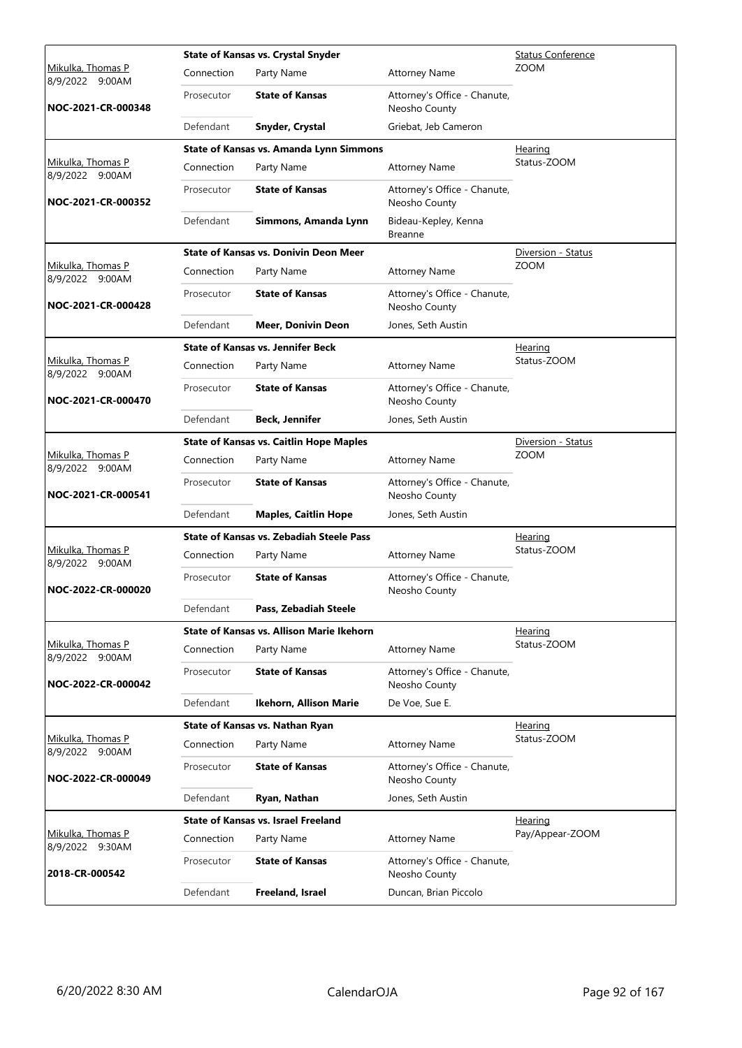|                                      |            | <b>State of Kansas vs. Crystal Snyder</b>       |                                               | <b>Status Conference</b> |
|--------------------------------------|------------|-------------------------------------------------|-----------------------------------------------|--------------------------|
| Mikulka, Thomas P<br>8/9/2022 9:00AM | Connection | Party Name                                      | <b>Attorney Name</b>                          | <b>ZOOM</b>              |
| NOC-2021-CR-000348                   | Prosecutor | <b>State of Kansas</b>                          | Attorney's Office - Chanute,<br>Neosho County |                          |
|                                      | Defendant  | Snyder, Crystal                                 | Griebat, Jeb Cameron                          |                          |
|                                      |            | State of Kansas vs. Amanda Lynn Simmons         |                                               | Hearing                  |
| Mikulka, Thomas P<br>8/9/2022 9:00AM | Connection | Party Name                                      | <b>Attorney Name</b>                          | Status-ZOOM              |
| NOC-2021-CR-000352                   | Prosecutor | <b>State of Kansas</b>                          | Attorney's Office - Chanute,<br>Neosho County |                          |
|                                      | Defendant  | Simmons, Amanda Lynn                            | Bideau-Kepley, Kenna<br><b>Breanne</b>        |                          |
|                                      |            | <b>State of Kansas vs. Donivin Deon Meer</b>    |                                               | Diversion - Status       |
| Mikulka, Thomas P<br>8/9/2022 9:00AM | Connection | Party Name                                      | <b>Attorney Name</b>                          | <b>ZOOM</b>              |
| NOC-2021-CR-000428                   | Prosecutor | <b>State of Kansas</b>                          | Attorney's Office - Chanute,<br>Neosho County |                          |
|                                      | Defendant  | <b>Meer, Donivin Deon</b>                       | Jones, Seth Austin                            |                          |
|                                      |            | <b>State of Kansas vs. Jennifer Beck</b>        |                                               | <u>Hearing</u>           |
| Mikulka, Thomas P<br>8/9/2022 9:00AM | Connection | Party Name                                      | <b>Attorney Name</b>                          | Status-ZOOM              |
| NOC-2021-CR-000470                   | Prosecutor | <b>State of Kansas</b>                          | Attorney's Office - Chanute,<br>Neosho County |                          |
|                                      | Defendant  | <b>Beck, Jennifer</b>                           | Jones, Seth Austin                            |                          |
|                                      |            | <b>State of Kansas vs. Caitlin Hope Maples</b>  |                                               | Diversion - Status       |
| Mikulka, Thomas P<br>8/9/2022 9:00AM | Connection | Party Name                                      | <b>Attorney Name</b>                          | <b>ZOOM</b>              |
| NOC-2021-CR-000541                   | Prosecutor | <b>State of Kansas</b>                          | Attorney's Office - Chanute,<br>Neosho County |                          |
|                                      | Defendant  | <b>Maples, Caitlin Hope</b>                     | Jones, Seth Austin                            |                          |
|                                      |            | <b>State of Kansas vs. Zebadiah Steele Pass</b> |                                               | <b>Hearing</b>           |
| Mikulka, Thomas P<br>8/9/2022 9:00AM | Connection | Party Name                                      | <b>Attorney Name</b>                          | Status-ZOOM              |
| NOC-2022-CR-000020                   | Prosecutor | <b>State of Kansas</b>                          | Attorney's Office - Chanute,<br>Neosho County |                          |
|                                      | Defendant  | Pass, Zebadiah Steele                           |                                               |                          |
|                                      |            | State of Kansas vs. Allison Marie Ikehorn       |                                               | <u>Hearing</u>           |
| Mikulka, Thomas P<br>8/9/2022 9:00AM | Connection | Party Name                                      | <b>Attorney Name</b>                          | Status-ZOOM              |
| NOC-2022-CR-000042                   | Prosecutor | <b>State of Kansas</b>                          | Attorney's Office - Chanute,<br>Neosho County |                          |
|                                      | Defendant  | Ikehorn, Allison Marie                          | De Voe, Sue E.                                |                          |
|                                      |            | State of Kansas vs. Nathan Ryan                 |                                               | Hearing                  |
| Mikulka, Thomas P<br>8/9/2022 9:00AM | Connection | Party Name                                      | <b>Attorney Name</b>                          | Status-ZOOM              |
| NOC-2022-CR-000049                   | Prosecutor | <b>State of Kansas</b>                          | Attorney's Office - Chanute,<br>Neosho County |                          |
|                                      | Defendant  | Ryan, Nathan                                    | Jones, Seth Austin                            |                          |
|                                      |            | <b>State of Kansas vs. Israel Freeland</b>      |                                               | <b>Hearing</b>           |
| Mikulka, Thomas P<br>8/9/2022 9:30AM | Connection | Party Name                                      | <b>Attorney Name</b>                          | Pay/Appear-ZOOM          |
| 2018-CR-000542                       | Prosecutor | <b>State of Kansas</b>                          | Attorney's Office - Chanute,<br>Neosho County |                          |
|                                      | Defendant  | Freeland, Israel                                | Duncan, Brian Piccolo                         |                          |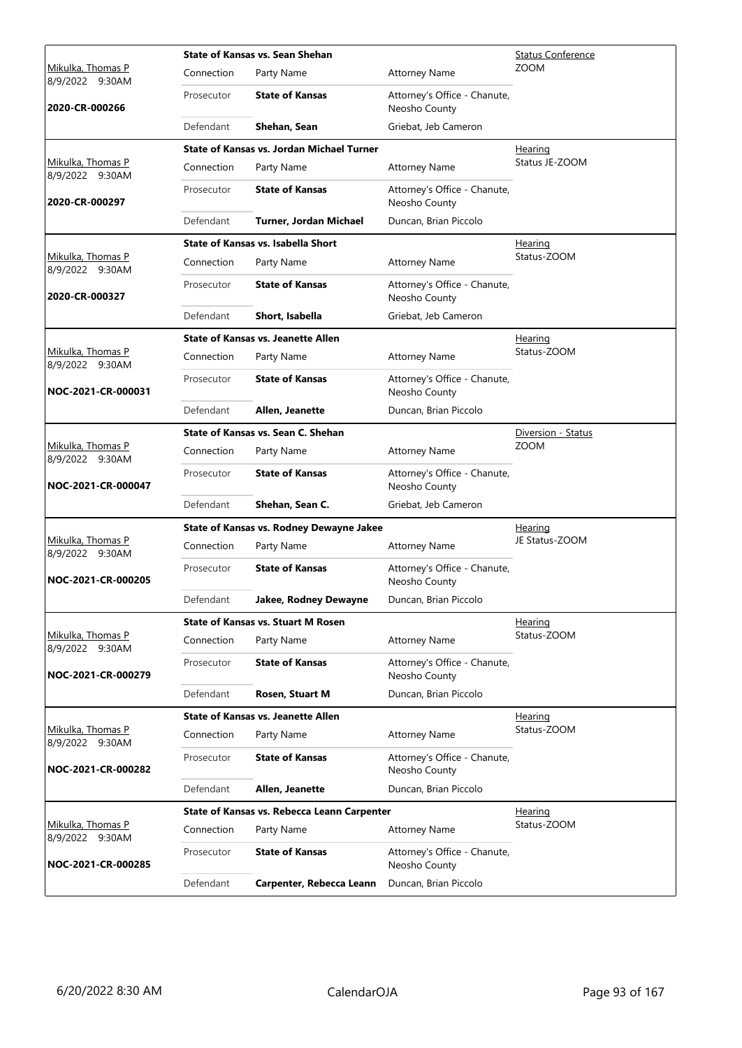|                                             |            | State of Kansas vs. Sean Shehan                  |                                               | <b>Status Conference</b> |
|---------------------------------------------|------------|--------------------------------------------------|-----------------------------------------------|--------------------------|
| Mikulka, Thomas P<br>8/9/2022 9:30AM        | Connection | Party Name                                       | <b>Attorney Name</b>                          | <b>ZOOM</b>              |
| 2020-CR-000266                              | Prosecutor | <b>State of Kansas</b>                           | Attorney's Office - Chanute,<br>Neosho County |                          |
|                                             | Defendant  | Shehan, Sean                                     | Griebat, Jeb Cameron                          |                          |
|                                             |            | <b>State of Kansas vs. Jordan Michael Turner</b> |                                               | Hearing                  |
| Mikulka, Thomas P<br>8/9/2022 9:30AM        | Connection | Party Name                                       | <b>Attorney Name</b>                          | Status JE-ZOOM           |
| 2020-CR-000297                              | Prosecutor | <b>State of Kansas</b>                           | Attorney's Office - Chanute,<br>Neosho County |                          |
|                                             | Defendant  | Turner, Jordan Michael                           | Duncan, Brian Piccolo                         |                          |
|                                             |            | State of Kansas vs. Isabella Short               |                                               | <u>Hearing</u>           |
| Mikulka, Thomas P<br>8/9/2022 9:30AM        | Connection | Party Name                                       | <b>Attorney Name</b>                          | Status-ZOOM              |
| 2020-CR-000327                              | Prosecutor | <b>State of Kansas</b>                           | Attorney's Office - Chanute,<br>Neosho County |                          |
|                                             | Defendant  | Short, Isabella                                  | Griebat, Jeb Cameron                          |                          |
|                                             |            | <b>State of Kansas vs. Jeanette Allen</b>        |                                               | Hearing                  |
| <u>Mikulka, Thomas P</u><br>8/9/2022 9:30AM | Connection | Party Name                                       | <b>Attorney Name</b>                          | Status-ZOOM              |
| NOC-2021-CR-000031                          | Prosecutor | <b>State of Kansas</b>                           | Attorney's Office - Chanute,<br>Neosho County |                          |
|                                             | Defendant  | Allen, Jeanette                                  | Duncan, Brian Piccolo                         |                          |
|                                             |            | State of Kansas vs. Sean C. Shehan               |                                               | Diversion - Status       |
| Mikulka, Thomas P<br>8/9/2022 9:30AM        | Connection | Party Name                                       | <b>Attorney Name</b>                          | <b>ZOOM</b>              |
| NOC-2021-CR-000047                          | Prosecutor | <b>State of Kansas</b>                           | Attorney's Office - Chanute,<br>Neosho County |                          |
|                                             | Defendant  | Shehan, Sean C.                                  | Griebat, Jeb Cameron                          |                          |
|                                             |            | State of Kansas vs. Rodney Dewayne Jakee         |                                               | <b>Hearing</b>           |
| Mikulka, Thomas P<br>8/9/2022 9:30AM        | Connection | Party Name                                       | <b>Attorney Name</b>                          | JE Status-ZOOM           |
| NOC-2021-CR-000205                          | Prosecutor | <b>State of Kansas</b>                           | Attorney's Office - Chanute,<br>Neosho County |                          |
|                                             | Defendant  | Jakee, Rodney Dewayne                            | Duncan, Brian Piccolo                         |                          |
|                                             |            | <b>State of Kansas vs. Stuart M Rosen</b>        |                                               | Hearing                  |
| Mikulka, Thomas P<br>8/9/2022 9:30AM        | Connection | Party Name                                       | <b>Attorney Name</b>                          | Status-ZOOM              |
| NOC-2021-CR-000279                          | Prosecutor | <b>State of Kansas</b>                           | Attorney's Office - Chanute,<br>Neosho County |                          |
|                                             | Defendant  | Rosen, Stuart M                                  | Duncan, Brian Piccolo                         |                          |
|                                             |            | <b>State of Kansas vs. Jeanette Allen</b>        |                                               | Hearing                  |
| Mikulka, Thomas P<br>8/9/2022 9:30AM        | Connection | Party Name                                       | <b>Attorney Name</b>                          | Status-ZOOM              |
| NOC-2021-CR-000282                          | Prosecutor | <b>State of Kansas</b>                           | Attorney's Office - Chanute,<br>Neosho County |                          |
|                                             | Defendant  | Allen, Jeanette                                  | Duncan, Brian Piccolo                         |                          |
|                                             |            | State of Kansas vs. Rebecca Leann Carpenter      |                                               | <b>Hearing</b>           |
| Mikulka, Thomas P<br>8/9/2022 9:30AM        | Connection | Party Name                                       | <b>Attorney Name</b>                          | Status-ZOOM              |
| NOC-2021-CR-000285                          | Prosecutor | <b>State of Kansas</b>                           | Attorney's Office - Chanute,<br>Neosho County |                          |
|                                             | Defendant  | Carpenter, Rebecca Leann                         | Duncan, Brian Piccolo                         |                          |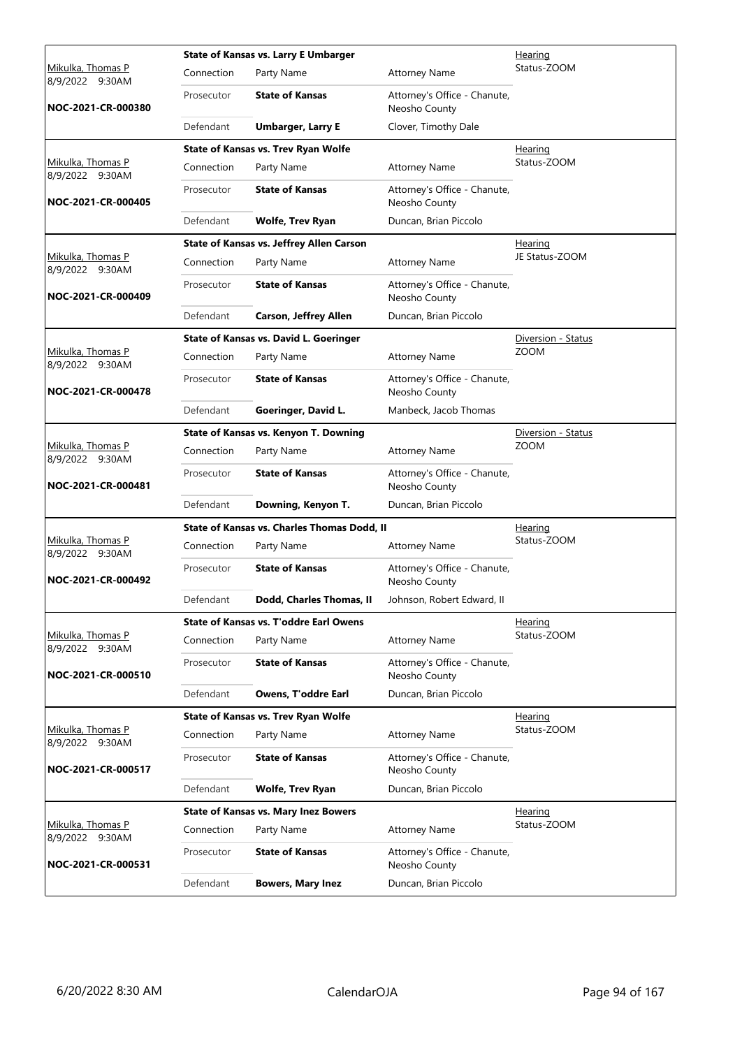|                                             |            | <b>State of Kansas vs. Larry E Umbarger</b>  |                                               | Hearing            |
|---------------------------------------------|------------|----------------------------------------------|-----------------------------------------------|--------------------|
| Mikulka, Thomas P<br>8/9/2022 9:30AM        | Connection | Party Name                                   | <b>Attorney Name</b>                          | Status-ZOOM        |
| NOC-2021-CR-000380                          | Prosecutor | <b>State of Kansas</b>                       | Attorney's Office - Chanute,<br>Neosho County |                    |
|                                             | Defendant  | <b>Umbarger, Larry E</b>                     | Clover, Timothy Dale                          |                    |
|                                             |            | State of Kansas vs. Trev Ryan Wolfe          |                                               | Hearing            |
| Mikulka, Thomas P<br>8/9/2022 9:30AM        | Connection | Party Name                                   | <b>Attorney Name</b>                          | Status-ZOOM        |
| NOC-2021-CR-000405                          | Prosecutor | <b>State of Kansas</b>                       | Attorney's Office - Chanute,<br>Neosho County |                    |
|                                             | Defendant  | <b>Wolfe, Trev Ryan</b>                      | Duncan, Brian Piccolo                         |                    |
|                                             |            | State of Kansas vs. Jeffrey Allen Carson     |                                               | <b>Hearing</b>     |
| Mikulka, Thomas P<br>8/9/2022 9:30AM        | Connection | Party Name                                   | <b>Attorney Name</b>                          | JE Status-ZOOM     |
| NOC-2021-CR-000409                          | Prosecutor | <b>State of Kansas</b>                       | Attorney's Office - Chanute,<br>Neosho County |                    |
|                                             | Defendant  | <b>Carson, Jeffrey Allen</b>                 | Duncan, Brian Piccolo                         |                    |
|                                             |            | State of Kansas vs. David L. Goeringer       |                                               | Diversion - Status |
| <u>Mikulka, Thomas P</u><br>8/9/2022 9:30AM | Connection | Party Name                                   | <b>Attorney Name</b>                          | <b>ZOOM</b>        |
| NOC-2021-CR-000478                          | Prosecutor | <b>State of Kansas</b>                       | Attorney's Office - Chanute,<br>Neosho County |                    |
|                                             | Defendant  | Goeringer, David L.                          | Manbeck, Jacob Thomas                         |                    |
|                                             |            | <b>State of Kansas vs. Kenyon T. Downing</b> |                                               | Diversion - Status |
| Mikulka, Thomas P<br>8/9/2022 9:30AM        | Connection | Party Name                                   | <b>Attorney Name</b>                          | <b>ZOOM</b>        |
| NOC-2021-CR-000481                          | Prosecutor | <b>State of Kansas</b>                       | Attorney's Office - Chanute,<br>Neosho County |                    |
|                                             | Defendant  | Downing, Kenyon T.                           | Duncan, Brian Piccolo                         |                    |
|                                             |            | State of Kansas vs. Charles Thomas Dodd, II  |                                               | <b>Hearing</b>     |
| Mikulka, Thomas P<br>8/9/2022 9:30AM        | Connection | Party Name                                   | <b>Attorney Name</b>                          | Status-ZOOM        |
| NOC-2021-CR-000492                          | Prosecutor | <b>State of Kansas</b>                       | Attorney's Office - Chanute,<br>Neosho County |                    |
|                                             | Defendant  | Dodd, Charles Thomas, II                     | Johnson, Robert Edward, II                    |                    |
|                                             |            | State of Kansas vs. T'oddre Earl Owens       |                                               | Hearing            |
| Mikulka, Thomas P<br>8/9/2022 9:30AM        | Connection | Party Name                                   | <b>Attorney Name</b>                          | Status-ZOOM        |
| NOC-2021-CR-000510                          | Prosecutor | <b>State of Kansas</b>                       | Attorney's Office - Chanute,<br>Neosho County |                    |
|                                             | Defendant  | Owens, T'oddre Earl                          | Duncan, Brian Piccolo                         |                    |
|                                             |            | State of Kansas vs. Trev Ryan Wolfe          |                                               | <b>Hearing</b>     |
| Mikulka, Thomas P<br>8/9/2022 9:30AM        | Connection | Party Name                                   | <b>Attorney Name</b>                          | Status-ZOOM        |
| NOC-2021-CR-000517                          | Prosecutor | <b>State of Kansas</b>                       | Attorney's Office - Chanute,<br>Neosho County |                    |
|                                             | Defendant  | <b>Wolfe, Trev Ryan</b>                      | Duncan, Brian Piccolo                         |                    |
|                                             |            | <b>State of Kansas vs. Mary Inez Bowers</b>  |                                               | <u>Hearing</u>     |
| Mikulka, Thomas P<br>8/9/2022 9:30AM        | Connection | Party Name                                   | <b>Attorney Name</b>                          | Status-ZOOM        |
| NOC-2021-CR-000531                          | Prosecutor | <b>State of Kansas</b>                       | Attorney's Office - Chanute,<br>Neosho County |                    |
|                                             | Defendant  | <b>Bowers, Mary Inez</b>                     | Duncan, Brian Piccolo                         |                    |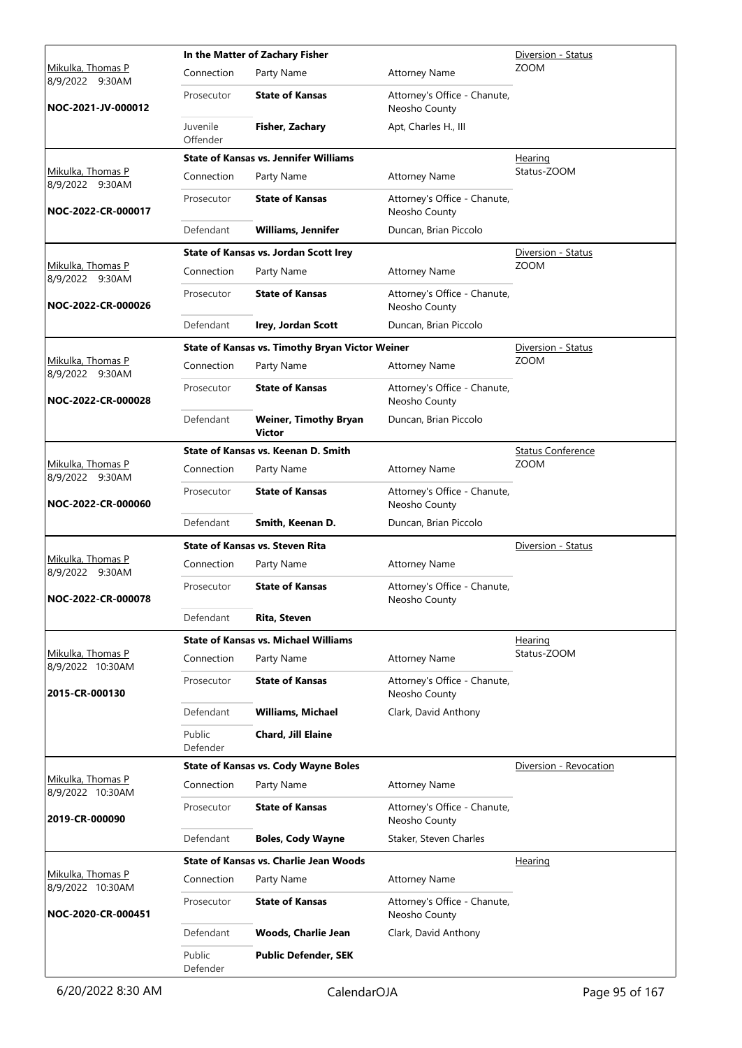|                                       |                      | In the Matter of Zachary Fisher                 | Diversion - Status                            |                          |
|---------------------------------------|----------------------|-------------------------------------------------|-----------------------------------------------|--------------------------|
| Mikulka, Thomas P<br>8/9/2022 9:30AM  | Connection           | Party Name                                      | <b>Attorney Name</b>                          | <b>ZOOM</b>              |
| NOC-2021-JV-000012                    | Prosecutor           | <b>State of Kansas</b>                          | Attorney's Office - Chanute,<br>Neosho County |                          |
|                                       | Juvenile<br>Offender | Fisher, Zachary                                 | Apt, Charles H., III                          |                          |
|                                       |                      | <b>State of Kansas vs. Jennifer Williams</b>    |                                               | <u>Hearing</u>           |
| Mikulka, Thomas P<br>8/9/2022 9:30AM  | Connection           | Party Name                                      | <b>Attorney Name</b>                          | Status-ZOOM              |
| NOC-2022-CR-000017                    | Prosecutor           | <b>State of Kansas</b>                          | Attorney's Office - Chanute,<br>Neosho County |                          |
|                                       | Defendant            | <b>Williams, Jennifer</b>                       | Duncan, Brian Piccolo                         |                          |
|                                       |                      | State of Kansas vs. Jordan Scott Irey           |                                               | Diversion - Status       |
| Mikulka, Thomas P<br>8/9/2022 9:30AM  | Connection           | Party Name                                      | <b>Attorney Name</b>                          | <b>ZOOM</b>              |
| NOC-2022-CR-000026                    | Prosecutor           | <b>State of Kansas</b>                          | Attorney's Office - Chanute,<br>Neosho County |                          |
|                                       | Defendant            | <b>Irey, Jordan Scott</b>                       | Duncan, Brian Piccolo                         |                          |
|                                       |                      | State of Kansas vs. Timothy Bryan Victor Weiner |                                               | Diversion - Status       |
| Mikulka, Thomas P<br>8/9/2022 9:30AM  | Connection           | Party Name                                      | <b>Attorney Name</b>                          | <b>ZOOM</b>              |
| NOC-2022-CR-000028                    | Prosecutor           | <b>State of Kansas</b>                          | Attorney's Office - Chanute,<br>Neosho County |                          |
|                                       | Defendant            | <b>Weiner, Timothy Bryan</b><br><b>Victor</b>   | Duncan, Brian Piccolo                         |                          |
|                                       |                      | State of Kansas vs. Keenan D. Smith             |                                               | <b>Status Conference</b> |
| Mikulka, Thomas P<br>8/9/2022 9:30AM  | Connection           | Party Name                                      | <b>Attorney Name</b>                          | <b>ZOOM</b>              |
| NOC-2022-CR-000060                    | Prosecutor           | <b>State of Kansas</b>                          | Attorney's Office - Chanute,<br>Neosho County |                          |
|                                       | Defendant            | Smith, Keenan D.                                | Duncan, Brian Piccolo                         |                          |
|                                       |                      | <b>State of Kansas vs. Steven Rita</b>          |                                               | Diversion - Status       |
| Mikulka, Thomas P<br>8/9/2022 9:30AM  | Connection           | Party Name                                      | <b>Attorney Name</b>                          |                          |
| NOC-2022-CR-000078                    | Prosecutor           | <b>State of Kansas</b>                          | Attorney's Office - Chanute,<br>Neosho County |                          |
|                                       | Defendant            | Rita, Steven                                    |                                               |                          |
|                                       |                      | <b>State of Kansas vs. Michael Williams</b>     |                                               | Hearing                  |
| Mikulka, Thomas P<br>8/9/2022 10:30AM | Connection           | Party Name                                      | <b>Attorney Name</b>                          | Status-ZOOM              |
| 2015-CR-000130                        | Prosecutor           | <b>State of Kansas</b>                          | Attorney's Office - Chanute,<br>Neosho County |                          |
|                                       | Defendant            | <b>Williams, Michael</b>                        | Clark, David Anthony                          |                          |
|                                       | Public<br>Defender   | Chard, Jill Elaine                              |                                               |                          |
|                                       |                      | <b>State of Kansas vs. Cody Wayne Boles</b>     |                                               | Diversion - Revocation   |
| Mikulka, Thomas P<br>8/9/2022 10:30AM | Connection           | Party Name                                      | <b>Attorney Name</b>                          |                          |
| 2019-CR-000090                        | Prosecutor           | <b>State of Kansas</b>                          | Attorney's Office - Chanute,<br>Neosho County |                          |
|                                       | Defendant            | <b>Boles, Cody Wayne</b>                        | Staker, Steven Charles                        |                          |
|                                       |                      | State of Kansas vs. Charlie Jean Woods          |                                               | Hearing                  |
| Mikulka, Thomas P<br>8/9/2022 10:30AM | Connection           | Party Name                                      | <b>Attorney Name</b>                          |                          |
| NOC-2020-CR-000451                    | Prosecutor           | <b>State of Kansas</b>                          | Attorney's Office - Chanute,<br>Neosho County |                          |
|                                       | Defendant            | <b>Woods, Charlie Jean</b>                      | Clark, David Anthony                          |                          |
|                                       | Public<br>Defender   | <b>Public Defender, SEK</b>                     |                                               |                          |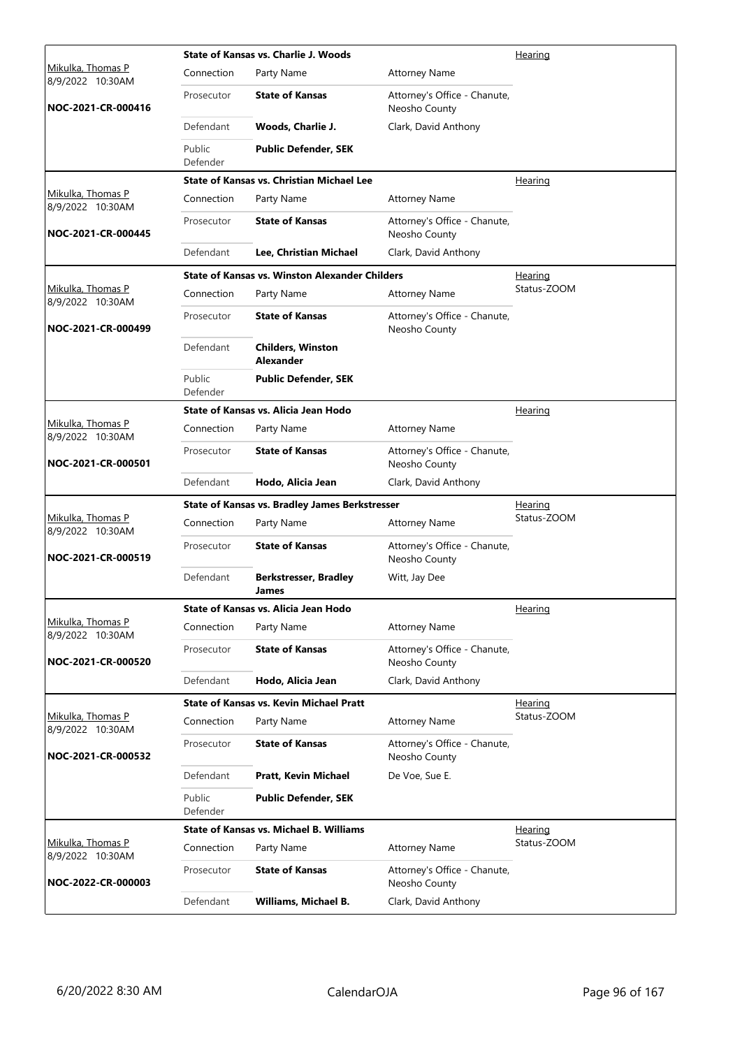|                                       |                    | State of Kansas vs. Charlie J. Woods                  |                                               | <u>Hearing</u> |
|---------------------------------------|--------------------|-------------------------------------------------------|-----------------------------------------------|----------------|
| Mikulka, Thomas P<br>8/9/2022 10:30AM | Connection         | Party Name                                            | <b>Attorney Name</b>                          |                |
| NOC-2021-CR-000416                    | Prosecutor         | <b>State of Kansas</b>                                | Attorney's Office - Chanute,<br>Neosho County |                |
|                                       | Defendant          | Woods, Charlie J.                                     | Clark, David Anthony                          |                |
|                                       | Public<br>Defender | <b>Public Defender, SEK</b>                           |                                               |                |
|                                       |                    | <b>State of Kansas vs. Christian Michael Lee</b>      |                                               | Hearing        |
| Mikulka, Thomas P<br>8/9/2022 10:30AM | Connection         | Party Name                                            | <b>Attorney Name</b>                          |                |
| NOC-2021-CR-000445                    | Prosecutor         | <b>State of Kansas</b>                                | Attorney's Office - Chanute,<br>Neosho County |                |
|                                       | Defendant          | Lee, Christian Michael                                | Clark, David Anthony                          |                |
|                                       |                    | <b>State of Kansas vs. Winston Alexander Childers</b> |                                               | Hearing        |
| Mikulka, Thomas P<br>8/9/2022 10:30AM | Connection         | Party Name                                            | <b>Attorney Name</b>                          | Status-ZOOM    |
| NOC-2021-CR-000499                    | Prosecutor         | <b>State of Kansas</b>                                | Attorney's Office - Chanute,<br>Neosho County |                |
|                                       | Defendant          | <b>Childers. Winston</b><br><b>Alexander</b>          |                                               |                |
|                                       | Public<br>Defender | <b>Public Defender, SEK</b>                           |                                               |                |
|                                       |                    | State of Kansas vs. Alicia Jean Hodo                  |                                               | Hearing        |
| Mikulka, Thomas P<br>8/9/2022 10:30AM | Connection         | Party Name                                            | <b>Attorney Name</b>                          |                |
| NOC-2021-CR-000501                    | Prosecutor         | <b>State of Kansas</b>                                | Attorney's Office - Chanute,<br>Neosho County |                |
|                                       | Defendant          | Hodo, Alicia Jean                                     | Clark, David Anthony                          |                |
|                                       |                    | <b>State of Kansas vs. Bradley James Berkstresser</b> |                                               | <u>Hearing</u> |
| Mikulka, Thomas P<br>8/9/2022 10:30AM | Connection         | Party Name                                            | <b>Attorney Name</b>                          | Status-ZOOM    |
| NOC-2021-CR-000519                    | Prosecutor         | <b>State of Kansas</b>                                | Attorney's Office - Chanute,<br>Neosho County |                |
|                                       | Defendant          | <b>Berkstresser, Bradley</b><br>James                 | Witt, Jay Dee                                 |                |
|                                       |                    | State of Kansas vs. Alicia Jean Hodo                  |                                               | <u>Hearing</u> |
| Mikulka, Thomas P<br>8/9/2022 10:30AM | Connection         | Party Name                                            | <b>Attorney Name</b>                          |                |
| NOC-2021-CR-000520                    | Prosecutor         | <b>State of Kansas</b>                                | Attorney's Office - Chanute,<br>Neosho County |                |
|                                       | Defendant          | Hodo, Alicia Jean                                     | Clark, David Anthony                          |                |
|                                       |                    | <b>State of Kansas vs. Kevin Michael Pratt</b>        |                                               | <u>Hearing</u> |
| Mikulka, Thomas P<br>8/9/2022 10:30AM | Connection         | Party Name                                            | <b>Attorney Name</b>                          | Status-ZOOM    |
| NOC-2021-CR-000532                    | Prosecutor         | <b>State of Kansas</b>                                | Attorney's Office - Chanute,<br>Neosho County |                |
|                                       | Defendant          | Pratt, Kevin Michael                                  | De Voe, Sue E.                                |                |
|                                       | Public<br>Defender | <b>Public Defender, SEK</b>                           |                                               |                |
|                                       |                    | <b>State of Kansas vs. Michael B. Williams</b>        |                                               | Hearing        |
| Mikulka, Thomas P<br>8/9/2022 10:30AM | Connection         | Party Name                                            | <b>Attorney Name</b>                          | Status-ZOOM    |
| NOC-2022-CR-000003                    | Prosecutor         | <b>State of Kansas</b>                                | Attorney's Office - Chanute,<br>Neosho County |                |
|                                       | Defendant          | Williams, Michael B.                                  | Clark, David Anthony                          |                |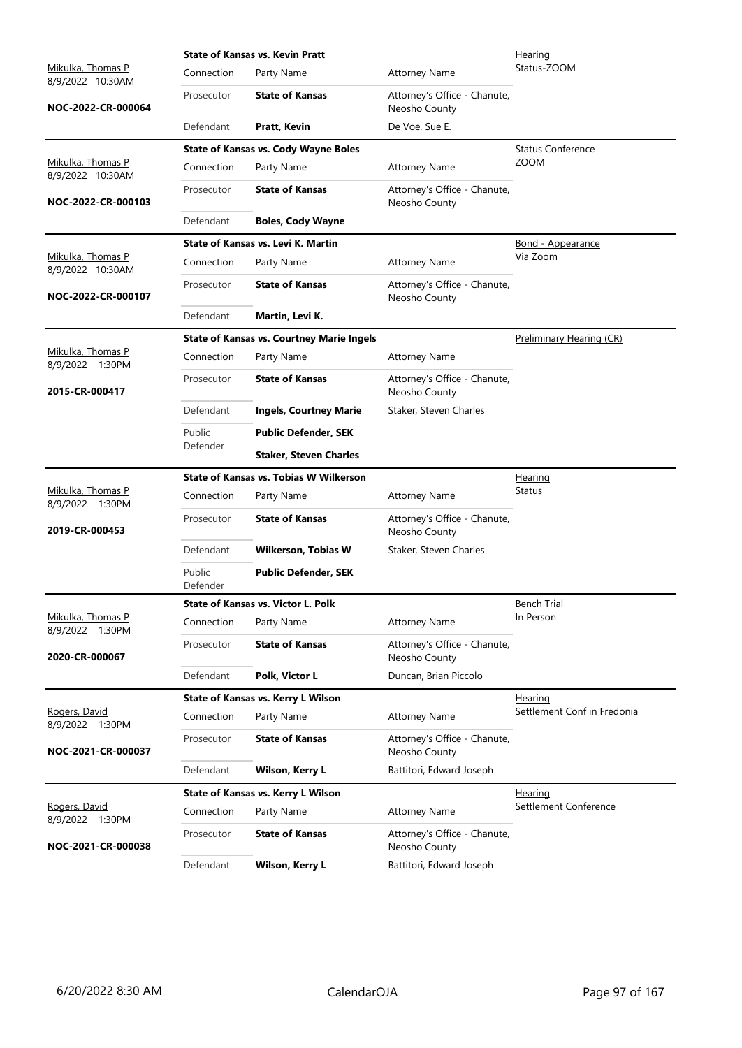|                                       |                    | <b>State of Kansas vs. Kevin Pratt</b>           | <b>Hearing</b>                                |                             |  |  |
|---------------------------------------|--------------------|--------------------------------------------------|-----------------------------------------------|-----------------------------|--|--|
| Mikulka, Thomas P<br>8/9/2022 10:30AM | Connection         | Party Name                                       | <b>Attorney Name</b>                          | Status-ZOOM                 |  |  |
| NOC-2022-CR-000064                    | Prosecutor         | <b>State of Kansas</b>                           | Attorney's Office - Chanute,<br>Neosho County |                             |  |  |
|                                       | Defendant          | Pratt, Kevin                                     | De Voe, Sue E.                                |                             |  |  |
|                                       |                    | <b>State of Kansas vs. Cody Wayne Boles</b>      |                                               | <b>Status Conference</b>    |  |  |
| Mikulka, Thomas P<br>8/9/2022 10:30AM | Connection         | Party Name                                       | <b>Attorney Name</b>                          | <b>ZOOM</b>                 |  |  |
| NOC-2022-CR-000103                    | Prosecutor         | <b>State of Kansas</b>                           | Attorney's Office - Chanute,<br>Neosho County |                             |  |  |
|                                       | Defendant          | <b>Boles, Cody Wayne</b>                         |                                               |                             |  |  |
|                                       |                    | <b>State of Kansas vs. Levi K. Martin</b>        |                                               | <b>Bond - Appearance</b>    |  |  |
| Mikulka, Thomas P<br>8/9/2022 10:30AM | Connection         | Party Name                                       | <b>Attorney Name</b>                          | Via Zoom                    |  |  |
| NOC-2022-CR-000107                    | Prosecutor         | <b>State of Kansas</b>                           | Attorney's Office - Chanute,<br>Neosho County |                             |  |  |
|                                       | Defendant          | Martin, Levi K.                                  |                                               |                             |  |  |
|                                       |                    | <b>State of Kansas vs. Courtney Marie Ingels</b> |                                               | Preliminary Hearing (CR)    |  |  |
| Mikulka, Thomas P<br>8/9/2022 1:30PM  | Connection         | Party Name                                       | <b>Attorney Name</b>                          |                             |  |  |
| 2015-CR-000417                        | Prosecutor         | <b>State of Kansas</b>                           | Attorney's Office - Chanute,<br>Neosho County |                             |  |  |
|                                       | Defendant          | <b>Ingels, Courtney Marie</b>                    | Staker, Steven Charles                        |                             |  |  |
|                                       | Public<br>Defender | <b>Public Defender, SEK</b>                      |                                               |                             |  |  |
|                                       |                    | <b>Staker, Steven Charles</b>                    |                                               |                             |  |  |
|                                       |                    | <b>State of Kansas vs. Tobias W Wilkerson</b>    |                                               | Hearing                     |  |  |
| Mikulka, Thomas P<br>8/9/2022 1:30PM  | Connection         | Party Name                                       | <b>Attorney Name</b>                          | <b>Status</b>               |  |  |
| 2019-CR-000453                        | Prosecutor         | <b>State of Kansas</b>                           | Attorney's Office - Chanute,<br>Neosho County |                             |  |  |
|                                       | Defendant          | <b>Wilkerson, Tobias W</b>                       | Staker, Steven Charles                        |                             |  |  |
|                                       | Public<br>Defender | <b>Public Defender, SEK</b>                      |                                               |                             |  |  |
|                                       |                    | State of Kansas vs. Victor L. Polk               |                                               | <b>Bench Trial</b>          |  |  |
| Mikulka, Thomas P<br>8/9/2022 1:30PM  | Connection         | Party Name                                       | <b>Attorney Name</b>                          | In Person                   |  |  |
| 2020-CR-000067                        | Prosecutor         | <b>State of Kansas</b>                           | Attorney's Office - Chanute,<br>Neosho County |                             |  |  |
|                                       | Defendant          | Polk, Victor L                                   | Duncan, Brian Piccolo                         |                             |  |  |
|                                       |                    | State of Kansas vs. Kerry L Wilson               |                                               | <b>Hearing</b>              |  |  |
| Rogers, David<br>8/9/2022<br>1:30PM   | Connection         | Party Name                                       | <b>Attorney Name</b>                          | Settlement Conf in Fredonia |  |  |
| NOC-2021-CR-000037                    | Prosecutor         | <b>State of Kansas</b>                           | Attorney's Office - Chanute,<br>Neosho County |                             |  |  |
|                                       | Defendant          | Wilson, Kerry L                                  | Battitori, Edward Joseph                      |                             |  |  |
|                                       |                    | State of Kansas vs. Kerry L Wilson               |                                               | Hearing                     |  |  |
| Rogers, David<br>8/9/2022<br>1:30PM   | Connection         | Party Name                                       | <b>Attorney Name</b>                          | Settlement Conference       |  |  |
| NOC-2021-CR-000038                    | Prosecutor         | <b>State of Kansas</b>                           | Attorney's Office - Chanute,<br>Neosho County |                             |  |  |
|                                       | Defendant          | Wilson, Kerry L                                  | Battitori, Edward Joseph                      |                             |  |  |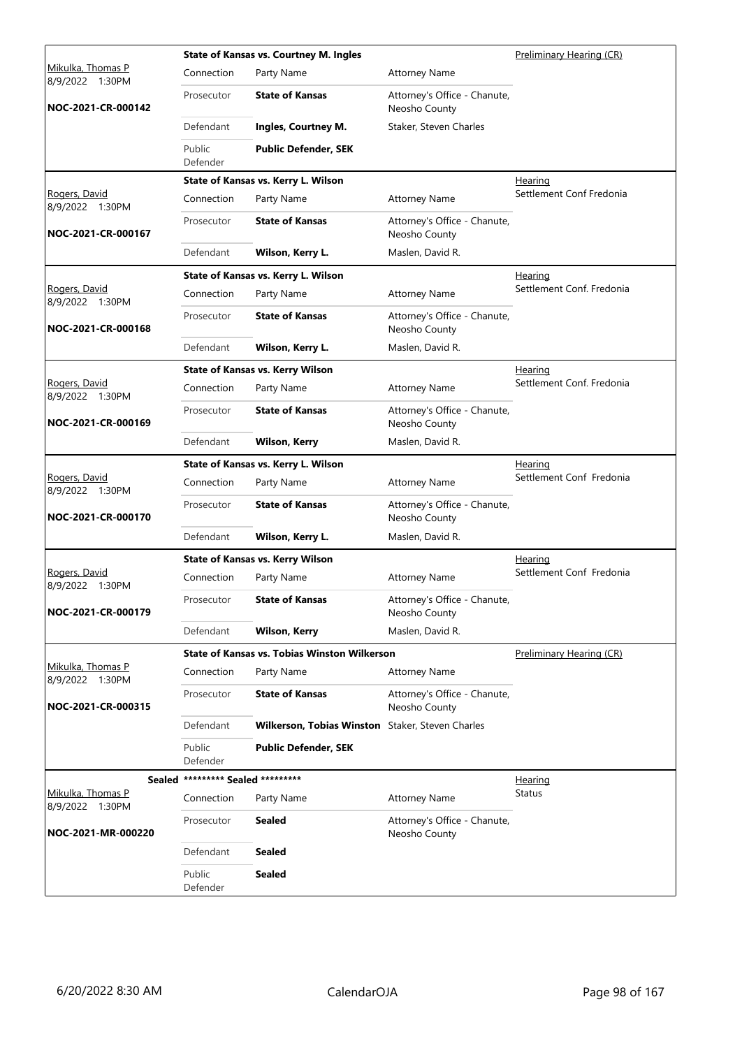|                                      |                            | <b>State of Kansas vs. Courtney M. Ingles</b>    |                                               | Preliminary Hearing (CR)        |
|--------------------------------------|----------------------------|--------------------------------------------------|-----------------------------------------------|---------------------------------|
| Mikulka, Thomas P<br>8/9/2022 1:30PM | Connection                 | Party Name                                       | <b>Attorney Name</b>                          |                                 |
| NOC-2021-CR-000142                   | Prosecutor                 | <b>State of Kansas</b>                           | Attorney's Office - Chanute,<br>Neosho County |                                 |
|                                      | Defendant                  | Ingles, Courtney M.                              | Staker, Steven Charles                        |                                 |
|                                      | Public<br>Defender         | <b>Public Defender, SEK</b>                      |                                               |                                 |
|                                      |                            | State of Kansas vs. Kerry L. Wilson              |                                               | Hearing                         |
| Rogers, David<br>8/9/2022 1:30PM     | Connection                 | Party Name                                       | <b>Attorney Name</b>                          | Settlement Conf Fredonia        |
| NOC-2021-CR-000167                   | Prosecutor                 | <b>State of Kansas</b>                           | Attorney's Office - Chanute,<br>Neosho County |                                 |
|                                      | Defendant                  | Wilson, Kerry L.                                 | Maslen, David R.                              |                                 |
|                                      |                            | State of Kansas vs. Kerry L. Wilson              |                                               | Hearing                         |
| Rogers, David<br>8/9/2022 1:30PM     | Connection                 | Party Name                                       | <b>Attorney Name</b>                          | Settlement Conf. Fredonia       |
| NOC-2021-CR-000168                   | Prosecutor                 | <b>State of Kansas</b>                           | Attorney's Office - Chanute,<br>Neosho County |                                 |
|                                      | Defendant                  | Wilson, Kerry L.                                 | Maslen, David R.                              |                                 |
|                                      |                            | <b>State of Kansas vs. Kerry Wilson</b>          |                                               | Hearing                         |
| Rogers, David<br>8/9/2022 1:30PM     | Connection                 | Party Name                                       | <b>Attorney Name</b>                          | Settlement Conf. Fredonia       |
| NOC-2021-CR-000169                   | Prosecutor                 | <b>State of Kansas</b>                           | Attorney's Office - Chanute,<br>Neosho County |                                 |
|                                      | Defendant                  | <b>Wilson, Kerry</b>                             | Maslen, David R.                              |                                 |
|                                      |                            | State of Kansas vs. Kerry L. Wilson              |                                               | Hearing                         |
| Rogers, David<br>8/9/2022 1:30PM     | Connection                 | Party Name                                       | <b>Attorney Name</b>                          | Settlement Conf Fredonia        |
| NOC-2021-CR-000170                   | Prosecutor                 | <b>State of Kansas</b>                           | Attorney's Office - Chanute,<br>Neosho County |                                 |
|                                      | Defendant                  | Wilson, Kerry L.                                 | Maslen, David R.                              |                                 |
|                                      |                            | <b>State of Kansas vs. Kerry Wilson</b>          |                                               | Hearing                         |
| Rogers, David<br>8/9/2022<br>1:30PM  | Connection                 | Party Name                                       | <b>Attorney Name</b>                          | Settlement Conf Fredonia        |
| NOC-2021-CR-000179                   | Prosecutor                 | <b>State of Kansas</b>                           | Attorney's Office - Chanute,<br>Neosho County |                                 |
|                                      | Defendant                  | <b>Wilson, Kerry</b>                             | Maslen, David R.                              |                                 |
|                                      |                            | State of Kansas vs. Tobias Winston Wilkerson     |                                               | <b>Preliminary Hearing (CR)</b> |
| Mikulka, Thomas P<br>8/9/2022 1:30PM | Connection                 | Party Name                                       | <b>Attorney Name</b>                          |                                 |
| NOC-2021-CR-000315                   | Prosecutor                 | <b>State of Kansas</b>                           | Attorney's Office - Chanute,<br>Neosho County |                                 |
|                                      | Defendant                  | Wilkerson, Tobias Winston Staker, Steven Charles |                                               |                                 |
|                                      | Public<br>Defender         | <b>Public Defender, SEK</b>                      |                                               |                                 |
| Sealed                               | ********* Sealed ********* |                                                  |                                               | <u>Hearing</u>                  |
| Mikulka, Thomas P<br>8/9/2022 1:30PM | Connection                 | Party Name                                       | <b>Attorney Name</b>                          | Status                          |
| NOC-2021-MR-000220                   | Prosecutor                 | <b>Sealed</b>                                    | Attorney's Office - Chanute,<br>Neosho County |                                 |
|                                      | Defendant                  | <b>Sealed</b>                                    |                                               |                                 |
|                                      | Public<br>Defender         | <b>Sealed</b>                                    |                                               |                                 |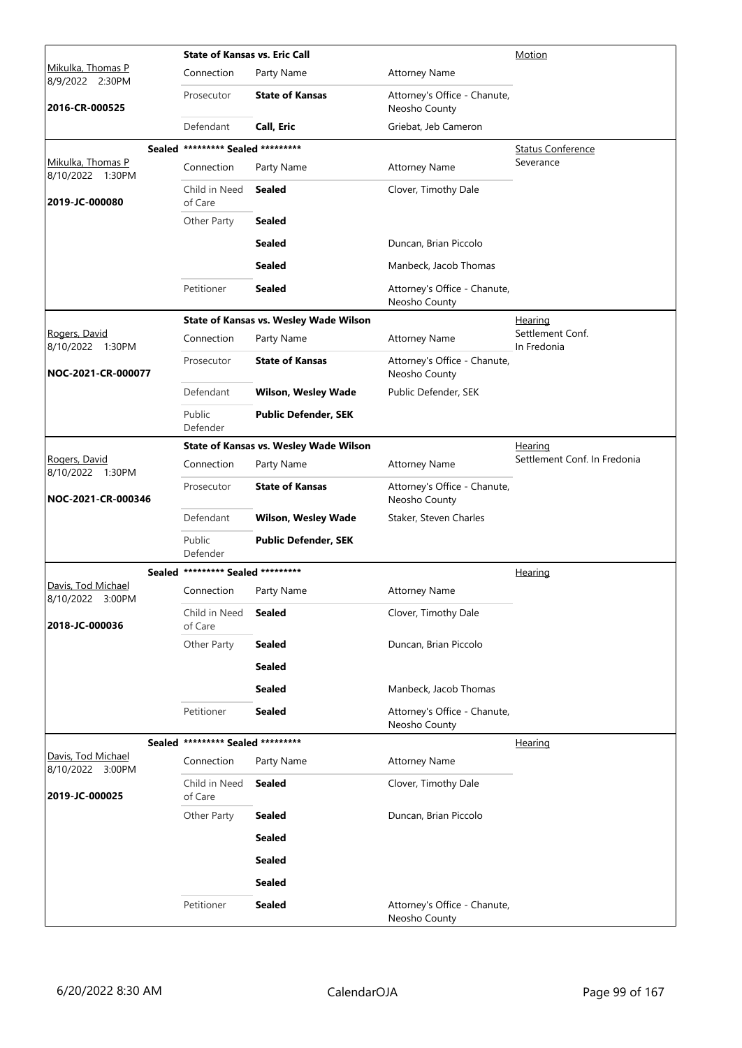|                                        | <b>State of Kansas vs. Eric Call</b> |                                               | Motion                                        |                                 |
|----------------------------------------|--------------------------------------|-----------------------------------------------|-----------------------------------------------|---------------------------------|
| Mikulka, Thomas P<br>8/9/2022 2:30PM   | Connection                           | Party Name                                    | <b>Attorney Name</b>                          |                                 |
| 2016-CR-000525                         | Prosecutor                           | <b>State of Kansas</b>                        | Attorney's Office - Chanute,<br>Neosho County |                                 |
|                                        | Defendant                            | Call, Eric                                    | Griebat, Jeb Cameron                          |                                 |
|                                        | Sealed ********* Sealed *********    |                                               |                                               | <b>Status Conference</b>        |
| Mikulka, Thomas P<br>8/10/2022 1:30PM  | Connection                           | Party Name                                    | <b>Attorney Name</b>                          | Severance                       |
| 2019-JC-000080                         | Child in Need<br>of Care             | <b>Sealed</b>                                 | Clover, Timothy Dale                          |                                 |
|                                        | Other Party                          | <b>Sealed</b>                                 |                                               |                                 |
|                                        |                                      | <b>Sealed</b>                                 | Duncan, Brian Piccolo                         |                                 |
|                                        |                                      | <b>Sealed</b>                                 | Manbeck, Jacob Thomas                         |                                 |
|                                        | Petitioner                           | <b>Sealed</b>                                 | Attorney's Office - Chanute,<br>Neosho County |                                 |
|                                        |                                      | <b>State of Kansas vs. Wesley Wade Wilson</b> |                                               | Hearing                         |
| Rogers, David<br>8/10/2022 1:30PM      | Connection                           | Party Name                                    | <b>Attorney Name</b>                          | Settlement Conf.<br>In Fredonia |
| NOC-2021-CR-000077                     | Prosecutor                           | <b>State of Kansas</b>                        | Attorney's Office - Chanute,<br>Neosho County |                                 |
|                                        | Defendant                            | <b>Wilson, Wesley Wade</b>                    | Public Defender, SEK                          |                                 |
|                                        | Public<br>Defender                   | <b>Public Defender, SEK</b>                   |                                               |                                 |
|                                        |                                      | <b>State of Kansas vs. Wesley Wade Wilson</b> |                                               | Hearing                         |
| Rogers, David<br>8/10/2022 1:30PM      | Connection                           | Party Name                                    | <b>Attorney Name</b>                          | Settlement Conf. In Fredonia    |
| NOC-2021-CR-000346                     | Prosecutor                           | <b>State of Kansas</b>                        | Attorney's Office - Chanute,<br>Neosho County |                                 |
|                                        | Defendant                            | <b>Wilson, Wesley Wade</b>                    | Staker, Steven Charles                        |                                 |
|                                        | Public<br>Defender                   | <b>Public Defender, SEK</b>                   |                                               |                                 |
|                                        | Sealed ********* Sealed *********    |                                               |                                               | <b>Hearing</b>                  |
| Davis, Tod Michael<br>8/10/2022 3:00PM | Connection                           | Party Name                                    | <b>Attorney Name</b>                          |                                 |
| 2018-JC-000036                         | Child in Need<br>of Care             | <b>Sealed</b>                                 | Clover, Timothy Dale                          |                                 |
|                                        | Other Party                          | <b>Sealed</b>                                 | Duncan, Brian Piccolo                         |                                 |
|                                        |                                      | <b>Sealed</b>                                 |                                               |                                 |
|                                        |                                      | <b>Sealed</b>                                 | Manbeck, Jacob Thomas                         |                                 |
|                                        | Petitioner                           | <b>Sealed</b>                                 | Attorney's Office - Chanute,<br>Neosho County |                                 |
|                                        | Sealed ********* Sealed *********    |                                               |                                               | Hearing                         |
| Davis, Tod Michael<br>8/10/2022 3:00PM | Connection                           | Party Name                                    | <b>Attorney Name</b>                          |                                 |
| 2019-JC-000025                         | Child in Need<br>of Care             | <b>Sealed</b>                                 | Clover, Timothy Dale                          |                                 |
|                                        | Other Party                          | <b>Sealed</b>                                 | Duncan, Brian Piccolo                         |                                 |
|                                        |                                      | <b>Sealed</b>                                 |                                               |                                 |
|                                        |                                      | <b>Sealed</b>                                 |                                               |                                 |
|                                        |                                      | <b>Sealed</b>                                 |                                               |                                 |
|                                        | Petitioner                           | <b>Sealed</b>                                 | Attorney's Office - Chanute,<br>Neosho County |                                 |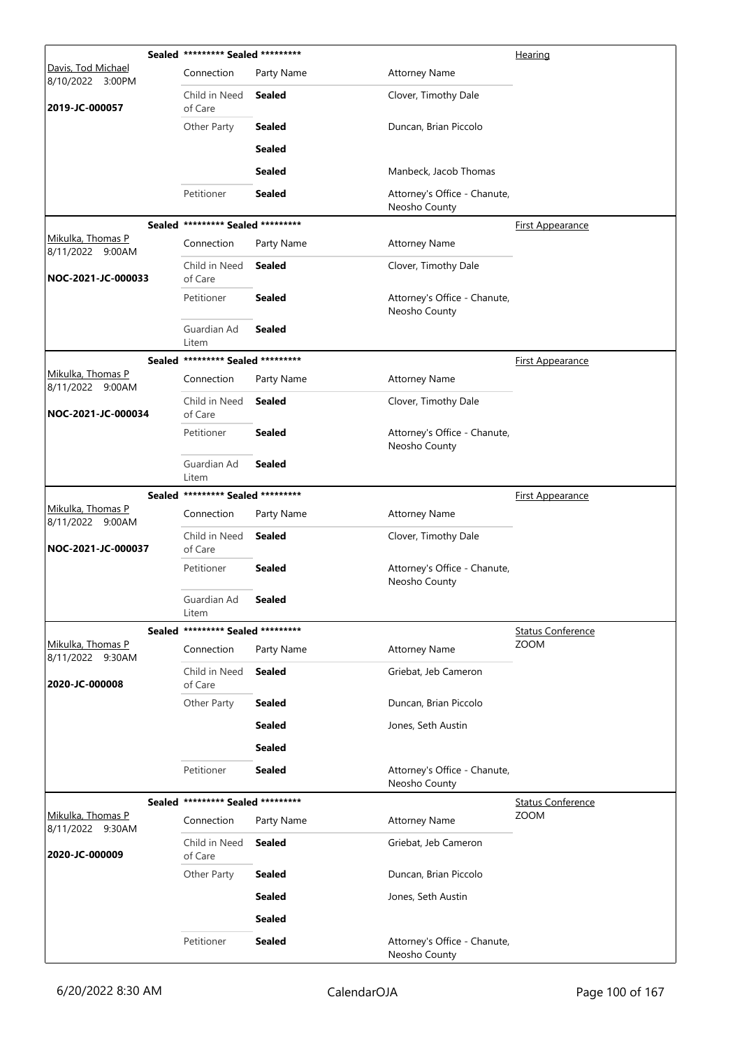|                                              | Sealed ********* Sealed ********* |               |                                               | Hearing                  |
|----------------------------------------------|-----------------------------------|---------------|-----------------------------------------------|--------------------------|
| Davis, Tod Michael<br>8/10/2022 3:00PM       | Connection                        | Party Name    | <b>Attorney Name</b>                          |                          |
| 2019-JC-000057                               | Child in Need<br>of Care          | Sealed        | Clover, Timothy Dale                          |                          |
|                                              | Other Party                       | <b>Sealed</b> | Duncan, Brian Piccolo                         |                          |
|                                              |                                   | <b>Sealed</b> |                                               |                          |
|                                              |                                   | <b>Sealed</b> | Manbeck, Jacob Thomas                         |                          |
|                                              | Petitioner                        | <b>Sealed</b> | Attorney's Office - Chanute,<br>Neosho County |                          |
|                                              | Sealed ********* Sealed ********* |               |                                               | <b>First Appearance</b>  |
| Mikulka, Thomas P<br>8/11/2022 9:00AM        | Connection                        | Party Name    | <b>Attorney Name</b>                          |                          |
| NOC-2021-JC-000033                           | Child in Need<br>of Care          | Sealed        | Clover, Timothy Dale                          |                          |
|                                              | Petitioner                        | <b>Sealed</b> | Attorney's Office - Chanute,<br>Neosho County |                          |
|                                              | Guardian Ad<br>Litem              | <b>Sealed</b> |                                               |                          |
|                                              | Sealed ********* Sealed ********* |               |                                               | <b>First Appearance</b>  |
| Mikulka, Thomas P<br>8/11/2022 9:00AM        | Connection                        | Party Name    | <b>Attorney Name</b>                          |                          |
| NOC-2021-JC-000034                           | Child in Need<br>of Care          | <b>Sealed</b> | Clover, Timothy Dale                          |                          |
|                                              | Petitioner                        | <b>Sealed</b> | Attorney's Office - Chanute,<br>Neosho County |                          |
|                                              | Guardian Ad<br>Litem              | <b>Sealed</b> |                                               |                          |
| Mikulka, Thomas P                            | Sealed ********* Sealed ********* |               |                                               | <b>First Appearance</b>  |
| 8/11/2022 9:00AM                             | Connection                        | Party Name    | <b>Attorney Name</b>                          |                          |
| NOC-2021-JC-000037                           | Child in Need<br>of Care          | <b>Sealed</b> | Clover, Timothy Dale                          |                          |
|                                              | Petitioner                        | <b>Sealed</b> | Attorney's Office - Chanute,<br>Neosho County |                          |
|                                              | Guardian Ad<br>Litem              | Sealed        |                                               |                          |
|                                              | Sealed ********* Sealed ********* |               |                                               | <b>Status Conference</b> |
| Mikulka, Thomas P<br>8/11/2022 9:30AM        | Connection                        | Party Name    | <b>Attorney Name</b>                          | <b>ZOOM</b>              |
| 2020-JC-000008                               | Child in Need<br>of Care          | Sealed        | Griebat, Jeb Cameron                          |                          |
|                                              | Other Party                       | <b>Sealed</b> | Duncan, Brian Piccolo                         |                          |
|                                              |                                   | <b>Sealed</b> | Jones, Seth Austin                            |                          |
|                                              |                                   | <b>Sealed</b> |                                               |                          |
|                                              | Petitioner                        | <b>Sealed</b> | Attorney's Office - Chanute,<br>Neosho County |                          |
|                                              | Sealed ********* Sealed ********* |               |                                               | <b>Status Conference</b> |
| <u>Mikulka, Thomas P</u><br>8/11/2022 9:30AM | Connection                        | Party Name    | <b>Attorney Name</b>                          | ZOOM                     |
| 2020-JC-000009                               | Child in Need<br>of Care          | <b>Sealed</b> | Griebat, Jeb Cameron                          |                          |
|                                              | Other Party                       | <b>Sealed</b> | Duncan, Brian Piccolo                         |                          |
|                                              |                                   | <b>Sealed</b> | Jones, Seth Austin                            |                          |
|                                              |                                   | <b>Sealed</b> |                                               |                          |
|                                              | Petitioner                        | <b>Sealed</b> | Attorney's Office - Chanute,<br>Neosho County |                          |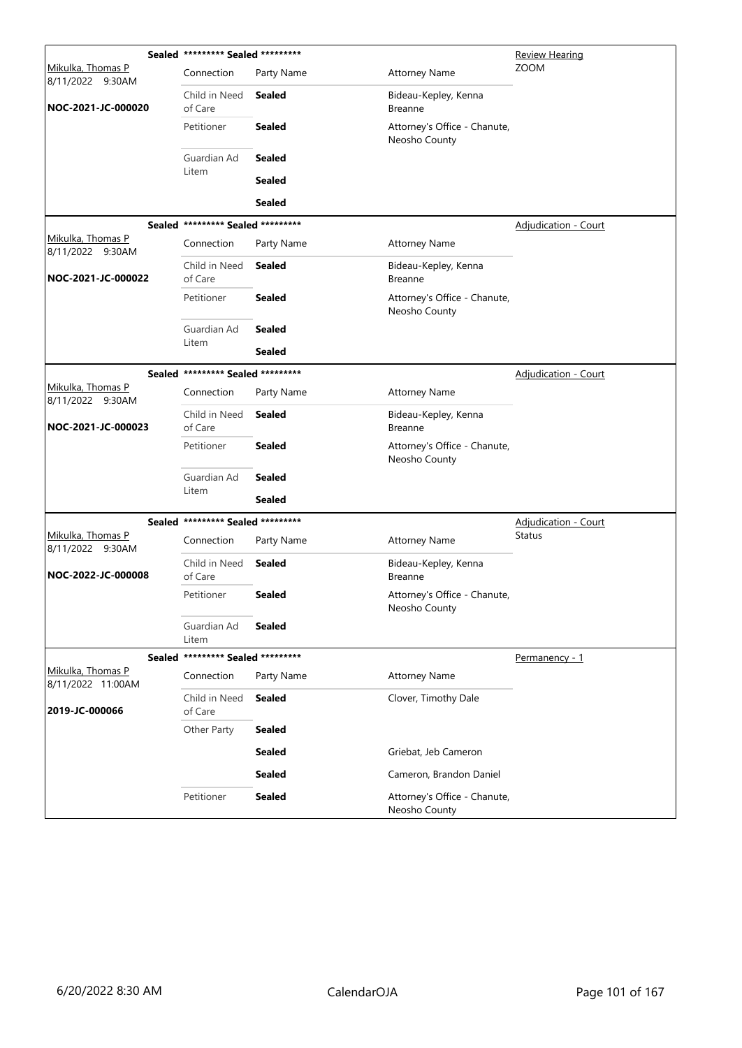|                                              | Sealed ********* Sealed *********      |                                                                |                                               | Review Hearing              |  |
|----------------------------------------------|----------------------------------------|----------------------------------------------------------------|-----------------------------------------------|-----------------------------|--|
| Mikulka, Thomas P<br>8/11/2022 9:30AM        | Connection                             | Party Name                                                     | <b>Attorney Name</b>                          | <b>ZOOM</b>                 |  |
| NOC-2021-JC-000020                           | Child in Need<br>of Care<br>Petitioner | <b>Sealed</b>                                                  | Bideau-Kepley, Kenna<br><b>Breanne</b>        |                             |  |
|                                              |                                        | <b>Sealed</b><br>Attorney's Office - Chanute,<br>Neosho County |                                               |                             |  |
|                                              | Guardian Ad                            | <b>Sealed</b>                                                  |                                               |                             |  |
|                                              | Litem                                  | <b>Sealed</b>                                                  |                                               |                             |  |
|                                              |                                        | <b>Sealed</b>                                                  |                                               |                             |  |
|                                              | Sealed ********* Sealed *********      |                                                                |                                               | <b>Adjudication - Court</b> |  |
| Mikulka, Thomas P<br>8/11/2022 9:30AM        | Connection                             | Party Name                                                     | <b>Attorney Name</b>                          |                             |  |
| NOC-2021-JC-000022                           | Child in Need<br>of Care               | <b>Sealed</b>                                                  | Bideau-Kepley, Kenna<br><b>Breanne</b>        |                             |  |
|                                              | Petitioner                             | <b>Sealed</b>                                                  | Attorney's Office - Chanute,<br>Neosho County |                             |  |
|                                              | Guardian Ad                            | <b>Sealed</b>                                                  |                                               |                             |  |
|                                              | Litem                                  | <b>Sealed</b>                                                  |                                               |                             |  |
|                                              | Sealed ********* Sealed *********      |                                                                |                                               | <b>Adjudication - Court</b> |  |
| <u>Mikulka, Thomas P</u><br>8/11/2022 9:30AM | Connection                             | Party Name                                                     | <b>Attorney Name</b>                          |                             |  |
| NOC-2021-JC-000023                           | Child in Need<br>of Care               | <b>Sealed</b>                                                  | Bideau-Kepley, Kenna<br><b>Breanne</b>        |                             |  |
|                                              | Petitioner                             | <b>Sealed</b>                                                  | Attorney's Office - Chanute,<br>Neosho County |                             |  |
|                                              | Guardian Ad                            | <b>Sealed</b>                                                  |                                               |                             |  |
|                                              | Litem                                  | Sealed                                                         |                                               |                             |  |
|                                              | Sealed ********* Sealed *********      |                                                                |                                               | <b>Adjudication - Court</b> |  |
| <u>Mikulka, Thomas P</u><br>8/11/2022 9:30AM | Connection                             | Party Name                                                     | <b>Attorney Name</b>                          | <b>Status</b>               |  |
| NOC-2022-JC-000008                           | Child in Need<br>of Care               | <b>Sealed</b>                                                  | Bideau-Kepley, Kenna<br><b>Breanne</b>        |                             |  |
|                                              | Petitioner                             | <b>Sealed</b>                                                  | Attorney's Office - Chanute,<br>Neosho County |                             |  |
|                                              | Guardian Ad<br>Litem                   | <b>Sealed</b>                                                  |                                               |                             |  |
|                                              | Sealed ********* Sealed *********      |                                                                |                                               | Permanency - 1              |  |
| Mikulka, Thomas P<br>8/11/2022 11:00AM       | Connection                             | Party Name                                                     | <b>Attorney Name</b>                          |                             |  |
| 2019-JC-000066                               | Child in Need<br>of Care               | Sealed                                                         | Clover, Timothy Dale                          |                             |  |
|                                              | Other Party                            | <b>Sealed</b>                                                  |                                               |                             |  |
|                                              |                                        | <b>Sealed</b>                                                  | Griebat, Jeb Cameron                          |                             |  |
|                                              |                                        | <b>Sealed</b>                                                  | Cameron, Brandon Daniel                       |                             |  |
|                                              | Petitioner                             | <b>Sealed</b>                                                  | Attorney's Office - Chanute,<br>Neosho County |                             |  |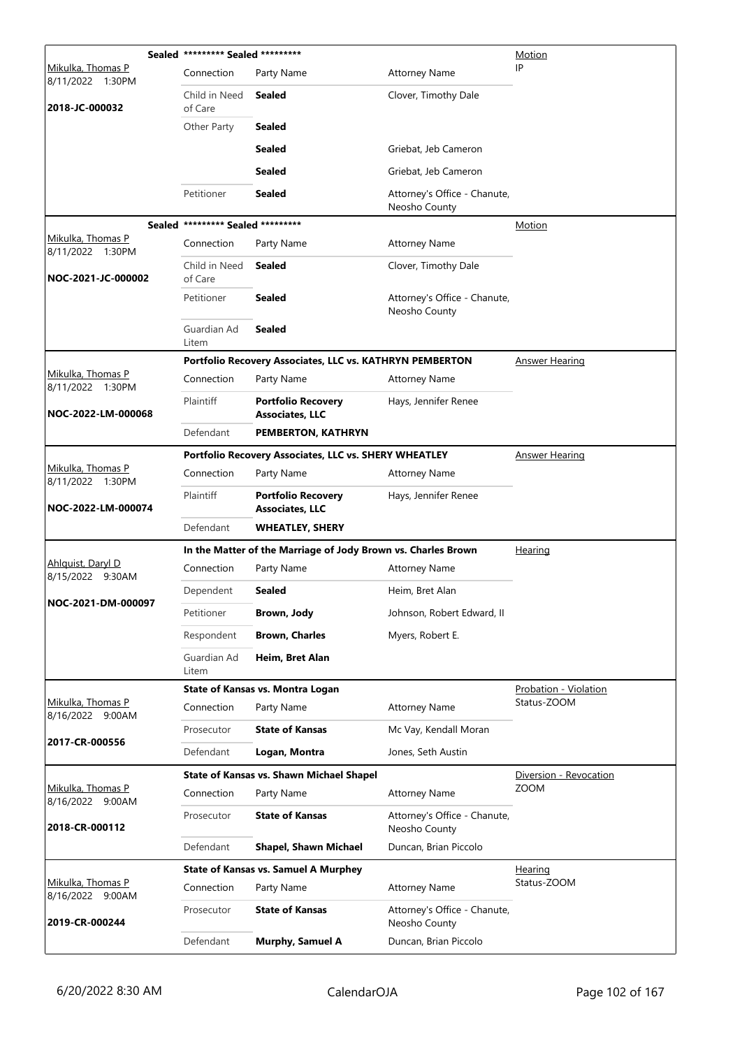| Sealed ********* Sealed *********     |                                   | Motion                                                        |                                               |                                      |
|---------------------------------------|-----------------------------------|---------------------------------------------------------------|-----------------------------------------------|--------------------------------------|
| Mikulka, Thomas P<br>8/11/2022 1:30PM | Connection                        | Party Name                                                    | <b>Attorney Name</b>                          | IP                                   |
| 2018-JC-000032                        | Child in Need<br>of Care          | Sealed                                                        | Clover, Timothy Dale                          |                                      |
|                                       | Other Party                       | <b>Sealed</b>                                                 |                                               |                                      |
|                                       |                                   | <b>Sealed</b>                                                 | Griebat, Jeb Cameron                          |                                      |
|                                       |                                   | <b>Sealed</b>                                                 | Griebat, Jeb Cameron                          |                                      |
|                                       | Petitioner                        | <b>Sealed</b>                                                 | Attorney's Office - Chanute,<br>Neosho County |                                      |
|                                       | Sealed ********* Sealed ********* |                                                               |                                               | Motion                               |
| Mikulka, Thomas P<br>8/11/2022 1:30PM | Connection                        | Party Name                                                    | <b>Attorney Name</b>                          |                                      |
| NOC-2021-JC-000002                    | Child in Need<br>of Care          | <b>Sealed</b>                                                 | Clover, Timothy Dale                          |                                      |
|                                       | Petitioner                        | <b>Sealed</b>                                                 | Attorney's Office - Chanute,<br>Neosho County |                                      |
|                                       | Guardian Ad<br>Litem              | <b>Sealed</b>                                                 |                                               |                                      |
|                                       |                                   | Portfolio Recovery Associates, LLC vs. KATHRYN PEMBERTON      |                                               | Answer Hearing                       |
| Mikulka, Thomas P<br>8/11/2022 1:30PM | Connection                        | Party Name                                                    | <b>Attorney Name</b>                          |                                      |
| NOC-2022-LM-000068                    | Plaintiff                         | <b>Portfolio Recovery</b><br><b>Associates, LLC</b>           | Hays, Jennifer Renee                          |                                      |
|                                       | Defendant                         | PEMBERTON, KATHRYN                                            |                                               |                                      |
|                                       |                                   | Portfolio Recovery Associates, LLC vs. SHERY WHEATLEY         |                                               | <b>Answer Hearing</b>                |
| Mikulka, Thomas P<br>8/11/2022 1:30PM | Connection                        | Party Name                                                    | <b>Attorney Name</b>                          |                                      |
| NOC-2022-LM-000074                    | Plaintiff                         | <b>Portfolio Recovery</b><br><b>Associates, LLC</b>           | Hays, Jennifer Renee                          |                                      |
|                                       | Defendant                         | <b>WHEATLEY, SHERY</b>                                        |                                               |                                      |
|                                       |                                   | In the Matter of the Marriage of Jody Brown vs. Charles Brown |                                               | <b>Hearing</b>                       |
| Ahlguist, Daryl D<br>8/15/2022 9:30AM | Connection                        | Party Name                                                    | <b>Attorney Name</b>                          |                                      |
| NOC-2021-DM-000097                    | Dependent                         | <b>Sealed</b>                                                 | Heim, Bret Alan                               |                                      |
|                                       | Petitioner                        | Brown, Jody                                                   | Johnson, Robert Edward, II                    |                                      |
|                                       | Respondent                        | <b>Brown, Charles</b>                                         | Myers, Robert E.                              |                                      |
|                                       | Guardian Ad<br>Litem              | Heim, Bret Alan                                               |                                               |                                      |
|                                       |                                   | <b>State of Kansas vs. Montra Logan</b>                       |                                               | Probation - Violation<br>Status-ZOOM |
| Mikulka, Thomas P<br>8/16/2022 9:00AM | Connection                        | Party Name                                                    | <b>Attorney Name</b>                          |                                      |
| 2017-CR-000556                        | Prosecutor                        | <b>State of Kansas</b>                                        | Mc Vay, Kendall Moran                         |                                      |
|                                       | Defendant                         | Logan, Montra                                                 | Jones, Seth Austin                            |                                      |
|                                       |                                   | <b>State of Kansas vs. Shawn Michael Shapel</b>               |                                               | Diversion - Revocation               |
| Mikulka, Thomas P<br>8/16/2022 9:00AM | Connection                        | Party Name                                                    | <b>Attorney Name</b>                          | <b>ZOOM</b>                          |
| 2018-CR-000112                        | Prosecutor                        | <b>State of Kansas</b>                                        | Attorney's Office - Chanute,<br>Neosho County |                                      |
|                                       | Defendant                         | <b>Shapel, Shawn Michael</b>                                  | Duncan, Brian Piccolo                         |                                      |
|                                       |                                   | <b>State of Kansas vs. Samuel A Murphey</b>                   |                                               | <b>Hearing</b>                       |
| Mikulka, Thomas P<br>8/16/2022 9:00AM | Connection                        | Party Name                                                    | <b>Attorney Name</b>                          | Status-ZOOM                          |
| 2019-CR-000244                        | Prosecutor                        | <b>State of Kansas</b>                                        | Attorney's Office - Chanute,                  |                                      |
|                                       |                                   |                                                               | Neosho County                                 |                                      |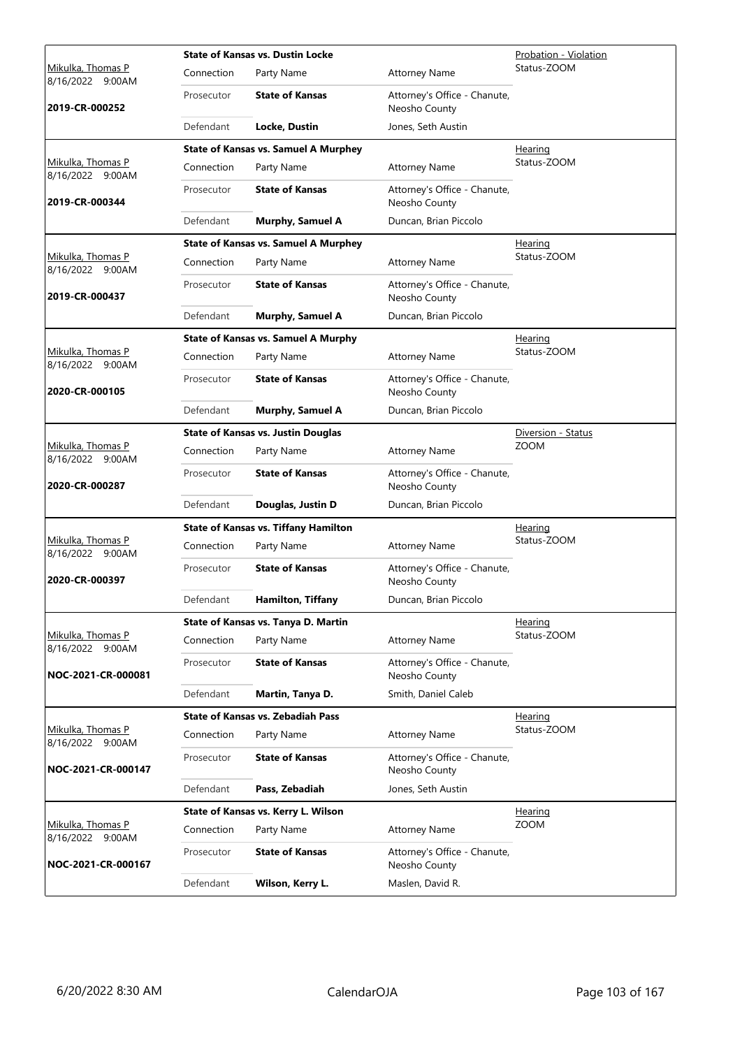|                                              |            | <b>State of Kansas vs. Dustin Locke</b>     |                                               | Probation - Violation |
|----------------------------------------------|------------|---------------------------------------------|-----------------------------------------------|-----------------------|
| <u>Mikulka, Thomas P</u><br>8/16/2022 9:00AM | Connection | Party Name                                  | <b>Attorney Name</b>                          | Status-ZOOM           |
| 2019-CR-000252                               | Prosecutor | <b>State of Kansas</b>                      | Attorney's Office - Chanute,<br>Neosho County |                       |
|                                              | Defendant  | Locke, Dustin                               | Jones, Seth Austin                            |                       |
|                                              |            | <b>State of Kansas vs. Samuel A Murphey</b> |                                               | Hearing               |
| Mikulka, Thomas P<br>8/16/2022 9:00AM        | Connection | Party Name                                  | <b>Attorney Name</b>                          | Status-ZOOM           |
| 2019-CR-000344                               | Prosecutor | <b>State of Kansas</b>                      | Attorney's Office - Chanute,<br>Neosho County |                       |
|                                              | Defendant  | Murphy, Samuel A                            | Duncan, Brian Piccolo                         |                       |
|                                              |            | <b>State of Kansas vs. Samuel A Murphey</b> |                                               | <b>Hearing</b>        |
| Mikulka, Thomas P<br>8/16/2022 9:00AM        | Connection | Party Name                                  | <b>Attorney Name</b>                          | Status-ZOOM           |
| 2019-CR-000437                               | Prosecutor | <b>State of Kansas</b>                      | Attorney's Office - Chanute,<br>Neosho County |                       |
|                                              | Defendant  | Murphy, Samuel A                            | Duncan, Brian Piccolo                         |                       |
|                                              |            | <b>State of Kansas vs. Samuel A Murphy</b>  |                                               | Hearing               |
| <u>Mikulka, Thomas P</u><br>8/16/2022 9:00AM | Connection | Party Name                                  | <b>Attorney Name</b>                          | Status-ZOOM           |
| 2020-CR-000105                               | Prosecutor | <b>State of Kansas</b>                      | Attorney's Office - Chanute,<br>Neosho County |                       |
|                                              | Defendant  | <b>Murphy, Samuel A</b>                     | Duncan, Brian Piccolo                         |                       |
|                                              |            | <b>State of Kansas vs. Justin Douglas</b>   |                                               | Diversion - Status    |
| Mikulka, Thomas P<br>8/16/2022 9:00AM        | Connection | Party Name                                  | <b>Attorney Name</b>                          | <b>ZOOM</b>           |
| 2020-CR-000287                               | Prosecutor | <b>State of Kansas</b>                      | Attorney's Office - Chanute,<br>Neosho County |                       |
|                                              | Defendant  | Douglas, Justin D                           | Duncan, Brian Piccolo                         |                       |
|                                              |            | <b>State of Kansas vs. Tiffany Hamilton</b> |                                               | <b>Hearing</b>        |
| Mikulka, Thomas P<br>8/16/2022 9:00AM        | Connection | Party Name                                  | <b>Attorney Name</b>                          | Status-ZOOM           |
| 2020-CR-000397                               | Prosecutor | <b>State of Kansas</b>                      | Attorney's Office - Chanute,<br>Neosho County |                       |
|                                              | Defendant  | Hamilton, Tiffany                           | Duncan, Brian Piccolo                         |                       |
|                                              |            | State of Kansas vs. Tanya D. Martin         |                                               | Hearing               |
| Mikulka, Thomas P<br>8/16/2022 9:00AM        | Connection | Party Name                                  | <b>Attorney Name</b>                          | Status-ZOOM           |
| NOC-2021-CR-000081                           | Prosecutor | <b>State of Kansas</b>                      | Attorney's Office - Chanute,<br>Neosho County |                       |
|                                              | Defendant  | Martin, Tanya D.                            | Smith, Daniel Caleb                           |                       |
|                                              |            | <b>State of Kansas vs. Zebadiah Pass</b>    |                                               | Hearing               |
| Mikulka, Thomas P<br>8/16/2022 9:00AM        | Connection | Party Name                                  | <b>Attorney Name</b>                          | Status-ZOOM           |
| NOC-2021-CR-000147                           | Prosecutor | <b>State of Kansas</b>                      | Attorney's Office - Chanute,<br>Neosho County |                       |
|                                              | Defendant  | Pass, Zebadiah                              | Jones, Seth Austin                            |                       |
|                                              |            | State of Kansas vs. Kerry L. Wilson         |                                               | <b>Hearing</b>        |
| <u>Mikulka, Thomas P</u><br>8/16/2022 9:00AM | Connection | Party Name                                  | <b>Attorney Name</b>                          | <b>ZOOM</b>           |
| NOC-2021-CR-000167                           | Prosecutor | <b>State of Kansas</b>                      | Attorney's Office - Chanute,<br>Neosho County |                       |
|                                              | Defendant  | Wilson, Kerry L.                            | Maslen, David R.                              |                       |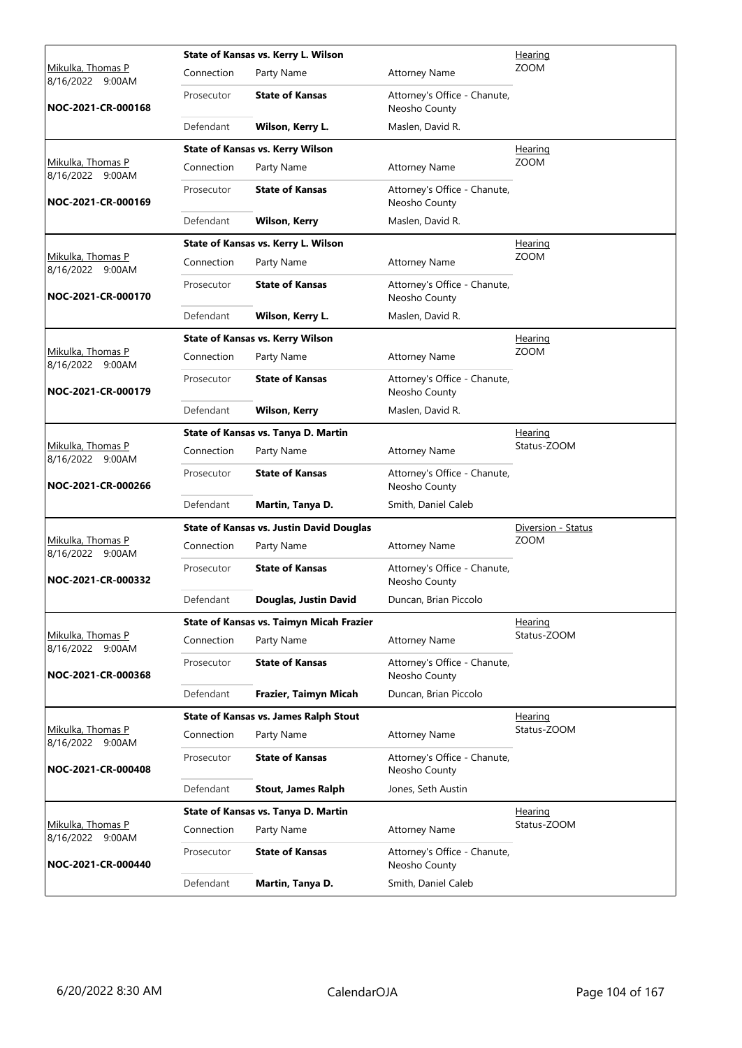|                                       |            | State of Kansas vs. Kerry L. Wilson             |                                               | Hearing            |
|---------------------------------------|------------|-------------------------------------------------|-----------------------------------------------|--------------------|
| Mikulka, Thomas P<br>8/16/2022 9:00AM | Connection | Party Name                                      | <b>Attorney Name</b>                          | <b>ZOOM</b>        |
| NOC-2021-CR-000168                    | Prosecutor | <b>State of Kansas</b>                          | Attorney's Office - Chanute,<br>Neosho County |                    |
|                                       | Defendant  | Wilson, Kerry L.                                | Maslen, David R.                              |                    |
|                                       |            | <b>State of Kansas vs. Kerry Wilson</b>         |                                               | <b>Hearing</b>     |
| Mikulka, Thomas P<br>8/16/2022 9:00AM | Connection | Party Name                                      | <b>Attorney Name</b>                          | ZOOM               |
| NOC-2021-CR-000169                    | Prosecutor | <b>State of Kansas</b>                          | Attorney's Office - Chanute,<br>Neosho County |                    |
|                                       | Defendant  | <b>Wilson, Kerry</b>                            | Maslen, David R.                              |                    |
|                                       |            | State of Kansas vs. Kerry L. Wilson             |                                               | <u>Hearing</u>     |
| Mikulka, Thomas P<br>8/16/2022 9:00AM | Connection | Party Name                                      | <b>Attorney Name</b>                          | <b>ZOOM</b>        |
| NOC-2021-CR-000170                    | Prosecutor | <b>State of Kansas</b>                          | Attorney's Office - Chanute,<br>Neosho County |                    |
|                                       | Defendant  | Wilson, Kerry L.                                | Maslen, David R.                              |                    |
|                                       |            | <b>State of Kansas vs. Kerry Wilson</b>         |                                               | <b>Hearing</b>     |
| Mikulka, Thomas P<br>8/16/2022 9:00AM | Connection | Party Name                                      | <b>Attorney Name</b>                          | <b>ZOOM</b>        |
| NOC-2021-CR-000179                    | Prosecutor | <b>State of Kansas</b>                          | Attorney's Office - Chanute,<br>Neosho County |                    |
|                                       | Defendant  | <b>Wilson, Kerry</b>                            | Maslen, David R.                              |                    |
|                                       |            | State of Kansas vs. Tanya D. Martin             |                                               | <u>Hearing</u>     |
| Mikulka, Thomas P<br>8/16/2022 9:00AM | Connection | Party Name                                      | <b>Attorney Name</b>                          | Status-ZOOM        |
| NOC-2021-CR-000266                    | Prosecutor | <b>State of Kansas</b>                          | Attorney's Office - Chanute,<br>Neosho County |                    |
|                                       | Defendant  | Martin, Tanya D.                                | Smith, Daniel Caleb                           |                    |
|                                       |            | <b>State of Kansas vs. Justin David Douglas</b> |                                               | Diversion - Status |
| Mikulka, Thomas P<br>8/16/2022 9:00AM | Connection | Party Name                                      | <b>Attorney Name</b>                          | <b>ZOOM</b>        |
| NOC-2021-CR-000332                    | Prosecutor | <b>State of Kansas</b>                          | Attorney's Office - Chanute,<br>Neosho County |                    |
|                                       | Defendant  | Douglas, Justin David                           | Duncan, Brian Piccolo                         |                    |
|                                       |            | State of Kansas vs. Taimyn Micah Frazier        |                                               | <u>Hearing</u>     |
| Mikulka, Thomas P<br>8/16/2022 9:00AM | Connection | Party Name                                      | <b>Attorney Name</b>                          | Status-ZOOM        |
| NOC-2021-CR-000368                    | Prosecutor | <b>State of Kansas</b>                          | Attorney's Office - Chanute,<br>Neosho County |                    |
|                                       | Defendant  | Frazier, Taimyn Micah                           | Duncan, Brian Piccolo                         |                    |
|                                       |            | <b>State of Kansas vs. James Ralph Stout</b>    |                                               | <u>Hearing</u>     |
| Mikulka, Thomas P<br>8/16/2022 9:00AM | Connection | Party Name                                      | <b>Attorney Name</b>                          | Status-ZOOM        |
| NOC-2021-CR-000408                    | Prosecutor | <b>State of Kansas</b>                          | Attorney's Office - Chanute,<br>Neosho County |                    |
|                                       | Defendant  | <b>Stout, James Ralph</b>                       | Jones, Seth Austin                            |                    |
|                                       |            | State of Kansas vs. Tanya D. Martin             |                                               | Hearing            |
| Mikulka, Thomas P<br>8/16/2022 9:00AM | Connection | Party Name                                      | <b>Attorney Name</b>                          | Status-ZOOM        |
| NOC-2021-CR-000440                    | Prosecutor | <b>State of Kansas</b>                          | Attorney's Office - Chanute,<br>Neosho County |                    |
|                                       | Defendant  | Martin, Tanya D.                                | Smith, Daniel Caleb                           |                    |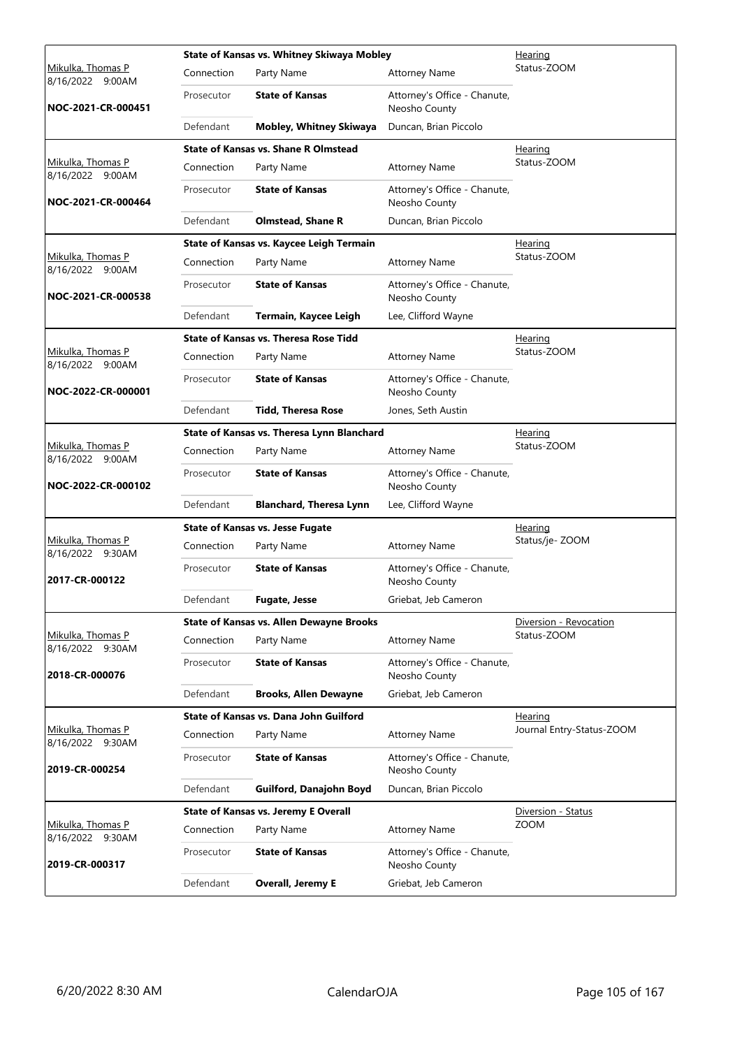|                                              |            | State of Kansas vs. Whitney Skiwaya Mobley      |                                               | Hearing                   |
|----------------------------------------------|------------|-------------------------------------------------|-----------------------------------------------|---------------------------|
| <u>Mikulka, Thomas P</u><br>8/16/2022 9:00AM | Connection | Party Name                                      | <b>Attorney Name</b>                          | Status-ZOOM               |
| NOC-2021-CR-000451                           | Prosecutor | <b>State of Kansas</b>                          | Attorney's Office - Chanute,<br>Neosho County |                           |
|                                              | Defendant  | Mobley, Whitney Skiwaya                         | Duncan, Brian Piccolo                         |                           |
|                                              |            | <b>State of Kansas vs. Shane R Olmstead</b>     |                                               | Hearing                   |
| Mikulka, Thomas P<br>8/16/2022 9:00AM        | Connection | Party Name                                      | <b>Attorney Name</b>                          | Status-ZOOM               |
| NOC-2021-CR-000464                           | Prosecutor | <b>State of Kansas</b>                          | Attorney's Office - Chanute,<br>Neosho County |                           |
|                                              | Defendant  | <b>Olmstead, Shane R</b>                        | Duncan, Brian Piccolo                         |                           |
|                                              |            | State of Kansas vs. Kaycee Leigh Termain        |                                               | <b>Hearing</b>            |
| Mikulka, Thomas P<br>8/16/2022 9:00AM        | Connection | Party Name                                      | <b>Attorney Name</b>                          | Status-ZOOM               |
| NOC-2021-CR-000538                           | Prosecutor | <b>State of Kansas</b>                          | Attorney's Office - Chanute,<br>Neosho County |                           |
|                                              | Defendant  | Termain, Kaycee Leigh                           | Lee, Clifford Wayne                           |                           |
|                                              |            | <b>State of Kansas vs. Theresa Rose Tidd</b>    |                                               | Hearing                   |
| <u>Mikulka, Thomas P</u><br>8/16/2022 9:00AM | Connection | Party Name                                      | <b>Attorney Name</b>                          | Status-ZOOM               |
| NOC-2022-CR-000001                           | Prosecutor | <b>State of Kansas</b>                          | Attorney's Office - Chanute,<br>Neosho County |                           |
|                                              | Defendant  | <b>Tidd, Theresa Rose</b>                       | Jones, Seth Austin                            |                           |
|                                              |            | State of Kansas vs. Theresa Lynn Blanchard      |                                               | Hearing                   |
| Mikulka, Thomas P<br>8/16/2022 9:00AM        | Connection | Party Name                                      | <b>Attorney Name</b>                          | Status-ZOOM               |
| NOC-2022-CR-000102                           | Prosecutor | <b>State of Kansas</b>                          | Attorney's Office - Chanute,<br>Neosho County |                           |
|                                              | Defendant  | <b>Blanchard, Theresa Lynn</b>                  | Lee, Clifford Wayne                           |                           |
|                                              |            | <b>State of Kansas vs. Jesse Fugate</b>         | Hearing                                       |                           |
| Mikulka, Thomas P<br>8/16/2022 9:30AM        | Connection | Party Name                                      | <b>Attorney Name</b>                          | Status/je-ZOOM            |
| 2017-CR-000122                               | Prosecutor | <b>State of Kansas</b>                          | Attorney's Office - Chanute,<br>Neosho County |                           |
|                                              | Defendant  | <b>Fugate, Jesse</b>                            | Griebat, Jeb Cameron                          |                           |
|                                              |            | <b>State of Kansas vs. Allen Dewayne Brooks</b> |                                               | Diversion - Revocation    |
| Mikulka, Thomas P<br>8/16/2022 9:30AM        | Connection | Party Name                                      | <b>Attorney Name</b>                          | Status-ZOOM               |
| 2018-CR-000076                               | Prosecutor | <b>State of Kansas</b>                          | Attorney's Office - Chanute,<br>Neosho County |                           |
|                                              | Defendant  | <b>Brooks, Allen Dewayne</b>                    | Griebat, Jeb Cameron                          |                           |
|                                              |            | State of Kansas vs. Dana John Guilford          |                                               | <b>Hearing</b>            |
| Mikulka, Thomas P<br>8/16/2022 9:30AM        | Connection | Party Name                                      | <b>Attorney Name</b>                          | Journal Entry-Status-ZOOM |
| 2019-CR-000254                               | Prosecutor | <b>State of Kansas</b>                          | Attorney's Office - Chanute,<br>Neosho County |                           |
|                                              | Defendant  | Guilford, Danajohn Boyd                         | Duncan, Brian Piccolo                         |                           |
|                                              |            | <b>State of Kansas vs. Jeremy E Overall</b>     |                                               | Diversion - Status        |
| Mikulka, Thomas P<br>8/16/2022 9:30AM        | Connection | Party Name                                      | <b>Attorney Name</b>                          | <b>ZOOM</b>               |
| 2019-CR-000317                               | Prosecutor | <b>State of Kansas</b>                          | Attorney's Office - Chanute,<br>Neosho County |                           |
|                                              | Defendant  | <b>Overall, Jeremy E</b>                        | Griebat, Jeb Cameron                          |                           |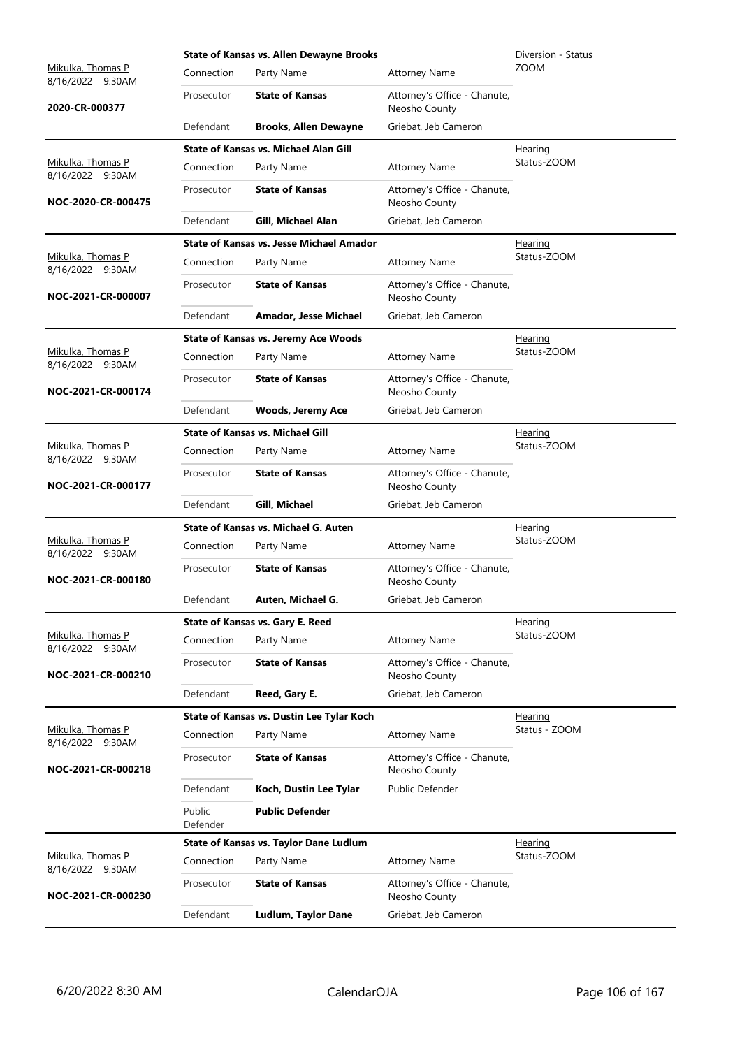|                                       |                    | <b>State of Kansas vs. Allen Dewayne Brooks</b> |                                               | Diversion - Status |
|---------------------------------------|--------------------|-------------------------------------------------|-----------------------------------------------|--------------------|
| Mikulka, Thomas P<br>8/16/2022 9:30AM | Connection         | Party Name                                      | <b>Attorney Name</b>                          | <b>ZOOM</b>        |
| 2020-CR-000377                        | Prosecutor         | <b>State of Kansas</b>                          | Attorney's Office - Chanute,<br>Neosho County |                    |
|                                       | Defendant          | <b>Brooks, Allen Dewayne</b>                    | Griebat, Jeb Cameron                          |                    |
|                                       |                    | <b>State of Kansas vs. Michael Alan Gill</b>    |                                               | Hearing            |
| Mikulka, Thomas P<br>8/16/2022 9:30AM | Connection         | Party Name                                      | <b>Attorney Name</b>                          | Status-ZOOM        |
| NOC-2020-CR-000475                    | Prosecutor         | <b>State of Kansas</b>                          | Attorney's Office - Chanute,<br>Neosho County |                    |
|                                       | Defendant          | Gill, Michael Alan                              | Griebat, Jeb Cameron                          |                    |
|                                       |                    | <b>State of Kansas vs. Jesse Michael Amador</b> |                                               | <b>Hearing</b>     |
| Mikulka, Thomas P<br>8/16/2022 9:30AM | Connection         | Party Name                                      | <b>Attorney Name</b>                          | Status-ZOOM        |
| NOC-2021-CR-000007                    | Prosecutor         | <b>State of Kansas</b>                          | Attorney's Office - Chanute,<br>Neosho County |                    |
|                                       | Defendant          | Amador, Jesse Michael                           | Griebat, Jeb Cameron                          |                    |
|                                       |                    | <b>State of Kansas vs. Jeremy Ace Woods</b>     |                                               | Hearing            |
| Mikulka, Thomas P<br>8/16/2022 9:30AM | Connection         | Party Name                                      | <b>Attorney Name</b>                          | Status-ZOOM        |
| NOC-2021-CR-000174                    | Prosecutor         | <b>State of Kansas</b>                          | Attorney's Office - Chanute,<br>Neosho County |                    |
|                                       | Defendant          | <b>Woods, Jeremy Ace</b>                        | Griebat, Jeb Cameron                          |                    |
|                                       |                    | <b>State of Kansas vs. Michael Gill</b>         |                                               | Hearing            |
| Mikulka, Thomas P<br>8/16/2022 9:30AM | Connection         | Party Name                                      | <b>Attorney Name</b>                          | Status-ZOOM        |
| NOC-2021-CR-000177                    | Prosecutor         | <b>State of Kansas</b>                          | Attorney's Office - Chanute,<br>Neosho County |                    |
|                                       | Defendant          | <b>Gill, Michael</b>                            | Griebat, Jeb Cameron                          |                    |
|                                       |                    | State of Kansas vs. Michael G. Auten            |                                               | <b>Hearing</b>     |
| Mikulka, Thomas P<br>8/16/2022 9:30AM | Connection         | Party Name                                      | <b>Attorney Name</b>                          | Status-ZOOM        |
| NOC-2021-CR-000180                    | Prosecutor         | <b>State of Kansas</b>                          | Attorney's Office - Chanute,<br>Neosho County |                    |
|                                       | Defendant          | Auten, Michael G.                               | Griebat, Jeb Cameron                          |                    |
|                                       |                    | State of Kansas vs. Gary E. Reed                |                                               | Hearing            |
| Mikulka, Thomas P<br>8/16/2022 9:30AM | Connection         | Party Name                                      | <b>Attorney Name</b>                          | Status-ZOOM        |
| NOC-2021-CR-000210                    | Prosecutor         | <b>State of Kansas</b>                          | Attorney's Office - Chanute,<br>Neosho County |                    |
|                                       | Defendant          | Reed, Gary E.                                   | Griebat, Jeb Cameron                          |                    |
|                                       |                    | State of Kansas vs. Dustin Lee Tylar Koch       |                                               | Hearing            |
| Mikulka, Thomas P<br>8/16/2022 9:30AM | Connection         | Party Name                                      | <b>Attorney Name</b>                          | Status - ZOOM      |
| NOC-2021-CR-000218                    | Prosecutor         | <b>State of Kansas</b>                          | Attorney's Office - Chanute,<br>Neosho County |                    |
|                                       | Defendant          | Koch, Dustin Lee Tylar                          | Public Defender                               |                    |
|                                       | Public<br>Defender | <b>Public Defender</b>                          |                                               |                    |
|                                       |                    | State of Kansas vs. Taylor Dane Ludlum          |                                               | <b>Hearing</b>     |
| Mikulka, Thomas P<br>8/16/2022 9:30AM | Connection         | Party Name                                      | <b>Attorney Name</b>                          | Status-ZOOM        |
| NOC-2021-CR-000230                    | Prosecutor         | <b>State of Kansas</b>                          | Attorney's Office - Chanute,<br>Neosho County |                    |
|                                       |                    |                                                 |                                               |                    |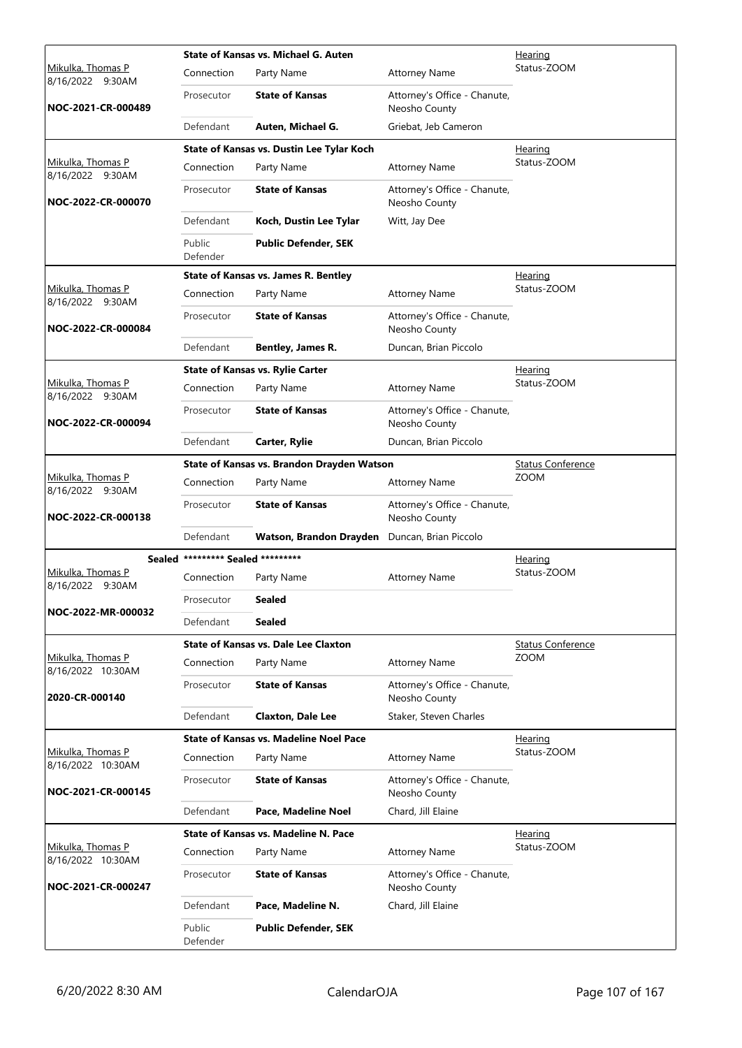|                                        |                                   | State of Kansas vs. Michael G. Auten          |                                               | <u>Hearing</u>           |
|----------------------------------------|-----------------------------------|-----------------------------------------------|-----------------------------------------------|--------------------------|
| Mikulka, Thomas P<br>8/16/2022 9:30AM  | Connection                        | Party Name                                    | <b>Attorney Name</b>                          | Status-ZOOM              |
| NOC-2021-CR-000489                     | Prosecutor                        | <b>State of Kansas</b>                        | Attorney's Office - Chanute,<br>Neosho County |                          |
|                                        | Defendant                         | Auten, Michael G.                             | Griebat, Jeb Cameron                          |                          |
|                                        |                                   | State of Kansas vs. Dustin Lee Tylar Koch     |                                               | Hearing                  |
| Mikulka, Thomas P<br>8/16/2022 9:30AM  | Connection                        | Party Name                                    | <b>Attorney Name</b>                          | Status-ZOOM              |
| NOC-2022-CR-000070                     | Prosecutor                        | <b>State of Kansas</b>                        | Attorney's Office - Chanute,<br>Neosho County |                          |
|                                        | Defendant                         | Koch, Dustin Lee Tylar                        | Witt, Jay Dee                                 |                          |
|                                        | Public<br>Defender                | <b>Public Defender, SEK</b>                   |                                               |                          |
|                                        |                                   | <b>State of Kansas vs. James R. Bentley</b>   |                                               | Hearing                  |
| Mikulka, Thomas P<br>8/16/2022 9:30AM  | Connection                        | Party Name                                    | <b>Attorney Name</b>                          | Status-ZOOM              |
| NOC-2022-CR-000084                     | Prosecutor                        | <b>State of Kansas</b>                        | Attorney's Office - Chanute,<br>Neosho County |                          |
|                                        | Defendant                         | Bentley, James R.                             | Duncan, Brian Piccolo                         |                          |
|                                        |                                   | <b>State of Kansas vs. Rylie Carter</b>       |                                               | <u>Hearing</u>           |
| Mikulka, Thomas P<br>8/16/2022 9:30AM  | Connection                        | Party Name                                    | <b>Attorney Name</b>                          | Status-ZOOM              |
| NOC-2022-CR-000094                     | Prosecutor                        | <b>State of Kansas</b>                        | Attorney's Office - Chanute,<br>Neosho County |                          |
|                                        | Defendant                         | Carter, Rylie                                 | Duncan, Brian Piccolo                         |                          |
|                                        |                                   | State of Kansas vs. Brandon Drayden Watson    |                                               | <b>Status Conference</b> |
| Mikulka, Thomas P<br>8/16/2022 9:30AM  | Connection                        | Party Name                                    | <b>Attorney Name</b>                          | ZOOM                     |
| NOC-2022-CR-000138                     | Prosecutor                        | <b>State of Kansas</b>                        | Attorney's Office - Chanute,<br>Neosho County |                          |
|                                        | Defendant                         | Watson, Brandon Drayden                       | Duncan, Brian Piccolo                         |                          |
|                                        | Sealed ********* Sealed ********* |                                               |                                               | <b>Hearing</b>           |
| Mikulka, Thomas P<br>8/16/2022 9:30AM  | Connection                        | Party Name                                    | <b>Attorney Name</b>                          | Status-ZOOM              |
| NOC-2022-MR-000032                     | Prosecutor                        | Sealed                                        |                                               |                          |
|                                        | Defendant                         | Sealed                                        |                                               |                          |
|                                        |                                   | State of Kansas vs. Dale Lee Claxton          |                                               | Status Conference        |
| Mikulka, Thomas P<br>8/16/2022 10:30AM | Connection                        | Party Name                                    | <b>Attorney Name</b>                          | <b>ZOOM</b>              |
| 2020-CR-000140                         | Prosecutor                        | <b>State of Kansas</b>                        | Attorney's Office - Chanute,<br>Neosho County |                          |
|                                        | Defendant                         | <b>Claxton, Dale Lee</b>                      | Staker, Steven Charles                        |                          |
|                                        |                                   | <b>State of Kansas vs. Madeline Noel Pace</b> |                                               | Hearing                  |
| Mikulka, Thomas P<br>8/16/2022 10:30AM | Connection                        | Party Name                                    | <b>Attorney Name</b>                          | Status-ZOOM              |
| NOC-2021-CR-000145                     | Prosecutor                        | <b>State of Kansas</b>                        | Attorney's Office - Chanute,<br>Neosho County |                          |
|                                        | Defendant                         | Pace, Madeline Noel                           | Chard, Jill Elaine                            |                          |
|                                        |                                   | <b>State of Kansas vs. Madeline N. Pace</b>   |                                               | <u>Hearing</u>           |
| Mikulka, Thomas P<br>8/16/2022 10:30AM | Connection                        | Party Name                                    | <b>Attorney Name</b>                          | Status-ZOOM              |
| NOC-2021-CR-000247                     | Prosecutor                        | <b>State of Kansas</b>                        | Attorney's Office - Chanute,<br>Neosho County |                          |
|                                        | Defendant                         | Pace, Madeline N.                             | Chard, Jill Elaine                            |                          |
|                                        | Public<br>Defender                | <b>Public Defender, SEK</b>                   |                                               |                          |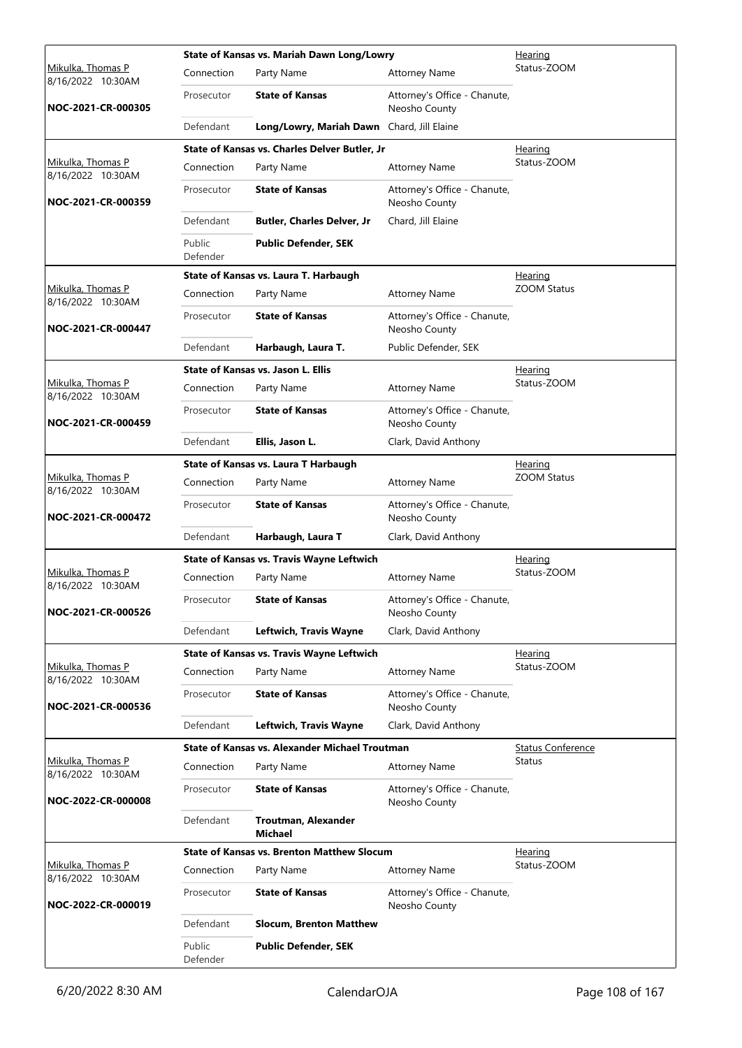|                                        |                    | State of Kansas vs. Mariah Dawn Long/Lowry            |                                               | Hearing                  |
|----------------------------------------|--------------------|-------------------------------------------------------|-----------------------------------------------|--------------------------|
| Mikulka, Thomas P<br>8/16/2022 10:30AM | Connection         | Party Name                                            | <b>Attorney Name</b>                          | Status-ZOOM              |
| NOC-2021-CR-000305                     | Prosecutor         | <b>State of Kansas</b>                                | Attorney's Office - Chanute,<br>Neosho County |                          |
|                                        | Defendant          | Long/Lowry, Mariah Dawn Chard, Jill Elaine            |                                               |                          |
|                                        |                    | State of Kansas vs. Charles Delver Butler, Jr         |                                               | Hearing                  |
| Mikulka, Thomas P<br>8/16/2022 10:30AM | Connection         | Party Name                                            | <b>Attorney Name</b>                          | Status-ZOOM              |
| NOC-2021-CR-000359                     | Prosecutor         | <b>State of Kansas</b>                                | Attorney's Office - Chanute,<br>Neosho County |                          |
|                                        | Defendant          | <b>Butler, Charles Delver, Jr</b>                     | Chard, Jill Elaine                            |                          |
|                                        | Public<br>Defender | <b>Public Defender, SEK</b>                           |                                               |                          |
|                                        |                    | State of Kansas vs. Laura T. Harbaugh                 |                                               | Hearing                  |
| Mikulka, Thomas P<br>8/16/2022 10:30AM | Connection         | Party Name                                            | <b>Attorney Name</b>                          | <b>ZOOM Status</b>       |
| NOC-2021-CR-000447                     | Prosecutor         | <b>State of Kansas</b>                                | Attorney's Office - Chanute,<br>Neosho County |                          |
|                                        | Defendant          | Harbaugh, Laura T.                                    | Public Defender, SEK                          |                          |
|                                        |                    | <b>State of Kansas vs. Jason L. Ellis</b>             |                                               | <u>Hearing</u>           |
| Mikulka, Thomas P<br>8/16/2022 10:30AM | Connection         | Party Name                                            | <b>Attorney Name</b>                          | Status-ZOOM              |
| NOC-2021-CR-000459                     | Prosecutor         | <b>State of Kansas</b>                                | Attorney's Office - Chanute,<br>Neosho County |                          |
|                                        | Defendant          | Ellis, Jason L.                                       | Clark, David Anthony                          |                          |
|                                        |                    | State of Kansas vs. Laura T Harbaugh                  |                                               | <u>Hearing</u>           |
| Mikulka, Thomas P<br>8/16/2022 10:30AM | Connection         | Party Name                                            | <b>Attorney Name</b>                          | <b>ZOOM Status</b>       |
| NOC-2021-CR-000472                     | Prosecutor         | <b>State of Kansas</b>                                | Attorney's Office - Chanute,<br>Neosho County |                          |
|                                        | Defendant          | Harbaugh, Laura T                                     | Clark, David Anthony                          |                          |
|                                        |                    | State of Kansas vs. Travis Wayne Leftwich             |                                               | Hearing                  |
| Mikulka, Thomas P<br>8/16/2022 10:30AM | Connection         | Party Name                                            | <b>Attorney Name</b>                          | Status-ZOOM              |
| NOC-2021-CR-000526                     | Prosecutor         | <b>State of Kansas</b>                                | Attorney's Office - Chanute,<br>Neosho County |                          |
|                                        | Defendant          | Leftwich, Travis Wayne                                | Clark, David Anthony                          |                          |
|                                        |                    | State of Kansas vs. Travis Wayne Leftwich             |                                               | Hearing                  |
| Mikulka, Thomas P<br>8/16/2022 10:30AM | Connection         | Party Name                                            | <b>Attorney Name</b>                          | Status-ZOOM              |
| NOC-2021-CR-000536                     | Prosecutor         | <b>State of Kansas</b>                                | Attorney's Office - Chanute,<br>Neosho County |                          |
|                                        | Defendant          | Leftwich, Travis Wayne                                | Clark, David Anthony                          |                          |
|                                        |                    | <b>State of Kansas vs. Alexander Michael Troutman</b> |                                               | <b>Status Conference</b> |
| Mikulka, Thomas P<br>8/16/2022 10:30AM | Connection         | Party Name                                            | <b>Attorney Name</b>                          | Status                   |
| NOC-2022-CR-000008                     | Prosecutor         | <b>State of Kansas</b>                                | Attorney's Office - Chanute,<br>Neosho County |                          |
|                                        | Defendant          | Troutman, Alexander<br><b>Michael</b>                 |                                               |                          |
|                                        |                    | <b>State of Kansas vs. Brenton Matthew Slocum</b>     |                                               | Hearing                  |
| Mikulka, Thomas P<br>8/16/2022 10:30AM | Connection         | Party Name                                            | <b>Attorney Name</b>                          | Status-ZOOM              |
| NOC-2022-CR-000019                     | Prosecutor         | <b>State of Kansas</b>                                | Attorney's Office - Chanute,<br>Neosho County |                          |
|                                        | Defendant          | <b>Slocum, Brenton Matthew</b>                        |                                               |                          |
|                                        | Public<br>Defender | <b>Public Defender, SEK</b>                           |                                               |                          |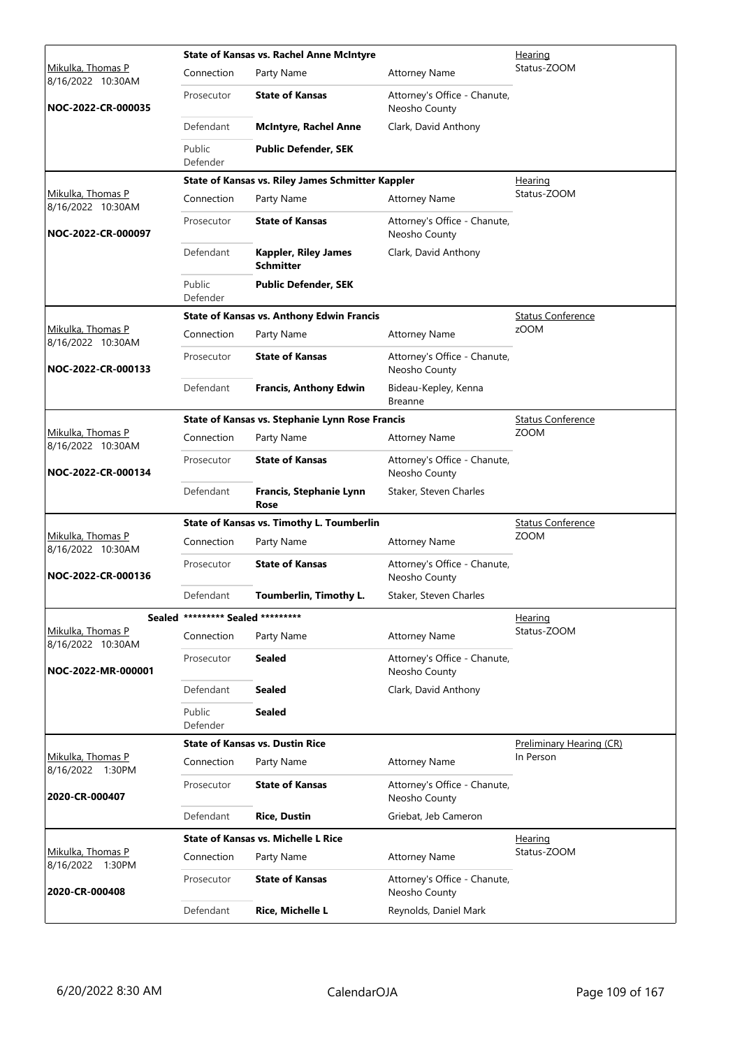|                                        |                                   | <b>State of Kansas vs. Rachel Anne McIntyre</b><br>Hearing |                                               |                          |  |
|----------------------------------------|-----------------------------------|------------------------------------------------------------|-----------------------------------------------|--------------------------|--|
| Mikulka, Thomas P<br>8/16/2022 10:30AM | Connection                        | Party Name                                                 | <b>Attorney Name</b>                          | Status-ZOOM              |  |
| NOC-2022-CR-000035                     | Prosecutor                        | <b>State of Kansas</b>                                     | Attorney's Office - Chanute,<br>Neosho County |                          |  |
|                                        | Defendant                         | <b>McIntyre, Rachel Anne</b>                               | Clark, David Anthony                          |                          |  |
|                                        | Public<br>Defender                | <b>Public Defender, SEK</b>                                |                                               |                          |  |
|                                        |                                   | State of Kansas vs. Riley James Schmitter Kappler          |                                               | Hearing                  |  |
| Mikulka, Thomas P<br>8/16/2022 10:30AM | Connection                        | Party Name                                                 | <b>Attorney Name</b>                          | Status-ZOOM              |  |
| NOC-2022-CR-000097                     | Prosecutor                        | <b>State of Kansas</b>                                     | Attorney's Office - Chanute,<br>Neosho County |                          |  |
|                                        | Defendant                         | <b>Kappler, Riley James</b><br><b>Schmitter</b>            | Clark, David Anthony                          |                          |  |
|                                        | Public<br>Defender                | <b>Public Defender, SEK</b>                                |                                               |                          |  |
|                                        |                                   | <b>State of Kansas vs. Anthony Edwin Francis</b>           |                                               | <b>Status Conference</b> |  |
| Mikulka, Thomas P<br>8/16/2022 10:30AM | Connection                        | Party Name                                                 | <b>Attorney Name</b>                          | zOOM                     |  |
| NOC-2022-CR-000133                     | Prosecutor                        | <b>State of Kansas</b>                                     | Attorney's Office - Chanute,<br>Neosho County |                          |  |
|                                        | Defendant                         | <b>Francis, Anthony Edwin</b>                              | Bideau-Kepley, Kenna<br><b>Breanne</b>        |                          |  |
|                                        |                                   | State of Kansas vs. Stephanie Lynn Rose Francis            |                                               | <b>Status Conference</b> |  |
| Mikulka, Thomas P<br>8/16/2022 10:30AM | Connection                        | Party Name                                                 | <b>Attorney Name</b>                          | <b>ZOOM</b>              |  |
| NOC-2022-CR-000134                     | Prosecutor                        | <b>State of Kansas</b>                                     | Attorney's Office - Chanute,<br>Neosho County |                          |  |
|                                        | Defendant                         | Francis, Stephanie Lynn<br>Rose                            | Staker, Steven Charles                        |                          |  |
|                                        |                                   | State of Kansas vs. Timothy L. Toumberlin                  |                                               | <b>Status Conference</b> |  |
| Mikulka, Thomas P<br>8/16/2022 10:30AM | Connection                        | Party Name                                                 | <b>Attorney Name</b>                          | <b>ZOOM</b>              |  |
| NOC-2022-CR-000136                     | Prosecutor                        | <b>State of Kansas</b>                                     | Attorney's Office - Chanute,<br>Neosho County |                          |  |
|                                        | Defendant                         | Toumberlin, Timothy L.                                     | Staker, Steven Charles                        |                          |  |
|                                        | Sealed ********* Sealed ********* |                                                            |                                               | Hearing                  |  |
| Mikulka, Thomas P<br>8/16/2022 10:30AM | Connection                        | Party Name                                                 | <b>Attorney Name</b>                          | Status-ZOOM              |  |
| NOC-2022-MR-000001                     | Prosecutor                        | <b>Sealed</b>                                              | Attorney's Office - Chanute,<br>Neosho County |                          |  |
|                                        | Defendant                         | <b>Sealed</b>                                              | Clark, David Anthony                          |                          |  |
|                                        | Public<br>Defender                | <b>Sealed</b>                                              |                                               |                          |  |
|                                        |                                   | <b>State of Kansas vs. Dustin Rice</b>                     |                                               | Preliminary Hearing (CR) |  |
| Mikulka, Thomas P<br>8/16/2022 1:30PM  | Connection                        | Party Name                                                 | <b>Attorney Name</b>                          | In Person                |  |
| 2020-CR-000407                         | Prosecutor                        | <b>State of Kansas</b>                                     | Attorney's Office - Chanute,<br>Neosho County |                          |  |
|                                        | Defendant                         | <b>Rice, Dustin</b>                                        | Griebat, Jeb Cameron                          |                          |  |
|                                        |                                   | <b>State of Kansas vs. Michelle L Rice</b>                 |                                               | <u>Hearing</u>           |  |
| Mikulka, Thomas P<br>8/16/2022 1:30PM  | Connection                        | Party Name                                                 | <b>Attorney Name</b>                          | Status-ZOOM              |  |
| 2020-CR-000408                         | Prosecutor                        | <b>State of Kansas</b>                                     | Attorney's Office - Chanute,<br>Neosho County |                          |  |
|                                        | Defendant                         | Rice, Michelle L                                           | Reynolds, Daniel Mark                         |                          |  |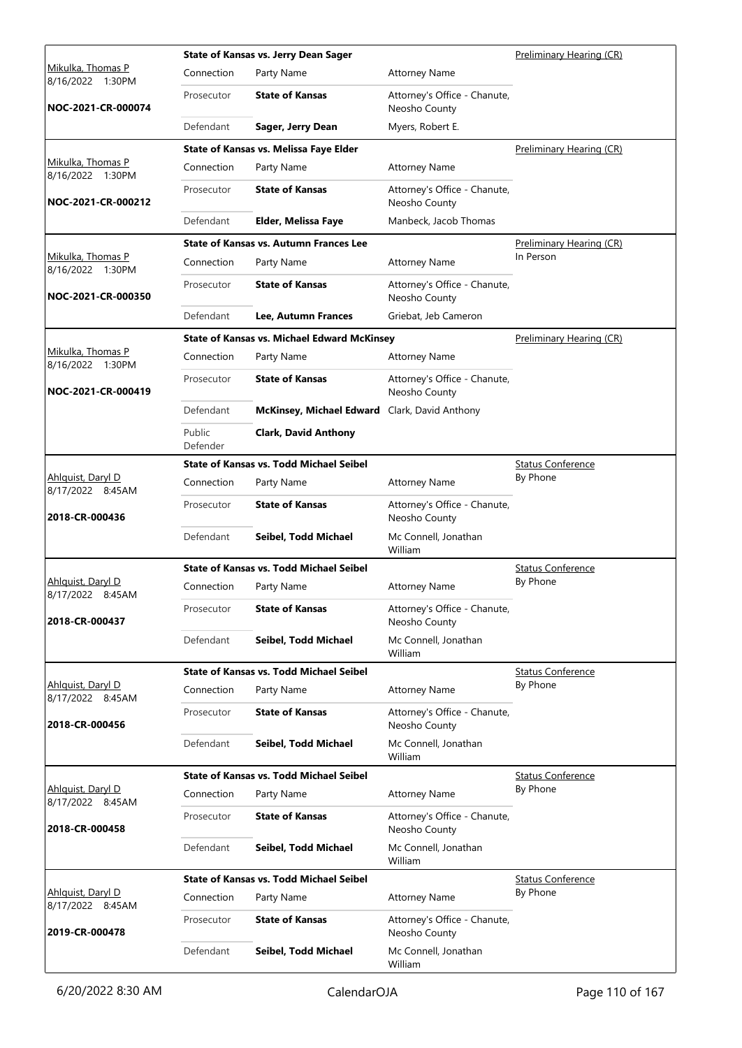|                                       |                    | <b>State of Kansas vs. Jerry Dean Sager</b>        |                                               | Preliminary Hearing (CR) |
|---------------------------------------|--------------------|----------------------------------------------------|-----------------------------------------------|--------------------------|
| Mikulka, Thomas P<br>8/16/2022 1:30PM | Connection         | Party Name                                         | <b>Attorney Name</b>                          |                          |
| NOC-2021-CR-000074                    | Prosecutor         | <b>State of Kansas</b>                             | Attorney's Office - Chanute,<br>Neosho County |                          |
|                                       | Defendant          | Sager, Jerry Dean                                  | Myers, Robert E.                              |                          |
|                                       |                    | State of Kansas vs. Melissa Faye Elder             |                                               | Preliminary Hearing (CR) |
| Mikulka, Thomas P<br>8/16/2022 1:30PM | Connection         | Party Name                                         | <b>Attorney Name</b>                          |                          |
| NOC-2021-CR-000212                    | Prosecutor         | <b>State of Kansas</b>                             | Attorney's Office - Chanute,<br>Neosho County |                          |
|                                       | Defendant          | Elder, Melissa Faye                                | Manbeck, Jacob Thomas                         |                          |
|                                       |                    | <b>State of Kansas vs. Autumn Frances Lee</b>      |                                               | Preliminary Hearing (CR) |
| Mikulka, Thomas P<br>8/16/2022 1:30PM | Connection         | Party Name                                         | <b>Attorney Name</b>                          | In Person                |
| NOC-2021-CR-000350                    | Prosecutor         | <b>State of Kansas</b>                             | Attorney's Office - Chanute,<br>Neosho County |                          |
|                                       | Defendant          | Lee, Autumn Frances                                | Griebat, Jeb Cameron                          |                          |
|                                       |                    | <b>State of Kansas vs. Michael Edward McKinsey</b> |                                               | Preliminary Hearing (CR) |
| Mikulka, Thomas P<br>8/16/2022 1:30PM | Connection         | Party Name                                         | <b>Attorney Name</b>                          |                          |
| NOC-2021-CR-000419                    | Prosecutor         | <b>State of Kansas</b>                             | Attorney's Office - Chanute,<br>Neosho County |                          |
|                                       | Defendant          | McKinsey, Michael Edward Clark, David Anthony      |                                               |                          |
|                                       | Public<br>Defender | <b>Clark, David Anthony</b>                        |                                               |                          |
|                                       |                    | <b>State of Kansas vs. Todd Michael Seibel</b>     |                                               | <b>Status Conference</b> |
| Ahlguist, Daryl D<br>8/17/2022 8:45AM | Connection         | Party Name                                         | <b>Attorney Name</b>                          | By Phone                 |
| 2018-CR-000436                        | Prosecutor         | <b>State of Kansas</b>                             | Attorney's Office - Chanute,<br>Neosho County |                          |
|                                       | Defendant          | Seibel, Todd Michael                               | Mc Connell, Jonathan<br>William               |                          |
|                                       |                    | State of Kansas vs. Todd Michael Seibel            |                                               | <b>Status Conference</b> |
| Ahlguist, Daryl D<br>8/17/2022 8:45AM | Connection         | Party Name                                         | <b>Attorney Name</b>                          | By Phone                 |
| 2018-CR-000437                        | Prosecutor         | <b>State of Kansas</b>                             | Attorney's Office - Chanute,<br>Neosho County |                          |
|                                       | Defendant          | Seibel, Todd Michael                               | Mc Connell, Jonathan<br>William               |                          |
|                                       |                    | <b>State of Kansas vs. Todd Michael Seibel</b>     |                                               | <b>Status Conference</b> |
| Ahlquist, Daryl D<br>8/17/2022 8:45AM | Connection         | Party Name                                         | <b>Attorney Name</b>                          | By Phone                 |
| 2018-CR-000456                        | Prosecutor         | <b>State of Kansas</b>                             | Attorney's Office - Chanute,<br>Neosho County |                          |
|                                       | Defendant          | Seibel, Todd Michael                               | Mc Connell, Jonathan<br>William               |                          |
|                                       |                    | <b>State of Kansas vs. Todd Michael Seibel</b>     |                                               | <b>Status Conference</b> |
| Ahlquist, Daryl D<br>8/17/2022 8:45AM | Connection         | Party Name                                         | <b>Attorney Name</b>                          | By Phone                 |
| 2018-CR-000458                        | Prosecutor         | <b>State of Kansas</b>                             | Attorney's Office - Chanute,<br>Neosho County |                          |
|                                       | Defendant          | Seibel, Todd Michael                               | Mc Connell, Jonathan<br>William               |                          |
|                                       |                    | <b>State of Kansas vs. Todd Michael Seibel</b>     |                                               | <b>Status Conference</b> |
| Ahlquist, Daryl D<br>8/17/2022 8:45AM | Connection         | Party Name                                         | <b>Attorney Name</b>                          | By Phone                 |
| 2019-CR-000478                        | Prosecutor         | <b>State of Kansas</b>                             | Attorney's Office - Chanute,<br>Neosho County |                          |
|                                       | Defendant          | Seibel, Todd Michael                               | Mc Connell, Jonathan<br>William               |                          |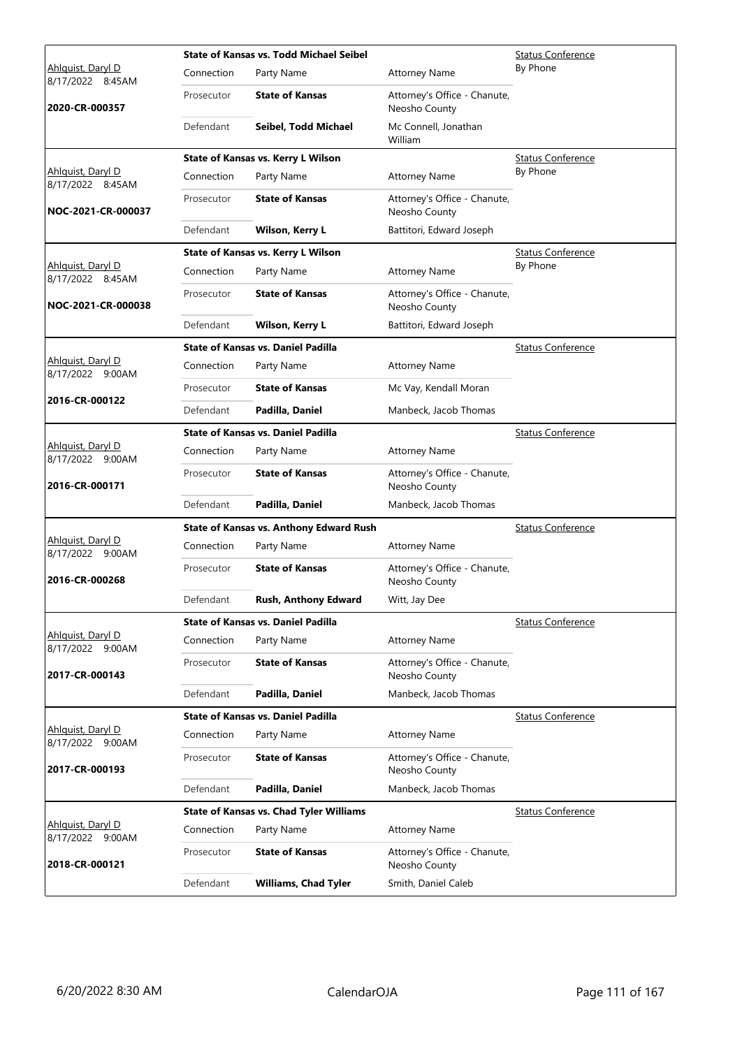|                                              |            | <b>State of Kansas vs. Todd Michael Seibel</b> |                                               | <b>Status Conference</b> |
|----------------------------------------------|------------|------------------------------------------------|-----------------------------------------------|--------------------------|
| Ahlguist, Daryl D<br>8/17/2022 8:45AM        | Connection | Party Name                                     | <b>Attorney Name</b>                          | By Phone                 |
| 2020-CR-000357                               | Prosecutor | <b>State of Kansas</b>                         | Attorney's Office - Chanute,<br>Neosho County |                          |
|                                              | Defendant  | Seibel, Todd Michael                           | Mc Connell, Jonathan<br>William               |                          |
|                                              |            | State of Kansas vs. Kerry L Wilson             |                                               | <b>Status Conference</b> |
| Ahlguist, Daryl D<br>8/17/2022 8:45AM        | Connection | Party Name                                     | <b>Attorney Name</b>                          | By Phone                 |
| NOC-2021-CR-000037                           | Prosecutor | <b>State of Kansas</b>                         | Attorney's Office - Chanute,<br>Neosho County |                          |
|                                              | Defendant  | Wilson, Kerry L                                | Battitori, Edward Joseph                      |                          |
|                                              |            | State of Kansas vs. Kerry L Wilson             |                                               | <b>Status Conference</b> |
| Ahlguist, Daryl D<br>8/17/2022 8:45AM        | Connection | Party Name                                     | <b>Attorney Name</b>                          | By Phone                 |
| NOC-2021-CR-000038                           | Prosecutor | <b>State of Kansas</b>                         | Attorney's Office - Chanute,<br>Neosho County |                          |
|                                              | Defendant  | Wilson, Kerry L                                | Battitori, Edward Joseph                      |                          |
|                                              |            | <b>State of Kansas vs. Daniel Padilla</b>      |                                               | <b>Status Conference</b> |
| Ahlquist, Daryl D<br>8/17/2022 9:00AM        | Connection | Party Name                                     | <b>Attorney Name</b>                          |                          |
|                                              | Prosecutor | <b>State of Kansas</b>                         | Mc Vay, Kendall Moran                         |                          |
| 2016-CR-000122                               | Defendant  | Padilla, Daniel                                | Manbeck, Jacob Thomas                         |                          |
|                                              |            | <b>State of Kansas vs. Daniel Padilla</b>      |                                               | <b>Status Conference</b> |
| Ahlquist, Daryl D<br>8/17/2022 9:00AM        | Connection | Party Name                                     | <b>Attorney Name</b>                          |                          |
| 2016-CR-000171                               | Prosecutor | <b>State of Kansas</b>                         | Attorney's Office - Chanute,<br>Neosho County |                          |
|                                              | Defendant  | Padilla, Daniel                                | Manbeck, Jacob Thomas                         |                          |
|                                              |            | <b>State of Kansas vs. Anthony Edward Rush</b> |                                               | <b>Status Conference</b> |
| Ahlguist, Daryl D<br>8/17/2022 9:00AM        | Connection | Party Name                                     | <b>Attorney Name</b>                          |                          |
| 2016-CR-000268                               | Prosecutor | <b>State of Kansas</b>                         | Attorney's Office - Chanute,<br>Neosho County |                          |
|                                              | Defendant  | <b>Rush, Anthony Edward</b>                    | Witt, Jay Dee                                 |                          |
|                                              |            | <b>State of Kansas vs. Daniel Padilla</b>      |                                               | <b>Status Conference</b> |
| Ahlquist, Daryl D<br>8/17/2022 9:00AM        | Connection | Party Name                                     | <b>Attorney Name</b>                          |                          |
| 2017-CR-000143                               | Prosecutor | <b>State of Kansas</b>                         | Attorney's Office - Chanute,<br>Neosho County |                          |
|                                              | Defendant  | Padilla, Daniel                                | Manbeck, Jacob Thomas                         |                          |
|                                              |            | <b>State of Kansas vs. Daniel Padilla</b>      |                                               | <b>Status Conference</b> |
| Ahlquist, Daryl D<br>8/17/2022 9:00AM        | Connection | Party Name                                     | <b>Attorney Name</b>                          |                          |
| 2017-CR-000193                               | Prosecutor | <b>State of Kansas</b>                         | Attorney's Office - Chanute,<br>Neosho County |                          |
|                                              | Defendant  | Padilla, Daniel                                | Manbeck, Jacob Thomas                         |                          |
|                                              |            | <b>State of Kansas vs. Chad Tyler Williams</b> |                                               | <b>Status Conference</b> |
| <u>Ahlquist, Daryl D</u><br>8/17/2022 9:00AM | Connection | Party Name                                     | <b>Attorney Name</b>                          |                          |
| 2018-CR-000121                               | Prosecutor | <b>State of Kansas</b>                         | Attorney's Office - Chanute,<br>Neosho County |                          |
|                                              | Defendant  | <b>Williams, Chad Tyler</b>                    | Smith, Daniel Caleb                           |                          |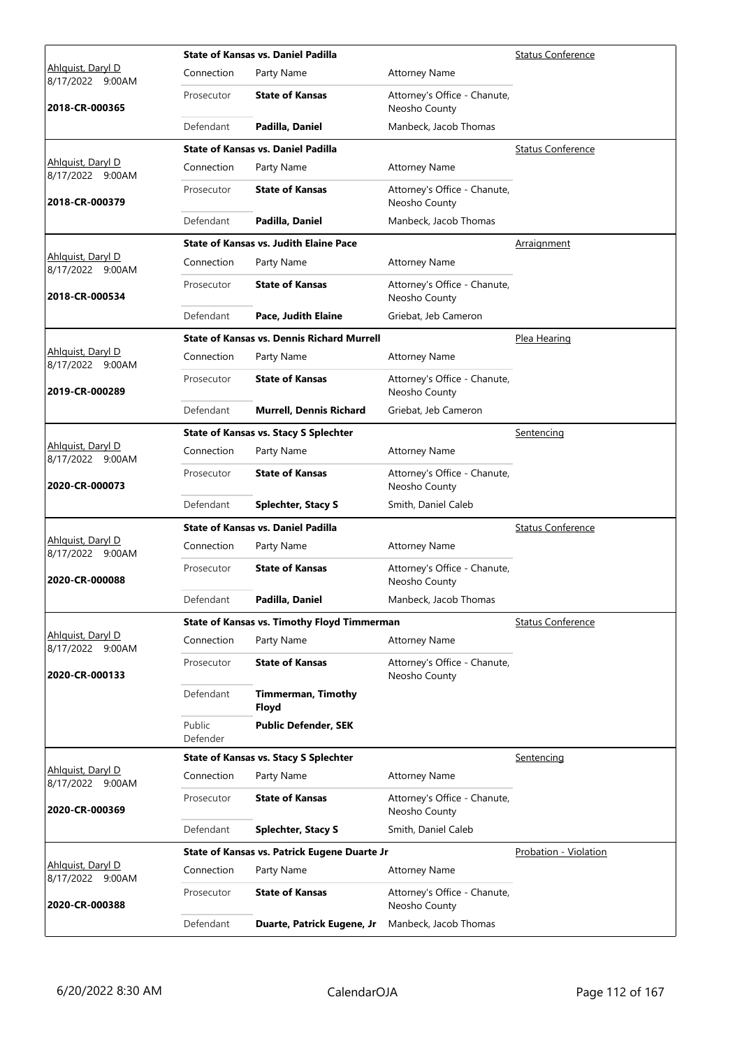|                                       |                    | <b>State of Kansas vs. Daniel Padilla</b>          |                                               | <b>Status Conference</b> |
|---------------------------------------|--------------------|----------------------------------------------------|-----------------------------------------------|--------------------------|
| Ahlguist, Daryl D<br>8/17/2022 9:00AM | Connection         | Party Name                                         | <b>Attorney Name</b>                          |                          |
| 2018-CR-000365                        | Prosecutor         | <b>State of Kansas</b>                             | Attorney's Office - Chanute,<br>Neosho County |                          |
|                                       | Defendant          | Padilla, Daniel                                    | Manbeck, Jacob Thomas                         |                          |
|                                       |                    | <b>State of Kansas vs. Daniel Padilla</b>          |                                               | <b>Status Conference</b> |
| Ahlquist, Daryl D<br>8/17/2022 9:00AM | Connection         | Party Name                                         | <b>Attorney Name</b>                          |                          |
| 2018-CR-000379                        | Prosecutor         | <b>State of Kansas</b>                             | Attorney's Office - Chanute,<br>Neosho County |                          |
|                                       | Defendant          | Padilla, Daniel                                    | Manbeck, Jacob Thomas                         |                          |
|                                       |                    | <b>State of Kansas vs. Judith Elaine Pace</b>      |                                               | <b>Arraignment</b>       |
| Ahlquist, Daryl D<br>8/17/2022 9:00AM | Connection         | Party Name                                         | <b>Attorney Name</b>                          |                          |
| 2018-CR-000534                        | Prosecutor         | <b>State of Kansas</b>                             | Attorney's Office - Chanute,<br>Neosho County |                          |
|                                       | Defendant          | Pace, Judith Elaine                                | Griebat, Jeb Cameron                          |                          |
|                                       |                    | <b>State of Kansas vs. Dennis Richard Murrell</b>  |                                               | Plea Hearing             |
| Ahlguist, Daryl D<br>8/17/2022 9:00AM | Connection         | Party Name                                         | <b>Attorney Name</b>                          |                          |
| 2019-CR-000289                        | Prosecutor         | <b>State of Kansas</b>                             | Attorney's Office - Chanute,<br>Neosho County |                          |
|                                       | Defendant          | <b>Murrell, Dennis Richard</b>                     | Griebat, Jeb Cameron                          |                          |
|                                       |                    | <b>State of Kansas vs. Stacy S Splechter</b>       |                                               | Sentencing               |
| Ahlquist, Daryl D<br>8/17/2022 9:00AM | Connection         | Party Name                                         | <b>Attorney Name</b>                          |                          |
| 2020-CR-000073                        | Prosecutor         | <b>State of Kansas</b>                             | Attorney's Office - Chanute,<br>Neosho County |                          |
|                                       | Defendant          | <b>Splechter, Stacy S</b>                          | Smith, Daniel Caleb                           |                          |
|                                       |                    | <b>State of Kansas vs. Daniel Padilla</b>          |                                               | <b>Status Conference</b> |
| Ahlguist, Daryl D<br>8/17/2022 9:00AM | Connection         | Party Name                                         | <b>Attorney Name</b>                          |                          |
| 2020-CR-000088                        | Prosecutor         | <b>State of Kansas</b>                             | Attorney's Office - Chanute,<br>Neosho County |                          |
|                                       | Defendant          | Padilla, Daniel                                    | Manbeck, Jacob Thomas                         |                          |
|                                       |                    | <b>State of Kansas vs. Timothy Floyd Timmerman</b> |                                               | <b>Status Conference</b> |
| Ahlquist, Daryl D<br>8/17/2022 9:00AM | Connection         | Party Name                                         | <b>Attorney Name</b>                          |                          |
| 2020-CR-000133                        | Prosecutor         | <b>State of Kansas</b>                             | Attorney's Office - Chanute,<br>Neosho County |                          |
|                                       | Defendant          | <b>Timmerman, Timothy</b><br>Floyd                 |                                               |                          |
|                                       | Public<br>Defender | <b>Public Defender, SEK</b>                        |                                               |                          |
|                                       |                    | <b>State of Kansas vs. Stacy S Splechter</b>       |                                               | Sentencing               |
| Ahlquist, Daryl D<br>8/17/2022 9:00AM | Connection         | Party Name                                         | <b>Attorney Name</b>                          |                          |
| 2020-CR-000369                        | Prosecutor         | <b>State of Kansas</b>                             | Attorney's Office - Chanute,<br>Neosho County |                          |
|                                       | Defendant          | <b>Splechter, Stacy S</b>                          | Smith, Daniel Caleb                           |                          |
|                                       |                    | State of Kansas vs. Patrick Eugene Duarte Jr       |                                               | Probation - Violation    |
| Ahlguist, Daryl D<br>8/17/2022 9:00AM | Connection         | Party Name                                         | <b>Attorney Name</b>                          |                          |
| 2020-CR-000388                        | Prosecutor         | <b>State of Kansas</b>                             | Attorney's Office - Chanute,<br>Neosho County |                          |
|                                       | Defendant          | Duarte, Patrick Eugene, Jr                         | Manbeck, Jacob Thomas                         |                          |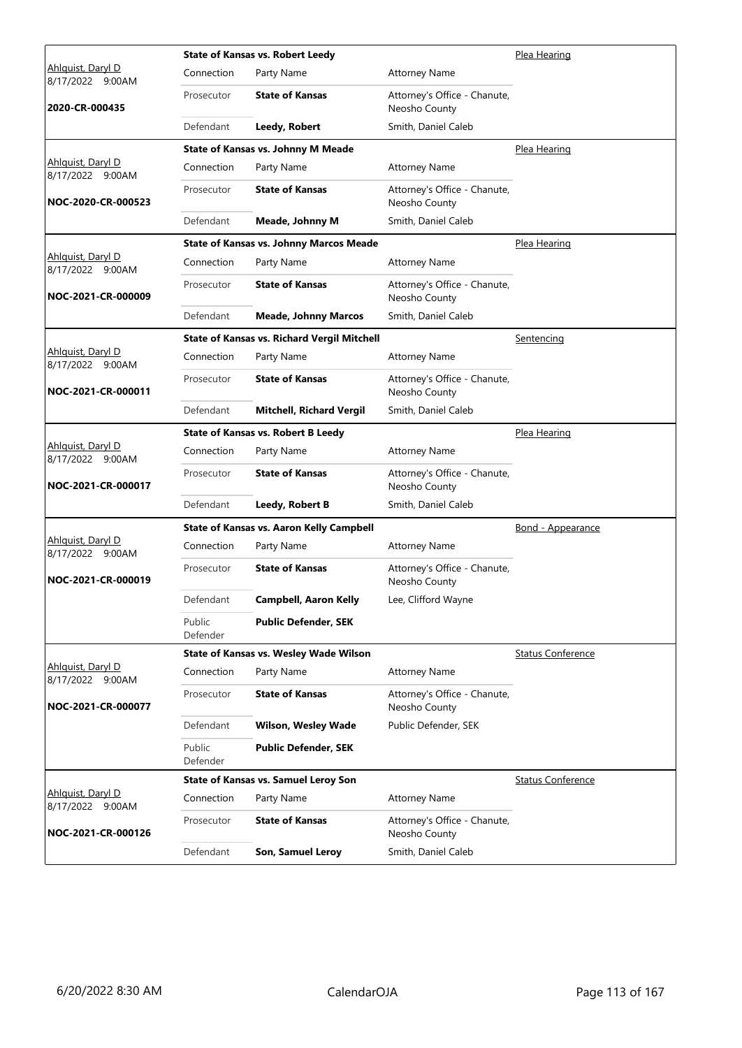|                                       |                    | <b>State of Kansas vs. Robert Leedy</b>            |                                               | Plea Hearing             |
|---------------------------------------|--------------------|----------------------------------------------------|-----------------------------------------------|--------------------------|
| Ahlguist, Daryl D<br>8/17/2022 9:00AM | Connection         | Party Name                                         | <b>Attorney Name</b>                          |                          |
| 2020-CR-000435                        | Prosecutor         | <b>State of Kansas</b>                             | Attorney's Office - Chanute,<br>Neosho County |                          |
|                                       | Defendant          | Leedy, Robert                                      | Smith, Daniel Caleb                           |                          |
|                                       |                    | State of Kansas vs. Johnny M Meade                 |                                               | Plea Hearing             |
| Ahlquist, Daryl D<br>8/17/2022 9:00AM | Connection         | Party Name                                         | <b>Attorney Name</b>                          |                          |
| NOC-2020-CR-000523                    | Prosecutor         | <b>State of Kansas</b>                             | Attorney's Office - Chanute,<br>Neosho County |                          |
|                                       | Defendant          | <b>Meade, Johnny M</b>                             | Smith, Daniel Caleb                           |                          |
|                                       |                    | <b>State of Kansas vs. Johnny Marcos Meade</b>     |                                               | Plea Hearing             |
| Ahlquist, Daryl D<br>8/17/2022 9:00AM | Connection         | Party Name                                         | <b>Attorney Name</b>                          |                          |
| NOC-2021-CR-000009                    | Prosecutor         | <b>State of Kansas</b>                             | Attorney's Office - Chanute,<br>Neosho County |                          |
|                                       | Defendant          | <b>Meade, Johnny Marcos</b>                        | Smith, Daniel Caleb                           |                          |
|                                       |                    | <b>State of Kansas vs. Richard Vergil Mitchell</b> |                                               | Sentencing               |
| Ahlguist, Daryl D<br>8/17/2022 9:00AM | Connection         | Party Name                                         | <b>Attorney Name</b>                          |                          |
| NOC-2021-CR-000011                    | Prosecutor         | <b>State of Kansas</b>                             | Attorney's Office - Chanute,<br>Neosho County |                          |
|                                       | Defendant          | <b>Mitchell, Richard Vergil</b>                    | Smith, Daniel Caleb                           |                          |
|                                       |                    | <b>State of Kansas vs. Robert B Leedy</b>          |                                               | Plea Hearing             |
| Ahlquist, Daryl D<br>8/17/2022 9:00AM | Connection         | Party Name                                         | <b>Attorney Name</b>                          |                          |
| NOC-2021-CR-000017                    | Prosecutor         | <b>State of Kansas</b>                             | Attorney's Office - Chanute,<br>Neosho County |                          |
|                                       | Defendant          | Leedy, Robert B                                    | Smith, Daniel Caleb                           |                          |
|                                       |                    | <b>State of Kansas vs. Aaron Kelly Campbell</b>    |                                               | Bond - Appearance        |
| Ahlquist, Daryl D<br>8/17/2022 9:00AM | Connection         | Party Name                                         | <b>Attorney Name</b>                          |                          |
| NOC-2021-CR-000019                    | Prosecutor         | <b>State of Kansas</b>                             | Attorney's Office - Chanute,<br>Neosho County |                          |
|                                       | Defendant          | Campbell, Aaron Kelly                              | Lee, Clifford Wayne                           |                          |
|                                       | Public<br>Defender | <b>Public Defender, SEK</b>                        |                                               |                          |
|                                       |                    | State of Kansas vs. Wesley Wade Wilson             |                                               | <b>Status Conference</b> |
| Ahlguist, Daryl D<br>8/17/2022 9:00AM | Connection         | Party Name                                         | <b>Attorney Name</b>                          |                          |
| NOC-2021-CR-000077                    | Prosecutor         | <b>State of Kansas</b>                             | Attorney's Office - Chanute,<br>Neosho County |                          |
|                                       | Defendant          | <b>Wilson, Wesley Wade</b>                         | Public Defender, SEK                          |                          |
|                                       | Public<br>Defender | <b>Public Defender, SEK</b>                        |                                               |                          |
|                                       |                    | <b>State of Kansas vs. Samuel Leroy Son</b>        |                                               | <b>Status Conference</b> |
| Ahlquist, Daryl D<br>8/17/2022 9:00AM | Connection         | Party Name                                         | <b>Attorney Name</b>                          |                          |
| NOC-2021-CR-000126                    | Prosecutor         | <b>State of Kansas</b>                             | Attorney's Office - Chanute,<br>Neosho County |                          |
|                                       | Defendant          | Son, Samuel Leroy                                  | Smith, Daniel Caleb                           |                          |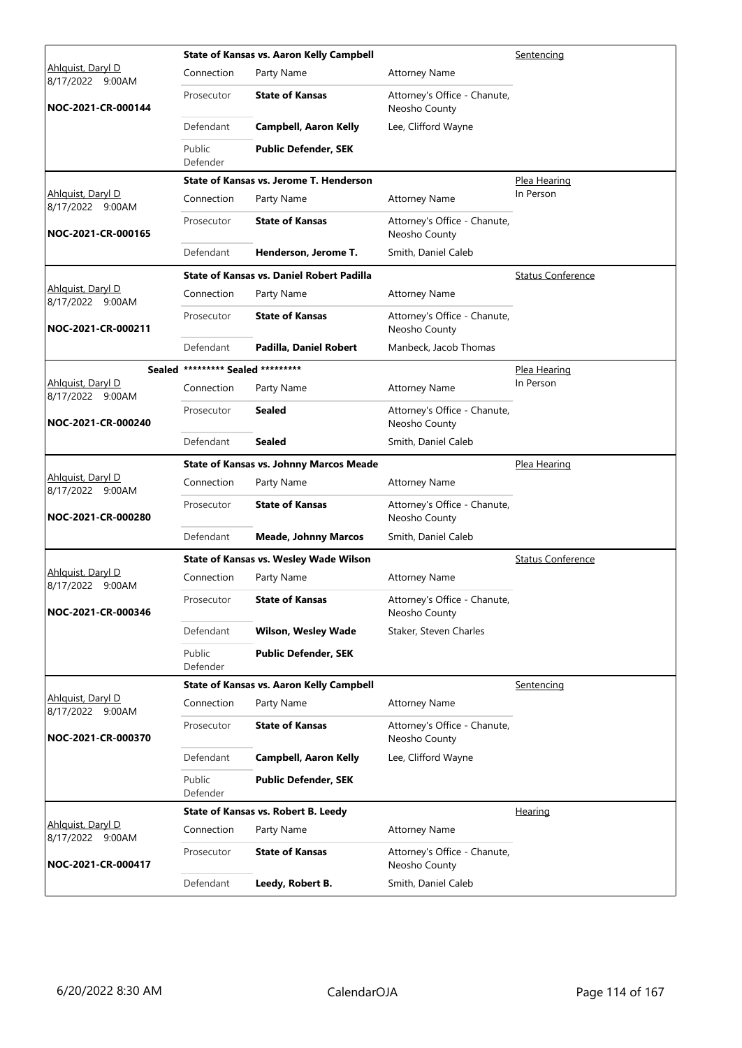|                                              |                                   | <b>State of Kansas vs. Aaron Kelly Campbell</b> |                                               | Sentencing               |
|----------------------------------------------|-----------------------------------|-------------------------------------------------|-----------------------------------------------|--------------------------|
| Ahlguist, Daryl D<br>8/17/2022 9:00AM        | Connection                        | Party Name                                      | <b>Attorney Name</b>                          |                          |
| NOC-2021-CR-000144                           | Prosecutor                        | <b>State of Kansas</b>                          | Attorney's Office - Chanute,<br>Neosho County |                          |
|                                              | Defendant                         | <b>Campbell, Aaron Kelly</b>                    | Lee, Clifford Wayne                           |                          |
|                                              | Public<br>Defender                | <b>Public Defender, SEK</b>                     |                                               |                          |
|                                              |                                   | State of Kansas vs. Jerome T. Henderson         |                                               | Plea Hearing             |
| Ahlguist, Daryl D<br>8/17/2022 9:00AM        | Connection                        | Party Name                                      | <b>Attorney Name</b>                          | In Person                |
| NOC-2021-CR-000165                           | Prosecutor                        | <b>State of Kansas</b>                          | Attorney's Office - Chanute,<br>Neosho County |                          |
|                                              | Defendant                         | Henderson, Jerome T.                            | Smith, Daniel Caleb                           |                          |
|                                              |                                   | State of Kansas vs. Daniel Robert Padilla       |                                               | <b>Status Conference</b> |
| <u>Ahlquist, Daryl D</u><br>8/17/2022 9:00AM | Connection                        | Party Name                                      | <b>Attorney Name</b>                          |                          |
| NOC-2021-CR-000211                           | Prosecutor                        | <b>State of Kansas</b>                          | Attorney's Office - Chanute,<br>Neosho County |                          |
|                                              | Defendant                         | Padilla, Daniel Robert                          | Manbeck, Jacob Thomas                         |                          |
|                                              | Sealed ********* Sealed ********* |                                                 |                                               | Plea Hearing             |
| Ahlquist, Daryl D<br>8/17/2022 9:00AM        | Connection                        | Party Name                                      | <b>Attorney Name</b>                          | In Person                |
| NOC-2021-CR-000240                           | Prosecutor                        | Sealed                                          | Attorney's Office - Chanute,<br>Neosho County |                          |
|                                              | Defendant                         | <b>Sealed</b>                                   | Smith, Daniel Caleb                           |                          |
|                                              |                                   | <b>State of Kansas vs. Johnny Marcos Meade</b>  |                                               | Plea Hearing             |
| Ahlguist, Daryl D<br>8/17/2022 9:00AM        | Connection                        | Party Name                                      | <b>Attorney Name</b>                          |                          |
| NOC-2021-CR-000280                           | Prosecutor                        | <b>State of Kansas</b>                          | Attorney's Office - Chanute,<br>Neosho County |                          |
|                                              | Defendant                         | <b>Meade, Johnny Marcos</b>                     | Smith, Daniel Caleb                           |                          |
|                                              |                                   | State of Kansas vs. Wesley Wade Wilson          |                                               | <b>Status Conference</b> |
| <u>Ahlquist, Daryl D</u><br>8/17/2022 9:00AM | Connection                        | Party Name                                      | <b>Attorney Name</b>                          |                          |
| NOC-2021-CR-000346                           | Prosecutor                        | <b>State of Kansas</b>                          | Attorney's Office - Chanute,<br>Neosho County |                          |
|                                              | Defendant                         | <b>Wilson, Wesley Wade</b>                      | Staker, Steven Charles                        |                          |
|                                              | Public<br>Defender                | <b>Public Defender, SEK</b>                     |                                               |                          |
|                                              |                                   | <b>State of Kansas vs. Aaron Kelly Campbell</b> |                                               | Sentencing               |
| Ahlquist, Daryl D<br>8/17/2022 9:00AM        | Connection                        | Party Name                                      | <b>Attorney Name</b>                          |                          |
| NOC-2021-CR-000370                           | Prosecutor                        | <b>State of Kansas</b>                          | Attorney's Office - Chanute,<br>Neosho County |                          |
|                                              | Defendant                         | <b>Campbell, Aaron Kelly</b>                    | Lee, Clifford Wayne                           |                          |
|                                              | Public<br>Defender                | <b>Public Defender, SEK</b>                     |                                               |                          |
|                                              |                                   | State of Kansas vs. Robert B. Leedy             |                                               | <b>Hearing</b>           |
| Ahlguist, Daryl D<br>8/17/2022 9:00AM        | Connection                        | Party Name                                      | <b>Attorney Name</b>                          |                          |
| NOC-2021-CR-000417                           | Prosecutor                        | <b>State of Kansas</b>                          | Attorney's Office - Chanute,<br>Neosho County |                          |
|                                              | Defendant                         | Leedy, Robert B.                                | Smith, Daniel Caleb                           |                          |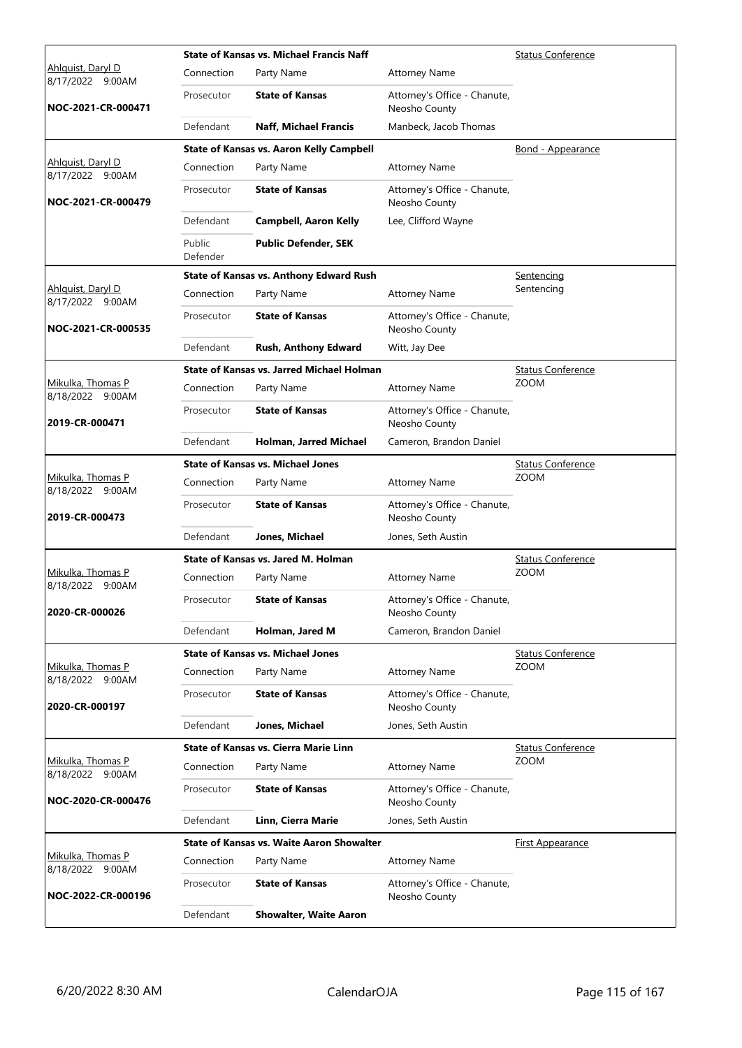|                                       |                    | <b>State of Kansas vs. Michael Francis Naff</b>  | <b>Status Conference</b>                      |                          |  |
|---------------------------------------|--------------------|--------------------------------------------------|-----------------------------------------------|--------------------------|--|
| Ahlguist, Daryl D<br>8/17/2022 9:00AM | Connection         | Party Name                                       | <b>Attorney Name</b>                          |                          |  |
| NOC-2021-CR-000471                    | Prosecutor         | <b>State of Kansas</b>                           | Attorney's Office - Chanute,<br>Neosho County |                          |  |
|                                       | Defendant          | <b>Naff, Michael Francis</b>                     | Manbeck, Jacob Thomas                         |                          |  |
|                                       |                    | <b>State of Kansas vs. Aaron Kelly Campbell</b>  |                                               | Bond - Appearance        |  |
| Ahlquist, Daryl D<br>8/17/2022 9:00AM | Connection         | Party Name                                       | <b>Attorney Name</b>                          |                          |  |
| NOC-2021-CR-000479                    | Prosecutor         | <b>State of Kansas</b>                           | Attorney's Office - Chanute,<br>Neosho County |                          |  |
|                                       | Defendant          | <b>Campbell, Aaron Kelly</b>                     | Lee, Clifford Wayne                           |                          |  |
|                                       | Public<br>Defender | <b>Public Defender, SEK</b>                      |                                               |                          |  |
|                                       |                    | <b>State of Kansas vs. Anthony Edward Rush</b>   |                                               | Sentencing               |  |
| Ahlguist, Daryl D<br>8/17/2022 9:00AM | Connection         | Party Name                                       | <b>Attorney Name</b>                          | Sentencing               |  |
| NOC-2021-CR-000535                    | Prosecutor         | <b>State of Kansas</b>                           | Attorney's Office - Chanute,<br>Neosho County |                          |  |
|                                       | Defendant          | Rush, Anthony Edward                             | Witt, Jay Dee                                 |                          |  |
|                                       |                    | <b>State of Kansas vs. Jarred Michael Holman</b> |                                               | <b>Status Conference</b> |  |
| Mikulka, Thomas P<br>8/18/2022 9:00AM | Connection         | Party Name                                       | <b>Attorney Name</b>                          | <b>ZOOM</b>              |  |
| 2019-CR-000471                        | Prosecutor         | <b>State of Kansas</b>                           | Attorney's Office - Chanute,<br>Neosho County |                          |  |
|                                       | Defendant          | Holman, Jarred Michael                           | Cameron, Brandon Daniel                       |                          |  |
|                                       |                    | <b>State of Kansas vs. Michael Jones</b>         |                                               | Status Conference        |  |
| Mikulka, Thomas P<br>8/18/2022 9:00AM | Connection         | Party Name                                       | <b>Attorney Name</b>                          | <b>ZOOM</b>              |  |
| 2019-CR-000473                        | Prosecutor         | <b>State of Kansas</b>                           | Attorney's Office - Chanute,<br>Neosho County |                          |  |
|                                       | Defendant          | Jones, Michael                                   | Jones, Seth Austin                            |                          |  |
|                                       |                    | State of Kansas vs. Jared M. Holman              |                                               | <b>Status Conference</b> |  |
| Mikulka, Thomas P<br>8/18/2022 9:00AM | Connection         | Party Name                                       | <b>Attorney Name</b>                          | <b>ZOOM</b>              |  |
| 2020-CR-000026                        | Prosecutor         | <b>State of Kansas</b>                           | Attorney's Office - Chanute,<br>Neosho County |                          |  |
|                                       | Defendant          | Holman, Jared M                                  | Cameron, Brandon Daniel                       |                          |  |
|                                       |                    | <b>State of Kansas vs. Michael Jones</b>         |                                               | <b>Status Conference</b> |  |
| Mikulka, Thomas P<br>8/18/2022 9:00AM | Connection         | Party Name                                       | <b>Attorney Name</b>                          | <b>ZOOM</b>              |  |
| 2020-CR-000197                        | Prosecutor         | <b>State of Kansas</b>                           | Attorney's Office - Chanute,<br>Neosho County |                          |  |
|                                       | Defendant          | Jones, Michael                                   | Jones, Seth Austin                            |                          |  |
|                                       |                    | <b>State of Kansas vs. Cierra Marie Linn</b>     |                                               | <b>Status Conference</b> |  |
| Mikulka, Thomas P<br>8/18/2022 9:00AM | Connection         | Party Name                                       | <b>Attorney Name</b>                          | <b>ZOOM</b>              |  |
| NOC-2020-CR-000476                    | Prosecutor         | <b>State of Kansas</b>                           | Attorney's Office - Chanute,<br>Neosho County |                          |  |
|                                       | Defendant          | Linn, Cierra Marie                               | Jones, Seth Austin                            |                          |  |
|                                       |                    | <b>State of Kansas vs. Waite Aaron Showalter</b> |                                               | <b>First Appearance</b>  |  |
| Mikulka, Thomas P<br>8/18/2022 9:00AM | Connection         | Party Name                                       | <b>Attorney Name</b>                          |                          |  |
| NOC-2022-CR-000196                    | Prosecutor         | <b>State of Kansas</b>                           | Attorney's Office - Chanute,<br>Neosho County |                          |  |
|                                       | Defendant          | <b>Showalter, Waite Aaron</b>                    |                                               |                          |  |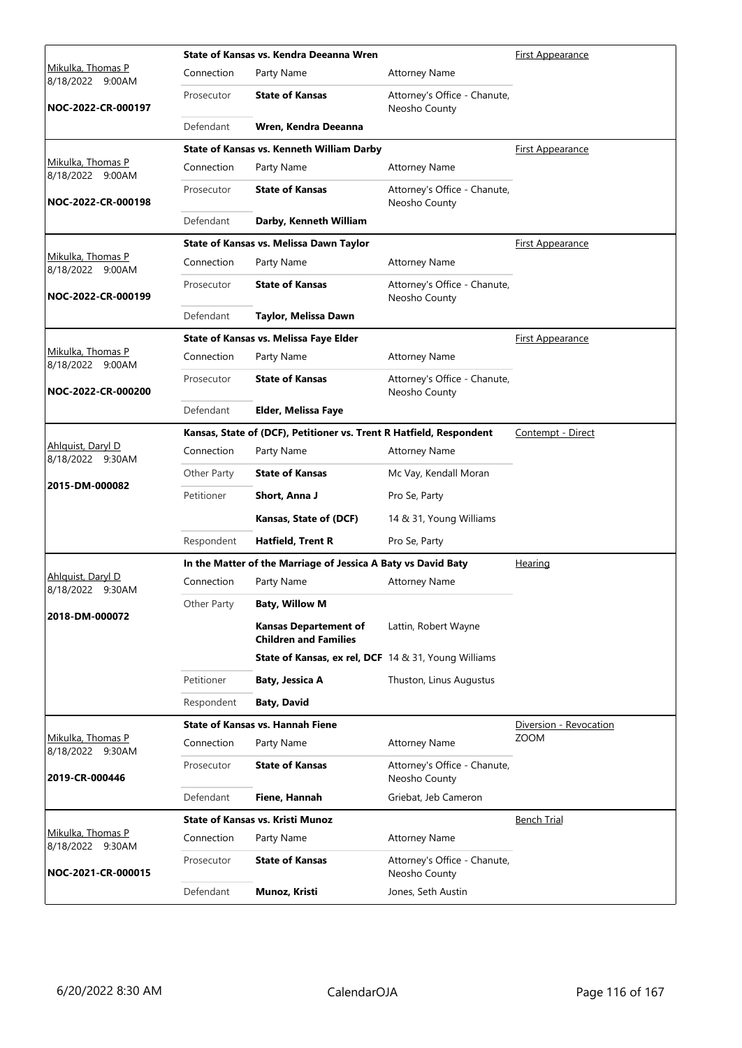|                                              |             | State of Kansas vs. Kendra Deeanna Wren                             | <b>First Appearance</b>                       |                         |
|----------------------------------------------|-------------|---------------------------------------------------------------------|-----------------------------------------------|-------------------------|
| <u>Mikulka, Thomas P</u><br>8/18/2022 9:00AM | Connection  | Party Name                                                          | <b>Attorney Name</b>                          |                         |
| NOC-2022-CR-000197                           | Prosecutor  | <b>State of Kansas</b>                                              | Attorney's Office - Chanute,<br>Neosho County |                         |
|                                              | Defendant   | Wren, Kendra Deeanna                                                |                                               |                         |
|                                              |             | <b>State of Kansas vs. Kenneth William Darby</b>                    |                                               | <b>First Appearance</b> |
| Mikulka, Thomas P<br>8/18/2022 9:00AM        | Connection  | Party Name                                                          | <b>Attorney Name</b>                          |                         |
| NOC-2022-CR-000198                           | Prosecutor  | <b>State of Kansas</b>                                              | Attorney's Office - Chanute,<br>Neosho County |                         |
|                                              | Defendant   | Darby, Kenneth William                                              |                                               |                         |
|                                              |             | State of Kansas vs. Melissa Dawn Taylor                             |                                               | <b>First Appearance</b> |
| Mikulka, Thomas P<br>8/18/2022 9:00AM        | Connection  | Party Name                                                          | <b>Attorney Name</b>                          |                         |
| NOC-2022-CR-000199                           | Prosecutor  | <b>State of Kansas</b>                                              | Attorney's Office - Chanute,<br>Neosho County |                         |
|                                              | Defendant   | Taylor, Melissa Dawn                                                |                                               |                         |
|                                              |             | State of Kansas vs. Melissa Faye Elder                              |                                               | <u>First Appearance</u> |
| <u>Mikulka, Thomas P</u><br>8/18/2022 9:00AM | Connection  | Party Name                                                          | <b>Attorney Name</b>                          |                         |
| NOC-2022-CR-000200                           | Prosecutor  | <b>State of Kansas</b>                                              | Attorney's Office - Chanute,<br>Neosho County |                         |
|                                              | Defendant   | Elder, Melissa Faye                                                 |                                               |                         |
|                                              |             | Kansas, State of (DCF), Petitioner vs. Trent R Hatfield, Respondent |                                               | Contempt - Direct       |
| Ahlquist, Daryl D<br>8/18/2022 9:30AM        | Connection  | Party Name                                                          | <b>Attorney Name</b>                          |                         |
|                                              | Other Party | <b>State of Kansas</b>                                              | Mc Vay, Kendall Moran                         |                         |
| 2015-DM-000082                               | Petitioner  | Short, Anna J                                                       | Pro Se, Party                                 |                         |
|                                              |             | Kansas, State of (DCF)                                              | 14 & 31, Young Williams                       |                         |
|                                              | Respondent  | <b>Hatfield, Trent R</b>                                            | Pro Se, Party                                 |                         |
|                                              |             | In the Matter of the Marriage of Jessica A Baty vs David Baty       |                                               | <b>Hearing</b>          |
| Ahlquist, Daryl D<br>8/18/2022 9:30AM        | Connection  | Party Name                                                          | <b>Attorney Name</b>                          |                         |
|                                              | Other Party | <b>Baty, Willow M</b>                                               |                                               |                         |
| 2018-DM-000072                               |             | <b>Kansas Departement of</b><br><b>Children and Families</b>        | Lattin, Robert Wayne                          |                         |
|                                              |             | <b>State of Kansas, ex rel, DCF</b> 14 & 31, Young Williams         |                                               |                         |
|                                              | Petitioner  | Baty, Jessica A                                                     | Thuston, Linus Augustus                       |                         |
|                                              | Respondent  | <b>Baty, David</b>                                                  |                                               |                         |
|                                              |             | <b>State of Kansas vs. Hannah Fiene</b>                             |                                               | Diversion - Revocation  |
| Mikulka, Thomas P<br>8/18/2022 9:30AM        | Connection  | Party Name                                                          | <b>Attorney Name</b>                          | <b>ZOOM</b>             |
| 2019-CR-000446                               | Prosecutor  | <b>State of Kansas</b>                                              | Attorney's Office - Chanute,<br>Neosho County |                         |
|                                              | Defendant   | Fiene, Hannah                                                       | Griebat, Jeb Cameron                          |                         |
|                                              |             | <b>State of Kansas vs. Kristi Munoz</b>                             |                                               | Bench Trial             |
| Mikulka, Thomas P<br>8/18/2022 9:30AM        | Connection  | Party Name                                                          | <b>Attorney Name</b>                          |                         |
| NOC-2021-CR-000015                           | Prosecutor  | <b>State of Kansas</b>                                              | Attorney's Office - Chanute,<br>Neosho County |                         |
|                                              | Defendant   | Munoz, Kristi                                                       | Jones, Seth Austin                            |                         |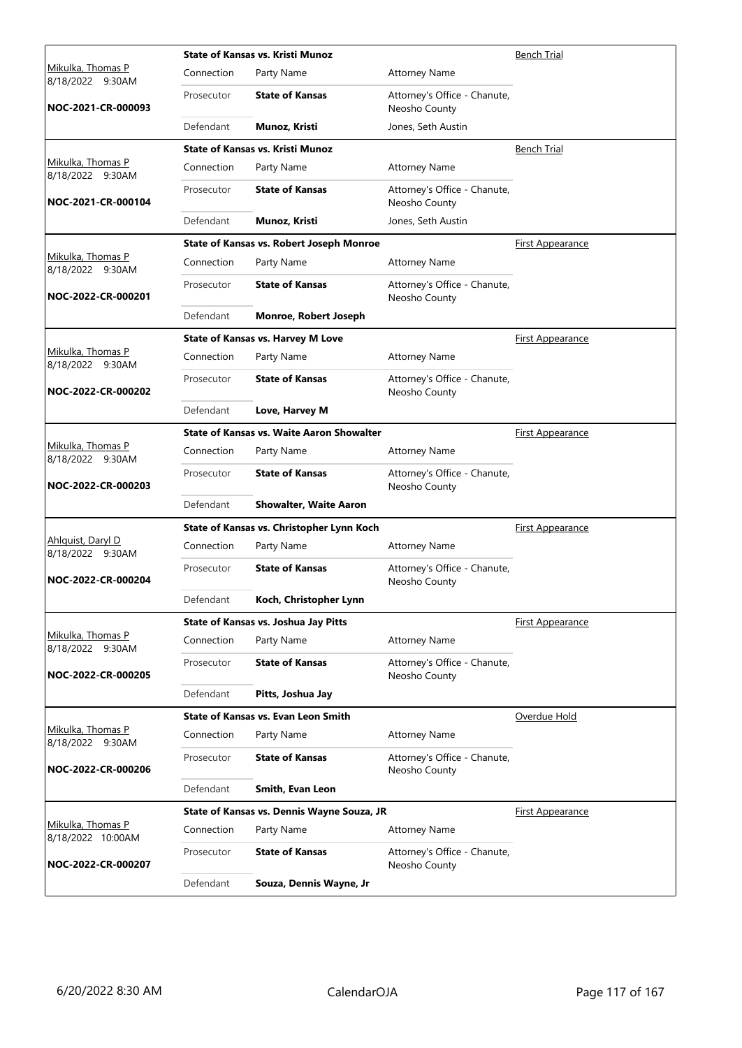|                                              |            | <b>State of Kansas vs. Kristi Munoz</b>          |                                               | <b>Bench Trial</b>      |
|----------------------------------------------|------------|--------------------------------------------------|-----------------------------------------------|-------------------------|
| <u>Mikulka, Thomas P</u><br>8/18/2022 9:30AM | Connection | Party Name                                       | <b>Attorney Name</b>                          |                         |
| NOC-2021-CR-000093                           | Prosecutor | <b>State of Kansas</b>                           | Attorney's Office - Chanute,<br>Neosho County |                         |
|                                              | Defendant  | Munoz, Kristi                                    | Jones, Seth Austin                            |                         |
|                                              |            | <b>State of Kansas vs. Kristi Munoz</b>          |                                               | <b>Bench Trial</b>      |
| Mikulka, Thomas P<br>8/18/2022 9:30AM        | Connection | Party Name                                       | <b>Attorney Name</b>                          |                         |
| NOC-2021-CR-000104                           | Prosecutor | <b>State of Kansas</b>                           | Attorney's Office - Chanute,<br>Neosho County |                         |
|                                              | Defendant  | Munoz, Kristi                                    | Jones, Seth Austin                            |                         |
|                                              |            | State of Kansas vs. Robert Joseph Monroe         |                                               | <b>First Appearance</b> |
| Mikulka, Thomas P<br>8/18/2022 9:30AM        | Connection | Party Name                                       | <b>Attorney Name</b>                          |                         |
| NOC-2022-CR-000201                           | Prosecutor | <b>State of Kansas</b>                           | Attorney's Office - Chanute,<br>Neosho County |                         |
|                                              | Defendant  | Monroe, Robert Joseph                            |                                               |                         |
|                                              |            | <b>State of Kansas vs. Harvey M Love</b>         |                                               | First Appearance        |
| <u>Mikulka, Thomas P</u><br>8/18/2022 9:30AM | Connection | Party Name                                       | <b>Attorney Name</b>                          |                         |
| NOC-2022-CR-000202                           | Prosecutor | <b>State of Kansas</b>                           | Attorney's Office - Chanute,<br>Neosho County |                         |
|                                              | Defendant  | Love, Harvey M                                   |                                               |                         |
|                                              |            | <b>State of Kansas vs. Waite Aaron Showalter</b> |                                               | <b>First Appearance</b> |
| Mikulka, Thomas P<br>8/18/2022 9:30AM        | Connection | Party Name                                       | <b>Attorney Name</b>                          |                         |
| NOC-2022-CR-000203                           | Prosecutor | <b>State of Kansas</b>                           | Attorney's Office - Chanute,<br>Neosho County |                         |
|                                              | Defendant  | <b>Showalter, Waite Aaron</b>                    |                                               |                         |
|                                              |            | State of Kansas vs. Christopher Lynn Koch        |                                               | <b>First Appearance</b> |
| Ahlguist, Daryl D<br>8/18/2022 9:30AM        | Connection | Party Name                                       | <b>Attorney Name</b>                          |                         |
| NOC-2022-CR-000204                           | Prosecutor | <b>State of Kansas</b>                           | Attorney's Office - Chanute,<br>Neosho County |                         |
|                                              | Defendant  | Koch, Christopher Lynn                           |                                               |                         |
|                                              |            | State of Kansas vs. Joshua Jay Pitts             |                                               | First Appearance        |
| Mikulka, Thomas P<br>8/18/2022 9:30AM        | Connection | Party Name                                       | <b>Attorney Name</b>                          |                         |
| NOC-2022-CR-000205                           | Prosecutor | <b>State of Kansas</b>                           | Attorney's Office - Chanute,<br>Neosho County |                         |
|                                              | Defendant  | Pitts, Joshua Jay                                |                                               |                         |
|                                              |            | <b>State of Kansas vs. Evan Leon Smith</b>       |                                               | Overdue Hold            |
| Mikulka, Thomas P<br>8/18/2022 9:30AM        | Connection | Party Name                                       | <b>Attorney Name</b>                          |                         |
| NOC-2022-CR-000206                           | Prosecutor | <b>State of Kansas</b>                           | Attorney's Office - Chanute,<br>Neosho County |                         |
|                                              | Defendant  | Smith, Evan Leon                                 |                                               |                         |
|                                              |            | State of Kansas vs. Dennis Wayne Souza, JR       |                                               | <b>First Appearance</b> |
| Mikulka, Thomas P<br>8/18/2022 10:00AM       | Connection | Party Name                                       | <b>Attorney Name</b>                          |                         |
| NOC-2022-CR-000207                           | Prosecutor | <b>State of Kansas</b>                           | Attorney's Office - Chanute,<br>Neosho County |                         |
|                                              | Defendant  | Souza, Dennis Wayne, Jr                          |                                               |                         |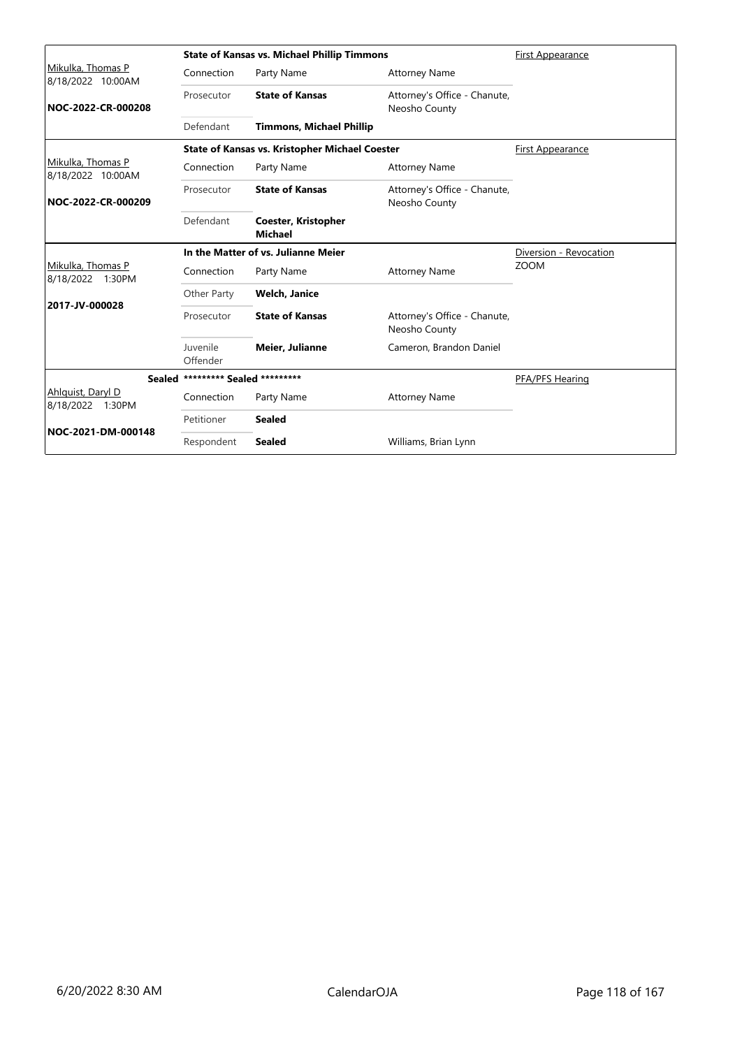|                                          |                            | <b>State of Kansas vs. Michael Phillip Timmons</b>    |                                               | First Appearance       |
|------------------------------------------|----------------------------|-------------------------------------------------------|-----------------------------------------------|------------------------|
| Mikulka, Thomas P<br>8/18/2022 10:00AM   | Connection                 | Party Name                                            | <b>Attorney Name</b>                          |                        |
| NOC-2022-CR-000208                       | Prosecutor                 | <b>State of Kansas</b>                                | Attorney's Office - Chanute,<br>Neosho County |                        |
|                                          | Defendant                  | <b>Timmons, Michael Phillip</b>                       |                                               |                        |
|                                          |                            | <b>State of Kansas vs. Kristopher Michael Coester</b> |                                               | First Appearance       |
| Mikulka, Thomas P<br>8/18/2022 10:00AM   | Connection                 | Party Name                                            | <b>Attorney Name</b>                          |                        |
| NOC-2022-CR-000209                       | Prosecutor                 | <b>State of Kansas</b>                                | Attorney's Office - Chanute,<br>Neosho County |                        |
|                                          | Defendant                  | Coester, Kristopher<br><b>Michael</b>                 |                                               |                        |
|                                          |                            | In the Matter of vs. Julianne Meier                   |                                               | Diversion - Revocation |
| Mikulka, Thomas P<br>8/18/2022 1:30PM    | Connection                 | Party Name                                            | <b>Attorney Name</b>                          | <b>ZOOM</b>            |
|                                          | Other Party                | Welch, Janice                                         |                                               |                        |
| 2017-JV-000028                           | Prosecutor                 | <b>State of Kansas</b>                                | Attorney's Office - Chanute,<br>Neosho County |                        |
|                                          | Juvenile<br>Offender       | <b>Meier, Julianne</b>                                | Cameron, Brandon Daniel                       |                        |
| <b>Sealed</b>                            | ********* Sealed ********* |                                                       |                                               | PFA/PFS Hearing        |
| Ahlguist, Daryl D<br>8/18/2022<br>1:30PM | Connection                 | Party Name                                            | <b>Attorney Name</b>                          |                        |
|                                          | Petitioner                 | <b>Sealed</b>                                         |                                               |                        |
| NOC-2021-DM-000148                       | Respondent                 | <b>Sealed</b>                                         | Williams, Brian Lynn                          |                        |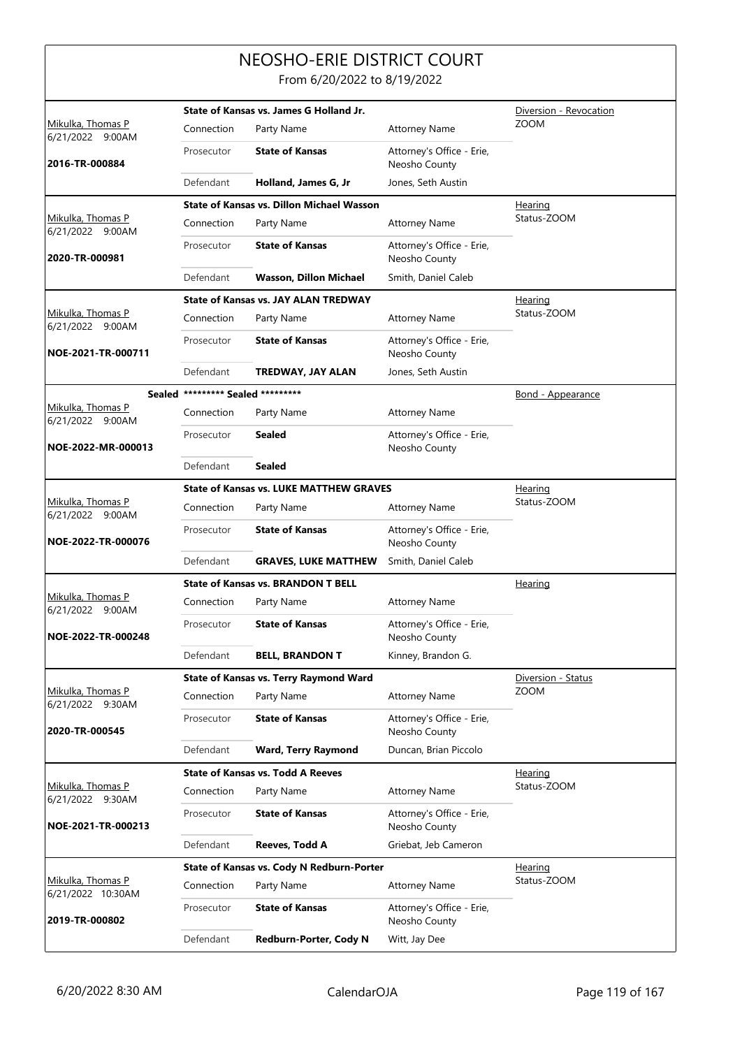## NEOSHO-ERIE DISTRICT COURT

From 6/20/2022 to 8/19/2022

|                                        |                                   | State of Kansas vs. James G Holland Jr.          |                                            | Diversion - Revocation   |
|----------------------------------------|-----------------------------------|--------------------------------------------------|--------------------------------------------|--------------------------|
| Mikulka, Thomas P<br>6/21/2022 9:00AM  | Connection                        | Party Name                                       | <b>Attorney Name</b>                       | <b>ZOOM</b>              |
| 2016-TR-000884                         | Prosecutor                        | <b>State of Kansas</b>                           | Attorney's Office - Erie,<br>Neosho County |                          |
|                                        | Defendant                         | Holland, James G, Jr                             | Jones, Seth Austin                         |                          |
|                                        |                                   | <b>State of Kansas vs. Dillon Michael Wasson</b> |                                            | <b>Hearing</b>           |
| Mikulka, Thomas P<br>6/21/2022 9:00AM  | Connection                        | Party Name                                       | <b>Attorney Name</b>                       | Status-ZOOM              |
| 2020-TR-000981                         | Prosecutor                        | <b>State of Kansas</b>                           | Attorney's Office - Erie,<br>Neosho County |                          |
|                                        | Defendant                         | Wasson, Dillon Michael                           | Smith, Daniel Caleb                        |                          |
|                                        |                                   | <b>State of Kansas vs. JAY ALAN TREDWAY</b>      |                                            | <u>Hearing</u>           |
| Mikulka, Thomas P<br>6/21/2022 9:00AM  | Connection                        | Party Name                                       | <b>Attorney Name</b>                       | Status-ZOOM              |
| NOE-2021-TR-000711                     | Prosecutor                        | <b>State of Kansas</b>                           | Attorney's Office - Erie,<br>Neosho County |                          |
|                                        | Defendant                         | TREDWAY, JAY ALAN                                | Jones, Seth Austin                         |                          |
|                                        | Sealed ********* Sealed ********* |                                                  |                                            | <b>Bond - Appearance</b> |
| Mikulka, Thomas P                      | Connection                        | Party Name                                       | <b>Attorney Name</b>                       |                          |
| 6/21/2022 9:00AM<br>NOE-2022-MR-000013 | Prosecutor                        | <b>Sealed</b>                                    | Attorney's Office - Erie,<br>Neosho County |                          |
|                                        | Defendant                         | <b>Sealed</b>                                    |                                            |                          |
|                                        |                                   | <b>State of Kansas vs. LUKE MATTHEW GRAVES</b>   |                                            | <b>Hearing</b>           |
| Mikulka, Thomas P                      | Connection                        | Party Name                                       | <b>Attorney Name</b>                       | Status-ZOOM              |
| 6/21/2022 9:00AM<br>NOE-2022-TR-000076 | Prosecutor                        | <b>State of Kansas</b>                           | Attorney's Office - Erie,<br>Neosho County |                          |
|                                        | Defendant                         | <b>GRAVES, LUKE MATTHEW</b>                      | Smith, Daniel Caleb                        |                          |
|                                        |                                   | <b>State of Kansas vs. BRANDON T BELL</b>        |                                            | <u>Hearing</u>           |
| Mikulka, Thomas P                      | Connection                        | Party Name                                       | <b>Attorney Name</b>                       |                          |
| 6/21/2022 9:00AM<br>NOE-2022-TR-000248 | Prosecutor                        | <b>State of Kansas</b>                           | Attorney's Office - Erie,<br>Neosho County |                          |
|                                        | Defendant                         | <b>BELL, BRANDON T</b>                           | Kinney, Brandon G.                         |                          |
|                                        |                                   | <b>State of Kansas vs. Terry Raymond Ward</b>    |                                            | Diversion - Status       |
| Mikulka, Thomas P                      | Connection                        | Party Name                                       | <b>Attorney Name</b>                       | <b>ZOOM</b>              |
| 6/21/2022 9:30AM<br>2020-TR-000545     | Prosecutor                        | <b>State of Kansas</b>                           | Attorney's Office - Erie,<br>Neosho County |                          |
|                                        | Defendant                         | <b>Ward, Terry Raymond</b>                       | Duncan, Brian Piccolo                      |                          |
|                                        |                                   | <b>State of Kansas vs. Todd A Reeves</b>         |                                            | Hearing                  |
| Mikulka, Thomas P                      | Connection                        | Party Name                                       | <b>Attorney Name</b>                       | Status-ZOOM              |
| 6/21/2022 9:30AM<br>NOE-2021-TR-000213 | Prosecutor                        | <b>State of Kansas</b>                           | Attorney's Office - Erie,<br>Neosho County |                          |
|                                        | Defendant                         | Reeves, Todd A                                   | Griebat, Jeb Cameron                       |                          |
|                                        |                                   | State of Kansas vs. Cody N Redburn-Porter        |                                            | <u>Hearing</u>           |
| Mikulka, Thomas P<br>6/21/2022 10:30AM | Connection                        | Party Name                                       | <b>Attorney Name</b>                       | Status-ZOOM              |
| 2019-TR-000802                         | Prosecutor                        | <b>State of Kansas</b>                           | Attorney's Office - Erie,<br>Neosho County |                          |
|                                        | Defendant                         | Redburn-Porter, Cody N                           | Witt, Jay Dee                              |                          |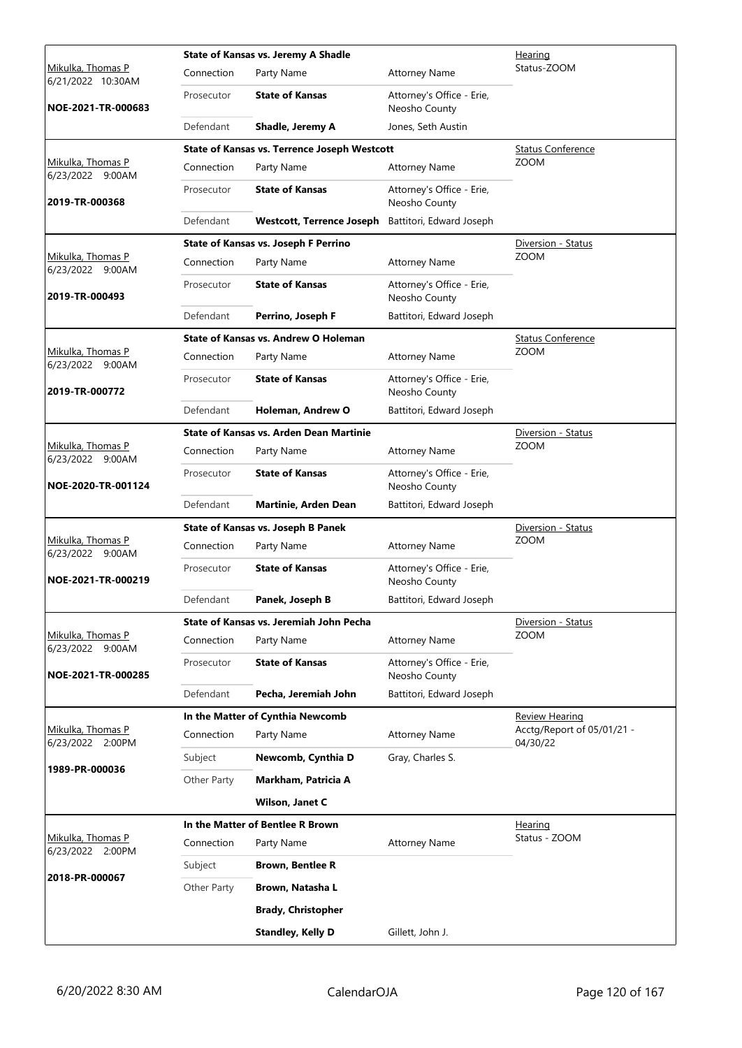|                                        |             | <b>State of Kansas vs. Jeremy A Shadle</b>          |                                            | <u>Hearing</u>                         |
|----------------------------------------|-------------|-----------------------------------------------------|--------------------------------------------|----------------------------------------|
| Mikulka, Thomas P<br>6/21/2022 10:30AM | Connection  | Party Name                                          | <b>Attorney Name</b>                       | Status-ZOOM                            |
| NOE-2021-TR-000683                     | Prosecutor  | <b>State of Kansas</b>                              | Attorney's Office - Erie,<br>Neosho County |                                        |
|                                        | Defendant   | Shadle, Jeremy A                                    | Jones, Seth Austin                         |                                        |
|                                        |             | <b>State of Kansas vs. Terrence Joseph Westcott</b> |                                            | <b>Status Conference</b>               |
| Mikulka, Thomas P<br>6/23/2022 9:00AM  | Connection  | Party Name                                          | <b>Attorney Name</b>                       | <b>ZOOM</b>                            |
| 2019-TR-000368                         | Prosecutor  | <b>State of Kansas</b>                              | Attorney's Office - Erie,<br>Neosho County |                                        |
|                                        | Defendant   | <b>Westcott, Terrence Joseph</b>                    | Battitori, Edward Joseph                   |                                        |
|                                        |             | State of Kansas vs. Joseph F Perrino                |                                            | Diversion - Status                     |
| Mikulka, Thomas P<br>6/23/2022 9:00AM  | Connection  | Party Name                                          | <b>Attorney Name</b>                       | <b>ZOOM</b>                            |
| 2019-TR-000493                         | Prosecutor  | <b>State of Kansas</b>                              | Attorney's Office - Erie,<br>Neosho County |                                        |
|                                        | Defendant   | Perrino, Joseph F                                   | Battitori, Edward Joseph                   |                                        |
|                                        |             | State of Kansas vs. Andrew O Holeman                |                                            | <b>Status Conference</b>               |
| Mikulka, Thomas P<br>6/23/2022 9:00AM  | Connection  | Party Name                                          | <b>Attorney Name</b>                       | <b>ZOOM</b>                            |
| 2019-TR-000772                         | Prosecutor  | <b>State of Kansas</b>                              | Attorney's Office - Erie,<br>Neosho County |                                        |
|                                        | Defendant   | Holeman, Andrew O                                   | Battitori, Edward Joseph                   |                                        |
|                                        |             | State of Kansas vs. Arden Dean Martinie             |                                            | Diversion - Status                     |
| Mikulka, Thomas P<br>6/23/2022 9:00AM  | Connection  | Party Name                                          | <b>Attorney Name</b>                       | <b>ZOOM</b>                            |
| NOE-2020-TR-001124                     | Prosecutor  | <b>State of Kansas</b>                              | Attorney's Office - Erie,<br>Neosho County |                                        |
|                                        | Defendant   | Martinie, Arden Dean                                | Battitori, Edward Joseph                   |                                        |
|                                        |             | State of Kansas vs. Joseph B Panek                  |                                            | Diversion - Status                     |
| Mikulka, Thomas P<br>6/23/2022 9:00AM  | Connection  | Party Name                                          | <b>Attorney Name</b>                       | <b>ZOOM</b>                            |
| NOE-2021-TR-000219                     | Prosecutor  | <b>State of Kansas</b>                              | Attorney's Office - Erie,<br>Neosho County |                                        |
|                                        | Defendant   | Panek, Joseph B                                     | Battitori, Edward Joseph                   |                                        |
|                                        |             | State of Kansas vs. Jeremiah John Pecha             |                                            | Diversion - Status                     |
| Mikulka, Thomas P<br>6/23/2022 9:00AM  | Connection  | Party Name                                          | <b>Attorney Name</b>                       | <b>ZOOM</b>                            |
| NOE-2021-TR-000285                     | Prosecutor  | <b>State of Kansas</b>                              | Attorney's Office - Erie,<br>Neosho County |                                        |
|                                        | Defendant   | Pecha, Jeremiah John                                | Battitori, Edward Joseph                   |                                        |
|                                        |             | In the Matter of Cynthia Newcomb                    |                                            | <b>Review Hearing</b>                  |
| Mikulka, Thomas P<br>6/23/2022 2:00PM  | Connection  | Party Name                                          | <b>Attorney Name</b>                       | Acctg/Report of 05/01/21 -<br>04/30/22 |
|                                        | Subject     | Newcomb, Cynthia D                                  | Gray, Charles S.                           |                                        |
| 1989-PR-000036                         | Other Party | Markham, Patricia A                                 |                                            |                                        |
|                                        |             | Wilson, Janet C                                     |                                            |                                        |
|                                        |             | In the Matter of Bentlee R Brown                    |                                            | <u>Hearing</u>                         |
| Mikulka, Thomas P<br>6/23/2022 2:00PM  | Connection  | Party Name                                          | <b>Attorney Name</b>                       | Status - ZOOM                          |
|                                        | Subject     | <b>Brown, Bentlee R</b>                             |                                            |                                        |
| 2018-PR-000067                         | Other Party | Brown, Natasha L                                    |                                            |                                        |
|                                        |             | <b>Brady, Christopher</b>                           |                                            |                                        |
|                                        |             | <b>Standley, Kelly D</b>                            | Gillett, John J.                           |                                        |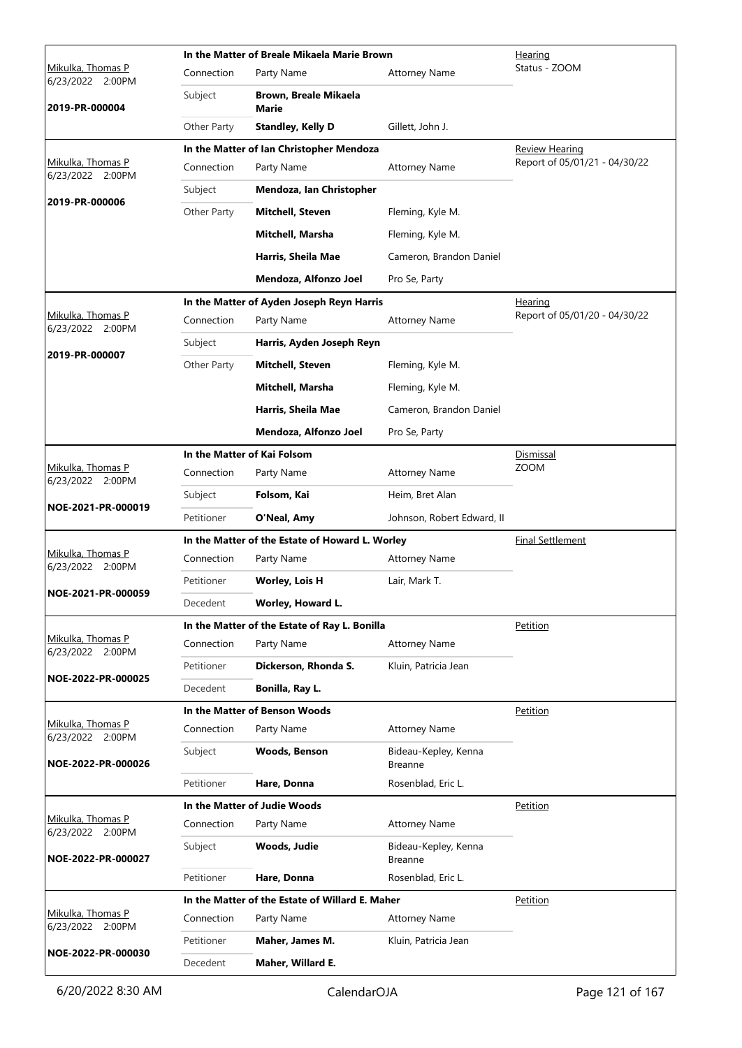|                                       |             | In the Matter of Breale Mikaela Marie Brown     | Hearing                                |                               |
|---------------------------------------|-------------|-------------------------------------------------|----------------------------------------|-------------------------------|
| Mikulka, Thomas P<br>6/23/2022 2:00PM | Connection  | Party Name                                      | <b>Attorney Name</b>                   | Status - ZOOM                 |
| 2019-PR-000004                        | Subject     | Brown, Breale Mikaela<br><b>Marie</b>           |                                        |                               |
|                                       | Other Party | <b>Standley, Kelly D</b>                        | Gillett, John J.                       |                               |
|                                       |             | In the Matter of Ian Christopher Mendoza        |                                        | <b>Review Hearing</b>         |
| Mikulka, Thomas P<br>6/23/2022 2:00PM | Connection  | Party Name                                      | <b>Attorney Name</b>                   | Report of 05/01/21 - 04/30/22 |
|                                       | Subject     | Mendoza, Ian Christopher                        |                                        |                               |
| 2019-PR-000006                        | Other Party | <b>Mitchell, Steven</b>                         | Fleming, Kyle M.                       |                               |
|                                       |             | Mitchell, Marsha                                | Fleming, Kyle M.                       |                               |
|                                       |             | Harris, Sheila Mae                              | Cameron, Brandon Daniel                |                               |
|                                       |             | Mendoza, Alfonzo Joel                           | Pro Se, Party                          |                               |
|                                       |             | In the Matter of Ayden Joseph Reyn Harris       |                                        | Hearing                       |
| Mikulka, Thomas P<br>6/23/2022 2:00PM | Connection  | Party Name                                      | <b>Attorney Name</b>                   | Report of 05/01/20 - 04/30/22 |
|                                       | Subject     | Harris, Ayden Joseph Reyn                       |                                        |                               |
| 2019-PR-000007                        | Other Party | Mitchell, Steven                                | Fleming, Kyle M.                       |                               |
|                                       |             | Mitchell, Marsha                                | Fleming, Kyle M.                       |                               |
|                                       |             | Harris, Sheila Mae                              | Cameron, Brandon Daniel                |                               |
|                                       |             | Mendoza, Alfonzo Joel                           | Pro Se, Party                          |                               |
|                                       |             | In the Matter of Kai Folsom                     |                                        | Dismissal                     |
| Mikulka, Thomas P                     | Connection  | Party Name                                      | <b>Attorney Name</b>                   | <b>ZOOM</b>                   |
| 6/23/2022 2:00PM                      | Subject     | Folsom, Kai                                     | Heim, Bret Alan                        |                               |
| NOE-2021-PR-000019                    | Petitioner  | O'Neal, Amy                                     | Johnson, Robert Edward, II             |                               |
|                                       |             | In the Matter of the Estate of Howard L. Worley |                                        | <b>Final Settlement</b>       |
| Mikulka, Thomas P<br>6/23/2022 2:00PM | Connection  | Party Name                                      | <b>Attorney Name</b>                   |                               |
|                                       | Petitioner  | <b>Worley, Lois H</b>                           | Lair, Mark T.                          |                               |
| NOE-2021-PR-000059                    | Decedent    | Worley, Howard L.                               |                                        |                               |
|                                       |             | In the Matter of the Estate of Ray L. Bonilla   |                                        | Petition                      |
| Mikulka, Thomas P<br>6/23/2022 2:00PM | Connection  | Party Name                                      | Attorney Name                          |                               |
|                                       | Petitioner  | Dickerson, Rhonda S.                            | Kluin, Patricia Jean                   |                               |
| NOE-2022-PR-000025                    | Decedent    | Bonilla, Ray L.                                 |                                        |                               |
|                                       |             | In the Matter of Benson Woods                   |                                        | Petition                      |
| Mikulka, Thomas P<br>6/23/2022 2:00PM | Connection  | Party Name                                      | <b>Attorney Name</b>                   |                               |
| NOE-2022-PR-000026                    | Subject     | Woods, Benson                                   | Bideau-Kepley, Kenna<br>Breanne        |                               |
|                                       | Petitioner  | Hare, Donna                                     | Rosenblad, Eric L.                     |                               |
|                                       |             | In the Matter of Judie Woods                    |                                        | Petition                      |
| Mikulka, Thomas P<br>6/23/2022 2:00PM | Connection  | Party Name                                      | <b>Attorney Name</b>                   |                               |
| NOE-2022-PR-000027                    | Subject     | Woods, Judie                                    | Bideau-Kepley, Kenna<br><b>Breanne</b> |                               |
|                                       | Petitioner  | Hare, Donna                                     | Rosenblad, Eric L.                     |                               |
|                                       |             | In the Matter of the Estate of Willard E. Maher |                                        | Petition                      |
| Mikulka, Thomas P<br>6/23/2022 2:00PM | Connection  | Party Name                                      | <b>Attorney Name</b>                   |                               |
|                                       | Petitioner  | Maher, James M.                                 | Kluin, Patricia Jean                   |                               |
| NOE-2022-PR-000030                    | Decedent    | Maher, Willard E.                               |                                        |                               |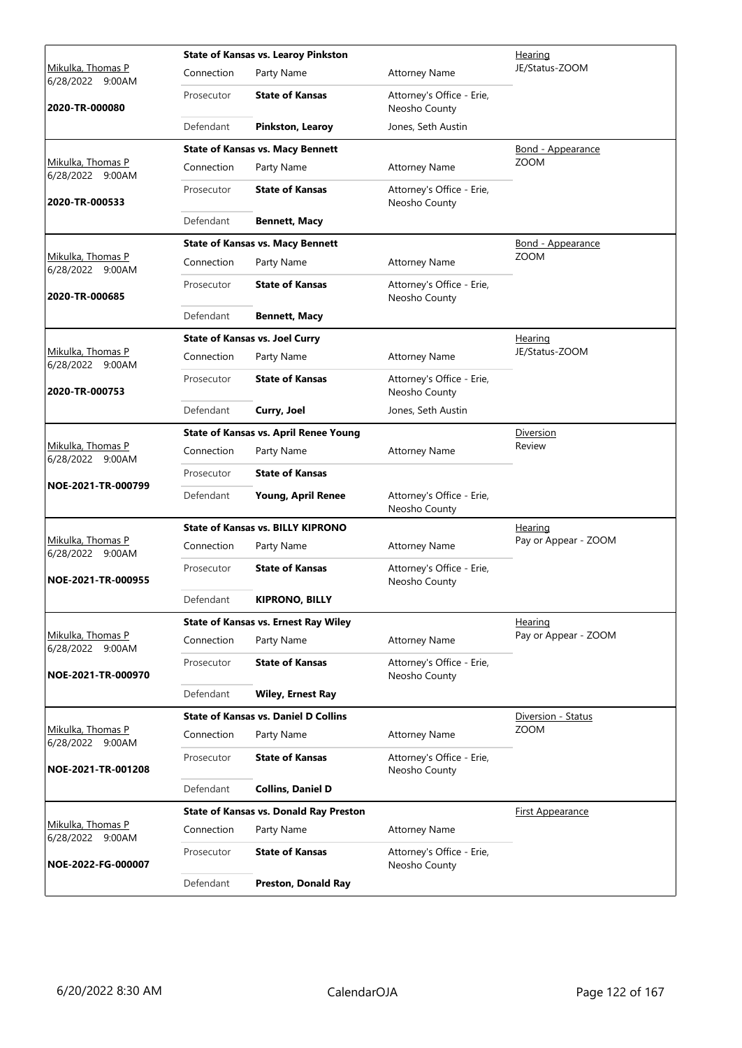|                                              |            | <b>State of Kansas vs. Learoy Pinkston</b>    | Hearing                                    |                          |
|----------------------------------------------|------------|-----------------------------------------------|--------------------------------------------|--------------------------|
| Mikulka, Thomas P<br>6/28/2022 9:00AM        | Connection | Party Name                                    | <b>Attorney Name</b>                       | JE/Status-ZOOM           |
| 2020-TR-000080                               | Prosecutor | <b>State of Kansas</b>                        | Attorney's Office - Erie,<br>Neosho County |                          |
|                                              | Defendant  | Pinkston, Learoy                              | Jones, Seth Austin                         |                          |
|                                              |            | <b>State of Kansas vs. Macy Bennett</b>       |                                            | Bond - Appearance        |
| Mikulka, Thomas P<br>6/28/2022 9:00AM        | Connection | Party Name                                    | <b>Attorney Name</b>                       | <b>ZOOM</b>              |
| 2020-TR-000533                               | Prosecutor | <b>State of Kansas</b>                        | Attorney's Office - Erie,<br>Neosho County |                          |
|                                              | Defendant  | <b>Bennett, Macy</b>                          |                                            |                          |
|                                              |            | <b>State of Kansas vs. Macy Bennett</b>       |                                            | <b>Bond - Appearance</b> |
| Mikulka, Thomas P<br>6/28/2022 9:00AM        | Connection | Party Name                                    | <b>Attorney Name</b>                       | <b>ZOOM</b>              |
| 2020-TR-000685                               | Prosecutor | <b>State of Kansas</b>                        | Attorney's Office - Erie,<br>Neosho County |                          |
|                                              | Defendant  | <b>Bennett, Macy</b>                          |                                            |                          |
|                                              |            | <b>State of Kansas vs. Joel Curry</b>         |                                            | Hearing                  |
| <u>Mikulka, Thomas P</u><br>6/28/2022 9:00AM | Connection | Party Name                                    | <b>Attorney Name</b>                       | JE/Status-ZOOM           |
| 2020-TR-000753                               | Prosecutor | <b>State of Kansas</b>                        | Attorney's Office - Erie,<br>Neosho County |                          |
|                                              | Defendant  | Curry, Joel                                   | Jones, Seth Austin                         |                          |
|                                              |            | <b>State of Kansas vs. April Renee Young</b>  |                                            | Diversion                |
| Mikulka, Thomas P<br>6/28/2022 9:00AM        | Connection | Party Name                                    | <b>Attorney Name</b>                       | Review                   |
|                                              | Prosecutor | <b>State of Kansas</b>                        |                                            |                          |
| NOE-2021-TR-000799                           | Defendant  | Young, April Renee                            | Attorney's Office - Erie,<br>Neosho County |                          |
|                                              |            | <b>State of Kansas vs. BILLY KIPRONO</b>      |                                            | Hearing                  |
| Mikulka, Thomas P<br>6/28/2022 9:00AM        | Connection | Party Name                                    | <b>Attorney Name</b>                       | Pay or Appear - ZOOM     |
| NOE-2021-TR-000955                           | Prosecutor | <b>State of Kansas</b>                        | Attorney's Office - Erie,<br>Neosho County |                          |
|                                              | Defendant  | <b>KIPRONO, BILLY</b>                         |                                            |                          |
|                                              |            | <b>State of Kansas vs. Ernest Ray Wiley</b>   |                                            | Hearing                  |
| Mikulka, Thomas P<br>6/28/2022 9:00AM        | Connection | Party Name                                    | <b>Attorney Name</b>                       | Pay or Appear - ZOOM     |
| NOE-2021-TR-000970                           | Prosecutor | <b>State of Kansas</b>                        | Attorney's Office - Erie,<br>Neosho County |                          |
|                                              | Defendant  | <b>Wiley, Ernest Ray</b>                      |                                            |                          |
|                                              |            | <b>State of Kansas vs. Daniel D Collins</b>   |                                            | Diversion - Status       |
| Mikulka, Thomas P<br>6/28/2022 9:00AM        | Connection | Party Name                                    | <b>Attorney Name</b>                       | <b>ZOOM</b>              |
| NOE-2021-TR-001208                           | Prosecutor | <b>State of Kansas</b>                        | Attorney's Office - Erie,<br>Neosho County |                          |
|                                              | Defendant  | <b>Collins, Daniel D</b>                      |                                            |                          |
|                                              |            | <b>State of Kansas vs. Donald Ray Preston</b> |                                            | <u>First Appearance</u>  |
| Mikulka, Thomas P<br>6/28/2022 9:00AM        | Connection | Party Name                                    | <b>Attorney Name</b>                       |                          |
| NOE-2022-FG-000007                           | Prosecutor | <b>State of Kansas</b>                        | Attorney's Office - Erie,<br>Neosho County |                          |
|                                              | Defendant  | Preston, Donald Ray                           |                                            |                          |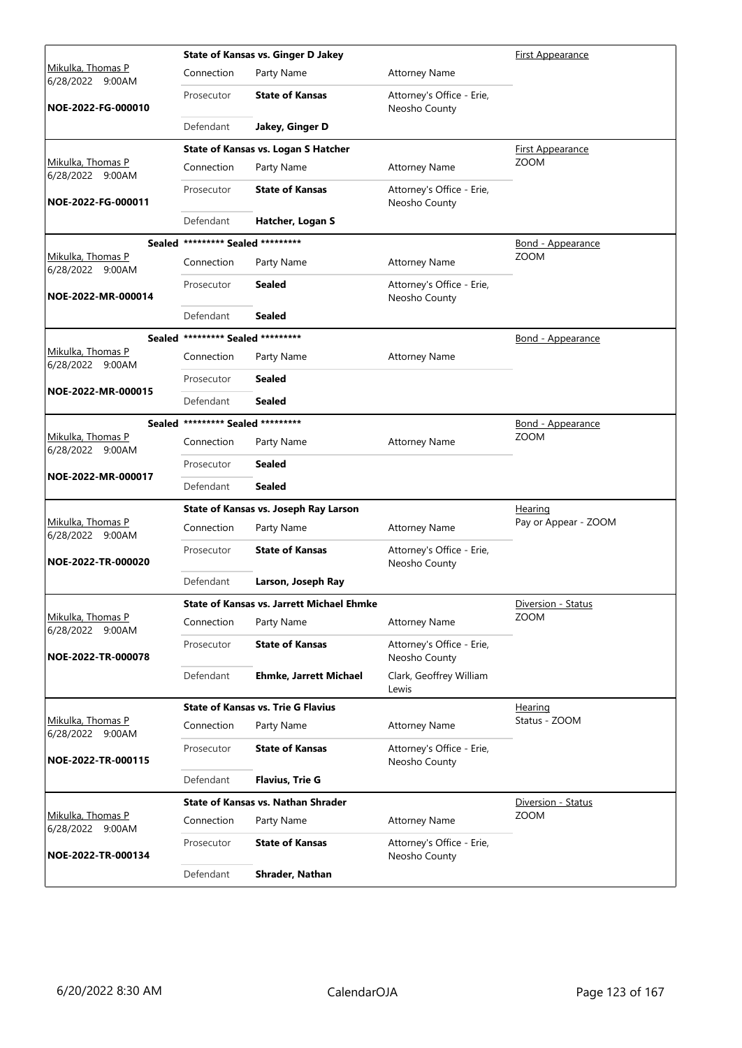|                                       |                                   | <b>State of Kansas vs. Ginger D Jakey</b>        |                                            | <b>First Appearance</b>  |
|---------------------------------------|-----------------------------------|--------------------------------------------------|--------------------------------------------|--------------------------|
| Mikulka, Thomas P<br>6/28/2022 9:00AM | Connection                        | Party Name                                       | <b>Attorney Name</b>                       |                          |
| NOE-2022-FG-000010                    | Prosecutor                        | <b>State of Kansas</b>                           | Attorney's Office - Erie,<br>Neosho County |                          |
|                                       | Defendant                         | Jakey, Ginger D                                  |                                            |                          |
|                                       |                                   | State of Kansas vs. Logan S Hatcher              |                                            | <b>First Appearance</b>  |
| Mikulka, Thomas P<br>6/28/2022 9:00AM | Connection                        | Party Name                                       | <b>Attorney Name</b>                       | <b>ZOOM</b>              |
| NOE-2022-FG-000011                    | Prosecutor                        | <b>State of Kansas</b>                           | Attorney's Office - Erie,<br>Neosho County |                          |
|                                       | Defendant                         | Hatcher, Logan S                                 |                                            |                          |
|                                       | Sealed ********* Sealed ********* |                                                  |                                            | <b>Bond - Appearance</b> |
| Mikulka, Thomas P<br>6/28/2022 9:00AM | Connection                        | Party Name                                       | <b>Attorney Name</b>                       | <b>ZOOM</b>              |
| NOE-2022-MR-000014                    | Prosecutor                        | <b>Sealed</b>                                    | Attorney's Office - Erie,<br>Neosho County |                          |
|                                       | Defendant                         | <b>Sealed</b>                                    |                                            |                          |
|                                       | Sealed ********* Sealed ********* |                                                  |                                            | <u>Bond - Appearance</u> |
| Mikulka, Thomas P<br>6/28/2022 9:00AM | Connection                        | Party Name                                       | <b>Attorney Name</b>                       |                          |
|                                       | Prosecutor                        | <b>Sealed</b>                                    |                                            |                          |
| NOE-2022-MR-000015                    | Defendant                         | Sealed                                           |                                            |                          |
|                                       | Sealed ********* Sealed ********* |                                                  |                                            | Bond - Appearance        |
| Mikulka, Thomas P<br>6/28/2022 9:00AM | Connection                        | Party Name                                       | <b>Attorney Name</b>                       | <b>ZOOM</b>              |
| NOE-2022-MR-000017                    | Prosecutor                        | <b>Sealed</b>                                    |                                            |                          |
|                                       | Defendant                         | <b>Sealed</b>                                    |                                            |                          |
|                                       |                                   | State of Kansas vs. Joseph Ray Larson            |                                            | Hearing                  |
| Mikulka, Thomas P<br>6/28/2022 9:00AM | Connection                        | Party Name                                       | <b>Attorney Name</b>                       | Pay or Appear - ZOOM     |
| NOE-2022-TR-000020                    | Prosecutor                        | <b>State of Kansas</b>                           | Attorney's Office - Erie,<br>Neosho County |                          |
|                                       | Defendant                         | Larson, Joseph Ray                               |                                            |                          |
|                                       |                                   | <b>State of Kansas vs. Jarrett Michael Ehmke</b> |                                            | Diversion - Status       |
| Mikulka, Thomas P<br>6/28/2022 9:00AM | Connection                        | Party Name                                       | <b>Attorney Name</b>                       | <b>ZOOM</b>              |
| NOE-2022-TR-000078                    | Prosecutor                        | <b>State of Kansas</b>                           | Attorney's Office - Erie,<br>Neosho County |                          |
|                                       | Defendant                         | <b>Ehmke, Jarrett Michael</b>                    | Clark, Geoffrey William<br>Lewis           |                          |
|                                       |                                   | <b>State of Kansas vs. Trie G Flavius</b>        |                                            | Hearing                  |
| Mikulka, Thomas P<br>6/28/2022 9:00AM | Connection                        | Party Name                                       | <b>Attorney Name</b>                       | Status - ZOOM            |
| NOE-2022-TR-000115                    | Prosecutor                        | <b>State of Kansas</b>                           | Attorney's Office - Erie,<br>Neosho County |                          |
|                                       | Defendant                         | <b>Flavius, Trie G</b>                           |                                            |                          |
|                                       |                                   | <b>State of Kansas vs. Nathan Shrader</b>        |                                            | Diversion - Status       |
| Mikulka, Thomas P<br>6/28/2022 9:00AM | Connection                        | Party Name                                       | <b>Attorney Name</b>                       | <b>ZOOM</b>              |
| NOE-2022-TR-000134                    | Prosecutor                        | <b>State of Kansas</b>                           | Attorney's Office - Erie,<br>Neosho County |                          |
|                                       | Defendant                         | Shrader, Nathan                                  |                                            |                          |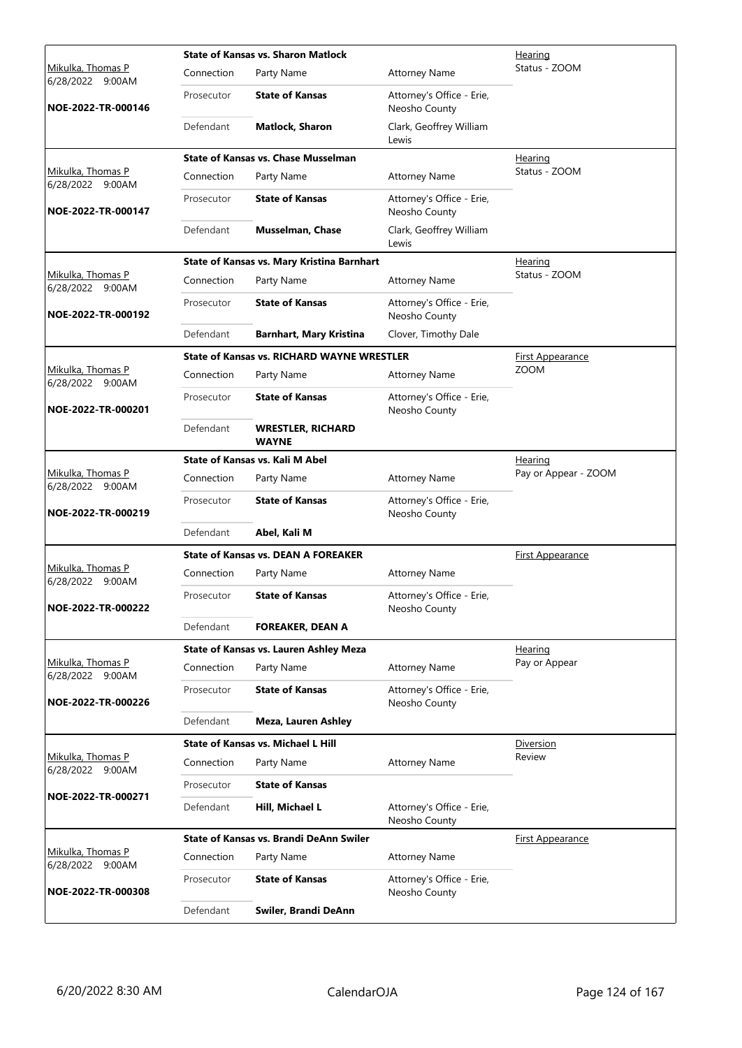|                                          |            | <b>State of Kansas vs. Sharon Matlock</b>         |                                            | Hearing                 |
|------------------------------------------|------------|---------------------------------------------------|--------------------------------------------|-------------------------|
| Mikulka, Thomas P<br>6/28/2022 9:00AM    | Connection | Party Name                                        | <b>Attorney Name</b>                       | Status - ZOOM           |
| NOE-2022-TR-000146                       | Prosecutor | <b>State of Kansas</b>                            | Attorney's Office - Erie,<br>Neosho County |                         |
|                                          | Defendant  | <b>Matlock, Sharon</b>                            | Clark, Geoffrey William<br>Lewis           |                         |
|                                          |            | <b>State of Kansas vs. Chase Musselman</b>        |                                            | Hearing                 |
| Mikulka, Thomas P<br>6/28/2022 9:00AM    | Connection | Party Name                                        | <b>Attorney Name</b>                       | Status - ZOOM           |
| NOE-2022-TR-000147                       | Prosecutor | <b>State of Kansas</b>                            | Attorney's Office - Erie,<br>Neosho County |                         |
|                                          | Defendant  | Musselman, Chase                                  | Clark, Geoffrey William<br>Lewis           |                         |
|                                          |            | State of Kansas vs. Mary Kristina Barnhart        |                                            | <u>Hearing</u>          |
| Mikulka, Thomas P<br>6/28/2022 9:00AM    | Connection | Party Name                                        | <b>Attorney Name</b>                       | Status - ZOOM           |
| NOE-2022-TR-000192                       | Prosecutor | <b>State of Kansas</b>                            | Attorney's Office - Erie,<br>Neosho County |                         |
|                                          | Defendant  | <b>Barnhart, Mary Kristina</b>                    | Clover, Timothy Dale                       |                         |
|                                          |            | <b>State of Kansas vs. RICHARD WAYNE WRESTLER</b> |                                            | First Appearance        |
| Mikulka, Thomas P<br>6/28/2022 9:00AM    | Connection | Party Name                                        | <b>Attorney Name</b>                       | <b>ZOOM</b>             |
| NOE-2022-TR-000201                       | Prosecutor | <b>State of Kansas</b>                            | Attorney's Office - Erie,<br>Neosho County |                         |
|                                          | Defendant  | <b>WRESTLER, RICHARD</b><br><b>WAYNE</b>          |                                            |                         |
|                                          |            | State of Kansas vs. Kali M Abel                   |                                            | <u>Hearing</u>          |
| Mikulka, Thomas P<br>6/28/2022 9:00AM    | Connection | Party Name                                        | <b>Attorney Name</b>                       | Pay or Appear - ZOOM    |
| NOE-2022-TR-000219                       | Prosecutor | <b>State of Kansas</b>                            | Attorney's Office - Erie,<br>Neosho County |                         |
|                                          | Defendant  | Abel, Kali M                                      |                                            |                         |
|                                          |            | State of Kansas vs. DEAN A FOREAKER               |                                            | First Appearance        |
| Mikulka, Thomas P<br>6/28/2022<br>9:00AM | Connection | Party Name                                        | <b>Attorney Name</b>                       |                         |
| NOE-2022-TR-000222                       | Prosecutor | <b>State of Kansas</b>                            | Attorney's Office - Erie,<br>Neosho County |                         |
|                                          | Defendant  | <b>FOREAKER, DEAN A</b>                           |                                            |                         |
|                                          |            | State of Kansas vs. Lauren Ashley Meza            |                                            | Hearing                 |
| Mikulka, Thomas P<br>6/28/2022 9:00AM    | Connection | Party Name                                        | <b>Attorney Name</b>                       | Pay or Appear           |
| NOE-2022-TR-000226                       | Prosecutor | <b>State of Kansas</b>                            | Attorney's Office - Erie,<br>Neosho County |                         |
|                                          | Defendant  | Meza, Lauren Ashley                               |                                            |                         |
|                                          |            | <b>State of Kansas vs. Michael L Hill</b>         |                                            | Diversion               |
| Mikulka, Thomas P<br>6/28/2022 9:00AM    | Connection | Party Name                                        | <b>Attorney Name</b>                       | Review                  |
|                                          | Prosecutor | <b>State of Kansas</b>                            |                                            |                         |
| NOE-2022-TR-000271                       | Defendant  | Hill, Michael L                                   | Attorney's Office - Erie,<br>Neosho County |                         |
|                                          |            | State of Kansas vs. Brandi DeAnn Swiler           |                                            | <u>First Appearance</u> |
| Mikulka, Thomas P<br>6/28/2022 9:00AM    | Connection | Party Name                                        | <b>Attorney Name</b>                       |                         |
| NOE-2022-TR-000308                       | Prosecutor | <b>State of Kansas</b>                            | Attorney's Office - Erie,<br>Neosho County |                         |
|                                          | Defendant  | Swiler, Brandi DeAnn                              |                                            |                         |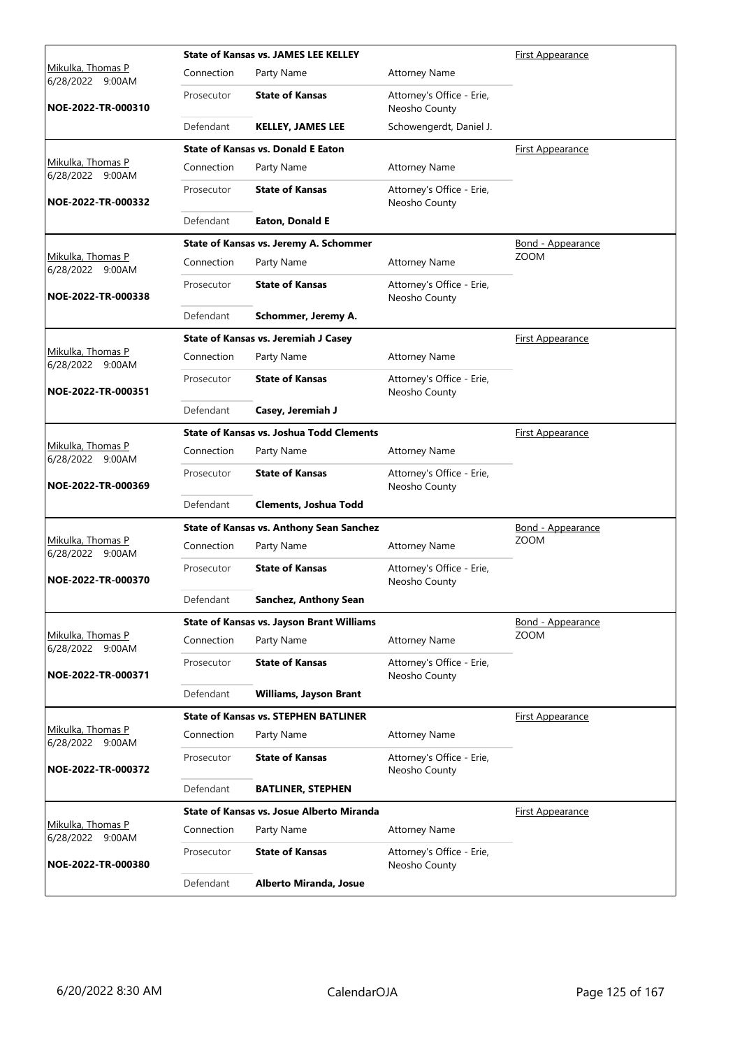|                                              |            | <b>State of Kansas vs. JAMES LEE KELLEY</b>      |                                            | <b>First Appearance</b>  |
|----------------------------------------------|------------|--------------------------------------------------|--------------------------------------------|--------------------------|
| Mikulka, Thomas P<br>6/28/2022 9:00AM        | Connection | Party Name                                       | <b>Attorney Name</b>                       |                          |
| NOE-2022-TR-000310                           | Prosecutor | <b>State of Kansas</b>                           | Attorney's Office - Erie,<br>Neosho County |                          |
|                                              | Defendant  | <b>KELLEY, JAMES LEE</b>                         | Schowengerdt, Daniel J.                    |                          |
|                                              |            | <b>State of Kansas vs. Donald E Eaton</b>        |                                            | <b>First Appearance</b>  |
| Mikulka, Thomas P<br>6/28/2022 9:00AM        | Connection | Party Name                                       | <b>Attorney Name</b>                       |                          |
| NOE-2022-TR-000332                           | Prosecutor | <b>State of Kansas</b>                           | Attorney's Office - Erie,<br>Neosho County |                          |
|                                              | Defendant  | Eaton, Donald E                                  |                                            |                          |
|                                              |            | State of Kansas vs. Jeremy A. Schommer           |                                            | <b>Bond - Appearance</b> |
| Mikulka, Thomas P<br>6/28/2022 9:00AM        | Connection | Party Name                                       | <b>Attorney Name</b>                       | <b>ZOOM</b>              |
| NOE-2022-TR-000338                           | Prosecutor | <b>State of Kansas</b>                           | Attorney's Office - Erie,<br>Neosho County |                          |
|                                              | Defendant  | Schommer, Jeremy A.                              |                                            |                          |
|                                              |            | State of Kansas vs. Jeremiah J Casey             |                                            | <u>First Appearance</u>  |
| <u>Mikulka, Thomas P</u><br>6/28/2022 9:00AM | Connection | Party Name                                       | <b>Attorney Name</b>                       |                          |
| NOE-2022-TR-000351                           | Prosecutor | <b>State of Kansas</b>                           | Attorney's Office - Erie,<br>Neosho County |                          |
|                                              | Defendant  | Casey, Jeremiah J                                |                                            |                          |
|                                              |            | <b>State of Kansas vs. Joshua Todd Clements</b>  |                                            | <b>First Appearance</b>  |
| Mikulka, Thomas P<br>6/28/2022 9:00AM        | Connection | Party Name                                       | <b>Attorney Name</b>                       |                          |
| NOE-2022-TR-000369                           | Prosecutor | <b>State of Kansas</b>                           | Attorney's Office - Erie,<br>Neosho County |                          |
|                                              | Defendant  | <b>Clements, Joshua Todd</b>                     |                                            |                          |
|                                              |            | <b>State of Kansas vs. Anthony Sean Sanchez</b>  |                                            | <b>Bond - Appearance</b> |
| Mikulka, Thomas P<br>6/28/2022 9:00AM        | Connection | Party Name                                       | <b>Attorney Name</b>                       | <b>ZOOM</b>              |
| NOE-2022-TR-000370                           | Prosecutor | <b>State of Kansas</b>                           | Attorney's Office - Erie,<br>Neosho County |                          |
|                                              | Defendant  | Sanchez, Anthony Sean                            |                                            |                          |
|                                              |            | <b>State of Kansas vs. Jayson Brant Williams</b> |                                            | Bond - Appearance        |
| Mikulka, Thomas P<br>6/28/2022 9:00AM        | Connection | Party Name                                       | <b>Attorney Name</b>                       | <b>ZOOM</b>              |
| NOE-2022-TR-000371                           | Prosecutor | <b>State of Kansas</b>                           | Attorney's Office - Erie,<br>Neosho County |                          |
|                                              | Defendant  | <b>Williams, Jayson Brant</b>                    |                                            |                          |
|                                              |            | <b>State of Kansas vs. STEPHEN BATLINER</b>      |                                            | <b>First Appearance</b>  |
| Mikulka, Thomas P<br>6/28/2022 9:00AM        | Connection | Party Name                                       | <b>Attorney Name</b>                       |                          |
| NOE-2022-TR-000372                           | Prosecutor | <b>State of Kansas</b>                           | Attorney's Office - Erie,<br>Neosho County |                          |
|                                              | Defendant  | <b>BATLINER, STEPHEN</b>                         |                                            |                          |
|                                              |            | State of Kansas vs. Josue Alberto Miranda        |                                            | <u>First Appearance</u>  |
| <u>Mikulka, Thomas P</u><br>6/28/2022 9:00AM | Connection | Party Name                                       | <b>Attorney Name</b>                       |                          |
| NOE-2022-TR-000380                           | Prosecutor | <b>State of Kansas</b>                           | Attorney's Office - Erie,<br>Neosho County |                          |
|                                              | Defendant  | Alberto Miranda, Josue                           |                                            |                          |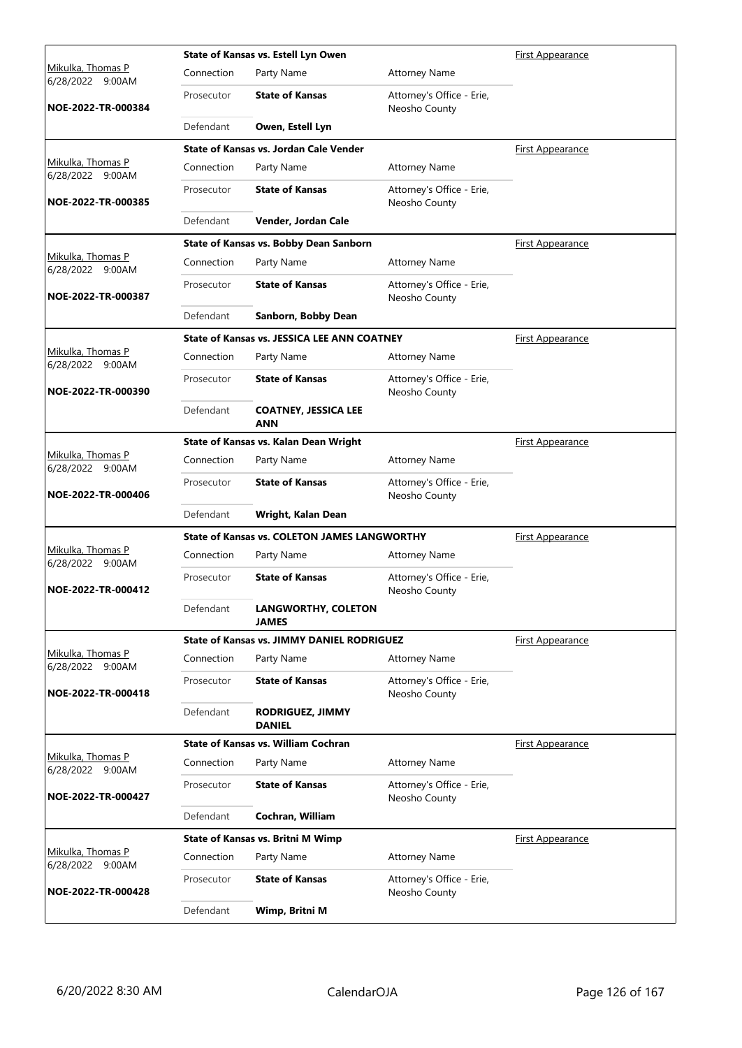|                                              |            | State of Kansas vs. Estell Lyn Owen                 |                                            | <b>First Appearance</b> |
|----------------------------------------------|------------|-----------------------------------------------------|--------------------------------------------|-------------------------|
| <u>Mikulka, Thomas P</u><br>6/28/2022 9:00AM | Connection | Party Name                                          | <b>Attorney Name</b>                       |                         |
| NOE-2022-TR-000384                           | Prosecutor | <b>State of Kansas</b>                              | Attorney's Office - Erie,<br>Neosho County |                         |
|                                              | Defendant  | Owen, Estell Lyn                                    |                                            |                         |
|                                              |            | State of Kansas vs. Jordan Cale Vender              |                                            | <b>First Appearance</b> |
| Mikulka, Thomas P<br>6/28/2022 9:00AM        | Connection | Party Name                                          | <b>Attorney Name</b>                       |                         |
| NOE-2022-TR-000385                           | Prosecutor | <b>State of Kansas</b>                              | Attorney's Office - Erie,<br>Neosho County |                         |
|                                              | Defendant  | Vender, Jordan Cale                                 |                                            |                         |
|                                              |            | State of Kansas vs. Bobby Dean Sanborn              |                                            | <b>First Appearance</b> |
| Mikulka, Thomas P<br>6/28/2022 9:00AM        | Connection | Party Name                                          | <b>Attorney Name</b>                       |                         |
| NOE-2022-TR-000387                           | Prosecutor | <b>State of Kansas</b>                              | Attorney's Office - Erie,<br>Neosho County |                         |
|                                              | Defendant  | Sanborn, Bobby Dean                                 |                                            |                         |
|                                              |            | <b>State of Kansas vs. JESSICA LEE ANN COATNEY</b>  |                                            | <b>First Appearance</b> |
| <u>Mikulka, Thomas P</u><br>6/28/2022 9:00AM | Connection | Party Name                                          | <b>Attorney Name</b>                       |                         |
| NOE-2022-TR-000390                           | Prosecutor | <b>State of Kansas</b>                              | Attorney's Office - Erie,<br>Neosho County |                         |
|                                              | Defendant  | <b>COATNEY, JESSICA LEE</b><br><b>ANN</b>           |                                            |                         |
|                                              |            | State of Kansas vs. Kalan Dean Wright               |                                            | <b>First Appearance</b> |
| Mikulka, Thomas P<br>6/28/2022 9:00AM        | Connection | Party Name                                          | <b>Attorney Name</b>                       |                         |
| NOE-2022-TR-000406                           | Prosecutor | <b>State of Kansas</b>                              | Attorney's Office - Erie,<br>Neosho County |                         |
|                                              | Defendant  | Wright, Kalan Dean                                  |                                            |                         |
|                                              |            | <b>State of Kansas vs. COLETON JAMES LANGWORTHY</b> |                                            | <b>First Appearance</b> |
| Mikulka, Thomas P<br>6/28/2022 9:00AM        | Connection | Party Name                                          | <b>Attorney Name</b>                       |                         |
| NOE-2022-TR-000412                           | Prosecutor | <b>State of Kansas</b>                              | Attorney's Office - Erie,<br>Neosho County |                         |
|                                              | Defendant  | <b>LANGWORTHY, COLETON</b><br>JAMES                 |                                            |                         |
|                                              |            | <b>State of Kansas vs. JIMMY DANIEL RODRIGUEZ</b>   |                                            | First Appearance        |
| Mikulka, Thomas P<br>6/28/2022 9:00AM        | Connection | Party Name                                          | <b>Attorney Name</b>                       |                         |
| NOE-2022-TR-000418                           | Prosecutor | <b>State of Kansas</b>                              | Attorney's Office - Erie,<br>Neosho County |                         |
|                                              | Defendant  | <b>RODRIGUEZ, JIMMY</b><br><b>DANIEL</b>            |                                            |                         |
| Mikulka, Thomas P                            |            | <b>State of Kansas vs. William Cochran</b>          |                                            | First Appearance        |
| 6/28/2022 9:00AM                             | Connection | Party Name                                          | <b>Attorney Name</b>                       |                         |
| NOE-2022-TR-000427                           | Prosecutor | <b>State of Kansas</b>                              | Attorney's Office - Erie,<br>Neosho County |                         |
|                                              | Defendant  | Cochran, William                                    |                                            |                         |
|                                              |            | <b>State of Kansas vs. Britni M Wimp</b>            |                                            | <u>First Appearance</u> |
| Mikulka, Thomas P<br>6/28/2022 9:00AM        | Connection | Party Name                                          | <b>Attorney Name</b>                       |                         |
| NOE-2022-TR-000428                           | Prosecutor | <b>State of Kansas</b>                              | Attorney's Office - Erie,<br>Neosho County |                         |
|                                              | Defendant  | Wimp, Britni M                                      |                                            |                         |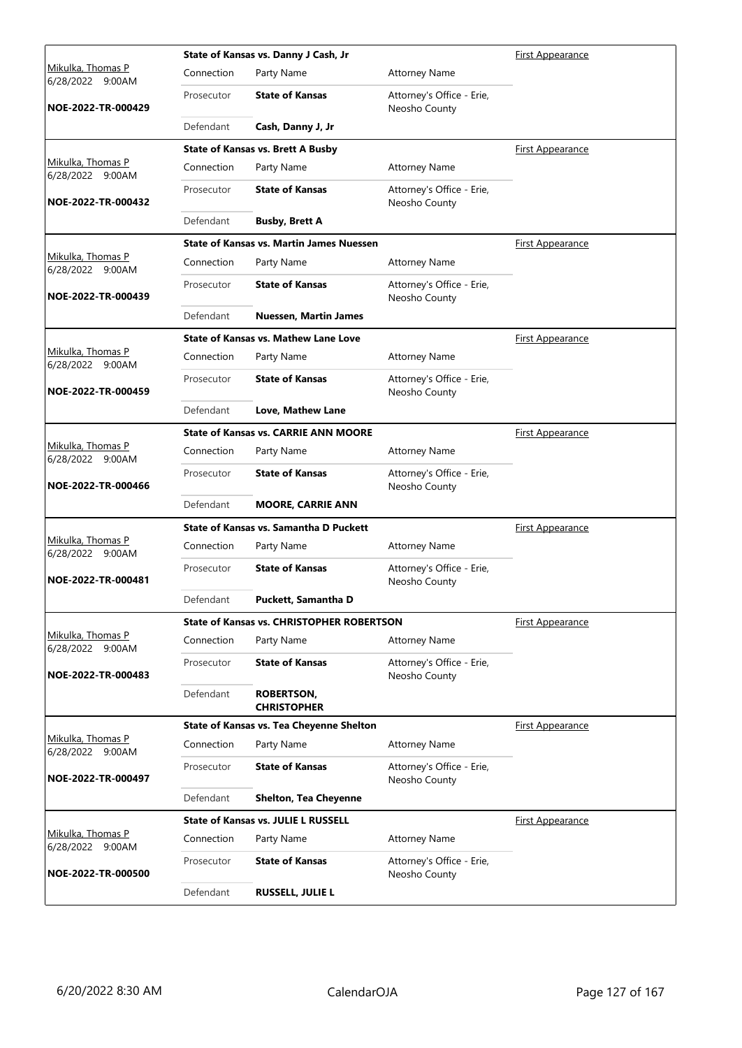|                                              |            | State of Kansas vs. Danny J Cash, Jr             |                                            | First Appearance        |
|----------------------------------------------|------------|--------------------------------------------------|--------------------------------------------|-------------------------|
| <u>Mikulka, Thomas P</u><br>6/28/2022 9:00AM | Connection | Party Name                                       | <b>Attorney Name</b>                       |                         |
| NOE-2022-TR-000429                           | Prosecutor | <b>State of Kansas</b>                           | Attorney's Office - Erie,<br>Neosho County |                         |
|                                              | Defendant  | Cash, Danny J, Jr                                |                                            |                         |
|                                              |            | <b>State of Kansas vs. Brett A Busby</b>         |                                            | <b>First Appearance</b> |
| Mikulka, Thomas P<br>6/28/2022 9:00AM        | Connection | Party Name                                       | <b>Attorney Name</b>                       |                         |
| NOE-2022-TR-000432                           | Prosecutor | <b>State of Kansas</b>                           | Attorney's Office - Erie,<br>Neosho County |                         |
|                                              | Defendant  | <b>Busby, Brett A</b>                            |                                            |                         |
|                                              |            | <b>State of Kansas vs. Martin James Nuessen</b>  |                                            | <b>First Appearance</b> |
| Mikulka, Thomas P<br>6/28/2022 9:00AM        | Connection | Party Name                                       | <b>Attorney Name</b>                       |                         |
| NOE-2022-TR-000439                           | Prosecutor | <b>State of Kansas</b>                           | Attorney's Office - Erie,<br>Neosho County |                         |
|                                              | Defendant  | <b>Nuessen, Martin James</b>                     |                                            |                         |
|                                              |            | State of Kansas vs. Mathew Lane Love             |                                            | First Appearance        |
| Mikulka, Thomas P<br>6/28/2022 9:00AM        | Connection | Party Name                                       | <b>Attorney Name</b>                       |                         |
| NOE-2022-TR-000459                           | Prosecutor | <b>State of Kansas</b>                           | Attorney's Office - Erie,<br>Neosho County |                         |
|                                              | Defendant  | Love, Mathew Lane                                |                                            |                         |
|                                              |            | <b>State of Kansas vs. CARRIE ANN MOORE</b>      |                                            | <b>First Appearance</b> |
| Mikulka, Thomas P<br>6/28/2022 9:00AM        | Connection | Party Name                                       | <b>Attorney Name</b>                       |                         |
| NOE-2022-TR-000466                           | Prosecutor | <b>State of Kansas</b>                           | Attorney's Office - Erie,<br>Neosho County |                         |
|                                              | Defendant  | <b>MOORE, CARRIE ANN</b>                         |                                            |                         |
|                                              |            | <b>State of Kansas vs. Samantha D Puckett</b>    |                                            | <b>First Appearance</b> |
| Mikulka, Thomas P<br>6/28/2022 9:00AM        | Connection | Party Name                                       | <b>Attorney Name</b>                       |                         |
| NOE-2022-TR-000481                           | Prosecutor | <b>State of Kansas</b>                           | Attorney's Office - Erie,<br>Neosho County |                         |
|                                              | Defendant  | Puckett, Samantha D                              |                                            |                         |
|                                              |            | <b>State of Kansas vs. CHRISTOPHER ROBERTSON</b> |                                            | First Appearance        |
| Mikulka, Thomas P<br>6/28/2022 9:00AM        | Connection | Party Name                                       | <b>Attorney Name</b>                       |                         |
| NOE-2022-TR-000483                           | Prosecutor | <b>State of Kansas</b>                           | Attorney's Office - Erie,<br>Neosho County |                         |
|                                              | Defendant  | <b>ROBERTSON,</b><br><b>CHRISTOPHER</b>          |                                            |                         |
|                                              |            | State of Kansas vs. Tea Cheyenne Shelton         |                                            | First Appearance        |
| Mikulka, Thomas P<br>6/28/2022 9:00AM        | Connection | Party Name                                       | <b>Attorney Name</b>                       |                         |
| NOE-2022-TR-000497                           | Prosecutor | <b>State of Kansas</b>                           | Attorney's Office - Erie,<br>Neosho County |                         |
|                                              | Defendant  | <b>Shelton, Tea Cheyenne</b>                     |                                            |                         |
|                                              |            | <b>State of Kansas vs. JULIE L RUSSELL</b>       |                                            | <b>First Appearance</b> |
| Mikulka, Thomas P<br>6/28/2022 9:00AM        | Connection | Party Name                                       | <b>Attorney Name</b>                       |                         |
| NOE-2022-TR-000500                           | Prosecutor | <b>State of Kansas</b>                           | Attorney's Office - Erie,<br>Neosho County |                         |
|                                              | Defendant  | <b>RUSSELL, JULIE L</b>                          |                                            |                         |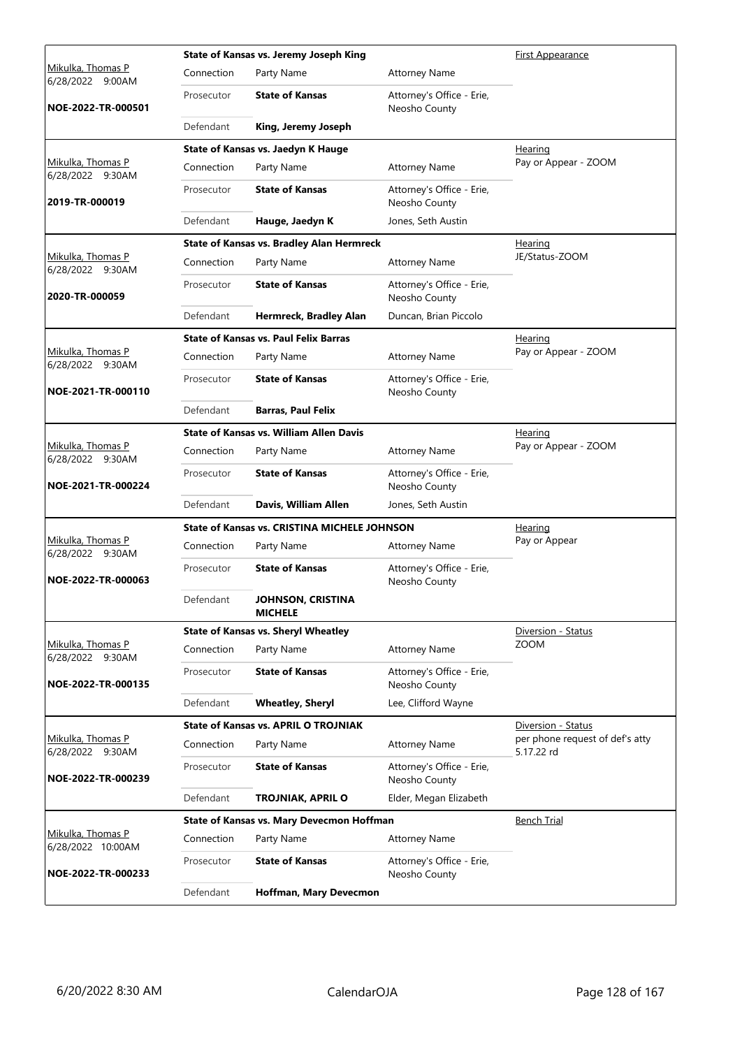|                                                             |            | State of Kansas vs. Jeremy Joseph King              |                                            | First Appearance                              |
|-------------------------------------------------------------|------------|-----------------------------------------------------|--------------------------------------------|-----------------------------------------------|
| <u>Mikulka, Thomas P</u><br>6/28/2022 9:00AM                | Connection | Party Name                                          | <b>Attorney Name</b>                       |                                               |
| NOE-2022-TR-000501                                          | Prosecutor | <b>State of Kansas</b>                              | Attorney's Office - Erie,<br>Neosho County |                                               |
|                                                             | Defendant  | King, Jeremy Joseph                                 |                                            |                                               |
|                                                             |            | State of Kansas vs. Jaedyn K Hauge                  |                                            | Hearing                                       |
| Mikulka, Thomas P<br>6/28/2022 9:30AM                       | Connection | Party Name                                          | <b>Attorney Name</b>                       | Pay or Appear - ZOOM                          |
| 2019-TR-000019                                              | Prosecutor | <b>State of Kansas</b>                              | Attorney's Office - Erie,<br>Neosho County |                                               |
|                                                             | Defendant  | Hauge, Jaedyn K                                     | Jones, Seth Austin                         |                                               |
|                                                             |            | <b>State of Kansas vs. Bradley Alan Hermreck</b>    |                                            | <b>Hearing</b>                                |
| Mikulka, Thomas P<br>6/28/2022 9:30AM                       | Connection | Party Name                                          | <b>Attorney Name</b>                       | JE/Status-ZOOM                                |
| 2020-TR-000059                                              | Prosecutor | <b>State of Kansas</b>                              | Attorney's Office - Erie,<br>Neosho County |                                               |
|                                                             | Defendant  | Hermreck, Bradley Alan                              | Duncan, Brian Piccolo                      |                                               |
|                                                             |            | <b>State of Kansas vs. Paul Felix Barras</b>        |                                            | Hearing                                       |
| Mikulka, Thomas P<br>6/28/2022 9:30AM                       | Connection | Party Name                                          | <b>Attorney Name</b>                       | Pay or Appear - ZOOM                          |
| NOE-2021-TR-000110                                          | Prosecutor | <b>State of Kansas</b>                              | Attorney's Office - Erie,<br>Neosho County |                                               |
|                                                             | Defendant  | <b>Barras, Paul Felix</b>                           |                                            |                                               |
|                                                             |            | <b>State of Kansas vs. William Allen Davis</b>      |                                            | Hearing                                       |
| Mikulka, Thomas P<br>6/28/2022 9:30AM<br>NOE-2021-TR-000224 | Connection | Party Name                                          | <b>Attorney Name</b>                       | Pay or Appear - ZOOM                          |
|                                                             | Prosecutor | <b>State of Kansas</b>                              | Attorney's Office - Erie,<br>Neosho County |                                               |
|                                                             | Defendant  | Davis, William Allen                                | Jones, Seth Austin                         |                                               |
|                                                             |            | <b>State of Kansas vs. CRISTINA MICHELE JOHNSON</b> | Hearing                                    |                                               |
| Mikulka, Thomas P<br>6/28/2022 9:30AM                       | Connection | Party Name                                          | <b>Attorney Name</b>                       | Pay or Appear                                 |
| NOE-2022-TR-000063                                          | Prosecutor | <b>State of Kansas</b>                              | Attorney's Office - Erie,<br>Neosho County |                                               |
|                                                             | Defendant  | JOHNSON, CRISTINA<br><b>MICHELE</b>                 |                                            |                                               |
|                                                             |            | <b>State of Kansas vs. Sheryl Wheatley</b>          |                                            | Diversion - Status                            |
| Mikulka, Thomas P<br>6/28/2022 9:30AM                       | Connection | Party Name                                          | <b>Attorney Name</b>                       | <b>ZOOM</b>                                   |
| NOE-2022-TR-000135                                          | Prosecutor | <b>State of Kansas</b>                              | Attorney's Office - Erie,<br>Neosho County |                                               |
|                                                             | Defendant  | <b>Wheatley, Sheryl</b>                             | Lee, Clifford Wayne                        |                                               |
|                                                             |            | <b>State of Kansas vs. APRIL O TROJNIAK</b>         |                                            | Diversion - Status                            |
| Mikulka, Thomas P<br>6/28/2022 9:30AM                       | Connection | Party Name                                          | <b>Attorney Name</b>                       | per phone request of def's atty<br>5.17.22 rd |
| NOE-2022-TR-000239                                          | Prosecutor | <b>State of Kansas</b>                              | Attorney's Office - Erie,<br>Neosho County |                                               |
|                                                             | Defendant  | TROJNIAK, APRIL O                                   | Elder, Megan Elizabeth                     |                                               |
|                                                             |            | State of Kansas vs. Mary Devecmon Hoffman           |                                            | <b>Bench Trial</b>                            |
| Mikulka, Thomas P<br>6/28/2022 10:00AM                      | Connection | Party Name                                          | <b>Attorney Name</b>                       |                                               |
| NOE-2022-TR-000233                                          | Prosecutor | <b>State of Kansas</b>                              | Attorney's Office - Erie,<br>Neosho County |                                               |
|                                                             | Defendant  | Hoffman, Mary Devecmon                              |                                            |                                               |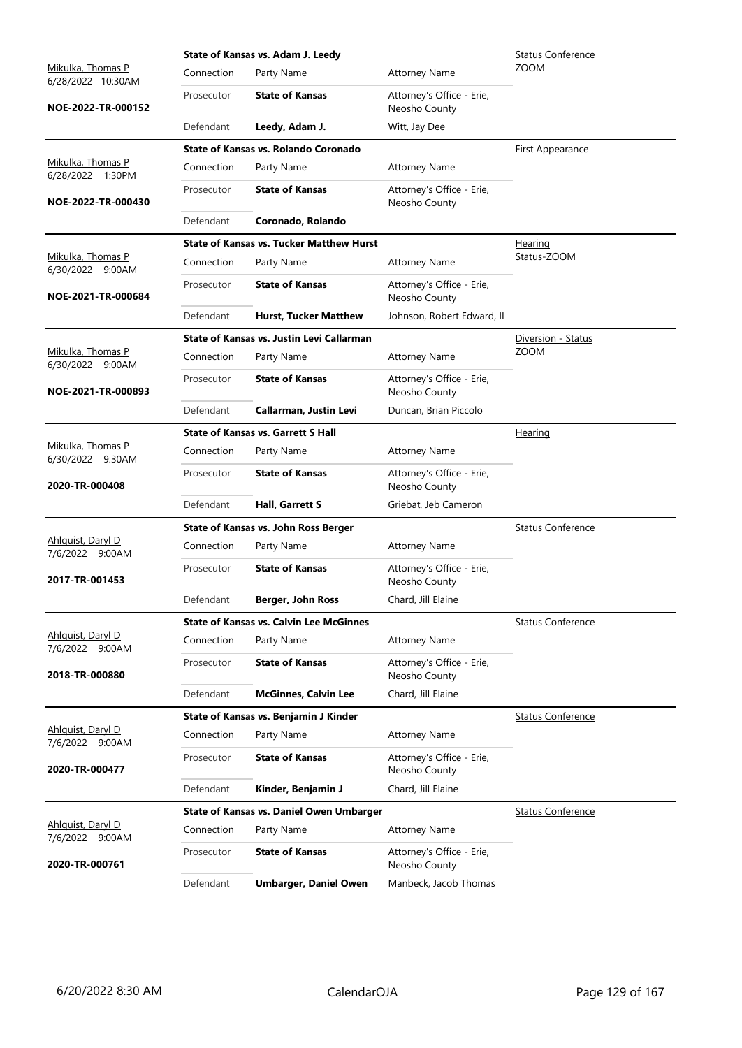|                                             |            | State of Kansas vs. Adam J. Leedy<br><b>Status Conference</b> |                                            |                          |  |
|---------------------------------------------|------------|---------------------------------------------------------------|--------------------------------------------|--------------------------|--|
| Mikulka, Thomas P<br>6/28/2022 10:30AM      | Connection | Party Name                                                    | <b>Attorney Name</b>                       | <b>ZOOM</b>              |  |
| NOE-2022-TR-000152                          | Prosecutor | <b>State of Kansas</b>                                        | Attorney's Office - Erie,<br>Neosho County |                          |  |
|                                             | Defendant  | Leedy, Adam J.                                                | Witt, Jay Dee                              |                          |  |
|                                             |            | State of Kansas vs. Rolando Coronado                          |                                            | <b>First Appearance</b>  |  |
| Mikulka, Thomas P<br>6/28/2022 1:30PM       | Connection | Party Name                                                    | <b>Attorney Name</b>                       |                          |  |
| NOE-2022-TR-000430                          | Prosecutor | <b>State of Kansas</b>                                        | Attorney's Office - Erie,<br>Neosho County |                          |  |
|                                             | Defendant  | Coronado, Rolando                                             |                                            |                          |  |
|                                             |            | <b>State of Kansas vs. Tucker Matthew Hurst</b>               |                                            | <b>Hearing</b>           |  |
| Mikulka, Thomas P<br>6/30/2022 9:00AM       | Connection | Party Name                                                    | <b>Attorney Name</b>                       | Status-ZOOM              |  |
| NOE-2021-TR-000684                          | Prosecutor | <b>State of Kansas</b>                                        | Attorney's Office - Erie,<br>Neosho County |                          |  |
|                                             | Defendant  | <b>Hurst, Tucker Matthew</b>                                  | Johnson, Robert Edward, II                 |                          |  |
|                                             |            | State of Kansas vs. Justin Levi Callarman                     |                                            | Diversion - Status       |  |
| Mikulka, Thomas P<br>6/30/2022 9:00AM       | Connection | Party Name                                                    | <b>Attorney Name</b>                       | <b>ZOOM</b>              |  |
| NOE-2021-TR-000893                          | Prosecutor | <b>State of Kansas</b>                                        | Attorney's Office - Erie,<br>Neosho County |                          |  |
|                                             | Defendant  | Callarman, Justin Levi                                        | Duncan, Brian Piccolo                      |                          |  |
|                                             |            | <b>State of Kansas vs. Garrett S Hall</b>                     |                                            | Hearing                  |  |
| Mikulka, Thomas P<br>6/30/2022 9:30AM       | Connection | Party Name                                                    | <b>Attorney Name</b>                       |                          |  |
| 2020-TR-000408                              | Prosecutor | <b>State of Kansas</b>                                        | Attorney's Office - Erie,<br>Neosho County |                          |  |
|                                             | Defendant  | Hall, Garrett S                                               | Griebat, Jeb Cameron                       |                          |  |
|                                             |            | State of Kansas vs. John Ross Berger                          |                                            | <b>Status Conference</b> |  |
| Ahlguist, Daryl D<br>7/6/2022 9:00AM        | Connection | Party Name                                                    | <b>Attorney Name</b>                       |                          |  |
| 2017-TR-001453                              | Prosecutor | <b>State of Kansas</b>                                        | Attorney's Office - Erie,<br>Neosho County |                          |  |
|                                             | Defendant  | Berger, John Ross                                             | Chard, Jill Elaine                         |                          |  |
|                                             |            | <b>State of Kansas vs. Calvin Lee McGinnes</b>                |                                            | <b>Status Conference</b> |  |
| Ahlquist, Daryl D<br>7/6/2022 9:00AM        | Connection | Party Name                                                    | <b>Attorney Name</b>                       |                          |  |
| 2018-TR-000880                              | Prosecutor | <b>State of Kansas</b>                                        | Attorney's Office - Erie,<br>Neosho County |                          |  |
|                                             | Defendant  | <b>McGinnes, Calvin Lee</b>                                   | Chard, Jill Elaine                         |                          |  |
|                                             |            | State of Kansas vs. Benjamin J Kinder                         |                                            | <b>Status Conference</b> |  |
| Ahlquist, Daryl D<br>7/6/2022 9:00AM        | Connection | Party Name                                                    | <b>Attorney Name</b>                       |                          |  |
| 2020-TR-000477                              | Prosecutor | <b>State of Kansas</b>                                        | Attorney's Office - Erie,<br>Neosho County |                          |  |
|                                             | Defendant  | Kinder, Benjamin J                                            | Chard, Jill Elaine                         |                          |  |
|                                             |            | <b>State of Kansas vs. Daniel Owen Umbarger</b>               |                                            | <b>Status Conference</b> |  |
| <u>Ahlquist, Daryl D</u><br>7/6/2022 9:00AM | Connection | Party Name                                                    | <b>Attorney Name</b>                       |                          |  |
| 2020-TR-000761                              | Prosecutor | <b>State of Kansas</b>                                        | Attorney's Office - Erie,<br>Neosho County |                          |  |
|                                             | Defendant  | <b>Umbarger, Daniel Owen</b>                                  | Manbeck, Jacob Thomas                      |                          |  |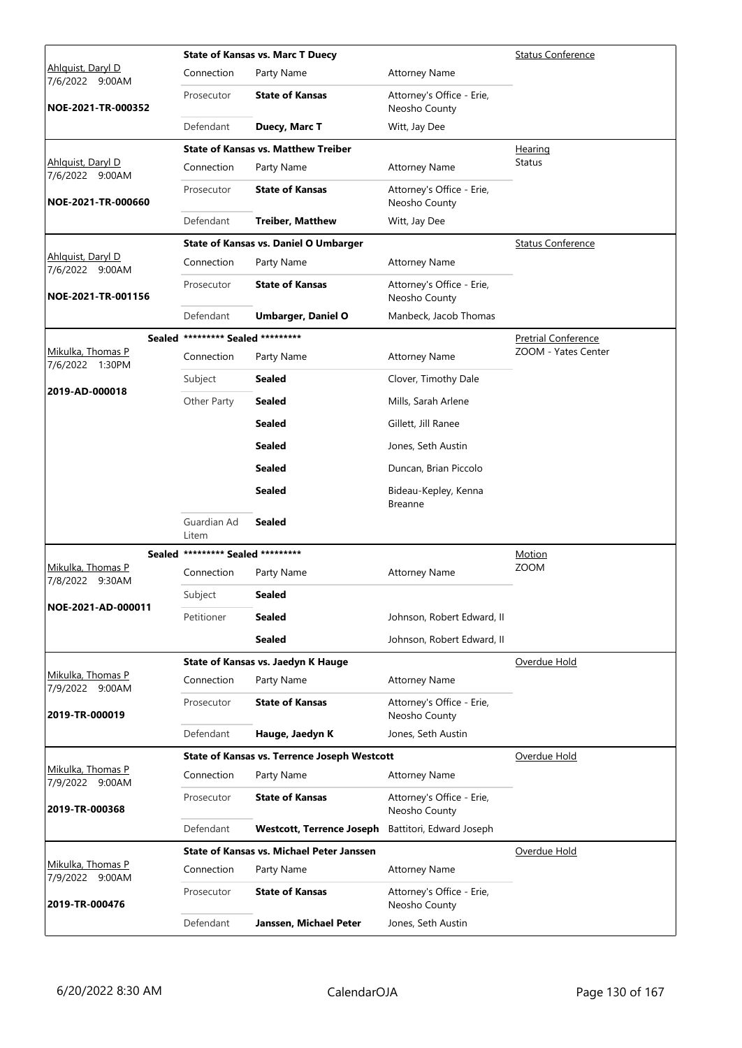|                                      |                                   | <b>State of Kansas vs. Marc T Duecy</b>             |                                            | <b>Status Conference</b>   |
|--------------------------------------|-----------------------------------|-----------------------------------------------------|--------------------------------------------|----------------------------|
| Ahlguist, Daryl D<br>7/6/2022 9:00AM | Connection                        | Party Name                                          | <b>Attorney Name</b>                       |                            |
| NOE-2021-TR-000352                   | Prosecutor                        | <b>State of Kansas</b>                              | Attorney's Office - Erie,<br>Neosho County |                            |
|                                      | Defendant                         | Duecy, Marc T                                       | Witt, Jay Dee                              |                            |
|                                      |                                   | <b>State of Kansas vs. Matthew Treiber</b>          |                                            | Hearing                    |
| Ahlquist, Daryl D<br>7/6/2022 9:00AM | Connection                        | Party Name                                          | <b>Attorney Name</b>                       | <b>Status</b>              |
| NOE-2021-TR-000660                   | Prosecutor                        | <b>State of Kansas</b>                              | Attorney's Office - Erie,<br>Neosho County |                            |
|                                      | Defendant                         | <b>Treiber, Matthew</b>                             | Witt, Jay Dee                              |                            |
|                                      |                                   | <b>State of Kansas vs. Daniel O Umbarger</b>        |                                            | <b>Status Conference</b>   |
| Ahlquist, Daryl D<br>7/6/2022 9:00AM | Connection                        | Party Name                                          | <b>Attorney Name</b>                       |                            |
| NOE-2021-TR-001156                   | Prosecutor                        | <b>State of Kansas</b>                              | Attorney's Office - Erie,<br>Neosho County |                            |
|                                      | Defendant                         | <b>Umbarger, Daniel O</b>                           | Manbeck, Jacob Thomas                      |                            |
|                                      | Sealed ********* Sealed ********* |                                                     |                                            | <b>Pretrial Conference</b> |
| Mikulka, Thomas P<br>7/6/2022 1:30PM | Connection                        | Party Name                                          | <b>Attorney Name</b>                       | ZOOM - Yates Center        |
|                                      | Subject                           | <b>Sealed</b>                                       | Clover, Timothy Dale                       |                            |
| 2019-AD-000018                       | Other Party                       | <b>Sealed</b>                                       | Mills, Sarah Arlene                        |                            |
|                                      |                                   | <b>Sealed</b>                                       | Gillett, Jill Ranee                        |                            |
|                                      |                                   | <b>Sealed</b>                                       | Jones, Seth Austin                         |                            |
|                                      |                                   | <b>Sealed</b>                                       | Duncan, Brian Piccolo                      |                            |
|                                      |                                   | <b>Sealed</b>                                       | Bideau-Kepley, Kenna<br><b>Breanne</b>     |                            |
|                                      | Guardian Ad<br>Litem              | <b>Sealed</b>                                       |                                            |                            |
|                                      | Sealed ********* Sealed ********* |                                                     |                                            | Motion                     |
| Mikulka, Thomas P<br>7/8/2022 9:30AM | Connection                        | Party Name                                          | <b>Attorney Name</b>                       | <b>ZOOM</b>                |
|                                      | Subject                           | <b>Sealed</b>                                       |                                            |                            |
| NOE-2021-AD-000011                   | Petitioner                        | <b>Sealed</b>                                       | Johnson, Robert Edward, II                 |                            |
|                                      |                                   | <b>Sealed</b>                                       | Johnson, Robert Edward, II                 |                            |
|                                      |                                   | State of Kansas vs. Jaedyn K Hauge                  |                                            | Overdue Hold               |
| Mikulka, Thomas P<br>7/9/2022 9:00AM | Connection                        | Party Name                                          | <b>Attorney Name</b>                       |                            |
| 2019-TR-000019                       | Prosecutor                        | <b>State of Kansas</b>                              | Attorney's Office - Erie,<br>Neosho County |                            |
|                                      | Defendant                         | Hauge, Jaedyn K                                     | Jones, Seth Austin                         |                            |
|                                      |                                   | <b>State of Kansas vs. Terrence Joseph Westcott</b> |                                            | Overdue Hold               |
| Mikulka, Thomas P<br>7/9/2022 9:00AM | Connection                        | Party Name                                          | <b>Attorney Name</b>                       |                            |
| 2019-TR-000368                       | Prosecutor                        | <b>State of Kansas</b>                              | Attorney's Office - Erie,<br>Neosho County |                            |
|                                      | Defendant                         | <b>Westcott, Terrence Joseph</b>                    | Battitori, Edward Joseph                   |                            |
|                                      |                                   | <b>State of Kansas vs. Michael Peter Janssen</b>    |                                            | Overdue Hold               |
| Mikulka, Thomas P<br>7/9/2022 9:00AM | Connection                        | Party Name                                          | <b>Attorney Name</b>                       |                            |
| 2019-TR-000476                       | Prosecutor                        | <b>State of Kansas</b>                              | Attorney's Office - Erie,<br>Neosho County |                            |
|                                      | Defendant                         | Janssen, Michael Peter                              | Jones, Seth Austin                         |                            |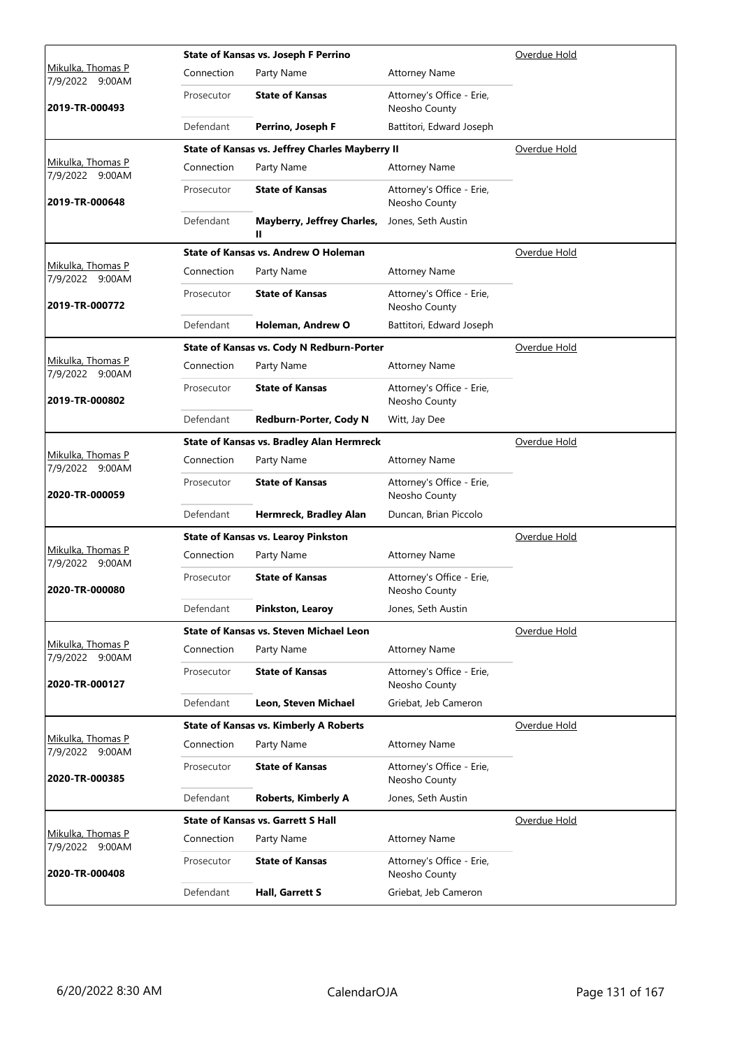|                                      |            | State of Kansas vs. Joseph F Perrino             |                                            | Overdue Hold |
|--------------------------------------|------------|--------------------------------------------------|--------------------------------------------|--------------|
| Mikulka, Thomas P<br>7/9/2022 9:00AM | Connection | Party Name                                       | <b>Attorney Name</b>                       |              |
| 2019-TR-000493                       | Prosecutor | <b>State of Kansas</b>                           | Attorney's Office - Erie,<br>Neosho County |              |
|                                      | Defendant  | Perrino, Joseph F                                | Battitori, Edward Joseph                   |              |
|                                      |            | State of Kansas vs. Jeffrey Charles Mayberry II  |                                            | Overdue Hold |
| Mikulka, Thomas P<br>7/9/2022 9:00AM | Connection | Party Name                                       | <b>Attorney Name</b>                       |              |
| 2019-TR-000648                       | Prosecutor | <b>State of Kansas</b>                           | Attorney's Office - Erie,<br>Neosho County |              |
|                                      | Defendant  | Mayberry, Jeffrey Charles,<br>н.                 | Jones, Seth Austin                         |              |
|                                      |            | State of Kansas vs. Andrew O Holeman             |                                            | Overdue Hold |
| Mikulka, Thomas P<br>7/9/2022 9:00AM | Connection | Party Name                                       | <b>Attorney Name</b>                       |              |
| 2019-TR-000772                       | Prosecutor | <b>State of Kansas</b>                           | Attorney's Office - Erie,<br>Neosho County |              |
|                                      | Defendant  | Holeman, Andrew O                                | Battitori, Edward Joseph                   |              |
|                                      |            | State of Kansas vs. Cody N Redburn-Porter        |                                            | Overdue Hold |
| Mikulka, Thomas P<br>7/9/2022 9:00AM | Connection | Party Name                                       | <b>Attorney Name</b>                       |              |
| 2019-TR-000802                       | Prosecutor | <b>State of Kansas</b>                           | Attorney's Office - Erie,<br>Neosho County |              |
|                                      | Defendant  | Redburn-Porter, Cody N                           | Witt, Jay Dee                              |              |
|                                      |            | <b>State of Kansas vs. Bradley Alan Hermreck</b> |                                            | Overdue Hold |
| Mikulka, Thomas P<br>7/9/2022 9:00AM | Connection | Party Name                                       | <b>Attorney Name</b>                       |              |
| 2020-TR-000059                       | Prosecutor | <b>State of Kansas</b>                           | Attorney's Office - Erie,<br>Neosho County |              |
|                                      | Defendant  | Hermreck, Bradley Alan                           | Duncan, Brian Piccolo                      |              |
|                                      |            | <b>State of Kansas vs. Learoy Pinkston</b>       | Overdue Hold                               |              |
| Mikulka, Thomas P<br>7/9/2022 9:00AM | Connection | Party Name                                       | <b>Attorney Name</b>                       |              |
| 2020-TR-000080                       | Prosecutor | <b>State of Kansas</b>                           | Attorney's Office - Erie,<br>Neosho County |              |
|                                      | Defendant  | Pinkston, Learoy                                 | Jones, Seth Austin                         |              |
|                                      |            | State of Kansas vs. Steven Michael Leon          |                                            | Overdue Hold |
| Mikulka, Thomas P<br>7/9/2022 9:00AM | Connection | Party Name                                       | <b>Attorney Name</b>                       |              |
| 2020-TR-000127                       | Prosecutor | <b>State of Kansas</b>                           | Attorney's Office - Erie,<br>Neosho County |              |
|                                      | Defendant  | Leon, Steven Michael                             | Griebat, Jeb Cameron                       |              |
|                                      |            | <b>State of Kansas vs. Kimberly A Roberts</b>    |                                            | Overdue Hold |
| Mikulka, Thomas P<br>7/9/2022 9:00AM | Connection | Party Name                                       | <b>Attorney Name</b>                       |              |
| 2020-TR-000385                       | Prosecutor | <b>State of Kansas</b>                           | Attorney's Office - Erie,<br>Neosho County |              |
|                                      | Defendant  | <b>Roberts, Kimberly A</b>                       | Jones, Seth Austin                         |              |
|                                      |            | <b>State of Kansas vs. Garrett S Hall</b>        |                                            | Overdue Hold |
| Mikulka, Thomas P<br>7/9/2022 9:00AM | Connection | Party Name                                       | <b>Attorney Name</b>                       |              |
| 2020-TR-000408                       | Prosecutor | <b>State of Kansas</b>                           | Attorney's Office - Erie,<br>Neosho County |              |
|                                      | Defendant  | Hall, Garrett S                                  | Griebat, Jeb Cameron                       |              |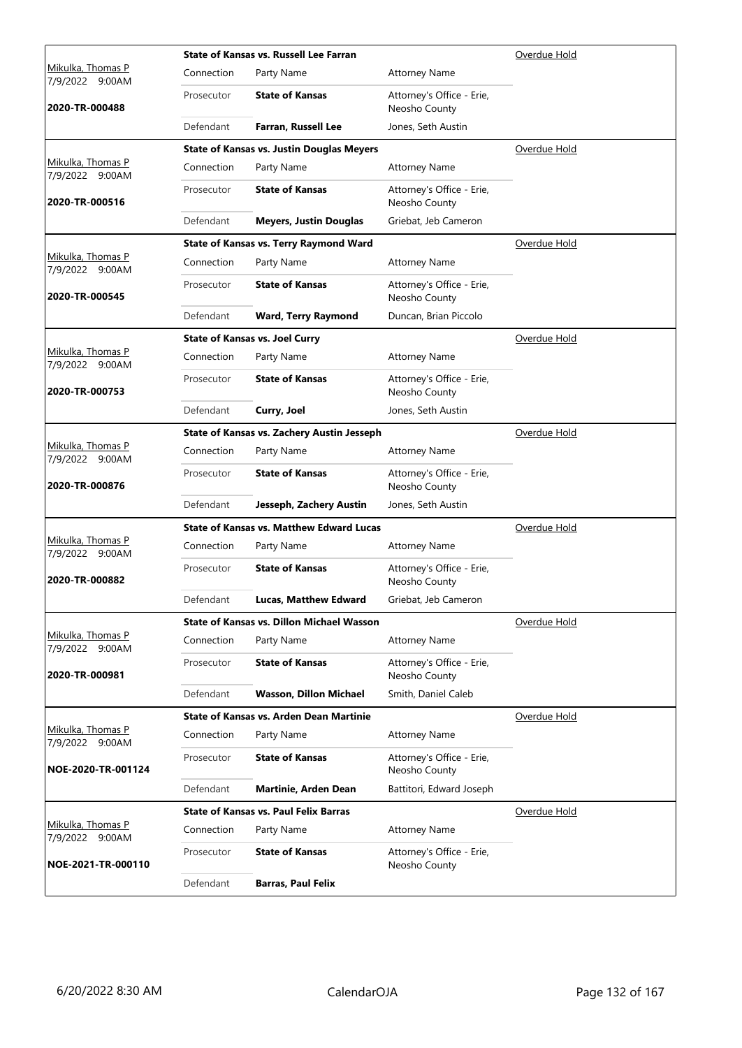|                                             |            | State of Kansas vs. Russell Lee Farran            |                                            | Overdue Hold |
|---------------------------------------------|------------|---------------------------------------------------|--------------------------------------------|--------------|
| Mikulka, Thomas P<br>7/9/2022 9:00AM        | Connection | Party Name                                        | <b>Attorney Name</b>                       |              |
| 2020-TR-000488                              | Prosecutor | <b>State of Kansas</b>                            | Attorney's Office - Erie,<br>Neosho County |              |
|                                             | Defendant  | Farran, Russell Lee                               | Jones, Seth Austin                         |              |
|                                             |            | <b>State of Kansas vs. Justin Douglas Meyers</b>  |                                            | Overdue Hold |
| Mikulka, Thomas P<br>7/9/2022 9:00AM        | Connection | Party Name                                        | <b>Attorney Name</b>                       |              |
| 2020-TR-000516                              | Prosecutor | <b>State of Kansas</b>                            | Attorney's Office - Erie,<br>Neosho County |              |
|                                             | Defendant  | <b>Meyers, Justin Douglas</b>                     | Griebat, Jeb Cameron                       |              |
|                                             |            | <b>State of Kansas vs. Terry Raymond Ward</b>     |                                            | Overdue Hold |
| Mikulka, Thomas P<br>7/9/2022 9:00AM        | Connection | Party Name                                        | <b>Attorney Name</b>                       |              |
| 2020-TR-000545                              | Prosecutor | <b>State of Kansas</b>                            | Attorney's Office - Erie,<br>Neosho County |              |
|                                             | Defendant  | <b>Ward, Terry Raymond</b>                        | Duncan, Brian Piccolo                      |              |
|                                             |            | <b>State of Kansas vs. Joel Curry</b>             |                                            | Overdue Hold |
| <u>Mikulka, Thomas P</u><br>7/9/2022 9:00AM | Connection | Party Name                                        | <b>Attorney Name</b>                       |              |
| 2020-TR-000753                              | Prosecutor | <b>State of Kansas</b>                            | Attorney's Office - Erie,<br>Neosho County |              |
|                                             | Defendant  | Curry, Joel                                       | Jones, Seth Austin                         |              |
|                                             |            | <b>State of Kansas vs. Zachery Austin Jesseph</b> |                                            | Overdue Hold |
| Mikulka, Thomas P<br>7/9/2022 9:00AM        | Connection | Party Name                                        | <b>Attorney Name</b>                       |              |
| 2020-TR-000876                              | Prosecutor | <b>State of Kansas</b>                            | Attorney's Office - Erie,<br>Neosho County |              |
|                                             | Defendant  | Jesseph, Zachery Austin                           | Jones, Seth Austin                         |              |
|                                             |            | <b>State of Kansas vs. Matthew Edward Lucas</b>   |                                            | Overdue Hold |
| Mikulka, Thomas P<br>7/9/2022 9:00AM        | Connection | Party Name                                        | <b>Attorney Name</b>                       |              |
| 2020-TR-000882                              | Prosecutor | <b>State of Kansas</b>                            | Attorney's Office - Erie,<br>Neosho County |              |
|                                             | Defendant  | Lucas, Matthew Edward                             | Griebat, Jeb Cameron                       |              |
|                                             |            | State of Kansas vs. Dillon Michael Wasson         |                                            | Overdue Hold |
| Mikulka, Thomas P<br>7/9/2022 9:00AM        | Connection | Party Name                                        | <b>Attorney Name</b>                       |              |
| 2020-TR-000981                              | Prosecutor | <b>State of Kansas</b>                            | Attorney's Office - Erie,<br>Neosho County |              |
|                                             | Defendant  | Wasson, Dillon Michael                            | Smith, Daniel Caleb                        |              |
|                                             |            | State of Kansas vs. Arden Dean Martinie           |                                            | Overdue Hold |
| Mikulka, Thomas P<br>7/9/2022 9:00AM        | Connection | Party Name                                        | <b>Attorney Name</b>                       |              |
| NOE-2020-TR-001124                          | Prosecutor | <b>State of Kansas</b>                            | Attorney's Office - Erie,<br>Neosho County |              |
|                                             | Defendant  | Martinie, Arden Dean                              | Battitori, Edward Joseph                   |              |
|                                             |            | <b>State of Kansas vs. Paul Felix Barras</b>      |                                            | Overdue Hold |
| Mikulka, Thomas P<br>7/9/2022 9:00AM        | Connection | Party Name                                        | <b>Attorney Name</b>                       |              |
| NOE-2021-TR-000110                          | Prosecutor | <b>State of Kansas</b>                            | Attorney's Office - Erie,<br>Neosho County |              |
|                                             | Defendant  | <b>Barras, Paul Felix</b>                         |                                            |              |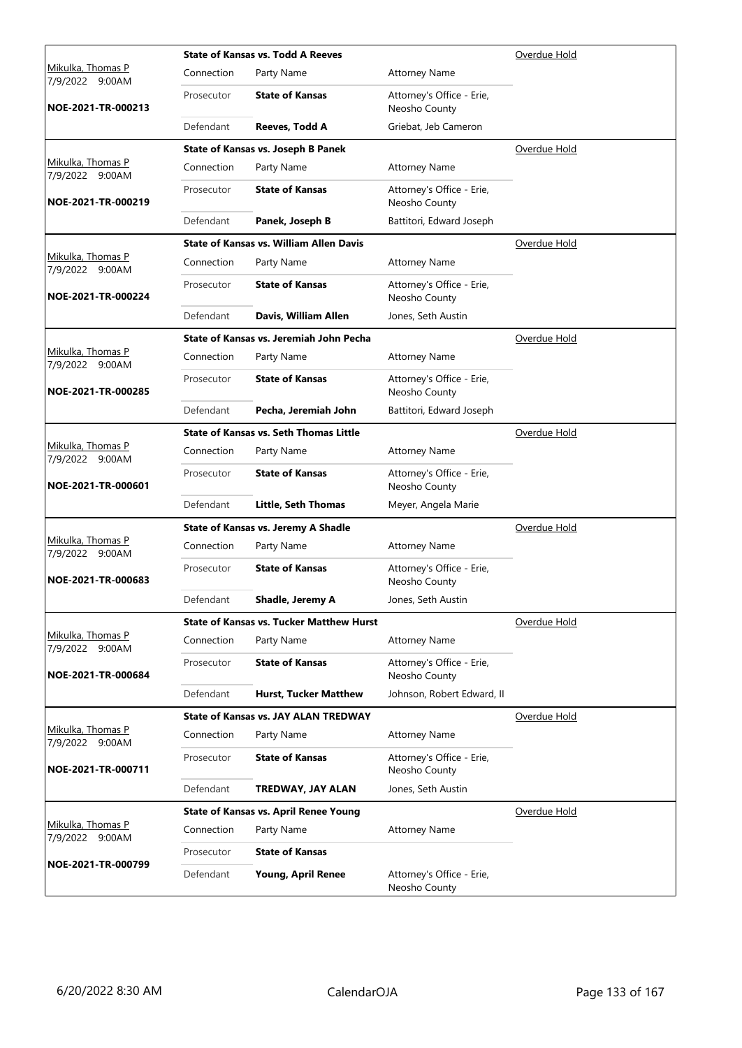|                                             |            | <b>State of Kansas vs. Todd A Reeves</b>        |                                            | Overdue Hold        |
|---------------------------------------------|------------|-------------------------------------------------|--------------------------------------------|---------------------|
| Mikulka, Thomas P<br>7/9/2022 9:00AM        | Connection | Party Name                                      | <b>Attorney Name</b>                       |                     |
| NOE-2021-TR-000213                          | Prosecutor | <b>State of Kansas</b>                          | Attorney's Office - Erie,<br>Neosho County |                     |
|                                             | Defendant  | Reeves, Todd A                                  | Griebat, Jeb Cameron                       |                     |
|                                             |            | State of Kansas vs. Joseph B Panek              |                                            | Overdue Hold        |
| Mikulka, Thomas P<br>7/9/2022 9:00AM        | Connection | Party Name                                      | <b>Attorney Name</b>                       |                     |
| NOE-2021-TR-000219                          | Prosecutor | <b>State of Kansas</b>                          | Attorney's Office - Erie,<br>Neosho County |                     |
|                                             | Defendant  | Panek, Joseph B                                 | Battitori, Edward Joseph                   |                     |
|                                             |            | <b>State of Kansas vs. William Allen Davis</b>  |                                            | <u>Overdue Hold</u> |
| Mikulka, Thomas P<br>7/9/2022 9:00AM        | Connection | Party Name                                      | <b>Attorney Name</b>                       |                     |
| NOE-2021-TR-000224                          | Prosecutor | <b>State of Kansas</b>                          | Attorney's Office - Erie,<br>Neosho County |                     |
|                                             | Defendant  | Davis, William Allen                            | Jones, Seth Austin                         |                     |
|                                             |            | State of Kansas vs. Jeremiah John Pecha         |                                            | Overdue Hold        |
| <u>Mikulka, Thomas P</u><br>7/9/2022 9:00AM | Connection | Party Name                                      | <b>Attorney Name</b>                       |                     |
| NOE-2021-TR-000285                          | Prosecutor | <b>State of Kansas</b>                          | Attorney's Office - Erie,<br>Neosho County |                     |
|                                             | Defendant  | Pecha, Jeremiah John                            | Battitori, Edward Joseph                   |                     |
|                                             |            | <b>State of Kansas vs. Seth Thomas Little</b>   |                                            | Overdue Hold        |
| Mikulka, Thomas P<br>7/9/2022 9:00AM        | Connection | Party Name                                      | <b>Attorney Name</b>                       |                     |
| NOE-2021-TR-000601                          | Prosecutor | <b>State of Kansas</b>                          | Attorney's Office - Erie,<br>Neosho County |                     |
|                                             | Defendant  | <b>Little, Seth Thomas</b>                      | Meyer, Angela Marie                        |                     |
|                                             |            | <b>State of Kansas vs. Jeremy A Shadle</b>      |                                            | Overdue Hold        |
| Mikulka, Thomas P<br>7/9/2022 9:00AM        | Connection | Party Name                                      | <b>Attorney Name</b>                       |                     |
| NOE-2021-TR-000683                          | Prosecutor | <b>State of Kansas</b>                          | Attorney's Office - Erie,<br>Neosho County |                     |
|                                             | Defendant  | Shadle, Jeremy A                                | Jones, Seth Austin                         |                     |
|                                             |            | <b>State of Kansas vs. Tucker Matthew Hurst</b> |                                            | Overdue Hold        |
| Mikulka, Thomas P<br>7/9/2022 9:00AM        | Connection | Party Name                                      | <b>Attorney Name</b>                       |                     |
| NOE-2021-TR-000684                          | Prosecutor | <b>State of Kansas</b>                          | Attorney's Office - Erie,<br>Neosho County |                     |
|                                             | Defendant  | <b>Hurst, Tucker Matthew</b>                    | Johnson, Robert Edward, II                 |                     |
|                                             |            | <b>State of Kansas vs. JAY ALAN TREDWAY</b>     |                                            | Overdue Hold        |
| Mikulka, Thomas P<br>7/9/2022 9:00AM        | Connection | Party Name                                      | <b>Attorney Name</b>                       |                     |
| NOE-2021-TR-000711                          | Prosecutor | <b>State of Kansas</b>                          | Attorney's Office - Erie,<br>Neosho County |                     |
|                                             | Defendant  | TREDWAY, JAY ALAN                               | Jones, Seth Austin                         |                     |
|                                             |            | <b>State of Kansas vs. April Renee Young</b>    |                                            | Overdue Hold        |
| Mikulka, Thomas P<br>7/9/2022 9:00AM        | Connection | Party Name                                      | <b>Attorney Name</b>                       |                     |
|                                             | Prosecutor | <b>State of Kansas</b>                          |                                            |                     |
| NOE-2021-TR-000799                          | Defendant  | Young, April Renee                              | Attorney's Office - Erie,<br>Neosho County |                     |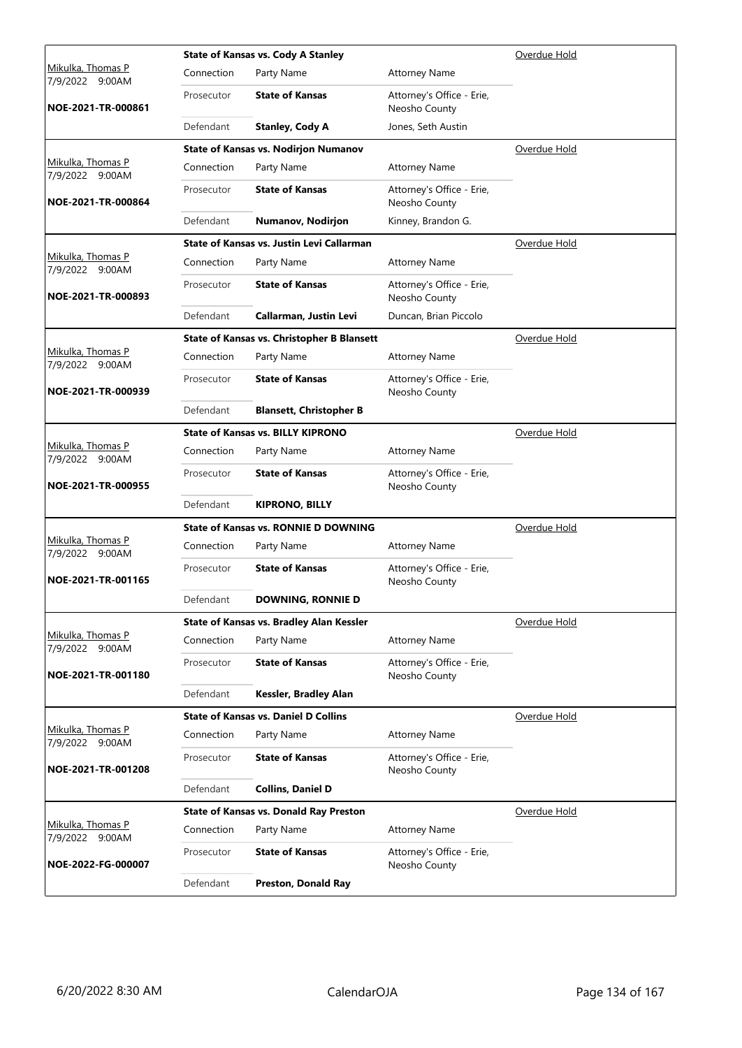|                                             |            | <b>State of Kansas vs. Cody A Stanley</b>         |                                            | Overdue Hold |
|---------------------------------------------|------------|---------------------------------------------------|--------------------------------------------|--------------|
| <u>Mikulka, Thomas P</u><br>7/9/2022 9:00AM | Connection | Party Name                                        | <b>Attorney Name</b>                       |              |
| NOE-2021-TR-000861                          | Prosecutor | <b>State of Kansas</b>                            | Attorney's Office - Erie,<br>Neosho County |              |
|                                             | Defendant  | <b>Stanley, Cody A</b>                            | Jones, Seth Austin                         |              |
|                                             |            | <b>State of Kansas vs. Nodirjon Numanov</b>       |                                            | Overdue Hold |
| Mikulka, Thomas P<br>7/9/2022 9:00AM        | Connection | Party Name                                        | <b>Attorney Name</b>                       |              |
| NOE-2021-TR-000864                          | Prosecutor | <b>State of Kansas</b>                            | Attorney's Office - Erie,<br>Neosho County |              |
|                                             | Defendant  | Numanov, Nodirjon                                 | Kinney, Brandon G.                         |              |
|                                             |            | State of Kansas vs. Justin Levi Callarman         |                                            | Overdue Hold |
| Mikulka, Thomas P<br>7/9/2022 9:00AM        | Connection | Party Name                                        | <b>Attorney Name</b>                       |              |
| NOE-2021-TR-000893                          | Prosecutor | <b>State of Kansas</b>                            | Attorney's Office - Erie,<br>Neosho County |              |
|                                             | Defendant  | Callarman, Justin Levi                            | Duncan, Brian Piccolo                      |              |
|                                             |            | <b>State of Kansas vs. Christopher B Blansett</b> |                                            | Overdue Hold |
| Mikulka, Thomas P<br>7/9/2022 9:00AM        | Connection | Party Name                                        | <b>Attorney Name</b>                       |              |
| NOE-2021-TR-000939                          | Prosecutor | <b>State of Kansas</b>                            | Attorney's Office - Erie,<br>Neosho County |              |
|                                             | Defendant  | <b>Blansett, Christopher B</b>                    |                                            |              |
|                                             |            | <b>State of Kansas vs. BILLY KIPRONO</b>          |                                            | Overdue Hold |
| Mikulka, Thomas P<br>7/9/2022 9:00AM        | Connection | Party Name                                        | <b>Attorney Name</b>                       |              |
| NOE-2021-TR-000955                          | Prosecutor | <b>State of Kansas</b>                            | Attorney's Office - Erie,<br>Neosho County |              |
|                                             | Defendant  | <b>KIPRONO, BILLY</b>                             |                                            |              |
|                                             |            | <b>State of Kansas vs. RONNIE D DOWNING</b>       |                                            | Overdue Hold |
| Mikulka, Thomas P<br>7/9/2022 9:00AM        | Connection | Party Name                                        | <b>Attorney Name</b>                       |              |
| NOE-2021-TR-001165                          | Prosecutor | <b>State of Kansas</b>                            | Attorney's Office - Erie,<br>Neosho County |              |
|                                             | Defendant  | <b>DOWNING, RONNIE D</b>                          |                                            |              |
|                                             |            | State of Kansas vs. Bradley Alan Kessler          |                                            | Overdue Hold |
| Mikulka, Thomas P<br>7/9/2022 9:00AM        | Connection | Party Name                                        | <b>Attorney Name</b>                       |              |
| NOE-2021-TR-001180                          | Prosecutor | <b>State of Kansas</b>                            | Attorney's Office - Erie,<br>Neosho County |              |
|                                             | Defendant  | Kessler, Bradley Alan                             |                                            |              |
|                                             |            | <b>State of Kansas vs. Daniel D Collins</b>       |                                            | Overdue Hold |
| Mikulka, Thomas P                           | Connection | Party Name                                        | <b>Attorney Name</b>                       |              |
| 7/9/2022 9:00AM<br>NOE-2021-TR-001208       | Prosecutor | <b>State of Kansas</b>                            | Attorney's Office - Erie,<br>Neosho County |              |
|                                             | Defendant  | <b>Collins, Daniel D</b>                          |                                            |              |
|                                             |            | <b>State of Kansas vs. Donald Ray Preston</b>     |                                            | Overdue Hold |
| Mikulka, Thomas P                           | Connection | Party Name                                        | <b>Attorney Name</b>                       |              |
| 7/9/2022 9:00AM<br>NOE-2022-FG-000007       | Prosecutor | <b>State of Kansas</b>                            | Attorney's Office - Erie,<br>Neosho County |              |
|                                             | Defendant  | Preston, Donald Ray                               |                                            |              |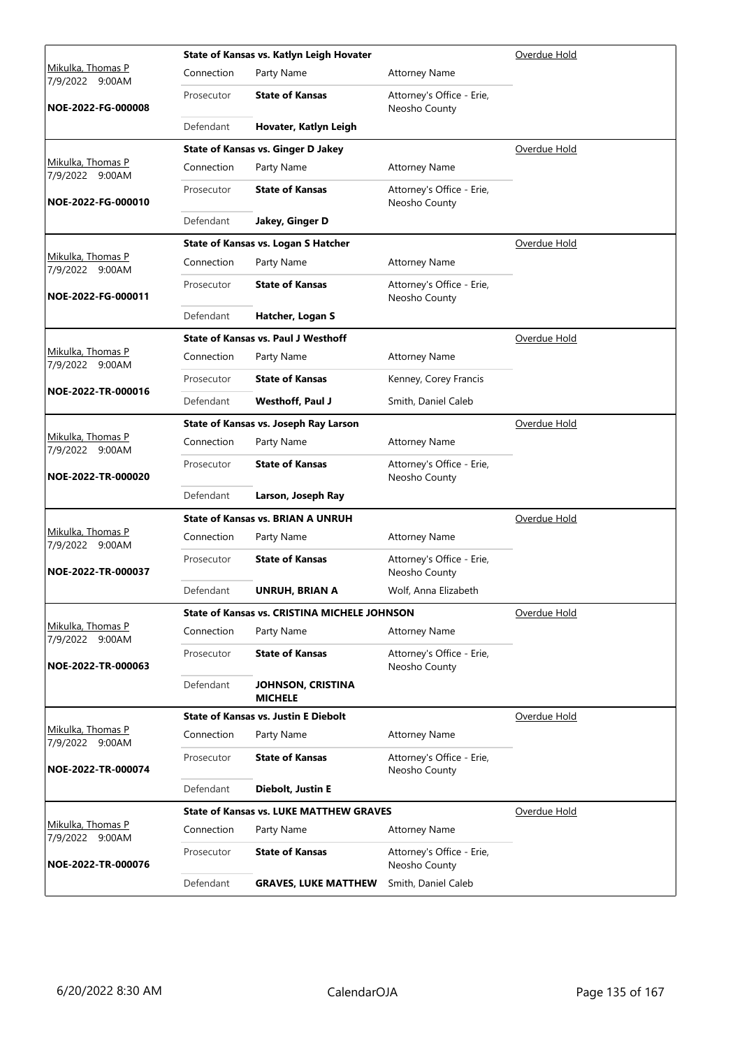|                                             |            | State of Kansas vs. Katlyn Leigh Hovater            |                                            | Overdue Hold |
|---------------------------------------------|------------|-----------------------------------------------------|--------------------------------------------|--------------|
| Mikulka, Thomas P<br>7/9/2022 9:00AM        | Connection | Party Name                                          | <b>Attorney Name</b>                       |              |
| NOE-2022-FG-000008                          | Prosecutor | <b>State of Kansas</b>                              | Attorney's Office - Erie,<br>Neosho County |              |
|                                             | Defendant  | Hovater, Katlyn Leigh                               |                                            |              |
|                                             |            | <b>State of Kansas vs. Ginger D Jakey</b>           |                                            | Overdue Hold |
| Mikulka, Thomas P<br>7/9/2022 9:00AM        | Connection | Party Name                                          | <b>Attorney Name</b>                       |              |
| NOE-2022-FG-000010                          | Prosecutor | <b>State of Kansas</b>                              | Attorney's Office - Erie,<br>Neosho County |              |
|                                             | Defendant  | Jakey, Ginger D                                     |                                            |              |
|                                             |            | State of Kansas vs. Logan S Hatcher                 |                                            | Overdue Hold |
| Mikulka, Thomas P<br>7/9/2022 9:00AM        | Connection | Party Name                                          | <b>Attorney Name</b>                       |              |
| NOE-2022-FG-000011                          | Prosecutor | <b>State of Kansas</b>                              | Attorney's Office - Erie,<br>Neosho County |              |
|                                             | Defendant  | Hatcher, Logan S                                    |                                            |              |
|                                             |            | <b>State of Kansas vs. Paul J Westhoff</b>          |                                            | Overdue Hold |
| Mikulka, Thomas P<br>7/9/2022 9:00AM        | Connection | Party Name                                          | <b>Attorney Name</b>                       |              |
|                                             | Prosecutor | <b>State of Kansas</b>                              | Kenney, Corey Francis                      |              |
| NOE-2022-TR-000016                          | Defendant  | Westhoff, Paul J                                    | Smith, Daniel Caleb                        |              |
|                                             |            | State of Kansas vs. Joseph Ray Larson               | Overdue Hold                               |              |
| Mikulka, Thomas P<br>7/9/2022 9:00AM        | Connection | Party Name                                          | <b>Attorney Name</b>                       |              |
| NOE-2022-TR-000020                          | Prosecutor | <b>State of Kansas</b>                              | Attorney's Office - Erie,<br>Neosho County |              |
|                                             | Defendant  | Larson, Joseph Ray                                  |                                            |              |
|                                             |            | <b>State of Kansas vs. BRIAN A UNRUH</b>            |                                            | Overdue Hold |
| Mikulka, Thomas P<br>7/9/2022 9:00AM        | Connection | Party Name                                          | <b>Attorney Name</b>                       |              |
| NOE-2022-TR-000037                          | Prosecutor | <b>State of Kansas</b>                              | Attorney's Office - Erie,<br>Neosho County |              |
|                                             | Defendant  | UNRUH, BRIAN A                                      | Wolf, Anna Elizabeth                       |              |
|                                             |            | <b>State of Kansas vs. CRISTINA MICHELE JOHNSON</b> |                                            | Overdue Hold |
| Mikulka, Thomas P<br>7/9/2022 9:00AM        | Connection | Party Name                                          | <b>Attorney Name</b>                       |              |
| NOE-2022-TR-000063                          | Prosecutor | <b>State of Kansas</b>                              | Attorney's Office - Erie,<br>Neosho County |              |
|                                             | Defendant  | <b>JOHNSON, CRISTINA</b><br><b>MICHELE</b>          |                                            |              |
|                                             |            | <b>State of Kansas vs. Justin E Diebolt</b>         |                                            | Overdue Hold |
| Mikulka, Thomas P<br>7/9/2022 9:00AM        | Connection | Party Name                                          | <b>Attorney Name</b>                       |              |
| NOE-2022-TR-000074                          | Prosecutor | <b>State of Kansas</b>                              | Attorney's Office - Erie,<br>Neosho County |              |
|                                             | Defendant  | Diebolt, Justin E                                   |                                            |              |
|                                             |            | <b>State of Kansas vs. LUKE MATTHEW GRAVES</b>      |                                            | Overdue Hold |
| <u>Mikulka, Thomas P</u><br>7/9/2022 9:00AM | Connection | Party Name                                          | <b>Attorney Name</b>                       |              |
| NOE-2022-TR-000076                          | Prosecutor | <b>State of Kansas</b>                              | Attorney's Office - Erie,<br>Neosho County |              |
|                                             | Defendant  | <b>GRAVES, LUKE MATTHEW</b>                         | Smith, Daniel Caleb                        |              |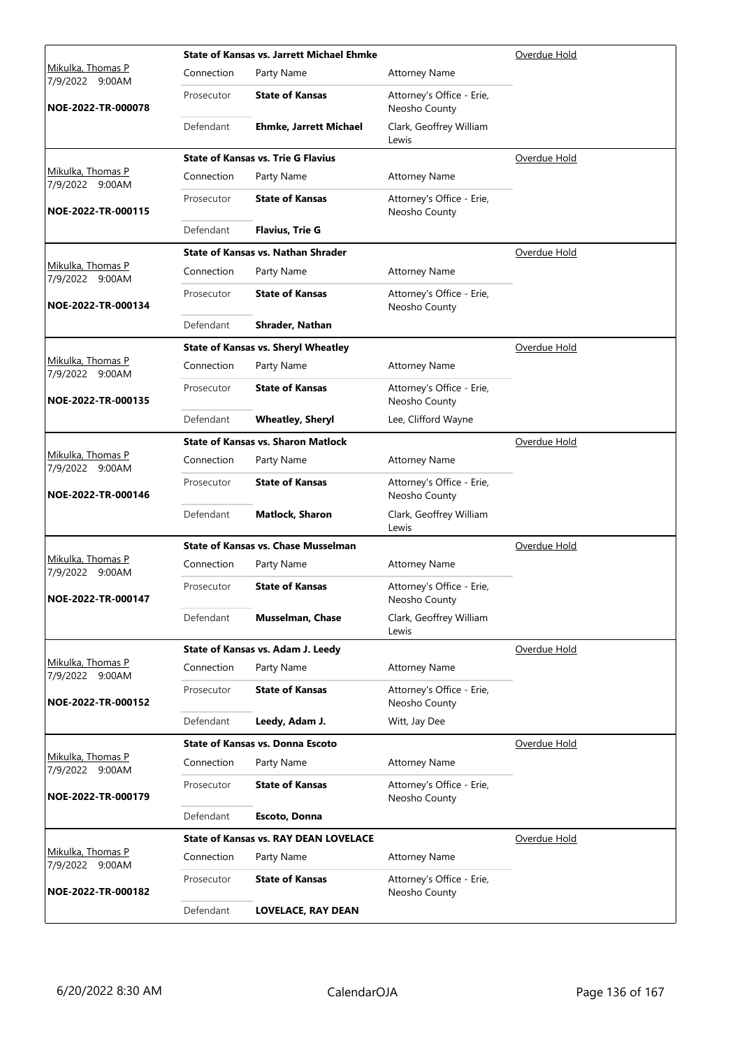|                                             | <b>State of Kansas vs. Jarrett Michael Ehmke</b> |                                              | Overdue Hold                               |              |
|---------------------------------------------|--------------------------------------------------|----------------------------------------------|--------------------------------------------|--------------|
| <u>Mikulka, Thomas P</u><br>7/9/2022 9:00AM | Connection                                       | Party Name                                   | <b>Attorney Name</b>                       |              |
| NOE-2022-TR-000078                          | Prosecutor                                       | <b>State of Kansas</b>                       | Attorney's Office - Erie,<br>Neosho County |              |
|                                             | Defendant                                        | <b>Ehmke, Jarrett Michael</b>                | Clark, Geoffrey William<br>Lewis           |              |
|                                             |                                                  | <b>State of Kansas vs. Trie G Flavius</b>    |                                            | Overdue Hold |
| Mikulka, Thomas P<br>7/9/2022 9:00AM        | Connection                                       | Party Name                                   | <b>Attorney Name</b>                       |              |
| NOE-2022-TR-000115                          | Prosecutor                                       | <b>State of Kansas</b>                       | Attorney's Office - Erie,<br>Neosho County |              |
|                                             | Defendant                                        | <b>Flavius, Trie G</b>                       |                                            |              |
|                                             |                                                  | <b>State of Kansas vs. Nathan Shrader</b>    |                                            | Overdue Hold |
| Mikulka, Thomas P<br>7/9/2022 9:00AM        | Connection                                       | Party Name                                   | <b>Attorney Name</b>                       |              |
| NOE-2022-TR-000134                          | Prosecutor                                       | <b>State of Kansas</b>                       | Attorney's Office - Erie,<br>Neosho County |              |
|                                             | Defendant                                        | Shrader, Nathan                              |                                            |              |
|                                             |                                                  | <b>State of Kansas vs. Sheryl Wheatley</b>   |                                            | Overdue Hold |
| Mikulka, Thomas P<br>7/9/2022 9:00AM        | Connection                                       | Party Name                                   | <b>Attorney Name</b>                       |              |
| NOE-2022-TR-000135                          | Prosecutor                                       | <b>State of Kansas</b>                       | Attorney's Office - Erie,<br>Neosho County |              |
|                                             | Defendant                                        | <b>Wheatley, Sheryl</b>                      | Lee, Clifford Wayne                        |              |
|                                             |                                                  | <b>State of Kansas vs. Sharon Matlock</b>    |                                            | Overdue Hold |
| Mikulka, Thomas P<br>7/9/2022 9:00AM        | Connection                                       | Party Name                                   | <b>Attorney Name</b>                       |              |
| NOE-2022-TR-000146                          | Prosecutor                                       | <b>State of Kansas</b>                       | Attorney's Office - Erie,<br>Neosho County |              |
|                                             | Defendant                                        | <b>Matlock, Sharon</b>                       | Clark, Geoffrey William<br>Lewis           |              |
|                                             |                                                  | <b>State of Kansas vs. Chase Musselman</b>   |                                            | Overdue Hold |
| Mikulka, Thomas P<br>7/9/2022 9:00AM        | Connection                                       | Party Name                                   | <b>Attorney Name</b>                       |              |
| NOE-2022-TR-000147                          | Prosecutor                                       | <b>State of Kansas</b>                       | Attorney's Office - Erie,<br>Neosho County |              |
|                                             | Defendant                                        | Musselman, Chase                             | Clark, Geoffrey William<br>Lewis           |              |
|                                             |                                                  | State of Kansas vs. Adam J. Leedy            |                                            | Overdue Hold |
| Mikulka, Thomas P<br>7/9/2022 9:00AM        | Connection                                       | Party Name                                   | <b>Attorney Name</b>                       |              |
| NOE-2022-TR-000152                          | Prosecutor                                       | <b>State of Kansas</b>                       | Attorney's Office - Erie,<br>Neosho County |              |
|                                             | Defendant                                        | Leedy, Adam J.                               | Witt, Jay Dee                              |              |
|                                             |                                                  | <b>State of Kansas vs. Donna Escoto</b>      |                                            | Overdue Hold |
| Mikulka, Thomas P<br>7/9/2022 9:00AM        | Connection                                       | Party Name                                   | <b>Attorney Name</b>                       |              |
| NOE-2022-TR-000179                          | Prosecutor                                       | <b>State of Kansas</b>                       | Attorney's Office - Erie,<br>Neosho County |              |
|                                             | Defendant                                        | Escoto, Donna                                |                                            |              |
|                                             |                                                  | <b>State of Kansas vs. RAY DEAN LOVELACE</b> |                                            | Overdue Hold |
| Mikulka, Thomas P<br>7/9/2022 9:00AM        | Connection                                       | Party Name                                   | <b>Attorney Name</b>                       |              |
| NOE-2022-TR-000182                          | Prosecutor                                       | <b>State of Kansas</b>                       | Attorney's Office - Erie,<br>Neosho County |              |
|                                             | Defendant                                        | <b>LOVELACE, RAY DEAN</b>                    |                                            |              |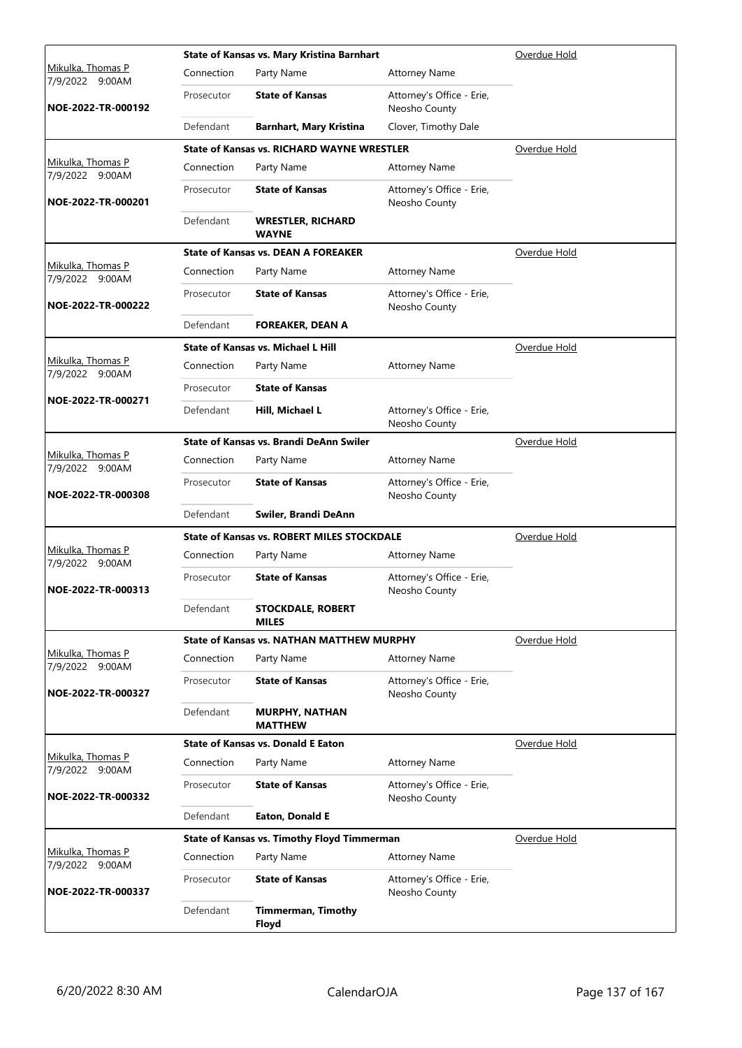|                                      |            | State of Kansas vs. Mary Kristina Barnhart         |                                            | Overdue Hold |
|--------------------------------------|------------|----------------------------------------------------|--------------------------------------------|--------------|
| Mikulka, Thomas P<br>7/9/2022 9:00AM | Connection | Party Name                                         | <b>Attorney Name</b>                       |              |
| NOE-2022-TR-000192                   | Prosecutor | <b>State of Kansas</b>                             | Attorney's Office - Erie,<br>Neosho County |              |
|                                      | Defendant  | <b>Barnhart, Mary Kristina</b>                     | Clover, Timothy Dale                       |              |
|                                      |            | <b>State of Kansas vs. RICHARD WAYNE WRESTLER</b>  |                                            | Overdue Hold |
| Mikulka, Thomas P<br>7/9/2022 9:00AM | Connection | Party Name                                         | <b>Attorney Name</b>                       |              |
| NOE-2022-TR-000201                   | Prosecutor | <b>State of Kansas</b>                             | Attorney's Office - Erie,<br>Neosho County |              |
|                                      | Defendant  | <b>WRESTLER, RICHARD</b><br><b>WAYNE</b>           |                                            |              |
|                                      |            | <b>State of Kansas vs. DEAN A FOREAKER</b>         |                                            | Overdue Hold |
| Mikulka, Thomas P<br>7/9/2022 9:00AM | Connection | Party Name                                         | <b>Attorney Name</b>                       |              |
| NOE-2022-TR-000222                   | Prosecutor | <b>State of Kansas</b>                             | Attorney's Office - Erie,<br>Neosho County |              |
|                                      | Defendant  | <b>FOREAKER, DEAN A</b>                            |                                            |              |
|                                      |            | <b>State of Kansas vs. Michael L Hill</b>          |                                            | Overdue Hold |
| Mikulka, Thomas P<br>7/9/2022 9:00AM | Connection | Party Name                                         | <b>Attorney Name</b>                       |              |
|                                      | Prosecutor | <b>State of Kansas</b>                             |                                            |              |
| NOE-2022-TR-000271                   | Defendant  | Hill, Michael L                                    | Attorney's Office - Erie,<br>Neosho County |              |
|                                      |            | State of Kansas vs. Brandi DeAnn Swiler            |                                            | Overdue Hold |
| Mikulka, Thomas P<br>7/9/2022 9:00AM | Connection | Party Name                                         | <b>Attorney Name</b>                       |              |
| NOE-2022-TR-000308                   | Prosecutor | <b>State of Kansas</b>                             | Attorney's Office - Erie,<br>Neosho County |              |
|                                      | Defendant  | Swiler, Brandi DeAnn                               |                                            |              |
|                                      |            | <b>State of Kansas vs. ROBERT MILES STOCKDALE</b>  |                                            | Overdue Hold |
| Mikulka, Thomas P<br>7/9/2022 9:00AM | Connection | Party Name                                         | <b>Attorney Name</b>                       |              |
| NOE-2022-TR-000313                   | Prosecutor | <b>State of Kansas</b>                             | Attorney's Office - Erie,<br>Neosho County |              |
|                                      | Defendant  | <b>STOCKDALE, ROBERT</b><br><b>MILES</b>           |                                            |              |
|                                      |            | <b>State of Kansas vs. NATHAN MATTHEW MURPHY</b>   |                                            | Overdue Hold |
| Mikulka, Thomas P<br>7/9/2022 9:00AM | Connection | Party Name                                         | <b>Attorney Name</b>                       |              |
| NOE-2022-TR-000327                   | Prosecutor | <b>State of Kansas</b>                             | Attorney's Office - Erie,<br>Neosho County |              |
|                                      | Defendant  | <b>MURPHY, NATHAN</b><br><b>MATTHEW</b>            |                                            |              |
| Mikulka, Thomas P                    |            | <b>State of Kansas vs. Donald E Eaton</b>          |                                            | Overdue Hold |
| 7/9/2022 9:00AM                      | Connection | Party Name                                         | <b>Attorney Name</b>                       |              |
| NOE-2022-TR-000332                   | Prosecutor | <b>State of Kansas</b>                             | Attorney's Office - Erie,<br>Neosho County |              |
|                                      | Defendant  | Eaton, Donald E                                    |                                            |              |
|                                      |            | <b>State of Kansas vs. Timothy Floyd Timmerman</b> |                                            | Overdue Hold |
| Mikulka, Thomas P<br>7/9/2022 9:00AM | Connection | Party Name                                         | <b>Attorney Name</b>                       |              |
| NOE-2022-TR-000337                   | Prosecutor | <b>State of Kansas</b>                             | Attorney's Office - Erie,<br>Neosho County |              |
|                                      | Defendant  | <b>Timmerman, Timothy</b><br>Floyd                 |                                            |              |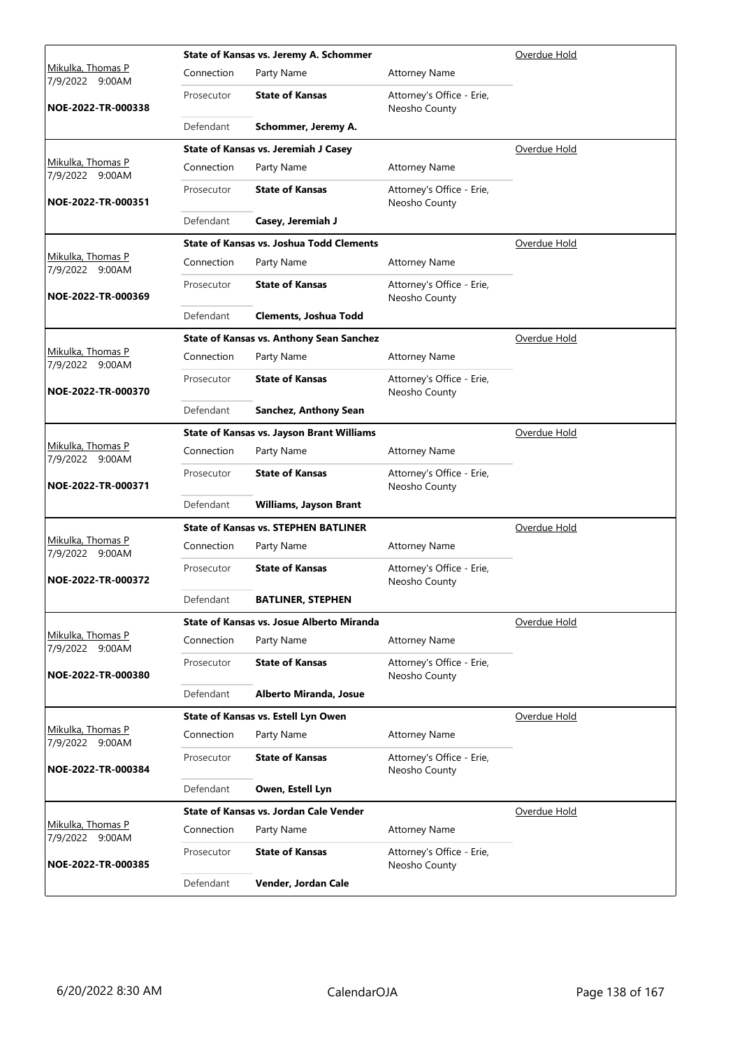|                                      |            | State of Kansas vs. Jeremy A. Schommer           |                                            | Overdue Hold        |
|--------------------------------------|------------|--------------------------------------------------|--------------------------------------------|---------------------|
| Mikulka, Thomas P<br>7/9/2022 9:00AM | Connection | Party Name                                       | <b>Attorney Name</b>                       |                     |
| NOE-2022-TR-000338                   | Prosecutor | <b>State of Kansas</b>                           | Attorney's Office - Erie,<br>Neosho County |                     |
|                                      | Defendant  | Schommer, Jeremy A.                              |                                            |                     |
|                                      |            | State of Kansas vs. Jeremiah J Casey             |                                            | Overdue Hold        |
| Mikulka, Thomas P<br>7/9/2022 9:00AM | Connection | Party Name                                       | <b>Attorney Name</b>                       |                     |
| NOE-2022-TR-000351                   | Prosecutor | <b>State of Kansas</b>                           | Attorney's Office - Erie,<br>Neosho County |                     |
|                                      | Defendant  | Casey, Jeremiah J                                |                                            |                     |
|                                      |            | <b>State of Kansas vs. Joshua Todd Clements</b>  |                                            | <u>Overdue Hold</u> |
| Mikulka, Thomas P<br>7/9/2022 9:00AM | Connection | Party Name                                       | <b>Attorney Name</b>                       |                     |
| NOE-2022-TR-000369                   | Prosecutor | <b>State of Kansas</b>                           | Attorney's Office - Erie,<br>Neosho County |                     |
|                                      | Defendant  | <b>Clements, Joshua Todd</b>                     |                                            |                     |
|                                      |            | <b>State of Kansas vs. Anthony Sean Sanchez</b>  |                                            | Overdue Hold        |
| Mikulka, Thomas P<br>7/9/2022 9:00AM | Connection | Party Name                                       | <b>Attorney Name</b>                       |                     |
| NOE-2022-TR-000370                   | Prosecutor | <b>State of Kansas</b>                           | Attorney's Office - Erie,<br>Neosho County |                     |
|                                      | Defendant  | Sanchez, Anthony Sean                            |                                            |                     |
|                                      |            | <b>State of Kansas vs. Jayson Brant Williams</b> |                                            | Overdue Hold        |
| Mikulka, Thomas P<br>7/9/2022 9:00AM | Connection | Party Name                                       | <b>Attorney Name</b>                       |                     |
| NOE-2022-TR-000371                   | Prosecutor | <b>State of Kansas</b>                           | Attorney's Office - Erie,<br>Neosho County |                     |
|                                      | Defendant  | <b>Williams, Jayson Brant</b>                    |                                            |                     |
|                                      |            | <b>State of Kansas vs. STEPHEN BATLINER</b>      |                                            | Overdue Hold        |
| Mikulka, Thomas P<br>7/9/2022 9:00AM | Connection | Party Name                                       | <b>Attorney Name</b>                       |                     |
| NOE-2022-TR-000372                   | Prosecutor | <b>State of Kansas</b>                           | Attorney's Office - Erie,<br>Neosho County |                     |
|                                      | Defendant  | <b>BATLINER, STEPHEN</b>                         |                                            |                     |
|                                      |            | State of Kansas vs. Josue Alberto Miranda        |                                            | Overdue Hold        |
| Mikulka, Thomas P<br>7/9/2022 9:00AM | Connection | Party Name                                       | <b>Attorney Name</b>                       |                     |
| NOE-2022-TR-000380                   | Prosecutor | <b>State of Kansas</b>                           | Attorney's Office - Erie,<br>Neosho County |                     |
|                                      | Defendant  | Alberto Miranda, Josue                           |                                            |                     |
|                                      |            | State of Kansas vs. Estell Lyn Owen              |                                            | Overdue Hold        |
| Mikulka, Thomas P<br>7/9/2022 9:00AM | Connection | Party Name                                       | <b>Attorney Name</b>                       |                     |
| NOE-2022-TR-000384                   | Prosecutor | <b>State of Kansas</b>                           | Attorney's Office - Erie,<br>Neosho County |                     |
|                                      | Defendant  | Owen, Estell Lyn                                 |                                            |                     |
|                                      |            | State of Kansas vs. Jordan Cale Vender           |                                            | Overdue Hold        |
| Mikulka, Thomas P<br>7/9/2022 9:00AM | Connection | Party Name                                       | <b>Attorney Name</b>                       |                     |
| NOE-2022-TR-000385                   | Prosecutor | <b>State of Kansas</b>                           | Attorney's Office - Erie,<br>Neosho County |                     |
|                                      | Defendant  | Vender, Jordan Cale                              |                                            |                     |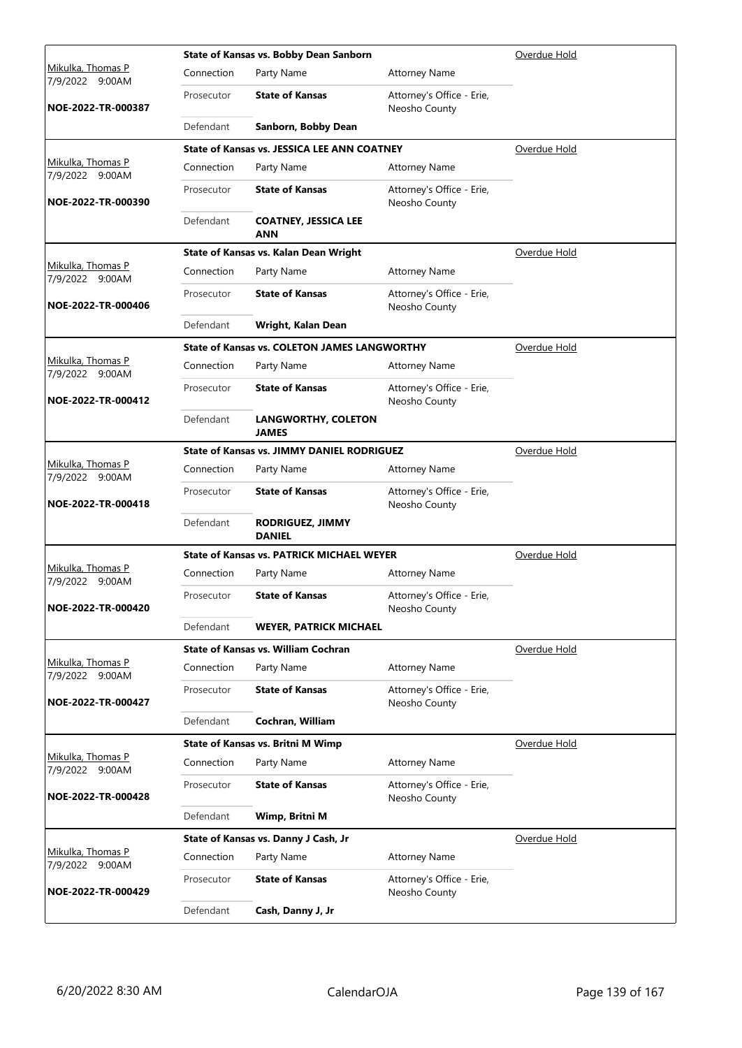|                                             |            | State of Kansas vs. Bobby Dean Sanborn              |                                            | Overdue Hold |
|---------------------------------------------|------------|-----------------------------------------------------|--------------------------------------------|--------------|
| <u>Mikulka, Thomas P</u><br>7/9/2022 9:00AM | Connection | Party Name                                          | <b>Attorney Name</b>                       |              |
| NOE-2022-TR-000387                          | Prosecutor | <b>State of Kansas</b>                              | Attorney's Office - Erie,<br>Neosho County |              |
|                                             | Defendant  | Sanborn, Bobby Dean                                 |                                            |              |
|                                             |            | <b>State of Kansas vs. JESSICA LEE ANN COATNEY</b>  |                                            | Overdue Hold |
| Mikulka, Thomas P<br>7/9/2022 9:00AM        | Connection | Party Name                                          | <b>Attorney Name</b>                       |              |
| NOE-2022-TR-000390                          | Prosecutor | <b>State of Kansas</b>                              | Attorney's Office - Erie,<br>Neosho County |              |
|                                             | Defendant  | <b>COATNEY, JESSICA LEE</b><br>ANN                  |                                            |              |
|                                             |            | State of Kansas vs. Kalan Dean Wright               |                                            | Overdue Hold |
| Mikulka, Thomas P<br>7/9/2022 9:00AM        | Connection | Party Name                                          | <b>Attorney Name</b>                       |              |
| NOE-2022-TR-000406                          | Prosecutor | <b>State of Kansas</b>                              | Attorney's Office - Erie,<br>Neosho County |              |
|                                             | Defendant  | Wright, Kalan Dean                                  |                                            |              |
|                                             |            | <b>State of Kansas vs. COLETON JAMES LANGWORTHY</b> |                                            | Overdue Hold |
| Mikulka, Thomas P<br>7/9/2022 9:00AM        | Connection | Party Name                                          | <b>Attorney Name</b>                       |              |
| NOE-2022-TR-000412                          | Prosecutor | <b>State of Kansas</b>                              | Attorney's Office - Erie,<br>Neosho County |              |
|                                             | Defendant  | <b>LANGWORTHY, COLETON</b><br><b>JAMES</b>          |                                            |              |
|                                             |            | <b>State of Kansas vs. JIMMY DANIEL RODRIGUEZ</b>   |                                            | Overdue Hold |
| Mikulka, Thomas P<br>7/9/2022 9:00AM        | Connection | Party Name                                          | <b>Attorney Name</b>                       |              |
| NOE-2022-TR-000418                          | Prosecutor | <b>State of Kansas</b>                              | Attorney's Office - Erie,<br>Neosho County |              |
|                                             | Defendant  | <b>RODRIGUEZ, JIMMY</b><br><b>DANIEL</b>            |                                            |              |
|                                             |            | <b>State of Kansas vs. PATRICK MICHAEL WEYER</b>    |                                            | Overdue Hold |
| Mikulka, Thomas P<br>7/9/2022 9:00AM        | Connection | Party Name                                          | <b>Attorney Name</b>                       |              |
| NOE-2022-TR-000420                          | Prosecutor | <b>State of Kansas</b>                              | Attorney's Office - Erie,<br>Neosho County |              |
|                                             | Defendant  | <b>WEYER, PATRICK MICHAEL</b>                       |                                            |              |
|                                             |            | <b>State of Kansas vs. William Cochran</b>          |                                            | Overdue Hold |
| Mikulka, Thomas P<br>7/9/2022 9:00AM        | Connection | Party Name                                          | <b>Attorney Name</b>                       |              |
| NOE-2022-TR-000427                          | Prosecutor | <b>State of Kansas</b>                              | Attorney's Office - Erie,<br>Neosho County |              |
|                                             | Defendant  | Cochran, William                                    |                                            |              |
|                                             |            | State of Kansas vs. Britni M Wimp                   |                                            | Overdue Hold |
| Mikulka, Thomas P<br>7/9/2022 9:00AM        | Connection | Party Name                                          | <b>Attorney Name</b>                       |              |
| NOE-2022-TR-000428                          | Prosecutor | <b>State of Kansas</b>                              | Attorney's Office - Erie,<br>Neosho County |              |
|                                             | Defendant  | Wimp, Britni M                                      |                                            |              |
|                                             |            | State of Kansas vs. Danny J Cash, Jr                |                                            | Overdue Hold |
| Mikulka, Thomas P<br>7/9/2022 9:00AM        | Connection | Party Name                                          | <b>Attorney Name</b>                       |              |
| NOE-2022-TR-000429                          | Prosecutor | <b>State of Kansas</b>                              | Attorney's Office - Erie,<br>Neosho County |              |
|                                             | Defendant  | Cash, Danny J, Jr                                   |                                            |              |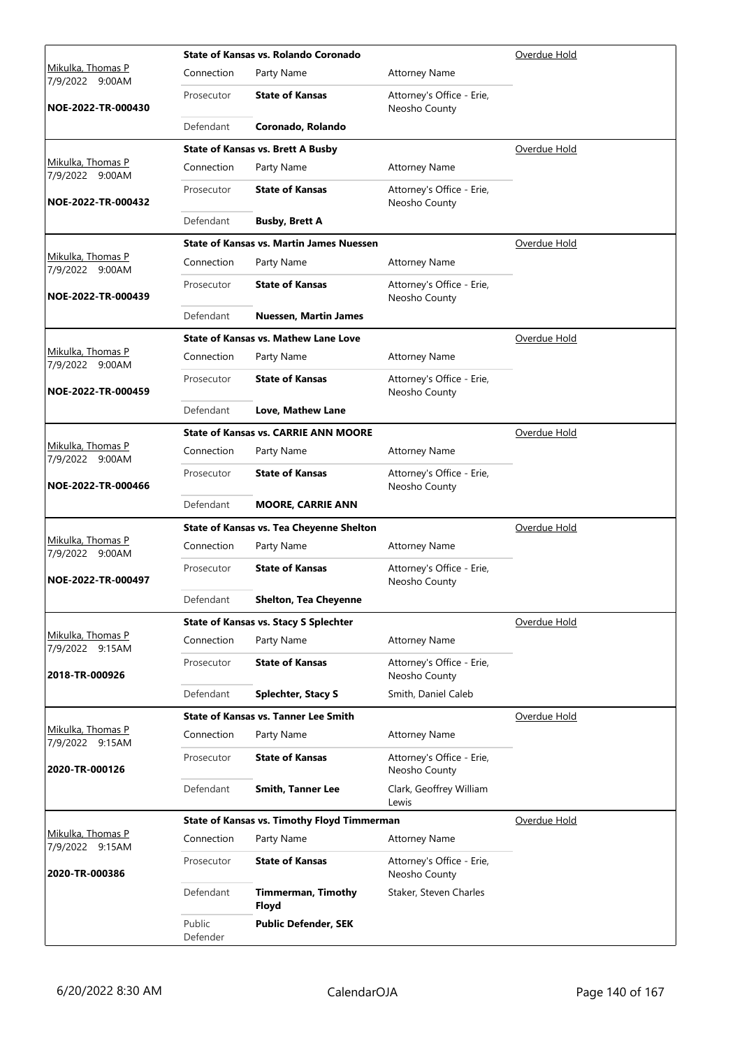|                                      |                    | State of Kansas vs. Rolando Coronado               |                                            | Overdue Hold |
|--------------------------------------|--------------------|----------------------------------------------------|--------------------------------------------|--------------|
| Mikulka, Thomas P<br>7/9/2022 9:00AM | Connection         | Party Name                                         | <b>Attorney Name</b>                       |              |
| NOE-2022-TR-000430                   | Prosecutor         | <b>State of Kansas</b>                             | Attorney's Office - Erie,<br>Neosho County |              |
|                                      | Defendant          | Coronado, Rolando                                  |                                            |              |
|                                      |                    | <b>State of Kansas vs. Brett A Busby</b>           |                                            | Overdue Hold |
| Mikulka, Thomas P<br>7/9/2022 9:00AM | Connection         | Party Name                                         | <b>Attorney Name</b>                       |              |
| NOE-2022-TR-000432                   | Prosecutor         | <b>State of Kansas</b>                             | Attorney's Office - Erie,<br>Neosho County |              |
|                                      | Defendant          | <b>Busby, Brett A</b>                              |                                            |              |
|                                      |                    | <b>State of Kansas vs. Martin James Nuessen</b>    |                                            | Overdue Hold |
| Mikulka, Thomas P<br>7/9/2022 9:00AM | Connection         | Party Name                                         | <b>Attorney Name</b>                       |              |
| NOE-2022-TR-000439                   | Prosecutor         | <b>State of Kansas</b>                             | Attorney's Office - Erie,<br>Neosho County |              |
|                                      | Defendant          | <b>Nuessen, Martin James</b>                       |                                            |              |
|                                      |                    | State of Kansas vs. Mathew Lane Love               |                                            | Overdue Hold |
| Mikulka, Thomas P<br>7/9/2022 9:00AM | Connection         | Party Name                                         | <b>Attorney Name</b>                       |              |
| NOE-2022-TR-000459                   | Prosecutor         | <b>State of Kansas</b>                             | Attorney's Office - Erie,<br>Neosho County |              |
|                                      | Defendant          | Love, Mathew Lane                                  |                                            |              |
|                                      |                    | <b>State of Kansas vs. CARRIE ANN MOORE</b>        |                                            | Overdue Hold |
| Mikulka, Thomas P<br>7/9/2022 9:00AM | Connection         | Party Name                                         | <b>Attorney Name</b>                       |              |
| NOE-2022-TR-000466                   | Prosecutor         | <b>State of Kansas</b>                             | Attorney's Office - Erie,<br>Neosho County |              |
|                                      | Defendant          | <b>MOORE, CARRIE ANN</b>                           |                                            |              |
|                                      |                    | State of Kansas vs. Tea Cheyenne Shelton           |                                            | Overdue Hold |
| Mikulka, Thomas P<br>7/9/2022 9:00AM | Connection         | Party Name                                         | <b>Attorney Name</b>                       |              |
| NOE-2022-TR-000497                   | Prosecutor         | <b>State of Kansas</b>                             | Attorney's Office - Erie,<br>Neosho County |              |
|                                      | Defendant          | <b>Shelton, Tea Cheyenne</b>                       |                                            |              |
|                                      |                    | <b>State of Kansas vs. Stacy S Splechter</b>       |                                            | Overdue Hold |
| Mikulka, Thomas P<br>7/9/2022 9:15AM | Connection         | Party Name                                         | <b>Attorney Name</b>                       |              |
| 2018-TR-000926                       | Prosecutor         | <b>State of Kansas</b>                             | Attorney's Office - Erie,<br>Neosho County |              |
|                                      | Defendant          | <b>Splechter, Stacy S</b>                          | Smith, Daniel Caleb                        |              |
|                                      |                    | <b>State of Kansas vs. Tanner Lee Smith</b>        |                                            | Overdue Hold |
| Mikulka, Thomas P<br>7/9/2022 9:15AM | Connection         | Party Name                                         | <b>Attorney Name</b>                       |              |
| 2020-TR-000126                       | Prosecutor         | <b>State of Kansas</b>                             | Attorney's Office - Erie,<br>Neosho County |              |
|                                      | Defendant          | <b>Smith, Tanner Lee</b>                           | Clark, Geoffrey William<br>Lewis           |              |
|                                      |                    | <b>State of Kansas vs. Timothy Floyd Timmerman</b> |                                            | Overdue Hold |
| Mikulka, Thomas P<br>7/9/2022 9:15AM | Connection         | Party Name                                         | <b>Attorney Name</b>                       |              |
| 2020-TR-000386                       | Prosecutor         | <b>State of Kansas</b>                             | Attorney's Office - Erie,<br>Neosho County |              |
|                                      | Defendant          | <b>Timmerman, Timothy</b><br>Floyd                 | Staker, Steven Charles                     |              |
|                                      | Public<br>Defender | <b>Public Defender, SEK</b>                        |                                            |              |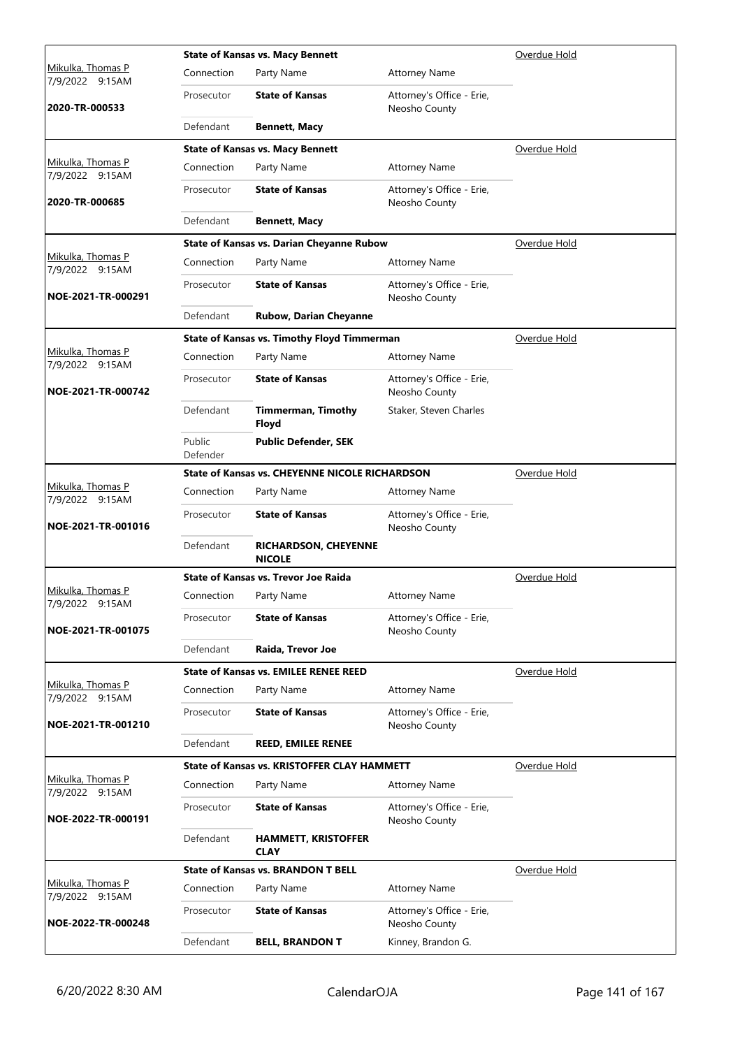|                                             | Overdue Hold       |                                                       |                                            |                     |
|---------------------------------------------|--------------------|-------------------------------------------------------|--------------------------------------------|---------------------|
| <u>Mikulka, Thomas P</u><br>7/9/2022 9:15AM | Connection         | Party Name                                            | <b>Attorney Name</b>                       |                     |
| 2020-TR-000533                              | Prosecutor         | <b>State of Kansas</b>                                | Attorney's Office - Erie,<br>Neosho County |                     |
|                                             | Defendant          | <b>Bennett, Macy</b>                                  |                                            |                     |
|                                             |                    | <b>State of Kansas vs. Macy Bennett</b>               |                                            | Overdue Hold        |
| Mikulka, Thomas P<br>7/9/2022 9:15AM        | Connection         | Party Name                                            | <b>Attorney Name</b>                       |                     |
| 2020-TR-000685                              | Prosecutor         | <b>State of Kansas</b>                                | Attorney's Office - Erie,<br>Neosho County |                     |
|                                             | Defendant          | <b>Bennett, Macy</b>                                  |                                            |                     |
|                                             |                    | <b>State of Kansas vs. Darian Cheyanne Rubow</b>      |                                            | Overdue Hold        |
| Mikulka, Thomas P<br>7/9/2022 9:15AM        | Connection         | Party Name                                            | <b>Attorney Name</b>                       |                     |
| NOE-2021-TR-000291                          | Prosecutor         | <b>State of Kansas</b>                                | Attorney's Office - Erie,<br>Neosho County |                     |
|                                             | Defendant          | Rubow, Darian Cheyanne                                |                                            |                     |
|                                             |                    | <b>State of Kansas vs. Timothy Floyd Timmerman</b>    |                                            | Overdue Hold        |
| <u>Mikulka, Thomas P</u><br>7/9/2022 9:15AM | Connection         | Party Name                                            | <b>Attorney Name</b>                       |                     |
| NOE-2021-TR-000742                          | Prosecutor         | <b>State of Kansas</b>                                | Attorney's Office - Erie,<br>Neosho County |                     |
|                                             | Defendant          | <b>Timmerman, Timothy</b><br>Floyd                    | Staker, Steven Charles                     |                     |
|                                             | Public<br>Defender | <b>Public Defender, SEK</b>                           |                                            |                     |
|                                             |                    | <b>State of Kansas vs. CHEYENNE NICOLE RICHARDSON</b> |                                            | <u>Overdue Hold</u> |
| Mikulka, Thomas P<br>7/9/2022 9:15AM        | Connection         | Party Name                                            | <b>Attorney Name</b>                       |                     |
| NOE-2021-TR-001016                          | Prosecutor         | <b>State of Kansas</b>                                | Attorney's Office - Erie,<br>Neosho County |                     |
|                                             | Defendant          | <b>RICHARDSON, CHEYENNE</b><br><b>NICOLE</b>          |                                            |                     |
| Mikulka, Thomas P                           |                    | State of Kansas vs. Trevor Joe Raida                  |                                            | Overdue Hold        |
| 7/9/2022 9:15AM                             | Connection         | Party Name                                            | <b>Attorney Name</b>                       |                     |
| NOE-2021-TR-001075                          | Prosecutor         | <b>State of Kansas</b>                                | Attorney's Office - Erie,<br>Neosho County |                     |
|                                             | Defendant          | Raida, Trevor Joe                                     |                                            |                     |
|                                             |                    | <b>State of Kansas vs. EMILEE RENEE REED</b>          |                                            | Overdue Hold        |
| Mikulka, Thomas P<br>7/9/2022 9:15AM        | Connection         | Party Name                                            | <b>Attorney Name</b>                       |                     |
| NOE-2021-TR-001210                          | Prosecutor         | <b>State of Kansas</b>                                | Attorney's Office - Erie,<br>Neosho County |                     |
|                                             | Defendant          | <b>REED, EMILEE RENEE</b>                             |                                            |                     |
|                                             |                    | <b>State of Kansas vs. KRISTOFFER CLAY HAMMETT</b>    |                                            | Overdue Hold        |
| Mikulka, Thomas P<br>7/9/2022 9:15AM        | Connection         | Party Name                                            | <b>Attorney Name</b>                       |                     |
| NOE-2022-TR-000191                          | Prosecutor         | <b>State of Kansas</b>                                | Attorney's Office - Erie,<br>Neosho County |                     |
|                                             | Defendant          | <b>HAMMETT, KRISTOFFER</b><br><b>CLAY</b>             |                                            |                     |
|                                             |                    | <b>State of Kansas vs. BRANDON T BELL</b>             |                                            | Overdue Hold        |
| Mikulka, Thomas P<br>7/9/2022 9:15AM        | Connection         | Party Name                                            | <b>Attorney Name</b>                       |                     |
| NOE-2022-TR-000248                          | Prosecutor         | <b>State of Kansas</b>                                | Attorney's Office - Erie,<br>Neosho County |                     |
|                                             | Defendant          | <b>BELL, BRANDON T</b>                                | Kinney, Brandon G.                         |                     |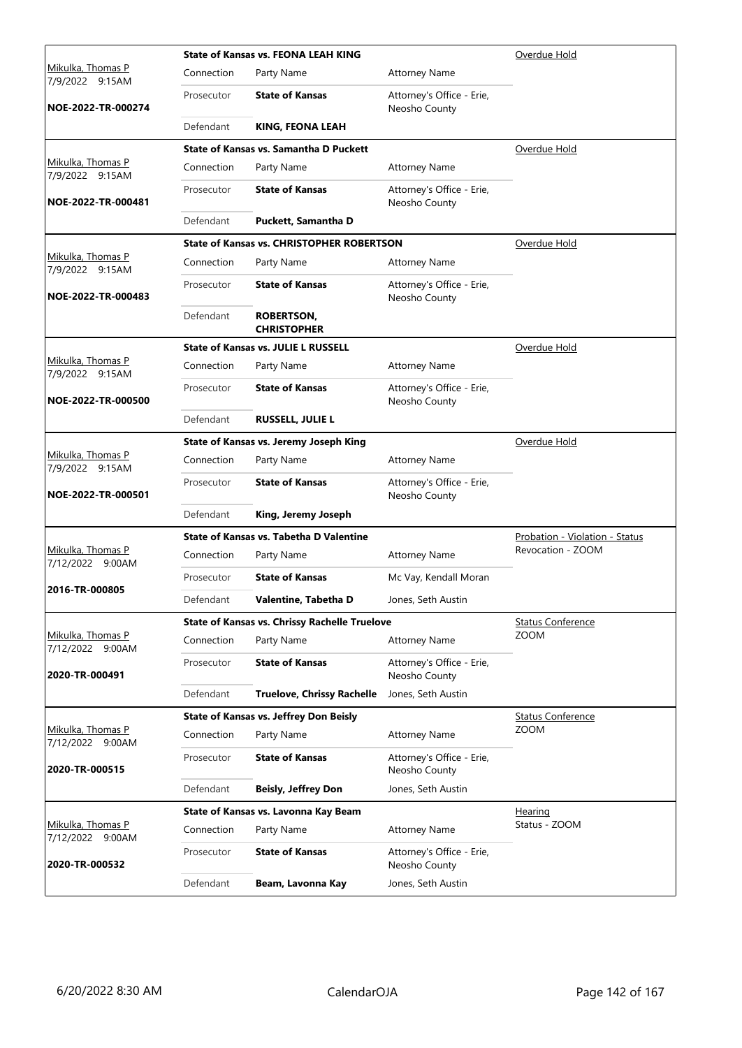|                                             |            | <b>State of Kansas vs. FEONA LEAH KING</b>           |                                            | Overdue Hold                   |
|---------------------------------------------|------------|------------------------------------------------------|--------------------------------------------|--------------------------------|
| Mikulka, Thomas P<br>7/9/2022 9:15AM        | Connection | Party Name                                           | <b>Attorney Name</b>                       |                                |
| NOE-2022-TR-000274                          | Prosecutor | <b>State of Kansas</b>                               | Attorney's Office - Erie,<br>Neosho County |                                |
|                                             | Defendant  | KING, FEONA LEAH                                     |                                            |                                |
|                                             |            | State of Kansas vs. Samantha D Puckett               |                                            | Overdue Hold                   |
| Mikulka, Thomas P<br>7/9/2022 9:15AM        | Connection | Party Name                                           | <b>Attorney Name</b>                       |                                |
| NOE-2022-TR-000481                          | Prosecutor | <b>State of Kansas</b>                               | Attorney's Office - Erie,<br>Neosho County |                                |
|                                             | Defendant  | Puckett, Samantha D                                  |                                            |                                |
|                                             |            | <b>State of Kansas vs. CHRISTOPHER ROBERTSON</b>     |                                            | Overdue Hold                   |
| Mikulka, Thomas P<br>7/9/2022 9:15AM        | Connection | Party Name                                           | <b>Attorney Name</b>                       |                                |
| NOE-2022-TR-000483                          | Prosecutor | <b>State of Kansas</b>                               | Attorney's Office - Erie,<br>Neosho County |                                |
|                                             | Defendant  | <b>ROBERTSON,</b><br><b>CHRISTOPHER</b>              |                                            |                                |
|                                             |            | <b>State of Kansas vs. JULIE L RUSSELL</b>           |                                            | Overdue Hold                   |
| Mikulka, Thomas P<br>7/9/2022 9:15AM        | Connection | Party Name                                           | <b>Attorney Name</b>                       |                                |
| NOE-2022-TR-000500                          | Prosecutor | <b>State of Kansas</b>                               | Attorney's Office - Erie,<br>Neosho County |                                |
|                                             | Defendant  | <b>RUSSELL, JULIE L</b>                              |                                            |                                |
|                                             |            | State of Kansas vs. Jeremy Joseph King               |                                            | Overdue Hold                   |
| <u>Mikulka, Thomas P</u><br>7/9/2022 9:15AM | Connection | Party Name                                           | <b>Attorney Name</b>                       |                                |
| NOE-2022-TR-000501                          | Prosecutor | <b>State of Kansas</b>                               | Attorney's Office - Erie,<br>Neosho County |                                |
|                                             | Defendant  | King, Jeremy Joseph                                  |                                            |                                |
|                                             |            | State of Kansas vs. Tabetha D Valentine              |                                            | Probation - Violation - Status |
| Mikulka, Thomas P<br>7/12/2022 9:00AM       | Connection | Party Name                                           | <b>Attorney Name</b>                       | Revocation - ZOOM              |
|                                             | Prosecutor | <b>State of Kansas</b>                               | Mc Vay, Kendall Moran                      |                                |
| 2016-TR-000805                              | Defendant  | Valentine, Tabetha D                                 | Jones, Seth Austin                         |                                |
|                                             |            | <b>State of Kansas vs. Chrissy Rachelle Truelove</b> |                                            | <b>Status Conference</b>       |
| Mikulka, Thomas P<br>7/12/2022 9:00AM       | Connection | Party Name                                           | <b>Attorney Name</b>                       | <b>ZOOM</b>                    |
| 2020-TR-000491                              | Prosecutor | <b>State of Kansas</b>                               | Attorney's Office - Erie,<br>Neosho County |                                |
|                                             | Defendant  | <b>Truelove, Chrissy Rachelle</b>                    | Jones, Seth Austin                         |                                |
|                                             |            | <b>State of Kansas vs. Jeffrey Don Beisly</b>        |                                            | <b>Status Conference</b>       |
| Mikulka, Thomas P<br>7/12/2022 9:00AM       | Connection | Party Name                                           | <b>Attorney Name</b>                       | <b>ZOOM</b>                    |
| 2020-TR-000515                              | Prosecutor | <b>State of Kansas</b>                               | Attorney's Office - Erie,<br>Neosho County |                                |
|                                             | Defendant  | <b>Beisly, Jeffrey Don</b>                           | Jones, Seth Austin                         |                                |
|                                             |            | State of Kansas vs. Lavonna Kay Beam                 |                                            | Hearing                        |
| Mikulka, Thomas P<br>7/12/2022 9:00AM       | Connection | Party Name                                           | <b>Attorney Name</b>                       | Status - ZOOM                  |
| 2020-TR-000532                              | Prosecutor | <b>State of Kansas</b>                               | Attorney's Office - Erie,<br>Neosho County |                                |
|                                             | Defendant  | Beam, Lavonna Kay                                    | Jones, Seth Austin                         |                                |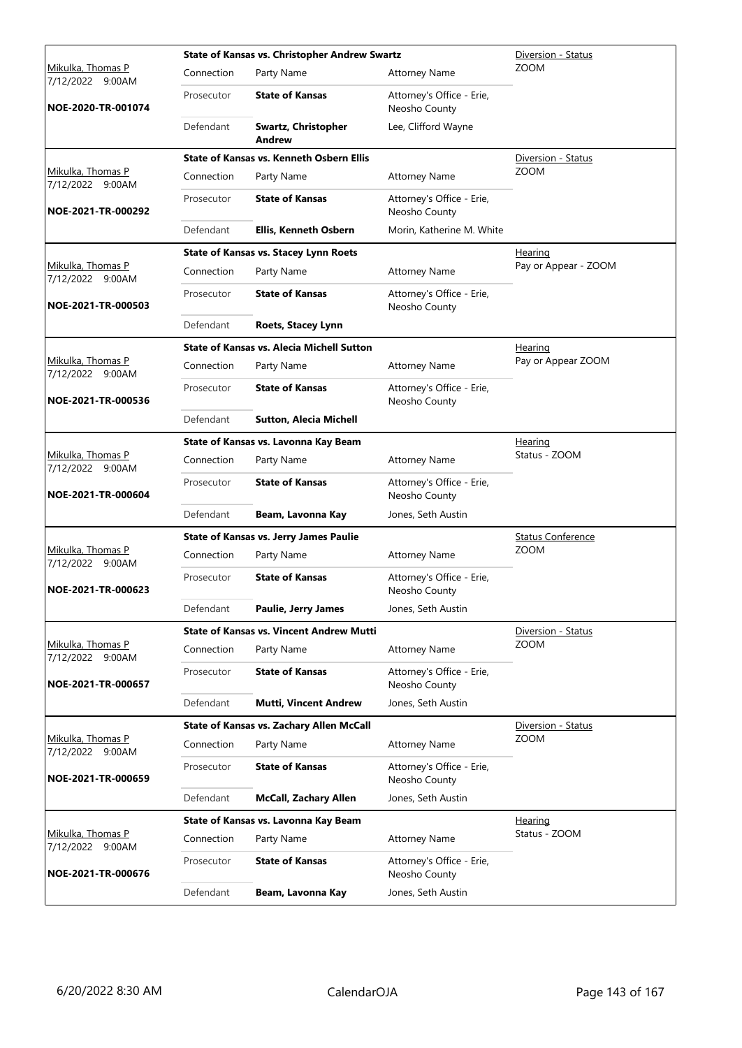|                                              |            | <b>State of Kansas vs. Christopher Andrew Swartz</b> |                                            | Diversion - Status       |
|----------------------------------------------|------------|------------------------------------------------------|--------------------------------------------|--------------------------|
| <u>Mikulka, Thomas P</u><br>7/12/2022 9:00AM | Connection | Party Name                                           | <b>Attorney Name</b>                       | <b>ZOOM</b>              |
| NOE-2020-TR-001074                           | Prosecutor | <b>State of Kansas</b>                               | Attorney's Office - Erie,<br>Neosho County |                          |
|                                              | Defendant  | Swartz, Christopher<br>Andrew                        | Lee, Clifford Wayne                        |                          |
|                                              |            | State of Kansas vs. Kenneth Osbern Ellis             |                                            | Diversion - Status       |
| Mikulka, Thomas P<br>7/12/2022 9:00AM        | Connection | Party Name                                           | <b>Attorney Name</b>                       | <b>ZOOM</b>              |
| NOE-2021-TR-000292                           | Prosecutor | <b>State of Kansas</b>                               | Attorney's Office - Erie,<br>Neosho County |                          |
|                                              | Defendant  | Ellis, Kenneth Osbern                                | Morin, Katherine M. White                  |                          |
|                                              |            | <b>State of Kansas vs. Stacey Lynn Roets</b>         |                                            | Hearing                  |
| Mikulka, Thomas P<br>7/12/2022 9:00AM        | Connection | Party Name                                           | <b>Attorney Name</b>                       | Pay or Appear - ZOOM     |
| NOE-2021-TR-000503                           | Prosecutor | <b>State of Kansas</b>                               | Attorney's Office - Erie,<br>Neosho County |                          |
|                                              | Defendant  | <b>Roets, Stacey Lynn</b>                            |                                            |                          |
|                                              |            | <b>State of Kansas vs. Alecia Michell Sutton</b>     |                                            | <u>Hearing</u>           |
| Mikulka, Thomas P<br>7/12/2022 9:00AM        | Connection | Party Name                                           | <b>Attorney Name</b>                       | Pay or Appear ZOOM       |
| NOE-2021-TR-000536                           | Prosecutor | <b>State of Kansas</b>                               | Attorney's Office - Erie,<br>Neosho County |                          |
|                                              | Defendant  | <b>Sutton, Alecia Michell</b>                        |                                            |                          |
|                                              |            | State of Kansas vs. Lavonna Kay Beam                 |                                            | Hearing                  |
| Mikulka, Thomas P                            | Connection | Party Name                                           | <b>Attorney Name</b>                       | Status - ZOOM            |
| 7/12/2022 9:00AM<br>NOE-2021-TR-000604       | Prosecutor | <b>State of Kansas</b>                               | Attorney's Office - Erie,<br>Neosho County |                          |
|                                              | Defendant  | Beam, Lavonna Kay                                    | Jones, Seth Austin                         |                          |
|                                              |            | <b>State of Kansas vs. Jerry James Paulie</b>        |                                            | <b>Status Conference</b> |
| Mikulka, Thomas P                            | Connection | Party Name                                           | <b>Attorney Name</b>                       | <b>ZOOM</b>              |
| 7/12/2022 9:00AM<br>NOE-2021-TR-000623       | Prosecutor | <b>State of Kansas</b>                               | Attorney's Office - Erie,<br>Neosho County |                          |
|                                              | Defendant  | Paulie, Jerry James                                  | Jones, Seth Austin                         |                          |
|                                              |            | <b>State of Kansas vs. Vincent Andrew Mutti</b>      |                                            | Diversion - Status       |
| Mikulka, Thomas P<br>7/12/2022 9:00AM        | Connection | Party Name                                           | <b>Attorney Name</b>                       | <b>ZOOM</b>              |
| NOE-2021-TR-000657                           | Prosecutor | <b>State of Kansas</b>                               | Attorney's Office - Erie,<br>Neosho County |                          |
|                                              | Defendant  | Mutti, Vincent Andrew                                | Jones, Seth Austin                         |                          |
|                                              |            | State of Kansas vs. Zachary Allen McCall             |                                            | Diversion - Status       |
| Mikulka, Thomas P<br>7/12/2022 9:00AM        | Connection | Party Name                                           | <b>Attorney Name</b>                       | <b>ZOOM</b>              |
| NOE-2021-TR-000659                           | Prosecutor | <b>State of Kansas</b>                               | Attorney's Office - Erie,<br>Neosho County |                          |
|                                              | Defendant  | <b>McCall, Zachary Allen</b>                         | Jones, Seth Austin                         |                          |
|                                              |            | State of Kansas vs. Lavonna Kay Beam                 |                                            | <u>Hearing</u>           |
| Mikulka, Thomas P<br>7/12/2022 9:00AM        | Connection | Party Name                                           | <b>Attorney Name</b>                       | Status - ZOOM            |
| NOE-2021-TR-000676                           | Prosecutor | <b>State of Kansas</b>                               | Attorney's Office - Erie,<br>Neosho County |                          |
|                                              | Defendant  | Beam, Lavonna Kay                                    | Jones, Seth Austin                         |                          |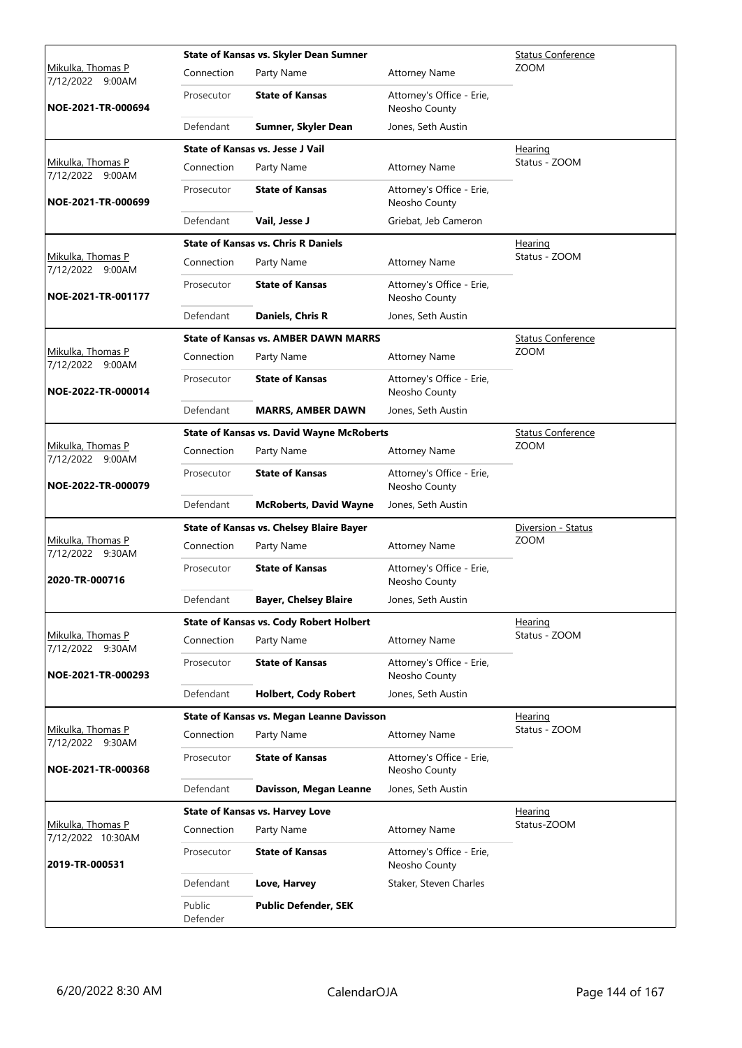|                                              |                    | State of Kansas vs. Skyler Dean Sumner           |                                            | <b>Status Conference</b> |
|----------------------------------------------|--------------------|--------------------------------------------------|--------------------------------------------|--------------------------|
| <u>Mikulka, Thomas P</u><br>7/12/2022 9:00AM | Connection         | Party Name                                       | <b>Attorney Name</b>                       | <b>ZOOM</b>              |
| NOE-2021-TR-000694                           | Prosecutor         | <b>State of Kansas</b>                           | Attorney's Office - Erie,<br>Neosho County |                          |
|                                              | Defendant          | Sumner, Skyler Dean                              | Jones, Seth Austin                         |                          |
|                                              |                    | <b>State of Kansas vs. Jesse J Vail</b>          |                                            | Hearing                  |
| Mikulka, Thomas P<br>7/12/2022 9:00AM        | Connection         | Party Name                                       | <b>Attorney Name</b>                       | Status - ZOOM            |
| NOE-2021-TR-000699                           | Prosecutor         | <b>State of Kansas</b>                           | Attorney's Office - Erie,<br>Neosho County |                          |
|                                              | Defendant          | Vail, Jesse J                                    | Griebat, Jeb Cameron                       |                          |
|                                              |                    | <b>State of Kansas vs. Chris R Daniels</b>       |                                            | <b>Hearing</b>           |
| Mikulka, Thomas P<br>7/12/2022 9:00AM        | Connection         | Party Name                                       | <b>Attorney Name</b>                       | Status - ZOOM            |
| NOE-2021-TR-001177                           | Prosecutor         | <b>State of Kansas</b>                           | Attorney's Office - Erie,<br>Neosho County |                          |
|                                              | Defendant          | Daniels, Chris R                                 | Jones, Seth Austin                         |                          |
|                                              |                    | <b>State of Kansas vs. AMBER DAWN MARRS</b>      |                                            | <b>Status Conference</b> |
| <u>Mikulka, Thomas P</u><br>7/12/2022 9:00AM | Connection         | Party Name                                       | <b>Attorney Name</b>                       | <b>ZOOM</b>              |
| NOE-2022-TR-000014                           | Prosecutor         | <b>State of Kansas</b>                           | Attorney's Office - Erie,<br>Neosho County |                          |
|                                              | Defendant          | <b>MARRS, AMBER DAWN</b>                         | Jones, Seth Austin                         |                          |
|                                              |                    | <b>State of Kansas vs. David Wayne McRoberts</b> |                                            | <b>Status Conference</b> |
| Mikulka, Thomas P<br>7/12/2022 9:00AM        | Connection         | Party Name                                       | <b>Attorney Name</b>                       | <b>ZOOM</b>              |
| NOE-2022-TR-000079                           | Prosecutor         | <b>State of Kansas</b>                           | Attorney's Office - Erie,<br>Neosho County |                          |
|                                              | Defendant          | <b>McRoberts, David Wayne</b>                    | Jones, Seth Austin                         |                          |
|                                              |                    | <b>State of Kansas vs. Chelsey Blaire Bayer</b>  |                                            | Diversion - Status       |
| Mikulka, Thomas P<br>7/12/2022 9:30AM        | Connection         | Party Name                                       | <b>Attorney Name</b>                       | <b>ZOOM</b>              |
| 2020-TR-000716                               | Prosecutor         | <b>State of Kansas</b>                           | Attorney's Office - Erie,<br>Neosho County |                          |
|                                              | Defendant          | <b>Bayer, Chelsey Blaire</b>                     | Jones, Seth Austin                         |                          |
|                                              |                    | <b>State of Kansas vs. Cody Robert Holbert</b>   |                                            | Hearing                  |
| Mikulka, Thomas P<br>7/12/2022 9:30AM        | Connection         | Party Name                                       | <b>Attorney Name</b>                       | Status - ZOOM            |
| NOE-2021-TR-000293                           | Prosecutor         | <b>State of Kansas</b>                           | Attorney's Office - Erie,<br>Neosho County |                          |
|                                              | Defendant          | <b>Holbert, Cody Robert</b>                      | Jones, Seth Austin                         |                          |
|                                              |                    | <b>State of Kansas vs. Megan Leanne Davisson</b> |                                            | Hearing                  |
| Mikulka, Thomas P<br>7/12/2022 9:30AM        | Connection         | Party Name                                       | <b>Attorney Name</b>                       | Status - ZOOM            |
| NOE-2021-TR-000368                           | Prosecutor         | <b>State of Kansas</b>                           | Attorney's Office - Erie,<br>Neosho County |                          |
|                                              | Defendant          | Davisson, Megan Leanne                           | Jones, Seth Austin                         |                          |
|                                              |                    | <b>State of Kansas vs. Harvey Love</b>           |                                            | <u>Hearing</u>           |
| Mikulka, Thomas P<br>7/12/2022 10:30AM       | Connection         | Party Name                                       | <b>Attorney Name</b>                       | Status-ZOOM              |
| 2019-TR-000531                               | Prosecutor         | <b>State of Kansas</b>                           | Attorney's Office - Erie,<br>Neosho County |                          |
|                                              | Defendant          | Love, Harvey                                     | Staker, Steven Charles                     |                          |
|                                              | Public<br>Defender | <b>Public Defender, SEK</b>                      |                                            |                          |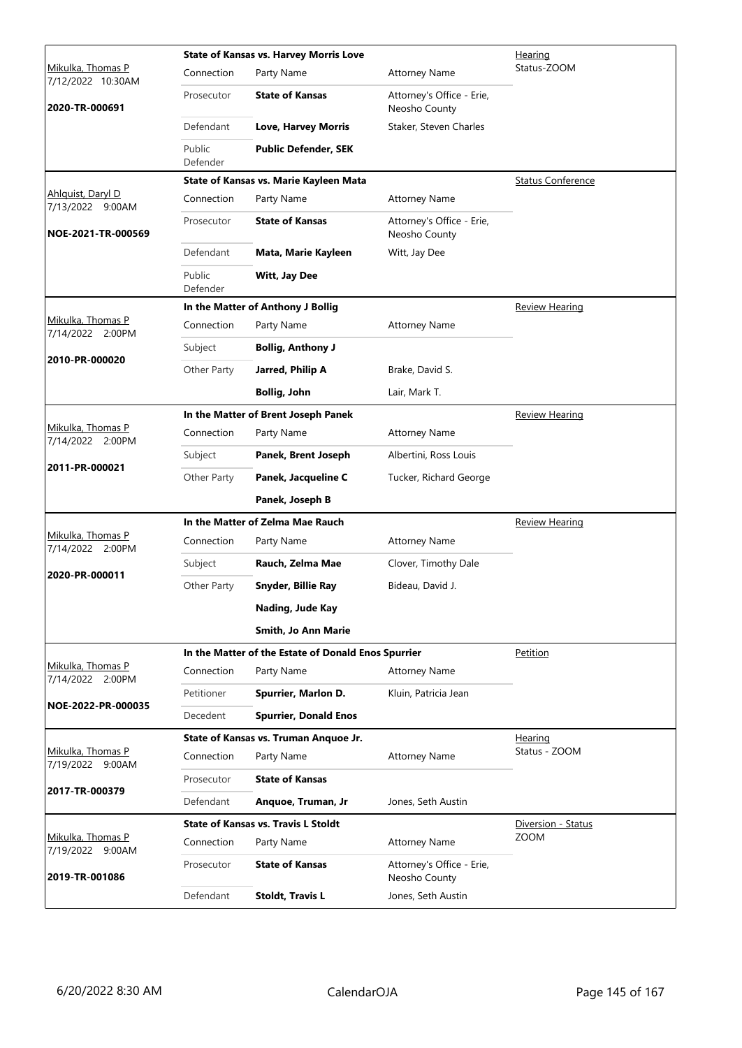|                                        |                    | <b>State of Kansas vs. Harvey Morris Love</b>       | Hearing                                    |                          |
|----------------------------------------|--------------------|-----------------------------------------------------|--------------------------------------------|--------------------------|
| Mikulka, Thomas P<br>7/12/2022 10:30AM | Connection         | Party Name                                          | <b>Attorney Name</b>                       | Status-ZOOM              |
| 2020-TR-000691                         | Prosecutor         | <b>State of Kansas</b>                              | Attorney's Office - Erie,<br>Neosho County |                          |
|                                        | Defendant          | <b>Love, Harvey Morris</b>                          | Staker, Steven Charles                     |                          |
|                                        | Public<br>Defender | <b>Public Defender, SEK</b>                         |                                            |                          |
|                                        |                    | State of Kansas vs. Marie Kayleen Mata              |                                            | <b>Status Conference</b> |
| Ahlquist, Daryl D<br>7/13/2022 9:00AM  | Connection         | Party Name                                          | <b>Attorney Name</b>                       |                          |
| NOE-2021-TR-000569                     | Prosecutor         | <b>State of Kansas</b>                              | Attorney's Office - Erie,<br>Neosho County |                          |
|                                        | Defendant          | Mata, Marie Kayleen                                 | Witt, Jay Dee                              |                          |
|                                        | Public<br>Defender | Witt, Jay Dee                                       |                                            |                          |
|                                        |                    | In the Matter of Anthony J Bollig                   |                                            | <b>Review Hearing</b>    |
| Mikulka, Thomas P<br>7/14/2022 2:00PM  | Connection         | Party Name                                          | <b>Attorney Name</b>                       |                          |
| 2010-PR-000020                         | Subject            | <b>Bollig, Anthony J</b>                            |                                            |                          |
|                                        | Other Party        | Jarred, Philip A                                    | Brake, David S.                            |                          |
|                                        |                    | <b>Bollig, John</b>                                 | Lair, Mark T.                              |                          |
|                                        |                    | In the Matter of Brent Joseph Panek                 |                                            | <b>Review Hearing</b>    |
| Mikulka, Thomas P<br>7/14/2022 2:00PM  | Connection         | Party Name                                          | <b>Attorney Name</b>                       |                          |
| 2011-PR-000021                         | Subject            | Panek, Brent Joseph                                 | Albertini, Ross Louis                      |                          |
|                                        | Other Party        | Panek, Jacqueline C                                 | Tucker, Richard George                     |                          |
|                                        |                    | Panek, Joseph B                                     |                                            |                          |
|                                        |                    | In the Matter of Zelma Mae Rauch                    |                                            | <b>Review Hearing</b>    |
| Mikulka, Thomas P<br>7/14/2022 2:00PM  | Connection         | Party Name                                          | <b>Attorney Name</b>                       |                          |
| 2020-PR-000011                         | Subject            | Rauch, Zelma Mae                                    | Clover, Timothy Dale                       |                          |
|                                        | Other Party        | Snyder, Billie Ray                                  | Bideau, David J.                           |                          |
|                                        |                    | Nading, Jude Kay                                    |                                            |                          |
|                                        |                    | Smith, Jo Ann Marie                                 |                                            |                          |
|                                        |                    | In the Matter of the Estate of Donald Enos Spurrier |                                            | Petition                 |
| Mikulka, Thomas P<br>7/14/2022 2:00PM  | Connection         | Party Name                                          | <b>Attorney Name</b>                       |                          |
| NOE-2022-PR-000035                     | Petitioner         | Spurrier, Marlon D.                                 | Kluin, Patricia Jean                       |                          |
|                                        | Decedent           | <b>Spurrier, Donald Enos</b>                        |                                            |                          |
|                                        |                    | State of Kansas vs. Truman Anquoe Jr.               |                                            | Hearing<br>Status - ZOOM |
| Mikulka, Thomas P<br>7/19/2022 9:00AM  | Connection         | Party Name                                          | <b>Attorney Name</b>                       |                          |
| 2017-TR-000379                         | Prosecutor         | <b>State of Kansas</b>                              |                                            |                          |
|                                        | Defendant          | Anquoe, Truman, Jr                                  | Jones, Seth Austin                         |                          |
|                                        |                    | <b>State of Kansas vs. Travis L Stoldt</b>          |                                            | Diversion - Status       |
| Mikulka, Thomas P<br>7/19/2022 9:00AM  | Connection         | Party Name                                          | <b>Attorney Name</b>                       | <b>ZOOM</b>              |
| 2019-TR-001086                         | Prosecutor         | <b>State of Kansas</b>                              | Attorney's Office - Erie,<br>Neosho County |                          |
|                                        | Defendant          | <b>Stoldt, Travis L</b>                             | Jones, Seth Austin                         |                          |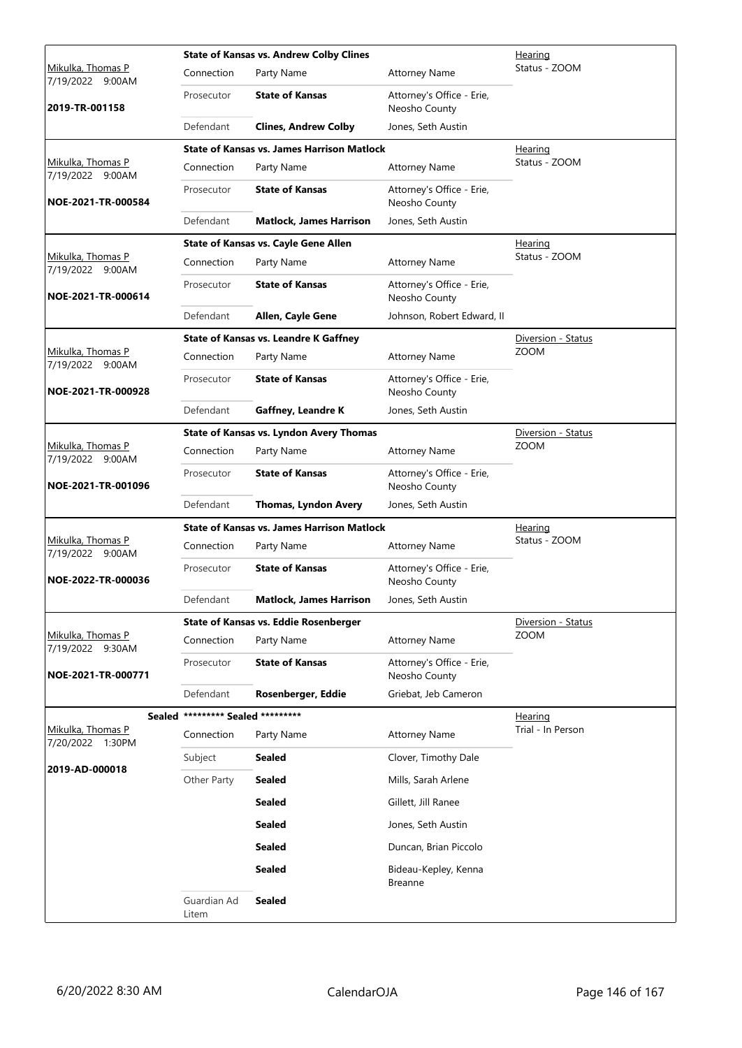|                                              |                                   | <b>State of Kansas vs. Andrew Colby Clines</b>    | Hearing                                    |                    |
|----------------------------------------------|-----------------------------------|---------------------------------------------------|--------------------------------------------|--------------------|
| <u>Mikulka, Thomas P</u><br>7/19/2022 9:00AM | Connection                        | Party Name                                        | <b>Attorney Name</b>                       | Status - ZOOM      |
| 2019-TR-001158                               | Prosecutor                        | <b>State of Kansas</b>                            | Attorney's Office - Erie,<br>Neosho County |                    |
|                                              | Defendant                         | <b>Clines, Andrew Colby</b>                       | Jones, Seth Austin                         |                    |
|                                              |                                   | <b>State of Kansas vs. James Harrison Matlock</b> |                                            | <b>Hearing</b>     |
| Mikulka, Thomas P<br>7/19/2022 9:00AM        | Connection                        | Party Name                                        | <b>Attorney Name</b>                       | Status - ZOOM      |
| NOE-2021-TR-000584                           | Prosecutor                        | <b>State of Kansas</b>                            | Attorney's Office - Erie,<br>Neosho County |                    |
|                                              | Defendant                         | <b>Matlock, James Harrison</b>                    | Jones, Seth Austin                         |                    |
|                                              |                                   | <b>State of Kansas vs. Cayle Gene Allen</b>       |                                            | <b>Hearing</b>     |
| Mikulka, Thomas P<br>7/19/2022 9:00AM        | Connection                        | Party Name                                        | <b>Attorney Name</b>                       | Status - ZOOM      |
| NOE-2021-TR-000614                           | Prosecutor                        | <b>State of Kansas</b>                            | Attorney's Office - Erie,<br>Neosho County |                    |
|                                              | Defendant                         | Allen, Cayle Gene                                 | Johnson, Robert Edward, II                 |                    |
|                                              |                                   | <b>State of Kansas vs. Leandre K Gaffney</b>      |                                            | Diversion - Status |
| Mikulka, Thomas P<br>7/19/2022 9:00AM        | Connection                        | Party Name                                        | <b>Attorney Name</b>                       | <b>ZOOM</b>        |
| NOE-2021-TR-000928                           | Prosecutor                        | <b>State of Kansas</b>                            | Attorney's Office - Erie,<br>Neosho County |                    |
|                                              | Defendant                         | <b>Gaffney, Leandre K</b>                         | Jones, Seth Austin                         |                    |
|                                              |                                   | State of Kansas vs. Lyndon Avery Thomas           |                                            | Diversion - Status |
| Mikulka, Thomas P<br>7/19/2022 9:00AM        | Connection                        | Party Name                                        | <b>Attorney Name</b>                       | <b>ZOOM</b>        |
| NOE-2021-TR-001096                           | Prosecutor                        | <b>State of Kansas</b>                            | Attorney's Office - Erie,<br>Neosho County |                    |
|                                              | Defendant                         | Thomas, Lyndon Avery                              | Jones, Seth Austin                         |                    |
|                                              |                                   | <b>State of Kansas vs. James Harrison Matlock</b> |                                            | Hearing            |
| Mikulka, Thomas P<br>7/19/2022 9:00AM        | Connection                        | Party Name                                        | <b>Attorney Name</b>                       | Status - ZOOM      |
| NOE-2022-TR-000036                           | Prosecutor                        | <b>State of Kansas</b>                            | Attorney's Office - Erie,<br>Neosho County |                    |
|                                              | Defendant                         | <b>Matlock, James Harrison</b>                    | Jones, Seth Austin                         |                    |
|                                              |                                   | State of Kansas vs. Eddie Rosenberger             |                                            | Diversion - Status |
| Mikulka, Thomas P<br>7/19/2022 9:30AM        | Connection                        | Party Name                                        | <b>Attorney Name</b>                       | ZOOM               |
| NOE-2021-TR-000771                           | Prosecutor                        | <b>State of Kansas</b>                            | Attorney's Office - Erie,<br>Neosho County |                    |
|                                              | Defendant                         | Rosenberger, Eddie                                | Griebat, Jeb Cameron                       |                    |
|                                              | Sealed ********* Sealed ********* |                                                   |                                            | Hearing            |
| Mikulka, Thomas P<br>7/20/2022 1:30PM        | Connection                        | Party Name                                        | <b>Attorney Name</b>                       | Trial - In Person  |
|                                              | Subject                           | <b>Sealed</b>                                     | Clover, Timothy Dale                       |                    |
| 2019-AD-000018                               | Other Party                       | <b>Sealed</b>                                     | Mills, Sarah Arlene                        |                    |
|                                              |                                   | <b>Sealed</b>                                     | Gillett, Jill Ranee                        |                    |
|                                              |                                   | <b>Sealed</b>                                     | Jones, Seth Austin                         |                    |
|                                              |                                   | <b>Sealed</b>                                     | Duncan, Brian Piccolo                      |                    |
|                                              |                                   | <b>Sealed</b>                                     | Bideau-Kepley, Kenna<br><b>Breanne</b>     |                    |
|                                              | Guardian Ad<br>Litem              | <b>Sealed</b>                                     |                                            |                    |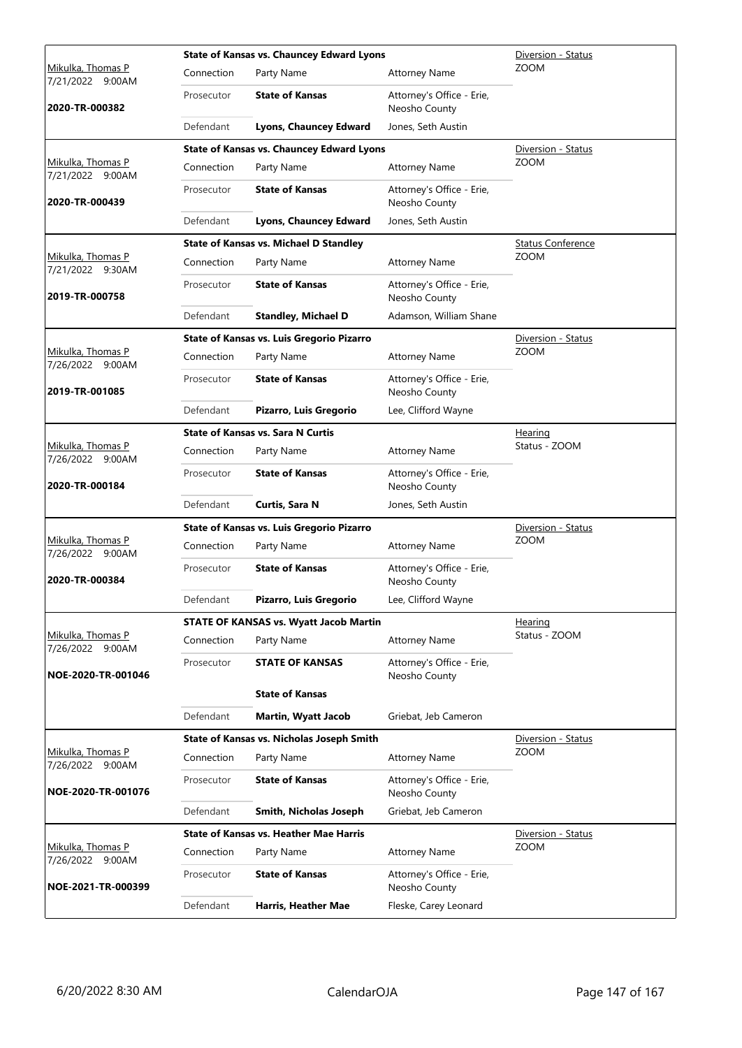|                                       |            | <b>State of Kansas vs. Chauncey Edward Lyons</b> |                                            | Diversion - Status       |
|---------------------------------------|------------|--------------------------------------------------|--------------------------------------------|--------------------------|
| Mikulka, Thomas P<br>7/21/2022 9:00AM | Connection | Party Name                                       | <b>Attorney Name</b>                       | <b>ZOOM</b>              |
| 2020-TR-000382                        | Prosecutor | <b>State of Kansas</b>                           | Attorney's Office - Erie,<br>Neosho County |                          |
|                                       | Defendant  | Lyons, Chauncey Edward                           | Jones, Seth Austin                         |                          |
|                                       |            | <b>State of Kansas vs. Chauncey Edward Lyons</b> |                                            | Diversion - Status       |
| Mikulka, Thomas P<br>7/21/2022 9:00AM | Connection | Party Name                                       | <b>Attorney Name</b>                       | <b>ZOOM</b>              |
| 2020-TR-000439                        | Prosecutor | <b>State of Kansas</b>                           | Attorney's Office - Erie,<br>Neosho County |                          |
|                                       | Defendant  | Lyons, Chauncey Edward                           | Jones, Seth Austin                         |                          |
|                                       |            | <b>State of Kansas vs. Michael D Standley</b>    |                                            | <b>Status Conference</b> |
| Mikulka, Thomas P<br>7/21/2022 9:30AM | Connection | Party Name                                       | <b>Attorney Name</b>                       | <b>ZOOM</b>              |
| 2019-TR-000758                        | Prosecutor | <b>State of Kansas</b>                           | Attorney's Office - Erie,<br>Neosho County |                          |
|                                       | Defendant  | <b>Standley, Michael D</b>                       | Adamson, William Shane                     |                          |
|                                       |            | <b>State of Kansas vs. Luis Gregorio Pizarro</b> |                                            | Diversion - Status       |
| Mikulka, Thomas P<br>7/26/2022 9:00AM | Connection | Party Name                                       | <b>Attorney Name</b>                       | <b>ZOOM</b>              |
| 2019-TR-001085                        | Prosecutor | <b>State of Kansas</b>                           | Attorney's Office - Erie,<br>Neosho County |                          |
|                                       | Defendant  | Pizarro, Luis Gregorio                           | Lee, Clifford Wayne                        |                          |
|                                       |            | <b>State of Kansas vs. Sara N Curtis</b>         | Hearing                                    |                          |
| Mikulka, Thomas P<br>7/26/2022 9:00AM | Connection | Party Name                                       | <b>Attorney Name</b>                       | Status - ZOOM            |
| 2020-TR-000184                        | Prosecutor | <b>State of Kansas</b>                           | Attorney's Office - Erie,<br>Neosho County |                          |
|                                       | Defendant  | Curtis, Sara N                                   | Jones, Seth Austin                         |                          |
|                                       |            | State of Kansas vs. Luis Gregorio Pizarro        |                                            | Diversion - Status       |
| Mikulka, Thomas P<br>7/26/2022 9:00AM | Connection | Party Name                                       | <b>Attorney Name</b>                       | <b>ZOOM</b>              |
| 2020-TR-000384                        | Prosecutor | <b>State of Kansas</b>                           | Attorney's Office - Erie,<br>Neosho County |                          |
|                                       | Defendant  | Pizarro, Luis Gregorio                           | Lee, Clifford Wayne                        |                          |
|                                       |            | <b>STATE OF KANSAS vs. Wyatt Jacob Martin</b>    |                                            | Hearing                  |
| Mikulka, Thomas P<br>7/26/2022 9:00AM | Connection | Party Name                                       | <b>Attorney Name</b>                       | Status - ZOOM            |
| NOE-2020-TR-001046                    | Prosecutor | <b>STATE OF KANSAS</b>                           | Attorney's Office - Erie,<br>Neosho County |                          |
|                                       |            | <b>State of Kansas</b>                           |                                            |                          |
|                                       | Defendant  | <b>Martin, Wyatt Jacob</b>                       | Griebat, Jeb Cameron                       |                          |
|                                       |            | State of Kansas vs. Nicholas Joseph Smith        |                                            | Diversion - Status       |
| Mikulka, Thomas P<br>7/26/2022 9:00AM | Connection | Party Name                                       | <b>Attorney Name</b>                       | <b>ZOOM</b>              |
| NOE-2020-TR-001076                    | Prosecutor | <b>State of Kansas</b>                           | Attorney's Office - Erie,<br>Neosho County |                          |
|                                       | Defendant  | Smith, Nicholas Joseph                           | Griebat, Jeb Cameron                       |                          |
|                                       |            | <b>State of Kansas vs. Heather Mae Harris</b>    |                                            | Diversion - Status       |
| Mikulka, Thomas P<br>7/26/2022 9:00AM | Connection | Party Name                                       | <b>Attorney Name</b>                       | <b>ZOOM</b>              |
| NOE-2021-TR-000399                    | Prosecutor | <b>State of Kansas</b>                           | Attorney's Office - Erie,<br>Neosho County |                          |
|                                       | Defendant  | Harris, Heather Mae                              | Fleske, Carey Leonard                      |                          |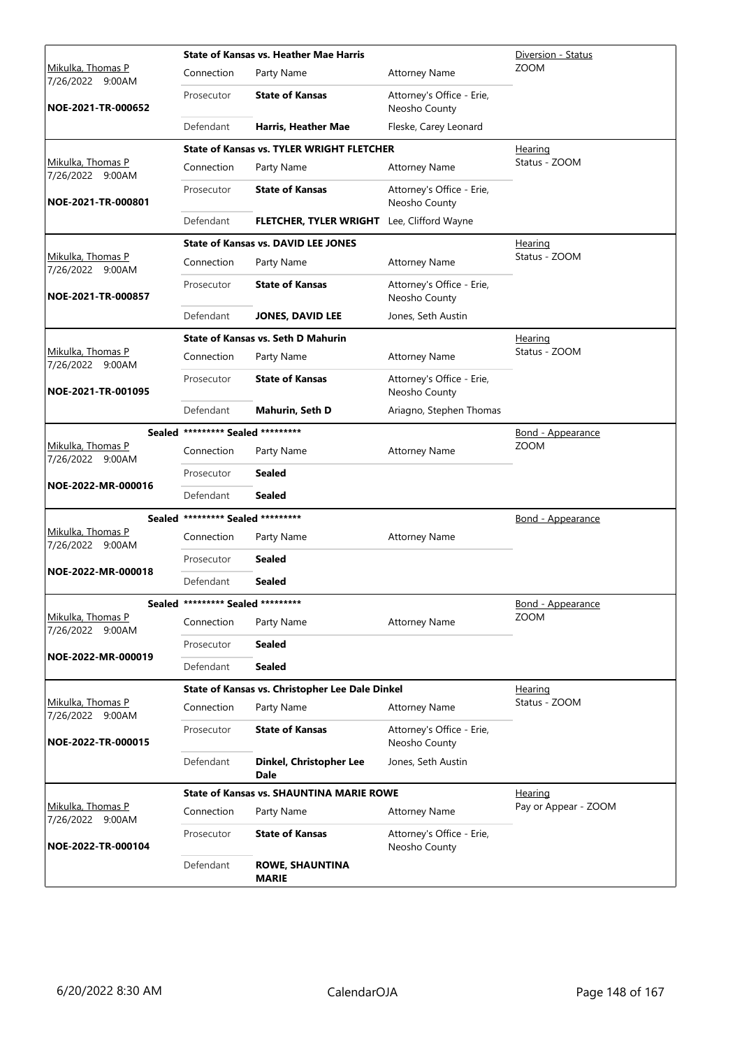|                                       |                                   | <b>State of Kansas vs. Heather Mae Harris</b>    | Diversion - Status                         |                          |
|---------------------------------------|-----------------------------------|--------------------------------------------------|--------------------------------------------|--------------------------|
| Mikulka, Thomas P<br>7/26/2022 9:00AM | Connection                        | Party Name                                       | <b>Attorney Name</b>                       | <b>ZOOM</b>              |
| NOE-2021-TR-000652                    | Prosecutor                        | <b>State of Kansas</b>                           | Attorney's Office - Erie,<br>Neosho County |                          |
|                                       | Defendant                         | Harris, Heather Mae                              | Fleske, Carey Leonard                      |                          |
|                                       |                                   | <b>State of Kansas vs. TYLER WRIGHT FLETCHER</b> |                                            | Hearing                  |
| Mikulka, Thomas P<br>7/26/2022 9:00AM | Connection                        | Party Name                                       | <b>Attorney Name</b>                       | Status - ZOOM            |
| NOE-2021-TR-000801                    | Prosecutor                        | <b>State of Kansas</b>                           | Attorney's Office - Erie,<br>Neosho County |                          |
|                                       | Defendant                         | FLETCHER, TYLER WRIGHT Lee, Clifford Wayne       |                                            |                          |
|                                       |                                   | <b>State of Kansas vs. DAVID LEE JONES</b>       |                                            | <b>Hearing</b>           |
| Mikulka, Thomas P<br>7/26/2022 9:00AM | Connection                        | Party Name                                       | <b>Attorney Name</b>                       | Status - ZOOM            |
| NOE-2021-TR-000857                    | Prosecutor                        | <b>State of Kansas</b>                           | Attorney's Office - Erie,<br>Neosho County |                          |
|                                       | Defendant                         | <b>JONES, DAVID LEE</b>                          | Jones, Seth Austin                         |                          |
|                                       |                                   | <b>State of Kansas vs. Seth D Mahurin</b>        |                                            | Hearing                  |
| Mikulka, Thomas P<br>7/26/2022 9:00AM | Connection                        | Party Name                                       | <b>Attorney Name</b>                       | Status - ZOOM            |
| NOE-2021-TR-001095                    | Prosecutor                        | <b>State of Kansas</b>                           | Attorney's Office - Erie,<br>Neosho County |                          |
|                                       | Defendant                         | Mahurin, Seth D                                  | Ariagno, Stephen Thomas                    |                          |
|                                       | Sealed ********* Sealed ********* |                                                  |                                            | <u>Bond - Appearance</u> |
| Mikulka, Thomas P<br>7/26/2022 9:00AM | Connection                        | Party Name                                       | <b>Attorney Name</b>                       | <b>ZOOM</b>              |
|                                       | Prosecutor                        | Sealed                                           |                                            |                          |
| NOE-2022-MR-000016                    | Defendant                         | <b>Sealed</b>                                    |                                            |                          |
|                                       | Sealed ********* Sealed ********* |                                                  |                                            | <u>Bond - Appearance</u> |
| Mikulka, Thomas P<br>7/26/2022 9:00AM | Connection                        | Party Name                                       | <b>Attorney Name</b>                       |                          |
|                                       | Prosecutor                        | <b>Sealed</b>                                    |                                            |                          |
| NOE-2022-MR-000018                    | Defendant                         | <b>Sealed</b>                                    |                                            |                          |
|                                       | Sealed ********* Sealed ********* |                                                  |                                            | <b>Bond - Appearance</b> |
| Mikulka, Thomas P<br>7/26/2022 9:00AM | Connection                        | Party Name                                       | <b>Attorney Name</b>                       | <b>ZOOM</b>              |
|                                       | Prosecutor                        | Sealed                                           |                                            |                          |
| NOE-2022-MR-000019                    | Defendant                         | <b>Sealed</b>                                    |                                            |                          |
|                                       |                                   | State of Kansas vs. Christopher Lee Dale Dinkel  |                                            | Hearing                  |
| Mikulka, Thomas P<br>7/26/2022 9:00AM | Connection                        | Party Name                                       | <b>Attorney Name</b>                       | Status - ZOOM            |
| NOE-2022-TR-000015                    | Prosecutor                        | <b>State of Kansas</b>                           | Attorney's Office - Erie,<br>Neosho County |                          |
|                                       | Defendant                         | Dinkel, Christopher Lee<br><b>Dale</b>           | Jones, Seth Austin                         |                          |
|                                       |                                   | <b>State of Kansas vs. SHAUNTINA MARIE ROWE</b>  |                                            | <b>Hearing</b>           |
| Mikulka, Thomas P<br>7/26/2022 9:00AM | Connection                        | Party Name                                       | <b>Attorney Name</b>                       | Pay or Appear - ZOOM     |
| NOE-2022-TR-000104                    | Prosecutor                        | <b>State of Kansas</b>                           | Attorney's Office - Erie,<br>Neosho County |                          |
|                                       | Defendant                         | <b>ROWE, SHAUNTINA</b><br><b>MARIE</b>           |                                            |                          |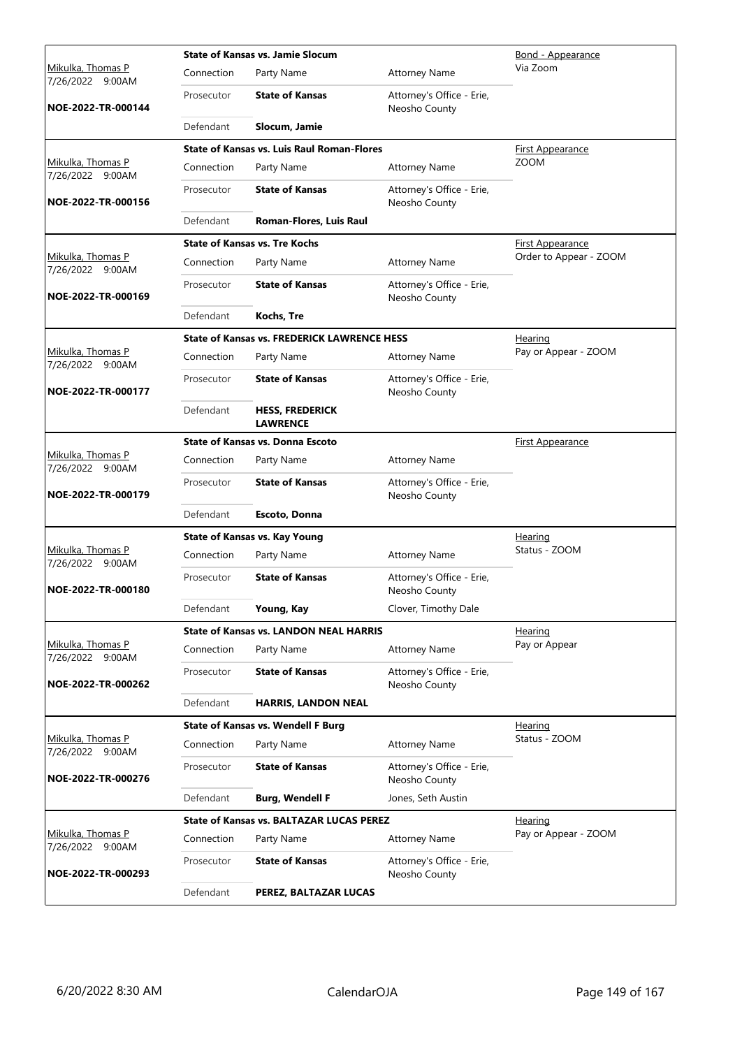|                                              |            | <b>State of Kansas vs. Jamie Slocum</b>            | Bond - Appearance                          |                         |
|----------------------------------------------|------------|----------------------------------------------------|--------------------------------------------|-------------------------|
| <u>Mikulka, Thomas P</u><br>7/26/2022 9:00AM | Connection | Party Name                                         | <b>Attorney Name</b>                       | Via Zoom                |
| NOE-2022-TR-000144                           | Prosecutor | <b>State of Kansas</b>                             | Attorney's Office - Erie,<br>Neosho County |                         |
|                                              | Defendant  | Slocum, Jamie                                      |                                            |                         |
|                                              |            | <b>State of Kansas vs. Luis Raul Roman-Flores</b>  |                                            | <b>First Appearance</b> |
| Mikulka, Thomas P<br>7/26/2022 9:00AM        | Connection | Party Name                                         | <b>Attorney Name</b>                       | ZOOM                    |
| NOE-2022-TR-000156                           | Prosecutor | <b>State of Kansas</b>                             | Attorney's Office - Erie,<br>Neosho County |                         |
|                                              | Defendant  | Roman-Flores, Luis Raul                            |                                            |                         |
|                                              |            | <b>State of Kansas vs. Tre Kochs</b>               |                                            | <b>First Appearance</b> |
| Mikulka, Thomas P<br>7/26/2022 9:00AM        | Connection | Party Name                                         | <b>Attorney Name</b>                       | Order to Appear - ZOOM  |
| NOE-2022-TR-000169                           | Prosecutor | <b>State of Kansas</b>                             | Attorney's Office - Erie,<br>Neosho County |                         |
|                                              | Defendant  | Kochs, Tre                                         |                                            |                         |
|                                              |            | <b>State of Kansas vs. FREDERICK LAWRENCE HESS</b> |                                            | Hearing                 |
| <u>Mikulka, Thomas P</u><br>7/26/2022 9:00AM | Connection | Party Name                                         | <b>Attorney Name</b>                       | Pay or Appear - ZOOM    |
| NOE-2022-TR-000177                           | Prosecutor | <b>State of Kansas</b>                             | Attorney's Office - Erie,<br>Neosho County |                         |
|                                              | Defendant  | <b>HESS, FREDERICK</b><br><b>LAWRENCE</b>          |                                            |                         |
|                                              |            | <b>State of Kansas vs. Donna Escoto</b>            |                                            | <b>First Appearance</b> |
| Mikulka, Thomas P<br>7/26/2022 9:00AM        | Connection | Party Name                                         | <b>Attorney Name</b>                       |                         |
| NOE-2022-TR-000179                           | Prosecutor | <b>State of Kansas</b>                             | Attorney's Office - Erie,<br>Neosho County |                         |
|                                              | Defendant  | Escoto, Donna                                      |                                            |                         |
|                                              |            | <b>State of Kansas vs. Kay Young</b>               |                                            | <b>Hearing</b>          |
| Mikulka, Thomas P<br>7/26/2022 9:00AM        | Connection | Party Name                                         | <b>Attorney Name</b>                       | Status - ZOOM           |
| NOE-2022-TR-000180                           | Prosecutor | <b>State of Kansas</b>                             | Attorney's Office - Erie,<br>Neosho County |                         |
|                                              | Defendant  | Young, Kay                                         | Clover, Timothy Dale                       |                         |
|                                              |            | <b>State of Kansas vs. LANDON NEAL HARRIS</b>      |                                            | <u>Hearing</u>          |
| Mikulka, Thomas P<br>7/26/2022 9:00AM        | Connection | Party Name                                         | <b>Attorney Name</b>                       | Pay or Appear           |
| NOE-2022-TR-000262                           | Prosecutor | <b>State of Kansas</b>                             | Attorney's Office - Erie,<br>Neosho County |                         |
|                                              | Defendant  | <b>HARRIS, LANDON NEAL</b>                         |                                            |                         |
|                                              |            | <b>State of Kansas vs. Wendell F Burg</b>          |                                            | Hearing                 |
| Mikulka, Thomas P<br>7/26/2022 9:00AM        | Connection | Party Name                                         | <b>Attorney Name</b>                       | Status - ZOOM           |
| NOE-2022-TR-000276                           | Prosecutor | <b>State of Kansas</b>                             | Attorney's Office - Erie,<br>Neosho County |                         |
|                                              | Defendant  | <b>Burg, Wendell F</b>                             | Jones, Seth Austin                         |                         |
|                                              |            | <b>State of Kansas vs. BALTAZAR LUCAS PEREZ</b>    |                                            | <b>Hearing</b>          |
| Mikulka, Thomas P<br>7/26/2022 9:00AM        | Connection | Party Name                                         | <b>Attorney Name</b>                       | Pay or Appear - ZOOM    |
| NOE-2022-TR-000293                           | Prosecutor | <b>State of Kansas</b>                             | Attorney's Office - Erie,<br>Neosho County |                         |
|                                              | Defendant  | PEREZ, BALTAZAR LUCAS                              |                                            |                         |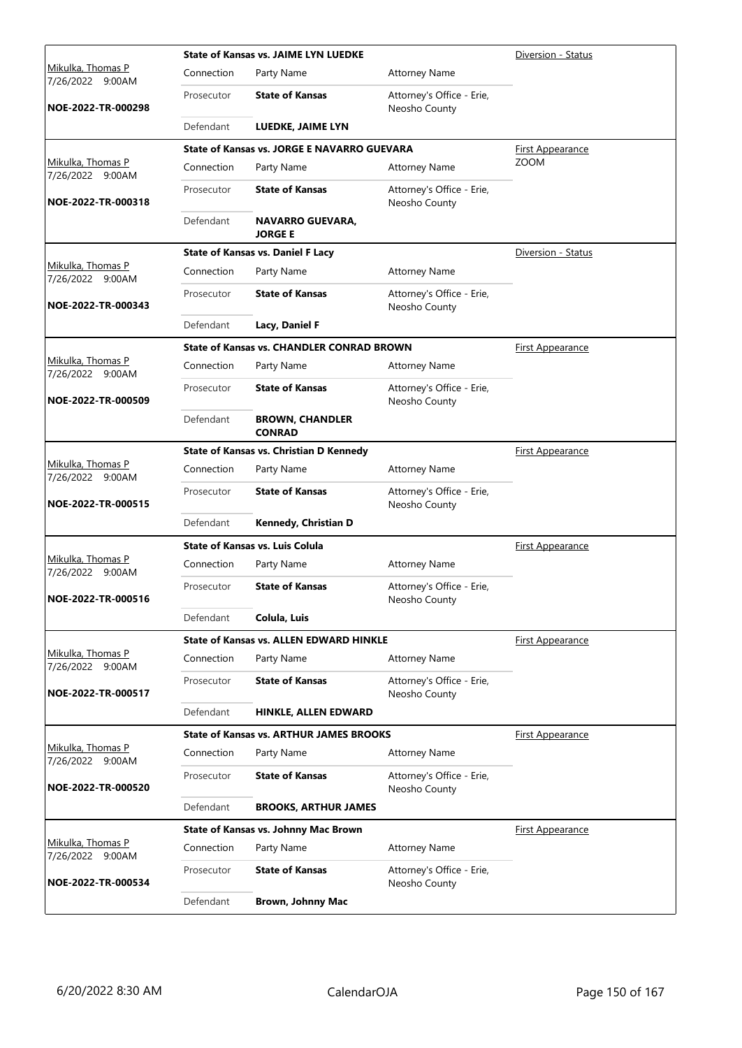|                                       |            | <b>State of Kansas vs. JAIME LYN LUEDKE</b>        |                                            | Diversion - Status      |
|---------------------------------------|------------|----------------------------------------------------|--------------------------------------------|-------------------------|
| Mikulka, Thomas P<br>7/26/2022 9:00AM | Connection | Party Name                                         | <b>Attorney Name</b>                       |                         |
| NOE-2022-TR-000298                    | Prosecutor | <b>State of Kansas</b>                             | Attorney's Office - Erie,<br>Neosho County |                         |
|                                       | Defendant  | LUEDKE, JAIME LYN                                  |                                            |                         |
|                                       |            | <b>State of Kansas vs. JORGE E NAVARRO GUEVARA</b> |                                            | First Appearance        |
| Mikulka, Thomas P<br>7/26/2022 9:00AM | Connection | Party Name                                         | <b>Attorney Name</b>                       | <b>ZOOM</b>             |
| NOE-2022-TR-000318                    | Prosecutor | <b>State of Kansas</b>                             | Attorney's Office - Erie,<br>Neosho County |                         |
|                                       | Defendant  | <b>NAVARRO GUEVARA,</b><br><b>JORGE E</b>          |                                            |                         |
|                                       |            | <b>State of Kansas vs. Daniel F Lacy</b>           |                                            | Diversion - Status      |
| Mikulka, Thomas P<br>7/26/2022 9:00AM | Connection | Party Name                                         | <b>Attorney Name</b>                       |                         |
| NOE-2022-TR-000343                    | Prosecutor | <b>State of Kansas</b>                             | Attorney's Office - Erie,<br>Neosho County |                         |
|                                       | Defendant  | Lacy, Daniel F                                     |                                            |                         |
|                                       |            | <b>State of Kansas vs. CHANDLER CONRAD BROWN</b>   |                                            | <b>First Appearance</b> |
| Mikulka, Thomas P<br>7/26/2022 9:00AM | Connection | Party Name                                         | <b>Attorney Name</b>                       |                         |
| NOE-2022-TR-000509                    | Prosecutor | <b>State of Kansas</b>                             | Attorney's Office - Erie,<br>Neosho County |                         |
|                                       | Defendant  | <b>BROWN, CHANDLER</b><br><b>CONRAD</b>            |                                            |                         |
|                                       |            | State of Kansas vs. Christian D Kennedy            |                                            | <u>First Appearance</u> |
| Mikulka, Thomas P<br>7/26/2022 9:00AM | Connection | Party Name                                         | <b>Attorney Name</b>                       |                         |
| NOE-2022-TR-000515                    | Prosecutor | <b>State of Kansas</b>                             | Attorney's Office - Erie,<br>Neosho County |                         |
|                                       | Defendant  | Kennedy, Christian D                               |                                            |                         |
|                                       |            | <b>State of Kansas vs. Luis Colula</b>             |                                            | First Appearance        |
| Mikulka, Thomas P<br>7/26/2022 9:00AM | Connection | Party Name                                         | <b>Attorney Name</b>                       |                         |
| NOE-2022-TR-000516                    | Prosecutor | <b>State of Kansas</b>                             | Attorney's Office - Erie,<br>Neosho County |                         |
|                                       | Defendant  | Colula, Luis                                       |                                            |                         |
|                                       |            | <b>State of Kansas vs. ALLEN EDWARD HINKLE</b>     |                                            | <b>First Appearance</b> |
| Mikulka, Thomas P<br>7/26/2022 9:00AM | Connection | Party Name                                         | <b>Attorney Name</b>                       |                         |
| NOE-2022-TR-000517                    | Prosecutor | <b>State of Kansas</b>                             | Attorney's Office - Erie,<br>Neosho County |                         |
|                                       | Defendant  | HINKLE, ALLEN EDWARD                               |                                            |                         |
|                                       |            | <b>State of Kansas vs. ARTHUR JAMES BROOKS</b>     |                                            | <u>First Appearance</u> |
| Mikulka, Thomas P<br>7/26/2022 9:00AM | Connection | Party Name                                         | <b>Attorney Name</b>                       |                         |
| NOE-2022-TR-000520                    | Prosecutor | <b>State of Kansas</b>                             | Attorney's Office - Erie,<br>Neosho County |                         |
|                                       | Defendant  | <b>BROOKS, ARTHUR JAMES</b>                        |                                            |                         |
|                                       |            | <b>State of Kansas vs. Johnny Mac Brown</b>        |                                            | <b>First Appearance</b> |
| Mikulka, Thomas P<br>7/26/2022 9:00AM | Connection | Party Name                                         | <b>Attorney Name</b>                       |                         |
| NOE-2022-TR-000534                    | Prosecutor | <b>State of Kansas</b>                             | Attorney's Office - Erie,<br>Neosho County |                         |
|                                       | Defendant  | <b>Brown, Johnny Mac</b>                           |                                            |                         |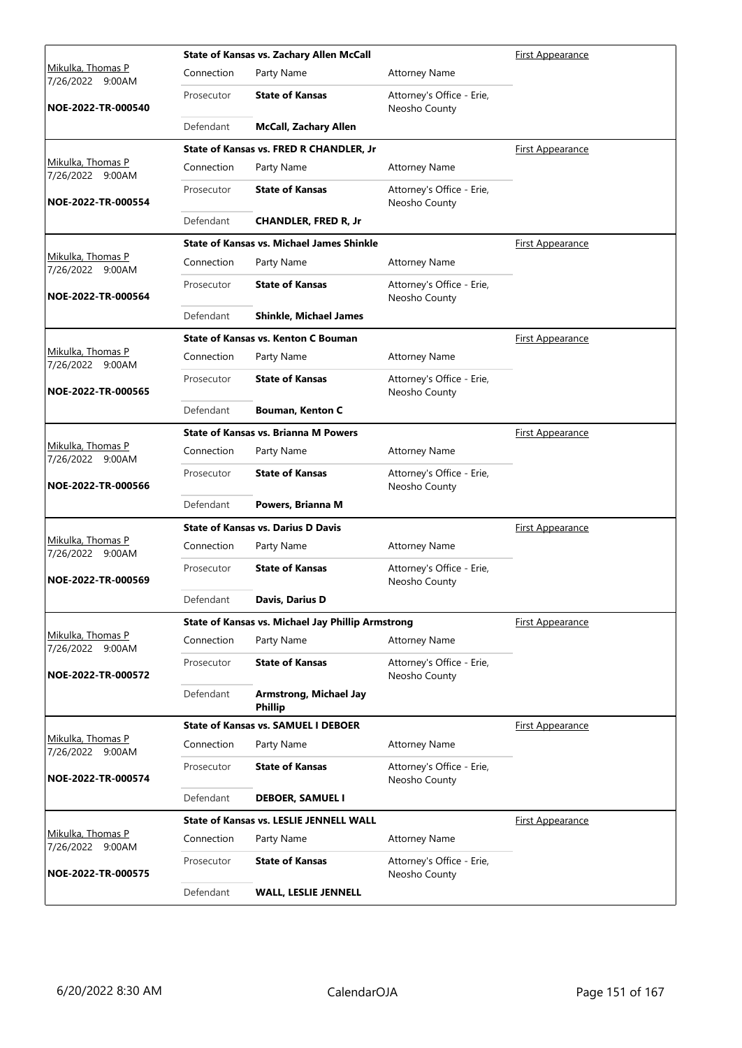|                                          |            | State of Kansas vs. Zachary Allen McCall          | <b>First Appearance</b>                    |                         |
|------------------------------------------|------------|---------------------------------------------------|--------------------------------------------|-------------------------|
| Mikulka, Thomas P<br>7/26/2022<br>9:00AM | Connection | Party Name                                        | <b>Attorney Name</b>                       |                         |
| NOE-2022-TR-000540                       | Prosecutor | <b>State of Kansas</b>                            | Attorney's Office - Erie,<br>Neosho County |                         |
|                                          | Defendant  | <b>McCall, Zachary Allen</b>                      |                                            |                         |
|                                          |            | State of Kansas vs. FRED R CHANDLER, Jr           |                                            | <b>First Appearance</b> |
| Mikulka, Thomas P<br>7/26/2022 9:00AM    | Connection | Party Name                                        | <b>Attorney Name</b>                       |                         |
| NOE-2022-TR-000554                       | Prosecutor | <b>State of Kansas</b>                            | Attorney's Office - Erie,<br>Neosho County |                         |
|                                          | Defendant  | <b>CHANDLER, FRED R, Jr</b>                       |                                            |                         |
|                                          |            | <b>State of Kansas vs. Michael James Shinkle</b>  |                                            | <b>First Appearance</b> |
| Mikulka, Thomas P<br>7/26/2022 9:00AM    | Connection | Party Name                                        | <b>Attorney Name</b>                       |                         |
| NOE-2022-TR-000564                       | Prosecutor | <b>State of Kansas</b>                            | Attorney's Office - Erie,<br>Neosho County |                         |
|                                          | Defendant  | <b>Shinkle, Michael James</b>                     |                                            |                         |
|                                          |            | State of Kansas vs. Kenton C Bouman               |                                            | <b>First Appearance</b> |
| Mikulka, Thomas P<br>7/26/2022 9:00AM    | Connection | Party Name                                        | <b>Attorney Name</b>                       |                         |
| NOE-2022-TR-000565                       | Prosecutor | <b>State of Kansas</b>                            | Attorney's Office - Erie,<br>Neosho County |                         |
|                                          | Defendant  | <b>Bouman, Kenton C</b>                           |                                            |                         |
|                                          |            | <b>State of Kansas vs. Brianna M Powers</b>       |                                            | <b>First Appearance</b> |
| Mikulka, Thomas P<br>7/26/2022 9:00AM    | Connection | Party Name                                        | <b>Attorney Name</b>                       |                         |
| NOE-2022-TR-000566                       | Prosecutor | <b>State of Kansas</b>                            | Attorney's Office - Erie,<br>Neosho County |                         |
|                                          | Defendant  | Powers, Brianna M                                 |                                            |                         |
|                                          |            | <b>State of Kansas vs. Darius D Davis</b>         |                                            | <b>First Appearance</b> |
| Mikulka, Thomas P<br>7/26/2022 9:00AM    | Connection | Party Name                                        | <b>Attorney Name</b>                       |                         |
| NOE-2022-TR-000569                       | Prosecutor | <b>State of Kansas</b>                            | Attorney's Office - Erie,<br>Neosho County |                         |
|                                          | Defendant  | Davis, Darius D                                   |                                            |                         |
|                                          |            | State of Kansas vs. Michael Jay Phillip Armstrong |                                            | First Appearance        |
| Mikulka, Thomas P<br>7/26/2022 9:00AM    | Connection | Party Name                                        | <b>Attorney Name</b>                       |                         |
| NOE-2022-TR-000572                       | Prosecutor | <b>State of Kansas</b>                            | Attorney's Office - Erie,<br>Neosho County |                         |
|                                          | Defendant  | <b>Armstrong, Michael Jay</b><br><b>Phillip</b>   |                                            |                         |
|                                          |            | <b>State of Kansas vs. SAMUEL I DEBOER</b>        |                                            | First Appearance        |
| Mikulka, Thomas P<br>7/26/2022 9:00AM    | Connection | Party Name                                        | <b>Attorney Name</b>                       |                         |
| NOE-2022-TR-000574                       | Prosecutor | <b>State of Kansas</b>                            | Attorney's Office - Erie,<br>Neosho County |                         |
|                                          | Defendant  | <b>DEBOER, SAMUEL I</b>                           |                                            |                         |
|                                          |            | <b>State of Kansas vs. LESLIE JENNELL WALL</b>    |                                            | <b>First Appearance</b> |
| Mikulka, Thomas P<br>7/26/2022 9:00AM    | Connection | Party Name                                        | <b>Attorney Name</b>                       |                         |
| NOE-2022-TR-000575                       | Prosecutor | <b>State of Kansas</b>                            | Attorney's Office - Erie,<br>Neosho County |                         |
|                                          | Defendant  | <b>WALL, LESLIE JENNELL</b>                       |                                            |                         |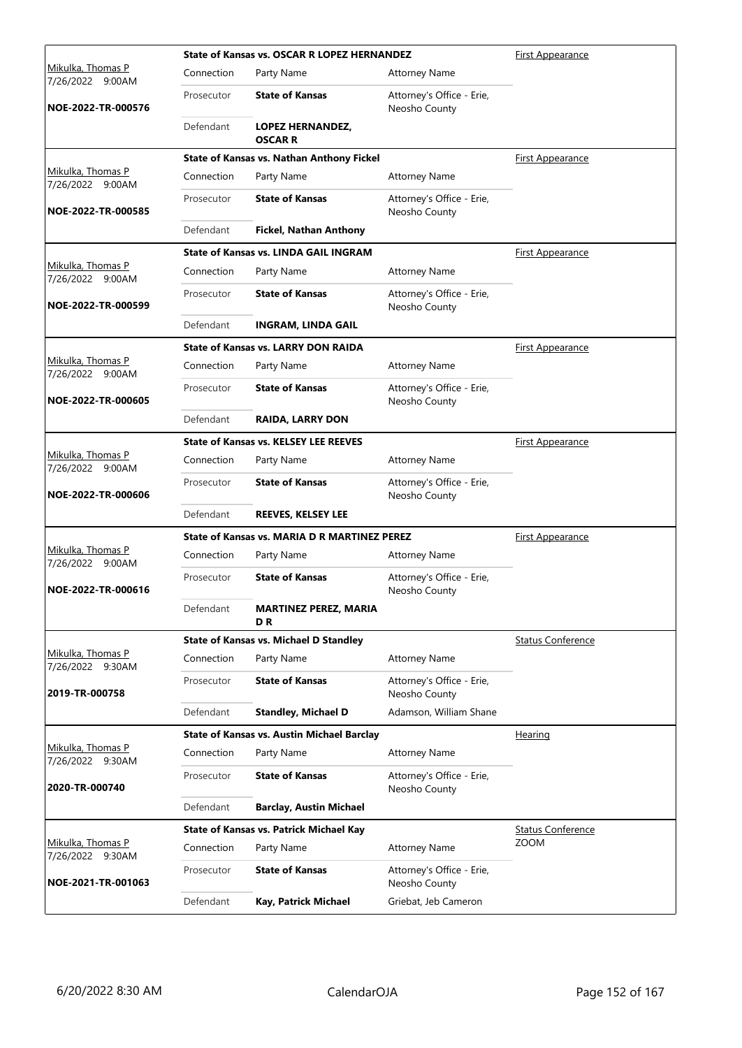|                                              |            | <b>State of Kansas vs. OSCAR R LOPEZ HERNANDEZ</b> |                                            | First Appearance         |
|----------------------------------------------|------------|----------------------------------------------------|--------------------------------------------|--------------------------|
| Mikulka, Thomas P<br>7/26/2022 9:00AM        | Connection | Party Name                                         | <b>Attorney Name</b>                       |                          |
| NOE-2022-TR-000576                           | Prosecutor | <b>State of Kansas</b>                             | Attorney's Office - Erie,<br>Neosho County |                          |
|                                              | Defendant  | <b>LOPEZ HERNANDEZ,</b><br><b>OSCAR R</b>          |                                            |                          |
|                                              |            | <b>State of Kansas vs. Nathan Anthony Fickel</b>   |                                            | <u>First Appearance</u>  |
| Mikulka, Thomas P<br>7/26/2022 9:00AM        | Connection | Party Name                                         | <b>Attorney Name</b>                       |                          |
| NOE-2022-TR-000585                           | Prosecutor | <b>State of Kansas</b>                             | Attorney's Office - Erie,<br>Neosho County |                          |
|                                              | Defendant  | <b>Fickel, Nathan Anthony</b>                      |                                            |                          |
|                                              |            | <b>State of Kansas vs. LINDA GAIL INGRAM</b>       |                                            | First Appearance         |
| Mikulka, Thomas P<br>7/26/2022 9:00AM        | Connection | Party Name                                         | <b>Attorney Name</b>                       |                          |
| NOE-2022-TR-000599                           | Prosecutor | <b>State of Kansas</b>                             | Attorney's Office - Erie,<br>Neosho County |                          |
|                                              | Defendant  | <b>INGRAM, LINDA GAIL</b>                          |                                            |                          |
|                                              |            | <b>State of Kansas vs. LARRY DON RAIDA</b>         |                                            | <b>First Appearance</b>  |
| Mikulka, Thomas P<br>7/26/2022 9:00AM        | Connection | Party Name                                         | <b>Attorney Name</b>                       |                          |
| NOE-2022-TR-000605                           | Prosecutor | <b>State of Kansas</b>                             | Attorney's Office - Erie,<br>Neosho County |                          |
|                                              | Defendant  | <b>RAIDA, LARRY DON</b>                            |                                            |                          |
|                                              |            | <b>State of Kansas vs. KELSEY LEE REEVES</b>       |                                            | <b>First Appearance</b>  |
| Mikulka, Thomas P<br>7/26/2022 9:00AM        | Connection | Party Name                                         | <b>Attorney Name</b>                       |                          |
| NOE-2022-TR-000606                           | Prosecutor | <b>State of Kansas</b>                             | Attorney's Office - Erie,<br>Neosho County |                          |
|                                              | Defendant  | <b>REEVES, KELSEY LEE</b>                          |                                            |                          |
|                                              |            | State of Kansas vs. MARIA D R MARTINEZ PEREZ       |                                            | <b>First Appearance</b>  |
| Mikulka, Thomas P<br>7/26/2022 9:00AM        | Connection | Party Name                                         | <b>Attorney Name</b>                       |                          |
| NOE-2022-TR-000616                           | Prosecutor | <b>State of Kansas</b>                             | Attorney's Office - Erie,<br>Neosho County |                          |
|                                              | Defendant  | <b>MARTINEZ PEREZ, MARIA</b><br>D R                |                                            |                          |
|                                              |            | <b>State of Kansas vs. Michael D Standley</b>      |                                            | <b>Status Conference</b> |
| Mikulka, Thomas P<br>7/26/2022 9:30AM        | Connection | Party Name                                         | <b>Attorney Name</b>                       |                          |
| 2019-TR-000758                               | Prosecutor | <b>State of Kansas</b>                             | Attorney's Office - Erie,<br>Neosho County |                          |
|                                              | Defendant  | <b>Standley, Michael D</b>                         | Adamson, William Shane                     |                          |
|                                              |            | <b>State of Kansas vs. Austin Michael Barclay</b>  |                                            | <b>Hearing</b>           |
| <u>Mikulka, Thomas P</u><br>7/26/2022 9:30AM | Connection | Party Name                                         | <b>Attorney Name</b>                       |                          |
| 2020-TR-000740                               | Prosecutor | <b>State of Kansas</b>                             | Attorney's Office - Erie,<br>Neosho County |                          |
|                                              | Defendant  | <b>Barclay, Austin Michael</b>                     |                                            |                          |
|                                              |            | <b>State of Kansas vs. Patrick Michael Kay</b>     |                                            | <b>Status Conference</b> |
| Mikulka, Thomas P<br>7/26/2022 9:30AM        | Connection | Party Name                                         | <b>Attorney Name</b>                       | <b>ZOOM</b>              |
| NOE-2021-TR-001063                           | Prosecutor | <b>State of Kansas</b>                             | Attorney's Office - Erie,<br>Neosho County |                          |
|                                              | Defendant  | Kay, Patrick Michael                               | Griebat, Jeb Cameron                       |                          |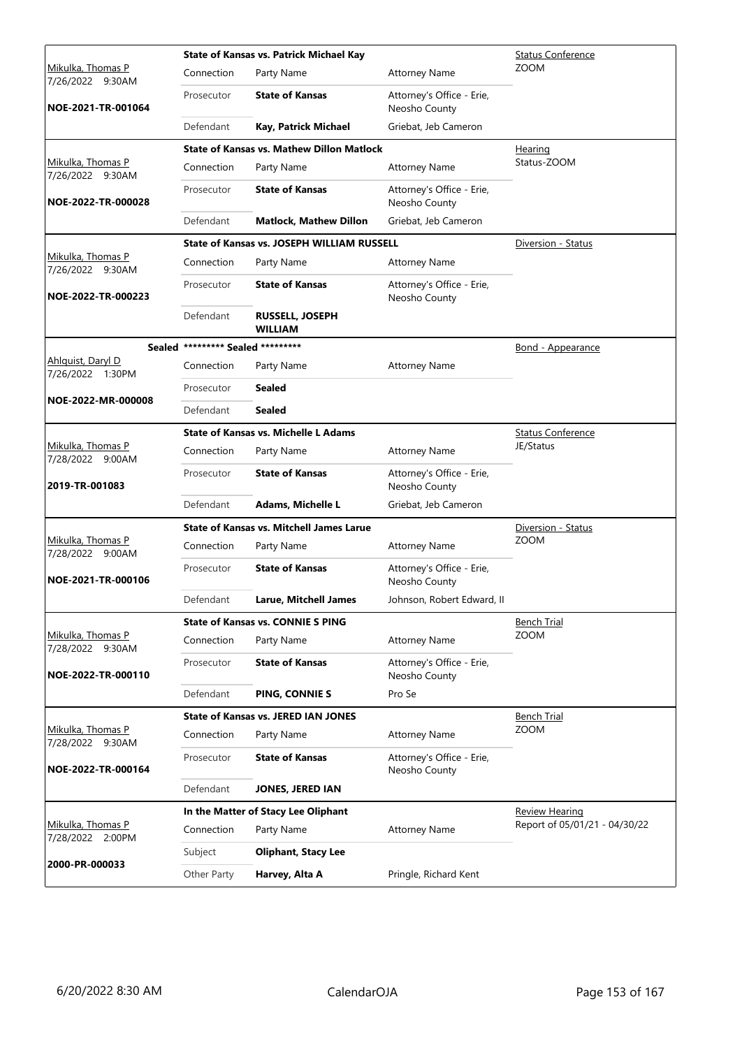|                                              | <b>State of Kansas vs. Patrick Michael Kay</b> | <b>Status Conference</b>                          |                                            |                               |
|----------------------------------------------|------------------------------------------------|---------------------------------------------------|--------------------------------------------|-------------------------------|
| <u>Mikulka, Thomas P</u><br>7/26/2022 9:30AM | Connection                                     | Party Name                                        | <b>Attorney Name</b>                       | <b>ZOOM</b>                   |
| NOE-2021-TR-001064                           | Prosecutor                                     | <b>State of Kansas</b>                            | Attorney's Office - Erie,<br>Neosho County |                               |
|                                              | Defendant                                      | Kay, Patrick Michael                              | Griebat, Jeb Cameron                       |                               |
|                                              |                                                | <b>State of Kansas vs. Mathew Dillon Matlock</b>  |                                            | Hearing                       |
| Mikulka, Thomas P<br>7/26/2022 9:30AM        | Connection                                     | Party Name                                        | <b>Attorney Name</b>                       | Status-ZOOM                   |
| NOE-2022-TR-000028                           | Prosecutor                                     | <b>State of Kansas</b>                            | Attorney's Office - Erie,<br>Neosho County |                               |
|                                              | Defendant                                      | <b>Matlock, Mathew Dillon</b>                     | Griebat, Jeb Cameron                       |                               |
|                                              |                                                | <b>State of Kansas vs. JOSEPH WILLIAM RUSSELL</b> |                                            | Diversion - Status            |
| Mikulka, Thomas P<br>7/26/2022 9:30AM        | Connection                                     | Party Name                                        | <b>Attorney Name</b>                       |                               |
| NOE-2022-TR-000223                           | Prosecutor                                     | <b>State of Kansas</b>                            | Attorney's Office - Erie,<br>Neosho County |                               |
|                                              | Defendant                                      | <b>RUSSELL, JOSEPH</b><br><b>WILLIAM</b>          |                                            |                               |
|                                              | Sealed ********* Sealed *********              |                                                   |                                            | <b>Bond - Appearance</b>      |
| Ahlquist, Daryl D                            | Connection                                     | Party Name                                        | <b>Attorney Name</b>                       |                               |
| 7/26/2022 1:30PM                             | Prosecutor                                     | <b>Sealed</b>                                     |                                            |                               |
| NOE-2022-MR-000008                           | Defendant                                      | <b>Sealed</b>                                     |                                            |                               |
|                                              |                                                | <b>State of Kansas vs. Michelle L Adams</b>       |                                            | <b>Status Conference</b>      |
| Mikulka, Thomas P<br>7/28/2022 9:00AM        | Connection                                     | Party Name                                        | <b>Attorney Name</b>                       | JE/Status                     |
| 2019-TR-001083                               | Prosecutor                                     | <b>State of Kansas</b>                            | Attorney's Office - Erie,<br>Neosho County |                               |
|                                              | Defendant                                      | Adams, Michelle L                                 | Griebat, Jeb Cameron                       |                               |
|                                              |                                                | <b>State of Kansas vs. Mitchell James Larue</b>   |                                            | Diversion - Status            |
| Mikulka, Thomas P<br>7/28/2022 9:00AM        | Connection                                     | Party Name                                        | <b>Attorney Name</b>                       | <b>ZOOM</b>                   |
| NOE-2021-TR-000106                           | Prosecutor                                     | <b>State of Kansas</b>                            | Attorney's Office - Erie,<br>Neosho County |                               |
|                                              | Defendant                                      | Larue, Mitchell James                             | Johnson, Robert Edward, II                 |                               |
|                                              |                                                | <b>State of Kansas vs. CONNIE S PING</b>          |                                            | <b>Bench Trial</b>            |
| Mikulka, Thomas P<br>7/28/2022 9:30AM        | Connection                                     | Party Name                                        | <b>Attorney Name</b>                       | <b>ZOOM</b>                   |
| NOE-2022-TR-000110                           | Prosecutor                                     | <b>State of Kansas</b>                            | Attorney's Office - Erie,<br>Neosho County |                               |
|                                              | Defendant                                      | PING, CONNIE S                                    | Pro Se                                     |                               |
|                                              |                                                | <b>State of Kansas vs. JERED IAN JONES</b>        |                                            | <b>Bench Trial</b>            |
| Mikulka, Thomas P<br>7/28/2022 9:30AM        | Connection                                     | Party Name                                        | <b>Attorney Name</b>                       | <b>ZOOM</b>                   |
| NOE-2022-TR-000164                           | Prosecutor                                     | <b>State of Kansas</b>                            | Attorney's Office - Erie,<br>Neosho County |                               |
|                                              | Defendant                                      | JONES, JERED IAN                                  |                                            |                               |
|                                              |                                                | In the Matter of Stacy Lee Oliphant               |                                            | <b>Review Hearing</b>         |
| Mikulka, Thomas P<br>7/28/2022 2:00PM        | Connection                                     | Party Name                                        | <b>Attorney Name</b>                       | Report of 05/01/21 - 04/30/22 |
| 2000-PR-000033                               | Subject                                        | <b>Oliphant, Stacy Lee</b>                        |                                            |                               |
|                                              | Other Party                                    | Harvey, Alta A                                    | Pringle, Richard Kent                      |                               |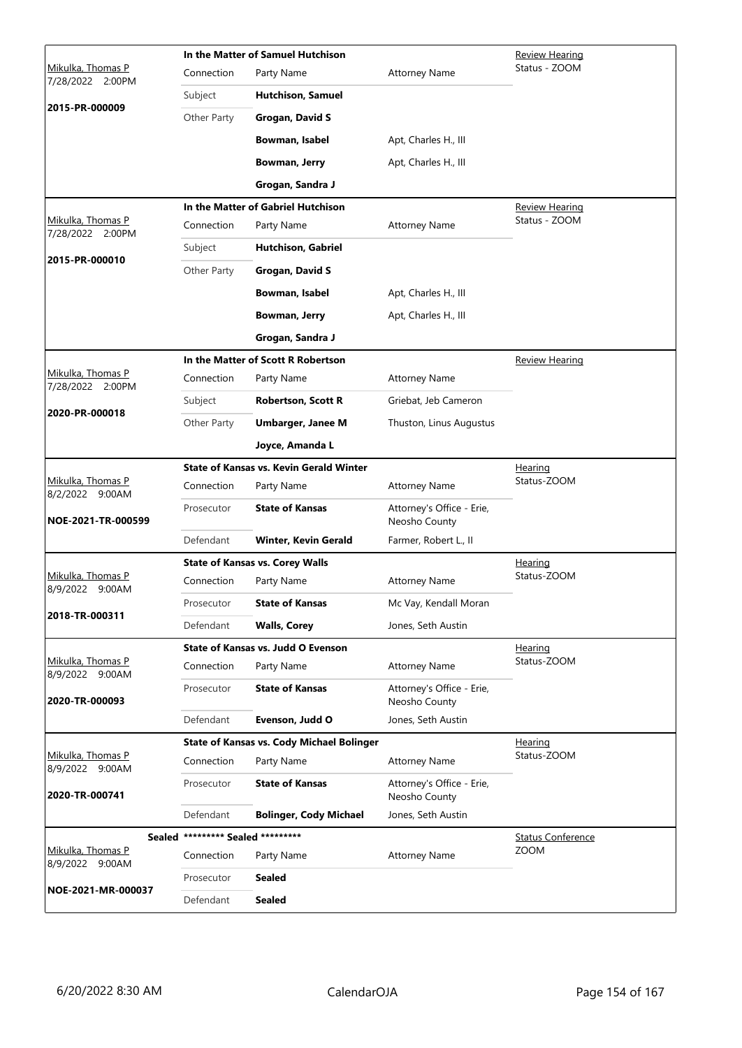|                                       |                                   | In the Matter of Samuel Hutchison                | Review Hearing                             |                          |
|---------------------------------------|-----------------------------------|--------------------------------------------------|--------------------------------------------|--------------------------|
| Mikulka, Thomas P<br>7/28/2022 2:00PM | Connection                        | Party Name                                       | <b>Attorney Name</b>                       | Status - ZOOM            |
|                                       | Subject                           | <b>Hutchison, Samuel</b>                         |                                            |                          |
| 2015-PR-000009                        | Other Party                       | <b>Grogan, David S</b>                           |                                            |                          |
|                                       |                                   | Bowman, Isabel                                   | Apt, Charles H., III                       |                          |
|                                       |                                   | Bowman, Jerry                                    | Apt, Charles H., III                       |                          |
|                                       |                                   | Grogan, Sandra J                                 |                                            |                          |
|                                       |                                   | In the Matter of Gabriel Hutchison               |                                            | <b>Review Hearing</b>    |
| Mikulka, Thomas P<br>7/28/2022 2:00PM | Connection                        | Party Name                                       | <b>Attorney Name</b>                       | Status - ZOOM            |
|                                       | Subject                           | <b>Hutchison, Gabriel</b>                        |                                            |                          |
| 2015-PR-000010                        | Other Party                       | <b>Grogan, David S</b>                           |                                            |                          |
|                                       |                                   | Bowman, Isabel                                   | Apt, Charles H., III                       |                          |
|                                       |                                   | Bowman, Jerry                                    | Apt, Charles H., III                       |                          |
|                                       |                                   | Grogan, Sandra J                                 |                                            |                          |
|                                       |                                   | In the Matter of Scott R Robertson               |                                            | Review Hearing           |
| Mikulka, Thomas P<br>7/28/2022 2:00PM | Connection                        | Party Name                                       | <b>Attorney Name</b>                       |                          |
| 2020-PR-000018                        | Subject                           | <b>Robertson, Scott R</b>                        | Griebat, Jeb Cameron                       |                          |
|                                       | Other Party                       | <b>Umbarger, Janee M</b>                         | Thuston, Linus Augustus                    |                          |
|                                       |                                   | Joyce, Amanda L                                  |                                            |                          |
|                                       |                                   | <b>State of Kansas vs. Kevin Gerald Winter</b>   |                                            | <u>Hearing</u>           |
| Mikulka, Thomas P<br>8/2/2022 9:00AM  | Connection                        | Party Name                                       | <b>Attorney Name</b>                       | Status-ZOOM              |
| NOE-2021-TR-000599                    | Prosecutor                        | <b>State of Kansas</b>                           | Attorney's Office - Erie,<br>Neosho County |                          |
|                                       | Defendant                         | <b>Winter, Kevin Gerald</b>                      | Farmer, Robert L., II                      |                          |
|                                       |                                   | <b>State of Kansas vs. Corey Walls</b>           |                                            | Hearing                  |
| Mikulka, Thomas P<br>8/9/2022 9:00AM  | Connection                        | Party Name                                       | <b>Attorney Name</b>                       | Status-ZOOM              |
| 2018-TR-000311                        | Prosecutor                        | <b>State of Kansas</b>                           | Mc Vay, Kendall Moran                      |                          |
|                                       | Defendant                         | <b>Walls, Corey</b>                              | Jones, Seth Austin                         |                          |
|                                       |                                   | <b>State of Kansas vs. Judd O Evenson</b>        |                                            | Hearing                  |
| Mikulka, Thomas P<br>8/9/2022 9:00AM  | Connection                        | Party Name                                       | <b>Attorney Name</b>                       | Status-ZOOM              |
| 2020-TR-000093                        | Prosecutor                        | <b>State of Kansas</b>                           | Attorney's Office - Erie,<br>Neosho County |                          |
|                                       | Defendant                         | Evenson, Judd O                                  | Jones, Seth Austin                         |                          |
|                                       |                                   | <b>State of Kansas vs. Cody Michael Bolinger</b> |                                            | <u>Hearing</u>           |
| Mikulka, Thomas P<br>8/9/2022 9:00AM  | Connection                        | Party Name                                       | <b>Attorney Name</b>                       | Status-ZOOM              |
| 2020-TR-000741                        | Prosecutor                        | <b>State of Kansas</b>                           | Attorney's Office - Erie,<br>Neosho County |                          |
|                                       | Defendant                         | <b>Bolinger, Cody Michael</b>                    | Jones, Seth Austin                         |                          |
|                                       | Sealed ********* Sealed ********* |                                                  |                                            | <b>Status Conference</b> |
| Mikulka, Thomas P<br>8/9/2022 9:00AM  | Connection                        | Party Name                                       | <b>Attorney Name</b>                       | <b>ZOOM</b>              |
| NOE-2021-MR-000037                    | Prosecutor                        | <b>Sealed</b>                                    |                                            |                          |
|                                       | Defendant                         | <b>Sealed</b>                                    |                                            |                          |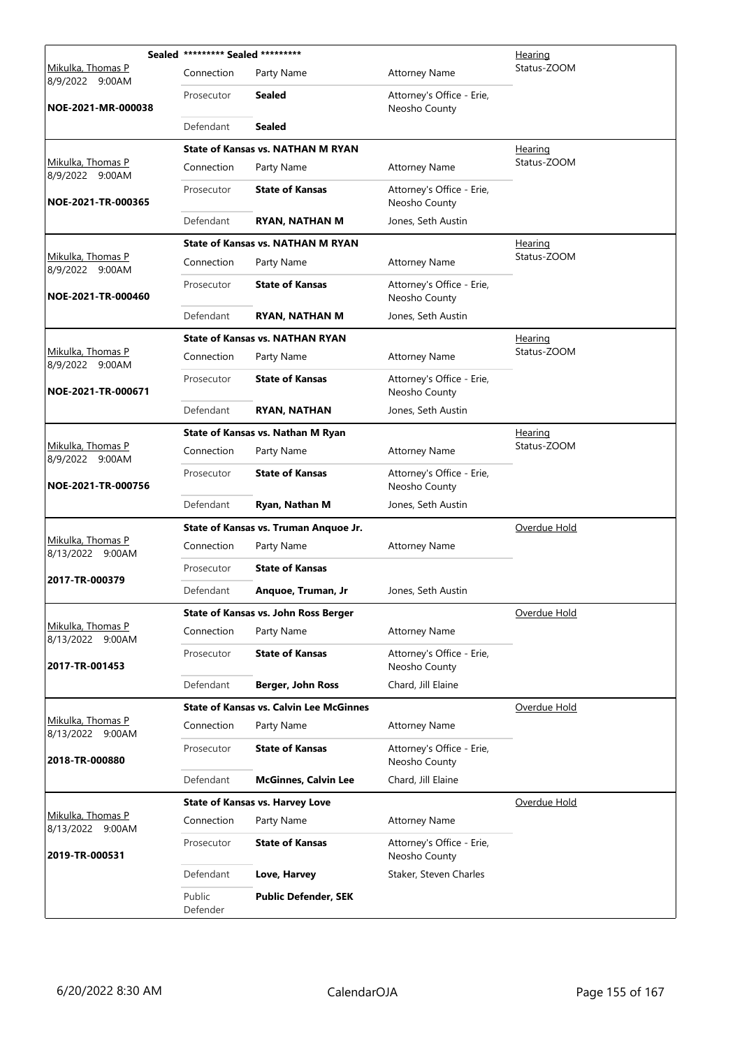|                                       | Sealed ********* Sealed ********* |                                                |                                            | <b>Hearing</b> |
|---------------------------------------|-----------------------------------|------------------------------------------------|--------------------------------------------|----------------|
| Mikulka, Thomas P<br>8/9/2022 9:00AM  | Connection                        | Party Name                                     | <b>Attorney Name</b>                       | Status-ZOOM    |
| NOE-2021-MR-000038                    | Prosecutor                        | <b>Sealed</b>                                  | Attorney's Office - Erie,<br>Neosho County |                |
|                                       | Defendant                         | <b>Sealed</b>                                  |                                            |                |
|                                       |                                   | <b>State of Kansas vs. NATHAN M RYAN</b>       |                                            | Hearing        |
| Mikulka, Thomas P<br>8/9/2022 9:00AM  | Connection                        | Party Name                                     | <b>Attorney Name</b>                       | Status-ZOOM    |
| NOE-2021-TR-000365                    | Prosecutor                        | <b>State of Kansas</b>                         | Attorney's Office - Erie,<br>Neosho County |                |
|                                       | Defendant                         | <b>RYAN, NATHAN M</b>                          | Jones, Seth Austin                         |                |
|                                       |                                   | <b>State of Kansas vs. NATHAN M RYAN</b>       |                                            | <u>Hearing</u> |
| Mikulka, Thomas P<br>8/9/2022 9:00AM  | Connection                        | Party Name                                     | <b>Attorney Name</b>                       | Status-ZOOM    |
| NOE-2021-TR-000460                    | Prosecutor                        | <b>State of Kansas</b>                         | Attorney's Office - Erie,<br>Neosho County |                |
|                                       | Defendant                         | <b>RYAN, NATHAN M</b>                          | Jones, Seth Austin                         |                |
|                                       |                                   | <b>State of Kansas vs. NATHAN RYAN</b>         |                                            | <b>Hearing</b> |
| Mikulka, Thomas P<br>8/9/2022 9:00AM  | Connection                        | Party Name                                     | <b>Attorney Name</b>                       | Status-ZOOM    |
| NOE-2021-TR-000671                    | Prosecutor                        | <b>State of Kansas</b>                         | Attorney's Office - Erie,<br>Neosho County |                |
|                                       | Defendant                         | <b>RYAN, NATHAN</b>                            | Jones, Seth Austin                         |                |
|                                       |                                   | State of Kansas vs. Nathan M Ryan              |                                            | Hearing        |
| Mikulka, Thomas P<br>8/9/2022 9:00AM  | Connection                        | Party Name                                     | <b>Attorney Name</b>                       | Status-ZOOM    |
| NOE-2021-TR-000756                    | Prosecutor                        | <b>State of Kansas</b>                         | Attorney's Office - Erie,<br>Neosho County |                |
|                                       | Defendant                         | Ryan, Nathan M                                 | Jones, Seth Austin                         |                |
|                                       |                                   | State of Kansas vs. Truman Anquoe Jr.          |                                            | Overdue Hold   |
| Mikulka, Thomas P<br>8/13/2022 9:00AM | Connection                        | Party Name                                     | <b>Attorney Name</b>                       |                |
|                                       | Prosecutor                        | <b>State of Kansas</b>                         |                                            |                |
| 2017-TR-000379                        | Defendant                         | Anquoe, Truman, Jr                             | Jones, Seth Austin                         |                |
|                                       |                                   | State of Kansas vs. John Ross Berger           |                                            | Overdue Hold   |
| Mikulka, Thomas P<br>8/13/2022 9:00AM | Connection                        | Party Name                                     | <b>Attorney Name</b>                       |                |
| 2017-TR-001453                        | Prosecutor                        | <b>State of Kansas</b>                         | Attorney's Office - Erie,<br>Neosho County |                |
|                                       | Defendant                         | Berger, John Ross                              | Chard, Jill Elaine                         |                |
|                                       |                                   | <b>State of Kansas vs. Calvin Lee McGinnes</b> |                                            | Overdue Hold   |
| Mikulka, Thomas P<br>8/13/2022 9:00AM | Connection                        | Party Name                                     | <b>Attorney Name</b>                       |                |
| 2018-TR-000880                        | Prosecutor                        | <b>State of Kansas</b>                         | Attorney's Office - Erie,<br>Neosho County |                |
|                                       | Defendant                         | <b>McGinnes, Calvin Lee</b>                    | Chard, Jill Elaine                         |                |
|                                       |                                   | <b>State of Kansas vs. Harvey Love</b>         |                                            | Overdue Hold   |
| Mikulka, Thomas P<br>8/13/2022 9:00AM | Connection                        | Party Name                                     | <b>Attorney Name</b>                       |                |
| 2019-TR-000531                        | Prosecutor                        | <b>State of Kansas</b>                         | Attorney's Office - Erie,<br>Neosho County |                |
|                                       | Defendant                         | Love, Harvey                                   | Staker, Steven Charles                     |                |
|                                       | Public<br>Defender                | <b>Public Defender, SEK</b>                    |                                            |                |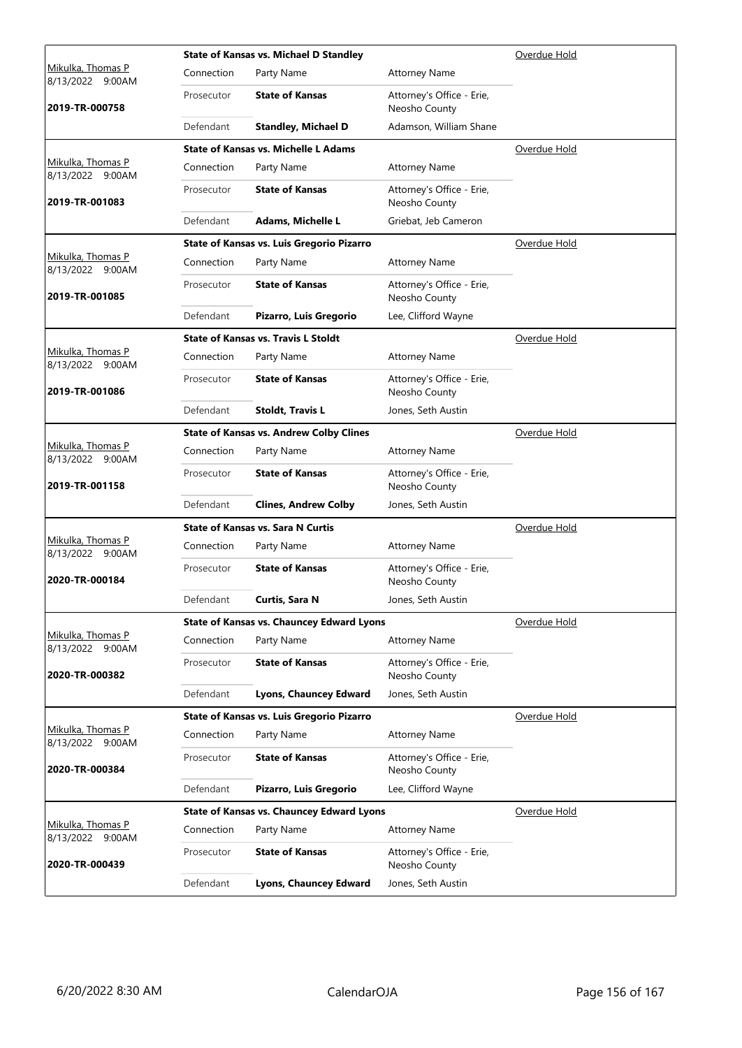|                                       |            | <b>State of Kansas vs. Michael D Standley</b>    |                                            | Overdue Hold |
|---------------------------------------|------------|--------------------------------------------------|--------------------------------------------|--------------|
| Mikulka, Thomas P<br>8/13/2022 9:00AM | Connection | Party Name                                       | <b>Attorney Name</b>                       |              |
| 2019-TR-000758                        | Prosecutor | <b>State of Kansas</b>                           | Attorney's Office - Erie,<br>Neosho County |              |
|                                       | Defendant  | <b>Standley, Michael D</b>                       | Adamson, William Shane                     |              |
|                                       |            | <b>State of Kansas vs. Michelle L Adams</b>      |                                            | Overdue Hold |
| Mikulka, Thomas P<br>8/13/2022 9:00AM | Connection | Party Name                                       | <b>Attorney Name</b>                       |              |
| 2019-TR-001083                        | Prosecutor | <b>State of Kansas</b>                           | Attorney's Office - Erie,<br>Neosho County |              |
|                                       | Defendant  | Adams, Michelle L                                | Griebat, Jeb Cameron                       |              |
|                                       |            | State of Kansas vs. Luis Gregorio Pizarro        |                                            | Overdue Hold |
| Mikulka, Thomas P<br>8/13/2022 9:00AM | Connection | Party Name                                       | <b>Attorney Name</b>                       |              |
| 2019-TR-001085                        | Prosecutor | <b>State of Kansas</b>                           | Attorney's Office - Erie,<br>Neosho County |              |
|                                       | Defendant  | Pizarro, Luis Gregorio                           | Lee, Clifford Wayne                        |              |
|                                       |            | <b>State of Kansas vs. Travis L Stoldt</b>       |                                            | Overdue Hold |
| Mikulka, Thomas P<br>8/13/2022 9:00AM | Connection | Party Name                                       | <b>Attorney Name</b>                       |              |
| 2019-TR-001086                        | Prosecutor | <b>State of Kansas</b>                           | Attorney's Office - Erie,<br>Neosho County |              |
|                                       | Defendant  | <b>Stoldt, Travis L</b>                          | Jones, Seth Austin                         |              |
|                                       |            | <b>State of Kansas vs. Andrew Colby Clines</b>   |                                            | Overdue Hold |
| Mikulka, Thomas P<br>8/13/2022 9:00AM | Connection | Party Name                                       | <b>Attorney Name</b>                       |              |
| 2019-TR-001158                        | Prosecutor | <b>State of Kansas</b>                           | Attorney's Office - Erie,<br>Neosho County |              |
|                                       | Defendant  | <b>Clines, Andrew Colby</b>                      | Jones, Seth Austin                         |              |
|                                       |            | <b>State of Kansas vs. Sara N Curtis</b>         |                                            | Overdue Hold |
| Mikulka, Thomas P<br>8/13/2022 9:00AM | Connection | Party Name                                       | <b>Attorney Name</b>                       |              |
| 2020-TR-000184                        | Prosecutor | <b>State of Kansas</b>                           | Attorney's Office - Erie,<br>Neosho County |              |
|                                       | Defendant  | Curtis, Sara N                                   | Jones, Seth Austin                         |              |
|                                       |            | <b>State of Kansas vs. Chauncey Edward Lyons</b> |                                            | Overdue Hold |
| Mikulka, Thomas P<br>8/13/2022 9:00AM | Connection | Party Name                                       | <b>Attorney Name</b>                       |              |
| 2020-TR-000382                        | Prosecutor | <b>State of Kansas</b>                           | Attorney's Office - Erie,<br>Neosho County |              |
|                                       | Defendant  | Lyons, Chauncey Edward                           | Jones, Seth Austin                         |              |
|                                       |            | <b>State of Kansas vs. Luis Gregorio Pizarro</b> |                                            | Overdue Hold |
| Mikulka, Thomas P<br>8/13/2022 9:00AM | Connection | Party Name                                       | <b>Attorney Name</b>                       |              |
| 2020-TR-000384                        | Prosecutor | <b>State of Kansas</b>                           | Attorney's Office - Erie,<br>Neosho County |              |
|                                       | Defendant  | Pizarro, Luis Gregorio                           | Lee, Clifford Wayne                        |              |
|                                       |            | <b>State of Kansas vs. Chauncey Edward Lyons</b> |                                            | Overdue Hold |
| Mikulka, Thomas P<br>8/13/2022 9:00AM | Connection | Party Name                                       | <b>Attorney Name</b>                       |              |
| 2020-TR-000439                        | Prosecutor | <b>State of Kansas</b>                           | Attorney's Office - Erie,<br>Neosho County |              |
|                                       | Defendant  | Lyons, Chauncey Edward                           | Jones, Seth Austin                         |              |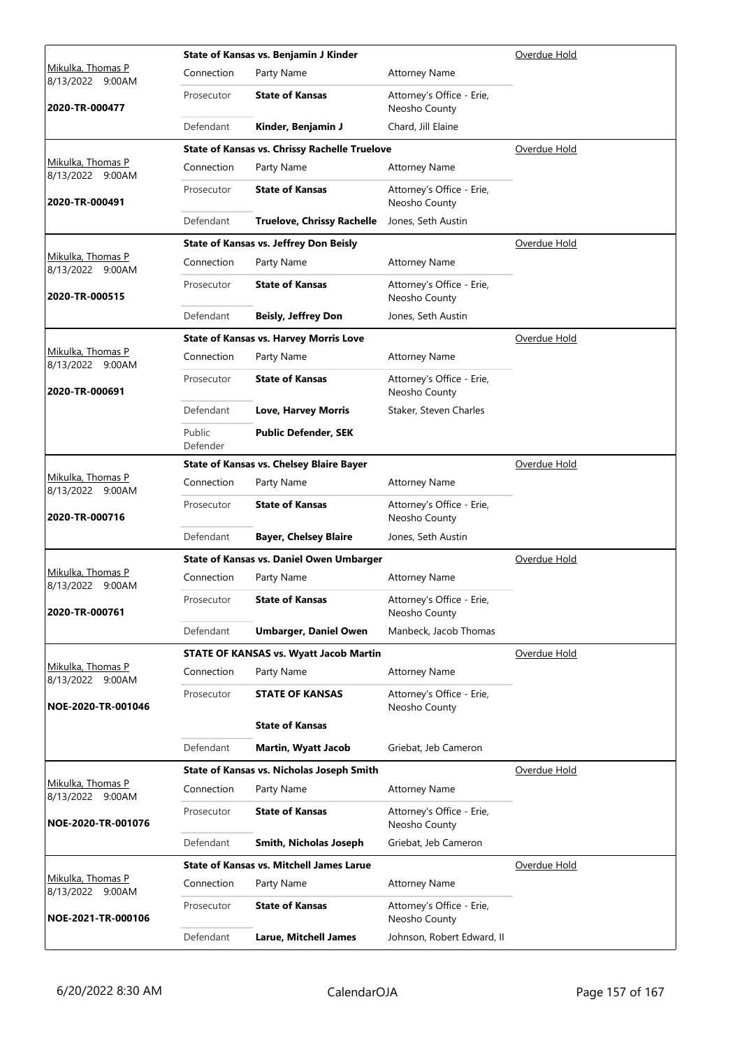|                                       |                    | State of Kansas vs. Benjamin J Kinder                | Overdue Hold                               |              |
|---------------------------------------|--------------------|------------------------------------------------------|--------------------------------------------|--------------|
| Mikulka, Thomas P<br>8/13/2022 9:00AM | Connection         | Party Name                                           | <b>Attorney Name</b>                       |              |
| 2020-TR-000477                        | Prosecutor         | <b>State of Kansas</b>                               | Attorney's Office - Erie,<br>Neosho County |              |
|                                       | Defendant          | Kinder, Benjamin J                                   | Chard, Jill Elaine                         |              |
|                                       |                    | <b>State of Kansas vs. Chrissy Rachelle Truelove</b> |                                            | Overdue Hold |
| Mikulka, Thomas P<br>8/13/2022 9:00AM | Connection         | Party Name                                           | <b>Attorney Name</b>                       |              |
| 2020-TR-000491                        | Prosecutor         | <b>State of Kansas</b>                               | Attorney's Office - Erie,<br>Neosho County |              |
|                                       | Defendant          | <b>Truelove, Chrissy Rachelle</b>                    | Jones, Seth Austin                         |              |
|                                       |                    | <b>State of Kansas vs. Jeffrey Don Beisly</b>        |                                            | Overdue Hold |
| Mikulka, Thomas P<br>8/13/2022 9:00AM | Connection         | Party Name                                           | <b>Attorney Name</b>                       |              |
| 2020-TR-000515                        | Prosecutor         | <b>State of Kansas</b>                               | Attorney's Office - Erie,<br>Neosho County |              |
|                                       | Defendant          | <b>Beisly, Jeffrey Don</b>                           | Jones, Seth Austin                         |              |
|                                       |                    | <b>State of Kansas vs. Harvey Morris Love</b>        |                                            | Overdue Hold |
| Mikulka, Thomas P<br>8/13/2022 9:00AM | Connection         | Party Name                                           | <b>Attorney Name</b>                       |              |
| 2020-TR-000691                        | Prosecutor         | <b>State of Kansas</b>                               | Attorney's Office - Erie,<br>Neosho County |              |
|                                       | Defendant          | <b>Love, Harvey Morris</b>                           | Staker, Steven Charles                     |              |
|                                       | Public<br>Defender | <b>Public Defender, SEK</b>                          |                                            |              |
|                                       |                    | <b>State of Kansas vs. Chelsey Blaire Bayer</b>      |                                            | Overdue Hold |
| Mikulka, Thomas P<br>8/13/2022 9:00AM | Connection         | Party Name                                           | <b>Attorney Name</b>                       |              |
| 2020-TR-000716                        | Prosecutor         | <b>State of Kansas</b>                               | Attorney's Office - Erie,<br>Neosho County |              |
|                                       | Defendant          | <b>Bayer, Chelsey Blaire</b>                         | Jones, Seth Austin                         |              |
|                                       |                    | <b>State of Kansas vs. Daniel Owen Umbarger</b>      |                                            | Overdue Hold |
| Mikulka, Thomas P<br>8/13/2022 9:00AM | Connection         | Party Name                                           | <b>Attorney Name</b>                       |              |
| 2020-TR-000761                        | Prosecutor         | <b>State of Kansas</b>                               | Attorney's Office - Erie,<br>Neosho County |              |
|                                       | Defendant          | <b>Umbarger, Daniel Owen</b>                         | Manbeck, Jacob Thomas                      |              |
|                                       |                    | <b>STATE OF KANSAS vs. Wyatt Jacob Martin</b>        |                                            | Overdue Hold |
| Mikulka, Thomas P<br>8/13/2022 9:00AM | Connection         | Party Name                                           | <b>Attorney Name</b>                       |              |
| NOE-2020-TR-001046                    | Prosecutor         | <b>STATE OF KANSAS</b>                               | Attorney's Office - Erie,<br>Neosho County |              |
|                                       |                    | <b>State of Kansas</b>                               |                                            |              |
|                                       | Defendant          | <b>Martin, Wyatt Jacob</b>                           | Griebat, Jeb Cameron                       |              |
|                                       |                    | State of Kansas vs. Nicholas Joseph Smith            |                                            | Overdue Hold |
| Mikulka, Thomas P<br>8/13/2022 9:00AM | Connection         | Party Name                                           | <b>Attorney Name</b>                       |              |
| NOE-2020-TR-001076                    | Prosecutor         | <b>State of Kansas</b>                               | Attorney's Office - Erie,<br>Neosho County |              |
|                                       | Defendant          | Smith, Nicholas Joseph                               | Griebat, Jeb Cameron                       |              |
|                                       |                    | <b>State of Kansas vs. Mitchell James Larue</b>      |                                            | Overdue Hold |
| Mikulka, Thomas P<br>8/13/2022 9:00AM | Connection         | Party Name                                           | <b>Attorney Name</b>                       |              |
| NOE-2021-TR-000106                    | Prosecutor         | <b>State of Kansas</b>                               | Attorney's Office - Erie,<br>Neosho County |              |
|                                       | Defendant          | <b>Larue, Mitchell James</b>                         | Johnson, Robert Edward, II                 |              |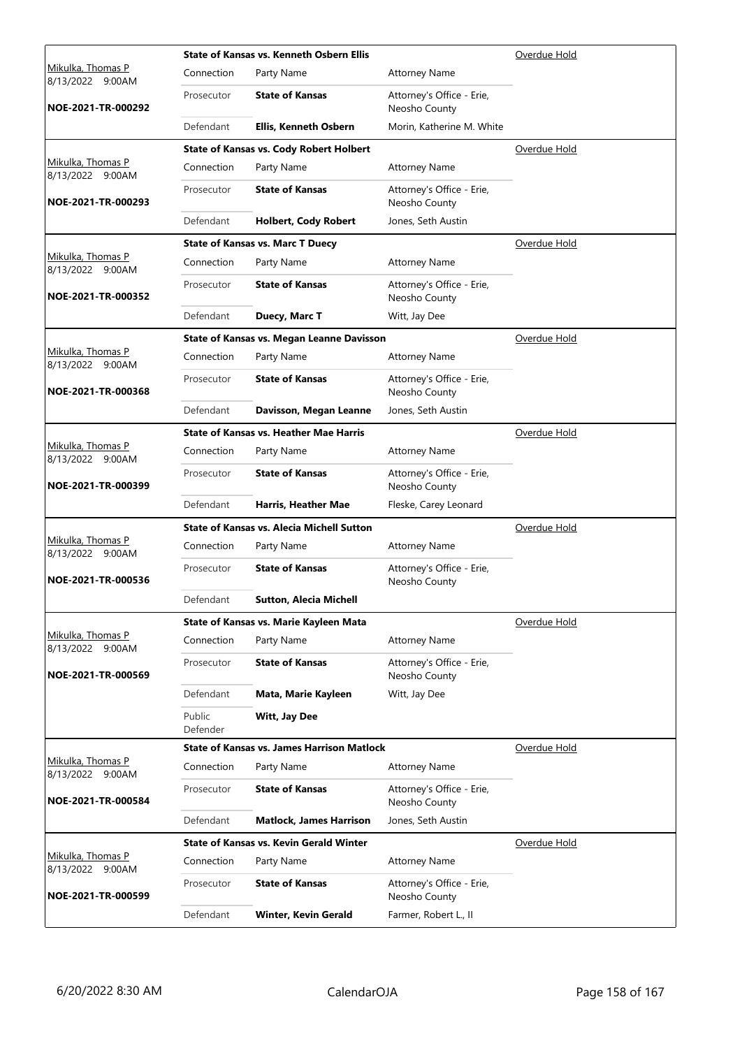|                                              |                    | State of Kansas vs. Kenneth Osbern Ellis          |                                            | Overdue Hold        |
|----------------------------------------------|--------------------|---------------------------------------------------|--------------------------------------------|---------------------|
| <u>Mikulka, Thomas P</u><br>8/13/2022 9:00AM | Connection         | Party Name                                        | <b>Attorney Name</b>                       |                     |
| NOE-2021-TR-000292                           | Prosecutor         | <b>State of Kansas</b>                            | Attorney's Office - Erie,<br>Neosho County |                     |
|                                              | Defendant          | Ellis, Kenneth Osbern                             | Morin, Katherine M. White                  |                     |
|                                              |                    | <b>State of Kansas vs. Cody Robert Holbert</b>    |                                            | Overdue Hold        |
| Mikulka, Thomas P<br>8/13/2022 9:00AM        | Connection         | Party Name                                        | <b>Attorney Name</b>                       |                     |
| NOE-2021-TR-000293                           | Prosecutor         | <b>State of Kansas</b>                            | Attorney's Office - Erie,<br>Neosho County |                     |
|                                              | Defendant          | <b>Holbert, Cody Robert</b>                       | Jones, Seth Austin                         |                     |
|                                              |                    | <b>State of Kansas vs. Marc T Duecy</b>           |                                            | <u>Overdue Hold</u> |
| Mikulka, Thomas P<br>8/13/2022 9:00AM        | Connection         | Party Name                                        | <b>Attorney Name</b>                       |                     |
| NOE-2021-TR-000352                           | Prosecutor         | <b>State of Kansas</b>                            | Attorney's Office - Erie,<br>Neosho County |                     |
|                                              | Defendant          | Duecy, Marc T                                     | Witt, Jay Dee                              |                     |
|                                              |                    | <b>State of Kansas vs. Megan Leanne Davisson</b>  |                                            | Overdue Hold        |
| <u>Mikulka, Thomas P</u><br>8/13/2022 9:00AM | Connection         | Party Name                                        | <b>Attorney Name</b>                       |                     |
| NOE-2021-TR-000368                           | Prosecutor         | <b>State of Kansas</b>                            | Attorney's Office - Erie,<br>Neosho County |                     |
|                                              | Defendant          | Davisson, Megan Leanne                            | Jones, Seth Austin                         |                     |
|                                              |                    | <b>State of Kansas vs. Heather Mae Harris</b>     |                                            | Overdue Hold        |
| Mikulka, Thomas P<br>8/13/2022 9:00AM        | Connection         | Party Name                                        | <b>Attorney Name</b>                       |                     |
| NOE-2021-TR-000399                           | Prosecutor         | <b>State of Kansas</b>                            | Attorney's Office - Erie,<br>Neosho County |                     |
|                                              | Defendant          | Harris, Heather Mae                               | Fleske, Carey Leonard                      |                     |
|                                              |                    | <b>State of Kansas vs. Alecia Michell Sutton</b>  |                                            | Overdue Hold        |
| Mikulka, Thomas P<br>8/13/2022 9:00AM        | Connection         | Party Name                                        | <b>Attorney Name</b>                       |                     |
| NOE-2021-TR-000536                           | Prosecutor         | <b>State of Kansas</b>                            | Attorney's Office - Erie,<br>Neosho County |                     |
|                                              | Defendant          | Sutton, Alecia Michell                            |                                            |                     |
|                                              |                    | State of Kansas vs. Marie Kayleen Mata            |                                            | Overdue Hold        |
| Mikulka, Thomas P<br>8/13/2022 9:00AM        | Connection         | Party Name                                        | <b>Attorney Name</b>                       |                     |
| NOE-2021-TR-000569                           | Prosecutor         | <b>State of Kansas</b>                            | Attorney's Office - Erie,<br>Neosho County |                     |
|                                              | Defendant          | Mata, Marie Kayleen                               | Witt, Jay Dee                              |                     |
|                                              | Public<br>Defender | Witt, Jay Dee                                     |                                            |                     |
|                                              |                    | <b>State of Kansas vs. James Harrison Matlock</b> |                                            | Overdue Hold        |
| Mikulka, Thomas P<br>8/13/2022 9:00AM        | Connection         | Party Name                                        | <b>Attorney Name</b>                       |                     |
| NOE-2021-TR-000584                           | Prosecutor         | <b>State of Kansas</b>                            | Attorney's Office - Erie,<br>Neosho County |                     |
|                                              | Defendant          | <b>Matlock, James Harrison</b>                    | Jones, Seth Austin                         |                     |
|                                              |                    | <b>State of Kansas vs. Kevin Gerald Winter</b>    |                                            | Overdue Hold        |
| Mikulka, Thomas P<br>8/13/2022 9:00AM        | Connection         | Party Name                                        | <b>Attorney Name</b>                       |                     |
| NOE-2021-TR-000599                           | Prosecutor         | <b>State of Kansas</b>                            | Attorney's Office - Erie,<br>Neosho County |                     |
|                                              | Defendant          | <b>Winter, Kevin Gerald</b>                       | Farmer, Robert L., II                      |                     |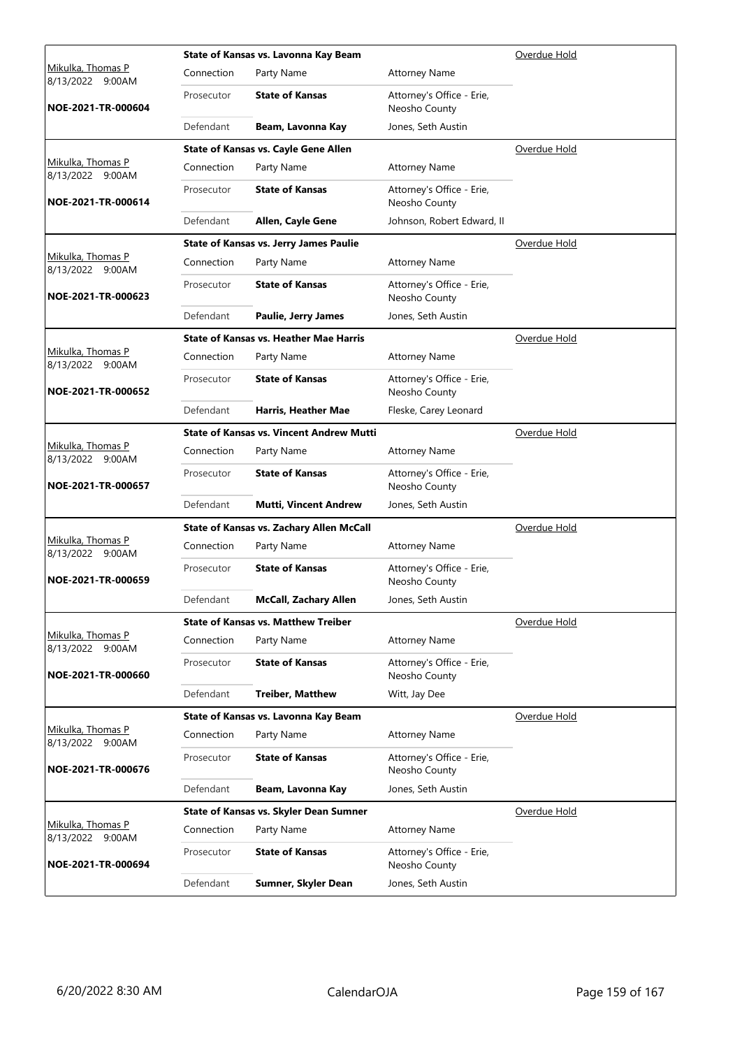|                                              |            | State of Kansas vs. Lavonna Kay Beam            | Overdue Hold                               |                     |
|----------------------------------------------|------------|-------------------------------------------------|--------------------------------------------|---------------------|
| <u>Mikulka, Thomas P</u><br>8/13/2022 9:00AM | Connection | Party Name                                      | <b>Attorney Name</b>                       |                     |
| NOE-2021-TR-000604                           | Prosecutor | <b>State of Kansas</b>                          | Attorney's Office - Erie,<br>Neosho County |                     |
|                                              | Defendant  | Beam, Lavonna Kay                               | Jones, Seth Austin                         |                     |
|                                              |            | <b>State of Kansas vs. Cayle Gene Allen</b>     |                                            | Overdue Hold        |
| Mikulka, Thomas P<br>8/13/2022 9:00AM        | Connection | Party Name                                      | <b>Attorney Name</b>                       |                     |
| NOE-2021-TR-000614                           | Prosecutor | <b>State of Kansas</b>                          | Attorney's Office - Erie,<br>Neosho County |                     |
|                                              | Defendant  | Allen, Cayle Gene                               | Johnson, Robert Edward, II                 |                     |
|                                              |            | <b>State of Kansas vs. Jerry James Paulie</b>   |                                            | <u>Overdue Hold</u> |
| Mikulka, Thomas P<br>8/13/2022 9:00AM        | Connection | Party Name                                      | <b>Attorney Name</b>                       |                     |
| NOE-2021-TR-000623                           | Prosecutor | <b>State of Kansas</b>                          | Attorney's Office - Erie,<br>Neosho County |                     |
|                                              | Defendant  | <b>Paulie, Jerry James</b>                      | Jones, Seth Austin                         |                     |
|                                              |            | <b>State of Kansas vs. Heather Mae Harris</b>   |                                            | Overdue Hold        |
| <u>Mikulka, Thomas P</u><br>8/13/2022 9:00AM | Connection | Party Name                                      | <b>Attorney Name</b>                       |                     |
| NOE-2021-TR-000652                           | Prosecutor | <b>State of Kansas</b>                          | Attorney's Office - Erie,<br>Neosho County |                     |
|                                              | Defendant  | Harris, Heather Mae                             | Fleske, Carey Leonard                      |                     |
|                                              |            | <b>State of Kansas vs. Vincent Andrew Mutti</b> |                                            | Overdue Hold        |
| Mikulka, Thomas P<br>8/13/2022 9:00AM        | Connection | Party Name                                      | <b>Attorney Name</b>                       |                     |
| NOE-2021-TR-000657                           | Prosecutor | <b>State of Kansas</b>                          | Attorney's Office - Erie,<br>Neosho County |                     |
|                                              | Defendant  | <b>Mutti, Vincent Andrew</b>                    | Jones, Seth Austin                         |                     |
|                                              |            | State of Kansas vs. Zachary Allen McCall        |                                            | Overdue Hold        |
| Mikulka, Thomas P<br>8/13/2022 9:00AM        | Connection | Party Name                                      | <b>Attorney Name</b>                       |                     |
| NOE-2021-TR-000659                           | Prosecutor | <b>State of Kansas</b>                          | Attorney's Office - Erie,<br>Neosho County |                     |
|                                              | Defendant  | <b>McCall, Zachary Allen</b>                    | Jones, Seth Austin                         |                     |
|                                              |            | <b>State of Kansas vs. Matthew Treiber</b>      |                                            | Overdue Hold        |
| Mikulka, Thomas P<br>8/13/2022 9:00AM        | Connection | Party Name                                      | <b>Attorney Name</b>                       |                     |
| NOE-2021-TR-000660                           | Prosecutor | <b>State of Kansas</b>                          | Attorney's Office - Erie,<br>Neosho County |                     |
|                                              | Defendant  | <b>Treiber, Matthew</b>                         | Witt, Jay Dee                              |                     |
|                                              |            | State of Kansas vs. Lavonna Kay Beam            |                                            | Overdue Hold        |
| Mikulka, Thomas P<br>8/13/2022 9:00AM        | Connection | Party Name                                      | <b>Attorney Name</b>                       |                     |
| NOE-2021-TR-000676                           | Prosecutor | <b>State of Kansas</b>                          | Attorney's Office - Erie,<br>Neosho County |                     |
|                                              | Defendant  | Beam, Lavonna Kay                               | Jones, Seth Austin                         |                     |
|                                              |            | State of Kansas vs. Skyler Dean Sumner          |                                            | Overdue Hold        |
| Mikulka, Thomas P<br>8/13/2022 9:00AM        | Connection | Party Name                                      | <b>Attorney Name</b>                       |                     |
| NOE-2021-TR-000694                           | Prosecutor | <b>State of Kansas</b>                          | Attorney's Office - Erie,<br>Neosho County |                     |
|                                              | Defendant  | Sumner, Skyler Dean                             | Jones, Seth Austin                         |                     |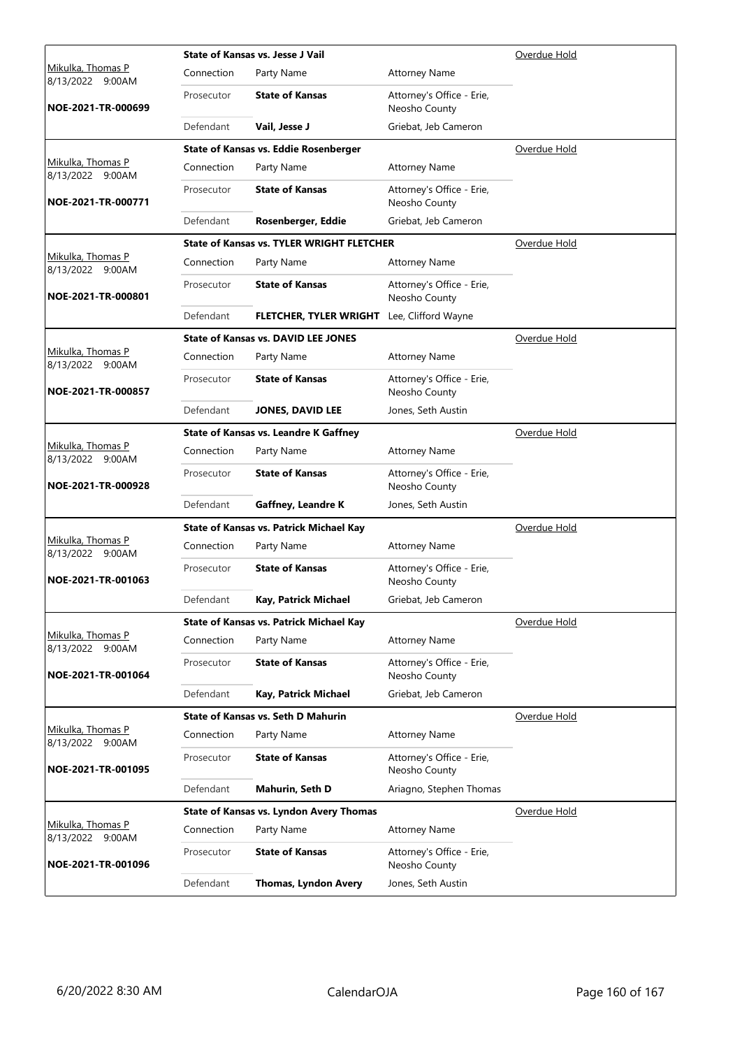|                                              |            | <b>State of Kansas vs. Jesse J Vail</b>          | Overdue Hold                               |                     |
|----------------------------------------------|------------|--------------------------------------------------|--------------------------------------------|---------------------|
| <u>Mikulka, Thomas P</u><br>8/13/2022 9:00AM | Connection | Party Name                                       | <b>Attorney Name</b>                       |                     |
| NOE-2021-TR-000699                           | Prosecutor | <b>State of Kansas</b>                           | Attorney's Office - Erie,<br>Neosho County |                     |
|                                              | Defendant  | Vail, Jesse J                                    | Griebat, Jeb Cameron                       |                     |
|                                              |            | State of Kansas vs. Eddie Rosenberger            |                                            | Overdue Hold        |
| Mikulka, Thomas P<br>8/13/2022 9:00AM        | Connection | Party Name                                       | <b>Attorney Name</b>                       |                     |
| NOE-2021-TR-000771                           | Prosecutor | <b>State of Kansas</b>                           | Attorney's Office - Erie,<br>Neosho County |                     |
|                                              | Defendant  | Rosenberger, Eddie                               | Griebat, Jeb Cameron                       |                     |
|                                              |            | <b>State of Kansas vs. TYLER WRIGHT FLETCHER</b> |                                            | <u>Overdue Hold</u> |
| Mikulka, Thomas P<br>8/13/2022 9:00AM        | Connection | Party Name                                       | <b>Attorney Name</b>                       |                     |
| NOE-2021-TR-000801                           | Prosecutor | <b>State of Kansas</b>                           | Attorney's Office - Erie,<br>Neosho County |                     |
|                                              | Defendant  | FLETCHER, TYLER WRIGHT Lee, Clifford Wayne       |                                            |                     |
|                                              |            | <b>State of Kansas vs. DAVID LEE JONES</b>       |                                            | Overdue Hold        |
| Mikulka, Thomas P<br>8/13/2022 9:00AM        | Connection | Party Name                                       | <b>Attorney Name</b>                       |                     |
| NOE-2021-TR-000857                           | Prosecutor | <b>State of Kansas</b>                           | Attorney's Office - Erie,<br>Neosho County |                     |
|                                              | Defendant  | <b>JONES, DAVID LEE</b>                          | Jones, Seth Austin                         |                     |
|                                              |            | <b>State of Kansas vs. Leandre K Gaffney</b>     |                                            | Overdue Hold        |
| Mikulka, Thomas P<br>8/13/2022 9:00AM        | Connection | Party Name                                       | <b>Attorney Name</b>                       |                     |
| NOE-2021-TR-000928                           | Prosecutor | <b>State of Kansas</b>                           | Attorney's Office - Erie,<br>Neosho County |                     |
|                                              | Defendant  | Gaffney, Leandre K                               | Jones, Seth Austin                         |                     |
|                                              |            | <b>State of Kansas vs. Patrick Michael Kay</b>   |                                            | Overdue Hold        |
| Mikulka, Thomas P<br>8/13/2022 9:00AM        | Connection | Party Name                                       | <b>Attorney Name</b>                       |                     |
| NOE-2021-TR-001063                           | Prosecutor | <b>State of Kansas</b>                           | Attorney's Office - Erie,<br>Neosho County |                     |
|                                              | Defendant  | Kay, Patrick Michael                             | Griebat, Jeb Cameron                       |                     |
|                                              |            | <b>State of Kansas vs. Patrick Michael Kay</b>   |                                            | Overdue Hold        |
| Mikulka, Thomas P<br>8/13/2022 9:00AM        | Connection | Party Name                                       | <b>Attorney Name</b>                       |                     |
| NOE-2021-TR-001064                           | Prosecutor | <b>State of Kansas</b>                           | Attorney's Office - Erie,<br>Neosho County |                     |
|                                              | Defendant  | Kay, Patrick Michael                             | Griebat, Jeb Cameron                       |                     |
|                                              |            | <b>State of Kansas vs. Seth D Mahurin</b>        |                                            | Overdue Hold        |
| Mikulka, Thomas P<br>8/13/2022 9:00AM        | Connection | Party Name                                       | <b>Attorney Name</b>                       |                     |
| NOE-2021-TR-001095                           | Prosecutor | <b>State of Kansas</b>                           | Attorney's Office - Erie,<br>Neosho County |                     |
|                                              | Defendant  | Mahurin, Seth D                                  | Ariagno, Stephen Thomas                    |                     |
|                                              |            | <b>State of Kansas vs. Lyndon Avery Thomas</b>   |                                            | Overdue Hold        |
| Mikulka, Thomas P<br>8/13/2022 9:00AM        | Connection | Party Name                                       | <b>Attorney Name</b>                       |                     |
| NOE-2021-TR-001096                           | Prosecutor | <b>State of Kansas</b>                           | Attorney's Office - Erie,<br>Neosho County |                     |
|                                              | Defendant  | <b>Thomas, Lyndon Avery</b>                      | Jones, Seth Austin                         |                     |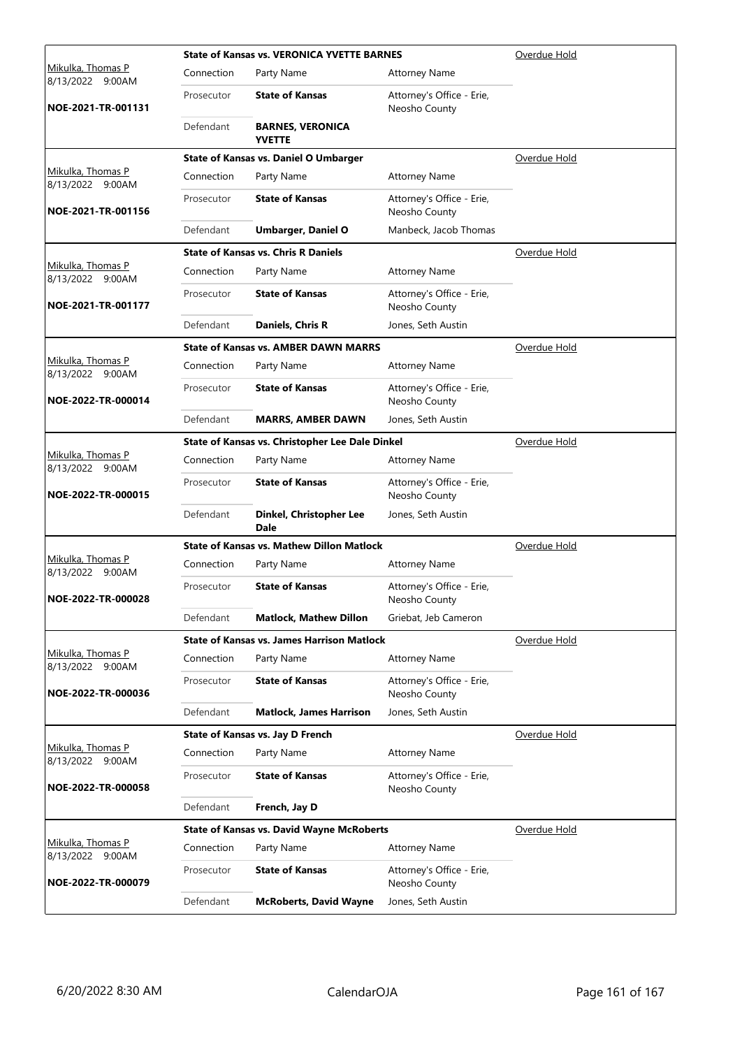|                                                 |            | <b>State of Kansas vs. VERONICA YVETTE BARNES</b> | Overdue Hold                               |                     |
|-------------------------------------------------|------------|---------------------------------------------------|--------------------------------------------|---------------------|
| <u>Mikulka, Thomas P</u><br>8/13/2022<br>9:00AM | Connection | Party Name                                        | <b>Attorney Name</b>                       |                     |
| NOE-2021-TR-001131                              | Prosecutor | <b>State of Kansas</b>                            | Attorney's Office - Erie,<br>Neosho County |                     |
|                                                 | Defendant  | <b>BARNES, VERONICA</b><br><b>YVETTE</b>          |                                            |                     |
|                                                 |            | State of Kansas vs. Daniel O Umbarger             |                                            | Overdue Hold        |
| Mikulka, Thomas P<br>8/13/2022 9:00AM           | Connection | Party Name                                        | <b>Attorney Name</b>                       |                     |
| NOE-2021-TR-001156                              | Prosecutor | <b>State of Kansas</b>                            | Attorney's Office - Erie,<br>Neosho County |                     |
|                                                 | Defendant  | <b>Umbarger, Daniel O</b>                         | Manbeck, Jacob Thomas                      |                     |
|                                                 |            | <b>State of Kansas vs. Chris R Daniels</b>        |                                            | Overdue Hold        |
| Mikulka, Thomas P<br>8/13/2022 9:00AM           | Connection | Party Name                                        | <b>Attorney Name</b>                       |                     |
| NOE-2021-TR-001177                              | Prosecutor | <b>State of Kansas</b>                            | Attorney's Office - Erie,<br>Neosho County |                     |
|                                                 | Defendant  | Daniels, Chris R                                  | Jones, Seth Austin                         |                     |
|                                                 |            | <b>State of Kansas vs. AMBER DAWN MARRS</b>       |                                            | Overdue Hold        |
| Mikulka, Thomas P<br>8/13/2022 9:00AM           | Connection | Party Name                                        | <b>Attorney Name</b>                       |                     |
| NOE-2022-TR-000014                              | Prosecutor | <b>State of Kansas</b>                            | Attorney's Office - Erie,<br>Neosho County |                     |
|                                                 | Defendant  | <b>MARRS, AMBER DAWN</b>                          | Jones, Seth Austin                         |                     |
|                                                 |            | State of Kansas vs. Christopher Lee Dale Dinkel   |                                            | Overdue Hold        |
| Mikulka, Thomas P<br>8/13/2022 9:00AM           | Connection | Party Name                                        | <b>Attorney Name</b>                       |                     |
| NOE-2022-TR-000015                              | Prosecutor | <b>State of Kansas</b>                            | Attorney's Office - Erie,<br>Neosho County |                     |
|                                                 | Defendant  | Dinkel, Christopher Lee<br><b>Dale</b>            | Jones, Seth Austin                         |                     |
|                                                 |            | <b>State of Kansas vs. Mathew Dillon Matlock</b>  |                                            | Overdue Hold        |
| Mikulka, Thomas P<br>8/13/2022 9:00AM           | Connection | Party Name                                        | <b>Attorney Name</b>                       |                     |
| NOE-2022-TR-000028                              | Prosecutor | <b>State of Kansas</b>                            | Attorney's Office - Erie,<br>Neosho County |                     |
|                                                 | Defendant  | <b>Matlock, Mathew Dillon</b>                     | Griebat, Jeb Cameron                       |                     |
|                                                 |            | <b>State of Kansas vs. James Harrison Matlock</b> |                                            | Overdue Hold        |
| Mikulka, Thomas P<br>8/13/2022 9:00AM           | Connection | Party Name                                        | <b>Attorney Name</b>                       |                     |
| NOE-2022-TR-000036                              | Prosecutor | <b>State of Kansas</b>                            | Attorney's Office - Erie,<br>Neosho County |                     |
|                                                 | Defendant  | <b>Matlock, James Harrison</b>                    | Jones, Seth Austin                         |                     |
|                                                 |            | <b>State of Kansas vs. Jay D French</b>           |                                            | <u>Overdue Hold</u> |
| Mikulka, Thomas P<br>8/13/2022<br>9:00AM        | Connection | Party Name                                        | <b>Attorney Name</b>                       |                     |
| NOE-2022-TR-000058                              | Prosecutor | <b>State of Kansas</b>                            | Attorney's Office - Erie,<br>Neosho County |                     |
|                                                 | Defendant  | French, Jay D                                     |                                            |                     |
|                                                 |            | <b>State of Kansas vs. David Wayne McRoberts</b>  |                                            | Overdue Hold        |
| Mikulka, Thomas P<br>8/13/2022 9:00AM           | Connection | Party Name                                        | <b>Attorney Name</b>                       |                     |
| NOE-2022-TR-000079                              | Prosecutor | <b>State of Kansas</b>                            | Attorney's Office - Erie,<br>Neosho County |                     |
|                                                 | Defendant  | <b>McRoberts, David Wayne</b>                     | Jones, Seth Austin                         |                     |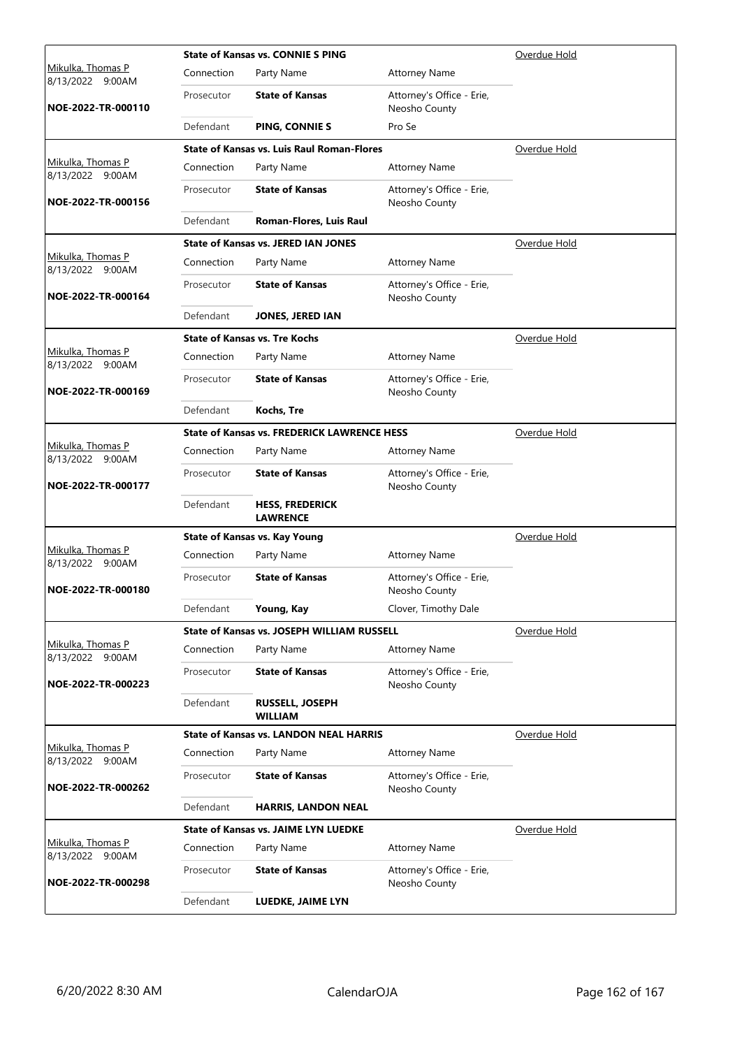|                                          |            | <b>State of Kansas vs. CONNIE S PING</b>           | Overdue Hold                               |                     |
|------------------------------------------|------------|----------------------------------------------------|--------------------------------------------|---------------------|
| Mikulka, Thomas P<br>8/13/2022<br>9:00AM | Connection | Party Name                                         | <b>Attorney Name</b>                       |                     |
| NOE-2022-TR-000110                       | Prosecutor | <b>State of Kansas</b>                             | Attorney's Office - Erie,<br>Neosho County |                     |
|                                          | Defendant  | PING, CONNIE S                                     | Pro Se                                     |                     |
|                                          |            | <b>State of Kansas vs. Luis Raul Roman-Flores</b>  |                                            | Overdue Hold        |
| Mikulka, Thomas P<br>8/13/2022 9:00AM    | Connection | Party Name                                         | <b>Attorney Name</b>                       |                     |
| NOE-2022-TR-000156                       | Prosecutor | <b>State of Kansas</b>                             | Attorney's Office - Erie,<br>Neosho County |                     |
|                                          | Defendant  | Roman-Flores, Luis Raul                            |                                            |                     |
|                                          |            | <b>State of Kansas vs. JERED IAN JONES</b>         |                                            | Overdue Hold        |
| Mikulka, Thomas P<br>8/13/2022 9:00AM    | Connection | Party Name                                         | <b>Attorney Name</b>                       |                     |
| NOE-2022-TR-000164                       | Prosecutor | <b>State of Kansas</b>                             | Attorney's Office - Erie,<br>Neosho County |                     |
|                                          | Defendant  | <b>JONES, JERED IAN</b>                            |                                            |                     |
|                                          |            | <b>State of Kansas vs. Tre Kochs</b>               |                                            | Overdue Hold        |
| Mikulka, Thomas P<br>8/13/2022 9:00AM    | Connection | Party Name                                         | <b>Attorney Name</b>                       |                     |
| NOE-2022-TR-000169                       | Prosecutor | <b>State of Kansas</b>                             | Attorney's Office - Erie,<br>Neosho County |                     |
|                                          | Defendant  | Kochs, Tre                                         |                                            |                     |
|                                          |            | <b>State of Kansas vs. FREDERICK LAWRENCE HESS</b> |                                            | Overdue Hold        |
| Mikulka, Thomas P<br>8/13/2022 9:00AM    | Connection | Party Name                                         | <b>Attorney Name</b>                       |                     |
| NOE-2022-TR-000177                       | Prosecutor | <b>State of Kansas</b>                             | Attorney's Office - Erie,<br>Neosho County |                     |
|                                          | Defendant  | <b>HESS, FREDERICK</b><br><b>LAWRENCE</b>          |                                            |                     |
|                                          |            | <b>State of Kansas vs. Kay Young</b>               |                                            | Overdue Hold        |
| Mikulka, Thomas P<br>8/13/2022 9:00AM    | Connection | Party Name                                         | <b>Attorney Name</b>                       |                     |
| NOE-2022-TR-000180                       | Prosecutor | <b>State of Kansas</b>                             | Attorney's Office - Erie,<br>Neosho County |                     |
|                                          | Defendant  | Young, Kay                                         | Clover, Timothy Dale                       |                     |
|                                          |            | <b>State of Kansas vs. JOSEPH WILLIAM RUSSELL</b>  |                                            | Overdue Hold        |
| Mikulka, Thomas P<br>8/13/2022 9:00AM    | Connection | Party Name                                         | <b>Attorney Name</b>                       |                     |
| NOE-2022-TR-000223                       | Prosecutor | <b>State of Kansas</b>                             | Attorney's Office - Erie,<br>Neosho County |                     |
|                                          | Defendant  | <b>RUSSELL, JOSEPH</b><br><b>WILLIAM</b>           |                                            |                     |
|                                          |            | <b>State of Kansas vs. LANDON NEAL HARRIS</b>      |                                            | <u>Overdue Hold</u> |
| Mikulka, Thomas P<br>8/13/2022 9:00AM    | Connection | Party Name                                         | <b>Attorney Name</b>                       |                     |
| NOE-2022-TR-000262                       | Prosecutor | <b>State of Kansas</b>                             | Attorney's Office - Erie,<br>Neosho County |                     |
|                                          | Defendant  | <b>HARRIS, LANDON NEAL</b>                         |                                            |                     |
|                                          |            | <b>State of Kansas vs. JAIME LYN LUEDKE</b>        |                                            | Overdue Hold        |
| Mikulka, Thomas P<br>8/13/2022 9:00AM    | Connection | Party Name                                         | <b>Attorney Name</b>                       |                     |
| NOE-2022-TR-000298                       | Prosecutor | <b>State of Kansas</b>                             | Attorney's Office - Erie,<br>Neosho County |                     |
|                                          | Defendant  | LUEDKE, JAIME LYN                                  |                                            |                     |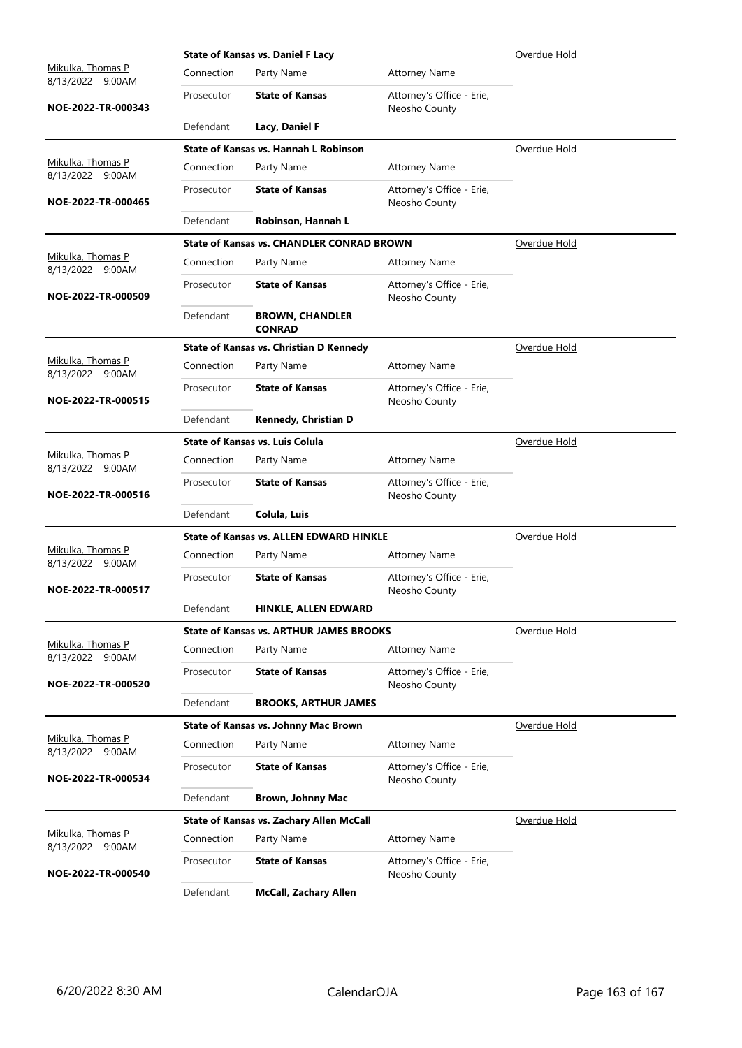|                                       |            | <b>State of Kansas vs. Daniel F Lacy</b>         | Overdue Hold                               |              |
|---------------------------------------|------------|--------------------------------------------------|--------------------------------------------|--------------|
| Mikulka, Thomas P<br>8/13/2022 9:00AM | Connection | Party Name                                       | <b>Attorney Name</b>                       |              |
| NOE-2022-TR-000343                    | Prosecutor | <b>State of Kansas</b>                           | Attorney's Office - Erie,<br>Neosho County |              |
|                                       | Defendant  | Lacy, Daniel F                                   |                                            |              |
|                                       |            | <b>State of Kansas vs. Hannah L Robinson</b>     |                                            | Overdue Hold |
| Mikulka, Thomas P<br>8/13/2022 9:00AM | Connection | Party Name                                       | <b>Attorney Name</b>                       |              |
| NOE-2022-TR-000465                    | Prosecutor | <b>State of Kansas</b>                           | Attorney's Office - Erie,<br>Neosho County |              |
|                                       | Defendant  | Robinson, Hannah L                               |                                            |              |
|                                       |            | <b>State of Kansas vs. CHANDLER CONRAD BROWN</b> |                                            | Overdue Hold |
| Mikulka, Thomas P<br>8/13/2022 9:00AM | Connection | Party Name                                       | <b>Attorney Name</b>                       |              |
| NOE-2022-TR-000509                    | Prosecutor | <b>State of Kansas</b>                           | Attorney's Office - Erie,<br>Neosho County |              |
|                                       | Defendant  | <b>BROWN, CHANDLER</b><br><b>CONRAD</b>          |                                            |              |
|                                       |            | <b>State of Kansas vs. Christian D Kennedy</b>   |                                            | Overdue Hold |
| Mikulka, Thomas P<br>8/13/2022 9:00AM | Connection | Party Name                                       | <b>Attorney Name</b>                       |              |
| NOE-2022-TR-000515                    | Prosecutor | <b>State of Kansas</b>                           | Attorney's Office - Erie,<br>Neosho County |              |
|                                       | Defendant  | Kennedy, Christian D                             |                                            |              |
|                                       |            | <b>State of Kansas vs. Luis Colula</b>           |                                            | Overdue Hold |
| Mikulka, Thomas P<br>8/13/2022 9:00AM | Connection | Party Name                                       | <b>Attorney Name</b>                       |              |
| NOE-2022-TR-000516                    | Prosecutor | <b>State of Kansas</b>                           | Attorney's Office - Erie,<br>Neosho County |              |
|                                       | Defendant  | Colula, Luis                                     |                                            |              |
|                                       |            | <b>State of Kansas vs. ALLEN EDWARD HINKLE</b>   |                                            | Overdue Hold |
| Mikulka, Thomas P<br>8/13/2022 9:00AM | Connection | Party Name                                       | <b>Attorney Name</b>                       |              |
| NOE-2022-TR-000517                    | Prosecutor | <b>State of Kansas</b>                           | Attorney's Office - Erie,<br>Neosho County |              |
|                                       | Defendant  | HINKLE, ALLEN EDWARD                             |                                            |              |
|                                       |            | <b>State of Kansas vs. ARTHUR JAMES BROOKS</b>   |                                            | Overdue Hold |
| Mikulka, Thomas P<br>8/13/2022 9:00AM | Connection | Party Name                                       | <b>Attorney Name</b>                       |              |
| NOE-2022-TR-000520                    | Prosecutor | <b>State of Kansas</b>                           | Attorney's Office - Erie,<br>Neosho County |              |
|                                       | Defendant  | <b>BROOKS, ARTHUR JAMES</b>                      |                                            |              |
|                                       |            | State of Kansas vs. Johnny Mac Brown             |                                            | Overdue Hold |
| Mikulka, Thomas P<br>8/13/2022 9:00AM | Connection | Party Name                                       | <b>Attorney Name</b>                       |              |
| NOE-2022-TR-000534                    | Prosecutor | <b>State of Kansas</b>                           | Attorney's Office - Erie,<br>Neosho County |              |
|                                       | Defendant  | Brown, Johnny Mac                                |                                            |              |
|                                       |            | State of Kansas vs. Zachary Allen McCall         |                                            | Overdue Hold |
| Mikulka, Thomas P<br>8/13/2022 9:00AM | Connection | Party Name                                       | <b>Attorney Name</b>                       |              |
| NOE-2022-TR-000540                    | Prosecutor | <b>State of Kansas</b>                           | Attorney's Office - Erie,<br>Neosho County |              |
|                                       | Defendant  | <b>McCall, Zachary Allen</b>                     |                                            |              |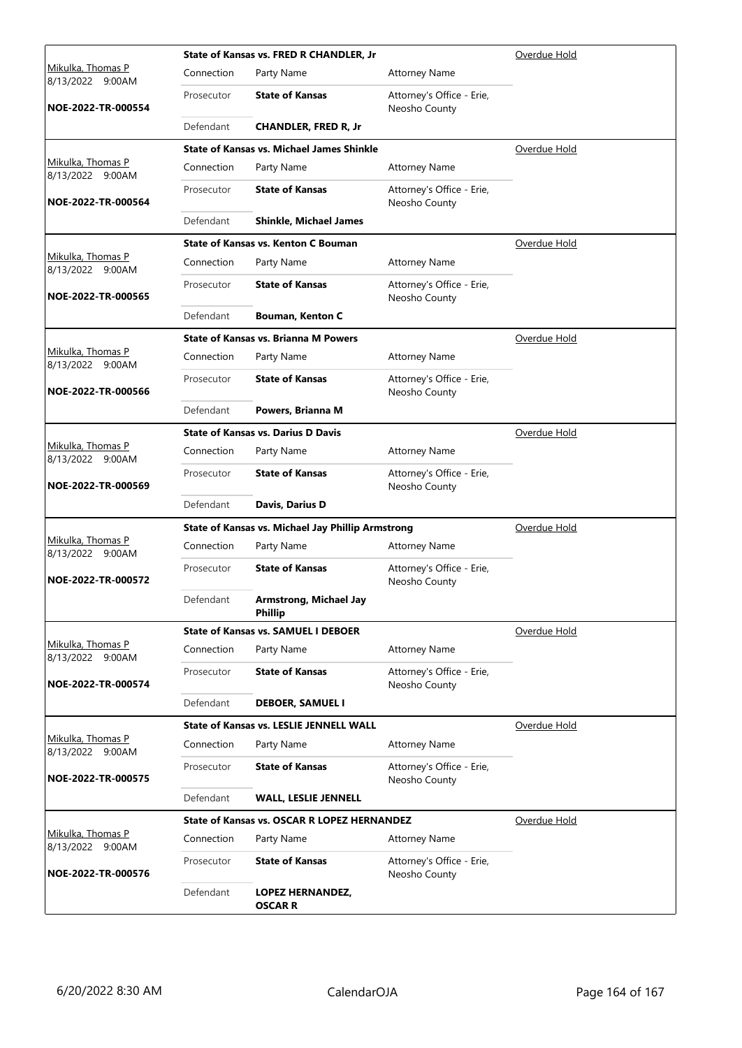|                                              |            | State of Kansas vs. FRED R CHANDLER, Jr            |                                            | Overdue Hold |
|----------------------------------------------|------------|----------------------------------------------------|--------------------------------------------|--------------|
| <u>Mikulka, Thomas P</u><br>8/13/2022 9:00AM | Connection | Party Name                                         | <b>Attorney Name</b>                       |              |
| NOE-2022-TR-000554                           | Prosecutor | <b>State of Kansas</b>                             | Attorney's Office - Erie,<br>Neosho County |              |
|                                              | Defendant  | <b>CHANDLER, FRED R, Jr</b>                        |                                            |              |
|                                              |            | <b>State of Kansas vs. Michael James Shinkle</b>   |                                            | Overdue Hold |
| Mikulka, Thomas P<br>8/13/2022 9:00AM        | Connection | Party Name                                         | <b>Attorney Name</b>                       |              |
| NOE-2022-TR-000564                           | Prosecutor | <b>State of Kansas</b>                             | Attorney's Office - Erie,<br>Neosho County |              |
|                                              | Defendant  | <b>Shinkle, Michael James</b>                      |                                            |              |
|                                              |            | <b>State of Kansas vs. Kenton C Bouman</b>         |                                            | Overdue Hold |
| Mikulka, Thomas P<br>8/13/2022 9:00AM        | Connection | Party Name                                         | <b>Attorney Name</b>                       |              |
| NOE-2022-TR-000565                           | Prosecutor | <b>State of Kansas</b>                             | Attorney's Office - Erie,<br>Neosho County |              |
|                                              | Defendant  | <b>Bouman, Kenton C</b>                            |                                            |              |
|                                              |            | <b>State of Kansas vs. Brianna M Powers</b>        |                                            | Overdue Hold |
| <u>Mikulka, Thomas P</u><br>8/13/2022 9:00AM | Connection | Party Name                                         | <b>Attorney Name</b>                       |              |
| NOE-2022-TR-000566                           | Prosecutor | <b>State of Kansas</b>                             | Attorney's Office - Erie,<br>Neosho County |              |
|                                              | Defendant  | Powers, Brianna M                                  |                                            |              |
|                                              |            | <b>State of Kansas vs. Darius D Davis</b>          |                                            | Overdue Hold |
| Mikulka, Thomas P<br>8/13/2022 9:00AM        | Connection | Party Name                                         | <b>Attorney Name</b>                       |              |
| NOE-2022-TR-000569                           | Prosecutor | <b>State of Kansas</b>                             | Attorney's Office - Erie,<br>Neosho County |              |
|                                              | Defendant  | Davis, Darius D                                    |                                            |              |
|                                              |            | State of Kansas vs. Michael Jay Phillip Armstrong  |                                            | Overdue Hold |
| Mikulka, Thomas P<br>8/13/2022 9:00AM        | Connection | Party Name                                         | <b>Attorney Name</b>                       |              |
| NOE-2022-TR-000572                           | Prosecutor | <b>State of Kansas</b>                             | Attorney's Office - Erie,<br>Neosho County |              |
|                                              | Defendant  | Armstrong, Michael Jay<br><b>Phillip</b>           |                                            |              |
|                                              |            | <b>State of Kansas vs. SAMUEL I DEBOER</b>         |                                            | Overdue Hold |
| Mikulka, Thomas P<br>8/13/2022 9:00AM        | Connection | Party Name                                         | <b>Attorney Name</b>                       |              |
| NOE-2022-TR-000574                           | Prosecutor | <b>State of Kansas</b>                             | Attorney's Office - Erie,<br>Neosho County |              |
|                                              | Defendant  | <b>DEBOER, SAMUEL I</b>                            |                                            |              |
|                                              |            | <b>State of Kansas vs. LESLIE JENNELL WALL</b>     |                                            | Overdue Hold |
| Mikulka, Thomas P<br>8/13/2022 9:00AM        | Connection | Party Name                                         | <b>Attorney Name</b>                       |              |
| NOE-2022-TR-000575                           | Prosecutor | <b>State of Kansas</b>                             | Attorney's Office - Erie,<br>Neosho County |              |
|                                              | Defendant  | <b>WALL, LESLIE JENNELL</b>                        |                                            |              |
|                                              |            | <b>State of Kansas vs. OSCAR R LOPEZ HERNANDEZ</b> |                                            | Overdue Hold |
| Mikulka, Thomas P<br>8/13/2022 9:00AM        | Connection | Party Name                                         | <b>Attorney Name</b>                       |              |
| NOE-2022-TR-000576                           | Prosecutor | <b>State of Kansas</b>                             | Attorney's Office - Erie,<br>Neosho County |              |
|                                              | Defendant  | <b>LOPEZ HERNANDEZ,</b><br><b>OSCAR R</b>          |                                            |              |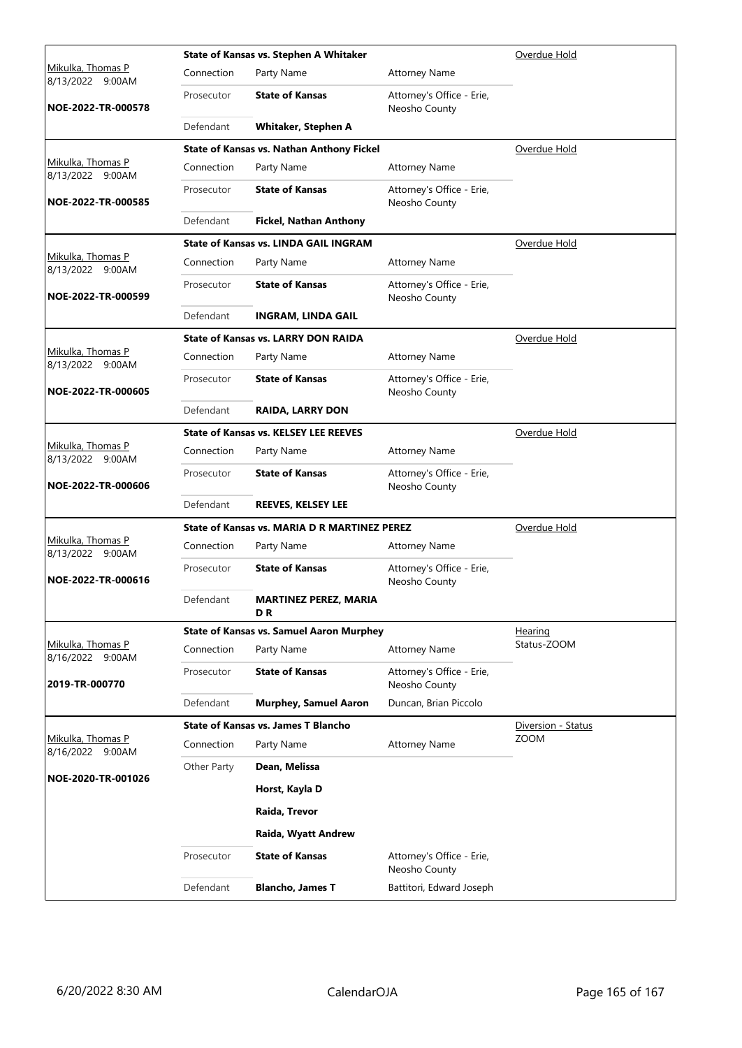|                                          |             | State of Kansas vs. Stephen A Whitaker          | Overdue Hold                               |                    |
|------------------------------------------|-------------|-------------------------------------------------|--------------------------------------------|--------------------|
| Mikulka, Thomas P<br>8/13/2022<br>9:00AM | Connection  | Party Name                                      | <b>Attorney Name</b>                       |                    |
| NOE-2022-TR-000578                       | Prosecutor  | <b>State of Kansas</b>                          | Attorney's Office - Erie,<br>Neosho County |                    |
|                                          | Defendant   | <b>Whitaker, Stephen A</b>                      |                                            |                    |
|                                          |             | State of Kansas vs. Nathan Anthony Fickel       |                                            | Overdue Hold       |
| Mikulka, Thomas P<br>8/13/2022 9:00AM    | Connection  | Party Name                                      | <b>Attorney Name</b>                       |                    |
| NOE-2022-TR-000585                       | Prosecutor  | <b>State of Kansas</b>                          | Attorney's Office - Erie,<br>Neosho County |                    |
|                                          | Defendant   | <b>Fickel, Nathan Anthony</b>                   |                                            |                    |
|                                          |             | <b>State of Kansas vs. LINDA GAIL INGRAM</b>    |                                            | Overdue Hold       |
| Mikulka, Thomas P<br>8/13/2022 9:00AM    | Connection  | Party Name                                      | <b>Attorney Name</b>                       |                    |
| NOE-2022-TR-000599                       | Prosecutor  | <b>State of Kansas</b>                          | Attorney's Office - Erie,<br>Neosho County |                    |
|                                          | Defendant   | <b>INGRAM, LINDA GAIL</b>                       |                                            |                    |
|                                          |             | <b>State of Kansas vs. LARRY DON RAIDA</b>      |                                            | Overdue Hold       |
| Mikulka, Thomas P<br>8/13/2022 9:00AM    | Connection  | Party Name                                      | <b>Attorney Name</b>                       |                    |
| NOE-2022-TR-000605                       | Prosecutor  | <b>State of Kansas</b>                          | Attorney's Office - Erie,<br>Neosho County |                    |
|                                          | Defendant   | <b>RAIDA, LARRY DON</b>                         |                                            |                    |
|                                          |             | <b>State of Kansas vs. KELSEY LEE REEVES</b>    |                                            | Overdue Hold       |
| Mikulka, Thomas P<br>8/13/2022 9:00AM    | Connection  | Party Name                                      | <b>Attorney Name</b>                       |                    |
| NOE-2022-TR-000606                       | Prosecutor  | <b>State of Kansas</b>                          | Attorney's Office - Erie,<br>Neosho County |                    |
|                                          | Defendant   | <b>REEVES, KELSEY LEE</b>                       |                                            |                    |
|                                          |             | State of Kansas vs. MARIA D R MARTINEZ PEREZ    |                                            | Overdue Hold       |
| Mikulka, Thomas P<br>8/13/2022 9:00AM    | Connection  | Party Name                                      | <b>Attorney Name</b>                       |                    |
| NOE-2022-TR-000616                       | Prosecutor  | <b>State of Kansas</b>                          | Attorney's Office - Erie,<br>Neosho County |                    |
|                                          | Defendant   | <b>MARTINEZ PEREZ, MARIA</b><br>DR              |                                            |                    |
|                                          |             | <b>State of Kansas vs. Samuel Aaron Murphey</b> |                                            | <b>Hearing</b>     |
| Mikulka, Thomas P<br>8/16/2022 9:00AM    | Connection  | Party Name                                      | <b>Attorney Name</b>                       | Status-ZOOM        |
| 2019-TR-000770                           | Prosecutor  | <b>State of Kansas</b>                          | Attorney's Office - Erie,<br>Neosho County |                    |
|                                          | Defendant   | <b>Murphey, Samuel Aaron</b>                    | Duncan, Brian Piccolo                      |                    |
|                                          |             | <b>State of Kansas vs. James T Blancho</b>      |                                            | Diversion - Status |
| Mikulka, Thomas P<br>8/16/2022 9:00AM    | Connection  | Party Name                                      | <b>Attorney Name</b>                       | <b>ZOOM</b>        |
|                                          | Other Party | Dean, Melissa                                   |                                            |                    |
| NOE-2020-TR-001026                       |             | Horst, Kayla D                                  |                                            |                    |
|                                          |             | Raida, Trevor                                   |                                            |                    |
|                                          |             | Raida, Wyatt Andrew                             |                                            |                    |
|                                          | Prosecutor  | <b>State of Kansas</b>                          | Attorney's Office - Erie,<br>Neosho County |                    |
|                                          | Defendant   | <b>Blancho, James T</b>                         | Battitori, Edward Joseph                   |                    |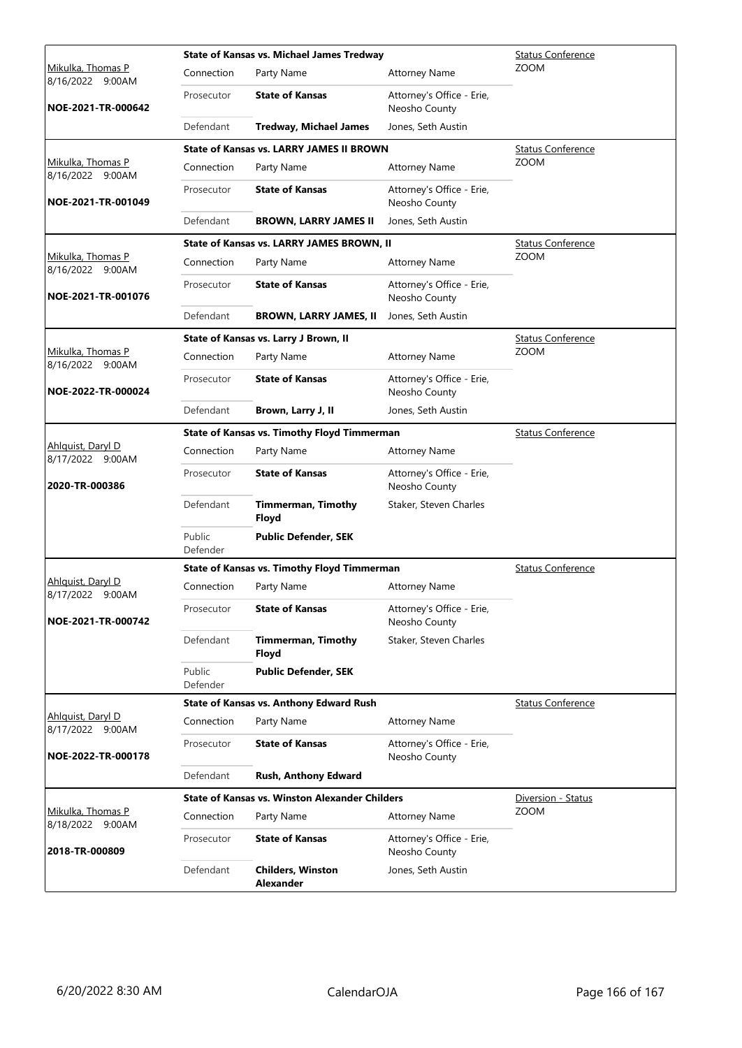|                                              |                    | <b>State of Kansas vs. Michael James Tredway</b>      | <b>Status Conference</b>                   |                          |
|----------------------------------------------|--------------------|-------------------------------------------------------|--------------------------------------------|--------------------------|
| Mikulka, Thomas P<br>8/16/2022 9:00AM        | Connection         | Party Name                                            | <b>Attorney Name</b>                       | <b>ZOOM</b>              |
| NOE-2021-TR-000642                           | Prosecutor         | <b>State of Kansas</b>                                | Attorney's Office - Erie,<br>Neosho County |                          |
|                                              | Defendant          | <b>Tredway, Michael James</b>                         | Jones, Seth Austin                         |                          |
|                                              |                    | <b>State of Kansas vs. LARRY JAMES II BROWN</b>       |                                            | <b>Status Conference</b> |
| Mikulka, Thomas P<br>8/16/2022 9:00AM        | Connection         | Party Name                                            | <b>Attorney Name</b>                       | <b>ZOOM</b>              |
| NOE-2021-TR-001049                           | Prosecutor         | <b>State of Kansas</b>                                | Attorney's Office - Erie,<br>Neosho County |                          |
|                                              | Defendant          | <b>BROWN, LARRY JAMES II</b>                          | Jones, Seth Austin                         |                          |
|                                              |                    | State of Kansas vs. LARRY JAMES BROWN, II             |                                            | <b>Status Conference</b> |
| Mikulka, Thomas P<br>8/16/2022 9:00AM        | Connection         | Party Name                                            | <b>Attorney Name</b>                       | <b>ZOOM</b>              |
| NOE-2021-TR-001076                           | Prosecutor         | <b>State of Kansas</b>                                | Attorney's Office - Erie,<br>Neosho County |                          |
|                                              | Defendant          | <b>BROWN, LARRY JAMES, II</b>                         | Jones, Seth Austin                         |                          |
|                                              |                    | State of Kansas vs. Larry J Brown, II                 |                                            | <b>Status Conference</b> |
| Mikulka, Thomas P<br>8/16/2022 9:00AM        | Connection         | Party Name                                            | <b>Attorney Name</b>                       | <b>ZOOM</b>              |
| NOE-2022-TR-000024                           | Prosecutor         | <b>State of Kansas</b>                                | Attorney's Office - Erie,<br>Neosho County |                          |
|                                              | Defendant          | Brown, Larry J, II                                    | Jones, Seth Austin                         |                          |
|                                              |                    | <b>State of Kansas vs. Timothy Floyd Timmerman</b>    |                                            | <b>Status Conference</b> |
| Ahlquist, Daryl D<br>8/17/2022 9:00AM        | Connection         | Party Name                                            | <b>Attorney Name</b>                       |                          |
| 2020-TR-000386                               | Prosecutor         | <b>State of Kansas</b>                                | Attorney's Office - Erie,<br>Neosho County |                          |
|                                              | Defendant          | <b>Timmerman, Timothy</b><br>Floyd                    | Staker, Steven Charles                     |                          |
|                                              | Public<br>Defender | <b>Public Defender, SEK</b>                           |                                            |                          |
|                                              |                    | State of Kansas vs. Timothy Floyd Timmerman           |                                            | <b>Status Conference</b> |
| <u>Ahlquist, Daryl D</u><br>8/17/2022 9:00AM | Connection         | Party Name                                            | <b>Attorney Name</b>                       |                          |
| NOE-2021-TR-000742                           | Prosecutor         | <b>State of Kansas</b>                                | Attorney's Office - Erie,<br>Neosho County |                          |
|                                              | Defendant          | <b>Timmerman, Timothy</b><br>Floyd                    | Staker, Steven Charles                     |                          |
|                                              | Public<br>Defender | <b>Public Defender, SEK</b>                           |                                            |                          |
|                                              |                    | <b>State of Kansas vs. Anthony Edward Rush</b>        |                                            | <b>Status Conference</b> |
| Ahlguist, Daryl D<br>8/17/2022 9:00AM        | Connection         | Party Name                                            | <b>Attorney Name</b>                       |                          |
| NOE-2022-TR-000178                           | Prosecutor         | <b>State of Kansas</b>                                | Attorney's Office - Erie,<br>Neosho County |                          |
|                                              | Defendant          | Rush, Anthony Edward                                  |                                            |                          |
|                                              |                    | <b>State of Kansas vs. Winston Alexander Childers</b> |                                            | Diversion - Status       |
| Mikulka, Thomas P<br>8/18/2022 9:00AM        | Connection         | Party Name                                            | <b>Attorney Name</b>                       | <b>ZOOM</b>              |
| 2018-TR-000809                               | Prosecutor         | <b>State of Kansas</b>                                | Attorney's Office - Erie,<br>Neosho County |                          |
|                                              | Defendant          | <b>Childers, Winston</b><br><b>Alexander</b>          | Jones, Seth Austin                         |                          |